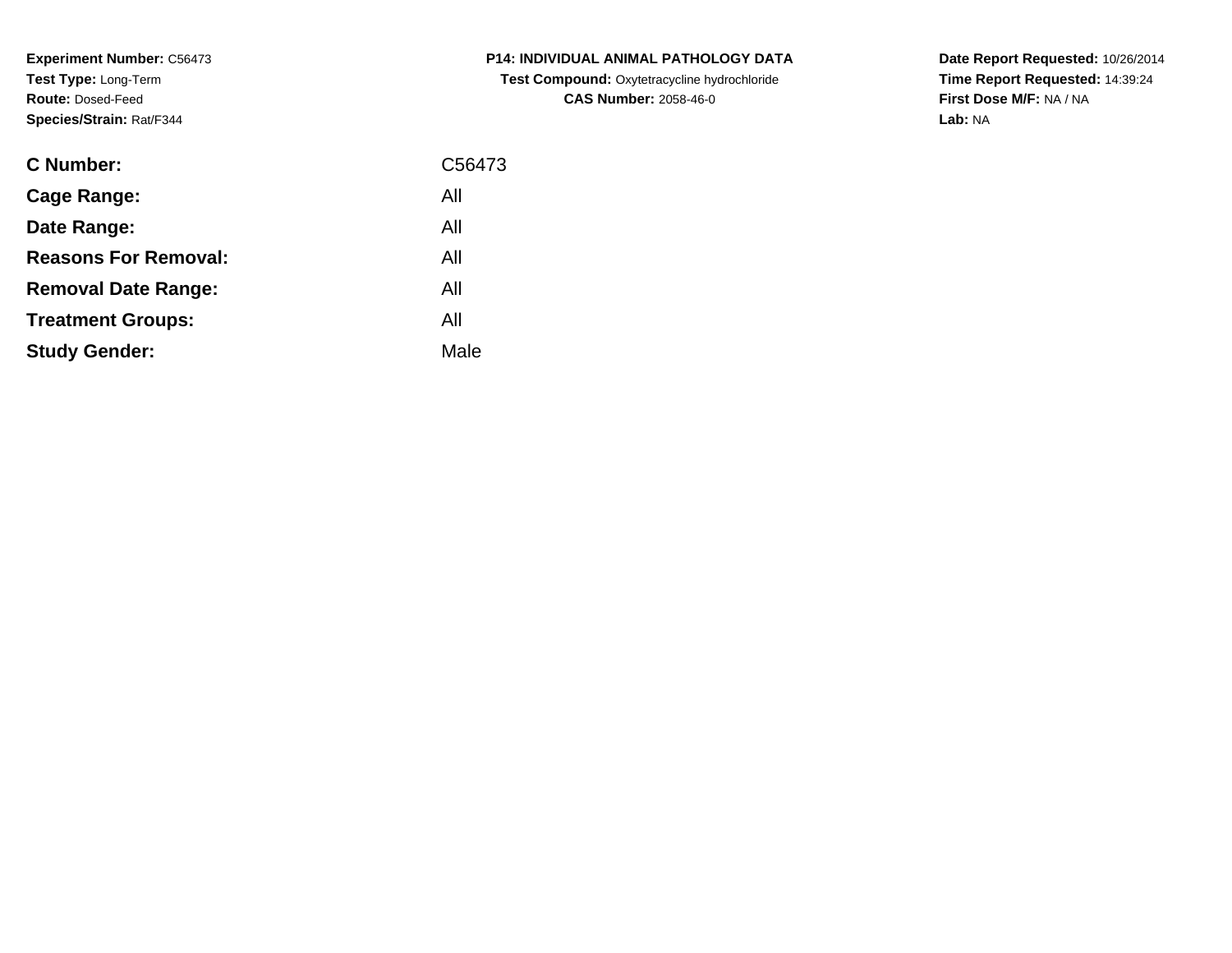**Experiment Number:** C56473**Test Type:** Long-Term**Route:** Dosed-Feed**Species/Strain:** Rat/F344

| <b>C Number:</b>            | C56473 |
|-----------------------------|--------|
| <b>Cage Range:</b>          | All    |
| Date Range:                 | All    |
| <b>Reasons For Removal:</b> | All    |
| <b>Removal Date Range:</b>  | All    |
| <b>Treatment Groups:</b>    | All    |
| <b>Study Gender:</b>        | Male   |
|                             |        |

**P14: INDIVIDUAL ANIMAL PATHOLOGY DATA Test Compound:** Oxytetracycline hydrochloride**CAS Number:** 2058-46-0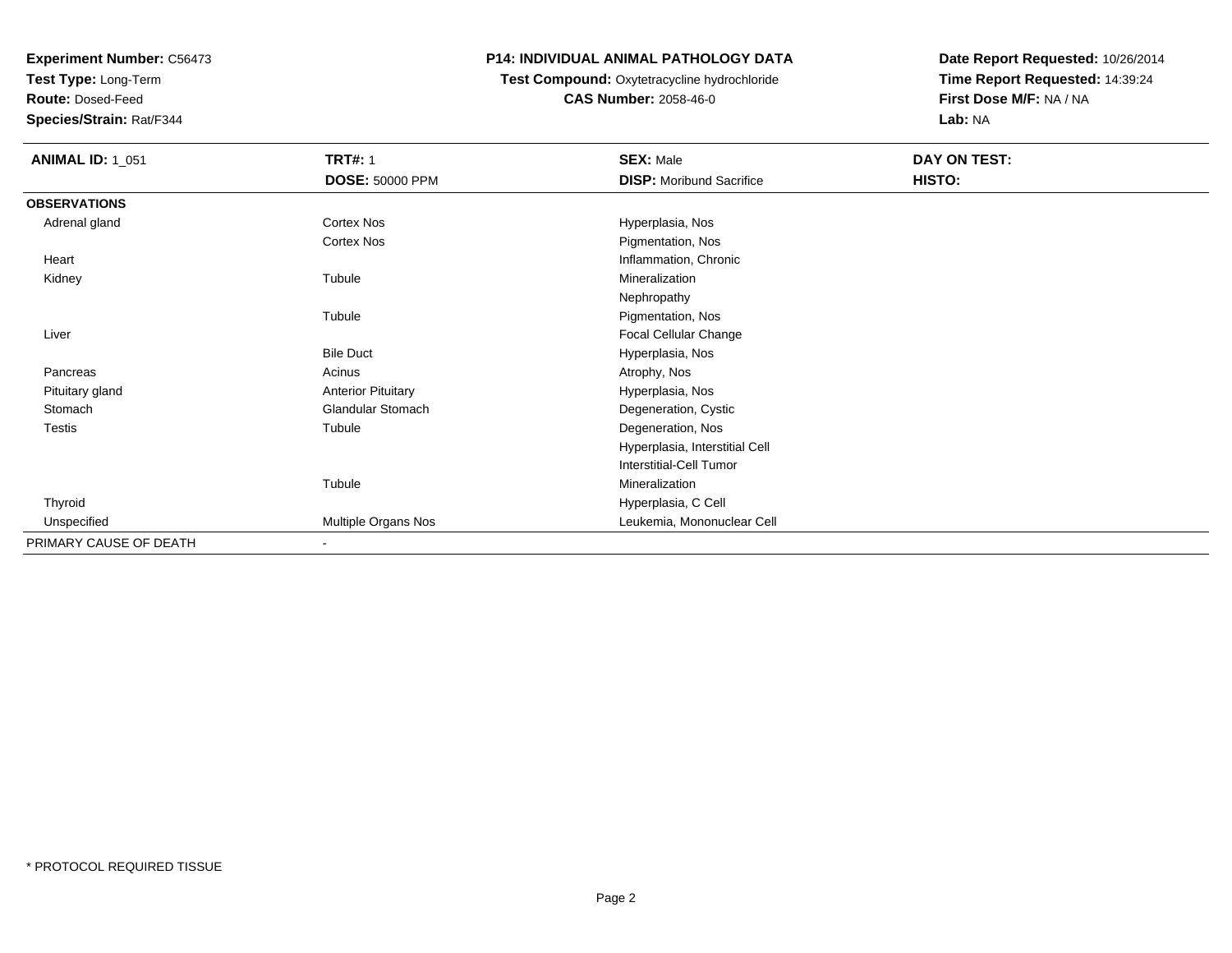**Test Type:** Long-Term

**Route:** Dosed-Feed

**Species/Strain:** Rat/F344

## **P14: INDIVIDUAL ANIMAL PATHOLOGY DATA**

#### **Test Compound:** Oxytetracycline hydrochloride**CAS Number:** 2058-46-0

| <b>ANIMAL ID: 1_051</b> | <b>TRT#: 1</b>            | <b>SEX: Male</b>                | DAY ON TEST: |  |
|-------------------------|---------------------------|---------------------------------|--------------|--|
|                         | DOSE: 50000 PPM           | <b>DISP:</b> Moribund Sacrifice | HISTO:       |  |
| <b>OBSERVATIONS</b>     |                           |                                 |              |  |
| Adrenal gland           | Cortex Nos                | Hyperplasia, Nos                |              |  |
|                         | <b>Cortex Nos</b>         | Pigmentation, Nos               |              |  |
| Heart                   |                           | Inflammation, Chronic           |              |  |
| Kidney                  | Tubule                    | Mineralization                  |              |  |
|                         |                           | Nephropathy                     |              |  |
|                         | Tubule                    | Pigmentation, Nos               |              |  |
| Liver                   |                           | Focal Cellular Change           |              |  |
|                         | <b>Bile Duct</b>          | Hyperplasia, Nos                |              |  |
| Pancreas                | Acinus                    | Atrophy, Nos                    |              |  |
| Pituitary gland         | <b>Anterior Pituitary</b> | Hyperplasia, Nos                |              |  |
| Stomach                 | <b>Glandular Stomach</b>  | Degeneration, Cystic            |              |  |
| <b>Testis</b>           | Tubule                    | Degeneration, Nos               |              |  |
|                         |                           | Hyperplasia, Interstitial Cell  |              |  |
|                         |                           | Interstitial-Cell Tumor         |              |  |
|                         | Tubule                    | Mineralization                  |              |  |
| Thyroid                 |                           | Hyperplasia, C Cell             |              |  |
| Unspecified             | Multiple Organs Nos       | Leukemia, Mononuclear Cell      |              |  |
| PRIMARY CAUSE OF DEATH  | $\blacksquare$            |                                 |              |  |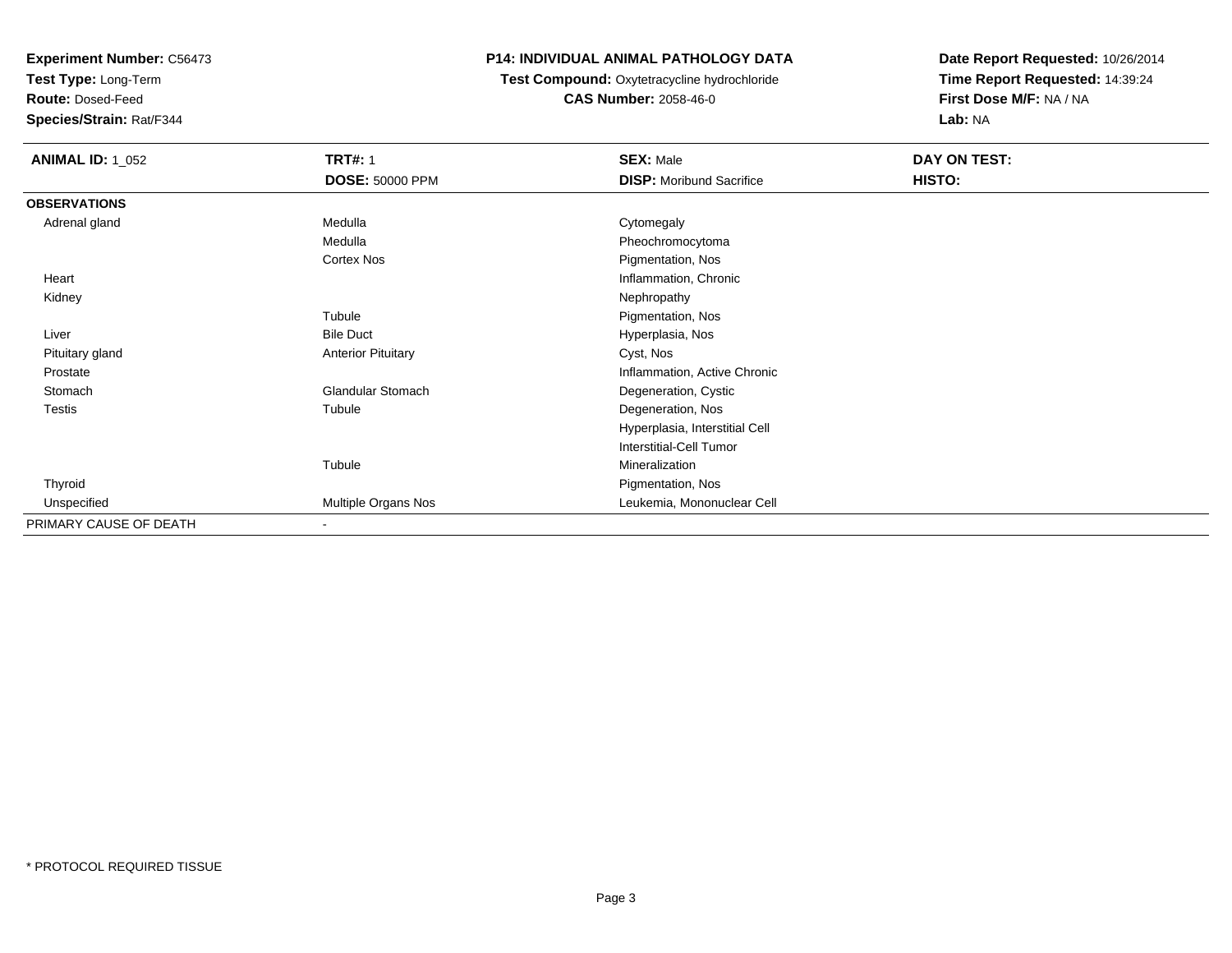**Test Type:** Long-Term

**Route:** Dosed-Feed

**Species/Strain:** Rat/F344

#### **P14: INDIVIDUAL ANIMAL PATHOLOGY DATA**

#### **Test Compound:** Oxytetracycline hydrochloride**CAS Number:** 2058-46-0

| <b>ANIMAL ID: 1_052</b> | <b>TRT#: 1</b>            | <b>SEX: Male</b>                | DAY ON TEST: |  |
|-------------------------|---------------------------|---------------------------------|--------------|--|
|                         | <b>DOSE: 50000 PPM</b>    | <b>DISP:</b> Moribund Sacrifice | HISTO:       |  |
| <b>OBSERVATIONS</b>     |                           |                                 |              |  |
| Adrenal gland           | Medulla                   | Cytomegaly                      |              |  |
|                         | Medulla                   | Pheochromocytoma                |              |  |
|                         | Cortex Nos                | Pigmentation, Nos               |              |  |
| Heart                   |                           | Inflammation, Chronic           |              |  |
| Kidney                  |                           | Nephropathy                     |              |  |
|                         | Tubule                    | Pigmentation, Nos               |              |  |
| Liver                   | <b>Bile Duct</b>          | Hyperplasia, Nos                |              |  |
| Pituitary gland         | <b>Anterior Pituitary</b> | Cyst, Nos                       |              |  |
| Prostate                |                           | Inflammation, Active Chronic    |              |  |
| Stomach                 | Glandular Stomach         | Degeneration, Cystic            |              |  |
| <b>Testis</b>           | Tubule                    | Degeneration, Nos               |              |  |
|                         |                           | Hyperplasia, Interstitial Cell  |              |  |
|                         |                           | Interstitial-Cell Tumor         |              |  |
|                         | Tubule                    | Mineralization                  |              |  |
| Thyroid                 |                           | Pigmentation, Nos               |              |  |
| Unspecified             | Multiple Organs Nos       | Leukemia, Mononuclear Cell      |              |  |
| PRIMARY CAUSE OF DEATH  | $\overline{\phantom{a}}$  |                                 |              |  |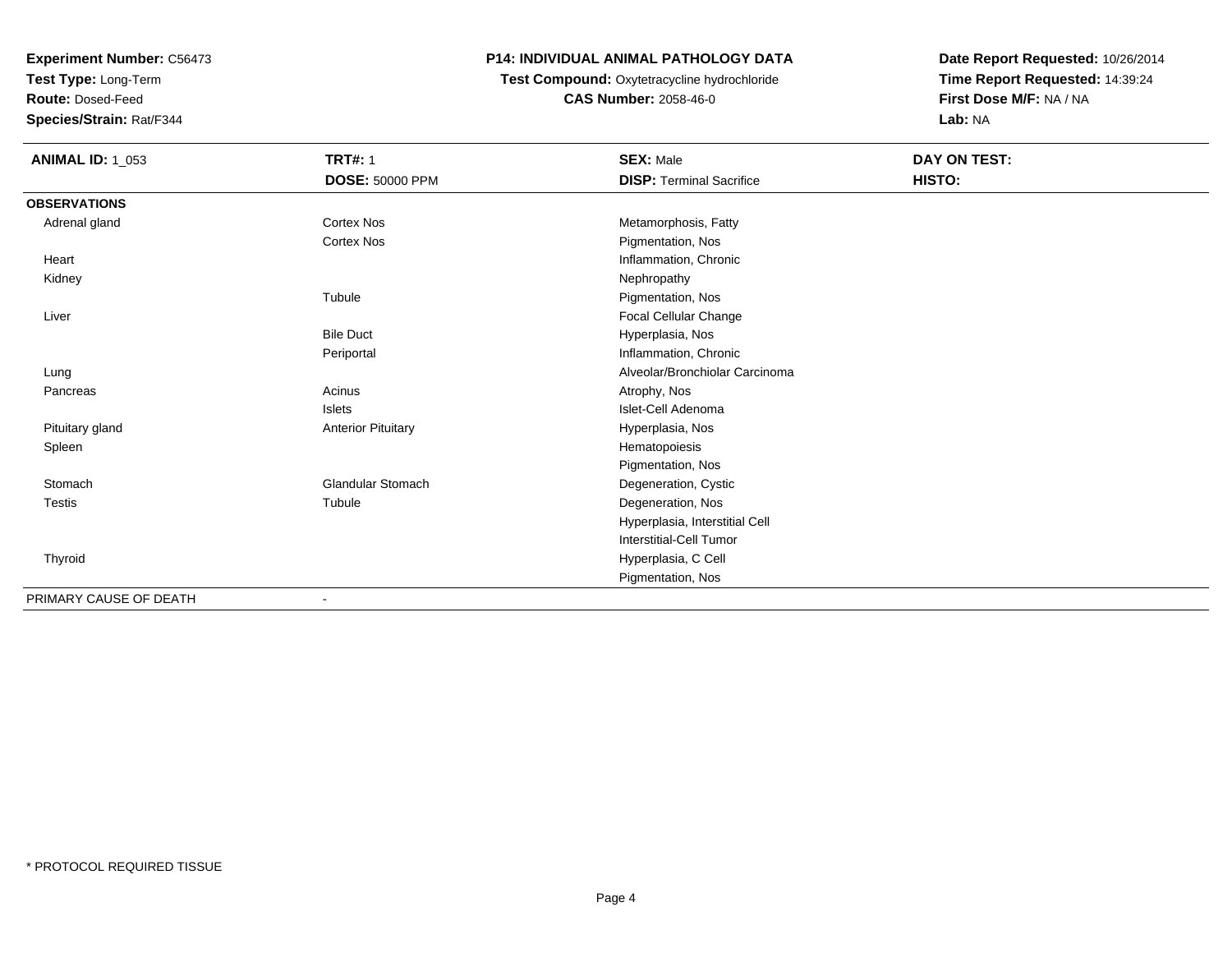**Test Type:** Long-Term

**Route:** Dosed-Feed

**Species/Strain:** Rat/F344

## **P14: INDIVIDUAL ANIMAL PATHOLOGY DATA**

 **Test Compound:** Oxytetracycline hydrochloride**CAS Number:** 2058-46-0

| <b>ANIMAL ID: 1_053</b> | <b>TRT#: 1</b>            | <b>SEX: Male</b>                | DAY ON TEST: |
|-------------------------|---------------------------|---------------------------------|--------------|
|                         | <b>DOSE: 50000 PPM</b>    | <b>DISP: Terminal Sacrifice</b> | HISTO:       |
| <b>OBSERVATIONS</b>     |                           |                                 |              |
| Adrenal gland           | <b>Cortex Nos</b>         | Metamorphosis, Fatty            |              |
|                         | <b>Cortex Nos</b>         | Pigmentation, Nos               |              |
| Heart                   |                           | Inflammation, Chronic           |              |
| Kidney                  |                           | Nephropathy                     |              |
|                         | Tubule                    | Pigmentation, Nos               |              |
| Liver                   |                           | Focal Cellular Change           |              |
|                         | <b>Bile Duct</b>          | Hyperplasia, Nos                |              |
|                         | Periportal                | Inflammation, Chronic           |              |
| Lung                    |                           | Alveolar/Bronchiolar Carcinoma  |              |
| Pancreas                | Acinus                    | Atrophy, Nos                    |              |
|                         | Islets                    | Islet-Cell Adenoma              |              |
| Pituitary gland         | <b>Anterior Pituitary</b> | Hyperplasia, Nos                |              |
| Spleen                  |                           | Hematopoiesis                   |              |
|                         |                           | Pigmentation, Nos               |              |
| Stomach                 | <b>Glandular Stomach</b>  | Degeneration, Cystic            |              |
| <b>Testis</b>           | Tubule                    | Degeneration, Nos               |              |
|                         |                           | Hyperplasia, Interstitial Cell  |              |
|                         |                           | Interstitial-Cell Tumor         |              |
| Thyroid                 |                           | Hyperplasia, C Cell             |              |
|                         |                           | Pigmentation, Nos               |              |
| PRIMARY CAUSE OF DEATH  | $\overline{\phantom{0}}$  |                                 |              |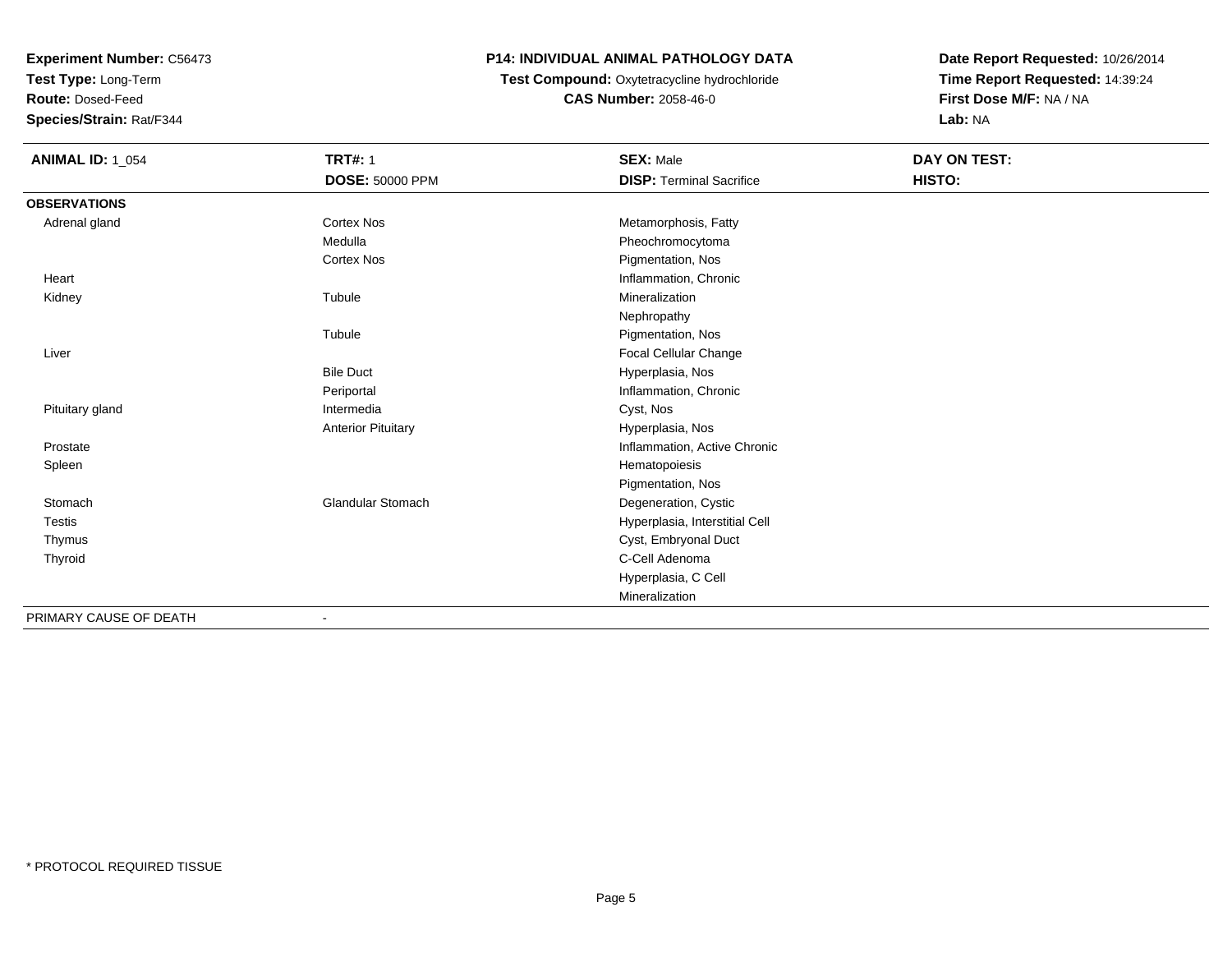**Test Type:** Long-Term

**Route:** Dosed-Feed

**Species/Strain:** Rat/F344

### **P14: INDIVIDUAL ANIMAL PATHOLOGY DATA**

# **Test Compound:** Oxytetracycline hydrochloride**CAS Number:** 2058-46-0

| <b>ANIMAL ID: 1_054</b> | <b>TRT#: 1</b>            | <b>SEX: Male</b>                | <b>DAY ON TEST:</b> |  |
|-------------------------|---------------------------|---------------------------------|---------------------|--|
|                         | <b>DOSE: 50000 PPM</b>    | <b>DISP: Terminal Sacrifice</b> | HISTO:              |  |
| <b>OBSERVATIONS</b>     |                           |                                 |                     |  |
| Adrenal gland           | <b>Cortex Nos</b>         | Metamorphosis, Fatty            |                     |  |
|                         | Medulla                   | Pheochromocytoma                |                     |  |
|                         | <b>Cortex Nos</b>         | Pigmentation, Nos               |                     |  |
| Heart                   |                           | Inflammation, Chronic           |                     |  |
| Kidney                  | Tubule                    | Mineralization                  |                     |  |
|                         |                           | Nephropathy                     |                     |  |
|                         | Tubule                    | Pigmentation, Nos               |                     |  |
| Liver                   |                           | Focal Cellular Change           |                     |  |
|                         | <b>Bile Duct</b>          | Hyperplasia, Nos                |                     |  |
|                         | Periportal                | Inflammation, Chronic           |                     |  |
| Pituitary gland         | Intermedia                | Cyst, Nos                       |                     |  |
|                         | <b>Anterior Pituitary</b> | Hyperplasia, Nos                |                     |  |
| Prostate                |                           | Inflammation, Active Chronic    |                     |  |
| Spleen                  |                           | Hematopoiesis                   |                     |  |
|                         |                           | Pigmentation, Nos               |                     |  |
| Stomach                 | <b>Glandular Stomach</b>  | Degeneration, Cystic            |                     |  |
| Testis                  |                           | Hyperplasia, Interstitial Cell  |                     |  |
| Thymus                  |                           | Cyst, Embryonal Duct            |                     |  |
| Thyroid                 |                           | C-Cell Adenoma                  |                     |  |
|                         |                           | Hyperplasia, C Cell             |                     |  |
|                         |                           | Mineralization                  |                     |  |
| PRIMARY CAUSE OF DEATH  |                           |                                 |                     |  |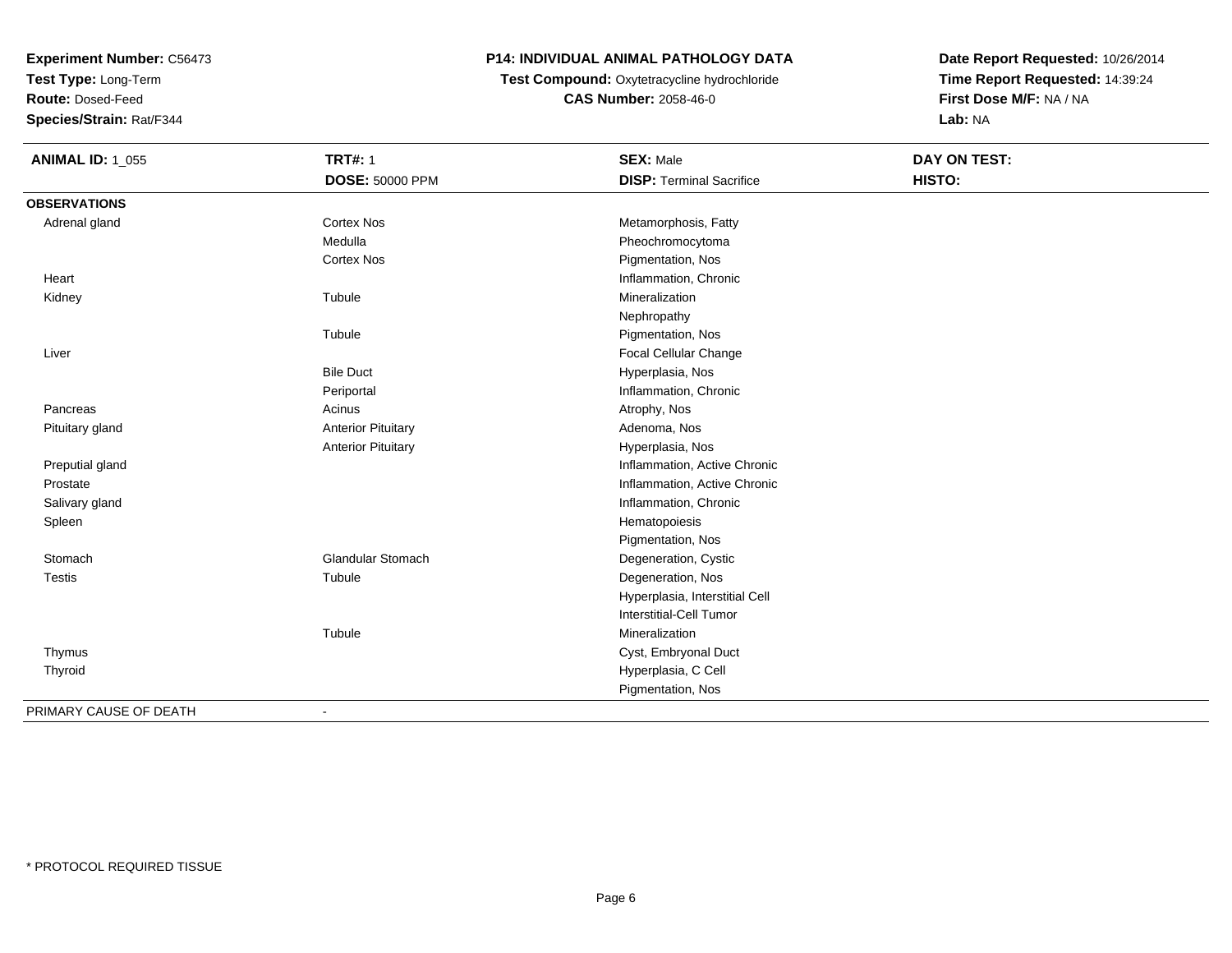**Test Type:** Long-Term

**Route:** Dosed-Feed

**Species/Strain:** Rat/F344

## **P14: INDIVIDUAL ANIMAL PATHOLOGY DATA**

**Test Compound:** Oxytetracycline hydrochloride**CAS Number:** 2058-46-0

| <b>ANIMAL ID: 1_055</b> | <b>TRT#: 1</b>            | <b>SEX: Male</b>                | DAY ON TEST: |
|-------------------------|---------------------------|---------------------------------|--------------|
|                         | <b>DOSE: 50000 PPM</b>    | <b>DISP: Terminal Sacrifice</b> | HISTO:       |
| <b>OBSERVATIONS</b>     |                           |                                 |              |
| Adrenal gland           | <b>Cortex Nos</b>         | Metamorphosis, Fatty            |              |
|                         | Medulla                   | Pheochromocytoma                |              |
|                         | <b>Cortex Nos</b>         | Pigmentation, Nos               |              |
| Heart                   |                           | Inflammation, Chronic           |              |
| Kidney                  | Tubule                    | Mineralization                  |              |
|                         |                           | Nephropathy                     |              |
|                         | Tubule                    | Pigmentation, Nos               |              |
| Liver                   |                           | Focal Cellular Change           |              |
|                         | <b>Bile Duct</b>          | Hyperplasia, Nos                |              |
|                         | Periportal                | Inflammation, Chronic           |              |
| Pancreas                | Acinus                    | Atrophy, Nos                    |              |
| Pituitary gland         | <b>Anterior Pituitary</b> | Adenoma, Nos                    |              |
|                         | <b>Anterior Pituitary</b> | Hyperplasia, Nos                |              |
| Preputial gland         |                           | Inflammation, Active Chronic    |              |
| Prostate                |                           | Inflammation, Active Chronic    |              |
| Salivary gland          |                           | Inflammation, Chronic           |              |
| Spleen                  |                           | Hematopoiesis                   |              |
|                         |                           | Pigmentation, Nos               |              |
| Stomach                 | <b>Glandular Stomach</b>  | Degeneration, Cystic            |              |
| <b>Testis</b>           | Tubule                    | Degeneration, Nos               |              |
|                         |                           | Hyperplasia, Interstitial Cell  |              |
|                         |                           | Interstitial-Cell Tumor         |              |
|                         | Tubule                    | Mineralization                  |              |
| Thymus                  |                           | Cyst, Embryonal Duct            |              |
| Thyroid                 |                           | Hyperplasia, C Cell             |              |
|                         |                           | Pigmentation, Nos               |              |
| PRIMARY CAUSE OF DEATH  | $\overline{\phantom{a}}$  |                                 |              |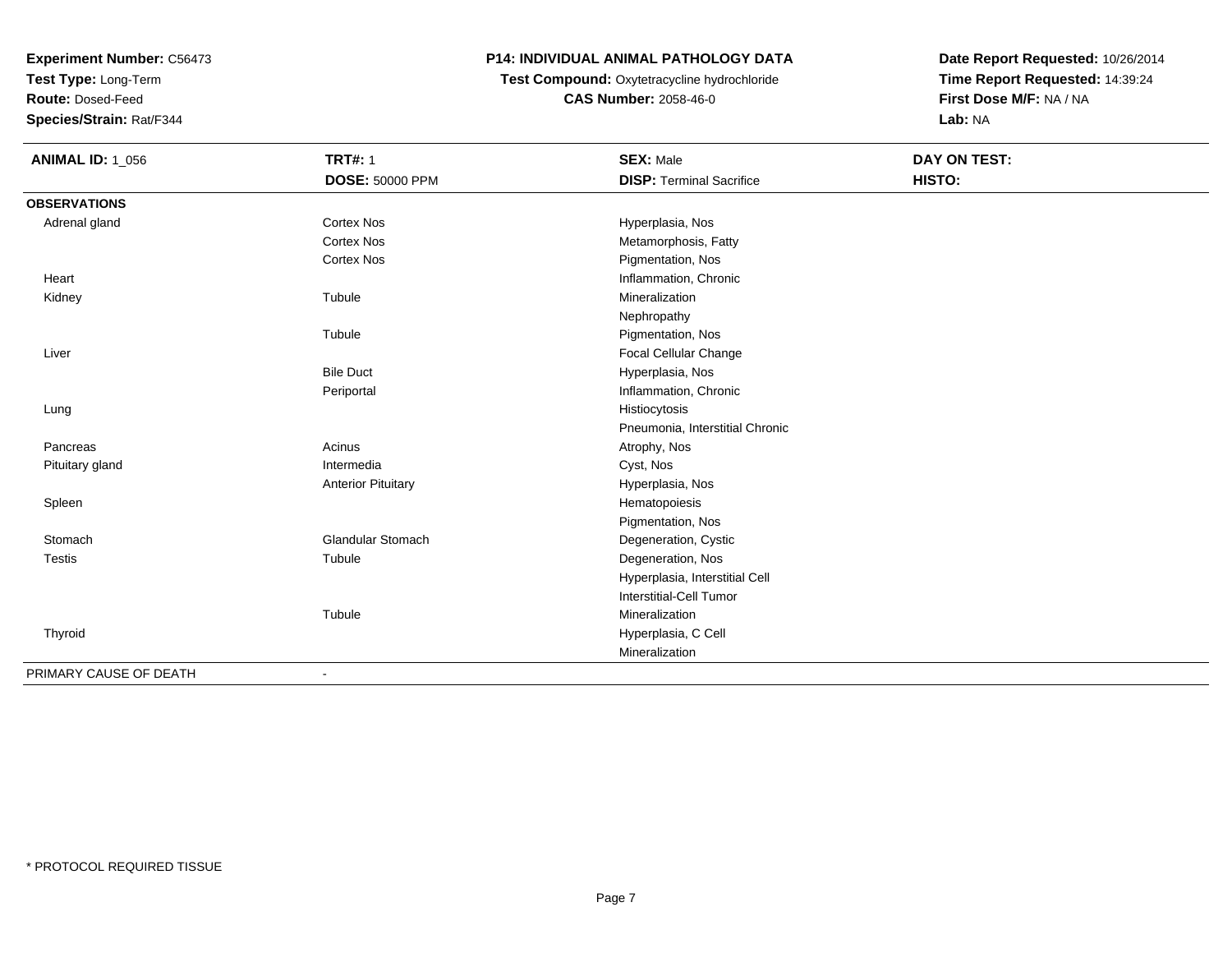**Test Type:** Long-Term

**Route:** Dosed-Feed

**Species/Strain:** Rat/F344

## **P14: INDIVIDUAL ANIMAL PATHOLOGY DATA**

 **Test Compound:** Oxytetracycline hydrochloride**CAS Number:** 2058-46-0

| <b>ANIMAL ID: 1_056</b> | <b>TRT#: 1</b>            | <b>SEX: Male</b>                | <b>DAY ON TEST:</b> |  |
|-------------------------|---------------------------|---------------------------------|---------------------|--|
|                         | <b>DOSE: 50000 PPM</b>    | <b>DISP: Terminal Sacrifice</b> | HISTO:              |  |
| <b>OBSERVATIONS</b>     |                           |                                 |                     |  |
| Adrenal gland           | <b>Cortex Nos</b>         | Hyperplasia, Nos                |                     |  |
|                         | <b>Cortex Nos</b>         | Metamorphosis, Fatty            |                     |  |
|                         | <b>Cortex Nos</b>         | Pigmentation, Nos               |                     |  |
| Heart                   |                           | Inflammation, Chronic           |                     |  |
| Kidney                  | Tubule                    | Mineralization                  |                     |  |
|                         |                           | Nephropathy                     |                     |  |
|                         | Tubule                    | Pigmentation, Nos               |                     |  |
| Liver                   |                           | Focal Cellular Change           |                     |  |
|                         | <b>Bile Duct</b>          | Hyperplasia, Nos                |                     |  |
|                         | Periportal                | Inflammation, Chronic           |                     |  |
| Lung                    |                           | Histiocytosis                   |                     |  |
|                         |                           | Pneumonia, Interstitial Chronic |                     |  |
| Pancreas                | Acinus                    | Atrophy, Nos                    |                     |  |
| Pituitary gland         | Intermedia                | Cyst, Nos                       |                     |  |
|                         | <b>Anterior Pituitary</b> | Hyperplasia, Nos                |                     |  |
| Spleen                  |                           | Hematopoiesis                   |                     |  |
|                         |                           | Pigmentation, Nos               |                     |  |
| Stomach                 | <b>Glandular Stomach</b>  | Degeneration, Cystic            |                     |  |
| <b>Testis</b>           | Tubule                    | Degeneration, Nos               |                     |  |
|                         |                           | Hyperplasia, Interstitial Cell  |                     |  |
|                         |                           | <b>Interstitial-Cell Tumor</b>  |                     |  |
|                         | Tubule                    | Mineralization                  |                     |  |
| Thyroid                 |                           | Hyperplasia, C Cell             |                     |  |
|                         |                           | Mineralization                  |                     |  |
| PRIMARY CAUSE OF DEATH  |                           |                                 |                     |  |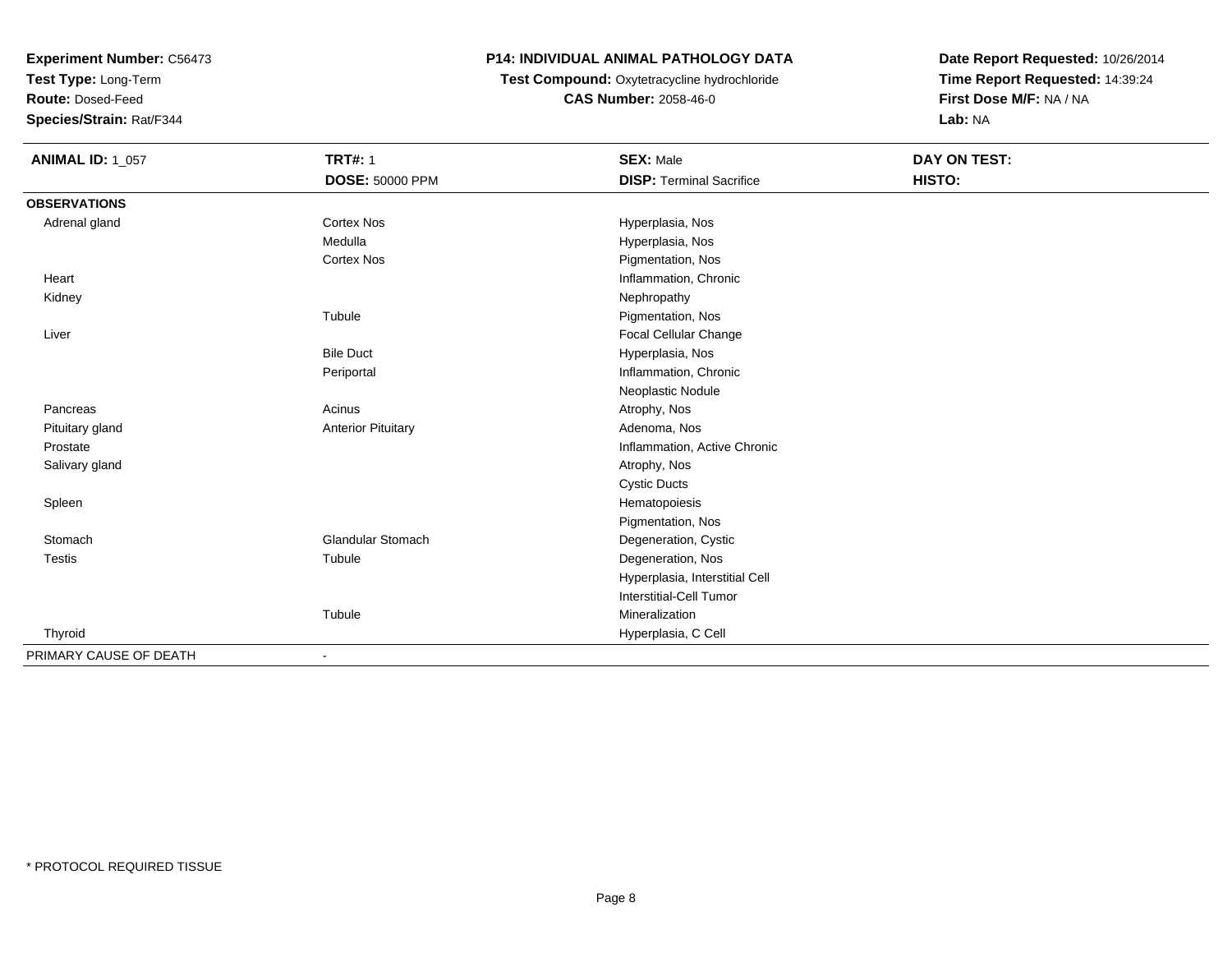**Test Type:** Long-Term

**Route:** Dosed-Feed

**Species/Strain:** Rat/F344

## **P14: INDIVIDUAL ANIMAL PATHOLOGY DATA**

**Test Compound:** Oxytetracycline hydrochloride**CAS Number:** 2058-46-0

| <b>ANIMAL ID: 1_057</b> | <b>TRT#: 1</b>            | <b>SEX: Male</b>                | DAY ON TEST: |  |
|-------------------------|---------------------------|---------------------------------|--------------|--|
|                         | DOSE: 50000 PPM           | <b>DISP: Terminal Sacrifice</b> | HISTO:       |  |
| <b>OBSERVATIONS</b>     |                           |                                 |              |  |
| Adrenal gland           | <b>Cortex Nos</b>         | Hyperplasia, Nos                |              |  |
|                         | Medulla                   | Hyperplasia, Nos                |              |  |
|                         | <b>Cortex Nos</b>         | Pigmentation, Nos               |              |  |
| Heart                   |                           | Inflammation, Chronic           |              |  |
| Kidney                  |                           | Nephropathy                     |              |  |
|                         | Tubule                    | Pigmentation, Nos               |              |  |
| Liver                   |                           | Focal Cellular Change           |              |  |
|                         | <b>Bile Duct</b>          | Hyperplasia, Nos                |              |  |
|                         | Periportal                | Inflammation, Chronic           |              |  |
|                         |                           | Neoplastic Nodule               |              |  |
| Pancreas                | Acinus                    | Atrophy, Nos                    |              |  |
| Pituitary gland         | <b>Anterior Pituitary</b> | Adenoma, Nos                    |              |  |
| Prostate                |                           | Inflammation, Active Chronic    |              |  |
| Salivary gland          |                           | Atrophy, Nos                    |              |  |
|                         |                           | <b>Cystic Ducts</b>             |              |  |
| Spleen                  |                           | Hematopoiesis                   |              |  |
|                         |                           | Pigmentation, Nos               |              |  |
| Stomach                 | <b>Glandular Stomach</b>  | Degeneration, Cystic            |              |  |
| <b>Testis</b>           | Tubule                    | Degeneration, Nos               |              |  |
|                         |                           | Hyperplasia, Interstitial Cell  |              |  |
|                         |                           | Interstitial-Cell Tumor         |              |  |
|                         | Tubule                    | Mineralization                  |              |  |
| Thyroid                 |                           | Hyperplasia, C Cell             |              |  |
| PRIMARY CAUSE OF DEATH  | $\overline{\phantom{a}}$  |                                 |              |  |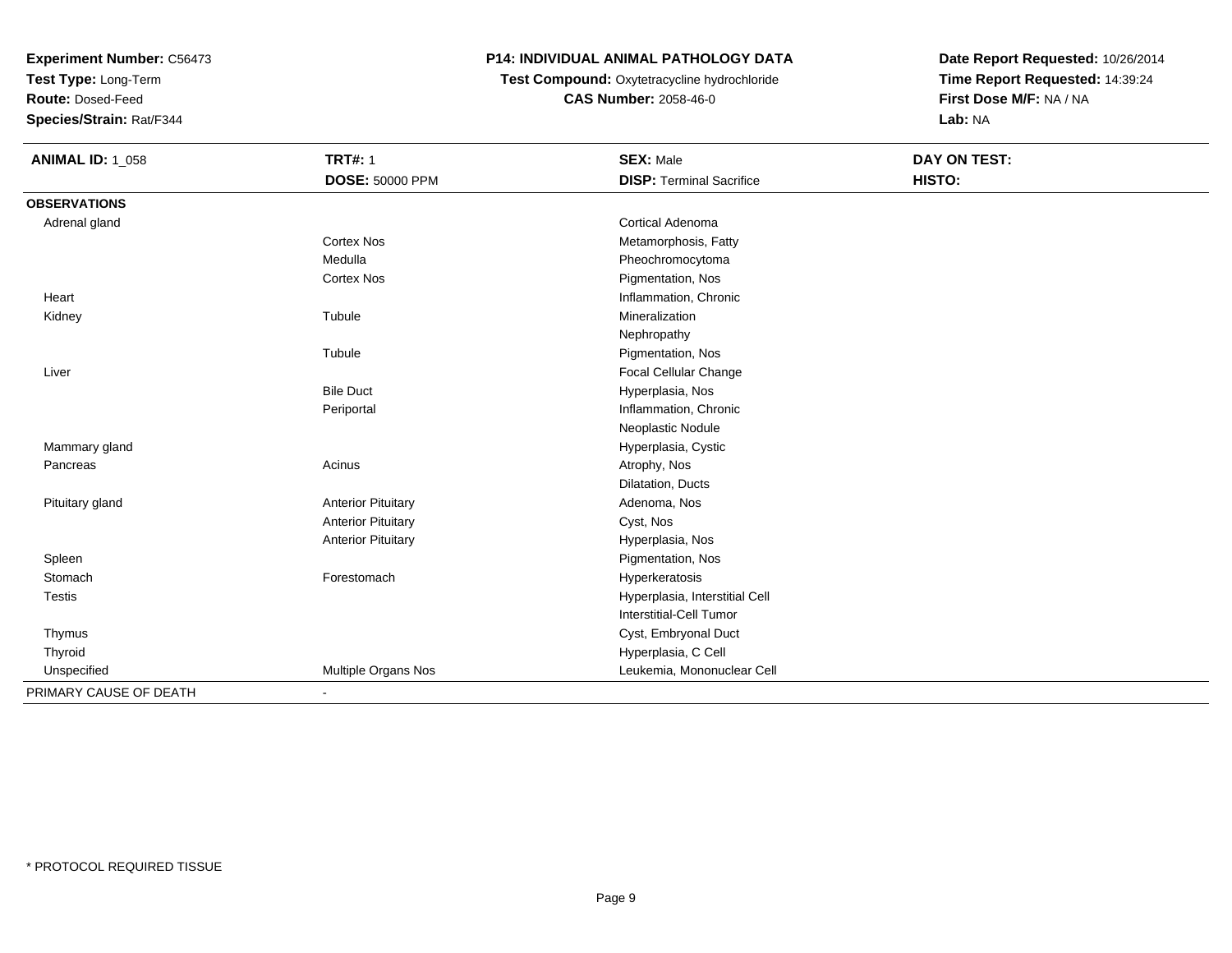**Test Type:** Long-Term

**Route:** Dosed-Feed

**Species/Strain:** Rat/F344

## **P14: INDIVIDUAL ANIMAL PATHOLOGY DATA**

 **Test Compound:** Oxytetracycline hydrochloride**CAS Number:** 2058-46-0

| <b>ANIMAL ID: 1_058</b> | <b>TRT#: 1</b>            | <b>SEX: Male</b>                | <b>DAY ON TEST:</b> |
|-------------------------|---------------------------|---------------------------------|---------------------|
|                         | <b>DOSE: 50000 PPM</b>    | <b>DISP: Terminal Sacrifice</b> | HISTO:              |
| <b>OBSERVATIONS</b>     |                           |                                 |                     |
| Adrenal gland           |                           | <b>Cortical Adenoma</b>         |                     |
|                         | Cortex Nos                | Metamorphosis, Fatty            |                     |
|                         | Medulla                   | Pheochromocytoma                |                     |
|                         | <b>Cortex Nos</b>         | Pigmentation, Nos               |                     |
| Heart                   |                           | Inflammation, Chronic           |                     |
| Kidney                  | Tubule                    | Mineralization                  |                     |
|                         |                           | Nephropathy                     |                     |
|                         | Tubule                    | Pigmentation, Nos               |                     |
| Liver                   |                           | Focal Cellular Change           |                     |
|                         | <b>Bile Duct</b>          | Hyperplasia, Nos                |                     |
|                         | Periportal                | Inflammation, Chronic           |                     |
|                         |                           | Neoplastic Nodule               |                     |
| Mammary gland           |                           | Hyperplasia, Cystic             |                     |
| Pancreas                | Acinus                    | Atrophy, Nos                    |                     |
|                         |                           | Dilatation, Ducts               |                     |
| Pituitary gland         | <b>Anterior Pituitary</b> | Adenoma, Nos                    |                     |
|                         | <b>Anterior Pituitary</b> | Cyst, Nos                       |                     |
|                         | <b>Anterior Pituitary</b> | Hyperplasia, Nos                |                     |
| Spleen                  |                           | Pigmentation, Nos               |                     |
| Stomach                 | Forestomach               | Hyperkeratosis                  |                     |
| Testis                  |                           | Hyperplasia, Interstitial Cell  |                     |
|                         |                           | <b>Interstitial-Cell Tumor</b>  |                     |
| Thymus                  |                           | Cyst, Embryonal Duct            |                     |
| Thyroid                 |                           | Hyperplasia, C Cell             |                     |
| Unspecified             | Multiple Organs Nos       | Leukemia, Mononuclear Cell      |                     |
| PRIMARY CAUSE OF DEATH  | $\blacksquare$            |                                 |                     |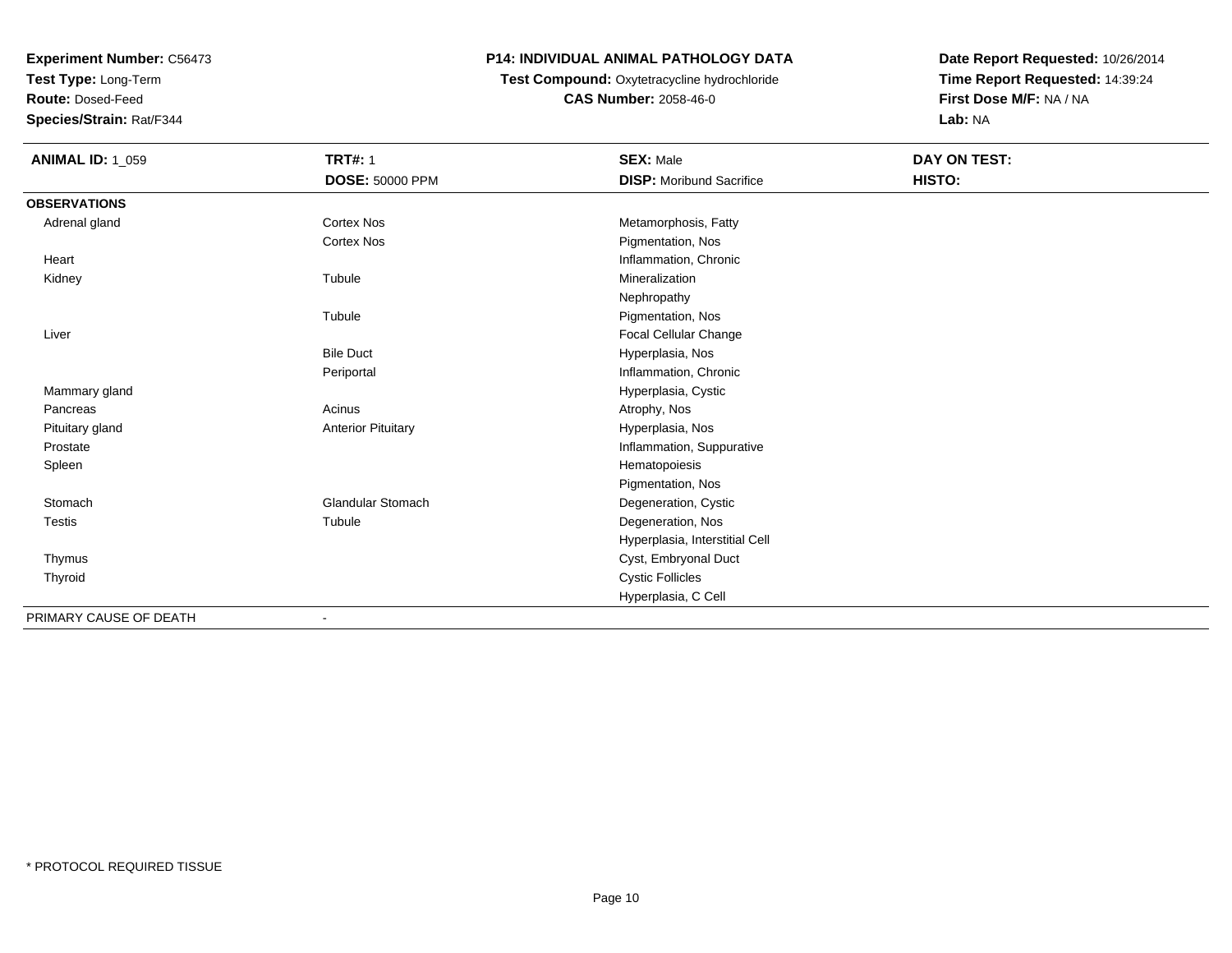**Test Type:** Long-Term

**Route:** Dosed-Feed

**Species/Strain:** Rat/F344

#### **P14: INDIVIDUAL ANIMAL PATHOLOGY DATA**

## **Test Compound:** Oxytetracycline hydrochloride**CAS Number:** 2058-46-0

| <b>ANIMAL ID: 1_059</b> | <b>TRT#: 1</b>            | <b>SEX: Male</b>                | DAY ON TEST: |
|-------------------------|---------------------------|---------------------------------|--------------|
|                         | <b>DOSE: 50000 PPM</b>    | <b>DISP:</b> Moribund Sacrifice | HISTO:       |
| <b>OBSERVATIONS</b>     |                           |                                 |              |
| Adrenal gland           | <b>Cortex Nos</b>         | Metamorphosis, Fatty            |              |
|                         | <b>Cortex Nos</b>         | Pigmentation, Nos               |              |
| Heart                   |                           | Inflammation, Chronic           |              |
| Kidney                  | Tubule                    | Mineralization                  |              |
|                         |                           | Nephropathy                     |              |
|                         | Tubule                    | Pigmentation, Nos               |              |
| Liver                   |                           | Focal Cellular Change           |              |
|                         | <b>Bile Duct</b>          | Hyperplasia, Nos                |              |
|                         | Periportal                | Inflammation, Chronic           |              |
| Mammary gland           |                           | Hyperplasia, Cystic             |              |
| Pancreas                | Acinus                    | Atrophy, Nos                    |              |
| Pituitary gland         | <b>Anterior Pituitary</b> | Hyperplasia, Nos                |              |
| Prostate                |                           | Inflammation, Suppurative       |              |
| Spleen                  |                           | Hematopoiesis                   |              |
|                         |                           | Pigmentation, Nos               |              |
| Stomach                 | <b>Glandular Stomach</b>  | Degeneration, Cystic            |              |
| Testis                  | Tubule                    | Degeneration, Nos               |              |
|                         |                           | Hyperplasia, Interstitial Cell  |              |
| Thymus                  |                           | Cyst, Embryonal Duct            |              |
| Thyroid                 |                           | <b>Cystic Follicles</b>         |              |
|                         |                           | Hyperplasia, C Cell             |              |
| PRIMARY CAUSE OF DEATH  | $\blacksquare$            |                                 |              |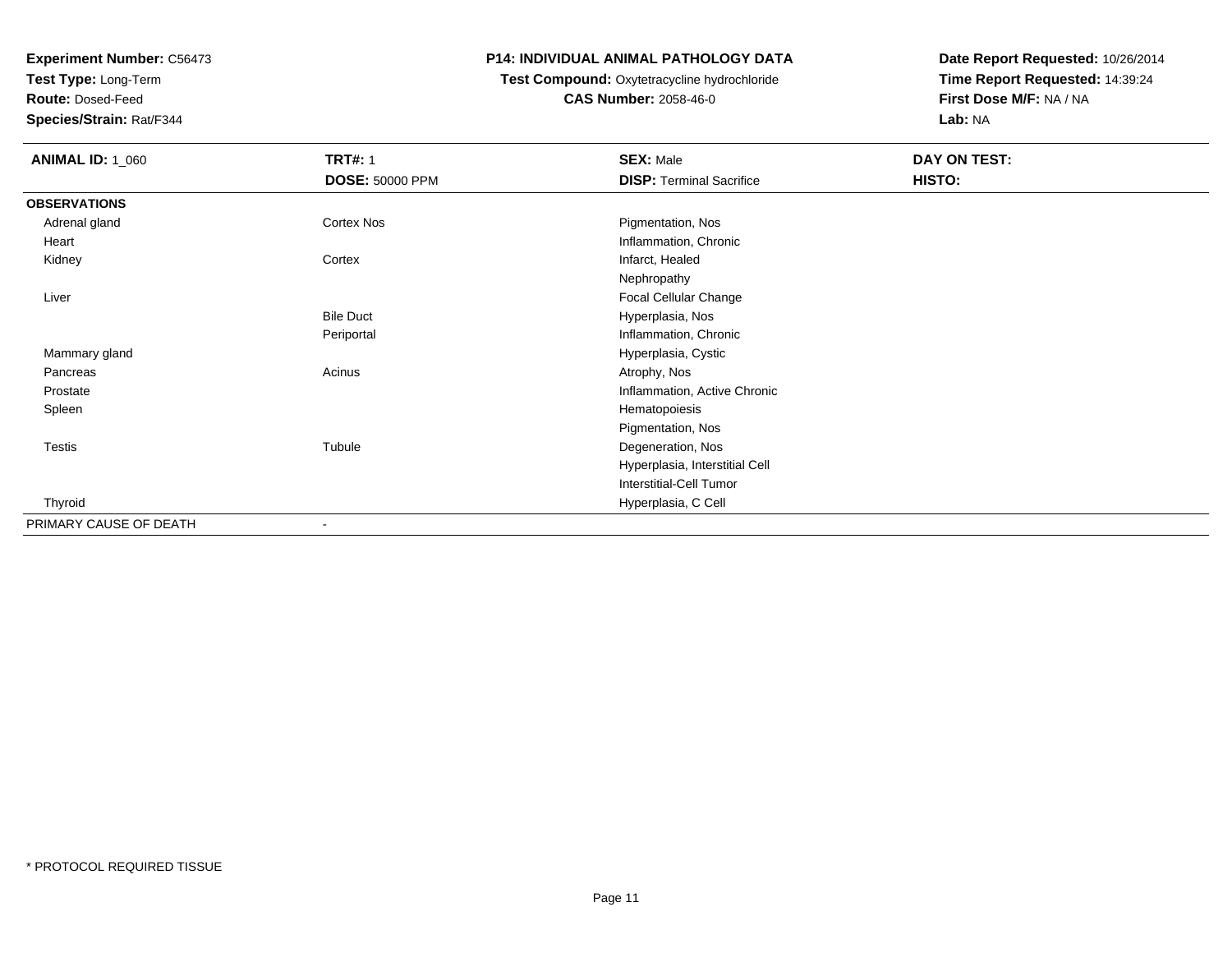**Test Type:** Long-Term

**Route:** Dosed-Feed

**Species/Strain:** Rat/F344

#### **P14: INDIVIDUAL ANIMAL PATHOLOGY DATA**

#### **Test Compound:** Oxytetracycline hydrochloride**CAS Number:** 2058-46-0

| <b>ANIMAL ID: 1_060</b> | <b>TRT#: 1</b>         | <b>SEX: Male</b>                | DAY ON TEST: |  |
|-------------------------|------------------------|---------------------------------|--------------|--|
|                         | <b>DOSE: 50000 PPM</b> | <b>DISP: Terminal Sacrifice</b> | HISTO:       |  |
| <b>OBSERVATIONS</b>     |                        |                                 |              |  |
| Adrenal gland           | Cortex Nos             | Pigmentation, Nos               |              |  |
| Heart                   |                        | Inflammation, Chronic           |              |  |
| Kidney                  | Cortex                 | Infarct, Healed                 |              |  |
|                         |                        | Nephropathy                     |              |  |
| Liver                   |                        | Focal Cellular Change           |              |  |
|                         | <b>Bile Duct</b>       | Hyperplasia, Nos                |              |  |
|                         | Periportal             | Inflammation, Chronic           |              |  |
| Mammary gland           |                        | Hyperplasia, Cystic             |              |  |
| Pancreas                | Acinus                 | Atrophy, Nos                    |              |  |
| Prostate                |                        | Inflammation, Active Chronic    |              |  |
| Spleen                  |                        | Hematopoiesis                   |              |  |
|                         |                        | Pigmentation, Nos               |              |  |
| <b>Testis</b>           | Tubule                 | Degeneration, Nos               |              |  |
|                         |                        | Hyperplasia, Interstitial Cell  |              |  |
|                         |                        | <b>Interstitial-Cell Tumor</b>  |              |  |
| Thyroid                 |                        | Hyperplasia, C Cell             |              |  |
| PRIMARY CAUSE OF DEATH  | ۰                      |                                 |              |  |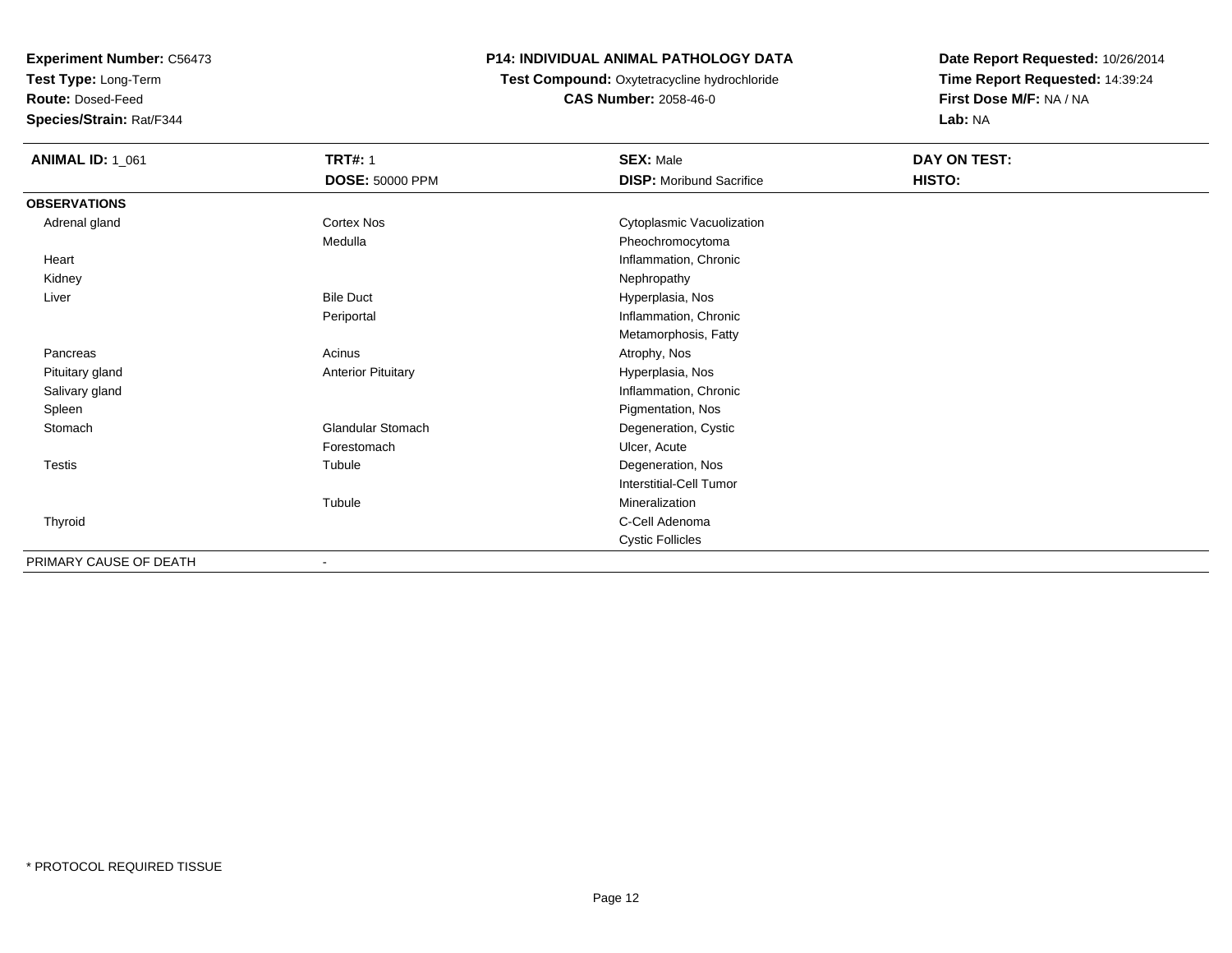**Test Type:** Long-Term

**Route:** Dosed-Feed

**Species/Strain:** Rat/F344

#### **P14: INDIVIDUAL ANIMAL PATHOLOGY DATA**

## **Test Compound:** Oxytetracycline hydrochloride**CAS Number:** 2058-46-0

| <b>ANIMAL ID: 1_061</b> | <b>TRT#: 1</b><br><b>DOSE: 50000 PPM</b> | <b>SEX: Male</b><br><b>DISP: Moribund Sacrifice</b> | DAY ON TEST:<br>HISTO: |  |
|-------------------------|------------------------------------------|-----------------------------------------------------|------------------------|--|
| <b>OBSERVATIONS</b>     |                                          |                                                     |                        |  |
| Adrenal gland           | Cortex Nos                               | Cytoplasmic Vacuolization                           |                        |  |
|                         | Medulla                                  | Pheochromocytoma                                    |                        |  |
| Heart                   |                                          | Inflammation, Chronic                               |                        |  |
| Kidney                  |                                          | Nephropathy                                         |                        |  |
| Liver                   | <b>Bile Duct</b>                         | Hyperplasia, Nos                                    |                        |  |
|                         | Periportal                               | Inflammation, Chronic                               |                        |  |
|                         |                                          | Metamorphosis, Fatty                                |                        |  |
| Pancreas                | Acinus                                   | Atrophy, Nos                                        |                        |  |
| Pituitary gland         | <b>Anterior Pituitary</b>                | Hyperplasia, Nos                                    |                        |  |
| Salivary gland          |                                          | Inflammation, Chronic                               |                        |  |
| Spleen                  |                                          | Pigmentation, Nos                                   |                        |  |
| Stomach                 | <b>Glandular Stomach</b>                 | Degeneration, Cystic                                |                        |  |
|                         | Forestomach                              | Ulcer, Acute                                        |                        |  |
| Testis                  | Tubule                                   | Degeneration, Nos                                   |                        |  |
|                         |                                          | Interstitial-Cell Tumor                             |                        |  |
|                         | Tubule                                   | Mineralization                                      |                        |  |
| Thyroid                 |                                          | C-Cell Adenoma                                      |                        |  |
|                         |                                          | <b>Cystic Follicles</b>                             |                        |  |
| PRIMARY CAUSE OF DEATH  | $\overline{\phantom{a}}$                 |                                                     |                        |  |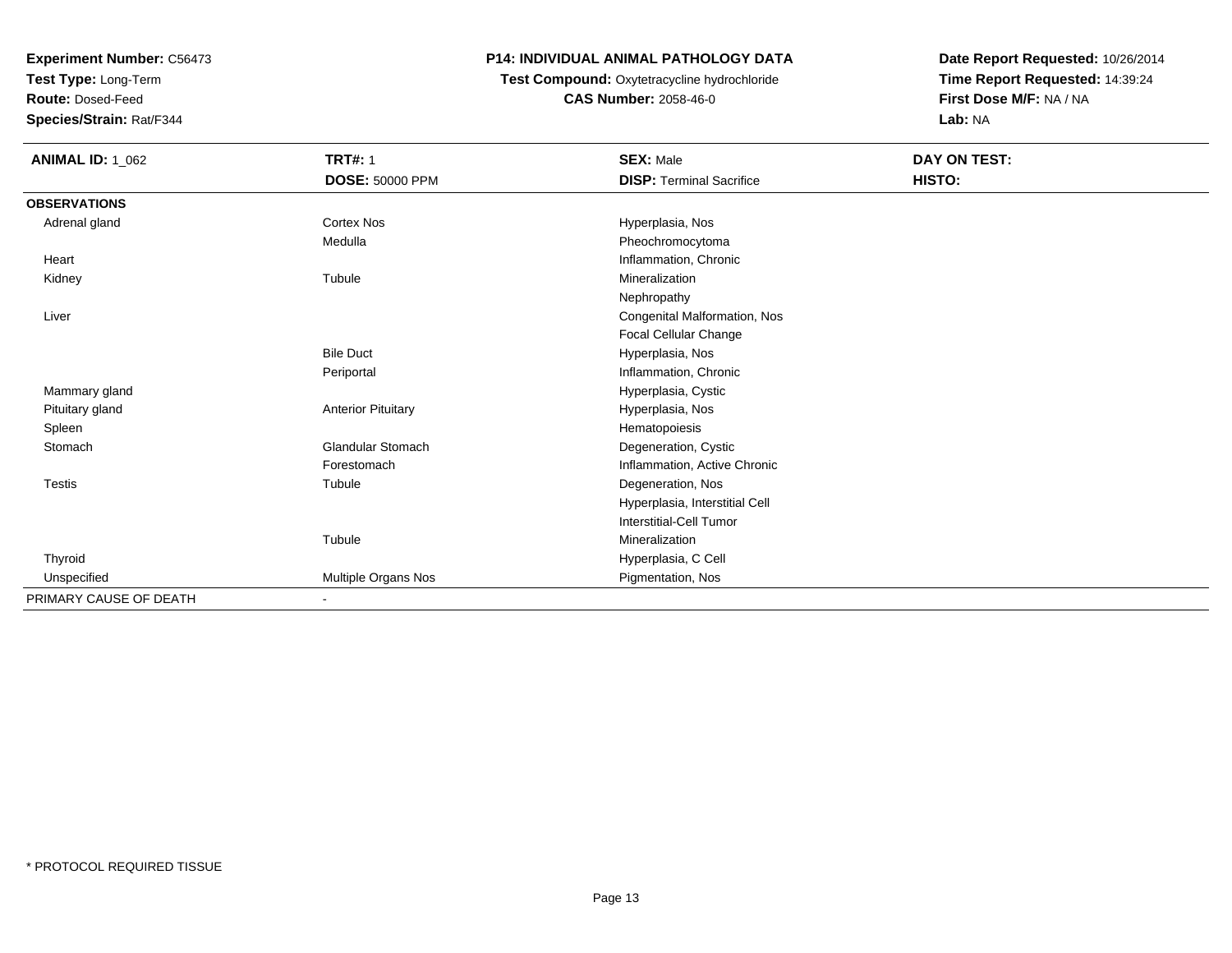**Test Type:** Long-Term

**Route:** Dosed-Feed

**Species/Strain:** Rat/F344

#### **P14: INDIVIDUAL ANIMAL PATHOLOGY DATA**

**Test Compound:** Oxytetracycline hydrochloride**CAS Number:** 2058-46-0

| <b>ANIMAL ID: 1_062</b> | <b>TRT#: 1</b>            | <b>SEX: Male</b>                | DAY ON TEST: |
|-------------------------|---------------------------|---------------------------------|--------------|
|                         | DOSE: 50000 PPM           | <b>DISP: Terminal Sacrifice</b> | HISTO:       |
| <b>OBSERVATIONS</b>     |                           |                                 |              |
| Adrenal gland           | Cortex Nos                | Hyperplasia, Nos                |              |
|                         | Medulla                   | Pheochromocytoma                |              |
| Heart                   |                           | Inflammation, Chronic           |              |
| Kidney                  | Tubule                    | Mineralization                  |              |
|                         |                           | Nephropathy                     |              |
| Liver                   |                           | Congenital Malformation, Nos    |              |
|                         |                           | Focal Cellular Change           |              |
|                         | <b>Bile Duct</b>          | Hyperplasia, Nos                |              |
|                         | Periportal                | Inflammation, Chronic           |              |
| Mammary gland           |                           | Hyperplasia, Cystic             |              |
| Pituitary gland         | <b>Anterior Pituitary</b> | Hyperplasia, Nos                |              |
| Spleen                  |                           | Hematopoiesis                   |              |
| Stomach                 | Glandular Stomach         | Degeneration, Cystic            |              |
|                         | Forestomach               | Inflammation, Active Chronic    |              |
| <b>Testis</b>           | Tubule                    | Degeneration, Nos               |              |
|                         |                           | Hyperplasia, Interstitial Cell  |              |
|                         |                           | Interstitial-Cell Tumor         |              |
|                         | Tubule                    | Mineralization                  |              |
| Thyroid                 |                           | Hyperplasia, C Cell             |              |
| Unspecified             | Multiple Organs Nos       | Pigmentation, Nos               |              |
| PRIMARY CAUSE OF DEATH  | $\blacksquare$            |                                 |              |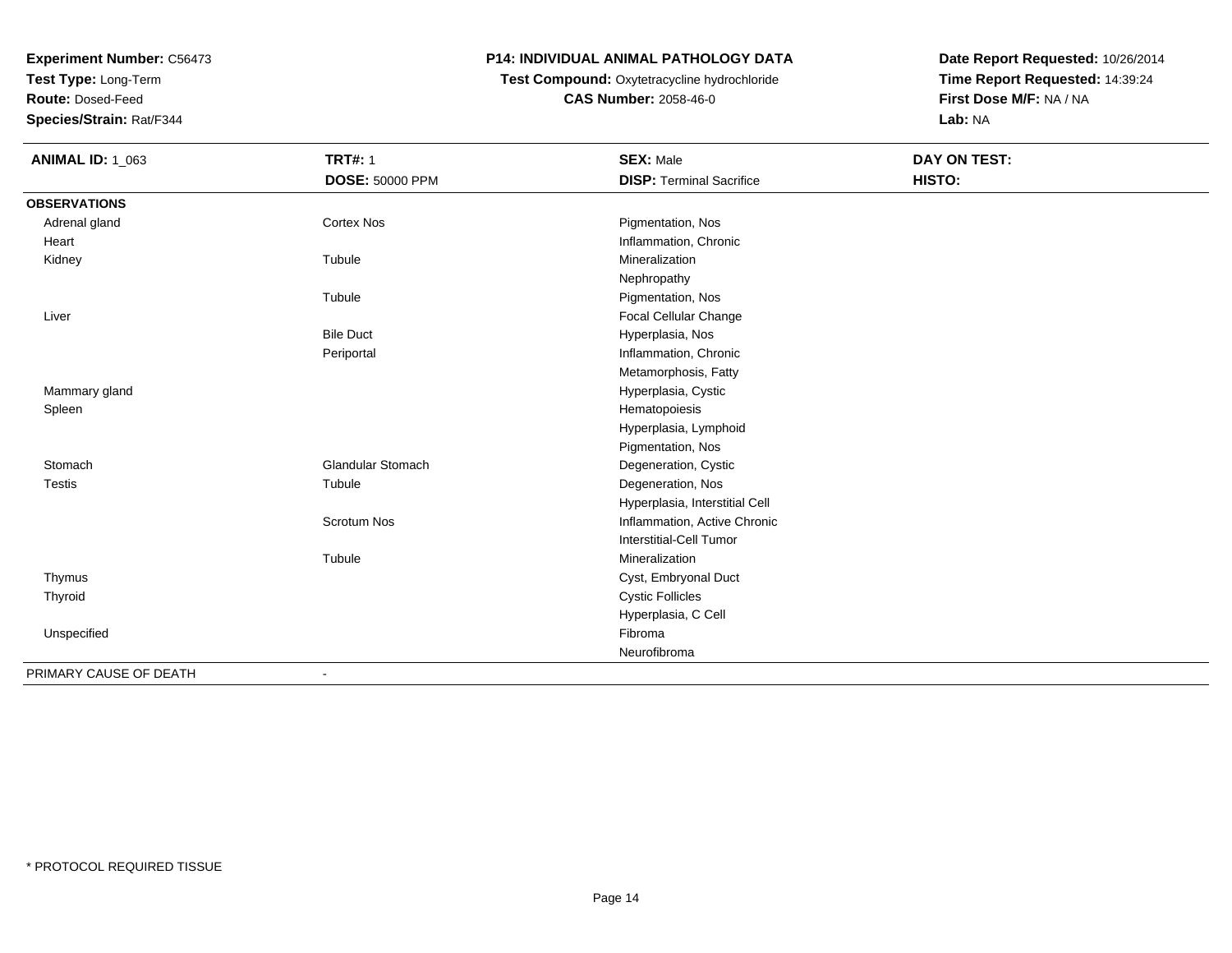**Test Type:** Long-Term

**Route:** Dosed-Feed

**Species/Strain:** Rat/F344

## **P14: INDIVIDUAL ANIMAL PATHOLOGY DATA**

## **Test Compound:** Oxytetracycline hydrochloride**CAS Number:** 2058-46-0

| <b>ANIMAL ID: 1_063</b> | <b>TRT#: 1</b>     | <b>SEX: Male</b>                | <b>DAY ON TEST:</b> |  |
|-------------------------|--------------------|---------------------------------|---------------------|--|
|                         | DOSE: 50000 PPM    | <b>DISP: Terminal Sacrifice</b> | HISTO:              |  |
| <b>OBSERVATIONS</b>     |                    |                                 |                     |  |
| Adrenal gland           | <b>Cortex Nos</b>  | Pigmentation, Nos               |                     |  |
| Heart                   |                    | Inflammation, Chronic           |                     |  |
| Kidney                  | Tubule             | Mineralization                  |                     |  |
|                         |                    | Nephropathy                     |                     |  |
|                         | Tubule             | Pigmentation, Nos               |                     |  |
| Liver                   |                    | Focal Cellular Change           |                     |  |
|                         | <b>Bile Duct</b>   | Hyperplasia, Nos                |                     |  |
|                         | Periportal         | Inflammation, Chronic           |                     |  |
|                         |                    | Metamorphosis, Fatty            |                     |  |
| Mammary gland           |                    | Hyperplasia, Cystic             |                     |  |
| Spleen                  |                    | Hematopoiesis                   |                     |  |
|                         |                    | Hyperplasia, Lymphoid           |                     |  |
|                         |                    | Pigmentation, Nos               |                     |  |
| Stomach                 | Glandular Stomach  | Degeneration, Cystic            |                     |  |
| <b>Testis</b>           | Tubule             | Degeneration, Nos               |                     |  |
|                         |                    | Hyperplasia, Interstitial Cell  |                     |  |
|                         | <b>Scrotum Nos</b> | Inflammation, Active Chronic    |                     |  |
|                         |                    | Interstitial-Cell Tumor         |                     |  |
|                         | Tubule             | Mineralization                  |                     |  |
| Thymus                  |                    | Cyst, Embryonal Duct            |                     |  |
| Thyroid                 |                    | <b>Cystic Follicles</b>         |                     |  |
|                         |                    | Hyperplasia, C Cell             |                     |  |
| Unspecified             |                    | Fibroma                         |                     |  |
|                         |                    | Neurofibroma                    |                     |  |
| PRIMARY CAUSE OF DEATH  |                    |                                 |                     |  |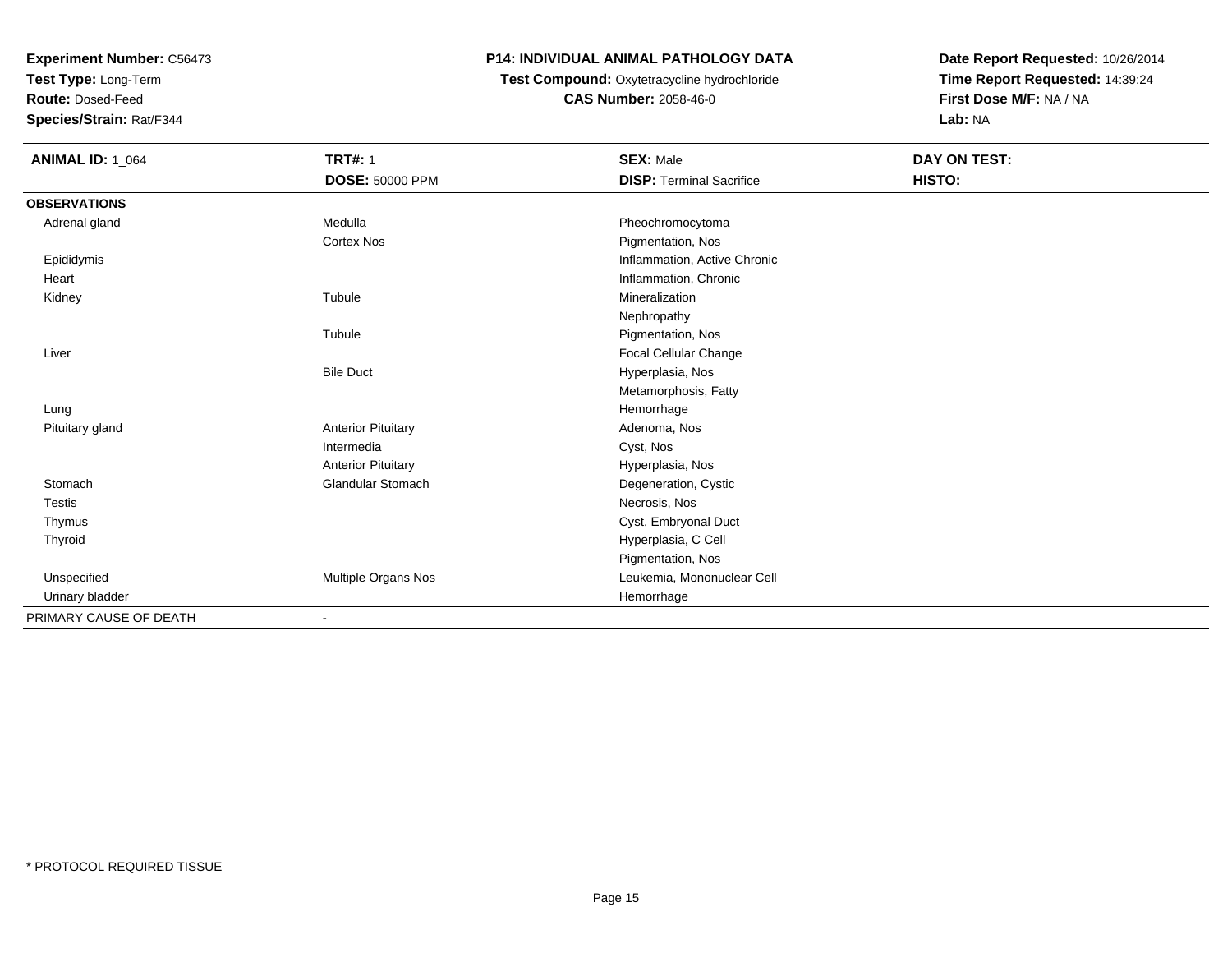**Test Type:** Long-Term

**Route:** Dosed-Feed

**Species/Strain:** Rat/F344

### **P14: INDIVIDUAL ANIMAL PATHOLOGY DATA**

 **Test Compound:** Oxytetracycline hydrochloride**CAS Number:** 2058-46-0

| <b>ANIMAL ID: 1_064</b> | <b>TRT#: 1</b>            | <b>SEX: Male</b>                | <b>DAY ON TEST:</b> |  |
|-------------------------|---------------------------|---------------------------------|---------------------|--|
|                         | DOSE: 50000 PPM           | <b>DISP: Terminal Sacrifice</b> | HISTO:              |  |
| <b>OBSERVATIONS</b>     |                           |                                 |                     |  |
| Adrenal gland           | Medulla                   | Pheochromocytoma                |                     |  |
|                         | <b>Cortex Nos</b>         | Pigmentation, Nos               |                     |  |
| Epididymis              |                           | Inflammation, Active Chronic    |                     |  |
| Heart                   |                           | Inflammation, Chronic           |                     |  |
| Kidney                  | Tubule                    | Mineralization                  |                     |  |
|                         |                           | Nephropathy                     |                     |  |
|                         | Tubule                    | Pigmentation, Nos               |                     |  |
| Liver                   |                           | Focal Cellular Change           |                     |  |
|                         | <b>Bile Duct</b>          | Hyperplasia, Nos                |                     |  |
|                         |                           | Metamorphosis, Fatty            |                     |  |
| Lung                    |                           | Hemorrhage                      |                     |  |
| Pituitary gland         | <b>Anterior Pituitary</b> | Adenoma, Nos                    |                     |  |
|                         | Intermedia                | Cyst, Nos                       |                     |  |
|                         | <b>Anterior Pituitary</b> | Hyperplasia, Nos                |                     |  |
| Stomach                 | <b>Glandular Stomach</b>  | Degeneration, Cystic            |                     |  |
| <b>Testis</b>           |                           | Necrosis, Nos                   |                     |  |
| Thymus                  |                           | Cyst, Embryonal Duct            |                     |  |
| Thyroid                 |                           | Hyperplasia, C Cell             |                     |  |
|                         |                           | Pigmentation, Nos               |                     |  |
| Unspecified             | Multiple Organs Nos       | Leukemia, Mononuclear Cell      |                     |  |
| Urinary bladder         |                           | Hemorrhage                      |                     |  |
| PRIMARY CAUSE OF DEATH  |                           |                                 |                     |  |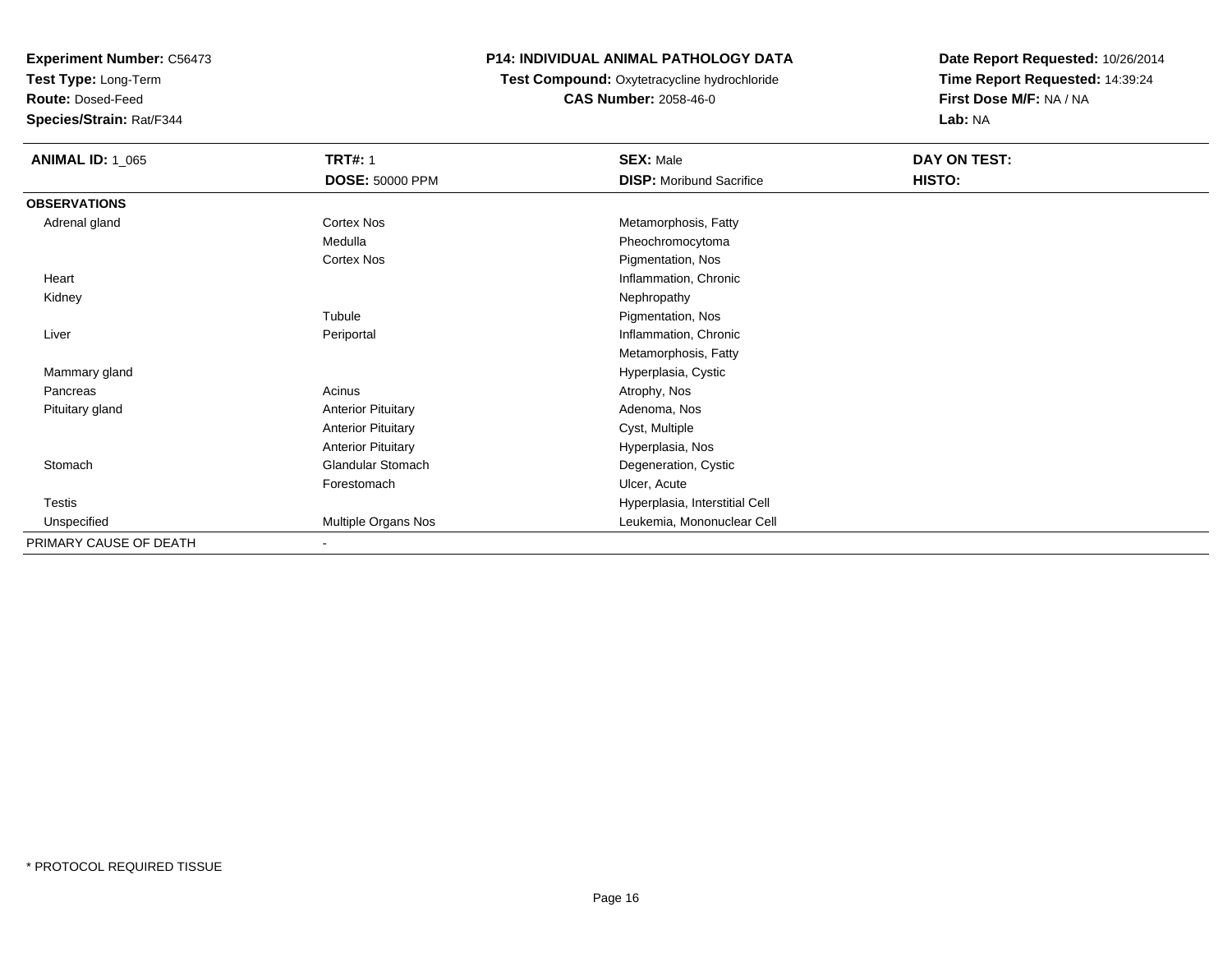**Test Type:** Long-Term

**Route:** Dosed-Feed

**Species/Strain:** Rat/F344

## **P14: INDIVIDUAL ANIMAL PATHOLOGY DATA**

 **Test Compound:** Oxytetracycline hydrochloride**CAS Number:** 2058-46-0

| <b>ANIMAL ID: 1_065</b> | <b>TRT#: 1</b>            | <b>SEX: Male</b>                | DAY ON TEST: |  |
|-------------------------|---------------------------|---------------------------------|--------------|--|
|                         | <b>DOSE: 50000 PPM</b>    | <b>DISP:</b> Moribund Sacrifice | HISTO:       |  |
| <b>OBSERVATIONS</b>     |                           |                                 |              |  |
| Adrenal gland           | Cortex Nos                | Metamorphosis, Fatty            |              |  |
|                         | Medulla                   | Pheochromocytoma                |              |  |
|                         | Cortex Nos                | Pigmentation, Nos               |              |  |
| Heart                   |                           | Inflammation, Chronic           |              |  |
| Kidney                  |                           | Nephropathy                     |              |  |
|                         | Tubule                    | Pigmentation, Nos               |              |  |
| Liver                   | Periportal                | Inflammation, Chronic           |              |  |
|                         |                           | Metamorphosis, Fatty            |              |  |
| Mammary gland           |                           | Hyperplasia, Cystic             |              |  |
| Pancreas                | Acinus                    | Atrophy, Nos                    |              |  |
| Pituitary gland         | <b>Anterior Pituitary</b> | Adenoma, Nos                    |              |  |
|                         | <b>Anterior Pituitary</b> | Cyst, Multiple                  |              |  |
|                         | <b>Anterior Pituitary</b> | Hyperplasia, Nos                |              |  |
| Stomach                 | Glandular Stomach         | Degeneration, Cystic            |              |  |
|                         | Forestomach               | Ulcer, Acute                    |              |  |
| <b>Testis</b>           |                           | Hyperplasia, Interstitial Cell  |              |  |
| Unspecified             | Multiple Organs Nos       | Leukemia, Mononuclear Cell      |              |  |
| PRIMARY CAUSE OF DEATH  |                           |                                 |              |  |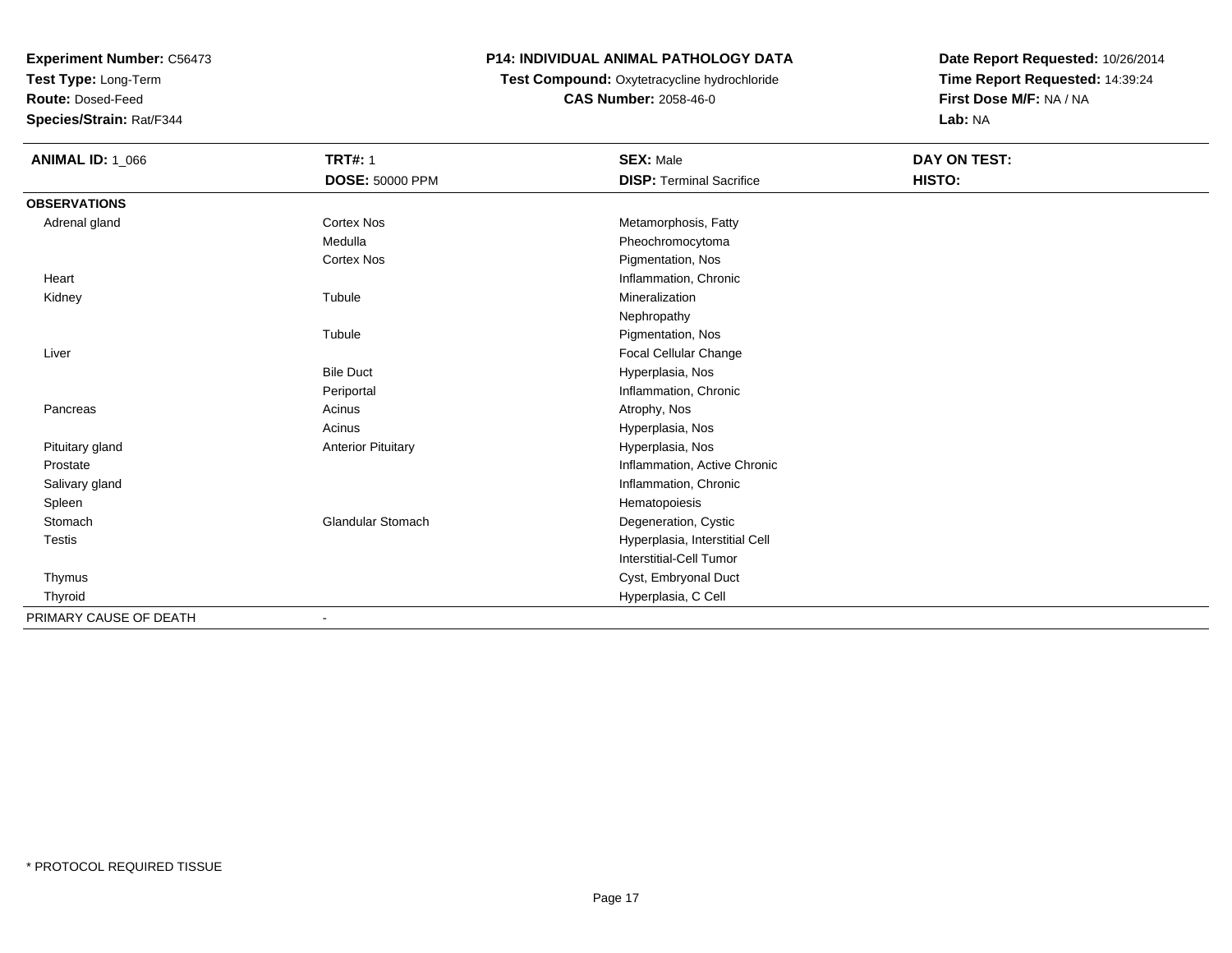**Test Type:** Long-Term

**Route:** Dosed-Feed

**Species/Strain:** Rat/F344

### **P14: INDIVIDUAL ANIMAL PATHOLOGY DATA**

### **Test Compound:** Oxytetracycline hydrochloride**CAS Number:** 2058-46-0

| <b>ANIMAL ID: 1_066</b> | <b>TRT#: 1</b>            | <b>SEX: Male</b>                | <b>DAY ON TEST:</b> |  |
|-------------------------|---------------------------|---------------------------------|---------------------|--|
|                         | <b>DOSE: 50000 PPM</b>    | <b>DISP: Terminal Sacrifice</b> | HISTO:              |  |
| <b>OBSERVATIONS</b>     |                           |                                 |                     |  |
| Adrenal gland           | <b>Cortex Nos</b>         | Metamorphosis, Fatty            |                     |  |
|                         | Medulla                   | Pheochromocytoma                |                     |  |
|                         | <b>Cortex Nos</b>         | Pigmentation, Nos               |                     |  |
| Heart                   |                           | Inflammation, Chronic           |                     |  |
| Kidney                  | Tubule                    | Mineralization                  |                     |  |
|                         |                           | Nephropathy                     |                     |  |
|                         | Tubule                    | Pigmentation, Nos               |                     |  |
| Liver                   |                           | Focal Cellular Change           |                     |  |
|                         | <b>Bile Duct</b>          | Hyperplasia, Nos                |                     |  |
|                         | Periportal                | Inflammation, Chronic           |                     |  |
| Pancreas                | Acinus                    | Atrophy, Nos                    |                     |  |
|                         | Acinus                    | Hyperplasia, Nos                |                     |  |
| Pituitary gland         | <b>Anterior Pituitary</b> | Hyperplasia, Nos                |                     |  |
| Prostate                |                           | Inflammation, Active Chronic    |                     |  |
| Salivary gland          |                           | Inflammation, Chronic           |                     |  |
| Spleen                  |                           | Hematopoiesis                   |                     |  |
| Stomach                 | <b>Glandular Stomach</b>  | Degeneration, Cystic            |                     |  |
| Testis                  |                           | Hyperplasia, Interstitial Cell  |                     |  |
|                         |                           | <b>Interstitial-Cell Tumor</b>  |                     |  |
| Thymus                  |                           | Cyst, Embryonal Duct            |                     |  |
| Thyroid                 |                           | Hyperplasia, C Cell             |                     |  |
| PRIMARY CAUSE OF DEATH  |                           |                                 |                     |  |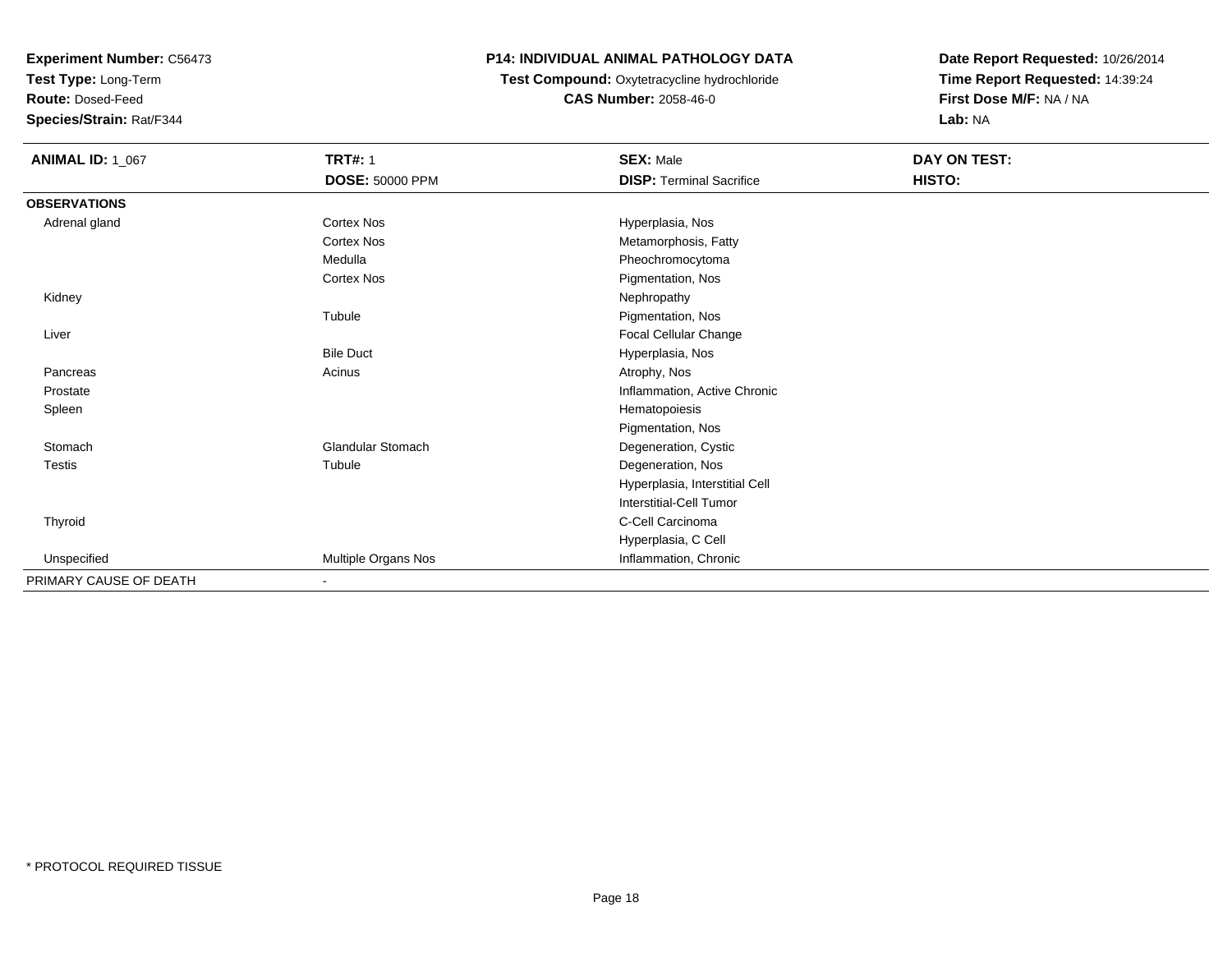**Test Type:** Long-Term

**Route:** Dosed-Feed

**Species/Strain:** Rat/F344

#### **P14: INDIVIDUAL ANIMAL PATHOLOGY DATA**

# **Test Compound:** Oxytetracycline hydrochloride**CAS Number:** 2058-46-0

| <b>ANIMAL ID: 1_067</b> | <b>TRT#: 1</b>           | <b>SEX: Male</b>                | DAY ON TEST: |  |
|-------------------------|--------------------------|---------------------------------|--------------|--|
|                         | DOSE: 50000 PPM          | <b>DISP: Terminal Sacrifice</b> | HISTO:       |  |
| <b>OBSERVATIONS</b>     |                          |                                 |              |  |
| Adrenal gland           | Cortex Nos               | Hyperplasia, Nos                |              |  |
|                         | <b>Cortex Nos</b>        | Metamorphosis, Fatty            |              |  |
|                         | Medulla                  | Pheochromocytoma                |              |  |
|                         | Cortex Nos               | Pigmentation, Nos               |              |  |
| Kidney                  |                          | Nephropathy                     |              |  |
|                         | Tubule                   | Pigmentation, Nos               |              |  |
| Liver                   |                          | Focal Cellular Change           |              |  |
|                         | <b>Bile Duct</b>         | Hyperplasia, Nos                |              |  |
| Pancreas                | Acinus                   | Atrophy, Nos                    |              |  |
| Prostate                |                          | Inflammation, Active Chronic    |              |  |
| Spleen                  |                          | Hematopoiesis                   |              |  |
|                         |                          | Pigmentation, Nos               |              |  |
| Stomach                 | <b>Glandular Stomach</b> | Degeneration, Cystic            |              |  |
| <b>Testis</b>           | Tubule                   | Degeneration, Nos               |              |  |
|                         |                          | Hyperplasia, Interstitial Cell  |              |  |
|                         |                          | Interstitial-Cell Tumor         |              |  |
| Thyroid                 |                          | C-Cell Carcinoma                |              |  |
|                         |                          | Hyperplasia, C Cell             |              |  |
| Unspecified             | Multiple Organs Nos      | Inflammation, Chronic           |              |  |
| PRIMARY CAUSE OF DEATH  | $\blacksquare$           |                                 |              |  |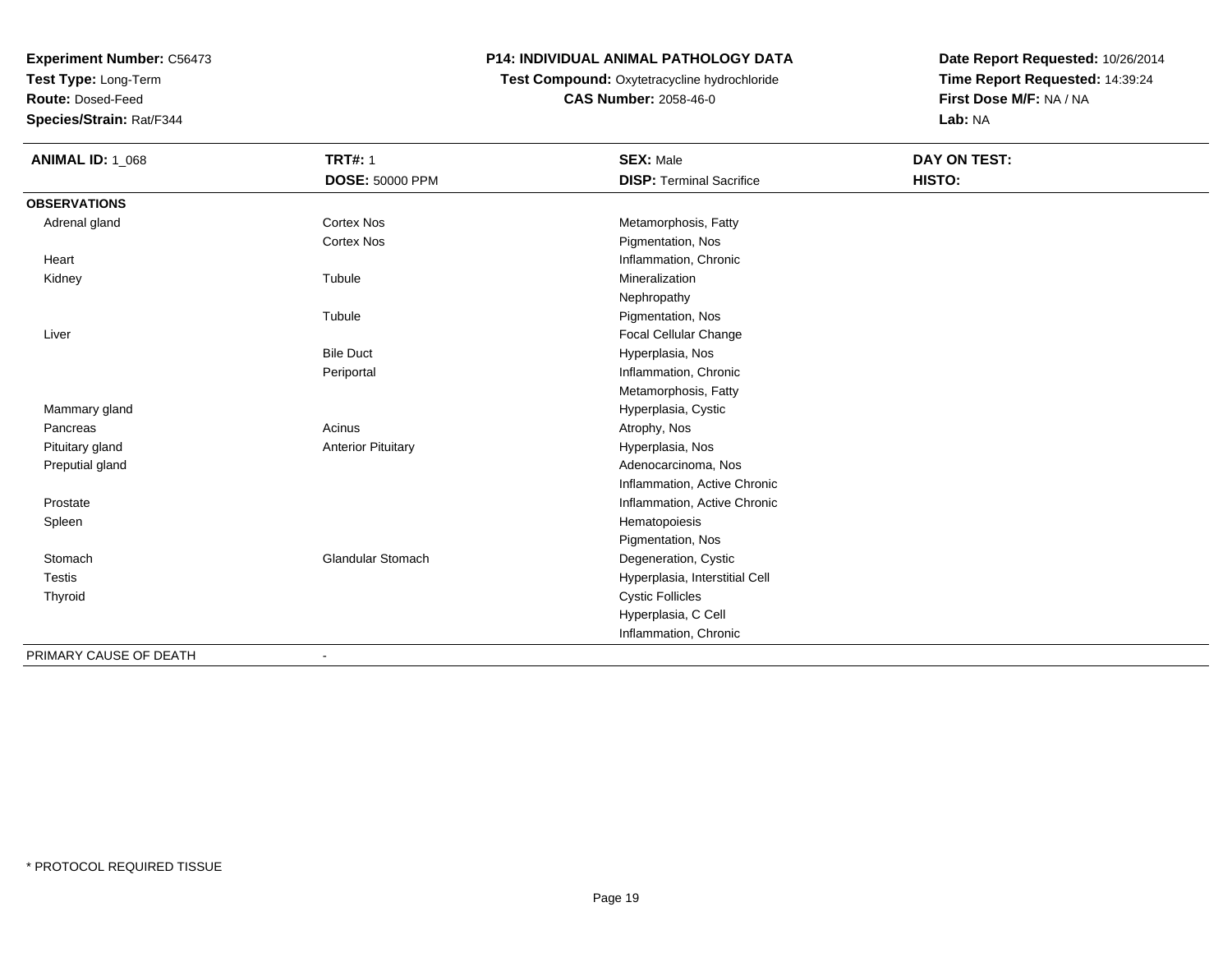**Test Type:** Long-Term

**Route:** Dosed-Feed

**Species/Strain:** Rat/F344

### **P14: INDIVIDUAL ANIMAL PATHOLOGY DATA**

# **Test Compound:** Oxytetracycline hydrochloride**CAS Number:** 2058-46-0

| <b>ANIMAL ID: 1_068</b> | <b>TRT#: 1</b>            | <b>SEX: Male</b>                | <b>DAY ON TEST:</b> |  |
|-------------------------|---------------------------|---------------------------------|---------------------|--|
|                         | <b>DOSE: 50000 PPM</b>    | <b>DISP: Terminal Sacrifice</b> | HISTO:              |  |
| <b>OBSERVATIONS</b>     |                           |                                 |                     |  |
| Adrenal gland           | <b>Cortex Nos</b>         | Metamorphosis, Fatty            |                     |  |
|                         | <b>Cortex Nos</b>         | Pigmentation, Nos               |                     |  |
| Heart                   |                           | Inflammation, Chronic           |                     |  |
| Kidney                  | Tubule                    | Mineralization                  |                     |  |
|                         |                           | Nephropathy                     |                     |  |
|                         | Tubule                    | Pigmentation, Nos               |                     |  |
| Liver                   |                           | Focal Cellular Change           |                     |  |
|                         | <b>Bile Duct</b>          | Hyperplasia, Nos                |                     |  |
|                         | Periportal                | Inflammation, Chronic           |                     |  |
|                         |                           | Metamorphosis, Fatty            |                     |  |
| Mammary gland           |                           | Hyperplasia, Cystic             |                     |  |
| Pancreas                | Acinus                    | Atrophy, Nos                    |                     |  |
| Pituitary gland         | <b>Anterior Pituitary</b> | Hyperplasia, Nos                |                     |  |
| Preputial gland         |                           | Adenocarcinoma, Nos             |                     |  |
|                         |                           | Inflammation, Active Chronic    |                     |  |
| Prostate                |                           | Inflammation, Active Chronic    |                     |  |
| Spleen                  |                           | Hematopoiesis                   |                     |  |
|                         |                           | Pigmentation, Nos               |                     |  |
| Stomach                 | <b>Glandular Stomach</b>  | Degeneration, Cystic            |                     |  |
| <b>Testis</b>           |                           | Hyperplasia, Interstitial Cell  |                     |  |
| Thyroid                 |                           | <b>Cystic Follicles</b>         |                     |  |
|                         |                           | Hyperplasia, C Cell             |                     |  |
|                         |                           | Inflammation, Chronic           |                     |  |
| PRIMARY CAUSE OF DEATH  |                           |                                 |                     |  |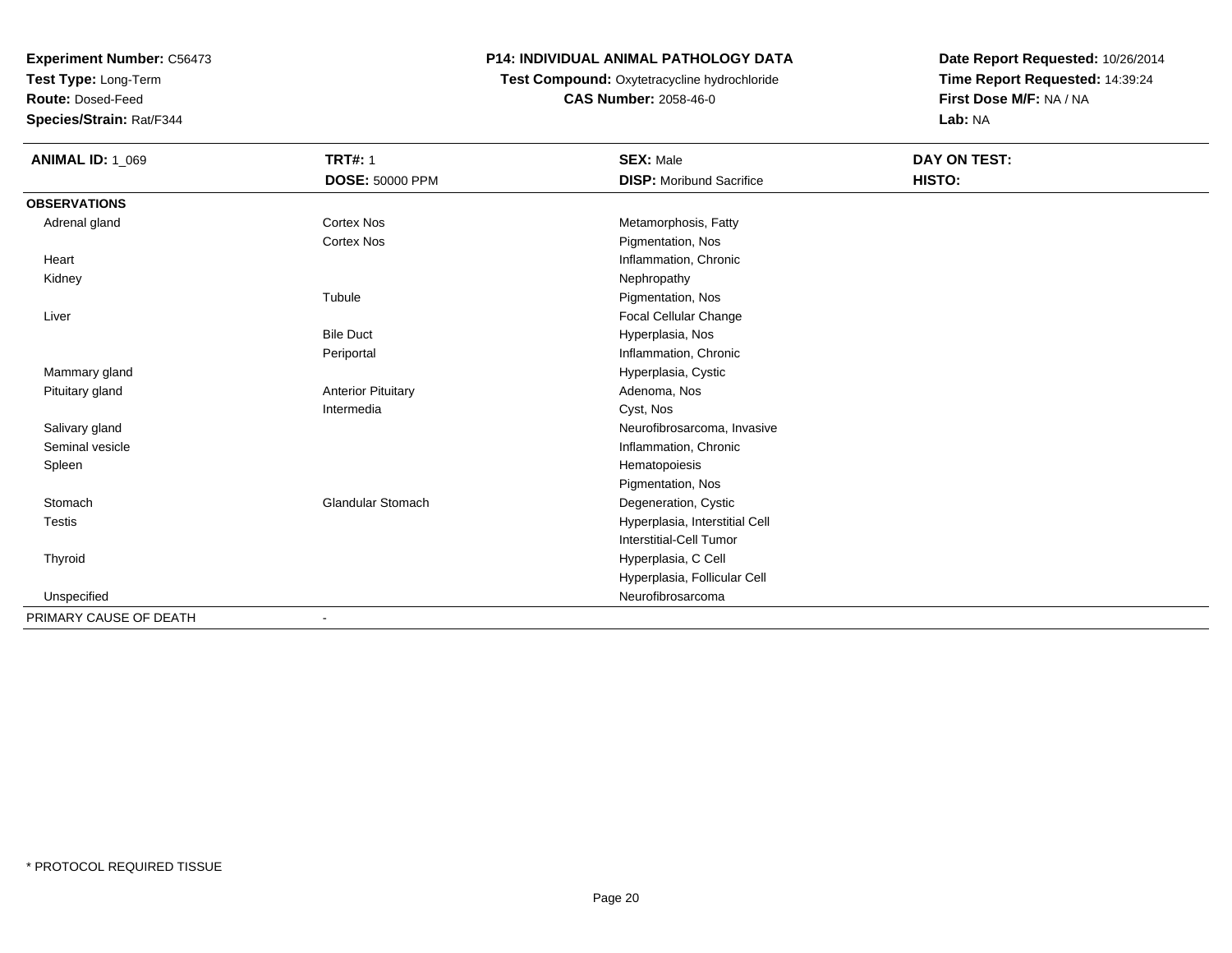**Test Type:** Long-Term

**Route:** Dosed-Feed

**Species/Strain:** Rat/F344

#### **P14: INDIVIDUAL ANIMAL PATHOLOGY DATA**

 **Test Compound:** Oxytetracycline hydrochloride**CAS Number:** 2058-46-0

| <b>ANIMAL ID: 1_069</b> | <b>TRT#: 1</b>            | <b>SEX: Male</b>                | DAY ON TEST: |
|-------------------------|---------------------------|---------------------------------|--------------|
|                         | DOSE: 50000 PPM           | <b>DISP:</b> Moribund Sacrifice | HISTO:       |
| <b>OBSERVATIONS</b>     |                           |                                 |              |
| Adrenal gland           | <b>Cortex Nos</b>         | Metamorphosis, Fatty            |              |
|                         | <b>Cortex Nos</b>         | Pigmentation, Nos               |              |
| Heart                   |                           | Inflammation, Chronic           |              |
| Kidney                  |                           | Nephropathy                     |              |
|                         | Tubule                    | Pigmentation, Nos               |              |
| Liver                   |                           | Focal Cellular Change           |              |
|                         | <b>Bile Duct</b>          | Hyperplasia, Nos                |              |
|                         | Periportal                | Inflammation, Chronic           |              |
| Mammary gland           |                           | Hyperplasia, Cystic             |              |
| Pituitary gland         | <b>Anterior Pituitary</b> | Adenoma, Nos                    |              |
|                         | Intermedia                | Cyst, Nos                       |              |
| Salivary gland          |                           | Neurofibrosarcoma, Invasive     |              |
| Seminal vesicle         |                           | Inflammation, Chronic           |              |
| Spleen                  |                           | Hematopoiesis                   |              |
|                         |                           | Pigmentation, Nos               |              |
| Stomach                 | <b>Glandular Stomach</b>  | Degeneration, Cystic            |              |
| Testis                  |                           | Hyperplasia, Interstitial Cell  |              |
|                         |                           | <b>Interstitial-Cell Tumor</b>  |              |
| Thyroid                 |                           | Hyperplasia, C Cell             |              |
|                         |                           | Hyperplasia, Follicular Cell    |              |
| Unspecified             |                           | Neurofibrosarcoma               |              |
| PRIMARY CAUSE OF DEATH  | $\blacksquare$            |                                 |              |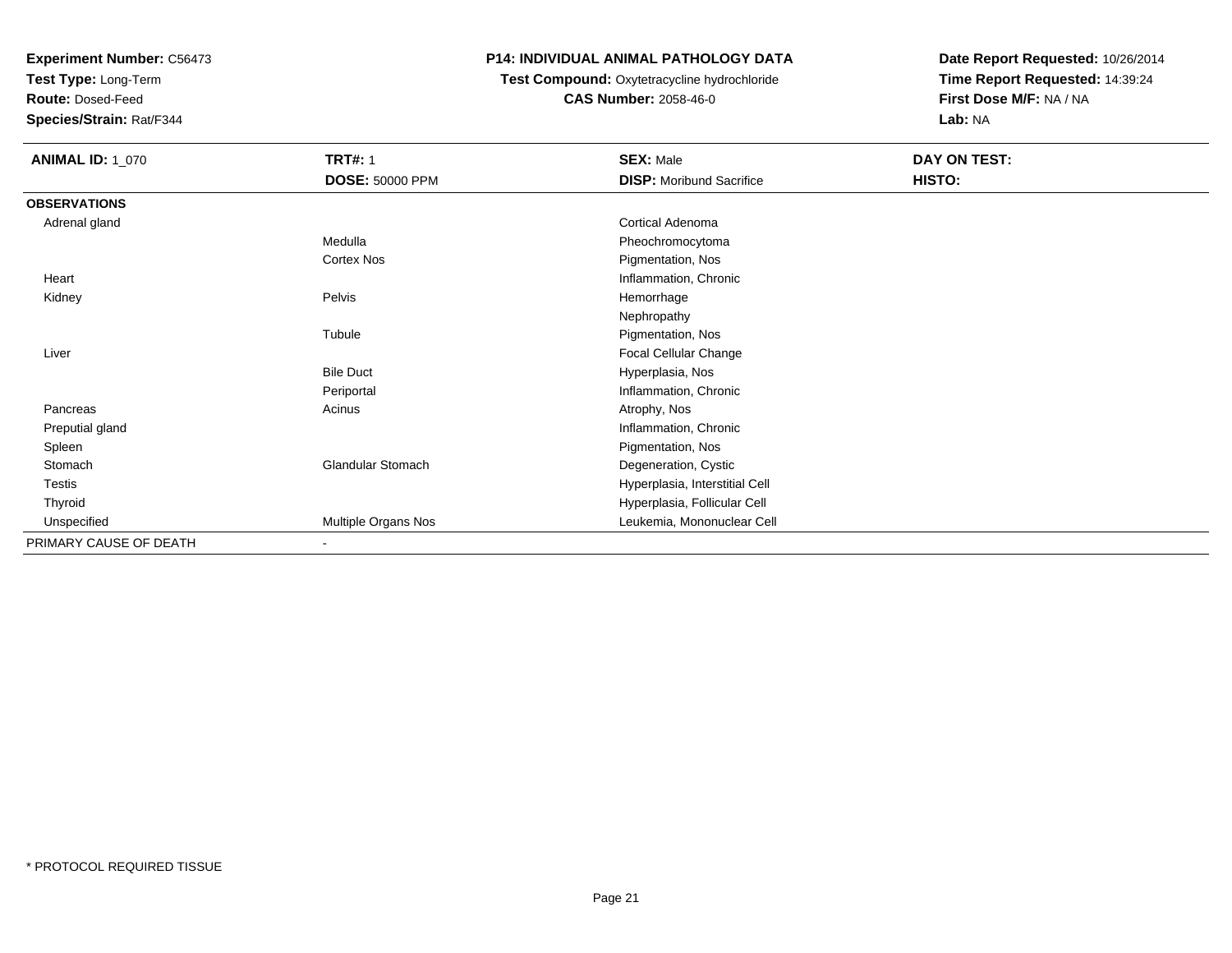**Test Type:** Long-Term

**Route:** Dosed-Feed

**Species/Strain:** Rat/F344

#### **P14: INDIVIDUAL ANIMAL PATHOLOGY DATA**

## **Test Compound:** Oxytetracycline hydrochloride**CAS Number:** 2058-46-0

| <b>ANIMAL ID: 1_070</b> | <b>TRT#: 1</b>           | <b>SEX: Male</b>                | DAY ON TEST: |
|-------------------------|--------------------------|---------------------------------|--------------|
|                         | DOSE: 50000 PPM          | <b>DISP:</b> Moribund Sacrifice | HISTO:       |
| <b>OBSERVATIONS</b>     |                          |                                 |              |
| Adrenal gland           |                          | Cortical Adenoma                |              |
|                         | Medulla                  | Pheochromocytoma                |              |
|                         | Cortex Nos               | Pigmentation, Nos               |              |
| Heart                   |                          | Inflammation, Chronic           |              |
| Kidney                  | Pelvis                   | Hemorrhage                      |              |
|                         |                          | Nephropathy                     |              |
|                         | Tubule                   | Pigmentation, Nos               |              |
| Liver                   |                          | Focal Cellular Change           |              |
|                         | <b>Bile Duct</b>         | Hyperplasia, Nos                |              |
|                         | Periportal               | Inflammation, Chronic           |              |
| Pancreas                | Acinus                   | Atrophy, Nos                    |              |
| Preputial gland         |                          | Inflammation, Chronic           |              |
| Spleen                  |                          | Pigmentation, Nos               |              |
| Stomach                 | <b>Glandular Stomach</b> | Degeneration, Cystic            |              |
| Testis                  |                          | Hyperplasia, Interstitial Cell  |              |
| Thyroid                 |                          | Hyperplasia, Follicular Cell    |              |
| Unspecified             | Multiple Organs Nos      | Leukemia, Mononuclear Cell      |              |
| PRIMARY CAUSE OF DEATH  | $\sim$                   |                                 |              |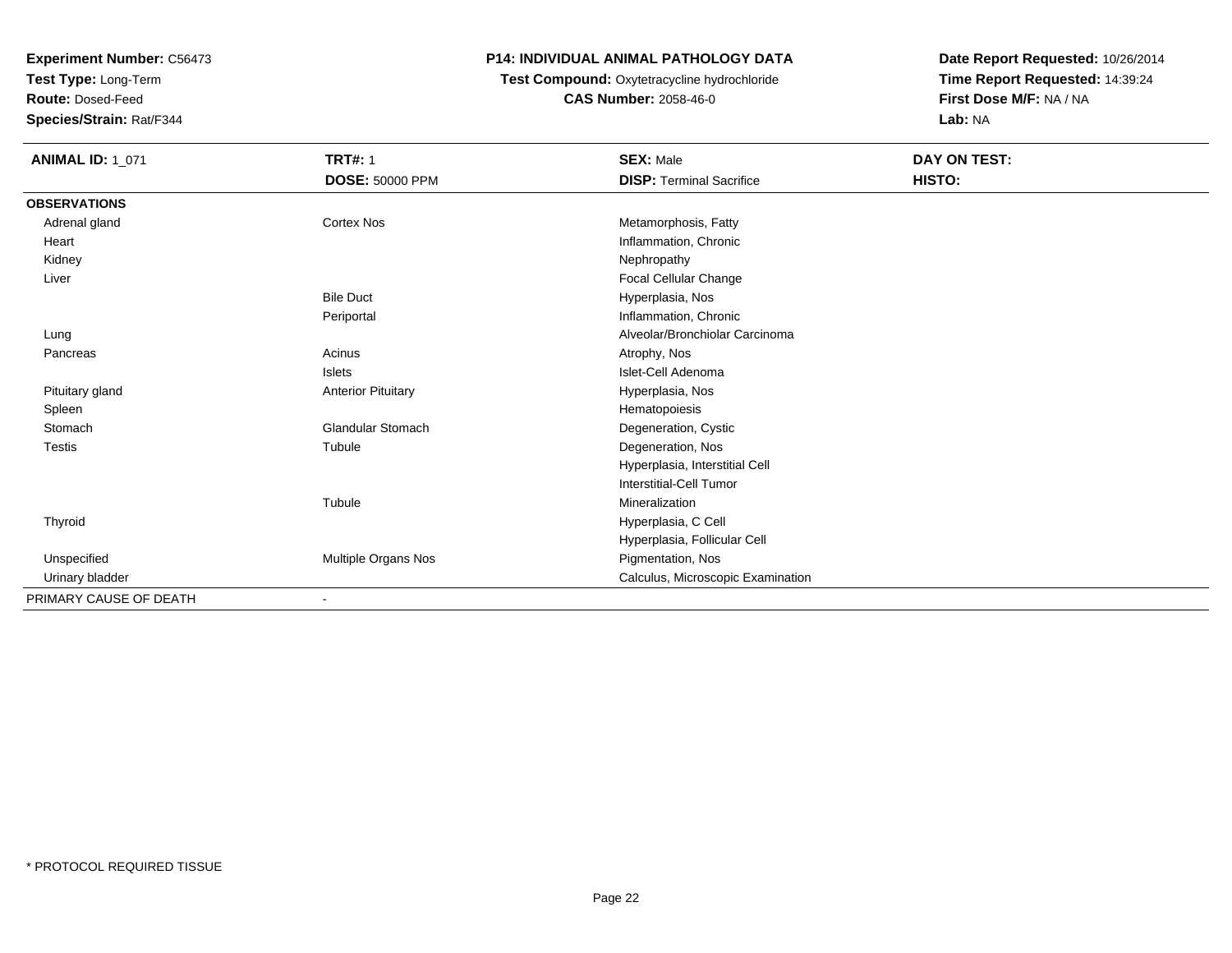**Test Type:** Long-Term

**Route:** Dosed-Feed

**Species/Strain:** Rat/F344

#### **P14: INDIVIDUAL ANIMAL PATHOLOGY DATA**

## **Test Compound:** Oxytetracycline hydrochloride**CAS Number:** 2058-46-0

| <b>ANIMAL ID: 1_071</b> | <b>TRT#: 1</b>            | <b>SEX: Male</b>                  | DAY ON TEST: |
|-------------------------|---------------------------|-----------------------------------|--------------|
|                         | <b>DOSE: 50000 PPM</b>    | <b>DISP: Terminal Sacrifice</b>   | HISTO:       |
| <b>OBSERVATIONS</b>     |                           |                                   |              |
| Adrenal gland           | <b>Cortex Nos</b>         | Metamorphosis, Fatty              |              |
| Heart                   |                           | Inflammation, Chronic             |              |
| Kidney                  |                           | Nephropathy                       |              |
| Liver                   |                           | Focal Cellular Change             |              |
|                         | <b>Bile Duct</b>          | Hyperplasia, Nos                  |              |
|                         | Periportal                | Inflammation, Chronic             |              |
| Lung                    |                           | Alveolar/Bronchiolar Carcinoma    |              |
| Pancreas                | Acinus                    | Atrophy, Nos                      |              |
|                         | <b>Islets</b>             | Islet-Cell Adenoma                |              |
| Pituitary gland         | <b>Anterior Pituitary</b> | Hyperplasia, Nos                  |              |
| Spleen                  |                           | Hematopoiesis                     |              |
| Stomach                 | <b>Glandular Stomach</b>  | Degeneration, Cystic              |              |
| <b>Testis</b>           | Tubule                    | Degeneration, Nos                 |              |
|                         |                           | Hyperplasia, Interstitial Cell    |              |
|                         |                           | Interstitial-Cell Tumor           |              |
|                         | Tubule                    | Mineralization                    |              |
| Thyroid                 |                           | Hyperplasia, C Cell               |              |
|                         |                           | Hyperplasia, Follicular Cell      |              |
| Unspecified             | Multiple Organs Nos       | Pigmentation, Nos                 |              |
| Urinary bladder         |                           | Calculus, Microscopic Examination |              |
| PRIMARY CAUSE OF DEATH  | $\overline{\phantom{a}}$  |                                   |              |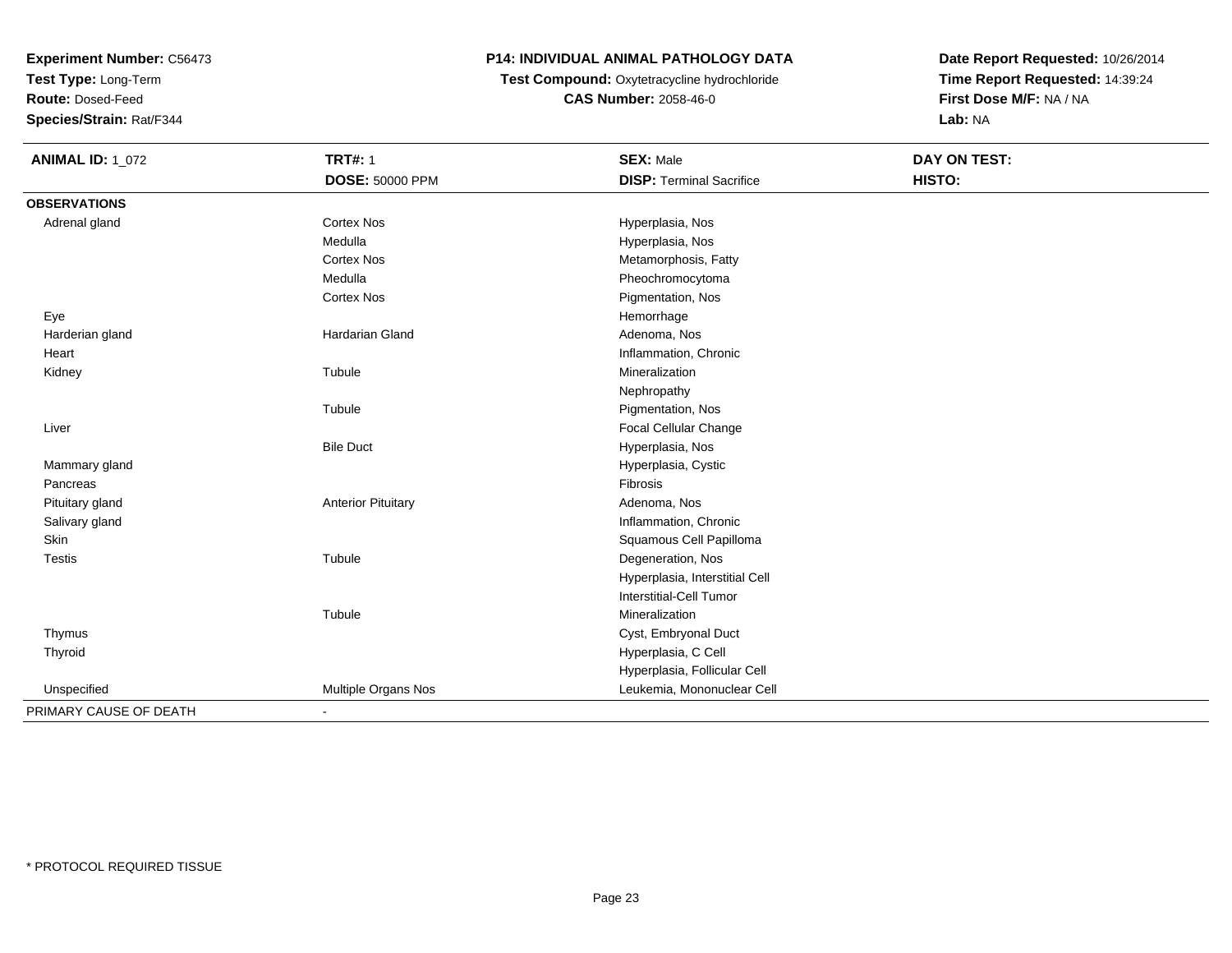**Test Type:** Long-Term

**Route:** Dosed-Feed

**Species/Strain:** Rat/F344

## **P14: INDIVIDUAL ANIMAL PATHOLOGY DATA**

**Test Compound:** Oxytetracycline hydrochloride**CAS Number:** 2058-46-0

| <b>ANIMAL ID: 1_072</b> | <b>TRT#: 1</b>            | <b>SEX: Male</b>                | <b>DAY ON TEST:</b> |
|-------------------------|---------------------------|---------------------------------|---------------------|
|                         | DOSE: 50000 PPM           | <b>DISP: Terminal Sacrifice</b> | HISTO:              |
| <b>OBSERVATIONS</b>     |                           |                                 |                     |
| Adrenal gland           | <b>Cortex Nos</b>         | Hyperplasia, Nos                |                     |
|                         | Medulla                   | Hyperplasia, Nos                |                     |
|                         | <b>Cortex Nos</b>         | Metamorphosis, Fatty            |                     |
|                         | Medulla                   | Pheochromocytoma                |                     |
|                         | <b>Cortex Nos</b>         | Pigmentation, Nos               |                     |
| Eye                     |                           | Hemorrhage                      |                     |
| Harderian gland         | Hardarian Gland           | Adenoma, Nos                    |                     |
| Heart                   |                           | Inflammation, Chronic           |                     |
| Kidney                  | Tubule                    | Mineralization                  |                     |
|                         |                           | Nephropathy                     |                     |
|                         | Tubule                    | Pigmentation, Nos               |                     |
| Liver                   |                           | Focal Cellular Change           |                     |
|                         | <b>Bile Duct</b>          | Hyperplasia, Nos                |                     |
| Mammary gland           |                           | Hyperplasia, Cystic             |                     |
| Pancreas                |                           | Fibrosis                        |                     |
| Pituitary gland         | <b>Anterior Pituitary</b> | Adenoma, Nos                    |                     |
| Salivary gland          |                           | Inflammation, Chronic           |                     |
| Skin                    |                           | Squamous Cell Papilloma         |                     |
| <b>Testis</b>           | Tubule                    | Degeneration, Nos               |                     |
|                         |                           | Hyperplasia, Interstitial Cell  |                     |
|                         |                           | Interstitial-Cell Tumor         |                     |
|                         | Tubule                    | Mineralization                  |                     |
| Thymus                  |                           | Cyst, Embryonal Duct            |                     |
| Thyroid                 |                           | Hyperplasia, C Cell             |                     |
|                         |                           | Hyperplasia, Follicular Cell    |                     |
| Unspecified             | Multiple Organs Nos       | Leukemia, Mononuclear Cell      |                     |
| PRIMARY CAUSE OF DEATH  | $\blacksquare$            |                                 |                     |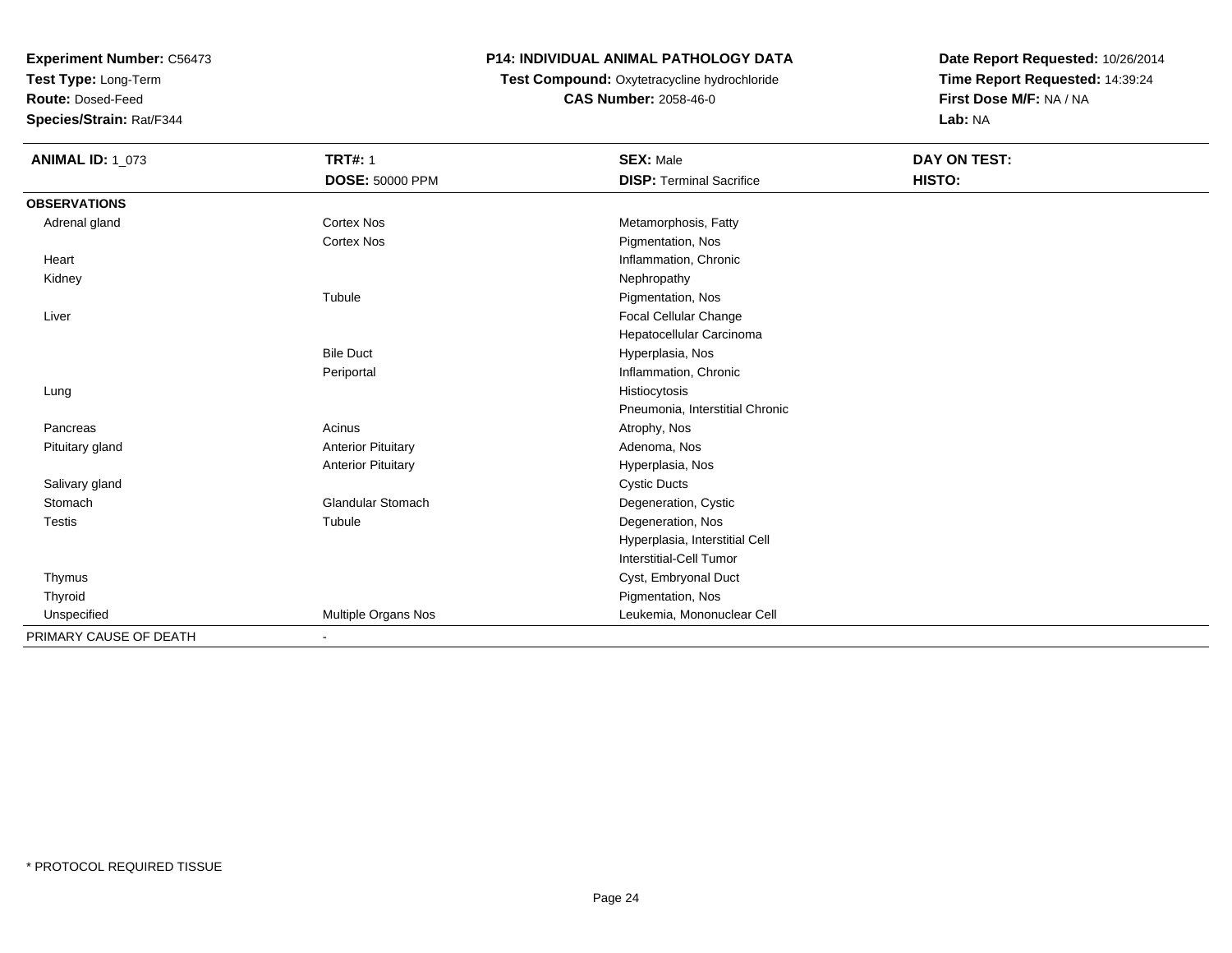**Test Type:** Long-Term

**Route:** Dosed-Feed

**Species/Strain:** Rat/F344

### **P14: INDIVIDUAL ANIMAL PATHOLOGY DATA**

**Test Compound:** Oxytetracycline hydrochloride**CAS Number:** 2058-46-0

| <b>ANIMAL ID: 1_073</b> | <b>TRT#: 1</b>            | <b>SEX: Male</b>                | DAY ON TEST: |  |
|-------------------------|---------------------------|---------------------------------|--------------|--|
|                         | <b>DOSE: 50000 PPM</b>    | <b>DISP: Terminal Sacrifice</b> | HISTO:       |  |
| <b>OBSERVATIONS</b>     |                           |                                 |              |  |
| Adrenal gland           | <b>Cortex Nos</b>         | Metamorphosis, Fatty            |              |  |
|                         | <b>Cortex Nos</b>         | Pigmentation, Nos               |              |  |
| Heart                   |                           | Inflammation, Chronic           |              |  |
| Kidney                  |                           | Nephropathy                     |              |  |
|                         | Tubule                    | Pigmentation, Nos               |              |  |
| Liver                   |                           | Focal Cellular Change           |              |  |
|                         |                           | Hepatocellular Carcinoma        |              |  |
|                         | <b>Bile Duct</b>          | Hyperplasia, Nos                |              |  |
|                         | Periportal                | Inflammation, Chronic           |              |  |
| Lung                    |                           | Histiocytosis                   |              |  |
|                         |                           | Pneumonia, Interstitial Chronic |              |  |
| Pancreas                | Acinus                    | Atrophy, Nos                    |              |  |
| Pituitary gland         | <b>Anterior Pituitary</b> | Adenoma, Nos                    |              |  |
|                         | <b>Anterior Pituitary</b> | Hyperplasia, Nos                |              |  |
| Salivary gland          |                           | <b>Cystic Ducts</b>             |              |  |
| Stomach                 | <b>Glandular Stomach</b>  | Degeneration, Cystic            |              |  |
| <b>Testis</b>           | Tubule                    | Degeneration, Nos               |              |  |
|                         |                           | Hyperplasia, Interstitial Cell  |              |  |
|                         |                           | <b>Interstitial-Cell Tumor</b>  |              |  |
| Thymus                  |                           | Cyst, Embryonal Duct            |              |  |
| Thyroid                 |                           | Pigmentation, Nos               |              |  |
| Unspecified             | Multiple Organs Nos       | Leukemia, Mononuclear Cell      |              |  |
| PRIMARY CAUSE OF DEATH  |                           |                                 |              |  |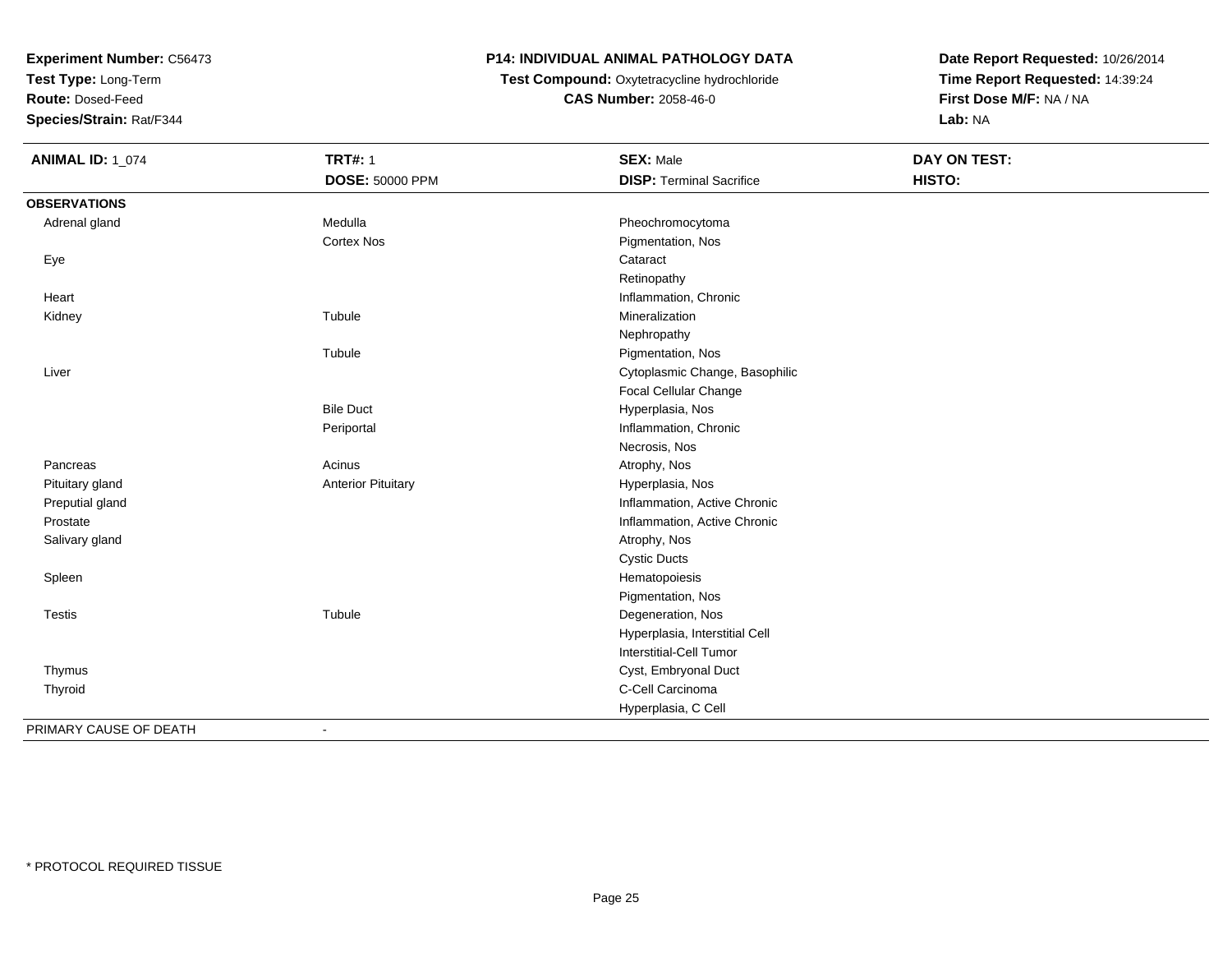**Test Type:** Long-Term

**Route:** Dosed-Feed

**Species/Strain:** Rat/F344

## **P14: INDIVIDUAL ANIMAL PATHOLOGY DATA**

**Test Compound:** Oxytetracycline hydrochloride**CAS Number:** 2058-46-0

| <b>ANIMAL ID: 1_074</b> | <b>TRT#: 1</b>            | <b>SEX: Male</b>                | <b>DAY ON TEST:</b> |  |
|-------------------------|---------------------------|---------------------------------|---------------------|--|
|                         | <b>DOSE: 50000 PPM</b>    | <b>DISP: Terminal Sacrifice</b> | HISTO:              |  |
| <b>OBSERVATIONS</b>     |                           |                                 |                     |  |
| Adrenal gland           | Medulla                   | Pheochromocytoma                |                     |  |
|                         | <b>Cortex Nos</b>         | Pigmentation, Nos               |                     |  |
| Eye                     |                           | Cataract                        |                     |  |
|                         |                           | Retinopathy                     |                     |  |
| Heart                   |                           | Inflammation, Chronic           |                     |  |
| Kidney                  | Tubule                    | Mineralization                  |                     |  |
|                         |                           | Nephropathy                     |                     |  |
|                         | Tubule                    | Pigmentation, Nos               |                     |  |
| Liver                   |                           | Cytoplasmic Change, Basophilic  |                     |  |
|                         |                           | Focal Cellular Change           |                     |  |
|                         | <b>Bile Duct</b>          | Hyperplasia, Nos                |                     |  |
|                         | Periportal                | Inflammation, Chronic           |                     |  |
|                         |                           | Necrosis, Nos                   |                     |  |
| Pancreas                | Acinus                    | Atrophy, Nos                    |                     |  |
| Pituitary gland         | <b>Anterior Pituitary</b> | Hyperplasia, Nos                |                     |  |
| Preputial gland         |                           | Inflammation, Active Chronic    |                     |  |
| Prostate                |                           | Inflammation, Active Chronic    |                     |  |
| Salivary gland          |                           | Atrophy, Nos                    |                     |  |
|                         |                           | <b>Cystic Ducts</b>             |                     |  |
| Spleen                  |                           | Hematopoiesis                   |                     |  |
|                         |                           | Pigmentation, Nos               |                     |  |
| <b>Testis</b>           | Tubule                    | Degeneration, Nos               |                     |  |
|                         |                           | Hyperplasia, Interstitial Cell  |                     |  |
|                         |                           | <b>Interstitial-Cell Tumor</b>  |                     |  |
| Thymus                  |                           | Cyst, Embryonal Duct            |                     |  |
| Thyroid                 |                           | C-Cell Carcinoma                |                     |  |
|                         |                           | Hyperplasia, C Cell             |                     |  |
| PRIMARY CAUSE OF DEATH  | $\blacksquare$            |                                 |                     |  |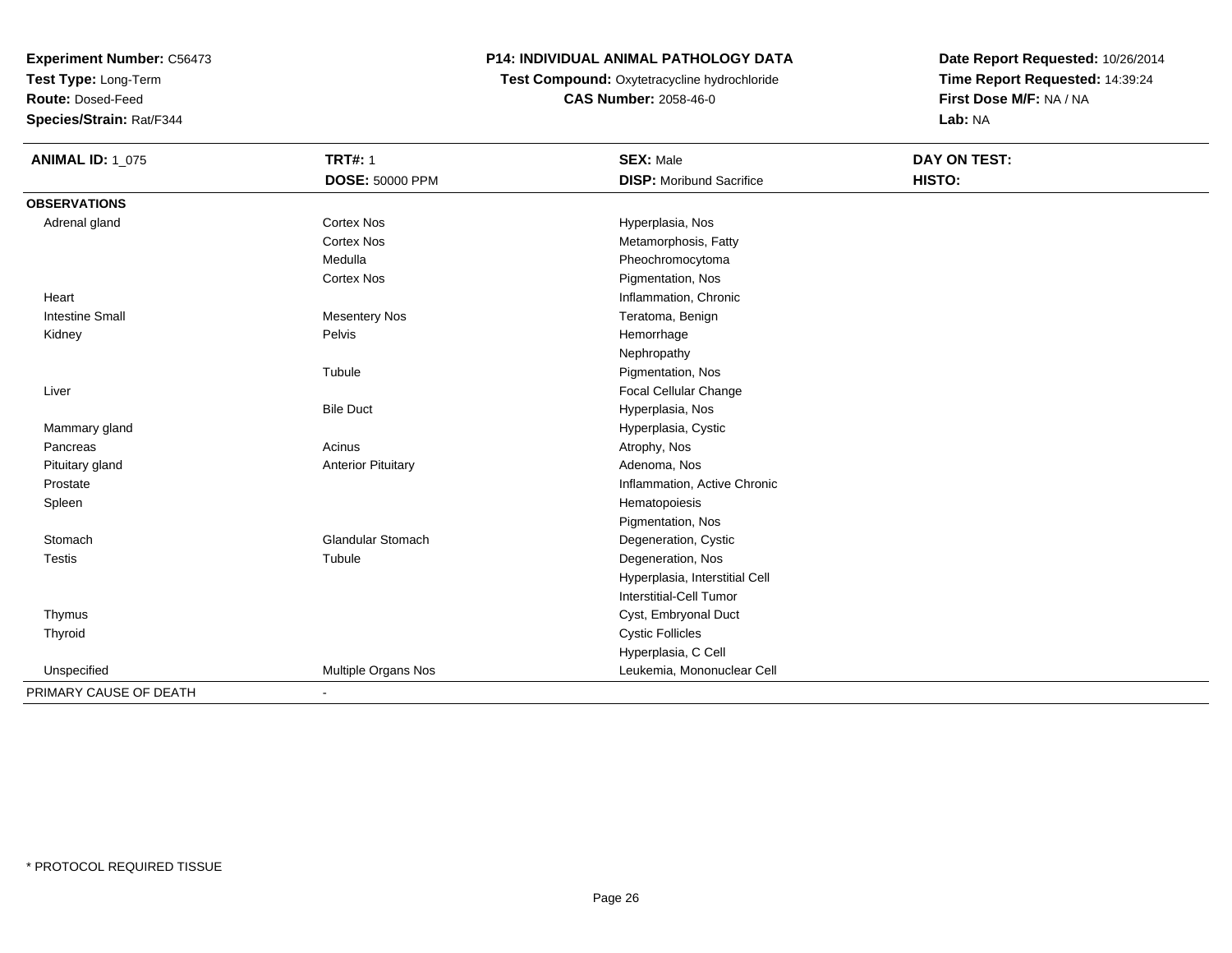**Test Type:** Long-Term

**Route:** Dosed-Feed

**Species/Strain:** Rat/F344

## **P14: INDIVIDUAL ANIMAL PATHOLOGY DATA**

 **Test Compound:** Oxytetracycline hydrochloride**CAS Number:** 2058-46-0

| <b>ANIMAL ID: 1_075</b> | <b>TRT#: 1</b>            | <b>SEX: Male</b>                | <b>DAY ON TEST:</b> |
|-------------------------|---------------------------|---------------------------------|---------------------|
|                         | <b>DOSE: 50000 PPM</b>    | <b>DISP:</b> Moribund Sacrifice | HISTO:              |
| <b>OBSERVATIONS</b>     |                           |                                 |                     |
| Adrenal gland           | <b>Cortex Nos</b>         | Hyperplasia, Nos                |                     |
|                         | <b>Cortex Nos</b>         | Metamorphosis, Fatty            |                     |
|                         | Medulla                   | Pheochromocytoma                |                     |
|                         | <b>Cortex Nos</b>         | Pigmentation, Nos               |                     |
| Heart                   |                           | Inflammation, Chronic           |                     |
| <b>Intestine Small</b>  | <b>Mesentery Nos</b>      | Teratoma, Benign                |                     |
| Kidney                  | Pelvis                    | Hemorrhage                      |                     |
|                         |                           | Nephropathy                     |                     |
|                         | Tubule                    | Pigmentation, Nos               |                     |
| Liver                   |                           | Focal Cellular Change           |                     |
|                         | <b>Bile Duct</b>          | Hyperplasia, Nos                |                     |
| Mammary gland           |                           | Hyperplasia, Cystic             |                     |
| Pancreas                | Acinus                    | Atrophy, Nos                    |                     |
| Pituitary gland         | <b>Anterior Pituitary</b> | Adenoma, Nos                    |                     |
| Prostate                |                           | Inflammation, Active Chronic    |                     |
| Spleen                  |                           | Hematopoiesis                   |                     |
|                         |                           | Pigmentation, Nos               |                     |
| Stomach                 | <b>Glandular Stomach</b>  | Degeneration, Cystic            |                     |
| <b>Testis</b>           | Tubule                    | Degeneration, Nos               |                     |
|                         |                           | Hyperplasia, Interstitial Cell  |                     |
|                         |                           | Interstitial-Cell Tumor         |                     |
| Thymus                  |                           | Cyst, Embryonal Duct            |                     |
| Thyroid                 |                           | <b>Cystic Follicles</b>         |                     |
|                         |                           | Hyperplasia, C Cell             |                     |
| Unspecified             | Multiple Organs Nos       | Leukemia, Mononuclear Cell      |                     |
| PRIMARY CAUSE OF DEATH  |                           |                                 |                     |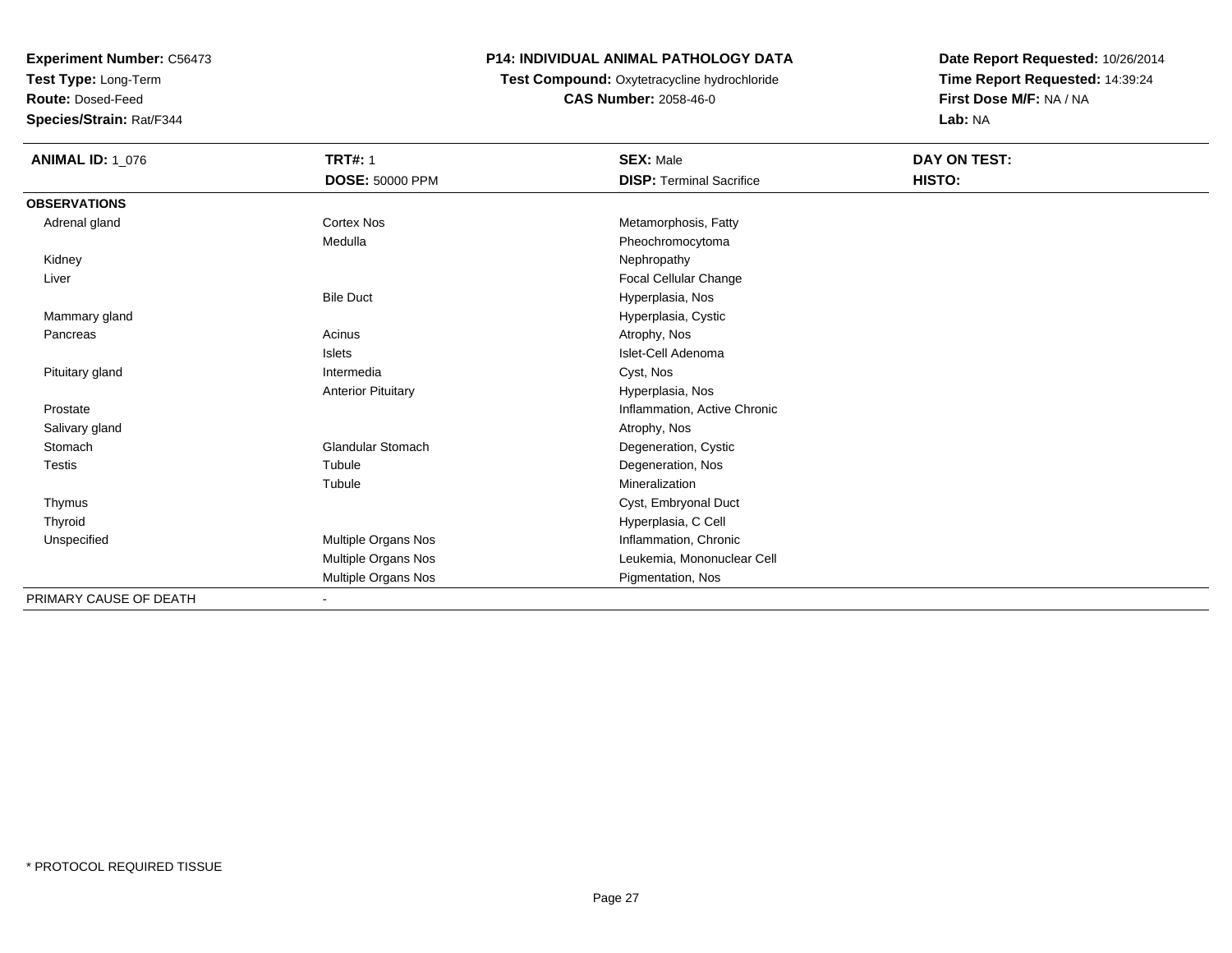**Test Type:** Long-Term

**Route:** Dosed-Feed

**Species/Strain:** Rat/F344

### **P14: INDIVIDUAL ANIMAL PATHOLOGY DATA**

**Test Compound:** Oxytetracycline hydrochloride**CAS Number:** 2058-46-0

| <b>ANIMAL ID: 1_076</b> | <b>TRT#: 1</b><br><b>DOSE: 50000 PPM</b> | <b>SEX: Male</b><br><b>DISP: Terminal Sacrifice</b> | DAY ON TEST:<br>HISTO: |
|-------------------------|------------------------------------------|-----------------------------------------------------|------------------------|
| <b>OBSERVATIONS</b>     |                                          |                                                     |                        |
| Adrenal gland           | <b>Cortex Nos</b>                        | Metamorphosis, Fatty                                |                        |
|                         | Medulla                                  | Pheochromocytoma                                    |                        |
| Kidney                  |                                          | Nephropathy                                         |                        |
| Liver                   |                                          | Focal Cellular Change                               |                        |
|                         | <b>Bile Duct</b>                         | Hyperplasia, Nos                                    |                        |
| Mammary gland           |                                          | Hyperplasia, Cystic                                 |                        |
| Pancreas                | Acinus                                   | Atrophy, Nos                                        |                        |
|                         | <b>Islets</b>                            | Islet-Cell Adenoma                                  |                        |
| Pituitary gland         | Intermedia                               | Cyst, Nos                                           |                        |
|                         | <b>Anterior Pituitary</b>                | Hyperplasia, Nos                                    |                        |
| Prostate                |                                          | Inflammation, Active Chronic                        |                        |
| Salivary gland          |                                          | Atrophy, Nos                                        |                        |
| Stomach                 | <b>Glandular Stomach</b>                 | Degeneration, Cystic                                |                        |
| <b>Testis</b>           | Tubule                                   | Degeneration, Nos                                   |                        |
|                         | Tubule                                   | Mineralization                                      |                        |
| Thymus                  |                                          | Cyst, Embryonal Duct                                |                        |
| Thyroid                 |                                          | Hyperplasia, C Cell                                 |                        |
| Unspecified             | Multiple Organs Nos                      | Inflammation, Chronic                               |                        |
|                         | Multiple Organs Nos                      | Leukemia, Mononuclear Cell                          |                        |
|                         | Multiple Organs Nos                      | Pigmentation, Nos                                   |                        |
| PRIMARY CAUSE OF DEATH  | $\blacksquare$                           |                                                     |                        |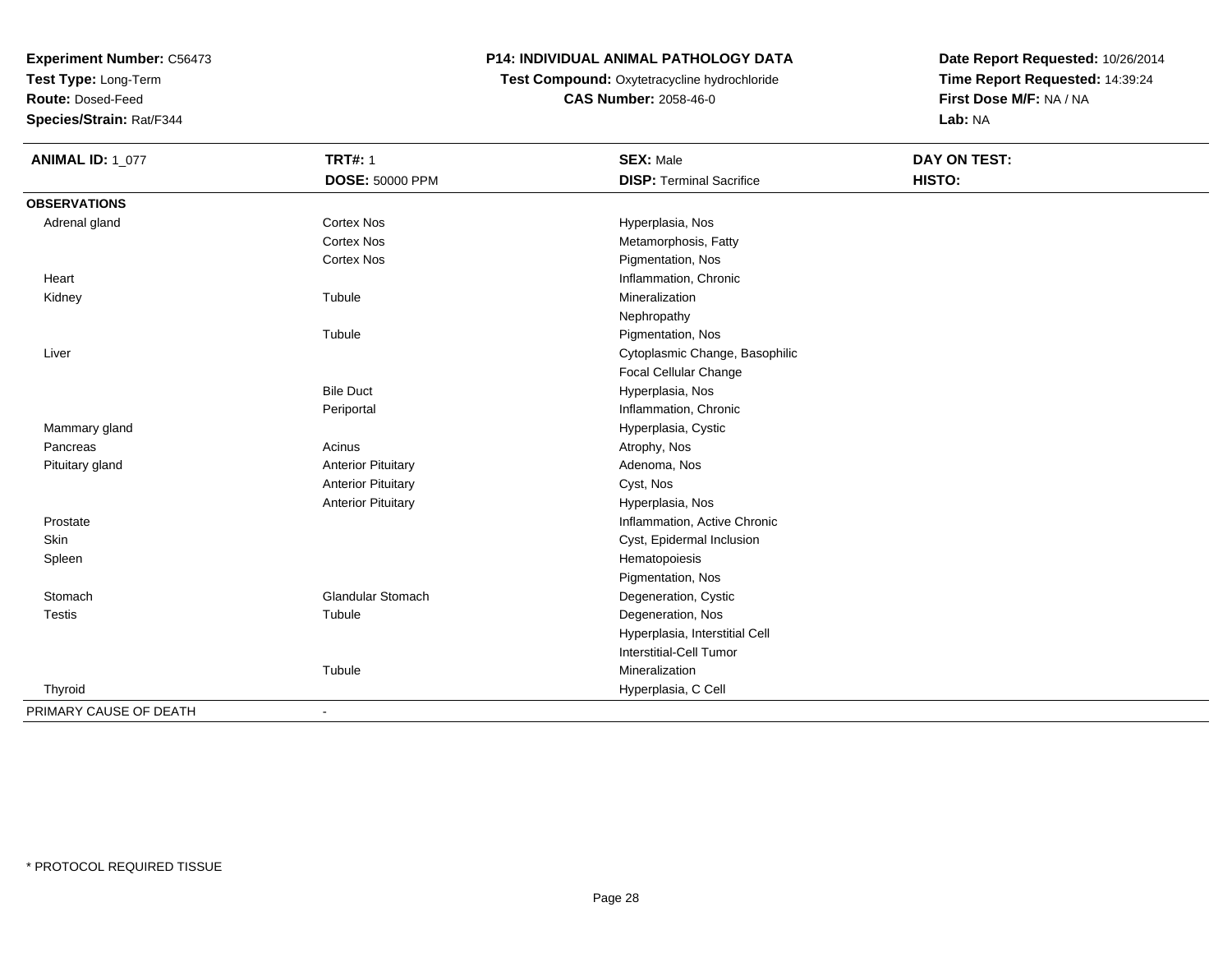**Test Type:** Long-Term

**Route:** Dosed-Feed

**Species/Strain:** Rat/F344

#### **P14: INDIVIDUAL ANIMAL PATHOLOGY DATA**

**Test Compound:** Oxytetracycline hydrochloride**CAS Number:** 2058-46-0

| <b>ANIMAL ID: 1_077</b> | <b>TRT#: 1</b>            | <b>SEX: Male</b>                | DAY ON TEST: |  |
|-------------------------|---------------------------|---------------------------------|--------------|--|
|                         | <b>DOSE: 50000 PPM</b>    | <b>DISP: Terminal Sacrifice</b> | HISTO:       |  |
| <b>OBSERVATIONS</b>     |                           |                                 |              |  |
| Adrenal gland           | Cortex Nos                | Hyperplasia, Nos                |              |  |
|                         | <b>Cortex Nos</b>         | Metamorphosis, Fatty            |              |  |
|                         | Cortex Nos                | Pigmentation, Nos               |              |  |
| Heart                   |                           | Inflammation, Chronic           |              |  |
| Kidney                  | Tubule                    | Mineralization                  |              |  |
|                         |                           | Nephropathy                     |              |  |
|                         | Tubule                    | Pigmentation, Nos               |              |  |
| Liver                   |                           | Cytoplasmic Change, Basophilic  |              |  |
|                         |                           | Focal Cellular Change           |              |  |
|                         | <b>Bile Duct</b>          | Hyperplasia, Nos                |              |  |
|                         | Periportal                | Inflammation, Chronic           |              |  |
| Mammary gland           |                           | Hyperplasia, Cystic             |              |  |
| Pancreas                | Acinus                    | Atrophy, Nos                    |              |  |
| Pituitary gland         | <b>Anterior Pituitary</b> | Adenoma, Nos                    |              |  |
|                         | <b>Anterior Pituitary</b> | Cyst, Nos                       |              |  |
|                         | <b>Anterior Pituitary</b> | Hyperplasia, Nos                |              |  |
| Prostate                |                           | Inflammation, Active Chronic    |              |  |
| Skin                    |                           | Cyst, Epidermal Inclusion       |              |  |
| Spleen                  |                           | Hematopoiesis                   |              |  |
|                         |                           | Pigmentation, Nos               |              |  |
| Stomach                 | <b>Glandular Stomach</b>  | Degeneration, Cystic            |              |  |
| <b>Testis</b>           | Tubule                    | Degeneration, Nos               |              |  |
|                         |                           | Hyperplasia, Interstitial Cell  |              |  |
|                         |                           | Interstitial-Cell Tumor         |              |  |
|                         | Tubule                    | Mineralization                  |              |  |
| Thyroid                 |                           | Hyperplasia, C Cell             |              |  |
| PRIMARY CAUSE OF DEATH  | $\overline{\phantom{a}}$  |                                 |              |  |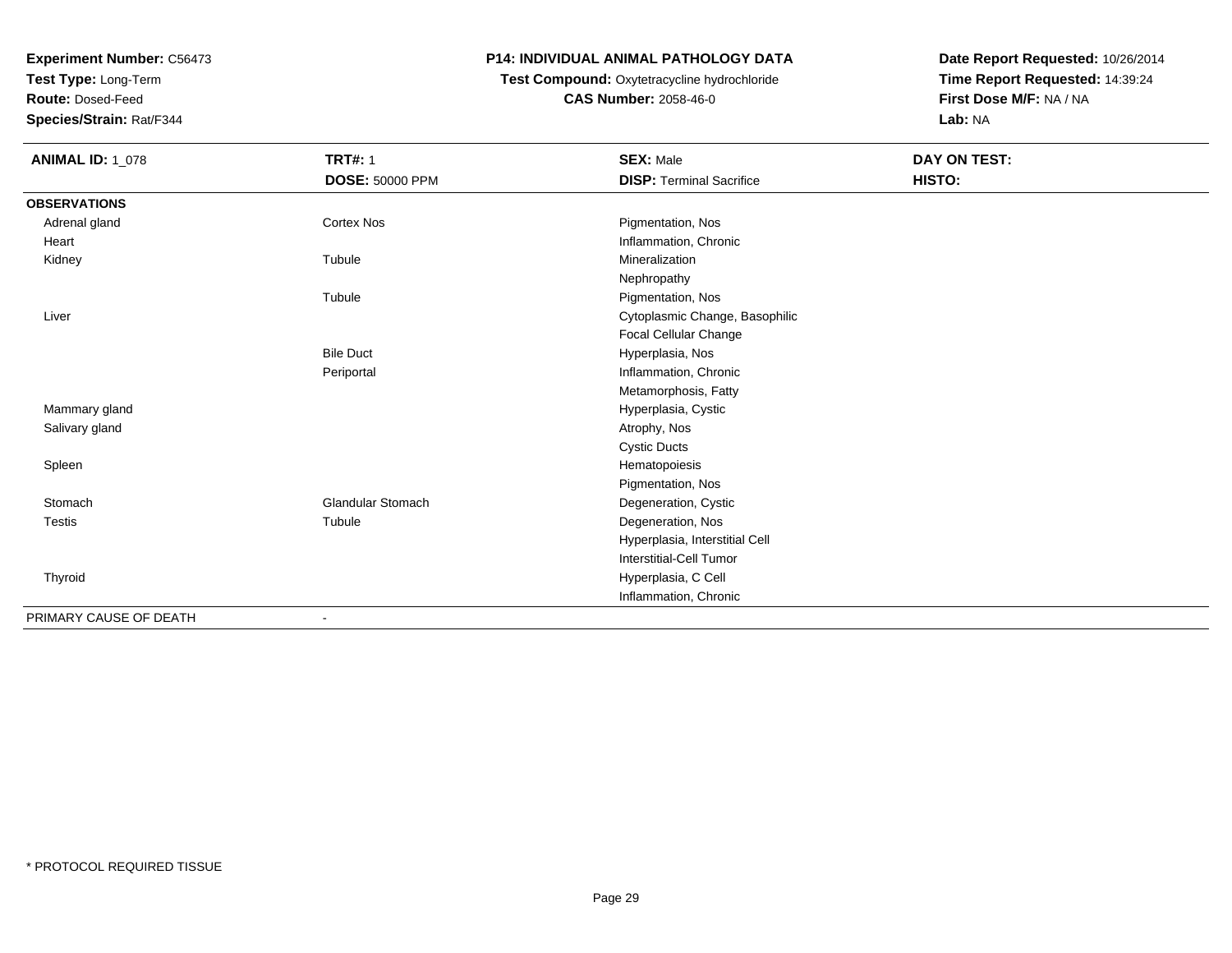**Test Type:** Long-Term

**Route:** Dosed-Feed

**Species/Strain:** Rat/F344

#### **P14: INDIVIDUAL ANIMAL PATHOLOGY DATA**

## **Test Compound:** Oxytetracycline hydrochloride**CAS Number:** 2058-46-0

| <b>ANIMAL ID: 1_078</b> | <b>TRT#: 1</b>           | <b>SEX: Male</b>                | DAY ON TEST: |  |
|-------------------------|--------------------------|---------------------------------|--------------|--|
|                         | DOSE: 50000 PPM          | <b>DISP: Terminal Sacrifice</b> | HISTO:       |  |
| <b>OBSERVATIONS</b>     |                          |                                 |              |  |
| Adrenal gland           | Cortex Nos               | Pigmentation, Nos               |              |  |
| Heart                   |                          | Inflammation, Chronic           |              |  |
| Kidney                  | Tubule                   | Mineralization                  |              |  |
|                         |                          | Nephropathy                     |              |  |
|                         | Tubule                   | Pigmentation, Nos               |              |  |
| Liver                   |                          | Cytoplasmic Change, Basophilic  |              |  |
|                         |                          | Focal Cellular Change           |              |  |
|                         | <b>Bile Duct</b>         | Hyperplasia, Nos                |              |  |
|                         | Periportal               | Inflammation, Chronic           |              |  |
|                         |                          | Metamorphosis, Fatty            |              |  |
| Mammary gland           |                          | Hyperplasia, Cystic             |              |  |
| Salivary gland          |                          | Atrophy, Nos                    |              |  |
|                         |                          | <b>Cystic Ducts</b>             |              |  |
| Spleen                  |                          | Hematopoiesis                   |              |  |
|                         |                          | Pigmentation, Nos               |              |  |
| Stomach                 | <b>Glandular Stomach</b> | Degeneration, Cystic            |              |  |
| <b>Testis</b>           | Tubule                   | Degeneration, Nos               |              |  |
|                         |                          | Hyperplasia, Interstitial Cell  |              |  |
|                         |                          | Interstitial-Cell Tumor         |              |  |
| Thyroid                 |                          | Hyperplasia, C Cell             |              |  |
|                         |                          | Inflammation, Chronic           |              |  |
| PRIMARY CAUSE OF DEATH  | $\overline{\phantom{a}}$ |                                 |              |  |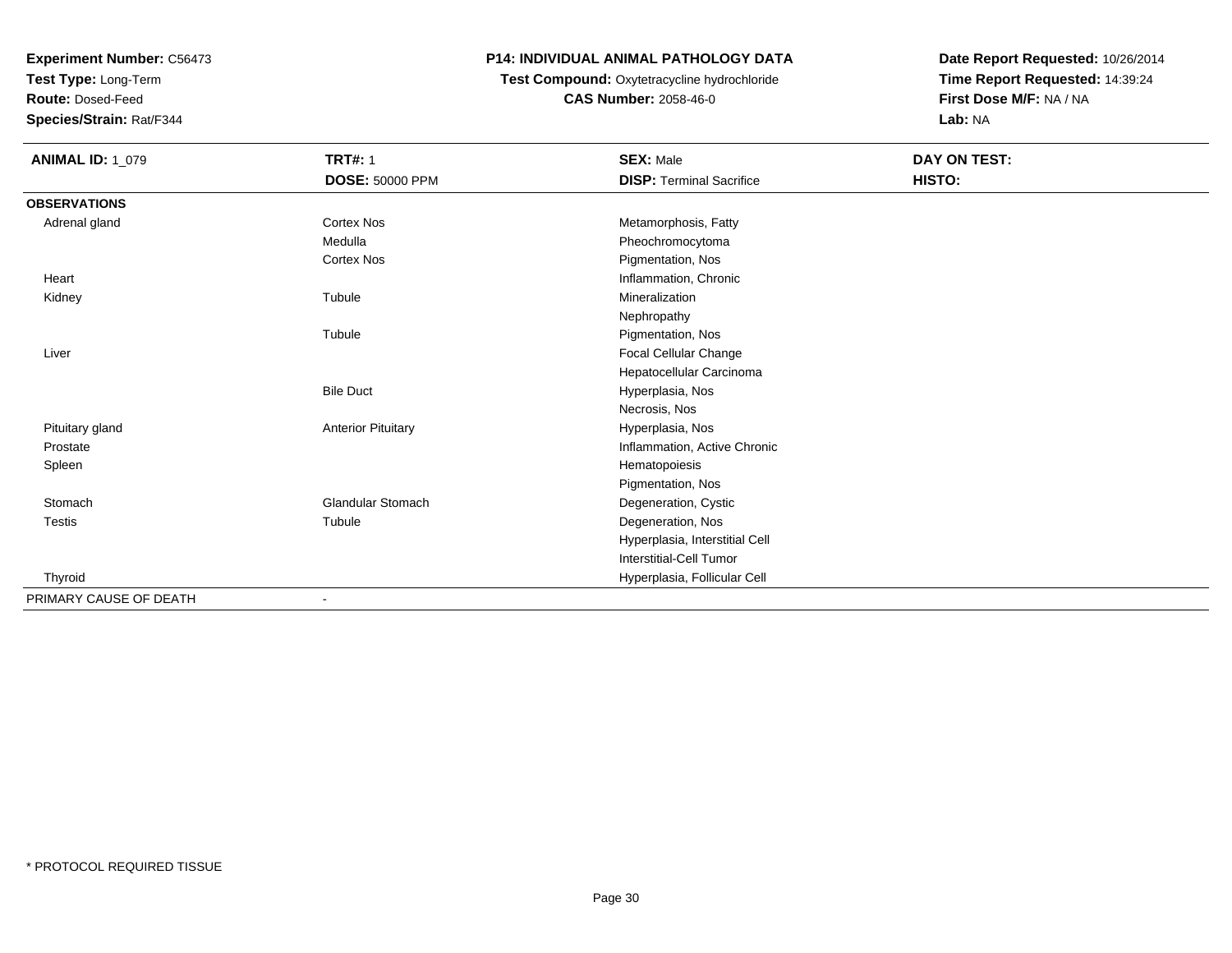**Test Type:** Long-Term

**Route:** Dosed-Feed

**Species/Strain:** Rat/F344

## **P14: INDIVIDUAL ANIMAL PATHOLOGY DATA**

# **Test Compound:** Oxytetracycline hydrochloride**CAS Number:** 2058-46-0

| <b>ANIMAL ID: 1_079</b> | <b>TRT#: 1</b>            | <b>SEX: Male</b>                | DAY ON TEST: |  |
|-------------------------|---------------------------|---------------------------------|--------------|--|
|                         | DOSE: 50000 PPM           | <b>DISP: Terminal Sacrifice</b> | HISTO:       |  |
| <b>OBSERVATIONS</b>     |                           |                                 |              |  |
| Adrenal gland           | Cortex Nos                | Metamorphosis, Fatty            |              |  |
|                         | Medulla                   | Pheochromocytoma                |              |  |
|                         | <b>Cortex Nos</b>         | Pigmentation, Nos               |              |  |
| Heart                   |                           | Inflammation, Chronic           |              |  |
| Kidney                  | Tubule                    | Mineralization                  |              |  |
|                         |                           | Nephropathy                     |              |  |
|                         | Tubule                    | Pigmentation, Nos               |              |  |
| Liver                   |                           | Focal Cellular Change           |              |  |
|                         |                           | Hepatocellular Carcinoma        |              |  |
|                         | <b>Bile Duct</b>          | Hyperplasia, Nos                |              |  |
|                         |                           | Necrosis, Nos                   |              |  |
| Pituitary gland         | <b>Anterior Pituitary</b> | Hyperplasia, Nos                |              |  |
| Prostate                |                           | Inflammation, Active Chronic    |              |  |
| Spleen                  |                           | Hematopoiesis                   |              |  |
|                         |                           | Pigmentation, Nos               |              |  |
| Stomach                 | <b>Glandular Stomach</b>  | Degeneration, Cystic            |              |  |
| <b>Testis</b>           | Tubule                    | Degeneration, Nos               |              |  |
|                         |                           | Hyperplasia, Interstitial Cell  |              |  |
|                         |                           | <b>Interstitial-Cell Tumor</b>  |              |  |
| Thyroid                 |                           | Hyperplasia, Follicular Cell    |              |  |
| PRIMARY CAUSE OF DEATH  |                           |                                 |              |  |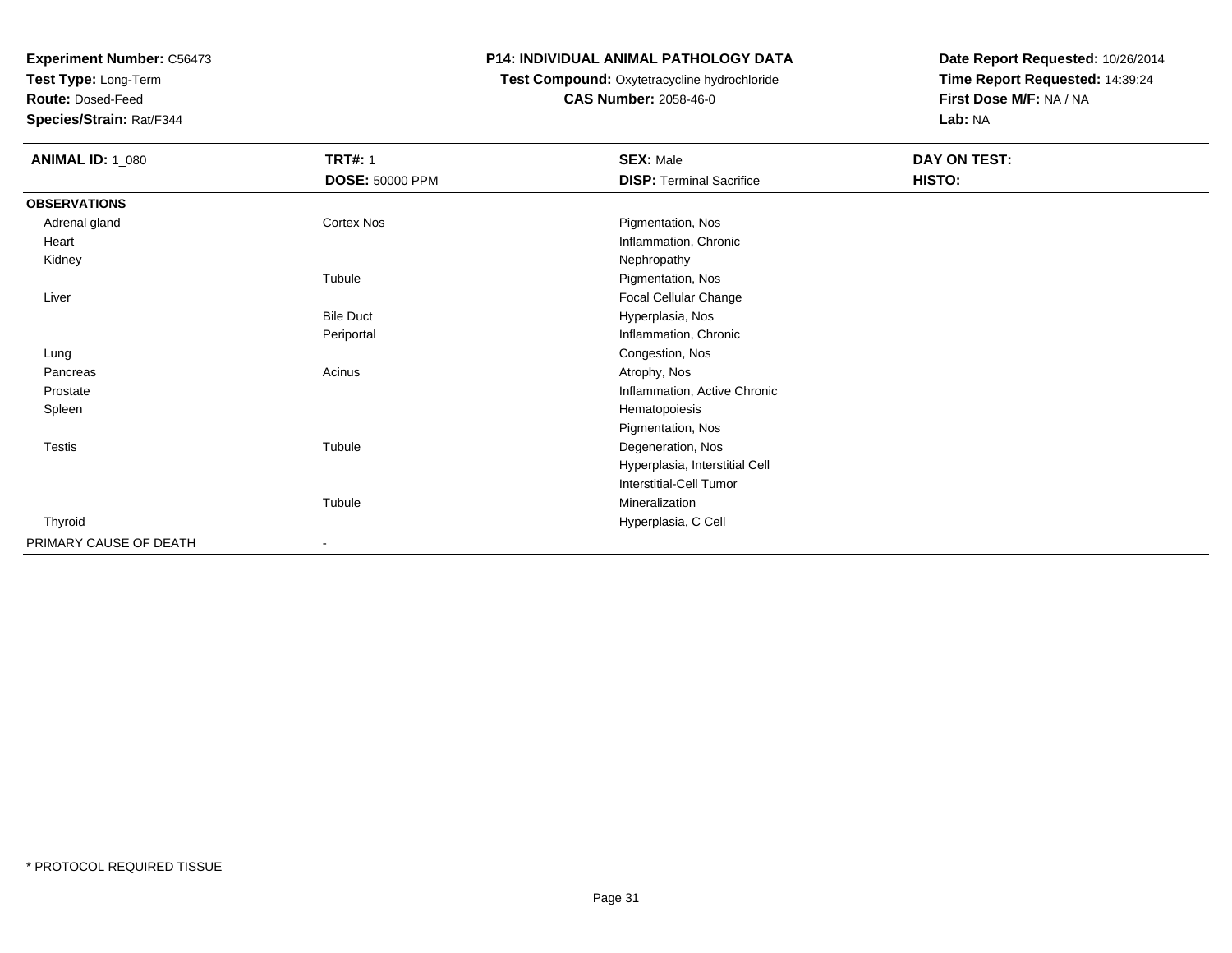**Test Type:** Long-Term

**Route:** Dosed-Feed

**Species/Strain:** Rat/F344

#### **P14: INDIVIDUAL ANIMAL PATHOLOGY DATA**

#### **Test Compound:** Oxytetracycline hydrochloride**CAS Number:** 2058-46-0

| <b>ANIMAL ID: 1_080</b> | <b>TRT#: 1</b>           | <b>SEX: Male</b>                | DAY ON TEST: |
|-------------------------|--------------------------|---------------------------------|--------------|
|                         | <b>DOSE: 50000 PPM</b>   | <b>DISP: Terminal Sacrifice</b> | HISTO:       |
| <b>OBSERVATIONS</b>     |                          |                                 |              |
| Adrenal gland           | Cortex Nos               | Pigmentation, Nos               |              |
| Heart                   |                          | Inflammation, Chronic           |              |
| Kidney                  |                          | Nephropathy                     |              |
|                         | Tubule                   | Pigmentation, Nos               |              |
| Liver                   |                          | Focal Cellular Change           |              |
|                         | <b>Bile Duct</b>         | Hyperplasia, Nos                |              |
|                         | Periportal               | Inflammation, Chronic           |              |
| Lung                    |                          | Congestion, Nos                 |              |
| Pancreas                | Acinus                   | Atrophy, Nos                    |              |
| Prostate                |                          | Inflammation, Active Chronic    |              |
| Spleen                  |                          | Hematopoiesis                   |              |
|                         |                          | Pigmentation, Nos               |              |
| <b>Testis</b>           | Tubule                   | Degeneration, Nos               |              |
|                         |                          | Hyperplasia, Interstitial Cell  |              |
|                         |                          | Interstitial-Cell Tumor         |              |
|                         | Tubule                   | Mineralization                  |              |
| Thyroid                 |                          | Hyperplasia, C Cell             |              |
| PRIMARY CAUSE OF DEATH  | $\overline{\phantom{a}}$ |                                 |              |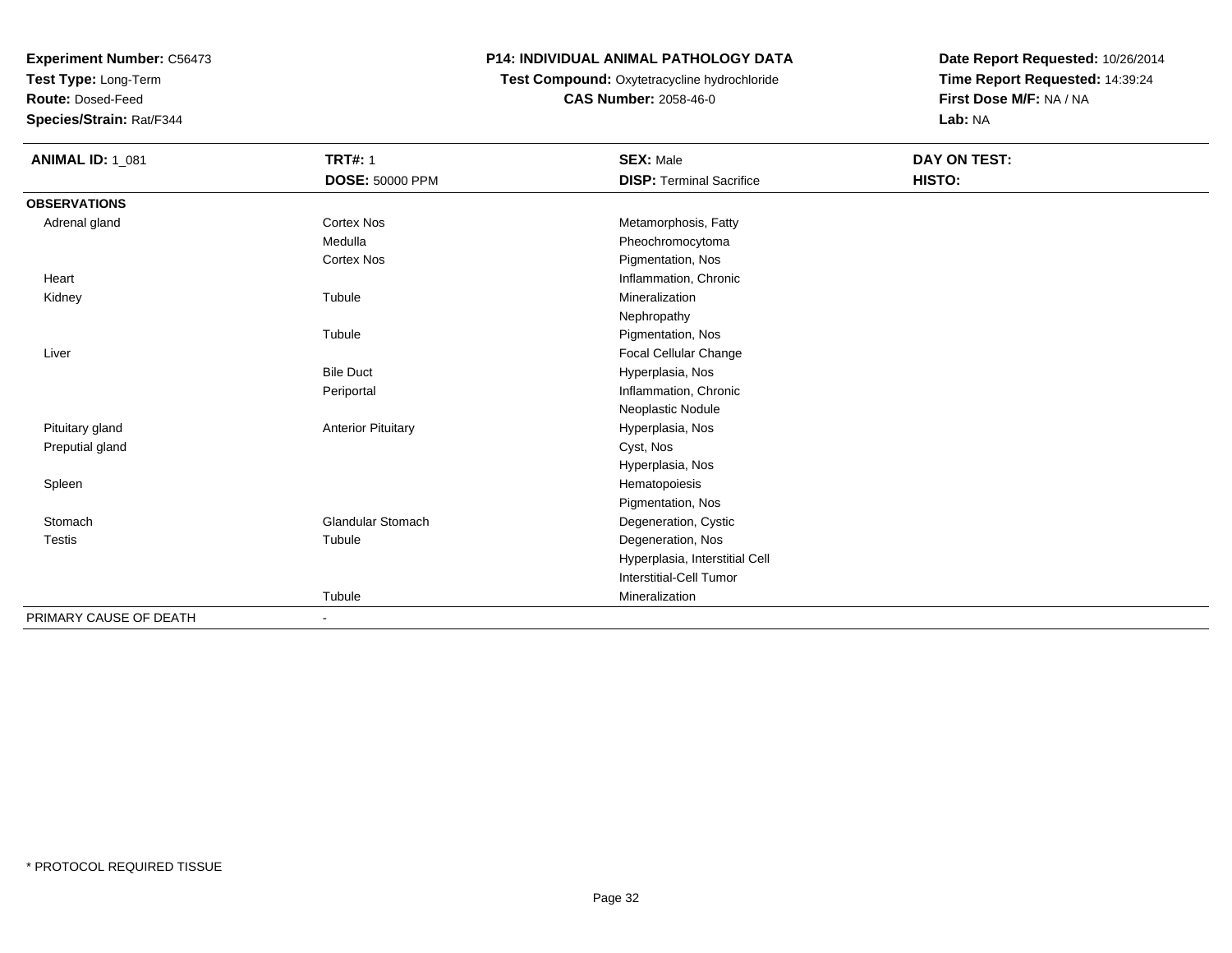**Test Type:** Long-Term

**Route:** Dosed-Feed

**Species/Strain:** Rat/F344

### **P14: INDIVIDUAL ANIMAL PATHOLOGY DATA**

### **Test Compound:** Oxytetracycline hydrochloride**CAS Number:** 2058-46-0

| <b>ANIMAL ID: 1_081</b> | <b>TRT#: 1</b>            | <b>SEX: Male</b>                | DAY ON TEST: |  |
|-------------------------|---------------------------|---------------------------------|--------------|--|
|                         | DOSE: 50000 PPM           | <b>DISP: Terminal Sacrifice</b> | HISTO:       |  |
| <b>OBSERVATIONS</b>     |                           |                                 |              |  |
| Adrenal gland           | <b>Cortex Nos</b>         | Metamorphosis, Fatty            |              |  |
|                         | Medulla                   | Pheochromocytoma                |              |  |
|                         | <b>Cortex Nos</b>         | Pigmentation, Nos               |              |  |
| Heart                   |                           | Inflammation, Chronic           |              |  |
| Kidney                  | Tubule                    | Mineralization                  |              |  |
|                         |                           | Nephropathy                     |              |  |
|                         | Tubule                    | Pigmentation, Nos               |              |  |
| Liver                   |                           | Focal Cellular Change           |              |  |
|                         | <b>Bile Duct</b>          | Hyperplasia, Nos                |              |  |
|                         | Periportal                | Inflammation, Chronic           |              |  |
|                         |                           | Neoplastic Nodule               |              |  |
| Pituitary gland         | <b>Anterior Pituitary</b> | Hyperplasia, Nos                |              |  |
| Preputial gland         |                           | Cyst, Nos                       |              |  |
|                         |                           | Hyperplasia, Nos                |              |  |
| Spleen                  |                           | Hematopoiesis                   |              |  |
|                         |                           | Pigmentation, Nos               |              |  |
| Stomach                 | <b>Glandular Stomach</b>  | Degeneration, Cystic            |              |  |
| <b>Testis</b>           | Tubule                    | Degeneration, Nos               |              |  |
|                         |                           | Hyperplasia, Interstitial Cell  |              |  |
|                         |                           | Interstitial-Cell Tumor         |              |  |
|                         | Tubule                    | Mineralization                  |              |  |
| PRIMARY CAUSE OF DEATH  |                           |                                 |              |  |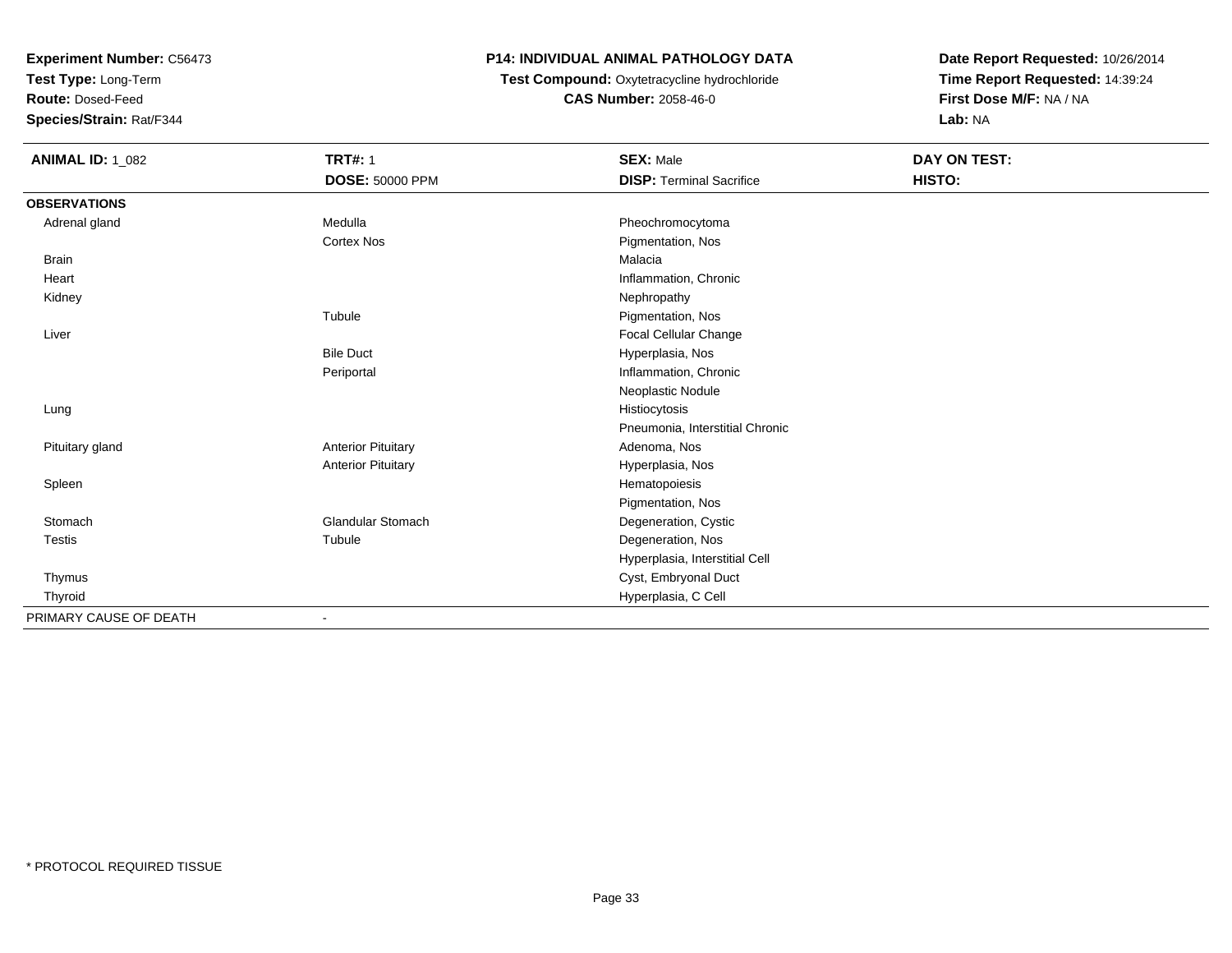**Test Type:** Long-Term

**Route:** Dosed-Feed

**Species/Strain:** Rat/F344

#### **P14: INDIVIDUAL ANIMAL PATHOLOGY DATA**

 **Test Compound:** Oxytetracycline hydrochloride**CAS Number:** 2058-46-0

| <b>ANIMAL ID: 1_082</b> | <b>TRT#: 1</b>            | <b>SEX: Male</b>                | DAY ON TEST: |  |
|-------------------------|---------------------------|---------------------------------|--------------|--|
|                         | <b>DOSE: 50000 PPM</b>    | <b>DISP: Terminal Sacrifice</b> | HISTO:       |  |
| <b>OBSERVATIONS</b>     |                           |                                 |              |  |
| Adrenal gland           | Medulla                   | Pheochromocytoma                |              |  |
|                         | <b>Cortex Nos</b>         | Pigmentation, Nos               |              |  |
| Brain                   |                           | Malacia                         |              |  |
| Heart                   |                           | Inflammation, Chronic           |              |  |
| Kidney                  |                           | Nephropathy                     |              |  |
|                         | Tubule                    | Pigmentation, Nos               |              |  |
| Liver                   |                           | Focal Cellular Change           |              |  |
|                         | <b>Bile Duct</b>          | Hyperplasia, Nos                |              |  |
|                         | Periportal                | Inflammation, Chronic           |              |  |
|                         |                           | Neoplastic Nodule               |              |  |
| Lung                    |                           | Histiocytosis                   |              |  |
|                         |                           | Pneumonia, Interstitial Chronic |              |  |
| Pituitary gland         | <b>Anterior Pituitary</b> | Adenoma, Nos                    |              |  |
|                         | <b>Anterior Pituitary</b> | Hyperplasia, Nos                |              |  |
| Spleen                  |                           | Hematopoiesis                   |              |  |
|                         |                           | Pigmentation, Nos               |              |  |
| Stomach                 | <b>Glandular Stomach</b>  | Degeneration, Cystic            |              |  |
| Testis                  | Tubule                    | Degeneration, Nos               |              |  |
|                         |                           | Hyperplasia, Interstitial Cell  |              |  |
| Thymus                  |                           | Cyst, Embryonal Duct            |              |  |
| Thyroid                 |                           | Hyperplasia, C Cell             |              |  |
| PRIMARY CAUSE OF DEATH  |                           |                                 |              |  |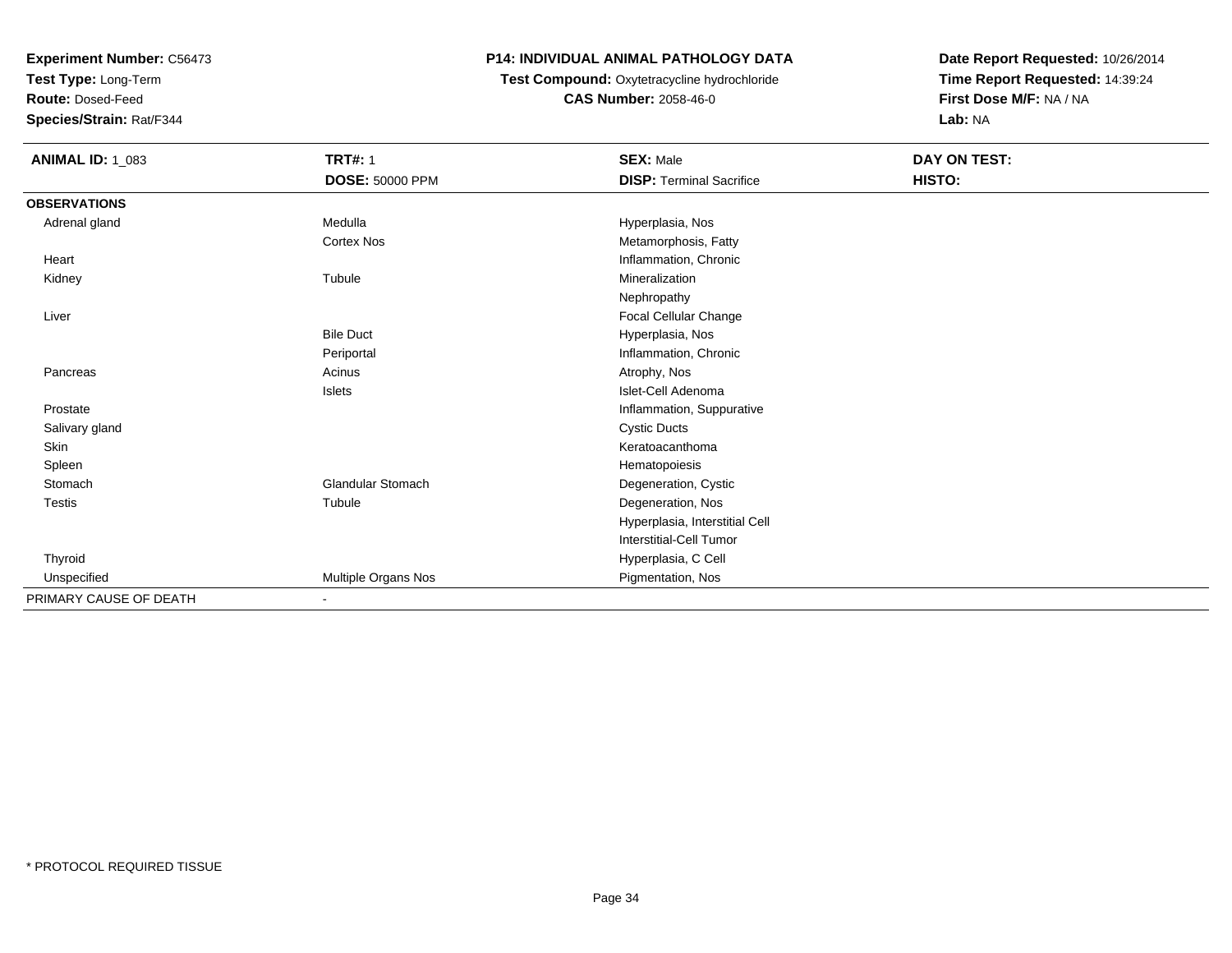**Test Type:** Long-Term

**Route:** Dosed-Feed

**Species/Strain:** Rat/F344

## **P14: INDIVIDUAL ANIMAL PATHOLOGY DATA**

## **Test Compound:** Oxytetracycline hydrochloride**CAS Number:** 2058-46-0

| <b>ANIMAL ID: 1_083</b> | <b>TRT#: 1</b><br><b>DOSE: 50000 PPM</b> | <b>SEX: Male</b><br><b>DISP: Terminal Sacrifice</b> | DAY ON TEST:<br>HISTO: |
|-------------------------|------------------------------------------|-----------------------------------------------------|------------------------|
| <b>OBSERVATIONS</b>     |                                          |                                                     |                        |
| Adrenal gland           | Medulla                                  | Hyperplasia, Nos                                    |                        |
|                         | <b>Cortex Nos</b>                        | Metamorphosis, Fatty                                |                        |
| Heart                   |                                          | Inflammation, Chronic                               |                        |
| Kidney                  | Tubule                                   | Mineralization                                      |                        |
|                         |                                          | Nephropathy                                         |                        |
| Liver                   |                                          | Focal Cellular Change                               |                        |
|                         | <b>Bile Duct</b>                         | Hyperplasia, Nos                                    |                        |
|                         | Periportal                               | Inflammation, Chronic                               |                        |
| Pancreas                | Acinus                                   | Atrophy, Nos                                        |                        |
|                         | Islets                                   | Islet-Cell Adenoma                                  |                        |
| Prostate                |                                          | Inflammation, Suppurative                           |                        |
| Salivary gland          |                                          | <b>Cystic Ducts</b>                                 |                        |
| Skin                    |                                          | Keratoacanthoma                                     |                        |
| Spleen                  |                                          | Hematopoiesis                                       |                        |
| Stomach                 | <b>Glandular Stomach</b>                 | Degeneration, Cystic                                |                        |
| Testis                  | Tubule                                   | Degeneration, Nos                                   |                        |
|                         |                                          | Hyperplasia, Interstitial Cell                      |                        |
|                         |                                          | <b>Interstitial-Cell Tumor</b>                      |                        |
| Thyroid                 |                                          | Hyperplasia, C Cell                                 |                        |
| Unspecified             | Multiple Organs Nos                      | Pigmentation, Nos                                   |                        |
| PRIMARY CAUSE OF DEATH  | $\sim$                                   |                                                     |                        |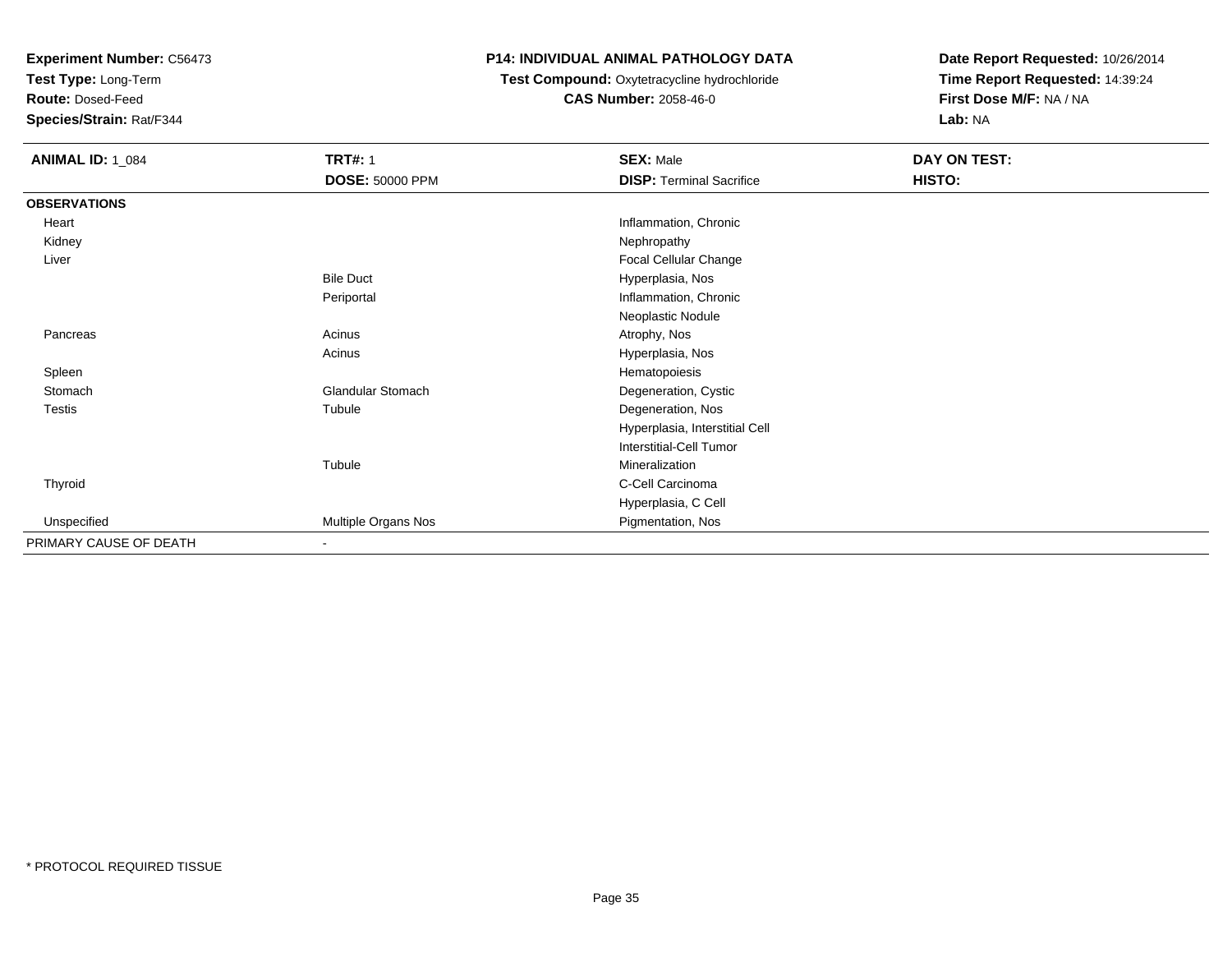**Test Type:** Long-Term

**Route:** Dosed-Feed

**Species/Strain:** Rat/F344

#### **P14: INDIVIDUAL ANIMAL PATHOLOGY DATA**

## **Test Compound:** Oxytetracycline hydrochloride**CAS Number:** 2058-46-0

| <b>ANIMAL ID: 1_084</b> | <b>TRT#: 1</b>           | <b>SEX: Male</b>                | DAY ON TEST: |
|-------------------------|--------------------------|---------------------------------|--------------|
|                         | <b>DOSE: 50000 PPM</b>   | <b>DISP: Terminal Sacrifice</b> | HISTO:       |
| <b>OBSERVATIONS</b>     |                          |                                 |              |
| Heart                   |                          | Inflammation, Chronic           |              |
| Kidney                  |                          | Nephropathy                     |              |
| Liver                   |                          | Focal Cellular Change           |              |
|                         | <b>Bile Duct</b>         | Hyperplasia, Nos                |              |
|                         | Periportal               | Inflammation, Chronic           |              |
|                         |                          | Neoplastic Nodule               |              |
| Pancreas                | Acinus                   | Atrophy, Nos                    |              |
|                         | Acinus                   | Hyperplasia, Nos                |              |
| Spleen                  |                          | Hematopoiesis                   |              |
| Stomach                 | <b>Glandular Stomach</b> | Degeneration, Cystic            |              |
| Testis                  | Tubule                   | Degeneration, Nos               |              |
|                         |                          | Hyperplasia, Interstitial Cell  |              |
|                         |                          | Interstitial-Cell Tumor         |              |
|                         | Tubule                   | Mineralization                  |              |
| Thyroid                 |                          | C-Cell Carcinoma                |              |
|                         |                          | Hyperplasia, C Cell             |              |
| Unspecified             | Multiple Organs Nos      | Pigmentation, Nos               |              |
| PRIMARY CAUSE OF DEATH  | Ξ.                       |                                 |              |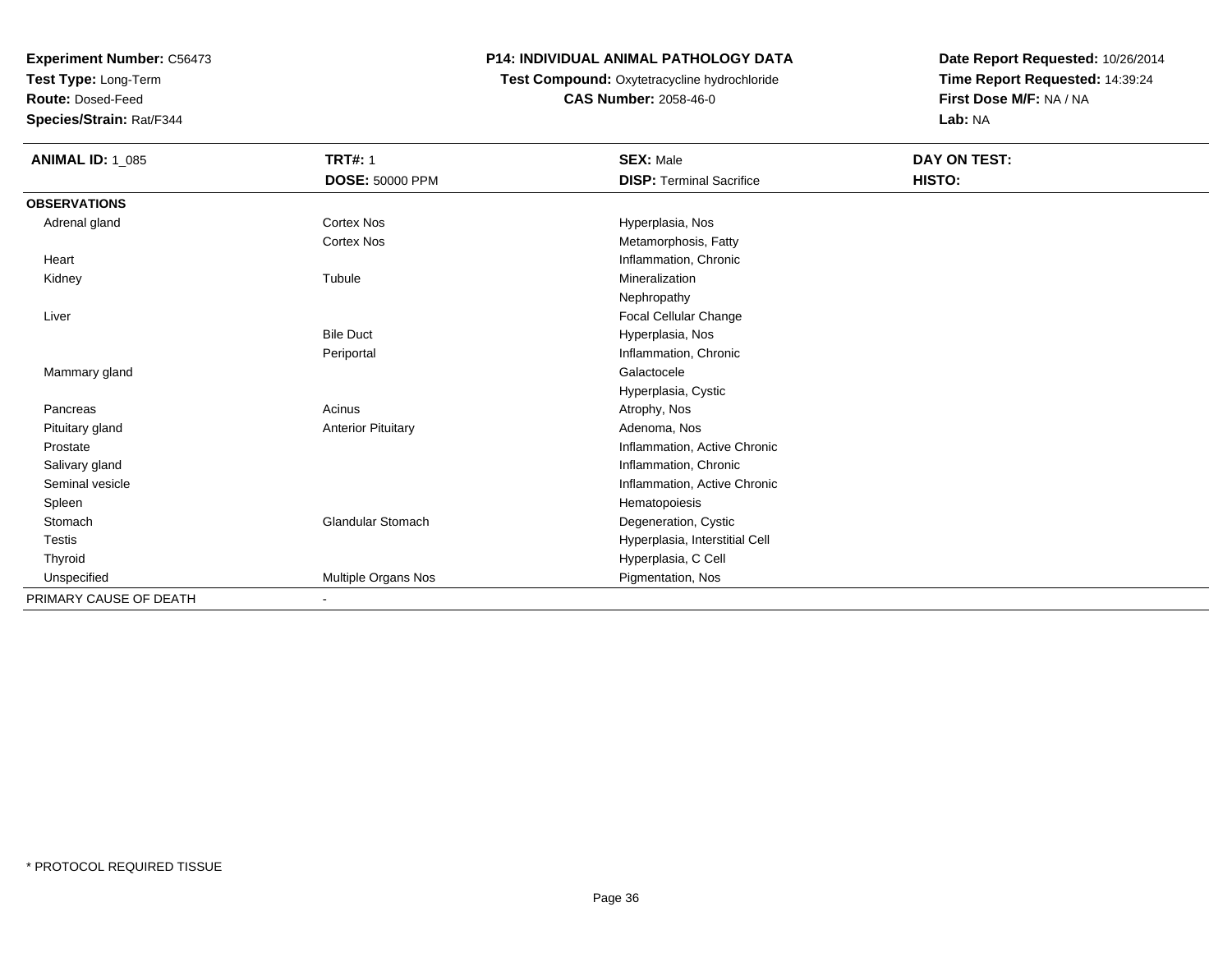**Test Type:** Long-Term

**Route:** Dosed-Feed

**Species/Strain:** Rat/F344

## **P14: INDIVIDUAL ANIMAL PATHOLOGY DATA**

#### **Test Compound:** Oxytetracycline hydrochloride**CAS Number:** 2058-46-0

| <b>ANIMAL ID: 1_085</b> | <b>TRT#: 1</b><br>DOSE: 50000 PPM | <b>SEX: Male</b><br><b>DISP: Terminal Sacrifice</b> | DAY ON TEST:<br>HISTO: |
|-------------------------|-----------------------------------|-----------------------------------------------------|------------------------|
| <b>OBSERVATIONS</b>     |                                   |                                                     |                        |
| Adrenal gland           | <b>Cortex Nos</b>                 | Hyperplasia, Nos                                    |                        |
|                         | <b>Cortex Nos</b>                 | Metamorphosis, Fatty                                |                        |
| Heart                   |                                   | Inflammation, Chronic                               |                        |
| Kidney                  | Tubule                            | Mineralization                                      |                        |
|                         |                                   | Nephropathy                                         |                        |
| Liver                   |                                   | Focal Cellular Change                               |                        |
|                         | <b>Bile Duct</b>                  | Hyperplasia, Nos                                    |                        |
|                         | Periportal                        | Inflammation, Chronic                               |                        |
| Mammary gland           |                                   | Galactocele                                         |                        |
|                         |                                   | Hyperplasia, Cystic                                 |                        |
| Pancreas                | Acinus                            | Atrophy, Nos                                        |                        |
| Pituitary gland         | <b>Anterior Pituitary</b>         | Adenoma, Nos                                        |                        |
| Prostate                |                                   | Inflammation, Active Chronic                        |                        |
| Salivary gland          |                                   | Inflammation, Chronic                               |                        |
| Seminal vesicle         |                                   | Inflammation, Active Chronic                        |                        |
| Spleen                  |                                   | Hematopoiesis                                       |                        |
| Stomach                 | <b>Glandular Stomach</b>          | Degeneration, Cystic                                |                        |
| <b>Testis</b>           |                                   | Hyperplasia, Interstitial Cell                      |                        |
| Thyroid                 |                                   | Hyperplasia, C Cell                                 |                        |
| Unspecified             | Multiple Organs Nos               | Pigmentation, Nos                                   |                        |
| PRIMARY CAUSE OF DEATH  | $\blacksquare$                    |                                                     |                        |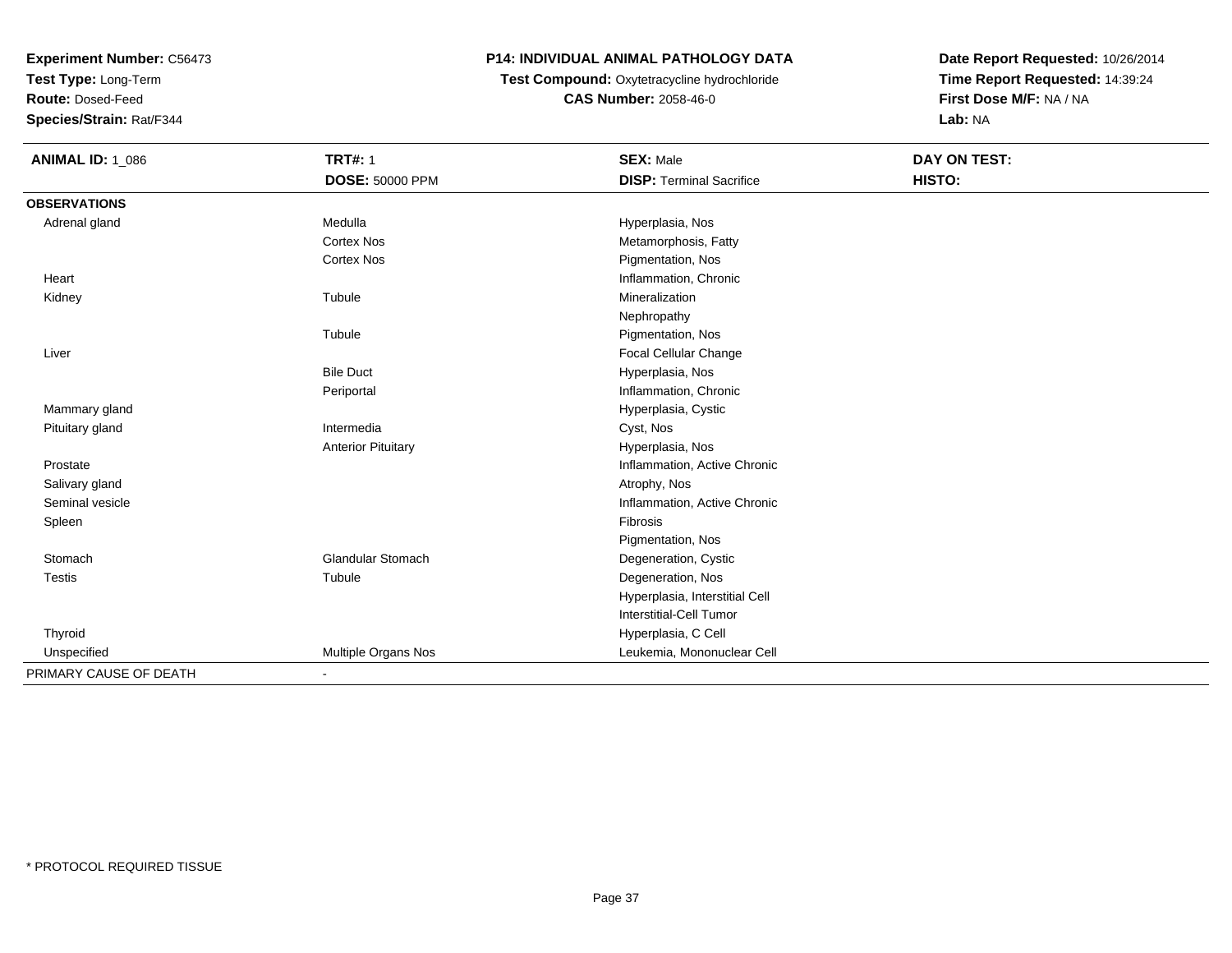**Test Type:** Long-Term

**Route:** Dosed-Feed

**Species/Strain:** Rat/F344

# **P14: INDIVIDUAL ANIMAL PATHOLOGY DATA**

### **Test Compound:** Oxytetracycline hydrochloride**CAS Number:** 2058-46-0

| <b>ANIMAL ID: 1_086</b> | <b>TRT#: 1</b><br><b>DOSE: 50000 PPM</b> | <b>SEX: Male</b><br><b>DISP: Terminal Sacrifice</b> | <b>DAY ON TEST:</b><br>HISTO: |  |
|-------------------------|------------------------------------------|-----------------------------------------------------|-------------------------------|--|
|                         |                                          |                                                     |                               |  |
| <b>OBSERVATIONS</b>     |                                          |                                                     |                               |  |
| Adrenal gland           | Medulla                                  | Hyperplasia, Nos                                    |                               |  |
|                         | <b>Cortex Nos</b>                        | Metamorphosis, Fatty                                |                               |  |
|                         | <b>Cortex Nos</b>                        | Pigmentation, Nos                                   |                               |  |
| Heart                   |                                          | Inflammation, Chronic                               |                               |  |
| Kidney                  | Tubule                                   | Mineralization                                      |                               |  |
|                         |                                          | Nephropathy                                         |                               |  |
|                         | Tubule                                   | Pigmentation, Nos                                   |                               |  |
| Liver                   |                                          | Focal Cellular Change                               |                               |  |
|                         | <b>Bile Duct</b>                         | Hyperplasia, Nos                                    |                               |  |
|                         | Periportal                               | Inflammation, Chronic                               |                               |  |
| Mammary gland           |                                          | Hyperplasia, Cystic                                 |                               |  |
| Pituitary gland         | Intermedia                               | Cyst, Nos                                           |                               |  |
|                         | <b>Anterior Pituitary</b>                | Hyperplasia, Nos                                    |                               |  |
| Prostate                |                                          | Inflammation, Active Chronic                        |                               |  |
| Salivary gland          |                                          | Atrophy, Nos                                        |                               |  |
| Seminal vesicle         |                                          | Inflammation, Active Chronic                        |                               |  |
| Spleen                  |                                          | Fibrosis                                            |                               |  |
|                         |                                          | Pigmentation, Nos                                   |                               |  |
| Stomach                 | <b>Glandular Stomach</b>                 | Degeneration, Cystic                                |                               |  |
| <b>Testis</b>           | Tubule                                   | Degeneration, Nos                                   |                               |  |
|                         |                                          | Hyperplasia, Interstitial Cell                      |                               |  |
|                         |                                          | <b>Interstitial-Cell Tumor</b>                      |                               |  |
| Thyroid                 |                                          | Hyperplasia, C Cell                                 |                               |  |
| Unspecified             | Multiple Organs Nos                      | Leukemia, Mononuclear Cell                          |                               |  |
| PRIMARY CAUSE OF DEATH  |                                          |                                                     |                               |  |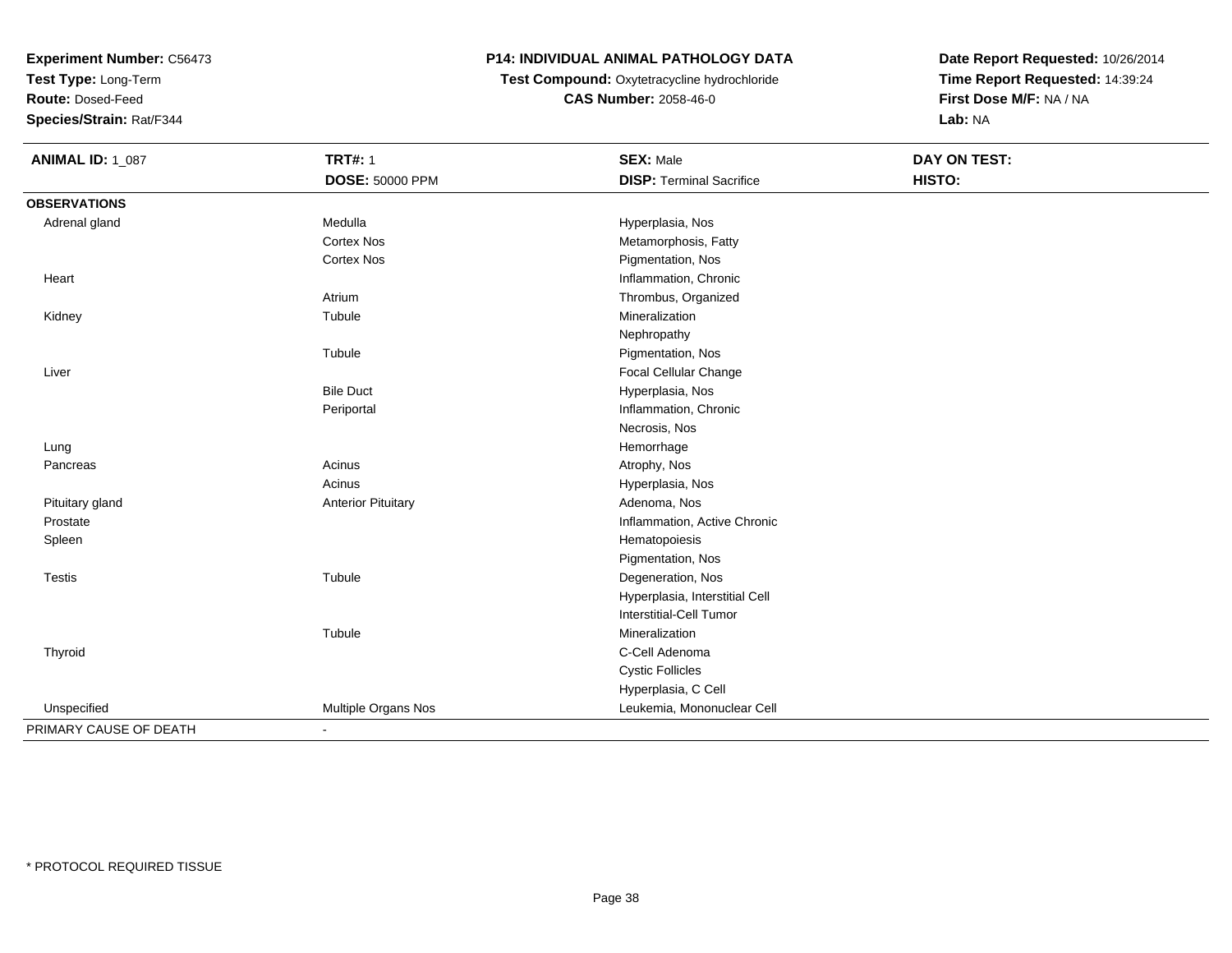**Test Type:** Long-Term

**Route:** Dosed-Feed

**Species/Strain:** Rat/F344

## **P14: INDIVIDUAL ANIMAL PATHOLOGY DATA**

 **Test Compound:** Oxytetracycline hydrochloride**CAS Number:** 2058-46-0

| <b>ANIMAL ID: 1_087</b> | <b>TRT#: 1</b>            | <b>SEX: Male</b>                | <b>DAY ON TEST:</b> |  |
|-------------------------|---------------------------|---------------------------------|---------------------|--|
|                         | DOSE: 50000 PPM           | <b>DISP: Terminal Sacrifice</b> | HISTO:              |  |
| <b>OBSERVATIONS</b>     |                           |                                 |                     |  |
| Adrenal gland           | Medulla                   | Hyperplasia, Nos                |                     |  |
|                         | <b>Cortex Nos</b>         | Metamorphosis, Fatty            |                     |  |
|                         | <b>Cortex Nos</b>         | Pigmentation, Nos               |                     |  |
| Heart                   |                           | Inflammation, Chronic           |                     |  |
|                         | Atrium                    | Thrombus, Organized             |                     |  |
| Kidney                  | Tubule                    | Mineralization                  |                     |  |
|                         |                           | Nephropathy                     |                     |  |
|                         | Tubule                    | Pigmentation, Nos               |                     |  |
| Liver                   |                           | Focal Cellular Change           |                     |  |
|                         | <b>Bile Duct</b>          | Hyperplasia, Nos                |                     |  |
|                         | Periportal                | Inflammation, Chronic           |                     |  |
|                         |                           | Necrosis, Nos                   |                     |  |
| Lung                    |                           | Hemorrhage                      |                     |  |
| Pancreas                | Acinus                    | Atrophy, Nos                    |                     |  |
|                         | Acinus                    | Hyperplasia, Nos                |                     |  |
| Pituitary gland         | <b>Anterior Pituitary</b> | Adenoma, Nos                    |                     |  |
| Prostate                |                           | Inflammation, Active Chronic    |                     |  |
| Spleen                  |                           | Hematopoiesis                   |                     |  |
|                         |                           | Pigmentation, Nos               |                     |  |
| Testis                  | Tubule                    | Degeneration, Nos               |                     |  |
|                         |                           | Hyperplasia, Interstitial Cell  |                     |  |
|                         |                           | <b>Interstitial-Cell Tumor</b>  |                     |  |
|                         | Tubule                    | Mineralization                  |                     |  |
| Thyroid                 |                           | C-Cell Adenoma                  |                     |  |
|                         |                           | <b>Cystic Follicles</b>         |                     |  |
|                         |                           | Hyperplasia, C Cell             |                     |  |
| Unspecified             | Multiple Organs Nos       | Leukemia, Mononuclear Cell      |                     |  |
| PRIMARY CAUSE OF DEATH  | $\blacksquare$            |                                 |                     |  |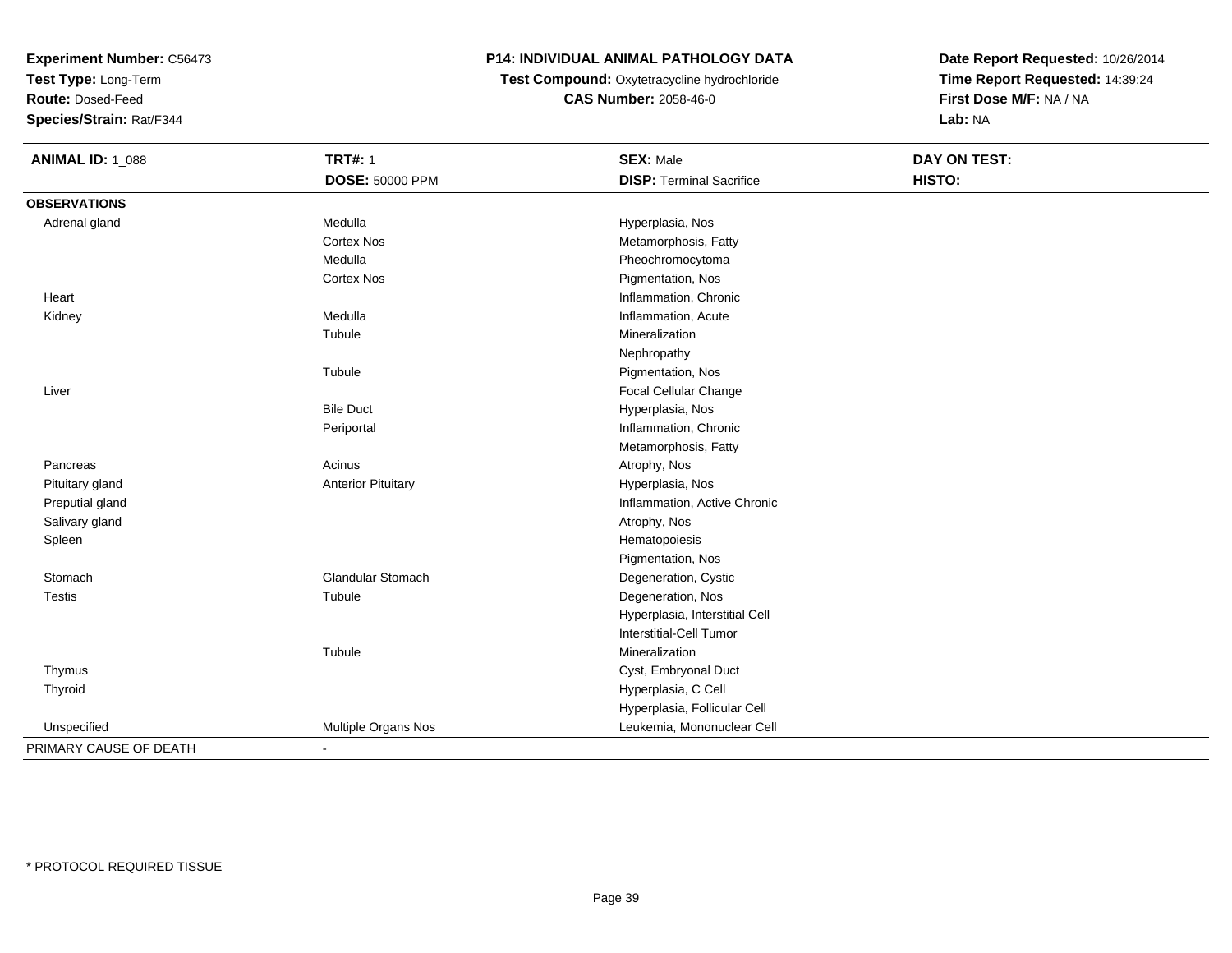**Test Type:** Long-Term

**Route:** Dosed-Feed

**Species/Strain:** Rat/F344

# **P14: INDIVIDUAL ANIMAL PATHOLOGY DATA**

**Test Compound:** Oxytetracycline hydrochloride**CAS Number:** 2058-46-0

| <b>ANIMAL ID: 1_088</b> | <b>TRT#: 1</b>            | <b>SEX: Male</b>                | DAY ON TEST: |  |
|-------------------------|---------------------------|---------------------------------|--------------|--|
|                         | DOSE: 50000 PPM           | <b>DISP: Terminal Sacrifice</b> | HISTO:       |  |
| <b>OBSERVATIONS</b>     |                           |                                 |              |  |
| Adrenal gland           | Medulla                   | Hyperplasia, Nos                |              |  |
|                         | <b>Cortex Nos</b>         | Metamorphosis, Fatty            |              |  |
|                         | Medulla                   | Pheochromocytoma                |              |  |
|                         | <b>Cortex Nos</b>         | Pigmentation, Nos               |              |  |
| Heart                   |                           | Inflammation, Chronic           |              |  |
| Kidney                  | Medulla                   | Inflammation, Acute             |              |  |
|                         | Tubule                    | Mineralization                  |              |  |
|                         |                           | Nephropathy                     |              |  |
|                         | Tubule                    | Pigmentation, Nos               |              |  |
| Liver                   |                           | Focal Cellular Change           |              |  |
|                         | <b>Bile Duct</b>          | Hyperplasia, Nos                |              |  |
|                         | Periportal                | Inflammation, Chronic           |              |  |
|                         |                           | Metamorphosis, Fatty            |              |  |
| Pancreas                | Acinus                    | Atrophy, Nos                    |              |  |
| Pituitary gland         | <b>Anterior Pituitary</b> | Hyperplasia, Nos                |              |  |
| Preputial gland         |                           | Inflammation, Active Chronic    |              |  |
| Salivary gland          |                           | Atrophy, Nos                    |              |  |
| Spleen                  |                           | Hematopoiesis                   |              |  |
|                         |                           | Pigmentation, Nos               |              |  |
| Stomach                 | Glandular Stomach         | Degeneration, Cystic            |              |  |
| <b>Testis</b>           | Tubule                    | Degeneration, Nos               |              |  |
|                         |                           | Hyperplasia, Interstitial Cell  |              |  |
|                         |                           | <b>Interstitial-Cell Tumor</b>  |              |  |
|                         | Tubule                    | Mineralization                  |              |  |
| Thymus                  |                           | Cyst, Embryonal Duct            |              |  |
| Thyroid                 |                           | Hyperplasia, C Cell             |              |  |
|                         |                           | Hyperplasia, Follicular Cell    |              |  |
| Unspecified             | Multiple Organs Nos       | Leukemia, Mononuclear Cell      |              |  |
| PRIMARY CAUSE OF DEATH  | $\blacksquare$            |                                 |              |  |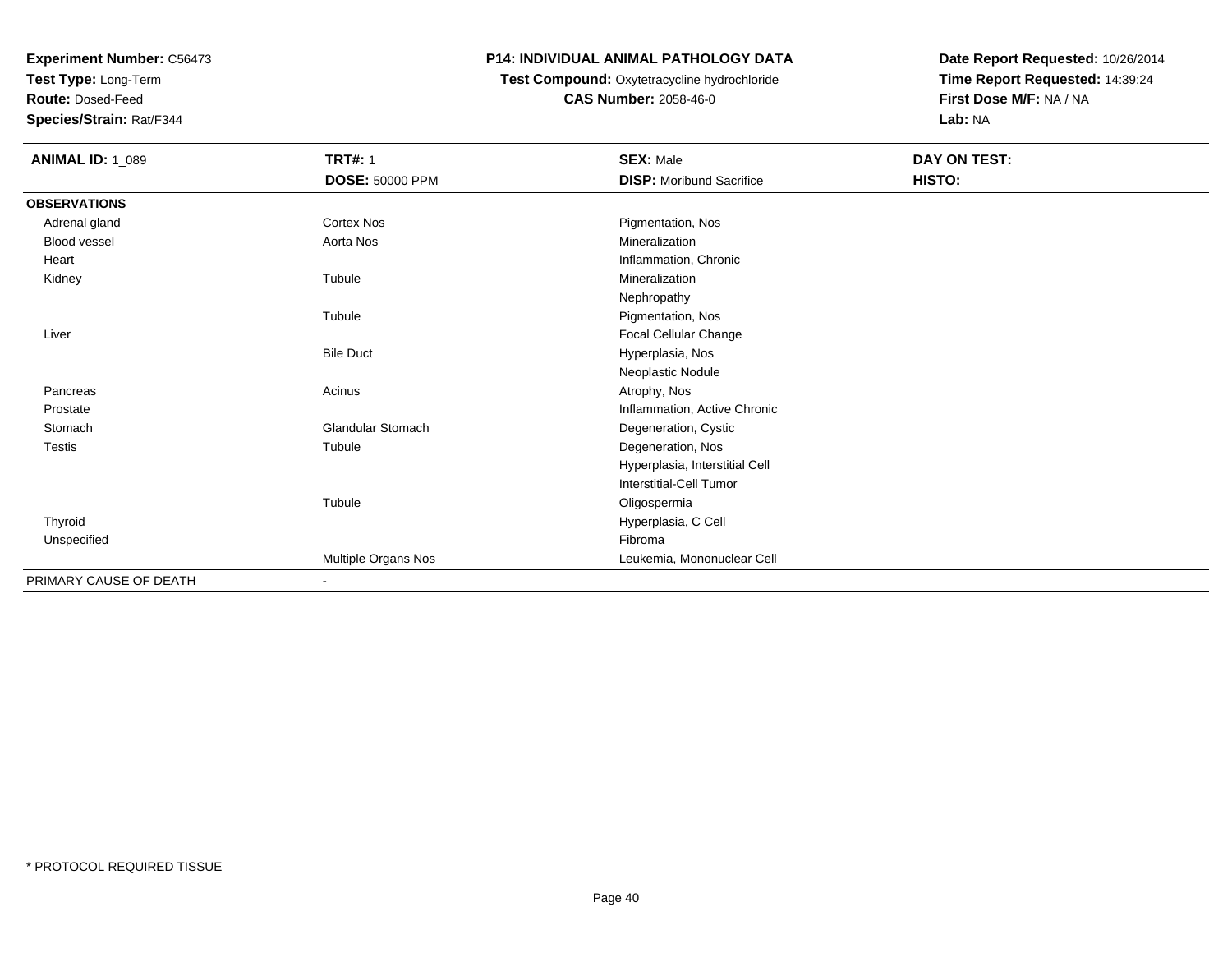**Test Type:** Long-Term

**Route:** Dosed-Feed

**Species/Strain:** Rat/F344

### **P14: INDIVIDUAL ANIMAL PATHOLOGY DATA**

# **Test Compound:** Oxytetracycline hydrochloride**CAS Number:** 2058-46-0

| <b>ANIMAL ID: 1_089</b> | <b>TRT#: 1</b>           | <b>SEX: Male</b>                | DAY ON TEST: |  |
|-------------------------|--------------------------|---------------------------------|--------------|--|
|                         | <b>DOSE: 50000 PPM</b>   | <b>DISP:</b> Moribund Sacrifice | HISTO:       |  |
| <b>OBSERVATIONS</b>     |                          |                                 |              |  |
| Adrenal gland           | <b>Cortex Nos</b>        | Pigmentation, Nos               |              |  |
| Blood vessel            | Aorta Nos                | Mineralization                  |              |  |
| Heart                   |                          | Inflammation, Chronic           |              |  |
| Kidney                  | Tubule                   | Mineralization                  |              |  |
|                         |                          | Nephropathy                     |              |  |
|                         | Tubule                   | Pigmentation, Nos               |              |  |
| Liver                   |                          | Focal Cellular Change           |              |  |
|                         | <b>Bile Duct</b>         | Hyperplasia, Nos                |              |  |
|                         |                          | Neoplastic Nodule               |              |  |
| Pancreas                | Acinus                   | Atrophy, Nos                    |              |  |
| Prostate                |                          | Inflammation, Active Chronic    |              |  |
| Stomach                 | <b>Glandular Stomach</b> | Degeneration, Cystic            |              |  |
| <b>Testis</b>           | Tubule                   | Degeneration, Nos               |              |  |
|                         |                          | Hyperplasia, Interstitial Cell  |              |  |
|                         |                          | <b>Interstitial-Cell Tumor</b>  |              |  |
|                         | Tubule                   | Oligospermia                    |              |  |
| Thyroid                 |                          | Hyperplasia, C Cell             |              |  |
| Unspecified             |                          | Fibroma                         |              |  |
|                         | Multiple Organs Nos      | Leukemia, Mononuclear Cell      |              |  |
| PRIMARY CAUSE OF DEATH  | $\blacksquare$           |                                 |              |  |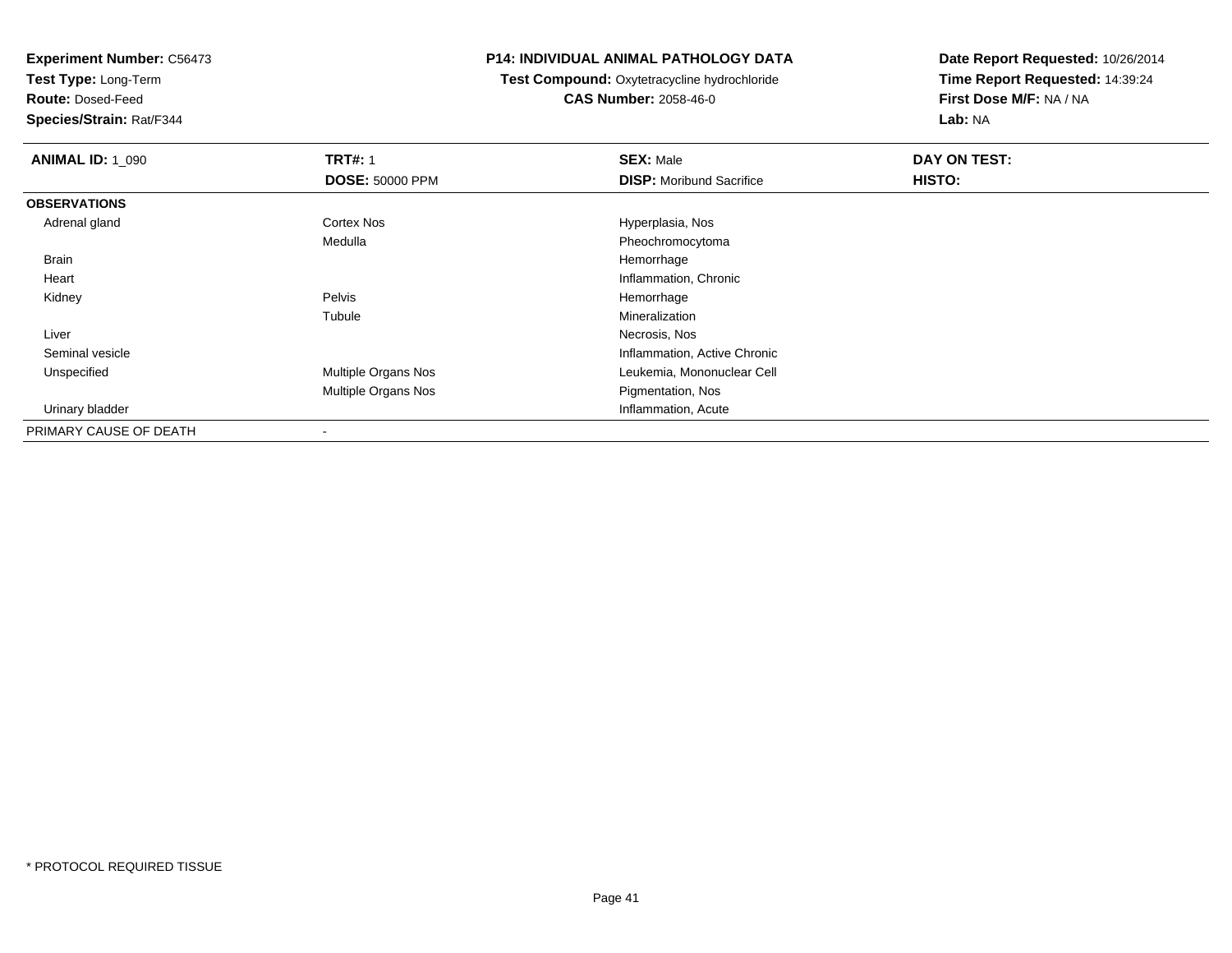**Test Type:** Long-Term

**Route:** Dosed-Feed

**Species/Strain:** Rat/F344

#### **P14: INDIVIDUAL ANIMAL PATHOLOGY DATA**

**Test Compound:** Oxytetracycline hydrochloride**CAS Number:** 2058-46-0

| <b>ANIMAL ID: 1_090</b> | <b>TRT#: 1</b>             | <b>SEX: Male</b>                | DAY ON TEST: |  |
|-------------------------|----------------------------|---------------------------------|--------------|--|
|                         | <b>DOSE: 50000 PPM</b>     | <b>DISP:</b> Moribund Sacrifice | HISTO:       |  |
| <b>OBSERVATIONS</b>     |                            |                                 |              |  |
| Adrenal gland           | Cortex Nos                 | Hyperplasia, Nos                |              |  |
|                         | Medulla                    | Pheochromocytoma                |              |  |
| Brain                   |                            | Hemorrhage                      |              |  |
| Heart                   |                            | Inflammation, Chronic           |              |  |
| Kidney                  | Pelvis                     | Hemorrhage                      |              |  |
|                         | Tubule                     | Mineralization                  |              |  |
| Liver                   |                            | Necrosis, Nos                   |              |  |
| Seminal vesicle         |                            | Inflammation, Active Chronic    |              |  |
| Unspecified             | Multiple Organs Nos        | Leukemia, Mononuclear Cell      |              |  |
|                         | <b>Multiple Organs Nos</b> | Pigmentation, Nos               |              |  |
| Urinary bladder         |                            | Inflammation, Acute             |              |  |
| PRIMARY CAUSE OF DEATH  | $\overline{\phantom{a}}$   |                                 |              |  |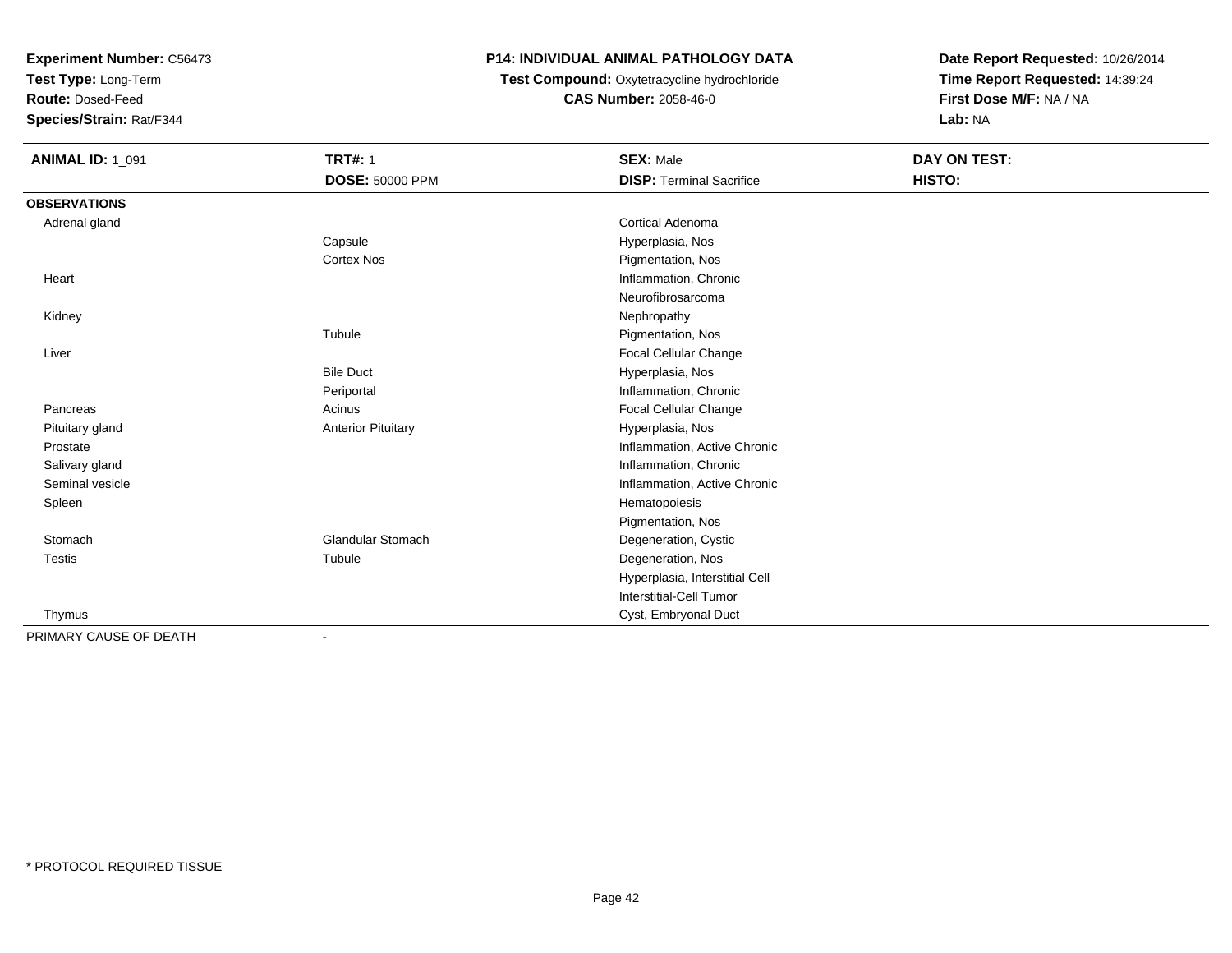**Test Type:** Long-Term

**Route:** Dosed-Feed

**Species/Strain:** Rat/F344

# **P14: INDIVIDUAL ANIMAL PATHOLOGY DATA**

**Test Compound:** Oxytetracycline hydrochloride**CAS Number:** 2058-46-0

| <b>ANIMAL ID: 1_091</b> | <b>TRT#: 1</b>            | <b>SEX: Male</b>                | <b>DAY ON TEST:</b> |  |
|-------------------------|---------------------------|---------------------------------|---------------------|--|
|                         | <b>DOSE: 50000 PPM</b>    | <b>DISP: Terminal Sacrifice</b> | HISTO:              |  |
| <b>OBSERVATIONS</b>     |                           |                                 |                     |  |
| Adrenal gland           |                           | <b>Cortical Adenoma</b>         |                     |  |
|                         | Capsule                   | Hyperplasia, Nos                |                     |  |
|                         | <b>Cortex Nos</b>         | Pigmentation, Nos               |                     |  |
| Heart                   |                           | Inflammation, Chronic           |                     |  |
|                         |                           | Neurofibrosarcoma               |                     |  |
| Kidney                  |                           | Nephropathy                     |                     |  |
|                         | Tubule                    | Pigmentation, Nos               |                     |  |
| Liver                   |                           | Focal Cellular Change           |                     |  |
|                         | <b>Bile Duct</b>          | Hyperplasia, Nos                |                     |  |
|                         | Periportal                | Inflammation, Chronic           |                     |  |
| Pancreas                | Acinus                    | Focal Cellular Change           |                     |  |
| Pituitary gland         | <b>Anterior Pituitary</b> | Hyperplasia, Nos                |                     |  |
| Prostate                |                           | Inflammation, Active Chronic    |                     |  |
| Salivary gland          |                           | Inflammation, Chronic           |                     |  |
| Seminal vesicle         |                           | Inflammation, Active Chronic    |                     |  |
| Spleen                  |                           | Hematopoiesis                   |                     |  |
|                         |                           | Pigmentation, Nos               |                     |  |
| Stomach                 | <b>Glandular Stomach</b>  | Degeneration, Cystic            |                     |  |
| <b>Testis</b>           | Tubule                    | Degeneration, Nos               |                     |  |
|                         |                           | Hyperplasia, Interstitial Cell  |                     |  |
|                         |                           | <b>Interstitial-Cell Tumor</b>  |                     |  |
| Thymus                  |                           | Cyst, Embryonal Duct            |                     |  |
| PRIMARY CAUSE OF DEATH  |                           |                                 |                     |  |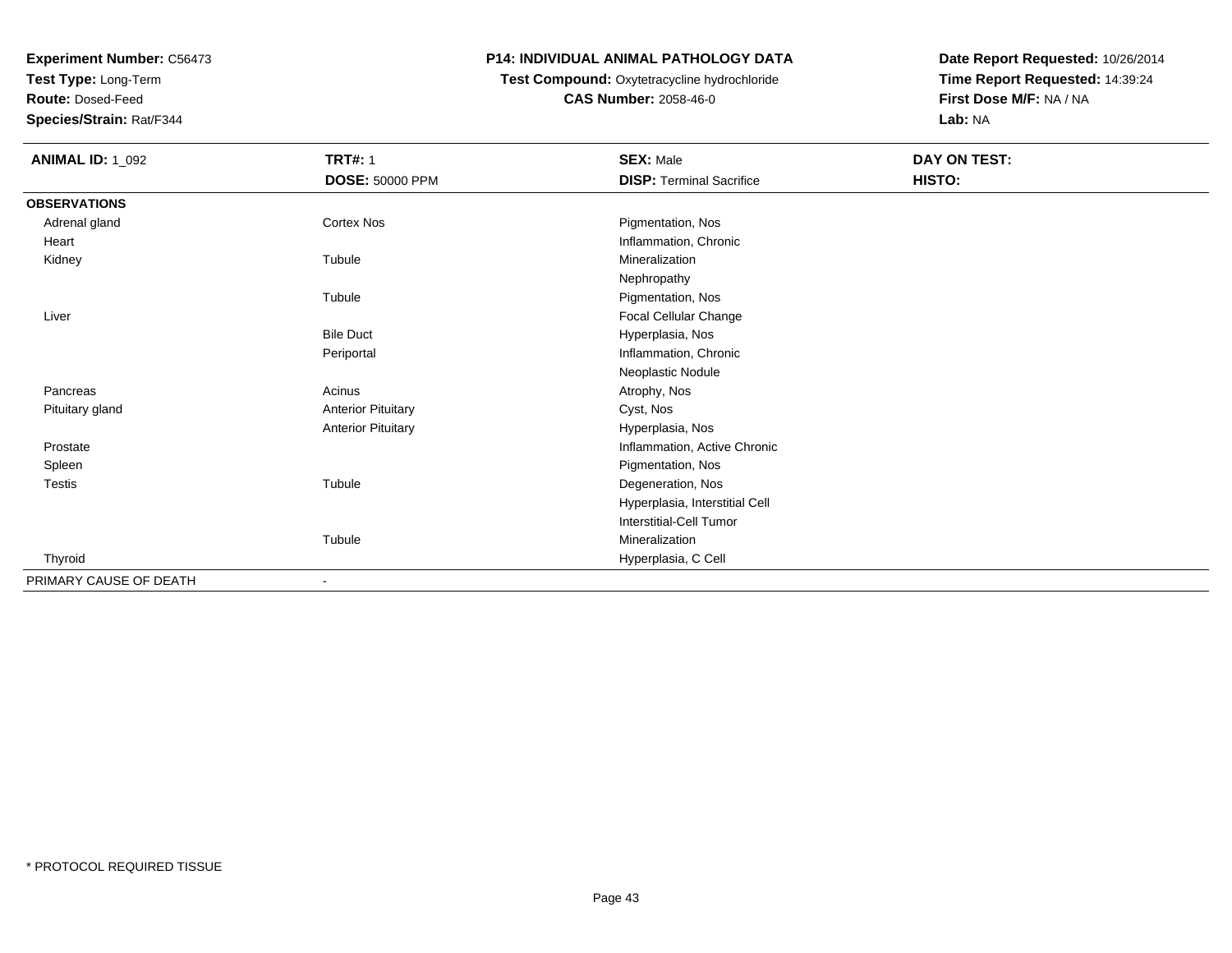**Test Type:** Long-Term

**Route:** Dosed-Feed

**Species/Strain:** Rat/F344

## **P14: INDIVIDUAL ANIMAL PATHOLOGY DATA**

# **Test Compound:** Oxytetracycline hydrochloride**CAS Number:** 2058-46-0

| <b>ANIMAL ID: 1_092</b> | <b>TRT#: 1</b>            | <b>SEX: Male</b>                | DAY ON TEST: |  |
|-------------------------|---------------------------|---------------------------------|--------------|--|
|                         | <b>DOSE: 50000 PPM</b>    | <b>DISP: Terminal Sacrifice</b> | HISTO:       |  |
| <b>OBSERVATIONS</b>     |                           |                                 |              |  |
| Adrenal gland           | Cortex Nos                | Pigmentation, Nos               |              |  |
| Heart                   |                           | Inflammation, Chronic           |              |  |
| Kidney                  | Tubule                    | Mineralization                  |              |  |
|                         |                           | Nephropathy                     |              |  |
|                         | Tubule                    | Pigmentation, Nos               |              |  |
| Liver                   |                           | Focal Cellular Change           |              |  |
|                         | <b>Bile Duct</b>          | Hyperplasia, Nos                |              |  |
|                         | Periportal                | Inflammation, Chronic           |              |  |
|                         |                           | Neoplastic Nodule               |              |  |
| Pancreas                | Acinus                    | Atrophy, Nos                    |              |  |
| Pituitary gland         | <b>Anterior Pituitary</b> | Cyst, Nos                       |              |  |
|                         | <b>Anterior Pituitary</b> | Hyperplasia, Nos                |              |  |
| Prostate                |                           | Inflammation, Active Chronic    |              |  |
| Spleen                  |                           | Pigmentation, Nos               |              |  |
| <b>Testis</b>           | Tubule                    | Degeneration, Nos               |              |  |
|                         |                           | Hyperplasia, Interstitial Cell  |              |  |
|                         |                           | Interstitial-Cell Tumor         |              |  |
|                         | Tubule                    | Mineralization                  |              |  |
| Thyroid                 |                           | Hyperplasia, C Cell             |              |  |
| PRIMARY CAUSE OF DEATH  | $\overline{\phantom{a}}$  |                                 |              |  |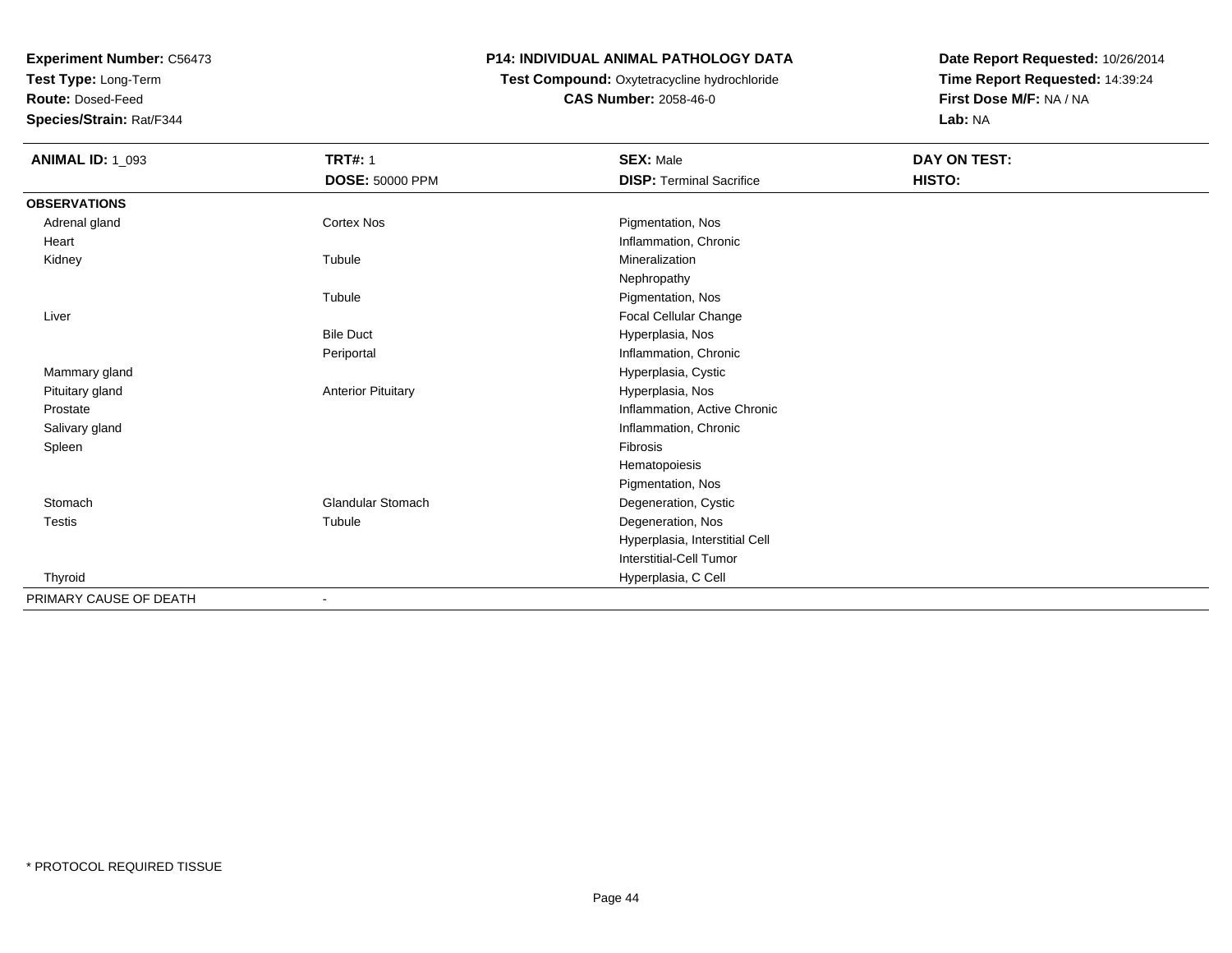**Test Type:** Long-Term

**Route:** Dosed-Feed

**Species/Strain:** Rat/F344

#### **P14: INDIVIDUAL ANIMAL PATHOLOGY DATA**

# **Test Compound:** Oxytetracycline hydrochloride**CAS Number:** 2058-46-0

| <b>ANIMAL ID: 1_093</b> | <b>TRT#: 1</b>            | <b>SEX: Male</b>                | DAY ON TEST: |  |
|-------------------------|---------------------------|---------------------------------|--------------|--|
|                         | DOSE: 50000 PPM           | <b>DISP: Terminal Sacrifice</b> | HISTO:       |  |
| <b>OBSERVATIONS</b>     |                           |                                 |              |  |
| Adrenal gland           | <b>Cortex Nos</b>         | Pigmentation, Nos               |              |  |
| Heart                   |                           | Inflammation, Chronic           |              |  |
| Kidney                  | Tubule                    | Mineralization                  |              |  |
|                         |                           | Nephropathy                     |              |  |
|                         | Tubule                    | Pigmentation, Nos               |              |  |
| Liver                   |                           | Focal Cellular Change           |              |  |
|                         | <b>Bile Duct</b>          | Hyperplasia, Nos                |              |  |
|                         | Periportal                | Inflammation, Chronic           |              |  |
| Mammary gland           |                           | Hyperplasia, Cystic             |              |  |
| Pituitary gland         | <b>Anterior Pituitary</b> | Hyperplasia, Nos                |              |  |
| Prostate                |                           | Inflammation, Active Chronic    |              |  |
| Salivary gland          |                           | Inflammation, Chronic           |              |  |
| Spleen                  |                           | Fibrosis                        |              |  |
|                         |                           | Hematopoiesis                   |              |  |
|                         |                           | Pigmentation, Nos               |              |  |
| Stomach                 | <b>Glandular Stomach</b>  | Degeneration, Cystic            |              |  |
| <b>Testis</b>           | Tubule                    | Degeneration, Nos               |              |  |
|                         |                           | Hyperplasia, Interstitial Cell  |              |  |
|                         |                           | <b>Interstitial-Cell Tumor</b>  |              |  |
| Thyroid                 |                           | Hyperplasia, C Cell             |              |  |
| PRIMARY CAUSE OF DEATH  | ۰                         |                                 |              |  |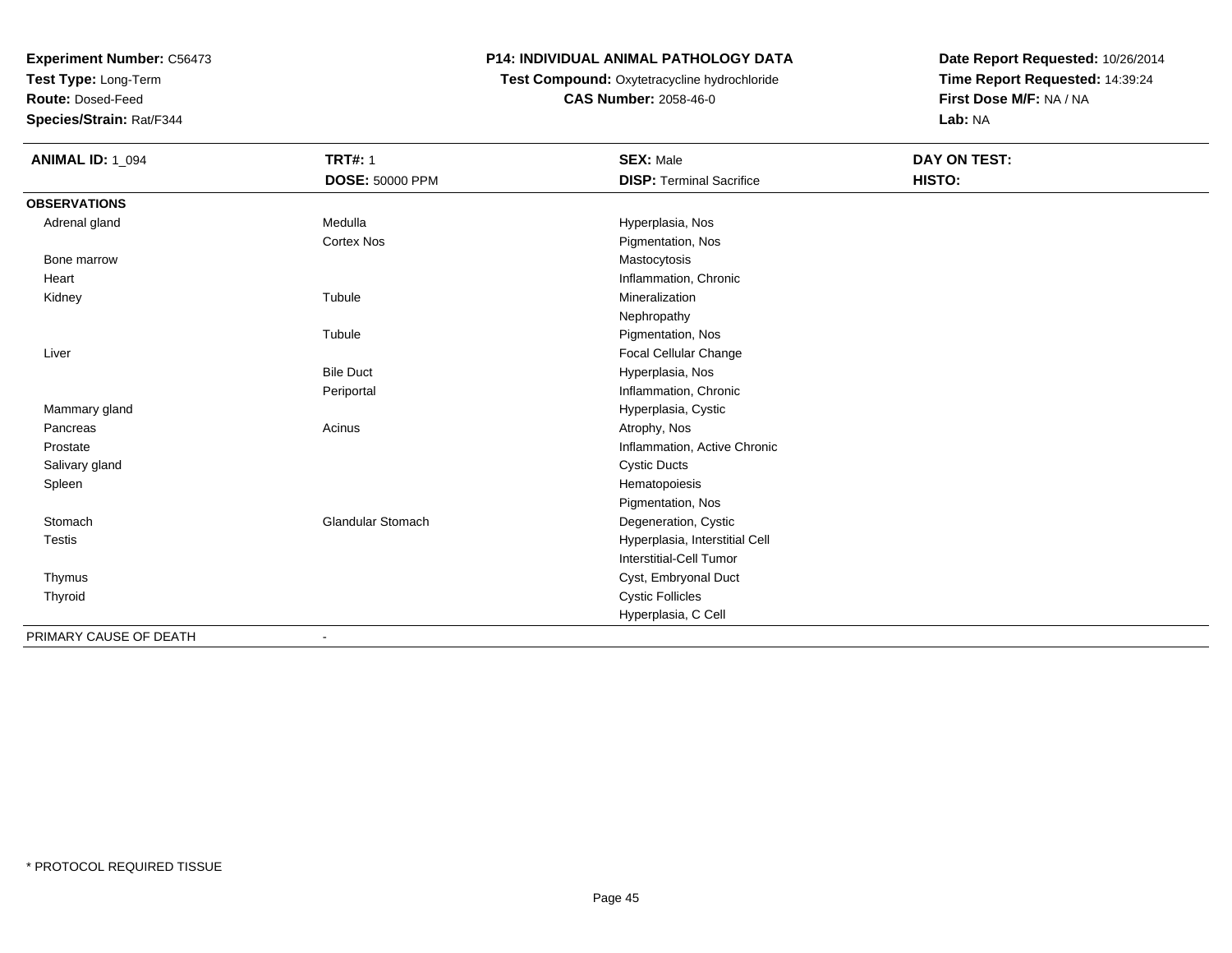**Test Type:** Long-Term

**Route:** Dosed-Feed

**Species/Strain:** Rat/F344

# **P14: INDIVIDUAL ANIMAL PATHOLOGY DATA**

# **Test Compound:** Oxytetracycline hydrochloride**CAS Number:** 2058-46-0

| <b>ANIMAL ID: 1_094</b> | <b>TRT#: 1</b>           | <b>SEX: Male</b>                | DAY ON TEST: |
|-------------------------|--------------------------|---------------------------------|--------------|
|                         | <b>DOSE: 50000 PPM</b>   | <b>DISP: Terminal Sacrifice</b> | HISTO:       |
| <b>OBSERVATIONS</b>     |                          |                                 |              |
| Adrenal gland           | Medulla                  | Hyperplasia, Nos                |              |
|                         | <b>Cortex Nos</b>        | Pigmentation, Nos               |              |
| Bone marrow             |                          | Mastocytosis                    |              |
| Heart                   |                          | Inflammation, Chronic           |              |
| Kidney                  | Tubule                   | Mineralization                  |              |
|                         |                          | Nephropathy                     |              |
|                         | Tubule                   | Pigmentation, Nos               |              |
| Liver                   |                          | Focal Cellular Change           |              |
|                         | <b>Bile Duct</b>         | Hyperplasia, Nos                |              |
|                         | Periportal               | Inflammation, Chronic           |              |
| Mammary gland           |                          | Hyperplasia, Cystic             |              |
| Pancreas                | Acinus                   | Atrophy, Nos                    |              |
| Prostate                |                          | Inflammation, Active Chronic    |              |
| Salivary gland          |                          | <b>Cystic Ducts</b>             |              |
| Spleen                  |                          | Hematopoiesis                   |              |
|                         |                          | Pigmentation, Nos               |              |
| Stomach                 | <b>Glandular Stomach</b> | Degeneration, Cystic            |              |
| <b>Testis</b>           |                          | Hyperplasia, Interstitial Cell  |              |
|                         |                          | <b>Interstitial-Cell Tumor</b>  |              |
| Thymus                  |                          | Cyst, Embryonal Duct            |              |
| Thyroid                 |                          | <b>Cystic Follicles</b>         |              |
|                         |                          | Hyperplasia, C Cell             |              |
| PRIMARY CAUSE OF DEATH  |                          |                                 |              |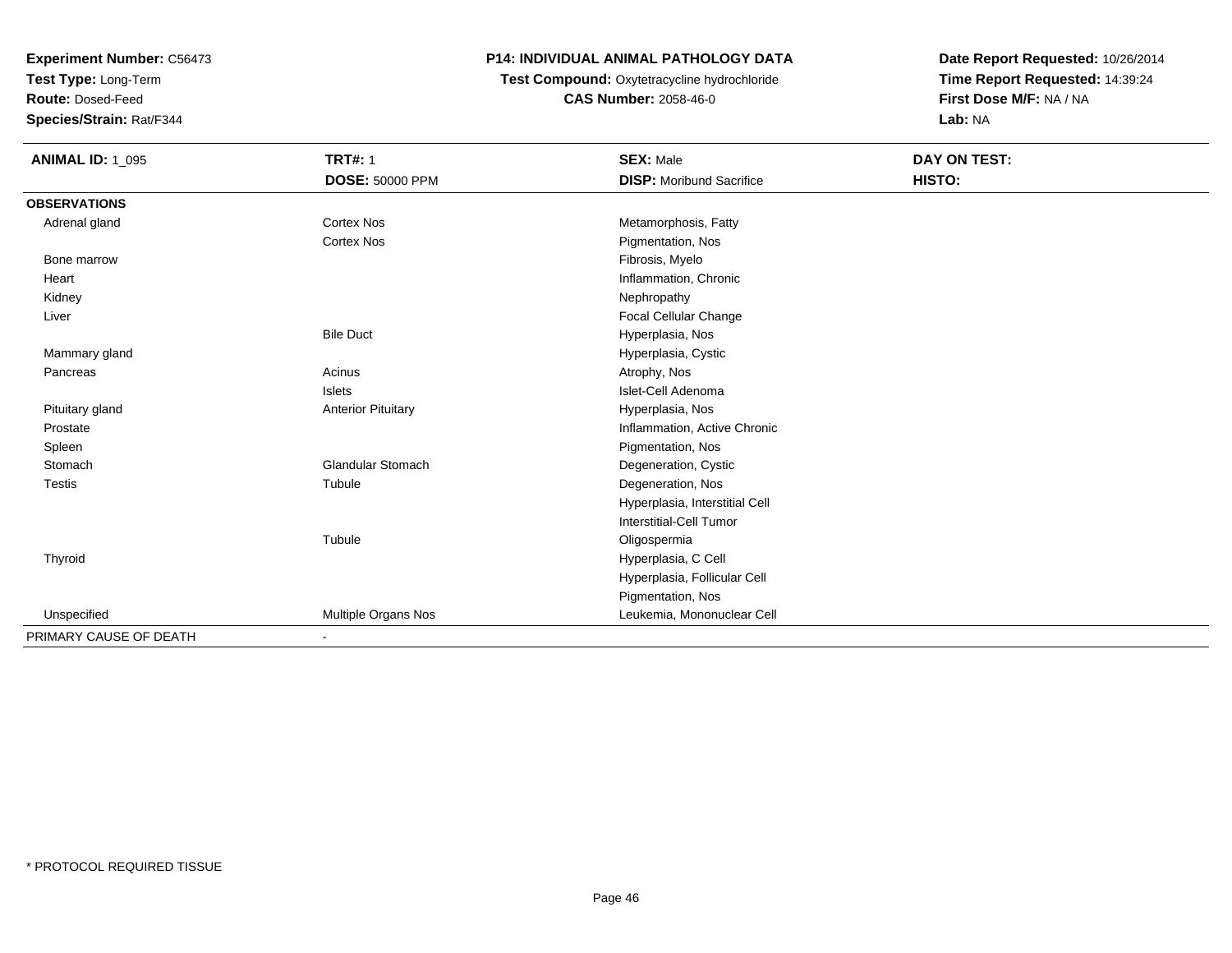**Test Type:** Long-Term

**Route:** Dosed-Feed

**Species/Strain:** Rat/F344

## **P14: INDIVIDUAL ANIMAL PATHOLOGY DATA**

# **Test Compound:** Oxytetracycline hydrochloride**CAS Number:** 2058-46-0

| <b>ANIMAL ID: 1_095</b> | <b>TRT#: 1</b>            | <b>SEX: Male</b>                | DAY ON TEST: |
|-------------------------|---------------------------|---------------------------------|--------------|
|                         | <b>DOSE: 50000 PPM</b>    | <b>DISP:</b> Moribund Sacrifice | HISTO:       |
| <b>OBSERVATIONS</b>     |                           |                                 |              |
| Adrenal gland           | <b>Cortex Nos</b>         | Metamorphosis, Fatty            |              |
|                         | Cortex Nos                | Pigmentation, Nos               |              |
| Bone marrow             |                           | Fibrosis, Myelo                 |              |
| Heart                   |                           | Inflammation, Chronic           |              |
| Kidney                  |                           | Nephropathy                     |              |
| Liver                   |                           | <b>Focal Cellular Change</b>    |              |
|                         | <b>Bile Duct</b>          | Hyperplasia, Nos                |              |
| Mammary gland           |                           | Hyperplasia, Cystic             |              |
| Pancreas                | Acinus                    | Atrophy, Nos                    |              |
|                         | Islets                    | Islet-Cell Adenoma              |              |
| Pituitary gland         | <b>Anterior Pituitary</b> | Hyperplasia, Nos                |              |
| Prostate                |                           | Inflammation, Active Chronic    |              |
| Spleen                  |                           | Pigmentation, Nos               |              |
| Stomach                 | <b>Glandular Stomach</b>  | Degeneration, Cystic            |              |
| <b>Testis</b>           | Tubule                    | Degeneration, Nos               |              |
|                         |                           | Hyperplasia, Interstitial Cell  |              |
|                         |                           | Interstitial-Cell Tumor         |              |
|                         | Tubule                    | Oligospermia                    |              |
| Thyroid                 |                           | Hyperplasia, C Cell             |              |
|                         |                           | Hyperplasia, Follicular Cell    |              |
|                         |                           | Pigmentation, Nos               |              |
| Unspecified             | Multiple Organs Nos       | Leukemia, Mononuclear Cell      |              |
| PRIMARY CAUSE OF DEATH  | $\blacksquare$            |                                 |              |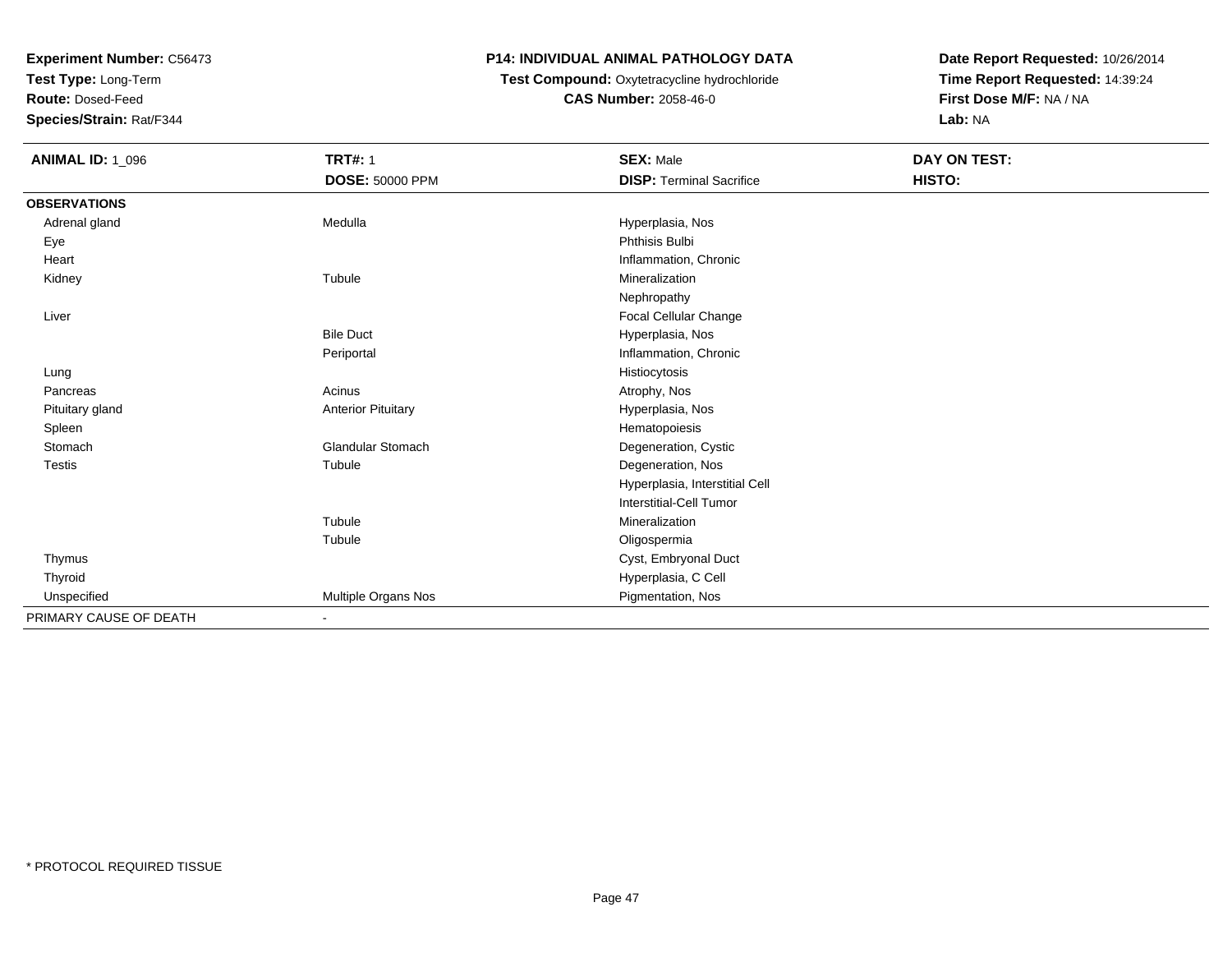**Test Type:** Long-Term

**Route:** Dosed-Feed

**Species/Strain:** Rat/F344

## **P14: INDIVIDUAL ANIMAL PATHOLOGY DATA**

# **Test Compound:** Oxytetracycline hydrochloride**CAS Number:** 2058-46-0

| <b>ANIMAL ID: 1_096</b> | <b>TRT#: 1</b>            | <b>SEX: Male</b>                | DAY ON TEST: |  |
|-------------------------|---------------------------|---------------------------------|--------------|--|
|                         | DOSE: 50000 PPM           | <b>DISP: Terminal Sacrifice</b> | HISTO:       |  |
| <b>OBSERVATIONS</b>     |                           |                                 |              |  |
| Adrenal gland           | Medulla                   | Hyperplasia, Nos                |              |  |
| Eye                     |                           | Phthisis Bulbi                  |              |  |
| Heart                   |                           | Inflammation, Chronic           |              |  |
| Kidney                  | Tubule                    | Mineralization                  |              |  |
|                         |                           | Nephropathy                     |              |  |
| Liver                   |                           | Focal Cellular Change           |              |  |
|                         | <b>Bile Duct</b>          | Hyperplasia, Nos                |              |  |
|                         | Periportal                | Inflammation, Chronic           |              |  |
| Lung                    |                           | Histiocytosis                   |              |  |
| Pancreas                | Acinus                    | Atrophy, Nos                    |              |  |
| Pituitary gland         | <b>Anterior Pituitary</b> | Hyperplasia, Nos                |              |  |
| Spleen                  |                           | Hematopoiesis                   |              |  |
| Stomach                 | <b>Glandular Stomach</b>  | Degeneration, Cystic            |              |  |
| <b>Testis</b>           | Tubule                    | Degeneration, Nos               |              |  |
|                         |                           | Hyperplasia, Interstitial Cell  |              |  |
|                         |                           | <b>Interstitial-Cell Tumor</b>  |              |  |
|                         | Tubule                    | Mineralization                  |              |  |
|                         | Tubule                    | Oligospermia                    |              |  |
| Thymus                  |                           | Cyst, Embryonal Duct            |              |  |
| Thyroid                 |                           | Hyperplasia, C Cell             |              |  |
| Unspecified             | Multiple Organs Nos       | Pigmentation, Nos               |              |  |
| PRIMARY CAUSE OF DEATH  | $\blacksquare$            |                                 |              |  |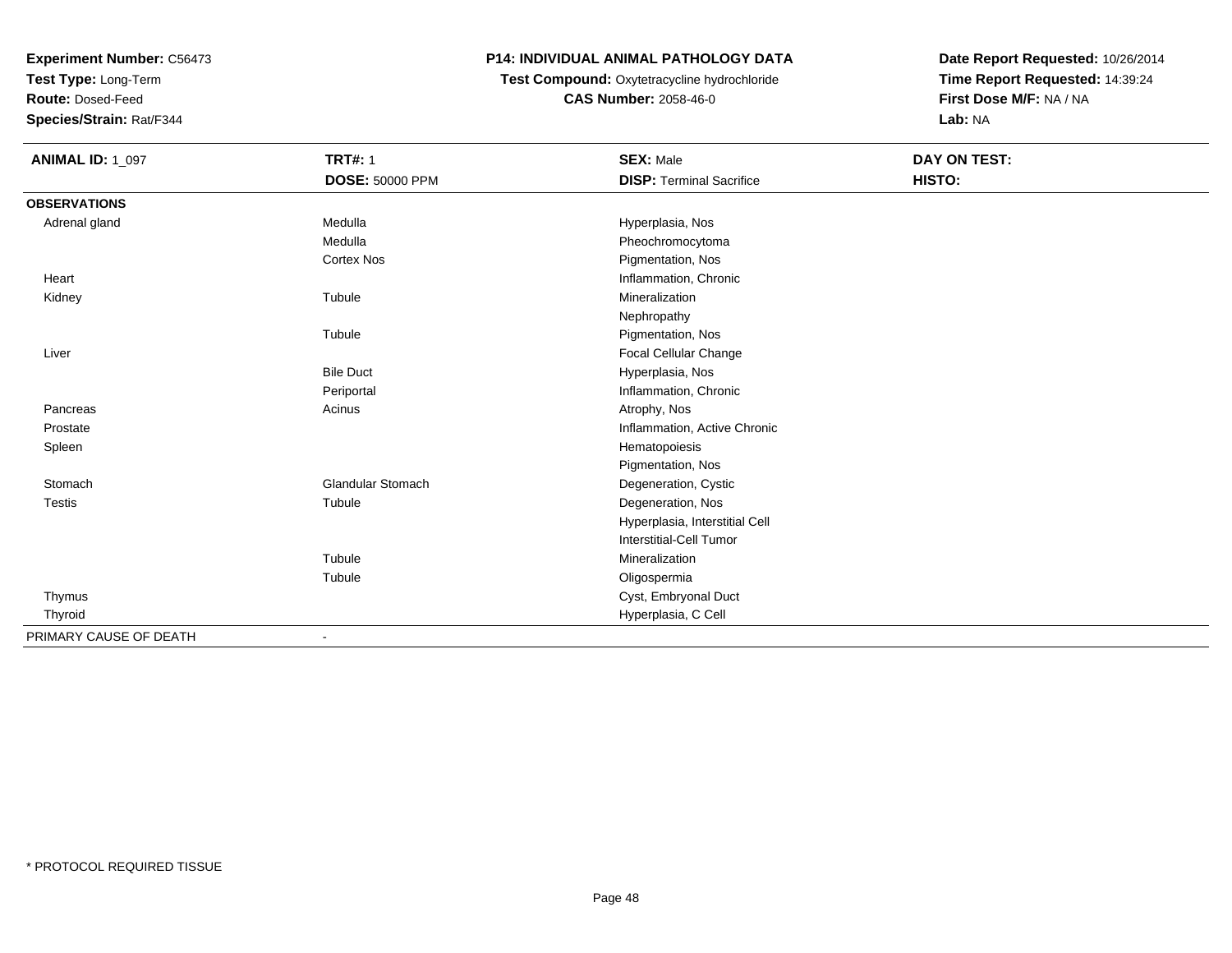**Test Type:** Long-Term

**Route:** Dosed-Feed

**Species/Strain:** Rat/F344

## **P14: INDIVIDUAL ANIMAL PATHOLOGY DATA**

# **Test Compound:** Oxytetracycline hydrochloride**CAS Number:** 2058-46-0

| <b>ANIMAL ID: 1_097</b> | <b>TRT#: 1</b>           | <b>SEX: Male</b>                | DAY ON TEST: |  |
|-------------------------|--------------------------|---------------------------------|--------------|--|
|                         | <b>DOSE: 50000 PPM</b>   | <b>DISP: Terminal Sacrifice</b> | HISTO:       |  |
| <b>OBSERVATIONS</b>     |                          |                                 |              |  |
| Adrenal gland           | Medulla                  | Hyperplasia, Nos                |              |  |
|                         | Medulla                  | Pheochromocytoma                |              |  |
|                         | <b>Cortex Nos</b>        | Pigmentation, Nos               |              |  |
| Heart                   |                          | Inflammation, Chronic           |              |  |
| Kidney                  | Tubule                   | Mineralization                  |              |  |
|                         |                          | Nephropathy                     |              |  |
|                         | Tubule                   | Pigmentation, Nos               |              |  |
| Liver                   |                          | <b>Focal Cellular Change</b>    |              |  |
|                         | <b>Bile Duct</b>         | Hyperplasia, Nos                |              |  |
|                         | Periportal               | Inflammation, Chronic           |              |  |
| Pancreas                | Acinus                   | Atrophy, Nos                    |              |  |
| Prostate                |                          | Inflammation, Active Chronic    |              |  |
| Spleen                  |                          | Hematopoiesis                   |              |  |
|                         |                          | Pigmentation, Nos               |              |  |
| Stomach                 | <b>Glandular Stomach</b> | Degeneration, Cystic            |              |  |
| Testis                  | Tubule                   | Degeneration, Nos               |              |  |
|                         |                          | Hyperplasia, Interstitial Cell  |              |  |
|                         |                          | <b>Interstitial-Cell Tumor</b>  |              |  |
|                         | Tubule                   | Mineralization                  |              |  |
|                         | Tubule                   | Oligospermia                    |              |  |
| Thymus                  |                          | Cyst, Embryonal Duct            |              |  |
| Thyroid                 |                          | Hyperplasia, C Cell             |              |  |
| PRIMARY CAUSE OF DEATH  |                          |                                 |              |  |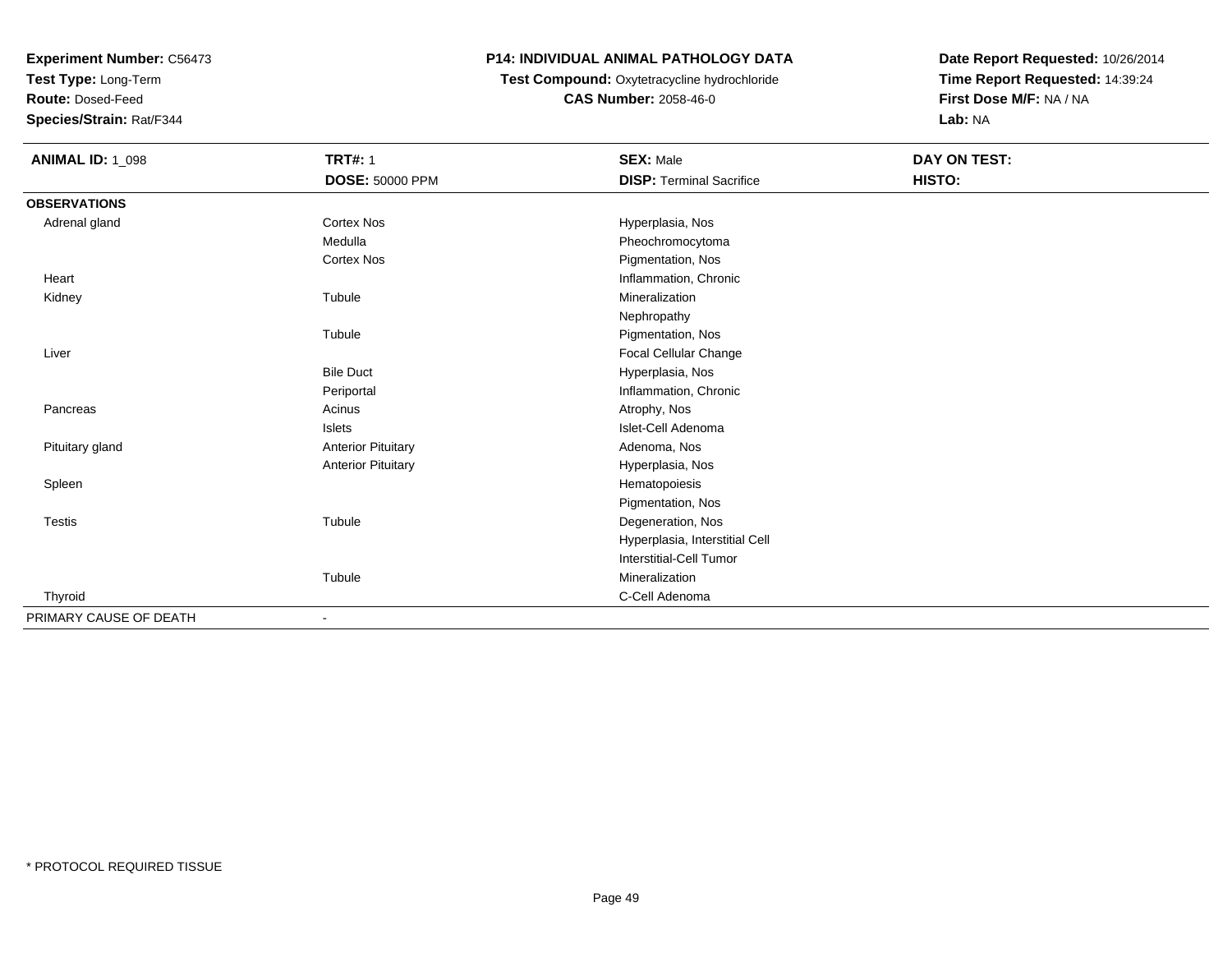**Test Type:** Long-Term

**Route:** Dosed-Feed

**Species/Strain:** Rat/F344

## **P14: INDIVIDUAL ANIMAL PATHOLOGY DATA**

### **Test Compound:** Oxytetracycline hydrochloride**CAS Number:** 2058-46-0

| <b>ANIMAL ID: 1_098</b> | <b>TRT#: 1</b>            | <b>SEX: Male</b>                | DAY ON TEST: |  |
|-------------------------|---------------------------|---------------------------------|--------------|--|
|                         | <b>DOSE: 50000 PPM</b>    | <b>DISP: Terminal Sacrifice</b> | HISTO:       |  |
| <b>OBSERVATIONS</b>     |                           |                                 |              |  |
| Adrenal gland           | <b>Cortex Nos</b>         | Hyperplasia, Nos                |              |  |
|                         | Medulla                   | Pheochromocytoma                |              |  |
|                         | <b>Cortex Nos</b>         | Pigmentation, Nos               |              |  |
| Heart                   |                           | Inflammation, Chronic           |              |  |
| Kidney                  | Tubule                    | Mineralization                  |              |  |
|                         |                           | Nephropathy                     |              |  |
|                         | Tubule                    | Pigmentation, Nos               |              |  |
| Liver                   |                           | Focal Cellular Change           |              |  |
|                         | <b>Bile Duct</b>          | Hyperplasia, Nos                |              |  |
|                         | Periportal                | Inflammation, Chronic           |              |  |
| Pancreas                | Acinus                    | Atrophy, Nos                    |              |  |
|                         | Islets                    | Islet-Cell Adenoma              |              |  |
| Pituitary gland         | <b>Anterior Pituitary</b> | Adenoma, Nos                    |              |  |
|                         | <b>Anterior Pituitary</b> | Hyperplasia, Nos                |              |  |
| Spleen                  |                           | Hematopoiesis                   |              |  |
|                         |                           | Pigmentation, Nos               |              |  |
| <b>Testis</b>           | Tubule                    | Degeneration, Nos               |              |  |
|                         |                           | Hyperplasia, Interstitial Cell  |              |  |
|                         |                           | <b>Interstitial-Cell Tumor</b>  |              |  |
|                         | Tubule                    | Mineralization                  |              |  |
| Thyroid                 |                           | C-Cell Adenoma                  |              |  |
| PRIMARY CAUSE OF DEATH  | $\blacksquare$            |                                 |              |  |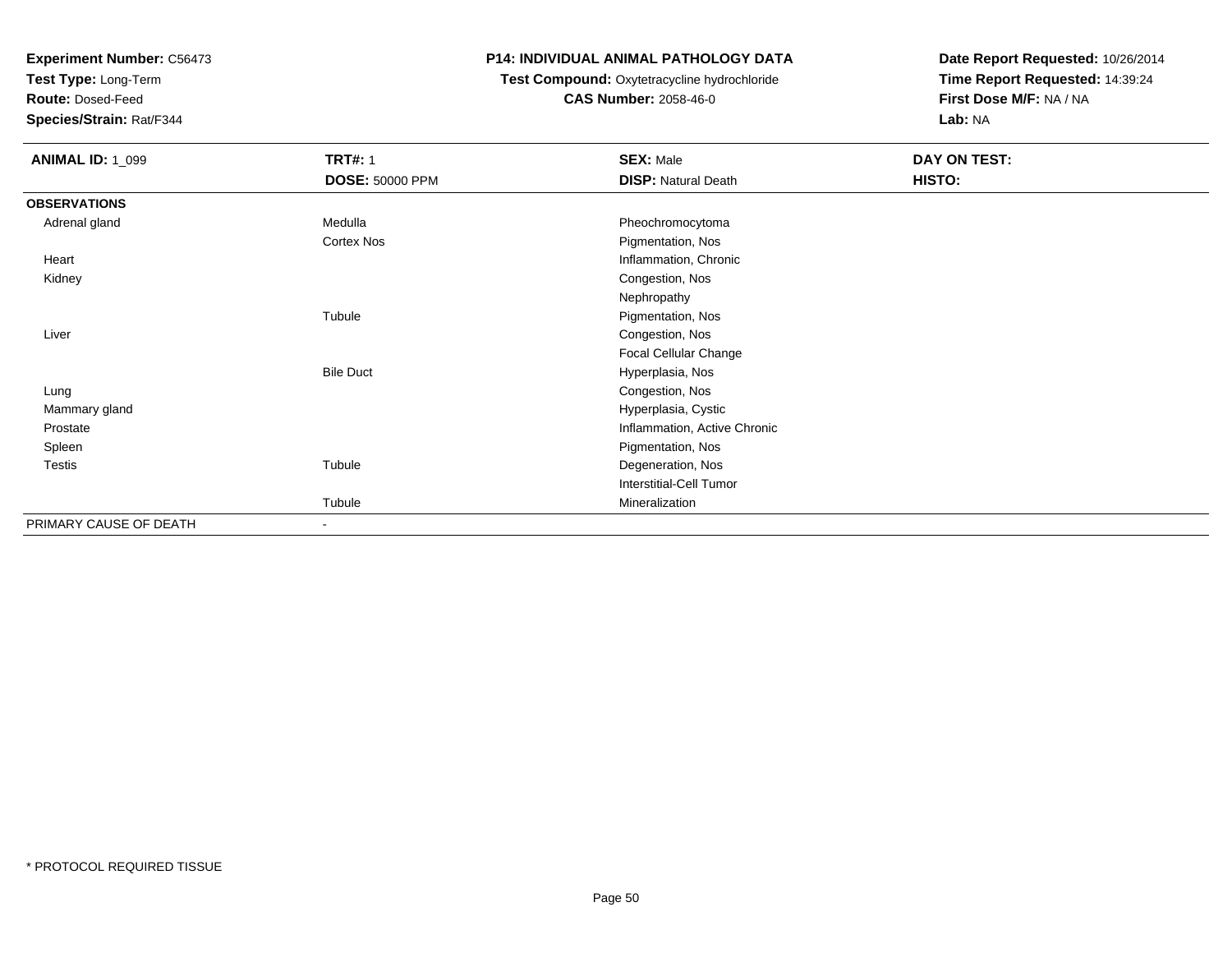**Test Type:** Long-Term

**Route:** Dosed-Feed

**Species/Strain:** Rat/F344

## **P14: INDIVIDUAL ANIMAL PATHOLOGY DATA**

#### **Test Compound:** Oxytetracycline hydrochloride**CAS Number:** 2058-46-0

| <b>ANIMAL ID: 1_099</b> | <b>TRT#: 1</b>           | <b>SEX: Male</b>             | DAY ON TEST: |  |
|-------------------------|--------------------------|------------------------------|--------------|--|
|                         | <b>DOSE: 50000 PPM</b>   | <b>DISP: Natural Death</b>   | HISTO:       |  |
| <b>OBSERVATIONS</b>     |                          |                              |              |  |
| Adrenal gland           | Medulla                  | Pheochromocytoma             |              |  |
|                         | Cortex Nos               | Pigmentation, Nos            |              |  |
| Heart                   |                          | Inflammation, Chronic        |              |  |
| Kidney                  |                          | Congestion, Nos              |              |  |
|                         |                          | Nephropathy                  |              |  |
|                         | Tubule                   | Pigmentation, Nos            |              |  |
| Liver                   |                          | Congestion, Nos              |              |  |
|                         |                          | Focal Cellular Change        |              |  |
|                         | <b>Bile Duct</b>         | Hyperplasia, Nos             |              |  |
| Lung                    |                          | Congestion, Nos              |              |  |
| Mammary gland           |                          | Hyperplasia, Cystic          |              |  |
| Prostate                |                          | Inflammation, Active Chronic |              |  |
| Spleen                  |                          | Pigmentation, Nos            |              |  |
| Testis                  | Tubule                   | Degeneration, Nos            |              |  |
|                         |                          | Interstitial-Cell Tumor      |              |  |
|                         | Tubule                   | Mineralization               |              |  |
| PRIMARY CAUSE OF DEATH  | $\overline{\phantom{a}}$ |                              |              |  |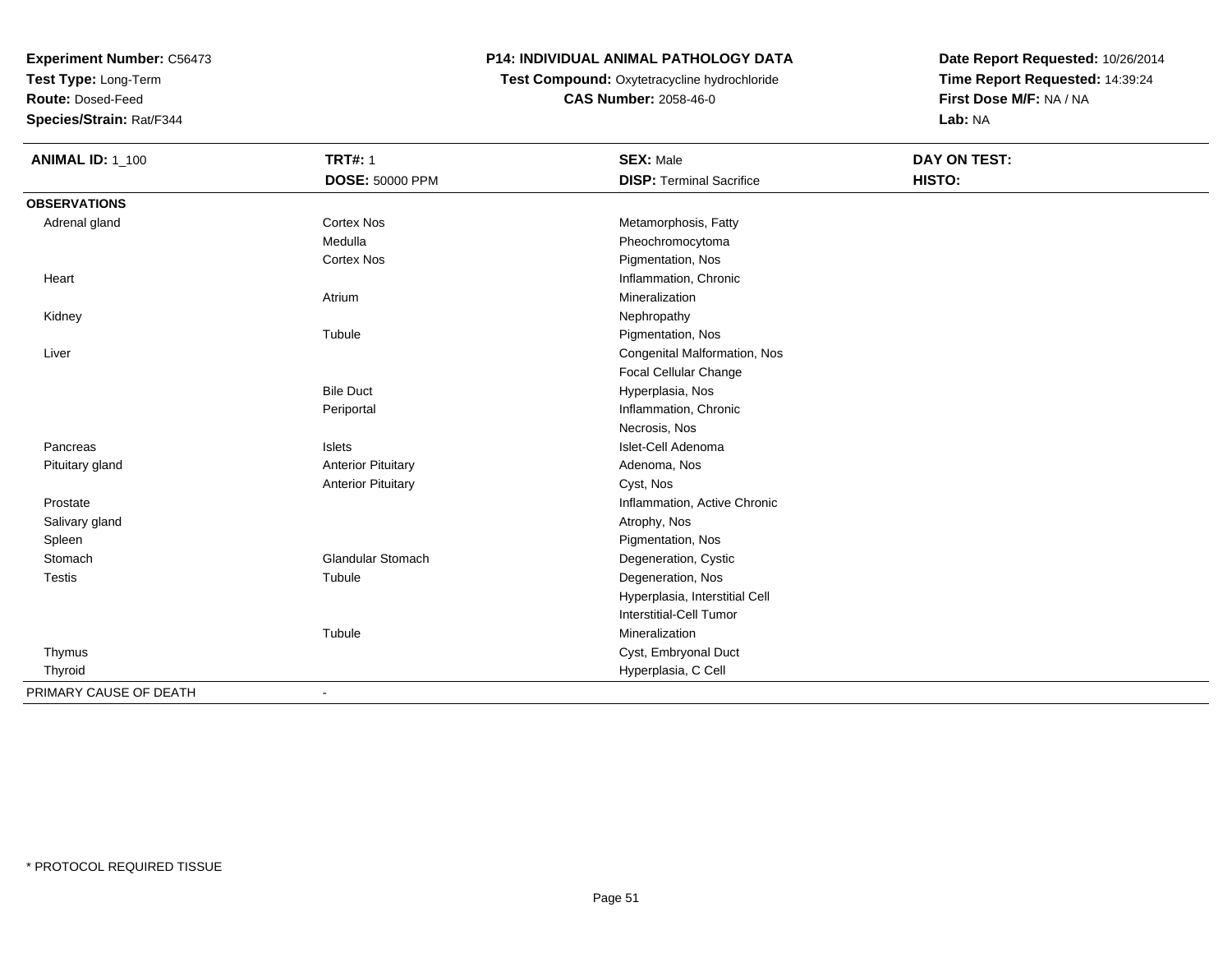**Test Type:** Long-Term

**Route:** Dosed-Feed

**Species/Strain:** Rat/F344

# **P14: INDIVIDUAL ANIMAL PATHOLOGY DATA**

 **Test Compound:** Oxytetracycline hydrochloride**CAS Number:** 2058-46-0

| <b>ANIMAL ID: 1_100</b> | <b>TRT#: 1</b>            | <b>SEX: Male</b>                | DAY ON TEST: |  |
|-------------------------|---------------------------|---------------------------------|--------------|--|
|                         | DOSE: 50000 PPM           | <b>DISP: Terminal Sacrifice</b> | HISTO:       |  |
| <b>OBSERVATIONS</b>     |                           |                                 |              |  |
| Adrenal gland           | <b>Cortex Nos</b>         | Metamorphosis, Fatty            |              |  |
|                         | Medulla                   | Pheochromocytoma                |              |  |
|                         | <b>Cortex Nos</b>         | Pigmentation, Nos               |              |  |
| Heart                   |                           | Inflammation, Chronic           |              |  |
|                         | Atrium                    | Mineralization                  |              |  |
| Kidney                  |                           | Nephropathy                     |              |  |
|                         | Tubule                    | Pigmentation, Nos               |              |  |
| Liver                   |                           | Congenital Malformation, Nos    |              |  |
|                         |                           | Focal Cellular Change           |              |  |
|                         | <b>Bile Duct</b>          | Hyperplasia, Nos                |              |  |
|                         | Periportal                | Inflammation, Chronic           |              |  |
|                         |                           | Necrosis, Nos                   |              |  |
| Pancreas                | Islets                    | Islet-Cell Adenoma              |              |  |
| Pituitary gland         | <b>Anterior Pituitary</b> | Adenoma, Nos                    |              |  |
|                         | <b>Anterior Pituitary</b> | Cyst, Nos                       |              |  |
| Prostate                |                           | Inflammation, Active Chronic    |              |  |
| Salivary gland          |                           | Atrophy, Nos                    |              |  |
| Spleen                  |                           | Pigmentation, Nos               |              |  |
| Stomach                 | <b>Glandular Stomach</b>  | Degeneration, Cystic            |              |  |
| Testis                  | Tubule                    | Degeneration, Nos               |              |  |
|                         |                           | Hyperplasia, Interstitial Cell  |              |  |
|                         |                           | Interstitial-Cell Tumor         |              |  |
|                         | Tubule                    | Mineralization                  |              |  |
| Thymus                  |                           | Cyst, Embryonal Duct            |              |  |
| Thyroid                 |                           | Hyperplasia, C Cell             |              |  |
| PRIMARY CAUSE OF DEATH  |                           |                                 |              |  |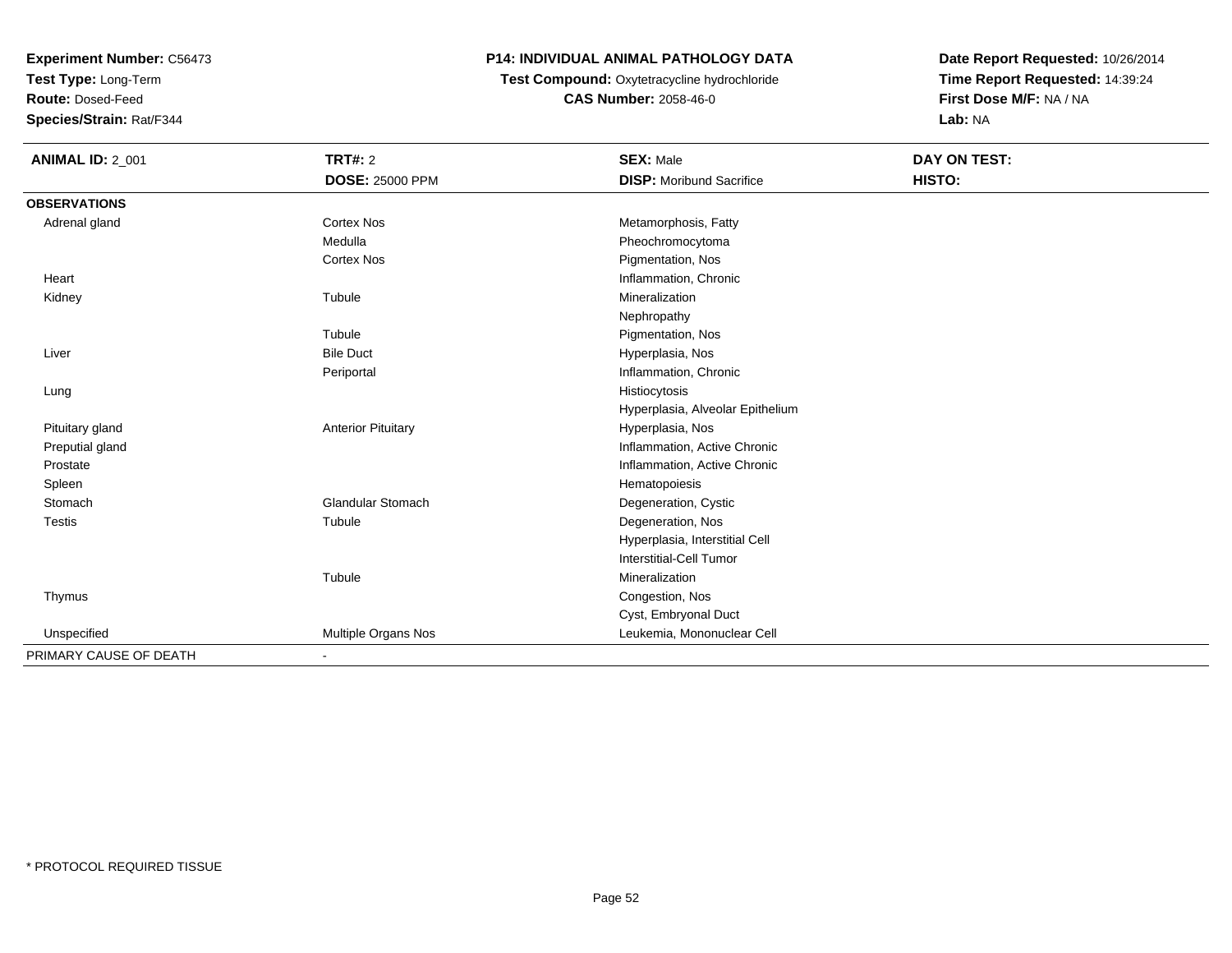**Test Type:** Long-Term

**Route:** Dosed-Feed

**Species/Strain:** Rat/F344

## **P14: INDIVIDUAL ANIMAL PATHOLOGY DATA**

# **Test Compound:** Oxytetracycline hydrochloride**CAS Number:** 2058-46-0

| <b>ANIMAL ID: 2_001</b> | <b>TRT#: 2</b>               | <b>SEX: Male</b>                 | DAY ON TEST: |
|-------------------------|------------------------------|----------------------------------|--------------|
|                         | <b>DOSE: 25000 PPM</b>       | <b>DISP:</b> Moribund Sacrifice  | HISTO:       |
| <b>OBSERVATIONS</b>     |                              |                                  |              |
| Adrenal gland           | Cortex Nos                   | Metamorphosis, Fatty             |              |
|                         | Medulla                      | Pheochromocytoma                 |              |
|                         | <b>Cortex Nos</b>            | Pigmentation, Nos                |              |
| Heart                   |                              | Inflammation, Chronic            |              |
| Kidney                  | Tubule                       | Mineralization                   |              |
|                         |                              | Nephropathy                      |              |
|                         | Tubule                       | Pigmentation, Nos                |              |
| Liver                   | <b>Bile Duct</b>             | Hyperplasia, Nos                 |              |
|                         | Periportal                   | Inflammation, Chronic            |              |
| Lung                    |                              | Histiocytosis                    |              |
|                         |                              | Hyperplasia, Alveolar Epithelium |              |
| Pituitary gland         | <b>Anterior Pituitary</b>    | Hyperplasia, Nos                 |              |
| Preputial gland         |                              | Inflammation, Active Chronic     |              |
| Prostate                |                              | Inflammation, Active Chronic     |              |
| Spleen                  |                              | Hematopoiesis                    |              |
| Stomach                 | <b>Glandular Stomach</b>     | Degeneration, Cystic             |              |
| <b>Testis</b>           | Tubule                       | Degeneration, Nos                |              |
|                         |                              | Hyperplasia, Interstitial Cell   |              |
|                         |                              | Interstitial-Cell Tumor          |              |
|                         | Tubule                       | Mineralization                   |              |
| Thymus                  |                              | Congestion, Nos                  |              |
|                         |                              | Cyst, Embryonal Duct             |              |
| Unspecified             | Multiple Organs Nos          | Leukemia, Mononuclear Cell       |              |
| PRIMARY CAUSE OF DEATH  | $\qquad \qquad \blacksquare$ |                                  |              |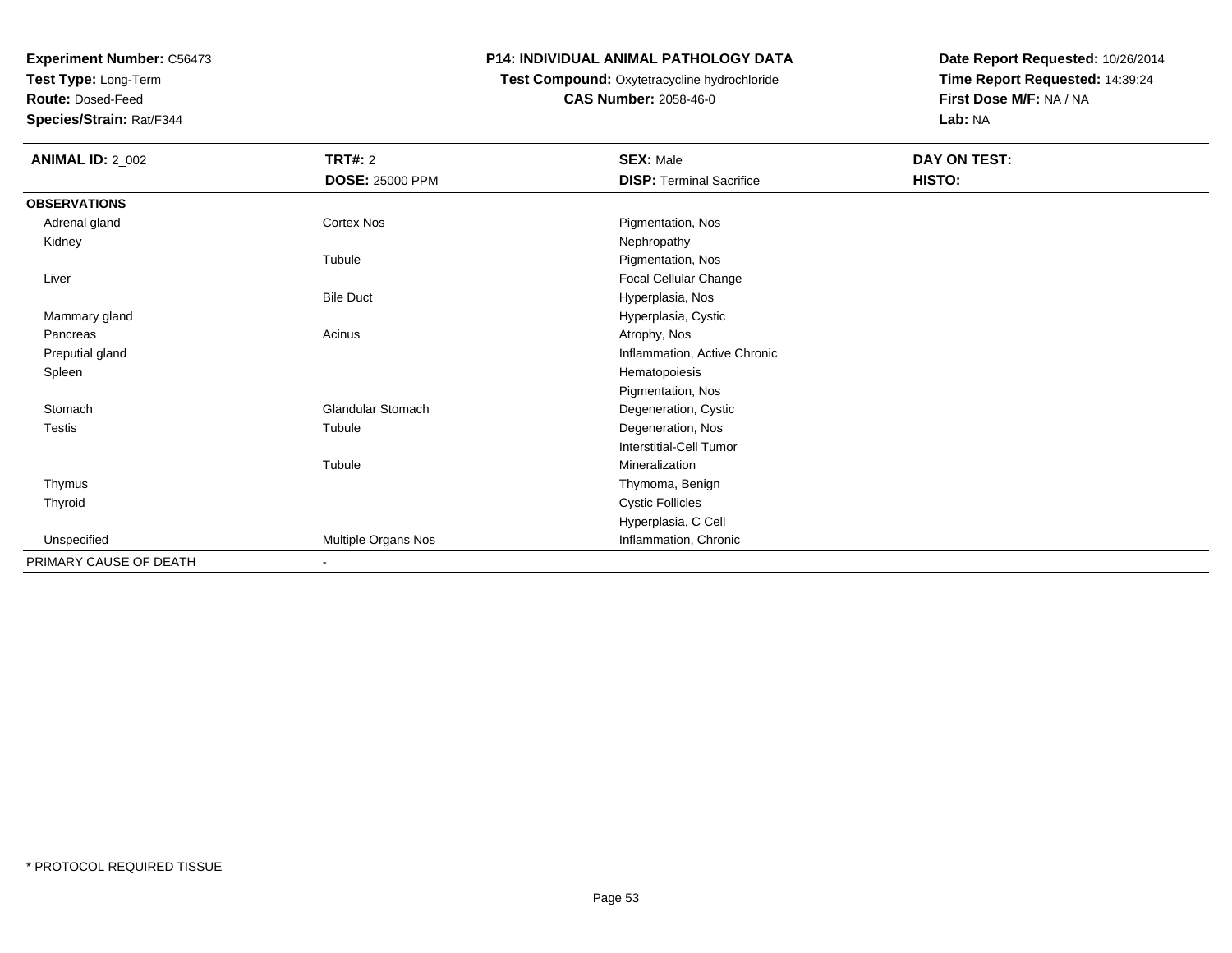**Test Type:** Long-Term

**Route:** Dosed-Feed

**Species/Strain:** Rat/F344

#### **P14: INDIVIDUAL ANIMAL PATHOLOGY DATA**

# **Test Compound:** Oxytetracycline hydrochloride**CAS Number:** 2058-46-0

| <b>ANIMAL ID: 2_002</b> | TRT#: 2<br><b>DOSE: 25000 PPM</b> | <b>SEX: Male</b><br><b>DISP: Terminal Sacrifice</b> | DAY ON TEST:<br>HISTO: |
|-------------------------|-----------------------------------|-----------------------------------------------------|------------------------|
| <b>OBSERVATIONS</b>     |                                   |                                                     |                        |
| Adrenal gland           | Cortex Nos                        | Pigmentation, Nos                                   |                        |
| Kidney                  |                                   | Nephropathy                                         |                        |
|                         | Tubule                            | Pigmentation, Nos                                   |                        |
| Liver                   |                                   | Focal Cellular Change                               |                        |
|                         | <b>Bile Duct</b>                  | Hyperplasia, Nos                                    |                        |
| Mammary gland           |                                   | Hyperplasia, Cystic                                 |                        |
| Pancreas                | Acinus                            | Atrophy, Nos                                        |                        |
| Preputial gland         |                                   | Inflammation, Active Chronic                        |                        |
| Spleen                  |                                   | Hematopoiesis                                       |                        |
|                         |                                   | Pigmentation, Nos                                   |                        |
| Stomach                 | <b>Glandular Stomach</b>          | Degeneration, Cystic                                |                        |
| Testis                  | Tubule                            | Degeneration, Nos                                   |                        |
|                         |                                   | Interstitial-Cell Tumor                             |                        |
|                         | Tubule                            | Mineralization                                      |                        |
| Thymus                  |                                   | Thymoma, Benign                                     |                        |
| Thyroid                 |                                   | <b>Cystic Follicles</b>                             |                        |
|                         |                                   | Hyperplasia, C Cell                                 |                        |
| Unspecified             | Multiple Organs Nos               | Inflammation, Chronic                               |                        |
| PRIMARY CAUSE OF DEATH  | $\overline{\phantom{a}}$          |                                                     |                        |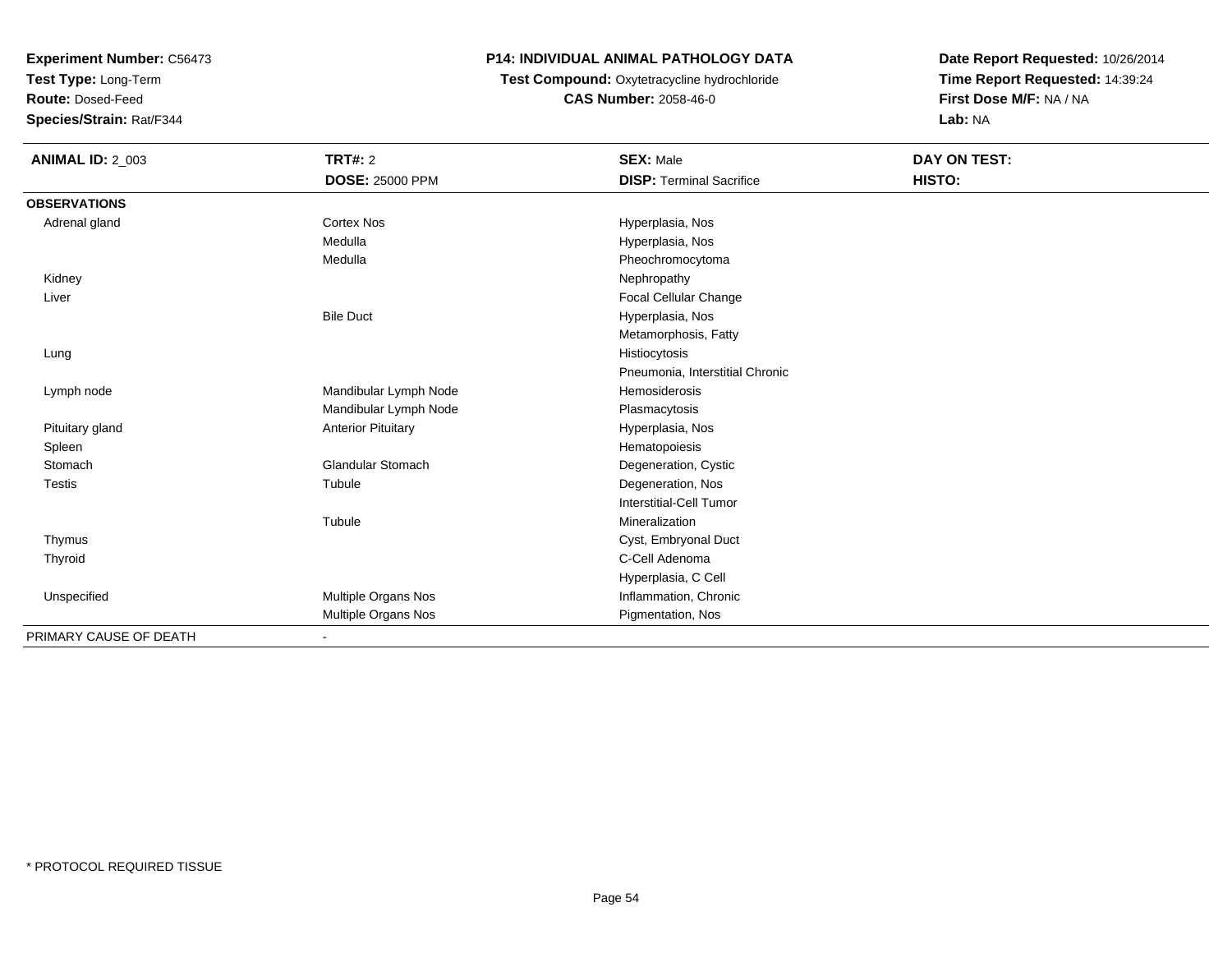**Test Type:** Long-Term

**Route:** Dosed-Feed

**Species/Strain:** Rat/F344

#### **P14: INDIVIDUAL ANIMAL PATHOLOGY DATA**

**Test Compound:** Oxytetracycline hydrochloride**CAS Number:** 2058-46-0

| <b>ANIMAL ID: 2_003</b> | TRT#: 2                   | <b>SEX: Male</b>                | DAY ON TEST: |  |
|-------------------------|---------------------------|---------------------------------|--------------|--|
|                         | <b>DOSE: 25000 PPM</b>    | <b>DISP: Terminal Sacrifice</b> | HISTO:       |  |
| <b>OBSERVATIONS</b>     |                           |                                 |              |  |
| Adrenal gland           | <b>Cortex Nos</b>         | Hyperplasia, Nos                |              |  |
|                         | Medulla                   | Hyperplasia, Nos                |              |  |
|                         | Medulla                   | Pheochromocytoma                |              |  |
| Kidney                  |                           | Nephropathy                     |              |  |
| Liver                   |                           | Focal Cellular Change           |              |  |
|                         | <b>Bile Duct</b>          | Hyperplasia, Nos                |              |  |
|                         |                           | Metamorphosis, Fatty            |              |  |
| Lung                    |                           | Histiocytosis                   |              |  |
|                         |                           | Pneumonia, Interstitial Chronic |              |  |
| Lymph node              | Mandibular Lymph Node     | Hemosiderosis                   |              |  |
|                         | Mandibular Lymph Node     | Plasmacytosis                   |              |  |
| Pituitary gland         | <b>Anterior Pituitary</b> | Hyperplasia, Nos                |              |  |
| Spleen                  |                           | Hematopoiesis                   |              |  |
| Stomach                 | <b>Glandular Stomach</b>  | Degeneration, Cystic            |              |  |
| <b>Testis</b>           | Tubule                    | Degeneration, Nos               |              |  |
|                         |                           | <b>Interstitial-Cell Tumor</b>  |              |  |
|                         | Tubule                    | Mineralization                  |              |  |
| Thymus                  |                           | Cyst, Embryonal Duct            |              |  |
| Thyroid                 |                           | C-Cell Adenoma                  |              |  |
|                         |                           | Hyperplasia, C Cell             |              |  |
| Unspecified             | Multiple Organs Nos       | Inflammation, Chronic           |              |  |
|                         | Multiple Organs Nos       | Pigmentation, Nos               |              |  |
| PRIMARY CAUSE OF DEATH  | ۰                         |                                 |              |  |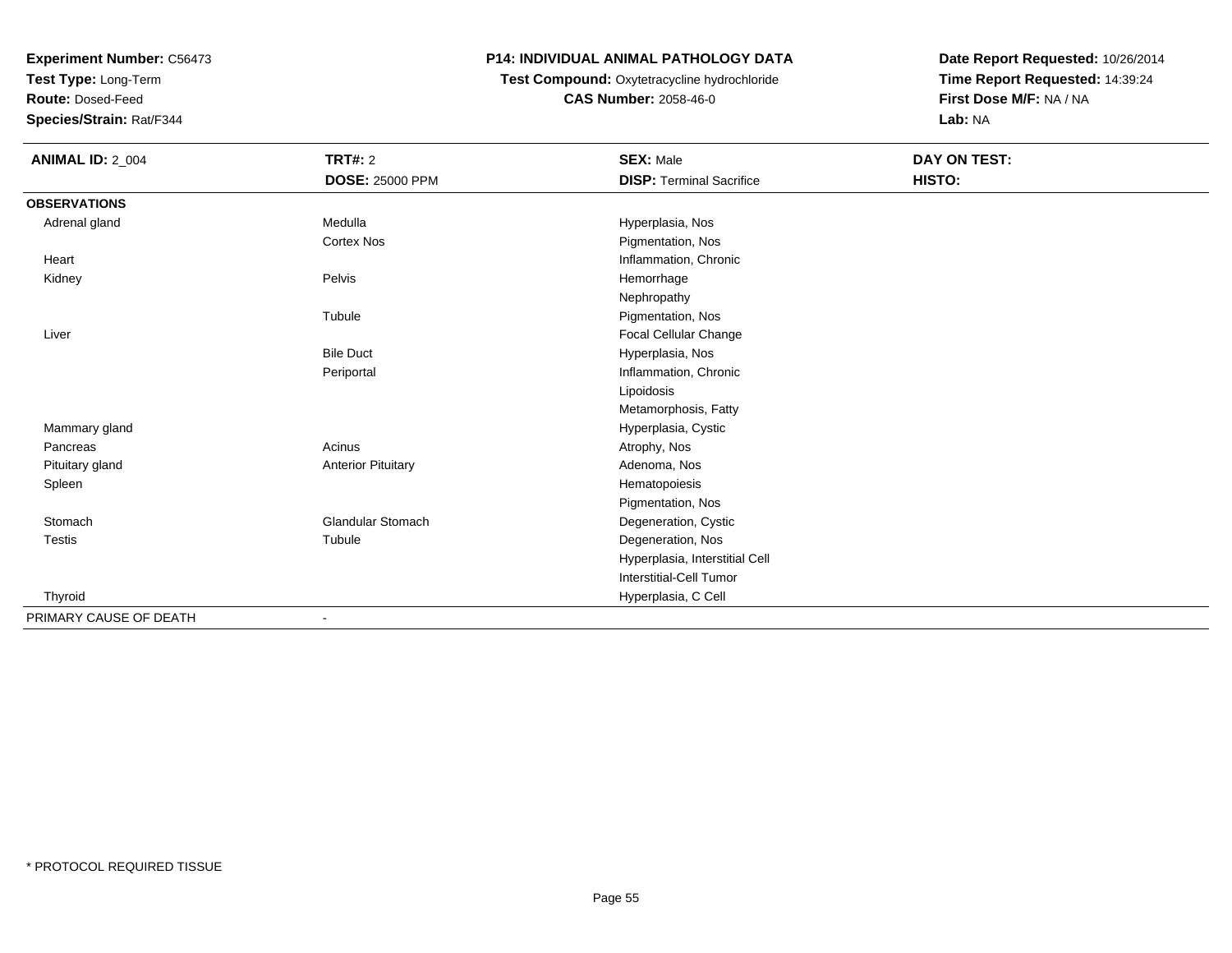**Test Type:** Long-Term

**Route:** Dosed-Feed

**Species/Strain:** Rat/F344

## **P14: INDIVIDUAL ANIMAL PATHOLOGY DATA**

## **Test Compound:** Oxytetracycline hydrochloride**CAS Number:** 2058-46-0

| <b>ANIMAL ID: 2_004</b> | TRT#: 2                   | <b>SEX: Male</b>                | DAY ON TEST: |  |
|-------------------------|---------------------------|---------------------------------|--------------|--|
|                         | <b>DOSE: 25000 PPM</b>    | <b>DISP: Terminal Sacrifice</b> | HISTO:       |  |
| <b>OBSERVATIONS</b>     |                           |                                 |              |  |
| Adrenal gland           | Medulla                   | Hyperplasia, Nos                |              |  |
|                         | <b>Cortex Nos</b>         | Pigmentation, Nos               |              |  |
| Heart                   |                           | Inflammation, Chronic           |              |  |
| Kidney                  | Pelvis                    | Hemorrhage                      |              |  |
|                         |                           | Nephropathy                     |              |  |
|                         | Tubule                    | Pigmentation, Nos               |              |  |
| Liver                   |                           | Focal Cellular Change           |              |  |
|                         | <b>Bile Duct</b>          | Hyperplasia, Nos                |              |  |
|                         | Periportal                | Inflammation, Chronic           |              |  |
|                         |                           | Lipoidosis                      |              |  |
|                         |                           | Metamorphosis, Fatty            |              |  |
| Mammary gland           |                           | Hyperplasia, Cystic             |              |  |
| Pancreas                | Acinus                    | Atrophy, Nos                    |              |  |
| Pituitary gland         | <b>Anterior Pituitary</b> | Adenoma, Nos                    |              |  |
| Spleen                  |                           | Hematopoiesis                   |              |  |
|                         |                           | Pigmentation, Nos               |              |  |
| Stomach                 | Glandular Stomach         | Degeneration, Cystic            |              |  |
| <b>Testis</b>           | Tubule                    | Degeneration, Nos               |              |  |
|                         |                           | Hyperplasia, Interstitial Cell  |              |  |
|                         |                           | Interstitial-Cell Tumor         |              |  |
| Thyroid                 |                           | Hyperplasia, C Cell             |              |  |
| PRIMARY CAUSE OF DEATH  | $\blacksquare$            |                                 |              |  |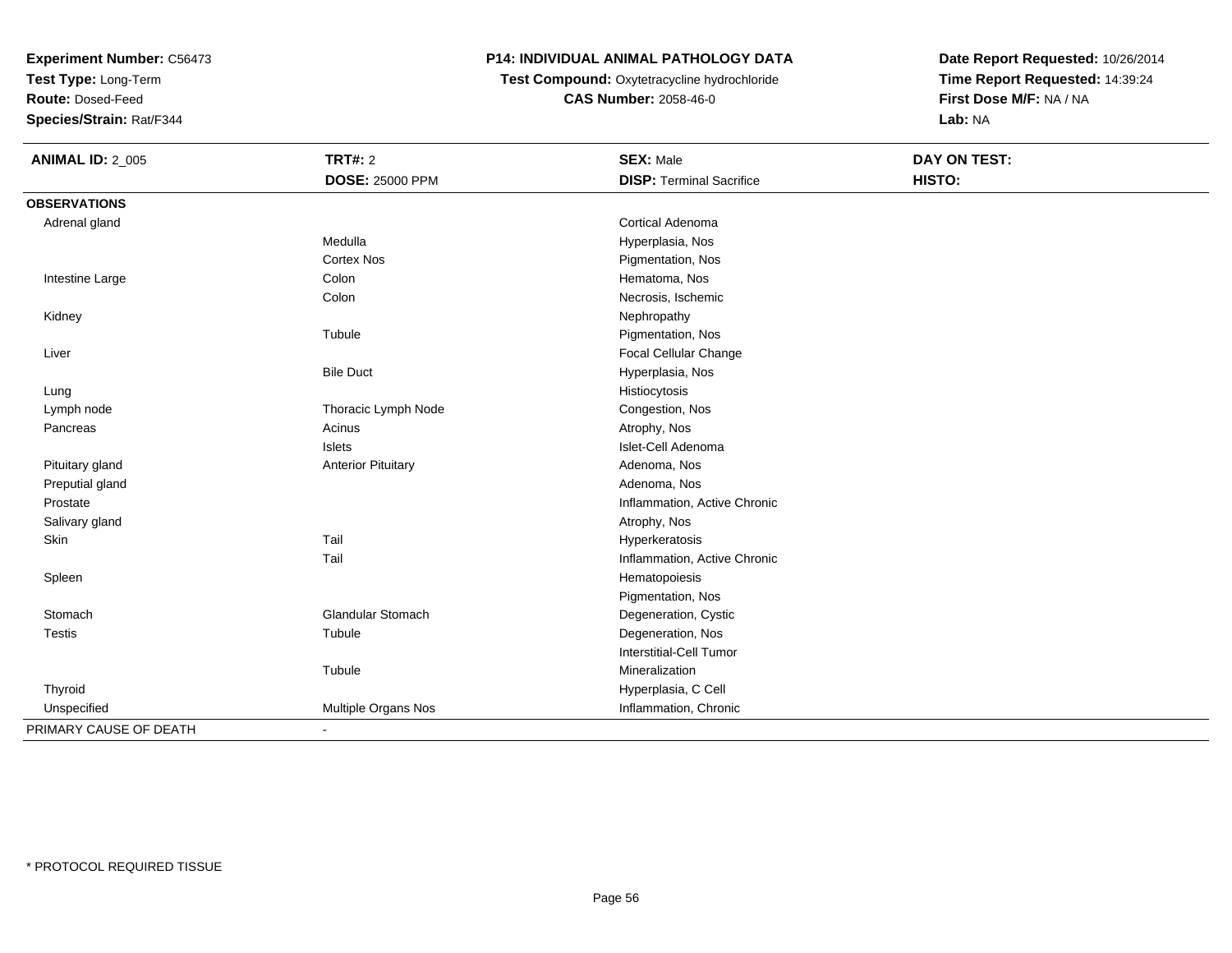**Test Type:** Long-Term

**Route:** Dosed-Feed

**Species/Strain:** Rat/F344

# **P14: INDIVIDUAL ANIMAL PATHOLOGY DATA**

 **Test Compound:** Oxytetracycline hydrochloride**CAS Number:** 2058-46-0

| <b>ANIMAL ID: 2_005</b> | <b>TRT#: 2</b>            | <b>SEX: Male</b>                | DAY ON TEST: |  |
|-------------------------|---------------------------|---------------------------------|--------------|--|
|                         | <b>DOSE: 25000 PPM</b>    | <b>DISP: Terminal Sacrifice</b> | HISTO:       |  |
| <b>OBSERVATIONS</b>     |                           |                                 |              |  |
| Adrenal gland           |                           | Cortical Adenoma                |              |  |
|                         | Medulla                   | Hyperplasia, Nos                |              |  |
|                         | <b>Cortex Nos</b>         | Pigmentation, Nos               |              |  |
| Intestine Large         | Colon                     | Hematoma, Nos                   |              |  |
|                         | Colon                     | Necrosis, Ischemic              |              |  |
| Kidney                  |                           | Nephropathy                     |              |  |
|                         | Tubule                    | Pigmentation, Nos               |              |  |
| Liver                   |                           | Focal Cellular Change           |              |  |
|                         | <b>Bile Duct</b>          | Hyperplasia, Nos                |              |  |
| Lung                    |                           | Histiocytosis                   |              |  |
| Lymph node              | Thoracic Lymph Node       | Congestion, Nos                 |              |  |
| Pancreas                | Acinus                    | Atrophy, Nos                    |              |  |
|                         | <b>Islets</b>             | Islet-Cell Adenoma              |              |  |
| Pituitary gland         | <b>Anterior Pituitary</b> | Adenoma, Nos                    |              |  |
| Preputial gland         |                           | Adenoma, Nos                    |              |  |
| Prostate                |                           | Inflammation, Active Chronic    |              |  |
| Salivary gland          |                           | Atrophy, Nos                    |              |  |
| Skin                    | Tail                      | Hyperkeratosis                  |              |  |
|                         | Tail                      | Inflammation, Active Chronic    |              |  |
| Spleen                  |                           | Hematopoiesis                   |              |  |
|                         |                           | Pigmentation, Nos               |              |  |
| Stomach                 | Glandular Stomach         | Degeneration, Cystic            |              |  |
| Testis                  | Tubule                    | Degeneration, Nos               |              |  |
|                         |                           | <b>Interstitial-Cell Tumor</b>  |              |  |
|                         | Tubule                    | Mineralization                  |              |  |
| Thyroid                 |                           | Hyperplasia, C Cell             |              |  |
| Unspecified             | Multiple Organs Nos       | Inflammation, Chronic           |              |  |
| PRIMARY CAUSE OF DEATH  | $\blacksquare$            |                                 |              |  |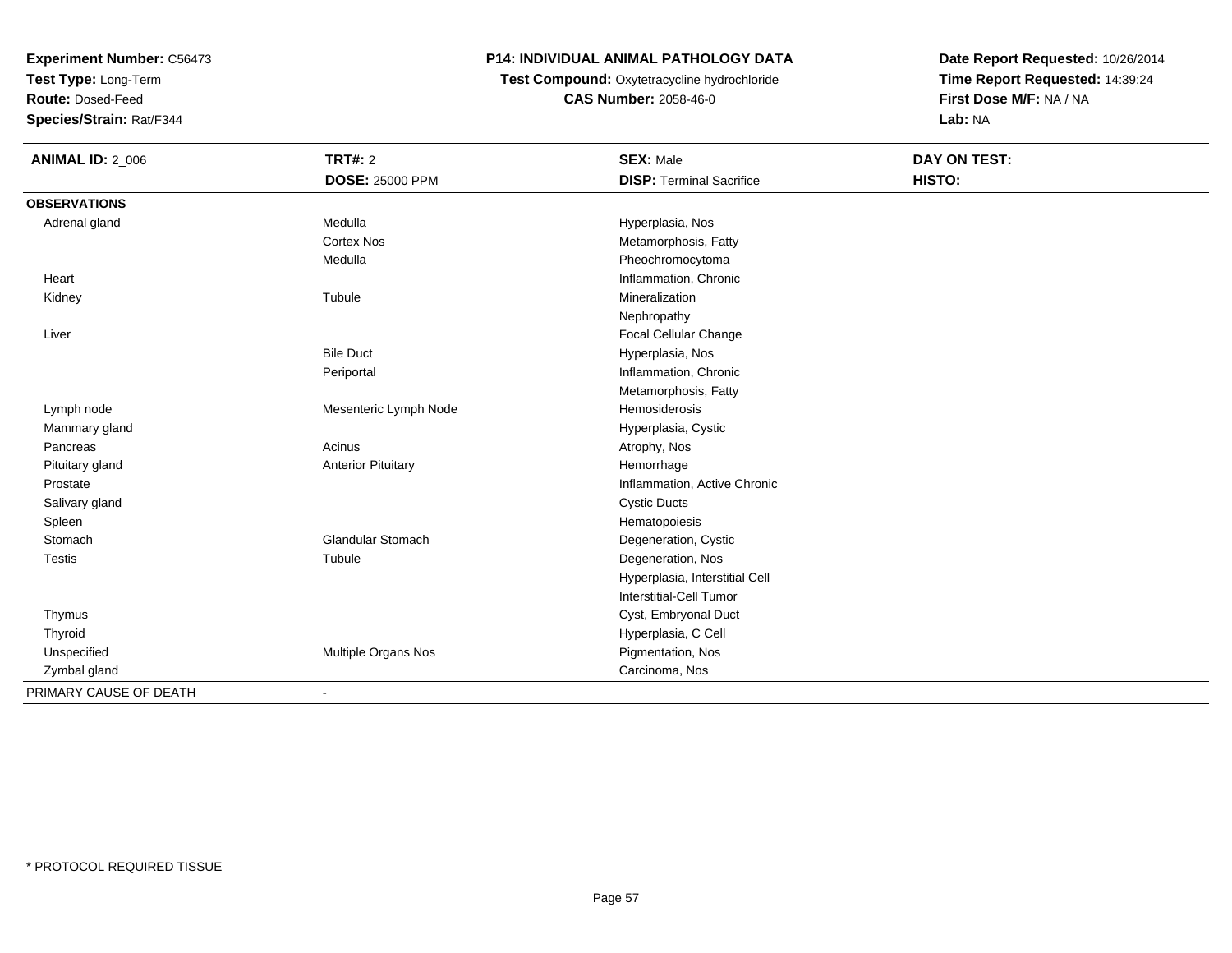**Test Type:** Long-Term

**Route:** Dosed-Feed

**Species/Strain:** Rat/F344

# **P14: INDIVIDUAL ANIMAL PATHOLOGY DATA**

 **Test Compound:** Oxytetracycline hydrochloride**CAS Number:** 2058-46-0

| <b>ANIMAL ID: 2_006</b> | <b>TRT#: 2</b>            | <b>SEX: Male</b>                | <b>DAY ON TEST:</b> |
|-------------------------|---------------------------|---------------------------------|---------------------|
|                         | <b>DOSE: 25000 PPM</b>    | <b>DISP: Terminal Sacrifice</b> | HISTO:              |
| <b>OBSERVATIONS</b>     |                           |                                 |                     |
| Adrenal gland           | Medulla                   | Hyperplasia, Nos                |                     |
|                         | <b>Cortex Nos</b>         | Metamorphosis, Fatty            |                     |
|                         | Medulla                   | Pheochromocytoma                |                     |
| Heart                   |                           | Inflammation, Chronic           |                     |
| Kidney                  | Tubule                    | Mineralization                  |                     |
|                         |                           | Nephropathy                     |                     |
| Liver                   |                           | Focal Cellular Change           |                     |
|                         | <b>Bile Duct</b>          | Hyperplasia, Nos                |                     |
|                         | Periportal                | Inflammation, Chronic           |                     |
|                         |                           | Metamorphosis, Fatty            |                     |
| Lymph node              | Mesenteric Lymph Node     | Hemosiderosis                   |                     |
| Mammary gland           |                           | Hyperplasia, Cystic             |                     |
| Pancreas                | Acinus                    | Atrophy, Nos                    |                     |
| Pituitary gland         | <b>Anterior Pituitary</b> | Hemorrhage                      |                     |
| Prostate                |                           | Inflammation, Active Chronic    |                     |
| Salivary gland          |                           | <b>Cystic Ducts</b>             |                     |
| Spleen                  |                           | Hematopoiesis                   |                     |
| Stomach                 | <b>Glandular Stomach</b>  | Degeneration, Cystic            |                     |
| Testis                  | Tubule                    | Degeneration, Nos               |                     |
|                         |                           | Hyperplasia, Interstitial Cell  |                     |
|                         |                           | <b>Interstitial-Cell Tumor</b>  |                     |
| Thymus                  |                           | Cyst, Embryonal Duct            |                     |
| Thyroid                 |                           | Hyperplasia, C Cell             |                     |
| Unspecified             | Multiple Organs Nos       | Pigmentation, Nos               |                     |
| Zymbal gland            |                           | Carcinoma, Nos                  |                     |
| PRIMARY CAUSE OF DEATH  | $\overline{\phantom{a}}$  |                                 |                     |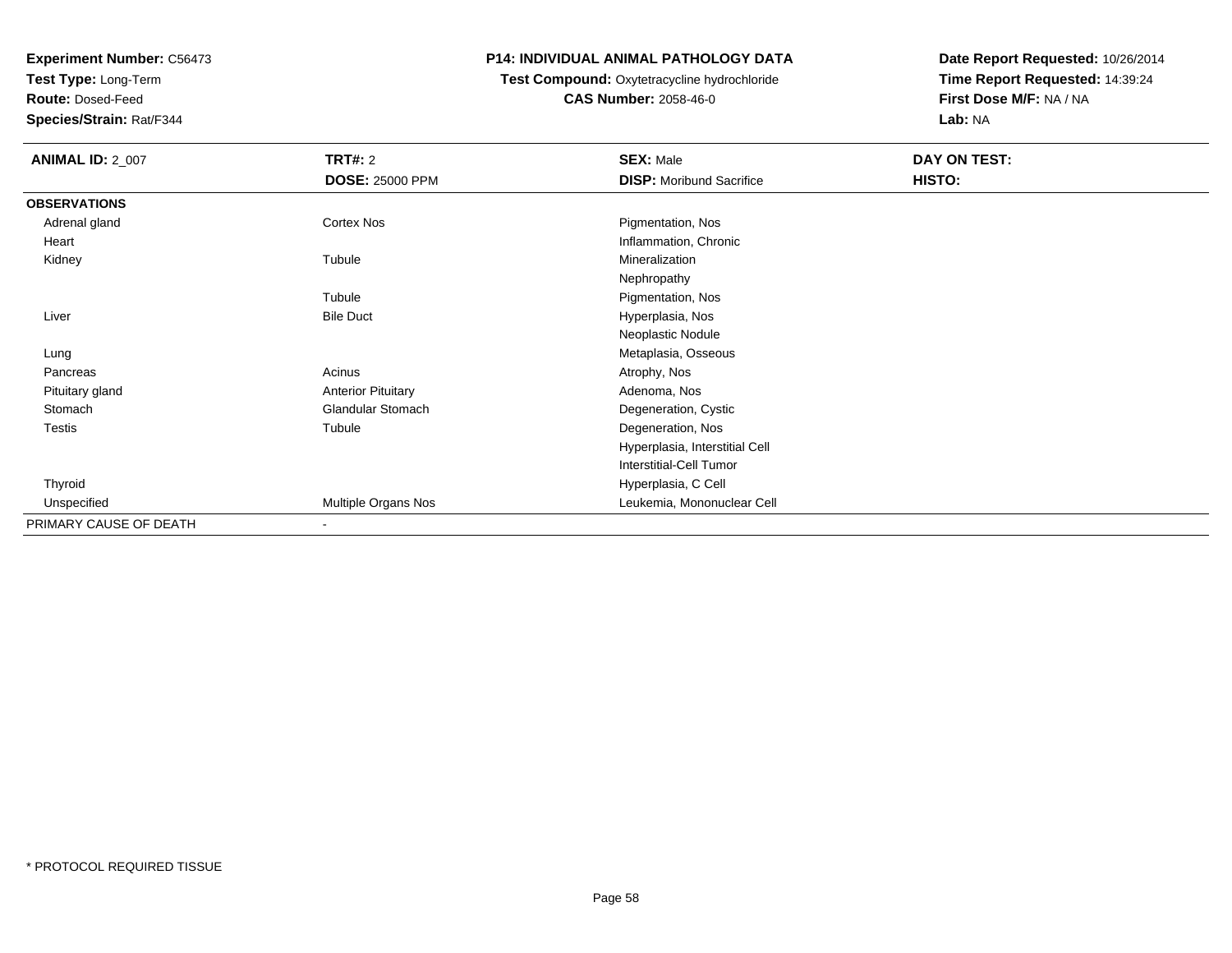**Test Type:** Long-Term

**Route:** Dosed-Feed

**Species/Strain:** Rat/F344

#### **P14: INDIVIDUAL ANIMAL PATHOLOGY DATA**

#### **Test Compound:** Oxytetracycline hydrochloride**CAS Number:** 2058-46-0

| <b>ANIMAL ID: 2_007</b> | <b>TRT#: 2</b>            | <b>SEX: Male</b>                | DAY ON TEST: |  |
|-------------------------|---------------------------|---------------------------------|--------------|--|
|                         | <b>DOSE: 25000 PPM</b>    | <b>DISP:</b> Moribund Sacrifice | HISTO:       |  |
| <b>OBSERVATIONS</b>     |                           |                                 |              |  |
| Adrenal gland           | Cortex Nos                | Pigmentation, Nos               |              |  |
| Heart                   |                           | Inflammation, Chronic           |              |  |
| Kidney                  | Tubule                    | Mineralization                  |              |  |
|                         |                           | Nephropathy                     |              |  |
|                         | Tubule                    | Pigmentation, Nos               |              |  |
| Liver                   | <b>Bile Duct</b>          | Hyperplasia, Nos                |              |  |
|                         |                           | Neoplastic Nodule               |              |  |
| Lung                    |                           | Metaplasia, Osseous             |              |  |
| Pancreas                | Acinus                    | Atrophy, Nos                    |              |  |
| Pituitary gland         | <b>Anterior Pituitary</b> | Adenoma, Nos                    |              |  |
| Stomach                 | <b>Glandular Stomach</b>  | Degeneration, Cystic            |              |  |
| Testis                  | Tubule                    | Degeneration, Nos               |              |  |
|                         |                           | Hyperplasia, Interstitial Cell  |              |  |
|                         |                           | Interstitial-Cell Tumor         |              |  |
| Thyroid                 |                           | Hyperplasia, C Cell             |              |  |
| Unspecified             | Multiple Organs Nos       | Leukemia, Mononuclear Cell      |              |  |
| PRIMARY CAUSE OF DEATH  | $\overline{\phantom{a}}$  |                                 |              |  |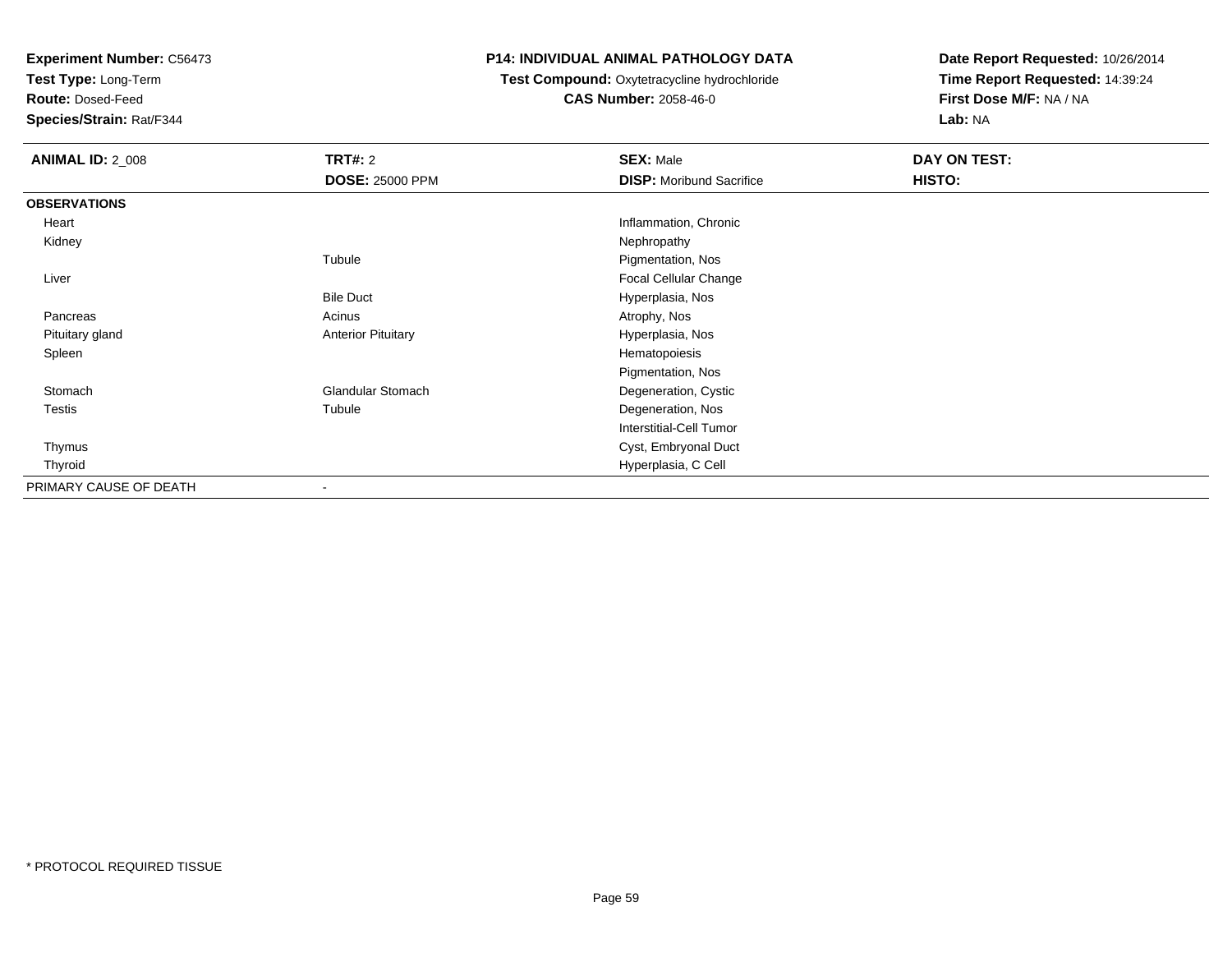**Test Type:** Long-Term

**Route:** Dosed-Feed

**Species/Strain:** Rat/F344

#### **P14: INDIVIDUAL ANIMAL PATHOLOGY DATA**

#### **Test Compound:** Oxytetracycline hydrochloride**CAS Number:** 2058-46-0

| <b>ANIMAL ID: 2_008</b> | <b>TRT#: 2</b>            | <b>SEX: Male</b>                | DAY ON TEST: |  |
|-------------------------|---------------------------|---------------------------------|--------------|--|
|                         | <b>DOSE: 25000 PPM</b>    | <b>DISP:</b> Moribund Sacrifice | HISTO:       |  |
| <b>OBSERVATIONS</b>     |                           |                                 |              |  |
| Heart                   |                           | Inflammation, Chronic           |              |  |
| Kidney                  |                           | Nephropathy                     |              |  |
|                         | Tubule                    | Pigmentation, Nos               |              |  |
| Liver                   |                           | <b>Focal Cellular Change</b>    |              |  |
|                         | <b>Bile Duct</b>          | Hyperplasia, Nos                |              |  |
| Pancreas                | Acinus                    | Atrophy, Nos                    |              |  |
| Pituitary gland         | <b>Anterior Pituitary</b> | Hyperplasia, Nos                |              |  |
| Spleen                  |                           | Hematopoiesis                   |              |  |
|                         |                           | Pigmentation, Nos               |              |  |
| Stomach                 | <b>Glandular Stomach</b>  | Degeneration, Cystic            |              |  |
| Testis                  | Tubule                    | Degeneration, Nos               |              |  |
|                         |                           | <b>Interstitial-Cell Tumor</b>  |              |  |
| Thymus                  |                           | Cyst, Embryonal Duct            |              |  |
| Thyroid                 |                           | Hyperplasia, C Cell             |              |  |
| PRIMARY CAUSE OF DEATH  | $\overline{\phantom{a}}$  |                                 |              |  |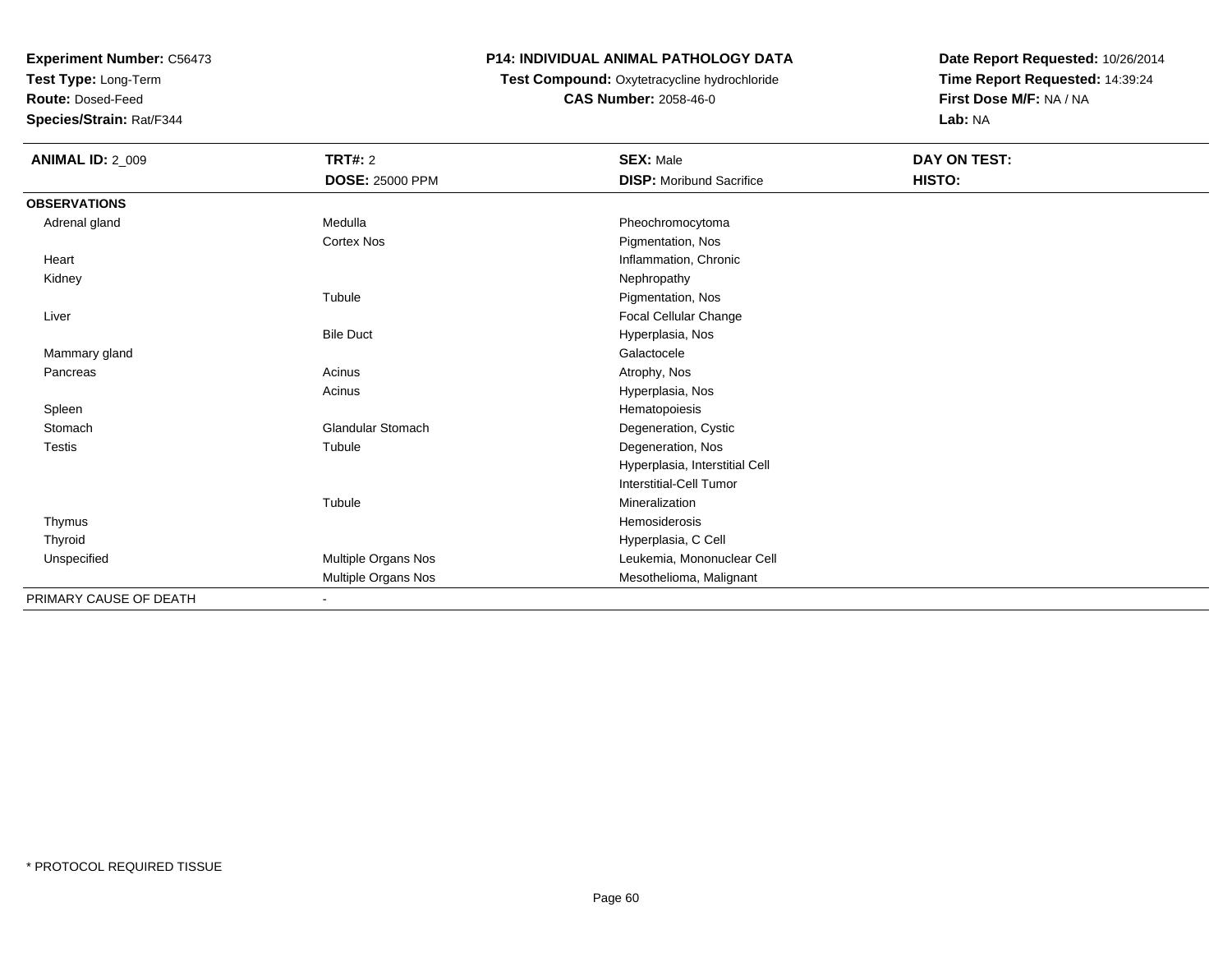**Test Type:** Long-Term

**Route:** Dosed-Feed

**Species/Strain:** Rat/F344

# **P14: INDIVIDUAL ANIMAL PATHOLOGY DATA**

# **Test Compound:** Oxytetracycline hydrochloride**CAS Number:** 2058-46-0

| <b>ANIMAL ID: 2_009</b> | TRT#: 2<br><b>DOSE: 25000 PPM</b> | <b>SEX: Male</b><br><b>DISP: Moribund Sacrifice</b> | DAY ON TEST:<br>HISTO: |
|-------------------------|-----------------------------------|-----------------------------------------------------|------------------------|
| <b>OBSERVATIONS</b>     |                                   |                                                     |                        |
| Adrenal gland           | Medulla                           | Pheochromocytoma                                    |                        |
|                         | <b>Cortex Nos</b>                 | Pigmentation, Nos                                   |                        |
| Heart                   |                                   | Inflammation, Chronic                               |                        |
| Kidney                  |                                   | Nephropathy                                         |                        |
|                         | Tubule                            | Pigmentation, Nos                                   |                        |
| Liver                   |                                   | Focal Cellular Change                               |                        |
|                         | <b>Bile Duct</b>                  | Hyperplasia, Nos                                    |                        |
| Mammary gland           |                                   | Galactocele                                         |                        |
| Pancreas                | Acinus                            | Atrophy, Nos                                        |                        |
|                         | Acinus                            | Hyperplasia, Nos                                    |                        |
| Spleen                  |                                   | Hematopoiesis                                       |                        |
| Stomach                 | <b>Glandular Stomach</b>          | Degeneration, Cystic                                |                        |
| <b>Testis</b>           | Tubule                            | Degeneration, Nos                                   |                        |
|                         |                                   | Hyperplasia, Interstitial Cell                      |                        |
|                         |                                   | <b>Interstitial-Cell Tumor</b>                      |                        |
|                         | Tubule                            | Mineralization                                      |                        |
| Thymus                  |                                   | Hemosiderosis                                       |                        |
| Thyroid                 |                                   | Hyperplasia, C Cell                                 |                        |
| Unspecified             | Multiple Organs Nos               | Leukemia, Mononuclear Cell                          |                        |
|                         | Multiple Organs Nos               | Mesothelioma, Malignant                             |                        |
| PRIMARY CAUSE OF DEATH  | $\blacksquare$                    |                                                     |                        |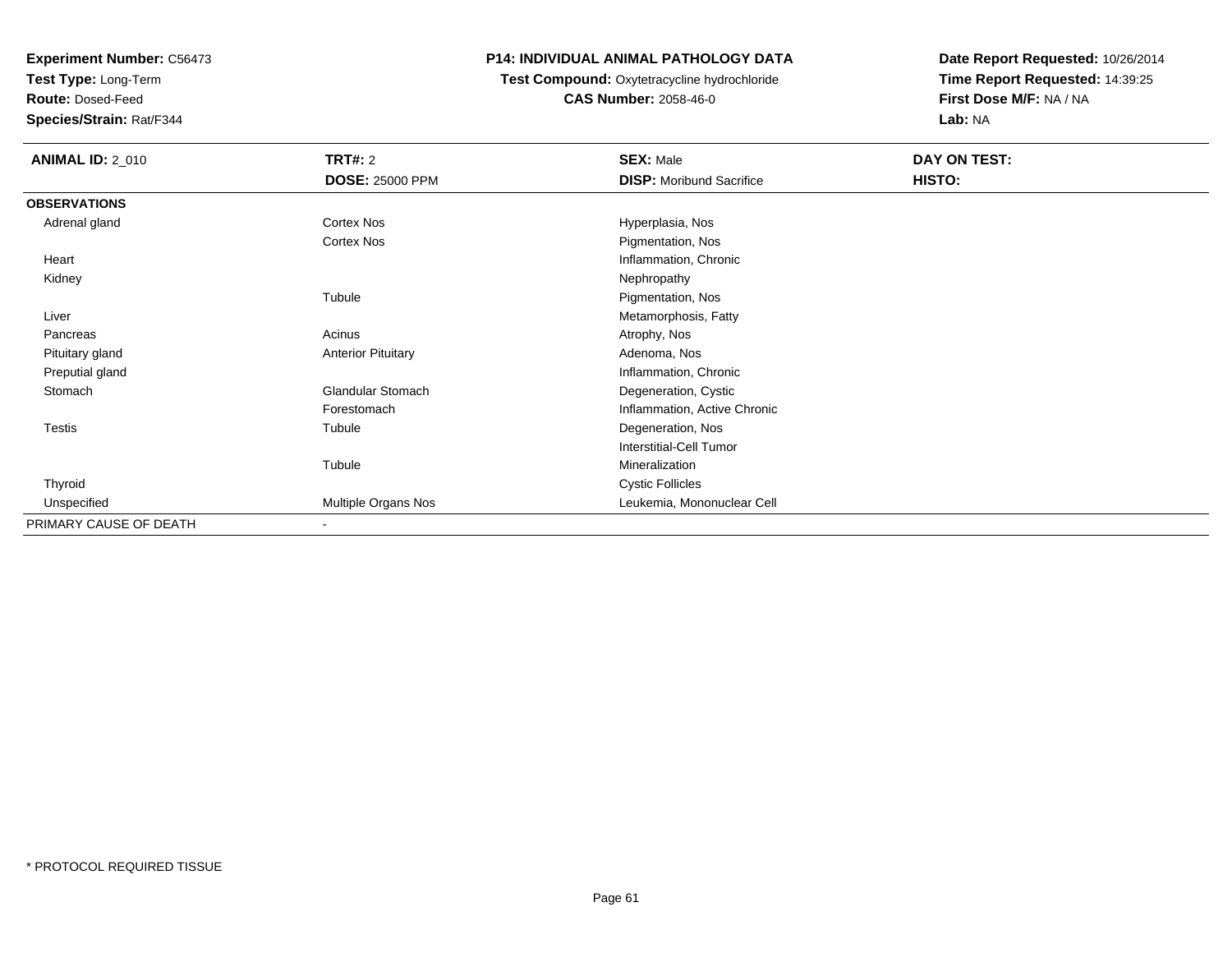**Test Type:** Long-Term

**Route:** Dosed-Feed

**Species/Strain:** Rat/F344

#### **P14: INDIVIDUAL ANIMAL PATHOLOGY DATA**

#### **Test Compound:** Oxytetracycline hydrochloride**CAS Number:** 2058-46-0

| <b>ANIMAL ID: 2_010</b> | <b>TRT#: 2</b>            | <b>SEX: Male</b>                | DAY ON TEST: |  |
|-------------------------|---------------------------|---------------------------------|--------------|--|
|                         | <b>DOSE: 25000 PPM</b>    | <b>DISP:</b> Moribund Sacrifice | HISTO:       |  |
| <b>OBSERVATIONS</b>     |                           |                                 |              |  |
| Adrenal gland           | Cortex Nos                | Hyperplasia, Nos                |              |  |
|                         | Cortex Nos                | Pigmentation, Nos               |              |  |
| Heart                   |                           | Inflammation, Chronic           |              |  |
| Kidney                  |                           | Nephropathy                     |              |  |
|                         | Tubule                    | Pigmentation, Nos               |              |  |
| Liver                   |                           | Metamorphosis, Fatty            |              |  |
| Pancreas                | Acinus                    | Atrophy, Nos                    |              |  |
| Pituitary gland         | <b>Anterior Pituitary</b> | Adenoma, Nos                    |              |  |
| Preputial gland         |                           | Inflammation, Chronic           |              |  |
| Stomach                 | <b>Glandular Stomach</b>  | Degeneration, Cystic            |              |  |
|                         | Forestomach               | Inflammation, Active Chronic    |              |  |
| <b>Testis</b>           | Tubule                    | Degeneration, Nos               |              |  |
|                         |                           | Interstitial-Cell Tumor         |              |  |
|                         | Tubule                    | Mineralization                  |              |  |
| Thyroid                 |                           | <b>Cystic Follicles</b>         |              |  |
| Unspecified             | Multiple Organs Nos       | Leukemia, Mononuclear Cell      |              |  |
| PRIMARY CAUSE OF DEATH  | ۰                         |                                 |              |  |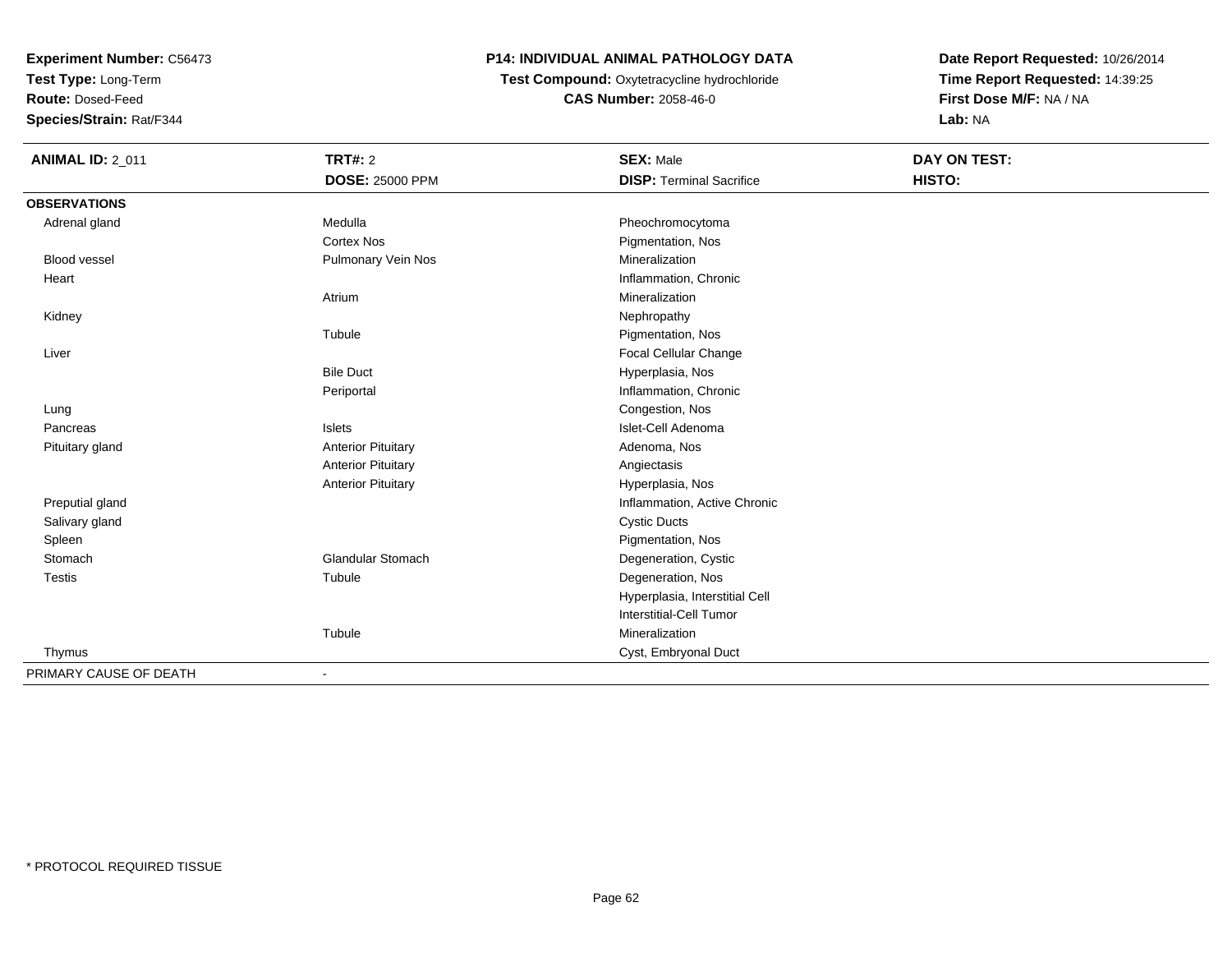**Test Type:** Long-Term

**Route:** Dosed-Feed

**Species/Strain:** Rat/F344

# **P14: INDIVIDUAL ANIMAL PATHOLOGY DATA**

**Test Compound:** Oxytetracycline hydrochloride**CAS Number:** 2058-46-0

| <b>ANIMAL ID: 2_011</b> | TRT#: 2                   | <b>SEX: Male</b>                | DAY ON TEST: |  |
|-------------------------|---------------------------|---------------------------------|--------------|--|
|                         | <b>DOSE: 25000 PPM</b>    | <b>DISP: Terminal Sacrifice</b> | HISTO:       |  |
| <b>OBSERVATIONS</b>     |                           |                                 |              |  |
| Adrenal gland           | Medulla                   | Pheochromocytoma                |              |  |
|                         | <b>Cortex Nos</b>         | Pigmentation, Nos               |              |  |
| Blood vessel            | Pulmonary Vein Nos        | Mineralization                  |              |  |
| Heart                   |                           | Inflammation, Chronic           |              |  |
|                         | Atrium                    | Mineralization                  |              |  |
| Kidney                  |                           | Nephropathy                     |              |  |
|                         | Tubule                    | Pigmentation, Nos               |              |  |
| Liver                   |                           | Focal Cellular Change           |              |  |
|                         | <b>Bile Duct</b>          | Hyperplasia, Nos                |              |  |
|                         | Periportal                | Inflammation, Chronic           |              |  |
| Lung                    |                           | Congestion, Nos                 |              |  |
| Pancreas                | <b>Islets</b>             | Islet-Cell Adenoma              |              |  |
| Pituitary gland         | <b>Anterior Pituitary</b> | Adenoma, Nos                    |              |  |
|                         | <b>Anterior Pituitary</b> | Angiectasis                     |              |  |
|                         | <b>Anterior Pituitary</b> | Hyperplasia, Nos                |              |  |
| Preputial gland         |                           | Inflammation, Active Chronic    |              |  |
| Salivary gland          |                           | <b>Cystic Ducts</b>             |              |  |
| Spleen                  |                           | Pigmentation, Nos               |              |  |
| Stomach                 | <b>Glandular Stomach</b>  | Degeneration, Cystic            |              |  |
| <b>Testis</b>           | Tubule                    | Degeneration, Nos               |              |  |
|                         |                           | Hyperplasia, Interstitial Cell  |              |  |
|                         |                           | <b>Interstitial-Cell Tumor</b>  |              |  |
|                         | Tubule                    | Mineralization                  |              |  |
| Thymus                  |                           | Cyst, Embryonal Duct            |              |  |
| PRIMARY CAUSE OF DEATH  |                           |                                 |              |  |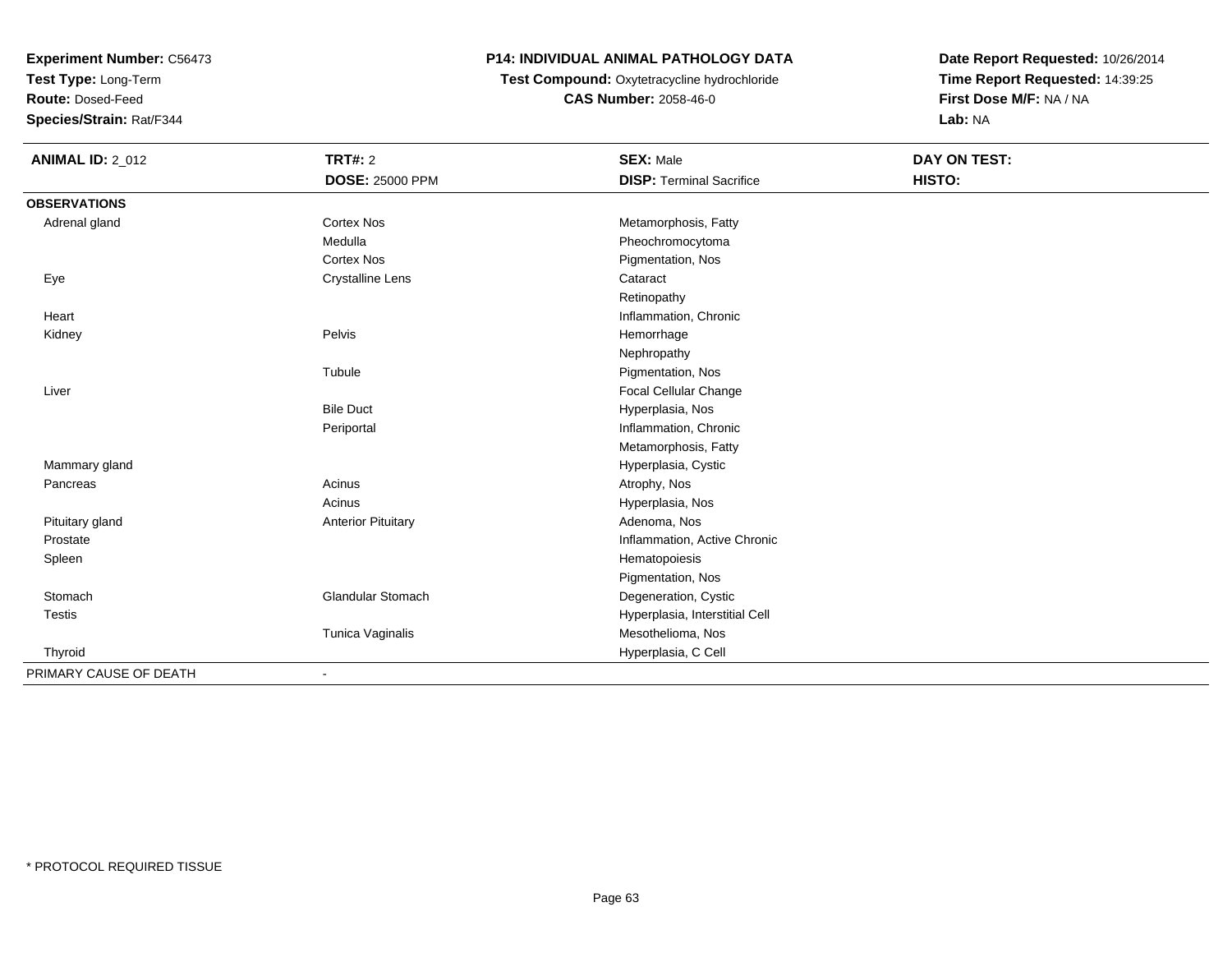**Test Type:** Long-Term

**Route:** Dosed-Feed

**Species/Strain:** Rat/F344

## **P14: INDIVIDUAL ANIMAL PATHOLOGY DATA**

 **Test Compound:** Oxytetracycline hydrochloride**CAS Number:** 2058-46-0

| <b>ANIMAL ID: 2_012</b> | <b>TRT#: 2</b>            | <b>SEX: Male</b>                | <b>DAY ON TEST:</b> |  |
|-------------------------|---------------------------|---------------------------------|---------------------|--|
|                         | DOSE: 25000 PPM           | <b>DISP: Terminal Sacrifice</b> | HISTO:              |  |
| <b>OBSERVATIONS</b>     |                           |                                 |                     |  |
| Adrenal gland           | <b>Cortex Nos</b>         | Metamorphosis, Fatty            |                     |  |
|                         | Medulla                   | Pheochromocytoma                |                     |  |
|                         | <b>Cortex Nos</b>         | Pigmentation, Nos               |                     |  |
| Eye                     | <b>Crystalline Lens</b>   | Cataract                        |                     |  |
|                         |                           | Retinopathy                     |                     |  |
| Heart                   |                           | Inflammation, Chronic           |                     |  |
| Kidney                  | Pelvis                    | Hemorrhage                      |                     |  |
|                         |                           | Nephropathy                     |                     |  |
|                         | Tubule                    | Pigmentation, Nos               |                     |  |
| Liver                   |                           | Focal Cellular Change           |                     |  |
|                         | <b>Bile Duct</b>          | Hyperplasia, Nos                |                     |  |
|                         | Periportal                | Inflammation, Chronic           |                     |  |
|                         |                           | Metamorphosis, Fatty            |                     |  |
| Mammary gland           |                           | Hyperplasia, Cystic             |                     |  |
| Pancreas                | Acinus                    | Atrophy, Nos                    |                     |  |
|                         | Acinus                    | Hyperplasia, Nos                |                     |  |
| Pituitary gland         | <b>Anterior Pituitary</b> | Adenoma, Nos                    |                     |  |
| Prostate                |                           | Inflammation, Active Chronic    |                     |  |
| Spleen                  |                           | Hematopoiesis                   |                     |  |
|                         |                           | Pigmentation, Nos               |                     |  |
| Stomach                 | Glandular Stomach         | Degeneration, Cystic            |                     |  |
| <b>Testis</b>           |                           | Hyperplasia, Interstitial Cell  |                     |  |
|                         | Tunica Vaginalis          | Mesothelioma, Nos               |                     |  |
| Thyroid                 |                           | Hyperplasia, C Cell             |                     |  |
| PRIMARY CAUSE OF DEATH  | $\blacksquare$            |                                 |                     |  |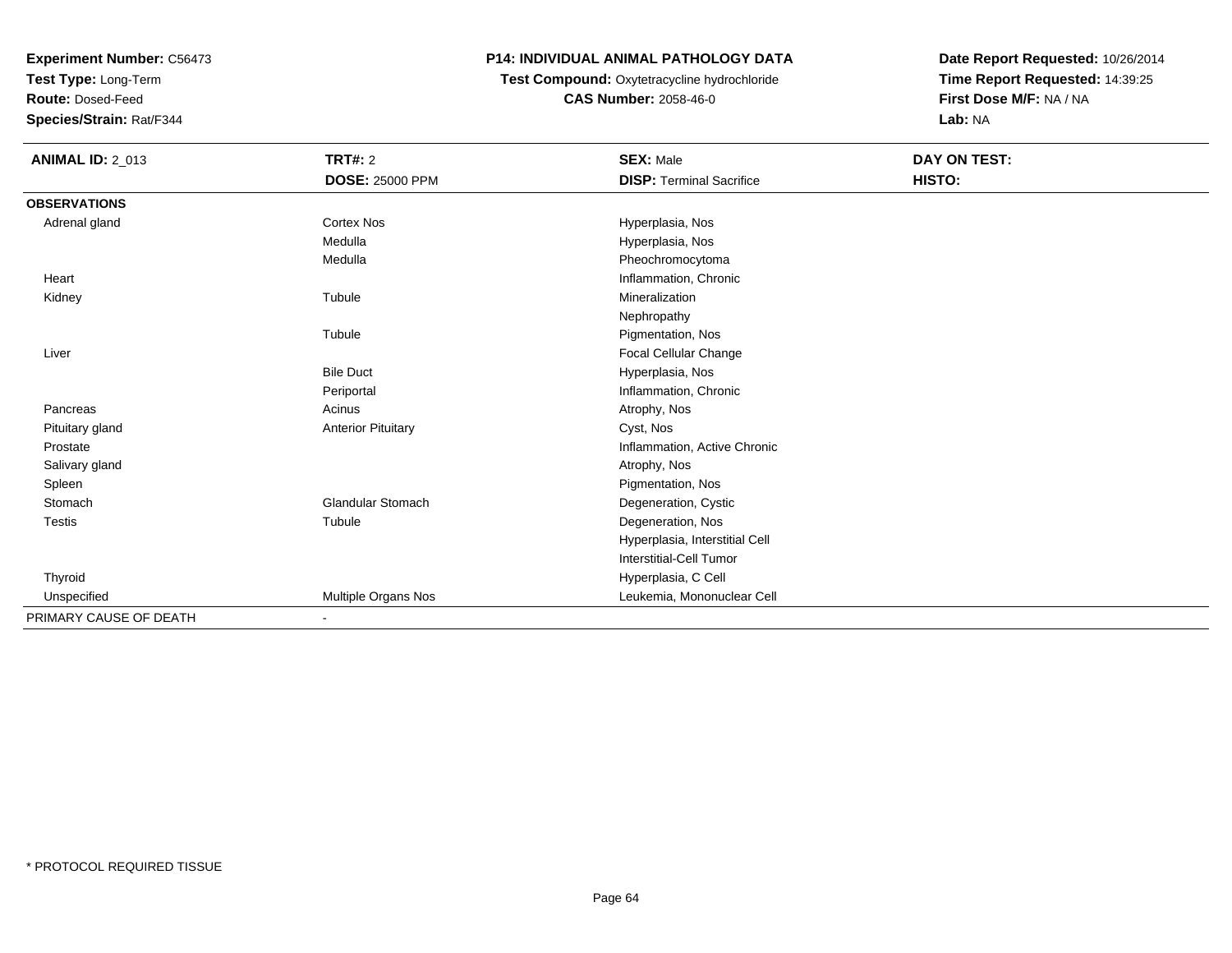**Test Type:** Long-Term

**Route:** Dosed-Feed

**Species/Strain:** Rat/F344

#### **P14: INDIVIDUAL ANIMAL PATHOLOGY DATA**

# **Test Compound:** Oxytetracycline hydrochloride**CAS Number:** 2058-46-0

| <b>ANIMAL ID: 2_013</b> | <b>TRT#: 2</b>            | <b>SEX: Male</b>                | <b>DAY ON TEST:</b> |  |
|-------------------------|---------------------------|---------------------------------|---------------------|--|
|                         | <b>DOSE: 25000 PPM</b>    | <b>DISP: Terminal Sacrifice</b> | HISTO:              |  |
| <b>OBSERVATIONS</b>     |                           |                                 |                     |  |
| Adrenal gland           | <b>Cortex Nos</b>         | Hyperplasia, Nos                |                     |  |
|                         | Medulla                   | Hyperplasia, Nos                |                     |  |
|                         | Medulla                   | Pheochromocytoma                |                     |  |
| Heart                   |                           | Inflammation, Chronic           |                     |  |
| Kidney                  | Tubule                    | Mineralization                  |                     |  |
|                         |                           | Nephropathy                     |                     |  |
|                         | Tubule                    | Pigmentation, Nos               |                     |  |
| Liver                   |                           | Focal Cellular Change           |                     |  |
|                         | <b>Bile Duct</b>          | Hyperplasia, Nos                |                     |  |
|                         | Periportal                | Inflammation, Chronic           |                     |  |
| Pancreas                | Acinus                    | Atrophy, Nos                    |                     |  |
| Pituitary gland         | <b>Anterior Pituitary</b> | Cyst, Nos                       |                     |  |
| Prostate                |                           | Inflammation, Active Chronic    |                     |  |
| Salivary gland          |                           | Atrophy, Nos                    |                     |  |
| Spleen                  |                           | Pigmentation, Nos               |                     |  |
| Stomach                 | <b>Glandular Stomach</b>  | Degeneration, Cystic            |                     |  |
| <b>Testis</b>           | Tubule                    | Degeneration, Nos               |                     |  |
|                         |                           | Hyperplasia, Interstitial Cell  |                     |  |
|                         |                           | Interstitial-Cell Tumor         |                     |  |
| Thyroid                 |                           | Hyperplasia, C Cell             |                     |  |
| Unspecified             | Multiple Organs Nos       | Leukemia, Mononuclear Cell      |                     |  |
| PRIMARY CAUSE OF DEATH  |                           |                                 |                     |  |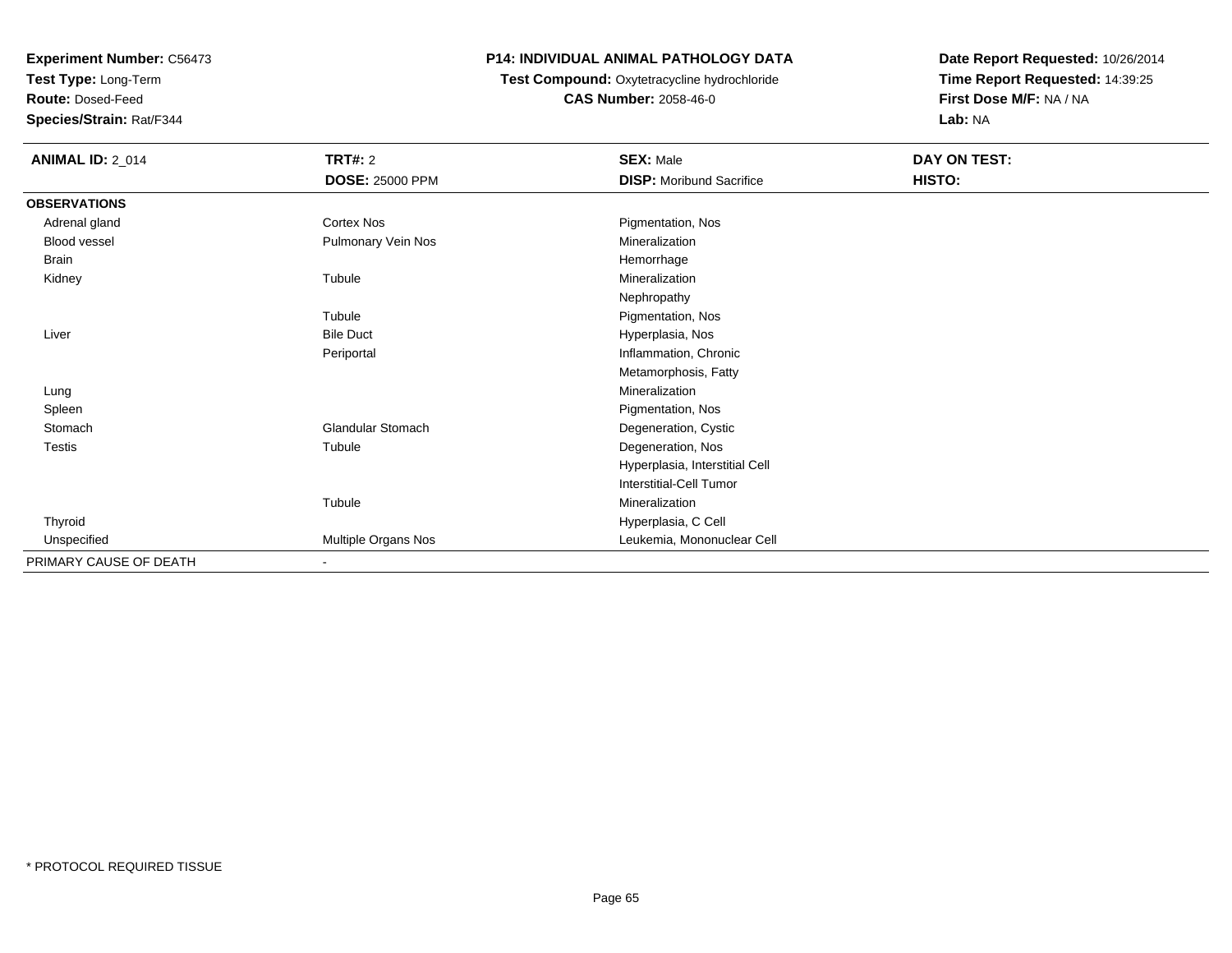**Test Type:** Long-Term

**Route:** Dosed-Feed

**Species/Strain:** Rat/F344

## **P14: INDIVIDUAL ANIMAL PATHOLOGY DATA**

 **Test Compound:** Oxytetracycline hydrochloride**CAS Number:** 2058-46-0

| <b>ANIMAL ID: 2_014</b> | <b>TRT#: 2</b><br><b>DOSE: 25000 PPM</b> | <b>SEX: Male</b><br><b>DISP:</b> Moribund Sacrifice | DAY ON TEST:<br>HISTO: |
|-------------------------|------------------------------------------|-----------------------------------------------------|------------------------|
| <b>OBSERVATIONS</b>     |                                          |                                                     |                        |
| Adrenal gland           | Cortex Nos                               | Pigmentation, Nos                                   |                        |
| Blood vessel            | Pulmonary Vein Nos                       | Mineralization                                      |                        |
| Brain                   |                                          | Hemorrhage                                          |                        |
| Kidney                  | Tubule                                   | Mineralization                                      |                        |
|                         |                                          | Nephropathy                                         |                        |
|                         | Tubule                                   | Pigmentation, Nos                                   |                        |
| Liver                   | <b>Bile Duct</b>                         | Hyperplasia, Nos                                    |                        |
|                         | Periportal                               | Inflammation, Chronic                               |                        |
|                         |                                          | Metamorphosis, Fatty                                |                        |
| Lung                    |                                          | Mineralization                                      |                        |
| Spleen                  |                                          | Pigmentation, Nos                                   |                        |
| Stomach                 | Glandular Stomach                        | Degeneration, Cystic                                |                        |
| Testis                  | Tubule                                   | Degeneration, Nos                                   |                        |
|                         |                                          | Hyperplasia, Interstitial Cell                      |                        |
|                         |                                          | Interstitial-Cell Tumor                             |                        |
|                         | Tubule                                   | Mineralization                                      |                        |
| Thyroid                 |                                          | Hyperplasia, C Cell                                 |                        |
| Unspecified             | Multiple Organs Nos                      | Leukemia, Mononuclear Cell                          |                        |
| PRIMARY CAUSE OF DEATH  | $\overline{\phantom{a}}$                 |                                                     |                        |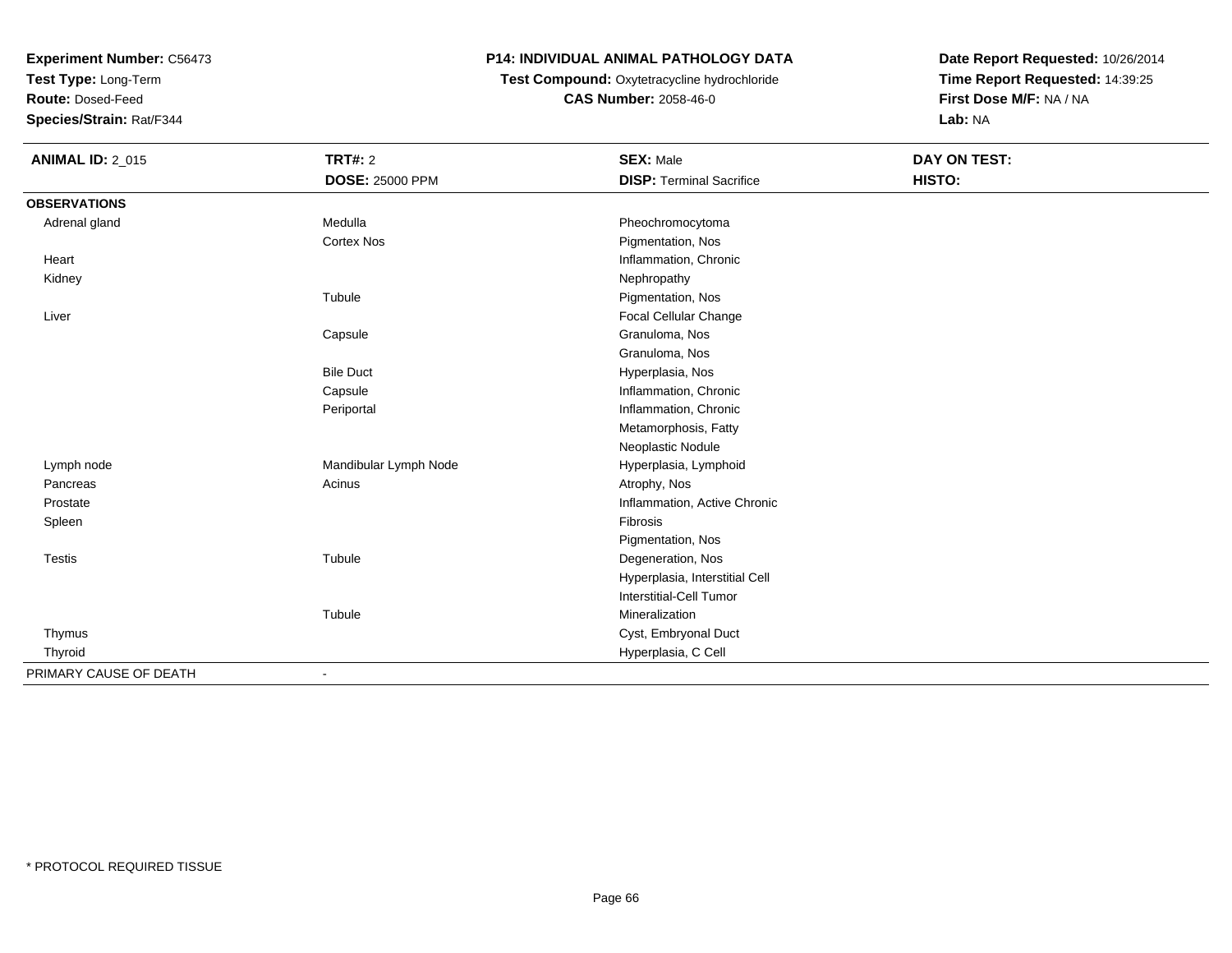**Test Type:** Long-Term

**Route:** Dosed-Feed

**Species/Strain:** Rat/F344

## **P14: INDIVIDUAL ANIMAL PATHOLOGY DATA**

## **Test Compound:** Oxytetracycline hydrochloride**CAS Number:** 2058-46-0

| <b>ANIMAL ID: 2_015</b> | <b>TRT#: 2</b>         | <b>SEX: Male</b>                | <b>DAY ON TEST:</b> |  |
|-------------------------|------------------------|---------------------------------|---------------------|--|
|                         | <b>DOSE: 25000 PPM</b> | <b>DISP: Terminal Sacrifice</b> | HISTO:              |  |
| <b>OBSERVATIONS</b>     |                        |                                 |                     |  |
| Adrenal gland           | Medulla                | Pheochromocytoma                |                     |  |
|                         | <b>Cortex Nos</b>      | Pigmentation, Nos               |                     |  |
| Heart                   |                        | Inflammation, Chronic           |                     |  |
| Kidney                  |                        | Nephropathy                     |                     |  |
|                         | Tubule                 | Pigmentation, Nos               |                     |  |
| Liver                   |                        | Focal Cellular Change           |                     |  |
|                         | Capsule                | Granuloma, Nos                  |                     |  |
|                         |                        | Granuloma, Nos                  |                     |  |
|                         | <b>Bile Duct</b>       | Hyperplasia, Nos                |                     |  |
|                         | Capsule                | Inflammation, Chronic           |                     |  |
|                         | Periportal             | Inflammation, Chronic           |                     |  |
|                         |                        | Metamorphosis, Fatty            |                     |  |
|                         |                        | Neoplastic Nodule               |                     |  |
| Lymph node              | Mandibular Lymph Node  | Hyperplasia, Lymphoid           |                     |  |
| Pancreas                | Acinus                 | Atrophy, Nos                    |                     |  |
| Prostate                |                        | Inflammation, Active Chronic    |                     |  |
| Spleen                  |                        | Fibrosis                        |                     |  |
|                         |                        | Pigmentation, Nos               |                     |  |
| <b>Testis</b>           | Tubule                 | Degeneration, Nos               |                     |  |
|                         |                        | Hyperplasia, Interstitial Cell  |                     |  |
|                         |                        | <b>Interstitial-Cell Tumor</b>  |                     |  |
|                         | Tubule                 | Mineralization                  |                     |  |
| Thymus                  |                        | Cyst, Embryonal Duct            |                     |  |
| Thyroid                 |                        | Hyperplasia, C Cell             |                     |  |
| PRIMARY CAUSE OF DEATH  |                        |                                 |                     |  |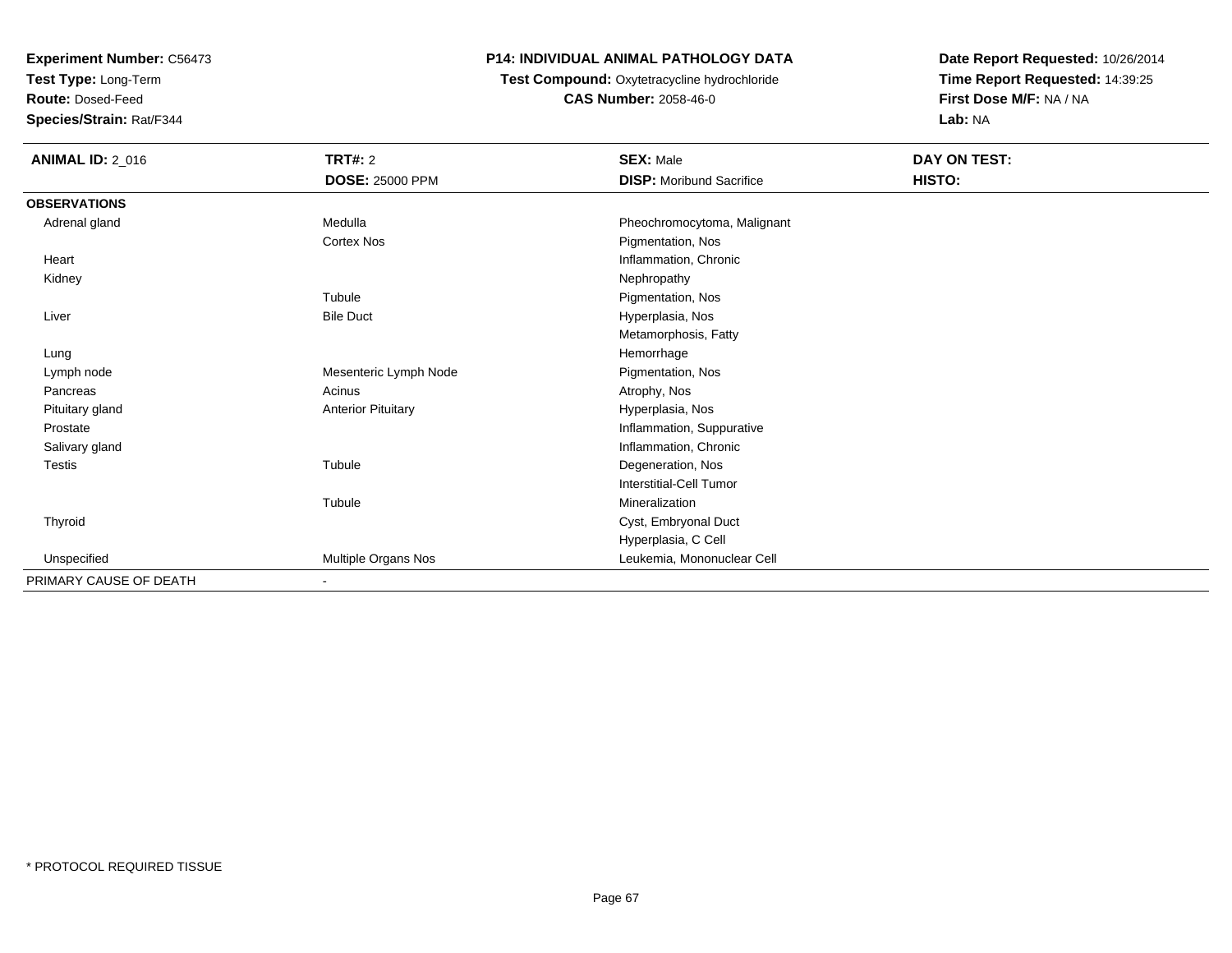**Test Type:** Long-Term

**Route:** Dosed-Feed

**Species/Strain:** Rat/F344

## **P14: INDIVIDUAL ANIMAL PATHOLOGY DATA**

 **Test Compound:** Oxytetracycline hydrochloride**CAS Number:** 2058-46-0

| <b>ANIMAL ID: 2_016</b> | TRT#: 2                   | <b>SEX: Male</b>                | DAY ON TEST: |  |
|-------------------------|---------------------------|---------------------------------|--------------|--|
|                         | <b>DOSE: 25000 PPM</b>    | <b>DISP:</b> Moribund Sacrifice | HISTO:       |  |
| <b>OBSERVATIONS</b>     |                           |                                 |              |  |
| Adrenal gland           | Medulla                   | Pheochromocytoma, Malignant     |              |  |
|                         | <b>Cortex Nos</b>         | Pigmentation, Nos               |              |  |
| Heart                   |                           | Inflammation, Chronic           |              |  |
| Kidney                  |                           | Nephropathy                     |              |  |
|                         | Tubule                    | Pigmentation, Nos               |              |  |
| Liver                   | <b>Bile Duct</b>          | Hyperplasia, Nos                |              |  |
|                         |                           | Metamorphosis, Fatty            |              |  |
| Lung                    |                           | Hemorrhage                      |              |  |
| Lymph node              | Mesenteric Lymph Node     | Pigmentation, Nos               |              |  |
| Pancreas                | Acinus                    | Atrophy, Nos                    |              |  |
| Pituitary gland         | <b>Anterior Pituitary</b> | Hyperplasia, Nos                |              |  |
| Prostate                |                           | Inflammation, Suppurative       |              |  |
| Salivary gland          |                           | Inflammation, Chronic           |              |  |
| <b>Testis</b>           | Tubule                    | Degeneration, Nos               |              |  |
|                         |                           | <b>Interstitial-Cell Tumor</b>  |              |  |
|                         | Tubule                    | Mineralization                  |              |  |
| Thyroid                 |                           | Cyst, Embryonal Duct            |              |  |
|                         |                           | Hyperplasia, C Cell             |              |  |
| Unspecified             | Multiple Organs Nos       | Leukemia, Mononuclear Cell      |              |  |
| PRIMARY CAUSE OF DEATH  | $\blacksquare$            |                                 |              |  |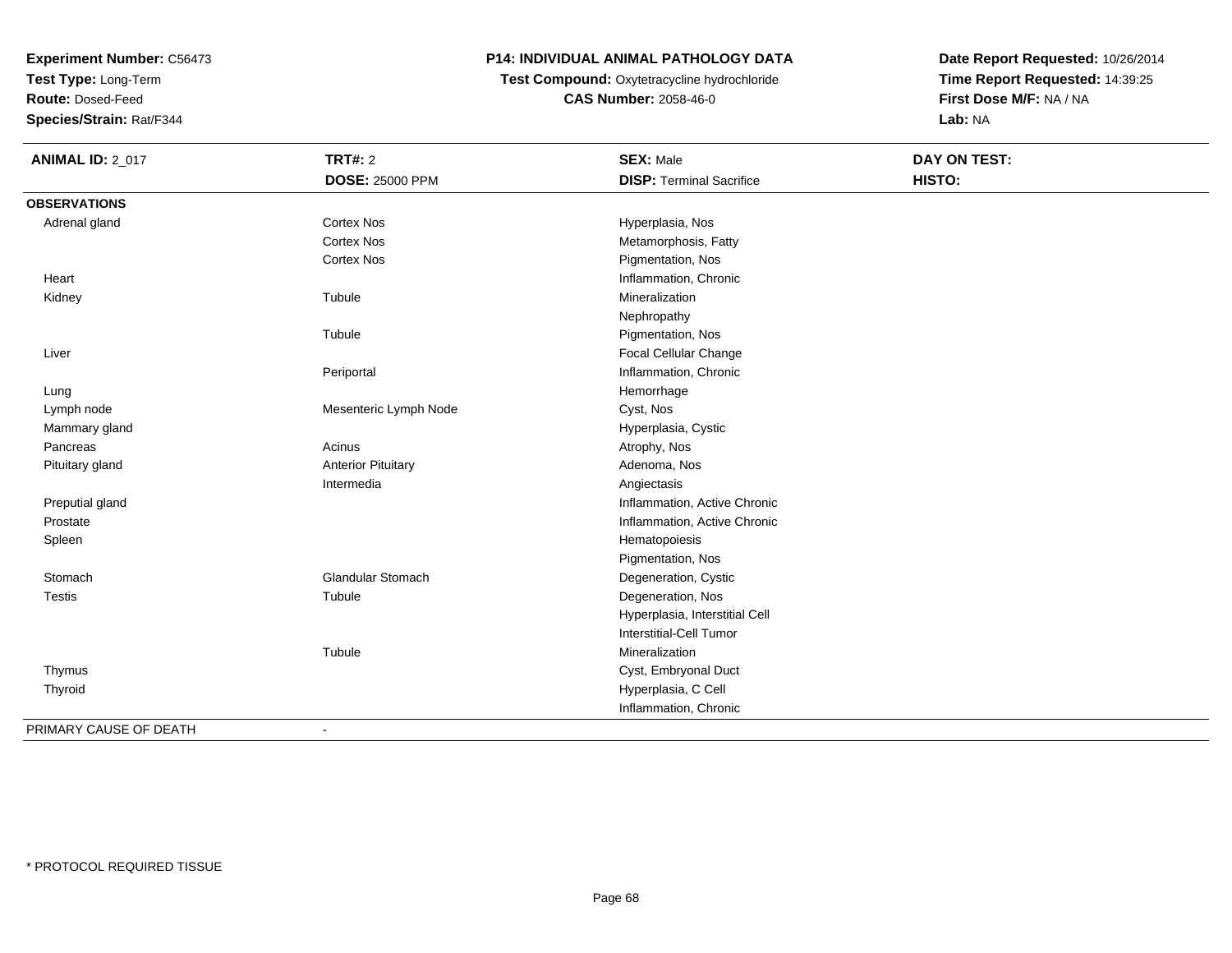**Test Type:** Long-Term

**Route:** Dosed-Feed

**Species/Strain:** Rat/F344

# **P14: INDIVIDUAL ANIMAL PATHOLOGY DATA**

**Test Compound:** Oxytetracycline hydrochloride**CAS Number:** 2058-46-0

| <b>ANIMAL ID: 2_017</b> | <b>TRT#: 2</b>            | <b>SEX: Male</b>                | <b>DAY ON TEST:</b> |  |
|-------------------------|---------------------------|---------------------------------|---------------------|--|
|                         | <b>DOSE: 25000 PPM</b>    | <b>DISP: Terminal Sacrifice</b> | HISTO:              |  |
| <b>OBSERVATIONS</b>     |                           |                                 |                     |  |
| Adrenal gland           | <b>Cortex Nos</b>         | Hyperplasia, Nos                |                     |  |
|                         | <b>Cortex Nos</b>         | Metamorphosis, Fatty            |                     |  |
|                         | <b>Cortex Nos</b>         | Pigmentation, Nos               |                     |  |
| Heart                   |                           | Inflammation, Chronic           |                     |  |
| Kidney                  | Tubule                    | Mineralization                  |                     |  |
|                         |                           | Nephropathy                     |                     |  |
|                         | Tubule                    | Pigmentation, Nos               |                     |  |
| Liver                   |                           | <b>Focal Cellular Change</b>    |                     |  |
|                         | Periportal                | Inflammation, Chronic           |                     |  |
| Lung                    |                           | Hemorrhage                      |                     |  |
| Lymph node              | Mesenteric Lymph Node     | Cyst, Nos                       |                     |  |
| Mammary gland           |                           | Hyperplasia, Cystic             |                     |  |
| Pancreas                | Acinus                    | Atrophy, Nos                    |                     |  |
| Pituitary gland         | <b>Anterior Pituitary</b> | Adenoma, Nos                    |                     |  |
|                         | Intermedia                | Angiectasis                     |                     |  |
| Preputial gland         |                           | Inflammation, Active Chronic    |                     |  |
| Prostate                |                           | Inflammation, Active Chronic    |                     |  |
| Spleen                  |                           | Hematopoiesis                   |                     |  |
|                         |                           | Pigmentation, Nos               |                     |  |
| Stomach                 | Glandular Stomach         | Degeneration, Cystic            |                     |  |
| Testis                  | Tubule                    | Degeneration, Nos               |                     |  |
|                         |                           | Hyperplasia, Interstitial Cell  |                     |  |
|                         |                           | <b>Interstitial-Cell Tumor</b>  |                     |  |
|                         | Tubule                    | Mineralization                  |                     |  |
| Thymus                  |                           | Cyst, Embryonal Duct            |                     |  |
| Thyroid                 |                           | Hyperplasia, C Cell             |                     |  |
|                         |                           | Inflammation, Chronic           |                     |  |
| PRIMARY CAUSE OF DEATH  | $\blacksquare$            |                                 |                     |  |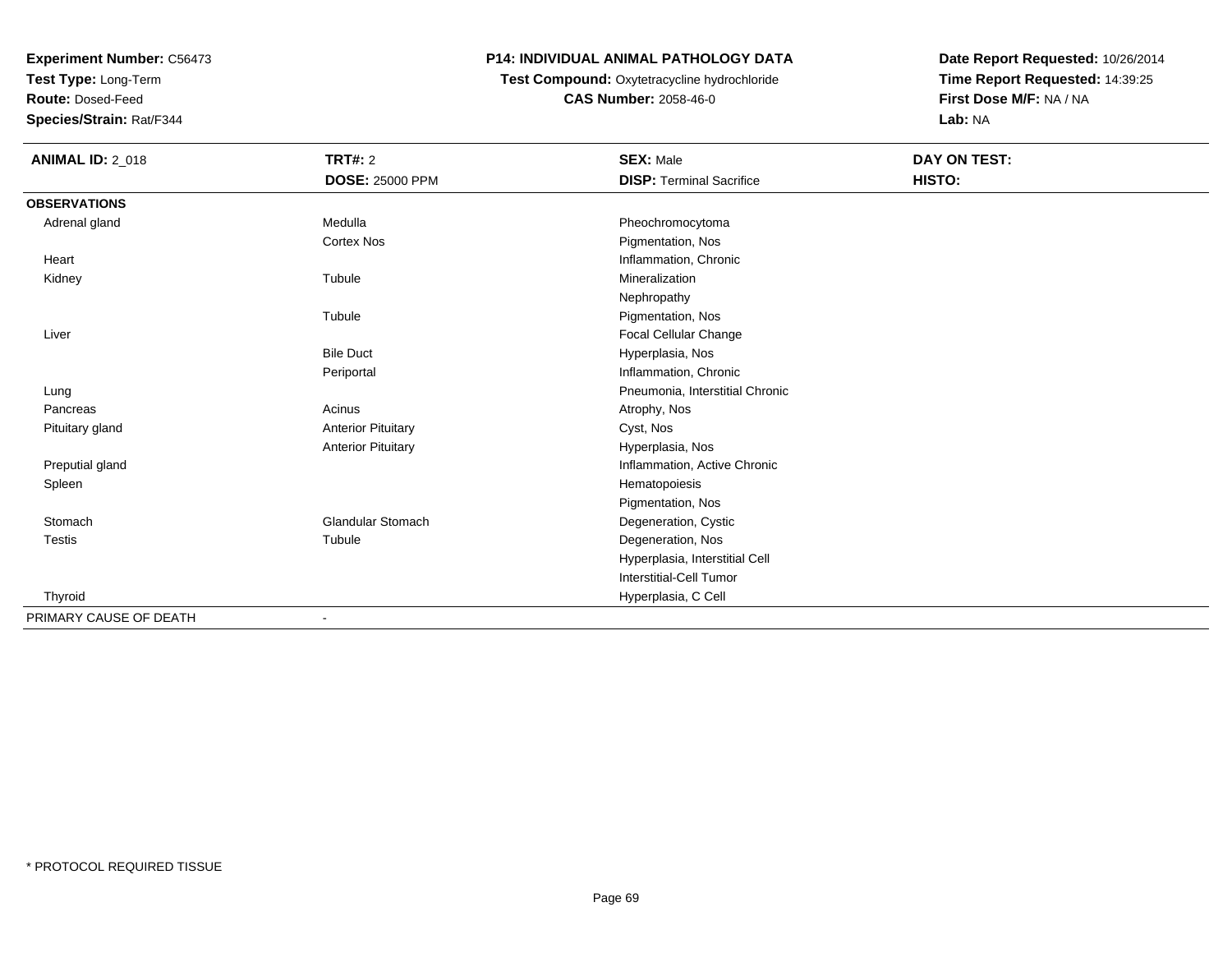**Test Type:** Long-Term

**Route:** Dosed-Feed

**Species/Strain:** Rat/F344

## **P14: INDIVIDUAL ANIMAL PATHOLOGY DATA**

 **Test Compound:** Oxytetracycline hydrochloride**CAS Number:** 2058-46-0

| <b>ANIMAL ID: 2_018</b> | TRT#: 2                   | <b>SEX: Male</b>                | <b>DAY ON TEST:</b> |  |
|-------------------------|---------------------------|---------------------------------|---------------------|--|
|                         | <b>DOSE: 25000 PPM</b>    | <b>DISP: Terminal Sacrifice</b> | HISTO:              |  |
| <b>OBSERVATIONS</b>     |                           |                                 |                     |  |
| Adrenal gland           | Medulla                   | Pheochromocytoma                |                     |  |
|                         | <b>Cortex Nos</b>         | Pigmentation, Nos               |                     |  |
| Heart                   |                           | Inflammation, Chronic           |                     |  |
| Kidney                  | Tubule                    | Mineralization                  |                     |  |
|                         |                           | Nephropathy                     |                     |  |
|                         | Tubule                    | Pigmentation, Nos               |                     |  |
| Liver                   |                           | Focal Cellular Change           |                     |  |
|                         | <b>Bile Duct</b>          | Hyperplasia, Nos                |                     |  |
|                         | Periportal                | Inflammation, Chronic           |                     |  |
| Lung                    |                           | Pneumonia, Interstitial Chronic |                     |  |
| Pancreas                | Acinus                    | Atrophy, Nos                    |                     |  |
| Pituitary gland         | <b>Anterior Pituitary</b> | Cyst, Nos                       |                     |  |
|                         | <b>Anterior Pituitary</b> | Hyperplasia, Nos                |                     |  |
| Preputial gland         |                           | Inflammation, Active Chronic    |                     |  |
| Spleen                  |                           | Hematopoiesis                   |                     |  |
|                         |                           | Pigmentation, Nos               |                     |  |
| Stomach                 | <b>Glandular Stomach</b>  | Degeneration, Cystic            |                     |  |
| <b>Testis</b>           | Tubule                    | Degeneration, Nos               |                     |  |
|                         |                           | Hyperplasia, Interstitial Cell  |                     |  |
|                         |                           | Interstitial-Cell Tumor         |                     |  |
| Thyroid                 |                           | Hyperplasia, C Cell             |                     |  |
| PRIMARY CAUSE OF DEATH  | ۰                         |                                 |                     |  |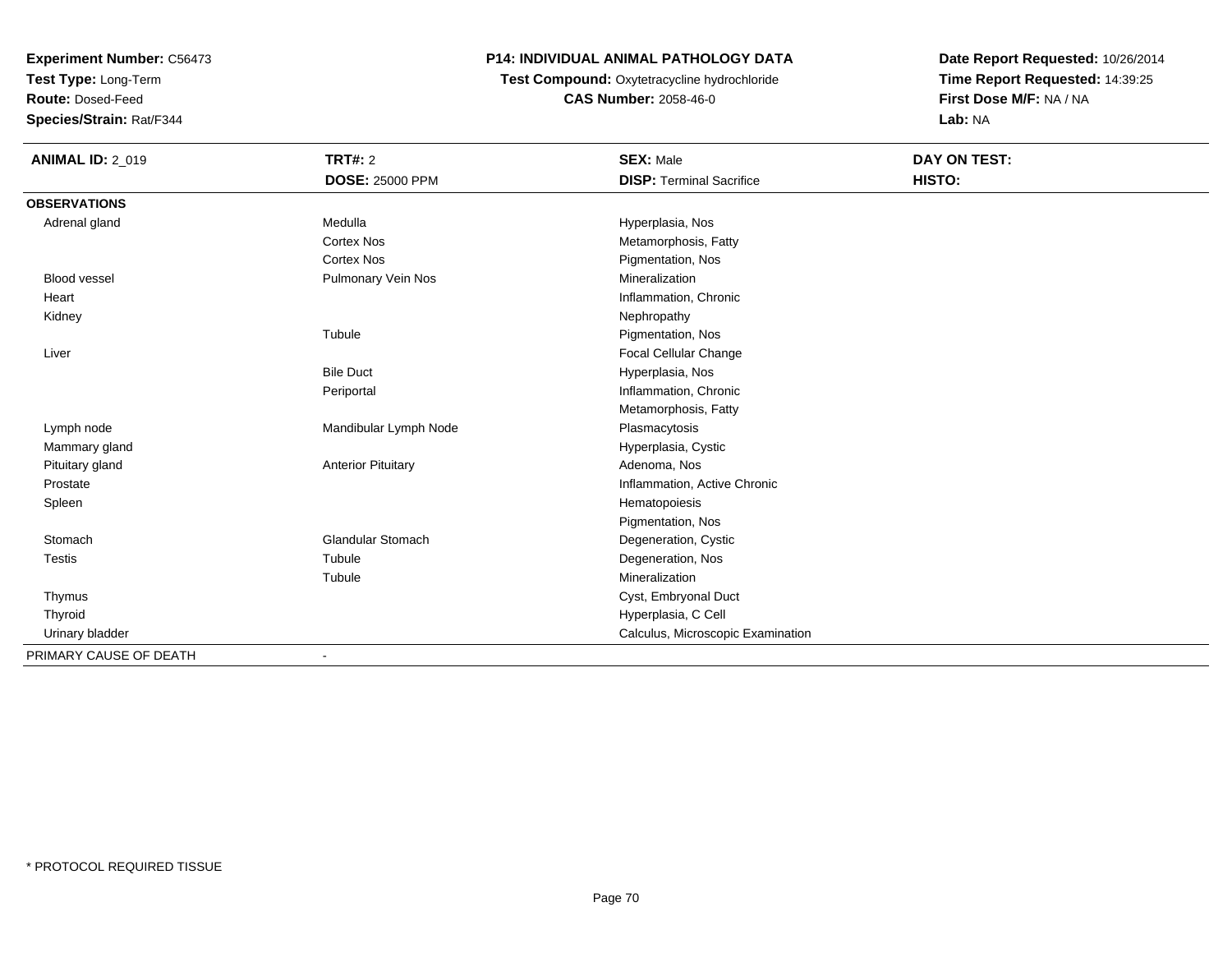**Test Type:** Long-Term

**Route:** Dosed-Feed

**Species/Strain:** Rat/F344

# **P14: INDIVIDUAL ANIMAL PATHOLOGY DATA**

**Test Compound:** Oxytetracycline hydrochloride**CAS Number:** 2058-46-0

| <b>ANIMAL ID: 2_019</b> | <b>TRT#: 2</b>               | <b>SEX: Male</b>                  | <b>DAY ON TEST:</b> |  |
|-------------------------|------------------------------|-----------------------------------|---------------------|--|
|                         | <b>DOSE: 25000 PPM</b>       | <b>DISP: Terminal Sacrifice</b>   | HISTO:              |  |
| <b>OBSERVATIONS</b>     |                              |                                   |                     |  |
| Adrenal gland           | Medulla                      | Hyperplasia, Nos                  |                     |  |
|                         | <b>Cortex Nos</b>            | Metamorphosis, Fatty              |                     |  |
|                         | <b>Cortex Nos</b>            | Pigmentation, Nos                 |                     |  |
| <b>Blood vessel</b>     | Pulmonary Vein Nos           | Mineralization                    |                     |  |
| Heart                   |                              | Inflammation, Chronic             |                     |  |
| Kidney                  |                              | Nephropathy                       |                     |  |
|                         | Tubule                       | Pigmentation, Nos                 |                     |  |
| Liver                   |                              | Focal Cellular Change             |                     |  |
|                         | <b>Bile Duct</b>             | Hyperplasia, Nos                  |                     |  |
|                         | Periportal                   | Inflammation, Chronic             |                     |  |
|                         |                              | Metamorphosis, Fatty              |                     |  |
| Lymph node              | Mandibular Lymph Node        | Plasmacytosis                     |                     |  |
| Mammary gland           |                              | Hyperplasia, Cystic               |                     |  |
| Pituitary gland         | <b>Anterior Pituitary</b>    | Adenoma, Nos                      |                     |  |
| Prostate                |                              | Inflammation, Active Chronic      |                     |  |
| Spleen                  |                              | Hematopoiesis                     |                     |  |
|                         |                              | Pigmentation, Nos                 |                     |  |
| Stomach                 | Glandular Stomach            | Degeneration, Cystic              |                     |  |
| Testis                  | Tubule                       | Degeneration, Nos                 |                     |  |
|                         | Tubule                       | Mineralization                    |                     |  |
| Thymus                  |                              | Cyst, Embryonal Duct              |                     |  |
| Thyroid                 |                              | Hyperplasia, C Cell               |                     |  |
| Urinary bladder         |                              | Calculus, Microscopic Examination |                     |  |
| PRIMARY CAUSE OF DEATH  | $\qquad \qquad \blacksquare$ |                                   |                     |  |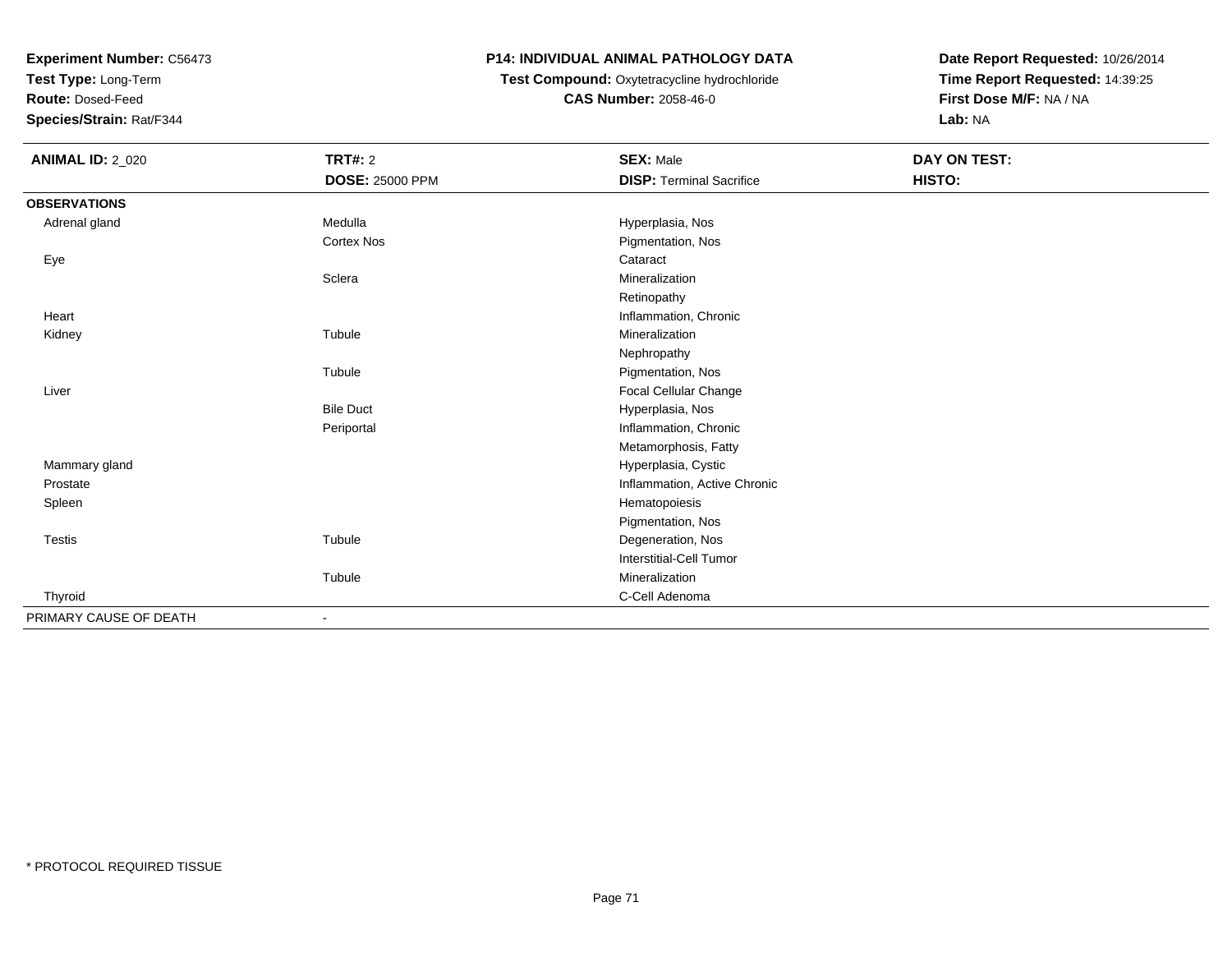**Test Type:** Long-Term

**Route:** Dosed-Feed

**Species/Strain:** Rat/F344

#### **P14: INDIVIDUAL ANIMAL PATHOLOGY DATA**

# **Test Compound:** Oxytetracycline hydrochloride**CAS Number:** 2058-46-0

| <b>ANIMAL ID: 2_020</b> | <b>TRT#: 2</b>         | <b>SEX: Male</b>                | DAY ON TEST: |  |
|-------------------------|------------------------|---------------------------------|--------------|--|
|                         | <b>DOSE: 25000 PPM</b> | <b>DISP: Terminal Sacrifice</b> | HISTO:       |  |
| <b>OBSERVATIONS</b>     |                        |                                 |              |  |
| Adrenal gland           | Medulla                | Hyperplasia, Nos                |              |  |
|                         | <b>Cortex Nos</b>      | Pigmentation, Nos               |              |  |
| Eye                     |                        | Cataract                        |              |  |
|                         | Sclera                 | Mineralization                  |              |  |
|                         |                        | Retinopathy                     |              |  |
| Heart                   |                        | Inflammation, Chronic           |              |  |
| Kidney                  | Tubule                 | Mineralization                  |              |  |
|                         |                        | Nephropathy                     |              |  |
|                         | Tubule                 | Pigmentation, Nos               |              |  |
| Liver                   |                        | Focal Cellular Change           |              |  |
|                         | <b>Bile Duct</b>       | Hyperplasia, Nos                |              |  |
|                         | Periportal             | Inflammation, Chronic           |              |  |
|                         |                        | Metamorphosis, Fatty            |              |  |
| Mammary gland           |                        | Hyperplasia, Cystic             |              |  |
| Prostate                |                        | Inflammation, Active Chronic    |              |  |
| Spleen                  |                        | Hematopoiesis                   |              |  |
|                         |                        | Pigmentation, Nos               |              |  |
| Testis                  | Tubule                 | Degeneration, Nos               |              |  |
|                         |                        | Interstitial-Cell Tumor         |              |  |
|                         | Tubule                 | Mineralization                  |              |  |
| Thyroid                 |                        | C-Cell Adenoma                  |              |  |
| PRIMARY CAUSE OF DEATH  | $\blacksquare$         |                                 |              |  |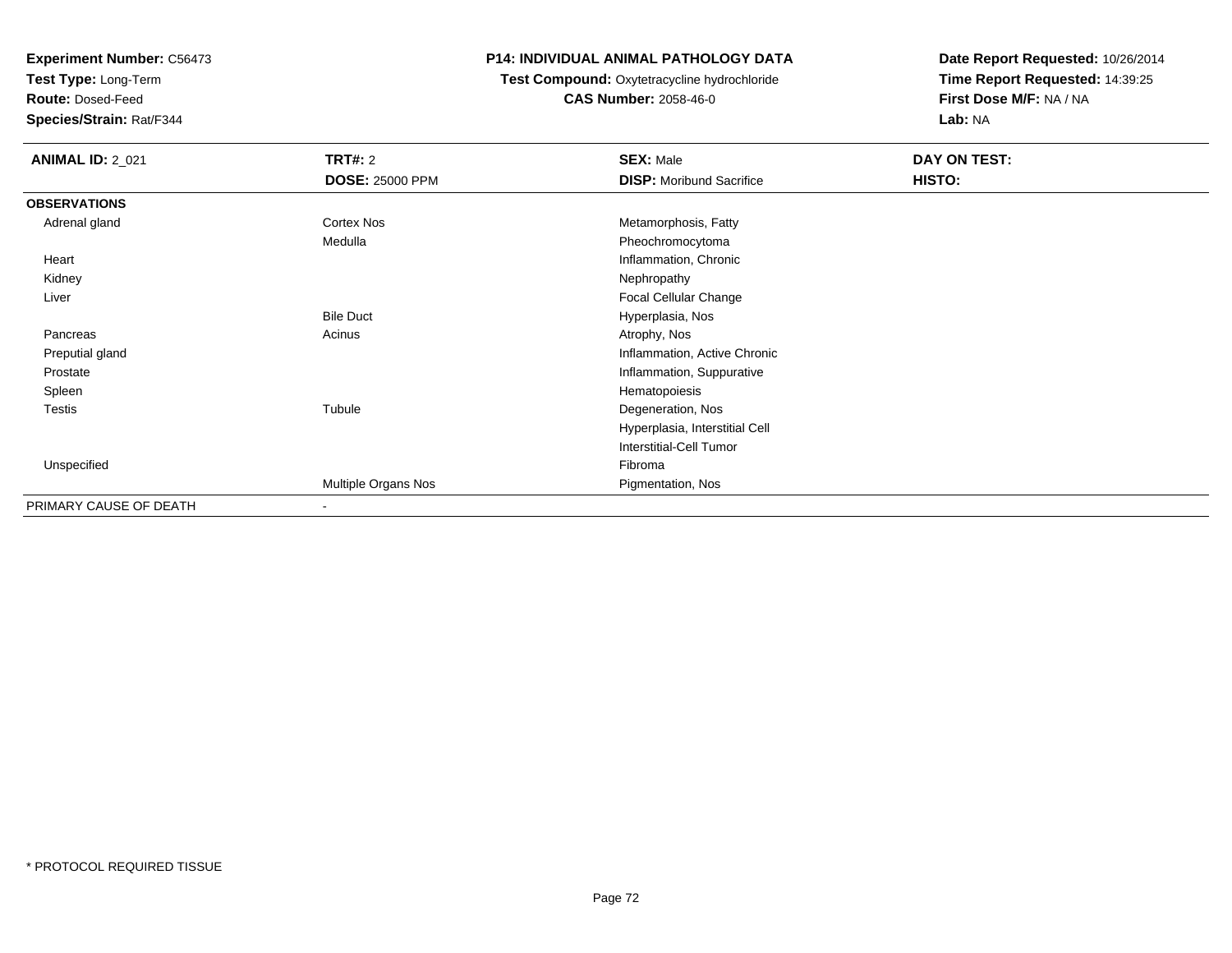**Test Type:** Long-Term

**Route:** Dosed-Feed

**Species/Strain:** Rat/F344

#### **P14: INDIVIDUAL ANIMAL PATHOLOGY DATA**

# **Test Compound:** Oxytetracycline hydrochloride**CAS Number:** 2058-46-0

| <b>ANIMAL ID: 2_021</b> | <b>TRT#: 2</b>           | <b>SEX: Male</b>                | DAY ON TEST: |  |
|-------------------------|--------------------------|---------------------------------|--------------|--|
|                         | <b>DOSE: 25000 PPM</b>   | <b>DISP:</b> Moribund Sacrifice | HISTO:       |  |
| <b>OBSERVATIONS</b>     |                          |                                 |              |  |
| Adrenal gland           | Cortex Nos               | Metamorphosis, Fatty            |              |  |
|                         | Medulla                  | Pheochromocytoma                |              |  |
| Heart                   |                          | Inflammation, Chronic           |              |  |
| Kidney                  |                          | Nephropathy                     |              |  |
| Liver                   |                          | Focal Cellular Change           |              |  |
|                         | <b>Bile Duct</b>         | Hyperplasia, Nos                |              |  |
| Pancreas                | Acinus                   | Atrophy, Nos                    |              |  |
| Preputial gland         |                          | Inflammation, Active Chronic    |              |  |
| Prostate                |                          | Inflammation, Suppurative       |              |  |
| Spleen                  |                          | Hematopoiesis                   |              |  |
| <b>Testis</b>           | Tubule                   | Degeneration, Nos               |              |  |
|                         |                          | Hyperplasia, Interstitial Cell  |              |  |
|                         |                          | Interstitial-Cell Tumor         |              |  |
| Unspecified             |                          | Fibroma                         |              |  |
|                         | Multiple Organs Nos      | Pigmentation, Nos               |              |  |
| PRIMARY CAUSE OF DEATH  | $\overline{\phantom{a}}$ |                                 |              |  |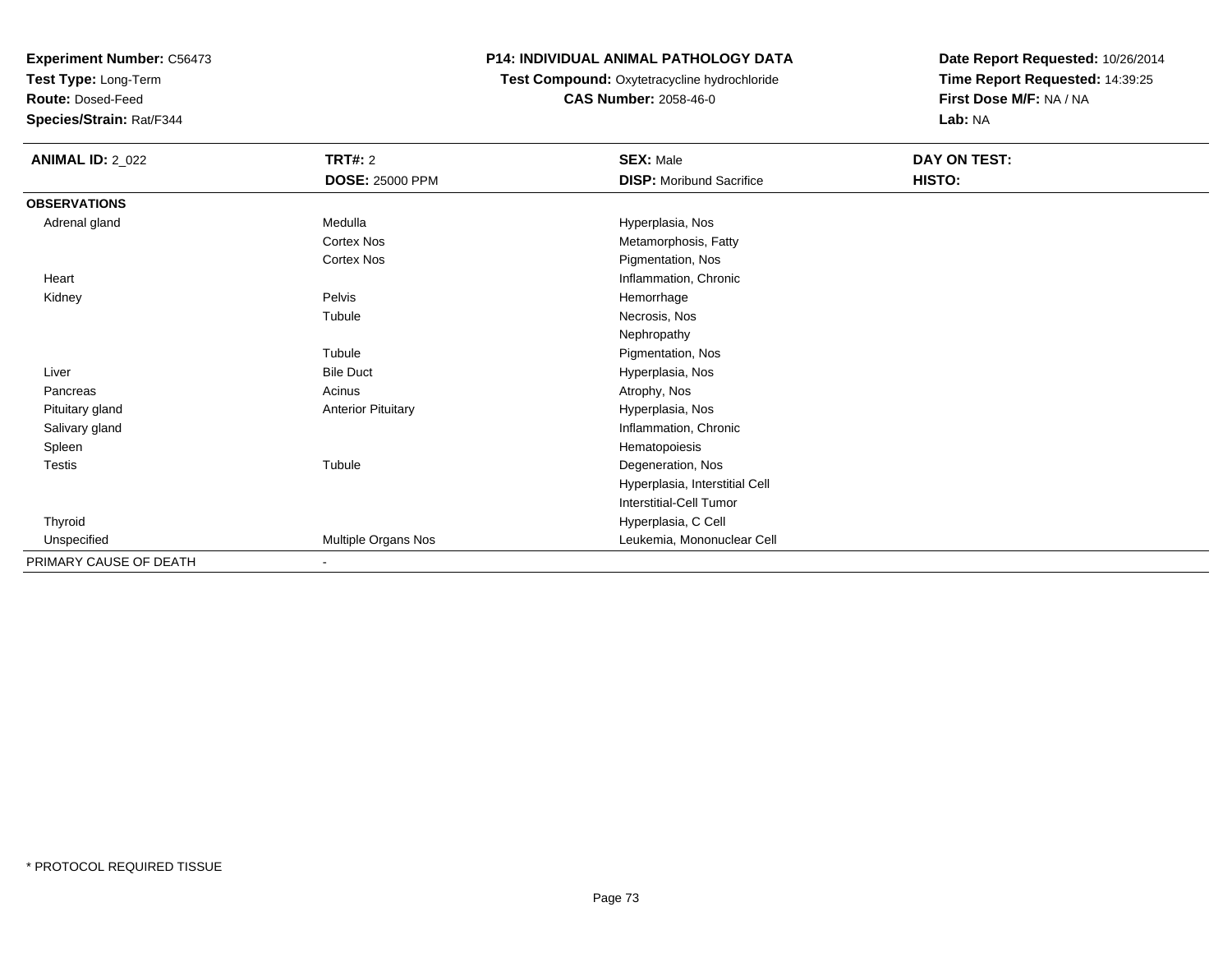**Test Type:** Long-Term

**Route:** Dosed-Feed

**Species/Strain:** Rat/F344

# **P14: INDIVIDUAL ANIMAL PATHOLOGY DATA**

#### **Test Compound:** Oxytetracycline hydrochloride**CAS Number:** 2058-46-0

| <b>ANIMAL ID: 2_022</b> | <b>TRT#: 2</b>            | <b>SEX: Male</b>                | DAY ON TEST: |  |
|-------------------------|---------------------------|---------------------------------|--------------|--|
|                         | <b>DOSE: 25000 PPM</b>    | <b>DISP:</b> Moribund Sacrifice | HISTO:       |  |
| <b>OBSERVATIONS</b>     |                           |                                 |              |  |
| Adrenal gland           | Medulla                   | Hyperplasia, Nos                |              |  |
|                         | <b>Cortex Nos</b>         | Metamorphosis, Fatty            |              |  |
|                         | Cortex Nos                | Pigmentation, Nos               |              |  |
| Heart                   |                           | Inflammation, Chronic           |              |  |
| Kidney                  | Pelvis                    | Hemorrhage                      |              |  |
|                         | Tubule                    | Necrosis, Nos                   |              |  |
|                         |                           | Nephropathy                     |              |  |
|                         | Tubule                    | Pigmentation, Nos               |              |  |
| Liver                   | <b>Bile Duct</b>          | Hyperplasia, Nos                |              |  |
| Pancreas                | Acinus                    | Atrophy, Nos                    |              |  |
| Pituitary gland         | <b>Anterior Pituitary</b> | Hyperplasia, Nos                |              |  |
| Salivary gland          |                           | Inflammation, Chronic           |              |  |
| Spleen                  |                           | Hematopoiesis                   |              |  |
| <b>Testis</b>           | Tubule                    | Degeneration, Nos               |              |  |
|                         |                           | Hyperplasia, Interstitial Cell  |              |  |
|                         |                           | Interstitial-Cell Tumor         |              |  |
| Thyroid                 |                           | Hyperplasia, C Cell             |              |  |
| Unspecified             | Multiple Organs Nos       | Leukemia, Mononuclear Cell      |              |  |
| PRIMARY CAUSE OF DEATH  | $\blacksquare$            |                                 |              |  |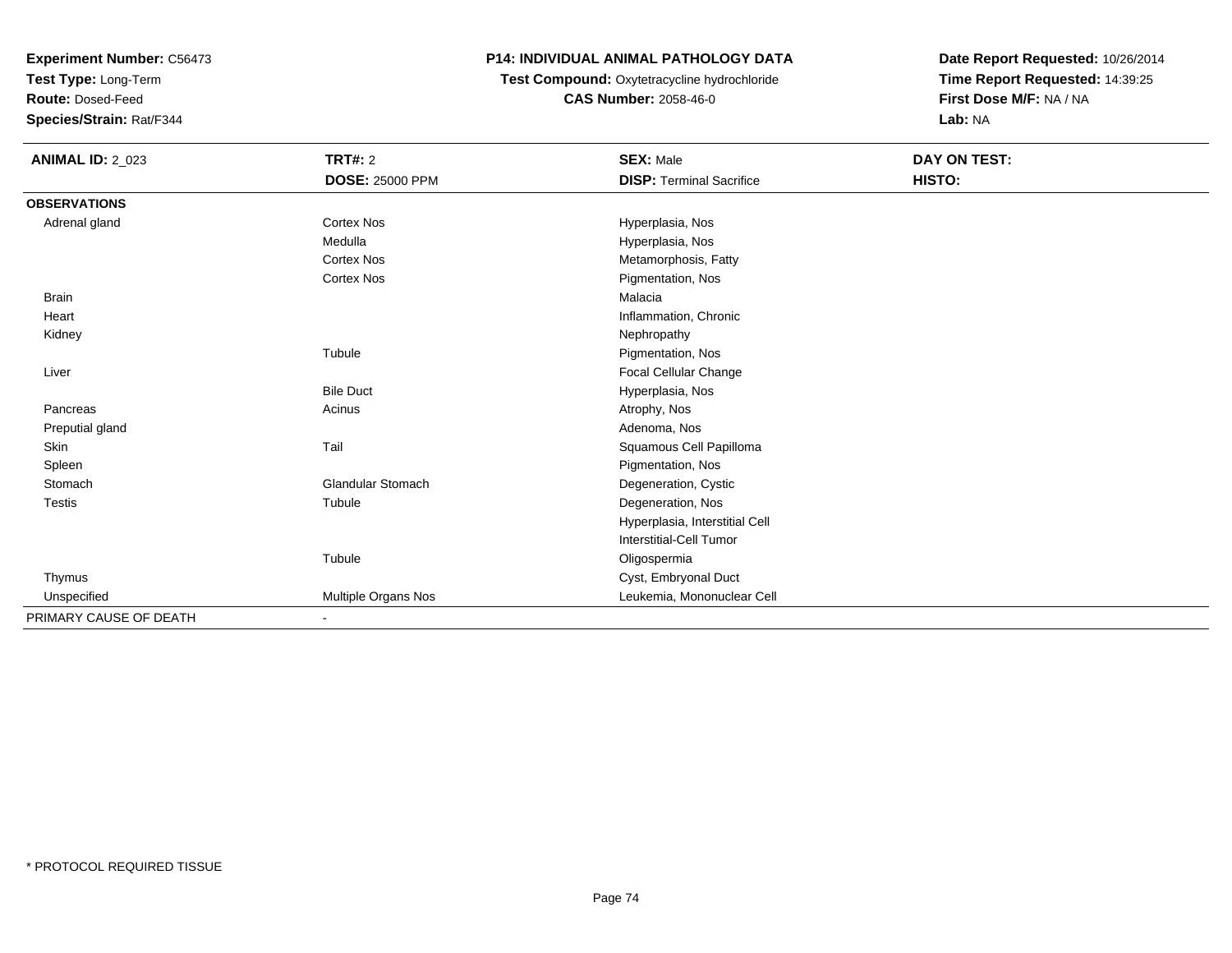**Test Type:** Long-Term

**Route:** Dosed-Feed

**Species/Strain:** Rat/F344

# **P14: INDIVIDUAL ANIMAL PATHOLOGY DATA**

 **Test Compound:** Oxytetracycline hydrochloride**CAS Number:** 2058-46-0

| <b>ANIMAL ID: 2_023</b> | TRT#: 2                  | <b>SEX: Male</b>                | DAY ON TEST: |  |
|-------------------------|--------------------------|---------------------------------|--------------|--|
|                         | <b>DOSE: 25000 PPM</b>   | <b>DISP: Terminal Sacrifice</b> | HISTO:       |  |
| <b>OBSERVATIONS</b>     |                          |                                 |              |  |
| Adrenal gland           | <b>Cortex Nos</b>        | Hyperplasia, Nos                |              |  |
|                         | Medulla                  | Hyperplasia, Nos                |              |  |
|                         | <b>Cortex Nos</b>        | Metamorphosis, Fatty            |              |  |
|                         | <b>Cortex Nos</b>        | Pigmentation, Nos               |              |  |
| <b>Brain</b>            |                          | Malacia                         |              |  |
| Heart                   |                          | Inflammation, Chronic           |              |  |
| Kidney                  |                          | Nephropathy                     |              |  |
|                         | Tubule                   | Pigmentation, Nos               |              |  |
| Liver                   |                          | Focal Cellular Change           |              |  |
|                         | <b>Bile Duct</b>         | Hyperplasia, Nos                |              |  |
| Pancreas                | Acinus                   | Atrophy, Nos                    |              |  |
| Preputial gland         |                          | Adenoma, Nos                    |              |  |
| Skin                    | Tail                     | Squamous Cell Papilloma         |              |  |
| Spleen                  |                          | Pigmentation, Nos               |              |  |
| Stomach                 | <b>Glandular Stomach</b> | Degeneration, Cystic            |              |  |
| <b>Testis</b>           | Tubule                   | Degeneration, Nos               |              |  |
|                         |                          | Hyperplasia, Interstitial Cell  |              |  |
|                         |                          | Interstitial-Cell Tumor         |              |  |
|                         | Tubule                   | Oligospermia                    |              |  |
| Thymus                  |                          | Cyst, Embryonal Duct            |              |  |
| Unspecified             | Multiple Organs Nos      | Leukemia, Mononuclear Cell      |              |  |
| PRIMARY CAUSE OF DEATH  |                          |                                 |              |  |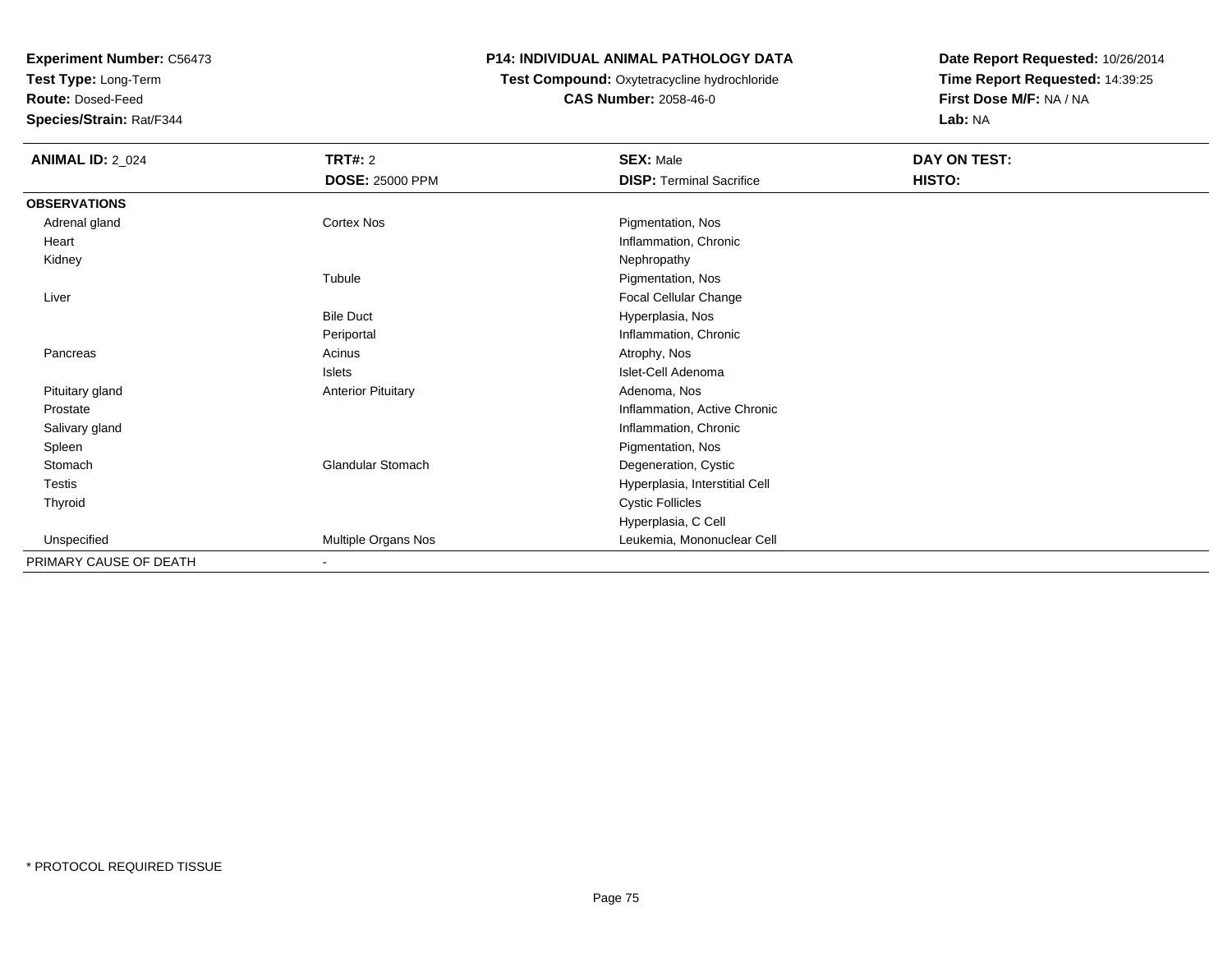**Test Type:** Long-Term

**Route:** Dosed-Feed

**Species/Strain:** Rat/F344

# **P14: INDIVIDUAL ANIMAL PATHOLOGY DATA**

# **Test Compound:** Oxytetracycline hydrochloride**CAS Number:** 2058-46-0

| <b>ANIMAL ID: 2_024</b> | <b>TRT#: 2</b>            | <b>SEX: Male</b>                | DAY ON TEST: |  |
|-------------------------|---------------------------|---------------------------------|--------------|--|
|                         | <b>DOSE: 25000 PPM</b>    | <b>DISP: Terminal Sacrifice</b> | HISTO:       |  |
| <b>OBSERVATIONS</b>     |                           |                                 |              |  |
| Adrenal gland           | Cortex Nos                | Pigmentation, Nos               |              |  |
| Heart                   |                           | Inflammation, Chronic           |              |  |
| Kidney                  |                           | Nephropathy                     |              |  |
|                         | Tubule                    | Pigmentation, Nos               |              |  |
| Liver                   |                           | Focal Cellular Change           |              |  |
|                         | <b>Bile Duct</b>          | Hyperplasia, Nos                |              |  |
|                         | Periportal                | Inflammation, Chronic           |              |  |
| Pancreas                | Acinus                    | Atrophy, Nos                    |              |  |
|                         | Islets                    | Islet-Cell Adenoma              |              |  |
| Pituitary gland         | <b>Anterior Pituitary</b> | Adenoma, Nos                    |              |  |
| Prostate                |                           | Inflammation, Active Chronic    |              |  |
| Salivary gland          |                           | Inflammation, Chronic           |              |  |
| Spleen                  |                           | Pigmentation, Nos               |              |  |
| Stomach                 | <b>Glandular Stomach</b>  | Degeneration, Cystic            |              |  |
| Testis                  |                           | Hyperplasia, Interstitial Cell  |              |  |
| Thyroid                 |                           | <b>Cystic Follicles</b>         |              |  |
|                         |                           | Hyperplasia, C Cell             |              |  |
| Unspecified             | Multiple Organs Nos       | Leukemia, Mononuclear Cell      |              |  |
| PRIMARY CAUSE OF DEATH  | $\blacksquare$            |                                 |              |  |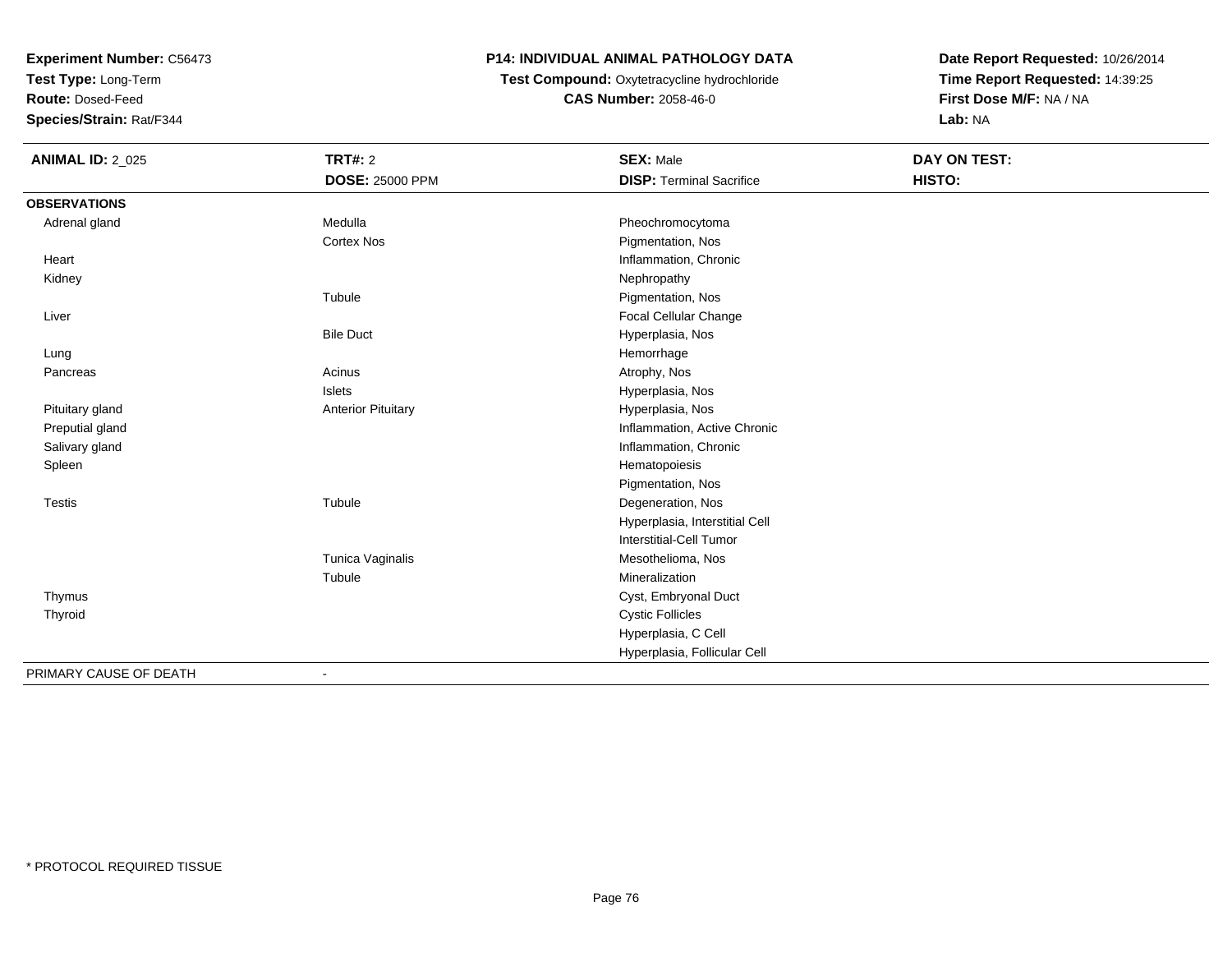**Test Type:** Long-Term

**Route:** Dosed-Feed

**Species/Strain:** Rat/F344

# **P14: INDIVIDUAL ANIMAL PATHOLOGY DATA**

**Test Compound:** Oxytetracycline hydrochloride**CAS Number:** 2058-46-0

| <b>ANIMAL ID: 2_025</b> | <b>TRT#: 2</b>            | <b>SEX: Male</b>                | DAY ON TEST: |
|-------------------------|---------------------------|---------------------------------|--------------|
|                         | <b>DOSE: 25000 PPM</b>    | <b>DISP: Terminal Sacrifice</b> | HISTO:       |
| <b>OBSERVATIONS</b>     |                           |                                 |              |
| Adrenal gland           | Medulla                   | Pheochromocytoma                |              |
|                         | <b>Cortex Nos</b>         | Pigmentation, Nos               |              |
| Heart                   |                           | Inflammation, Chronic           |              |
| Kidney                  |                           | Nephropathy                     |              |
|                         | Tubule                    | Pigmentation, Nos               |              |
| Liver                   |                           | Focal Cellular Change           |              |
|                         | <b>Bile Duct</b>          | Hyperplasia, Nos                |              |
| Lung                    |                           | Hemorrhage                      |              |
| Pancreas                | Acinus                    | Atrophy, Nos                    |              |
|                         | Islets                    | Hyperplasia, Nos                |              |
| Pituitary gland         | <b>Anterior Pituitary</b> | Hyperplasia, Nos                |              |
| Preputial gland         |                           | Inflammation, Active Chronic    |              |
| Salivary gland          |                           | Inflammation, Chronic           |              |
| Spleen                  |                           | Hematopoiesis                   |              |
|                         |                           | Pigmentation, Nos               |              |
| Testis                  | Tubule                    | Degeneration, Nos               |              |
|                         |                           | Hyperplasia, Interstitial Cell  |              |
|                         |                           | Interstitial-Cell Tumor         |              |
|                         | Tunica Vaginalis          | Mesothelioma, Nos               |              |
|                         | Tubule                    | Mineralization                  |              |
| Thymus                  |                           | Cyst, Embryonal Duct            |              |
| Thyroid                 |                           | <b>Cystic Follicles</b>         |              |
|                         |                           | Hyperplasia, C Cell             |              |
|                         |                           | Hyperplasia, Follicular Cell    |              |
| PRIMARY CAUSE OF DEATH  |                           |                                 |              |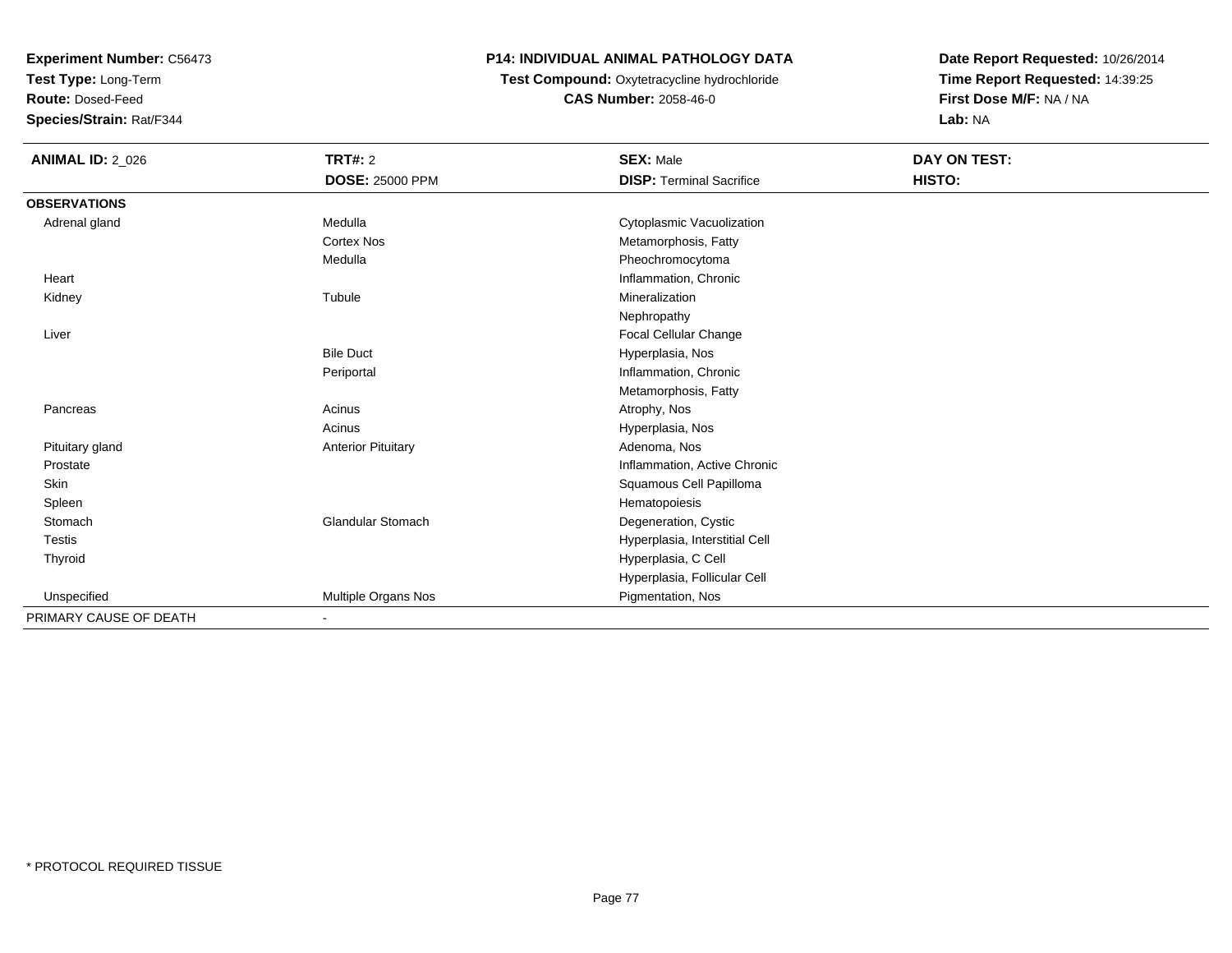**Test Type:** Long-Term

**Route:** Dosed-Feed

**Species/Strain:** Rat/F344

# **P14: INDIVIDUAL ANIMAL PATHOLOGY DATA**

 **Test Compound:** Oxytetracycline hydrochloride**CAS Number:** 2058-46-0

| <b>ANIMAL ID: 2_026</b> | <b>TRT#: 2</b>            | <b>SEX: Male</b>                | DAY ON TEST: |  |
|-------------------------|---------------------------|---------------------------------|--------------|--|
|                         | <b>DOSE: 25000 PPM</b>    | <b>DISP: Terminal Sacrifice</b> | HISTO:       |  |
| <b>OBSERVATIONS</b>     |                           |                                 |              |  |
| Adrenal gland           | Medulla                   | Cytoplasmic Vacuolization       |              |  |
|                         | <b>Cortex Nos</b>         | Metamorphosis, Fatty            |              |  |
|                         | Medulla                   | Pheochromocytoma                |              |  |
| Heart                   |                           | Inflammation, Chronic           |              |  |
| Kidney                  | Tubule                    | Mineralization                  |              |  |
|                         |                           | Nephropathy                     |              |  |
| Liver                   |                           | Focal Cellular Change           |              |  |
|                         | <b>Bile Duct</b>          | Hyperplasia, Nos                |              |  |
|                         | Periportal                | Inflammation, Chronic           |              |  |
|                         |                           | Metamorphosis, Fatty            |              |  |
| Pancreas                | Acinus                    | Atrophy, Nos                    |              |  |
|                         | Acinus                    | Hyperplasia, Nos                |              |  |
| Pituitary gland         | <b>Anterior Pituitary</b> | Adenoma, Nos                    |              |  |
| Prostate                |                           | Inflammation, Active Chronic    |              |  |
| Skin                    |                           | Squamous Cell Papilloma         |              |  |
| Spleen                  |                           | Hematopoiesis                   |              |  |
| Stomach                 | <b>Glandular Stomach</b>  | Degeneration, Cystic            |              |  |
| <b>Testis</b>           |                           | Hyperplasia, Interstitial Cell  |              |  |
| Thyroid                 |                           | Hyperplasia, C Cell             |              |  |
|                         |                           | Hyperplasia, Follicular Cell    |              |  |
| Unspecified             | Multiple Organs Nos       | Pigmentation, Nos               |              |  |
| PRIMARY CAUSE OF DEATH  |                           |                                 |              |  |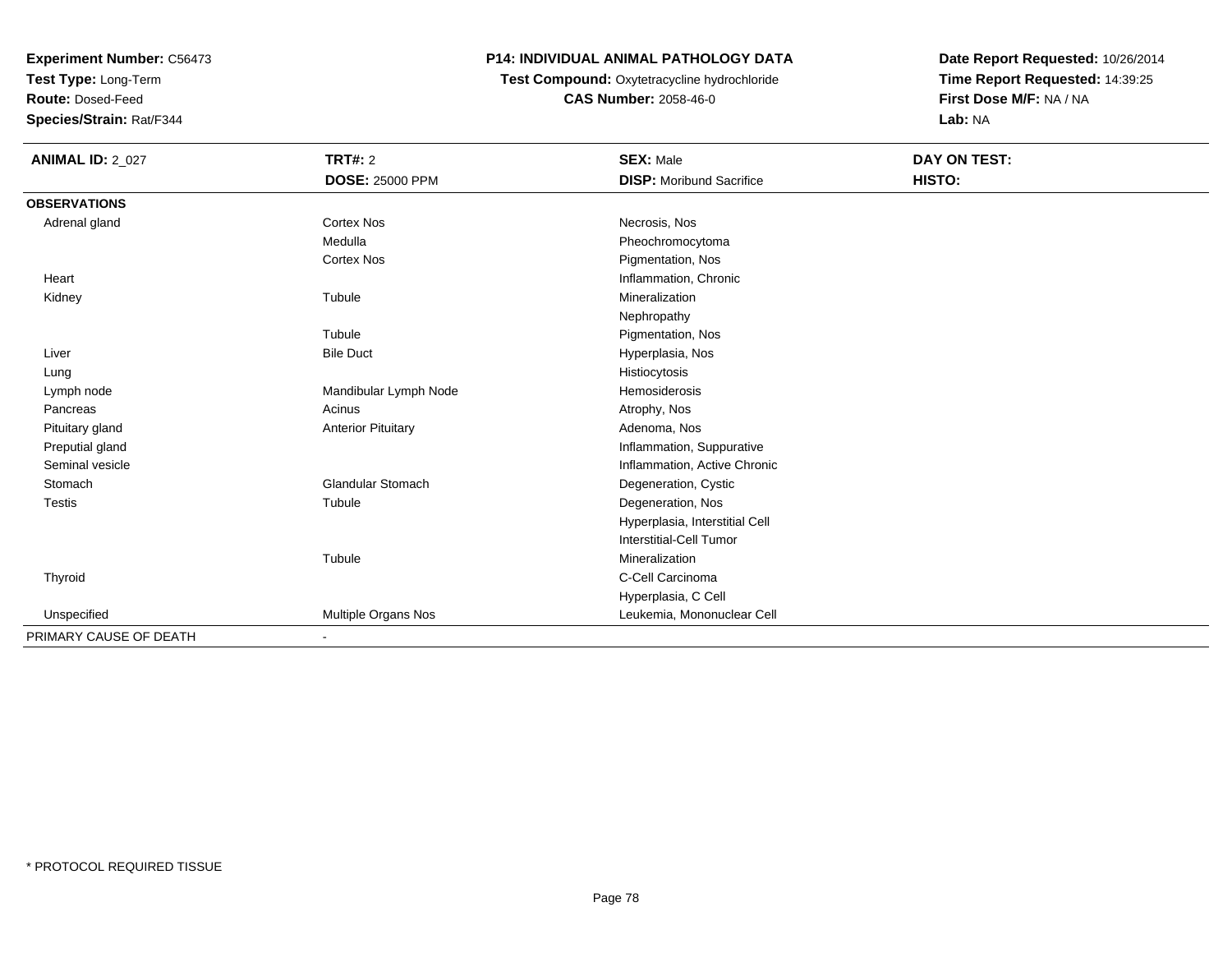**Test Type:** Long-Term

**Route:** Dosed-Feed

**Species/Strain:** Rat/F344

# **P14: INDIVIDUAL ANIMAL PATHOLOGY DATA**

# **Test Compound:** Oxytetracycline hydrochloride**CAS Number:** 2058-46-0

| <b>ANIMAL ID: 2_027</b> | <b>TRT#: 2</b>            | <b>SEX: Male</b>                | DAY ON TEST: |
|-------------------------|---------------------------|---------------------------------|--------------|
|                         | <b>DOSE: 25000 PPM</b>    | <b>DISP:</b> Moribund Sacrifice | HISTO:       |
| <b>OBSERVATIONS</b>     |                           |                                 |              |
| Adrenal gland           | Cortex Nos                | Necrosis, Nos                   |              |
|                         | Medulla                   | Pheochromocytoma                |              |
|                         | Cortex Nos                | Pigmentation, Nos               |              |
| Heart                   |                           | Inflammation, Chronic           |              |
| Kidney                  | Tubule                    | Mineralization                  |              |
|                         |                           | Nephropathy                     |              |
|                         | Tubule                    | Pigmentation, Nos               |              |
| Liver                   | <b>Bile Duct</b>          | Hyperplasia, Nos                |              |
| Lung                    |                           | Histiocytosis                   |              |
| Lymph node              | Mandibular Lymph Node     | Hemosiderosis                   |              |
| Pancreas                | Acinus                    | Atrophy, Nos                    |              |
| Pituitary gland         | <b>Anterior Pituitary</b> | Adenoma, Nos                    |              |
| Preputial gland         |                           | Inflammation, Suppurative       |              |
| Seminal vesicle         |                           | Inflammation, Active Chronic    |              |
| Stomach                 | <b>Glandular Stomach</b>  | Degeneration, Cystic            |              |
| <b>Testis</b>           | Tubule                    | Degeneration, Nos               |              |
|                         |                           | Hyperplasia, Interstitial Cell  |              |
|                         |                           | Interstitial-Cell Tumor         |              |
|                         | Tubule                    | Mineralization                  |              |
| Thyroid                 |                           | C-Cell Carcinoma                |              |
|                         |                           | Hyperplasia, C Cell             |              |
| Unspecified             | Multiple Organs Nos       | Leukemia, Mononuclear Cell      |              |
| PRIMARY CAUSE OF DEATH  | $\blacksquare$            |                                 |              |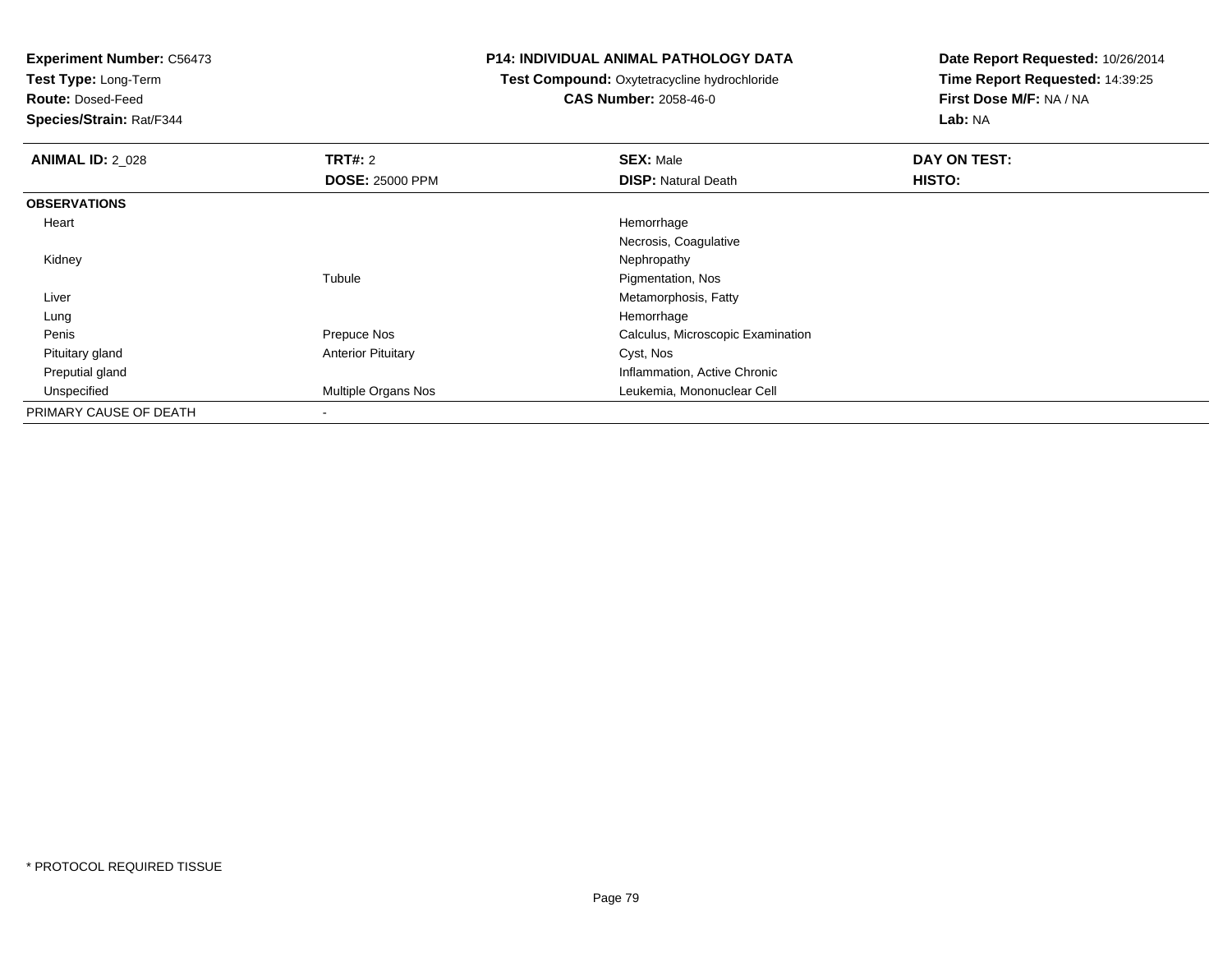**Test Type:** Long-Term

**Route:** Dosed-Feed

**Species/Strain:** Rat/F344

#### **P14: INDIVIDUAL ANIMAL PATHOLOGY DATA**

 **Test Compound:** Oxytetracycline hydrochloride**CAS Number:** 2058-46-0

| <b>ANIMAL ID: 2 028</b> | TRT#: 2                   | <b>SEX: Male</b>                  | DAY ON TEST: |  |
|-------------------------|---------------------------|-----------------------------------|--------------|--|
|                         | <b>DOSE: 25000 PPM</b>    | <b>DISP: Natural Death</b>        | HISTO:       |  |
| <b>OBSERVATIONS</b>     |                           |                                   |              |  |
| Heart                   |                           | Hemorrhage                        |              |  |
|                         |                           | Necrosis, Coagulative             |              |  |
| Kidney                  |                           | Nephropathy                       |              |  |
|                         | Tubule                    | Pigmentation, Nos                 |              |  |
| Liver                   |                           | Metamorphosis, Fatty              |              |  |
| Lung                    |                           | Hemorrhage                        |              |  |
| Penis                   | Prepuce Nos               | Calculus, Microscopic Examination |              |  |
| Pituitary gland         | <b>Anterior Pituitary</b> | Cyst, Nos                         |              |  |
| Preputial gland         |                           | Inflammation, Active Chronic      |              |  |
| Unspecified             | Multiple Organs Nos       | Leukemia, Mononuclear Cell        |              |  |
| PRIMARY CAUSE OF DEATH  | $\blacksquare$            |                                   |              |  |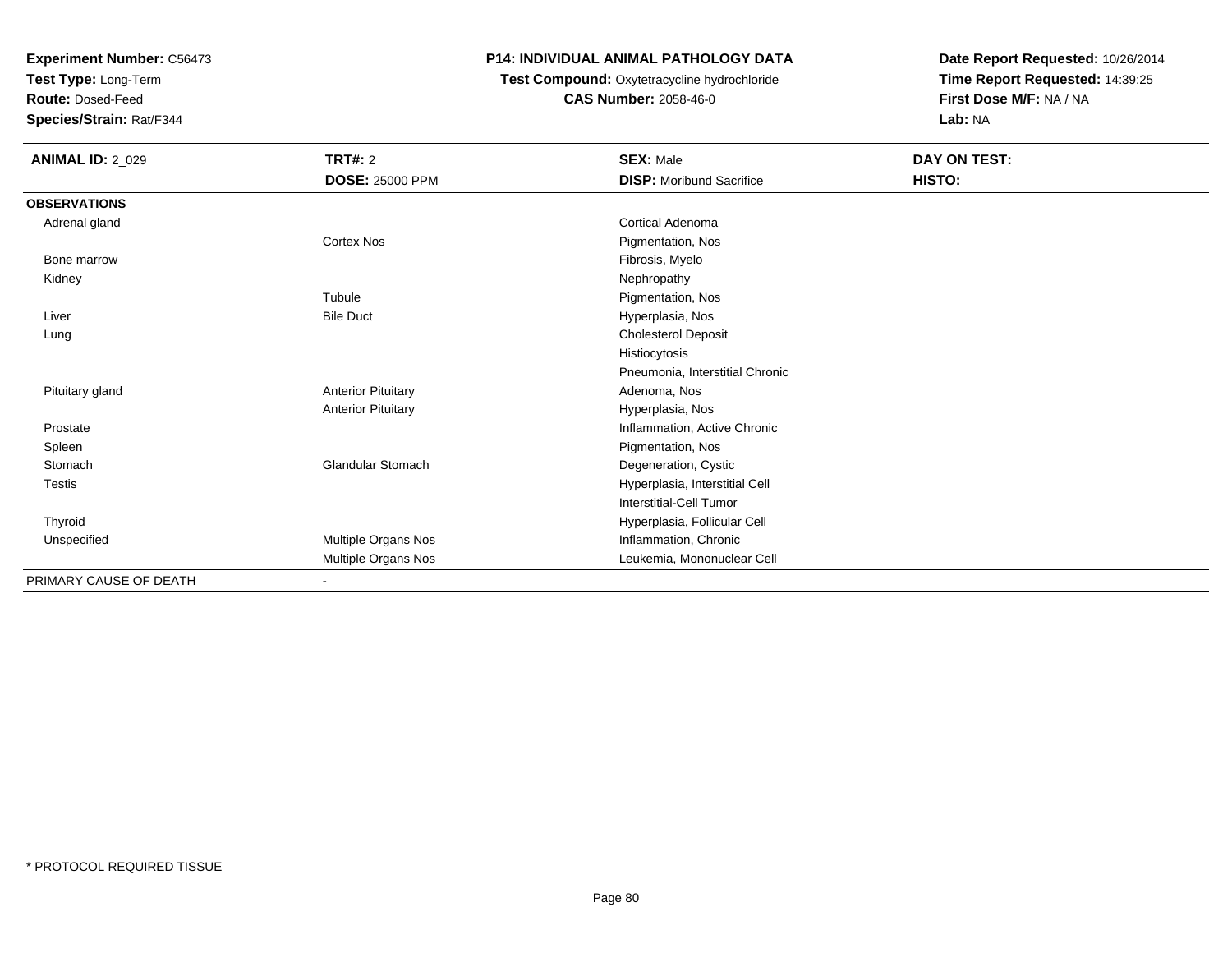**Test Type:** Long-Term

**Route:** Dosed-Feed

**Species/Strain:** Rat/F344

# **P14: INDIVIDUAL ANIMAL PATHOLOGY DATA**

# **Test Compound:** Oxytetracycline hydrochloride**CAS Number:** 2058-46-0

| <b>ANIMAL ID: 2_029</b> | TRT#: 2                   | <b>SEX: Male</b>                | DAY ON TEST: |  |
|-------------------------|---------------------------|---------------------------------|--------------|--|
|                         | <b>DOSE: 25000 PPM</b>    | <b>DISP:</b> Moribund Sacrifice | HISTO:       |  |
| <b>OBSERVATIONS</b>     |                           |                                 |              |  |
| Adrenal gland           |                           | Cortical Adenoma                |              |  |
|                         | <b>Cortex Nos</b>         | Pigmentation, Nos               |              |  |
| Bone marrow             |                           | Fibrosis, Myelo                 |              |  |
| Kidney                  |                           | Nephropathy                     |              |  |
|                         | Tubule                    | Pigmentation, Nos               |              |  |
| Liver                   | <b>Bile Duct</b>          | Hyperplasia, Nos                |              |  |
| Lung                    |                           | <b>Cholesterol Deposit</b>      |              |  |
|                         |                           | Histiocytosis                   |              |  |
|                         |                           | Pneumonia, Interstitial Chronic |              |  |
| Pituitary gland         | <b>Anterior Pituitary</b> | Adenoma, Nos                    |              |  |
|                         | <b>Anterior Pituitary</b> | Hyperplasia, Nos                |              |  |
| Prostate                |                           | Inflammation, Active Chronic    |              |  |
| Spleen                  |                           | Pigmentation, Nos               |              |  |
| Stomach                 | <b>Glandular Stomach</b>  | Degeneration, Cystic            |              |  |
| Testis                  |                           | Hyperplasia, Interstitial Cell  |              |  |
|                         |                           | Interstitial-Cell Tumor         |              |  |
| Thyroid                 |                           | Hyperplasia, Follicular Cell    |              |  |
| Unspecified             | Multiple Organs Nos       | Inflammation, Chronic           |              |  |
|                         | Multiple Organs Nos       | Leukemia, Mononuclear Cell      |              |  |
| PRIMARY CAUSE OF DEATH  |                           |                                 |              |  |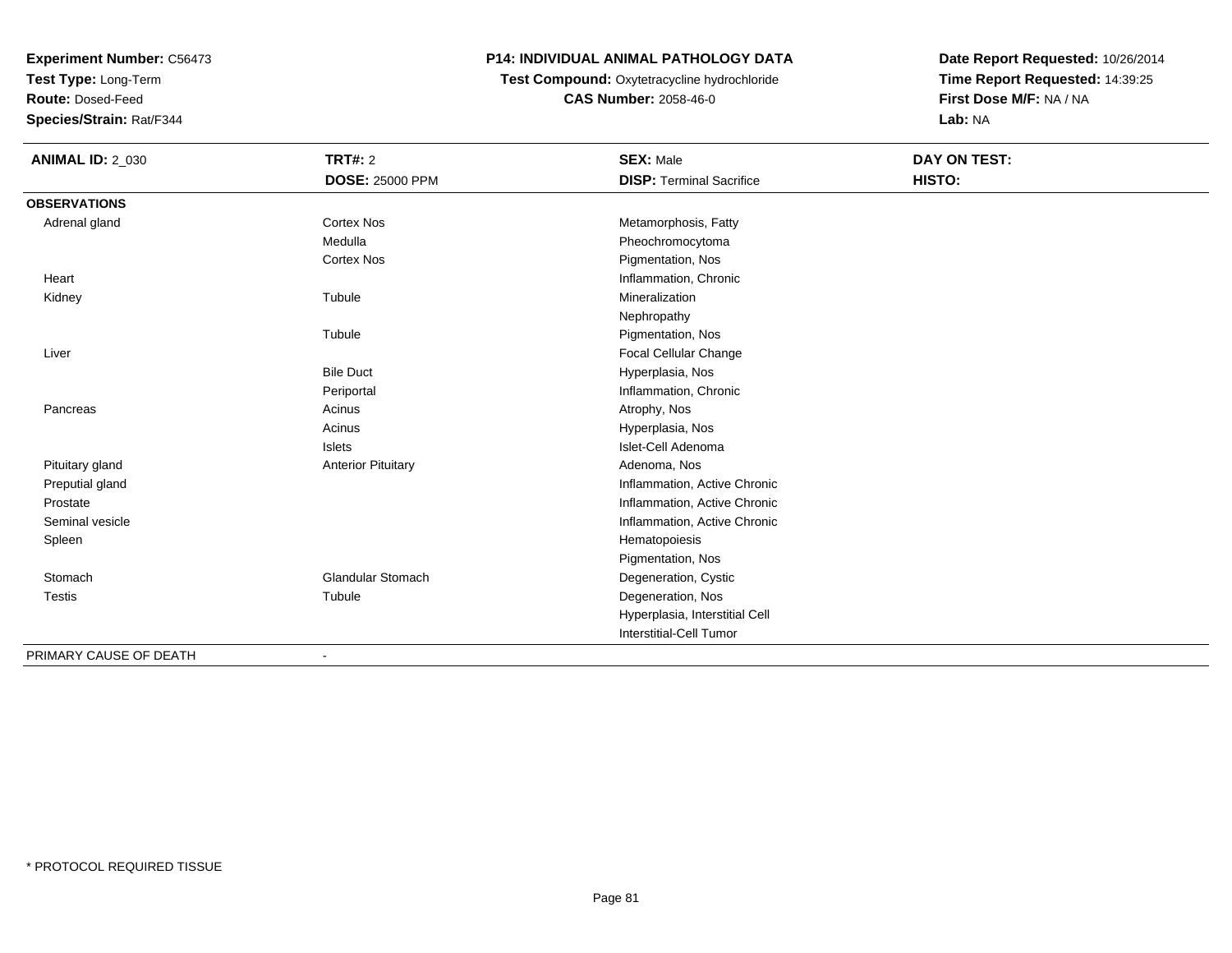**Test Type:** Long-Term

**Route:** Dosed-Feed

**Species/Strain:** Rat/F344

# **P14: INDIVIDUAL ANIMAL PATHOLOGY DATA**

**Test Compound:** Oxytetracycline hydrochloride**CAS Number:** 2058-46-0

| <b>ANIMAL ID: 2_030</b> | TRT#: 2                   | <b>SEX: Male</b>                | DAY ON TEST: |  |
|-------------------------|---------------------------|---------------------------------|--------------|--|
|                         | <b>DOSE: 25000 PPM</b>    | <b>DISP: Terminal Sacrifice</b> | HISTO:       |  |
| <b>OBSERVATIONS</b>     |                           |                                 |              |  |
| Adrenal gland           | <b>Cortex Nos</b>         | Metamorphosis, Fatty            |              |  |
|                         | Medulla                   | Pheochromocytoma                |              |  |
|                         | <b>Cortex Nos</b>         | Pigmentation, Nos               |              |  |
| Heart                   |                           | Inflammation, Chronic           |              |  |
| Kidney                  | Tubule                    | Mineralization                  |              |  |
|                         |                           | Nephropathy                     |              |  |
|                         | Tubule                    | Pigmentation, Nos               |              |  |
| Liver                   |                           | <b>Focal Cellular Change</b>    |              |  |
|                         | <b>Bile Duct</b>          | Hyperplasia, Nos                |              |  |
|                         | Periportal                | Inflammation, Chronic           |              |  |
| Pancreas                | Acinus                    | Atrophy, Nos                    |              |  |
|                         | Acinus                    | Hyperplasia, Nos                |              |  |
|                         | <b>Islets</b>             | Islet-Cell Adenoma              |              |  |
| Pituitary gland         | <b>Anterior Pituitary</b> | Adenoma, Nos                    |              |  |
| Preputial gland         |                           | Inflammation, Active Chronic    |              |  |
| Prostate                |                           | Inflammation, Active Chronic    |              |  |
| Seminal vesicle         |                           | Inflammation, Active Chronic    |              |  |
| Spleen                  |                           | Hematopoiesis                   |              |  |
|                         |                           | Pigmentation, Nos               |              |  |
| Stomach                 | Glandular Stomach         | Degeneration, Cystic            |              |  |
| <b>Testis</b>           | Tubule                    | Degeneration, Nos               |              |  |
|                         |                           | Hyperplasia, Interstitial Cell  |              |  |
|                         |                           | Interstitial-Cell Tumor         |              |  |
| PRIMARY CAUSE OF DEATH  |                           |                                 |              |  |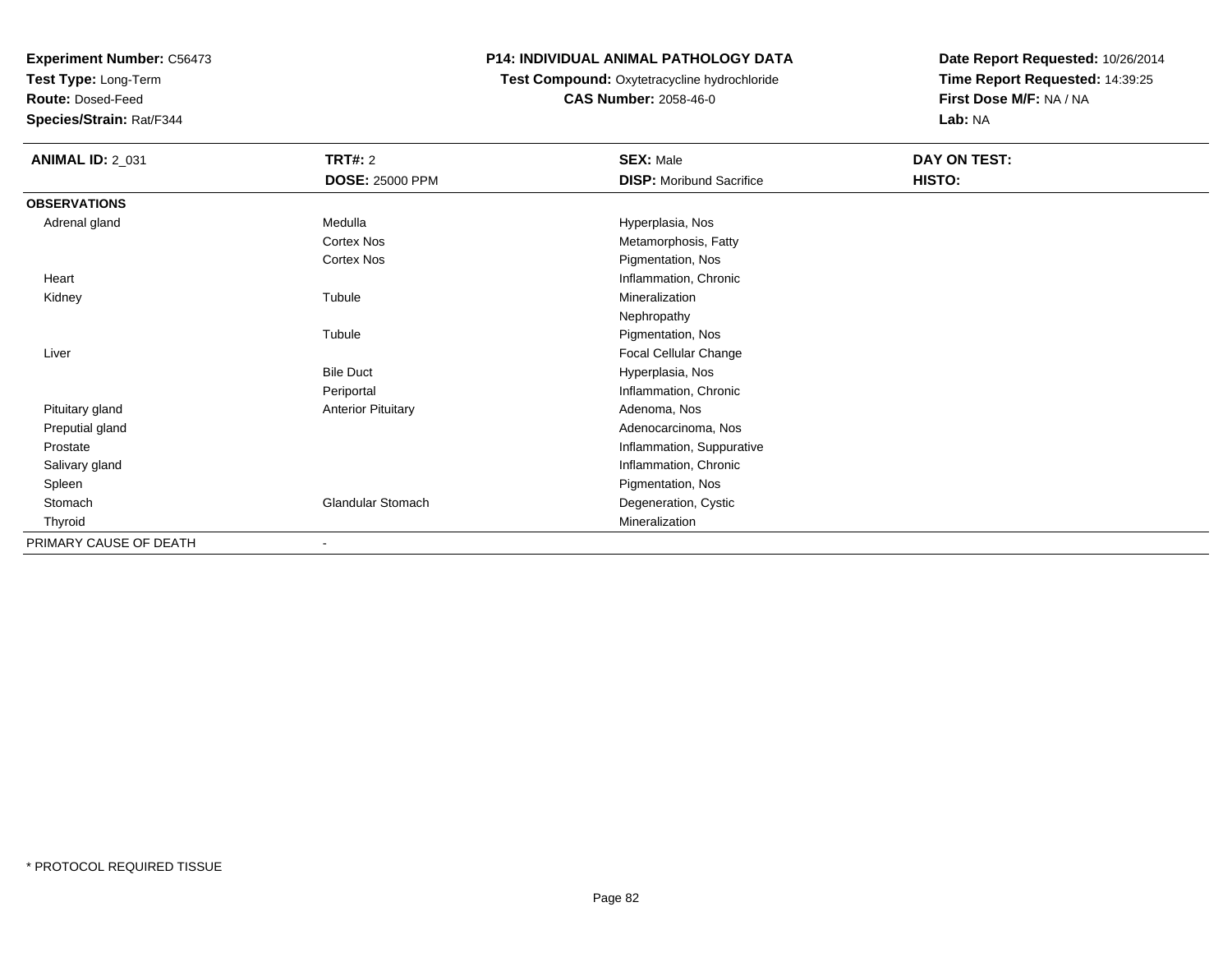**Test Type:** Long-Term

**Route:** Dosed-Feed

**Species/Strain:** Rat/F344

# **P14: INDIVIDUAL ANIMAL PATHOLOGY DATA**

# **Test Compound:** Oxytetracycline hydrochloride**CAS Number:** 2058-46-0

| <b>ANIMAL ID: 2_031</b> | <b>TRT#: 2</b>            | <b>SEX: Male</b>                | DAY ON TEST: |  |
|-------------------------|---------------------------|---------------------------------|--------------|--|
|                         | <b>DOSE: 25000 PPM</b>    | <b>DISP:</b> Moribund Sacrifice | HISTO:       |  |
| <b>OBSERVATIONS</b>     |                           |                                 |              |  |
| Adrenal gland           | Medulla                   | Hyperplasia, Nos                |              |  |
|                         | Cortex Nos                | Metamorphosis, Fatty            |              |  |
|                         | <b>Cortex Nos</b>         | Pigmentation, Nos               |              |  |
| Heart                   |                           | Inflammation, Chronic           |              |  |
| Kidney                  | Tubule                    | Mineralization                  |              |  |
|                         |                           | Nephropathy                     |              |  |
|                         | Tubule                    | Pigmentation, Nos               |              |  |
| Liver                   |                           | <b>Focal Cellular Change</b>    |              |  |
|                         | <b>Bile Duct</b>          | Hyperplasia, Nos                |              |  |
|                         | Periportal                | Inflammation, Chronic           |              |  |
| Pituitary gland         | <b>Anterior Pituitary</b> | Adenoma, Nos                    |              |  |
| Preputial gland         |                           | Adenocarcinoma, Nos             |              |  |
| Prostate                |                           | Inflammation, Suppurative       |              |  |
| Salivary gland          |                           | Inflammation, Chronic           |              |  |
| Spleen                  |                           | Pigmentation, Nos               |              |  |
| Stomach                 | <b>Glandular Stomach</b>  | Degeneration, Cystic            |              |  |
| Thyroid                 |                           | Mineralization                  |              |  |
| PRIMARY CAUSE OF DEATH  |                           |                                 |              |  |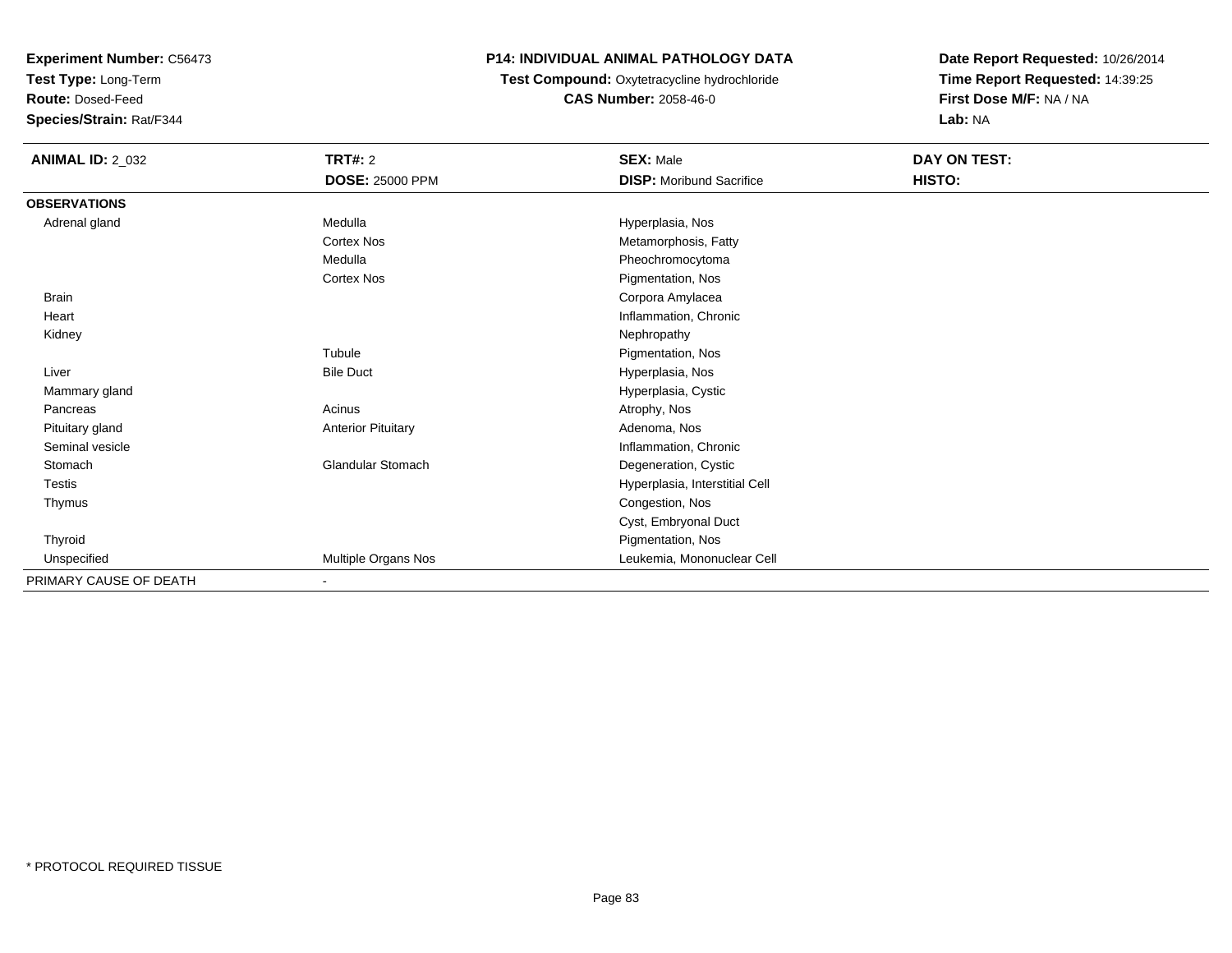**Test Type:** Long-Term

**Route:** Dosed-Feed

**Species/Strain:** Rat/F344

# **P14: INDIVIDUAL ANIMAL PATHOLOGY DATA**

**Test Compound:** Oxytetracycline hydrochloride**CAS Number:** 2058-46-0

| <b>ANIMAL ID: 2_032</b> | TRT#: 2                   | <b>SEX: Male</b>                | DAY ON TEST: |
|-------------------------|---------------------------|---------------------------------|--------------|
|                         | <b>DOSE: 25000 PPM</b>    | <b>DISP:</b> Moribund Sacrifice | HISTO:       |
| <b>OBSERVATIONS</b>     |                           |                                 |              |
| Adrenal gland           | Medulla                   | Hyperplasia, Nos                |              |
|                         | <b>Cortex Nos</b>         | Metamorphosis, Fatty            |              |
|                         | Medulla                   | Pheochromocytoma                |              |
|                         | Cortex Nos                | Pigmentation, Nos               |              |
| Brain                   |                           | Corpora Amylacea                |              |
| Heart                   |                           | Inflammation, Chronic           |              |
| Kidney                  |                           | Nephropathy                     |              |
|                         | Tubule                    | Pigmentation, Nos               |              |
| Liver                   | <b>Bile Duct</b>          | Hyperplasia, Nos                |              |
| Mammary gland           |                           | Hyperplasia, Cystic             |              |
| Pancreas                | Acinus                    | Atrophy, Nos                    |              |
| Pituitary gland         | <b>Anterior Pituitary</b> | Adenoma, Nos                    |              |
| Seminal vesicle         |                           | Inflammation, Chronic           |              |
| Stomach                 | <b>Glandular Stomach</b>  | Degeneration, Cystic            |              |
| Testis                  |                           | Hyperplasia, Interstitial Cell  |              |
| Thymus                  |                           | Congestion, Nos                 |              |
|                         |                           | Cyst, Embryonal Duct            |              |
| Thyroid                 |                           | Pigmentation, Nos               |              |
| Unspecified             | Multiple Organs Nos       | Leukemia, Mononuclear Cell      |              |
| PRIMARY CAUSE OF DEATH  | $\blacksquare$            |                                 |              |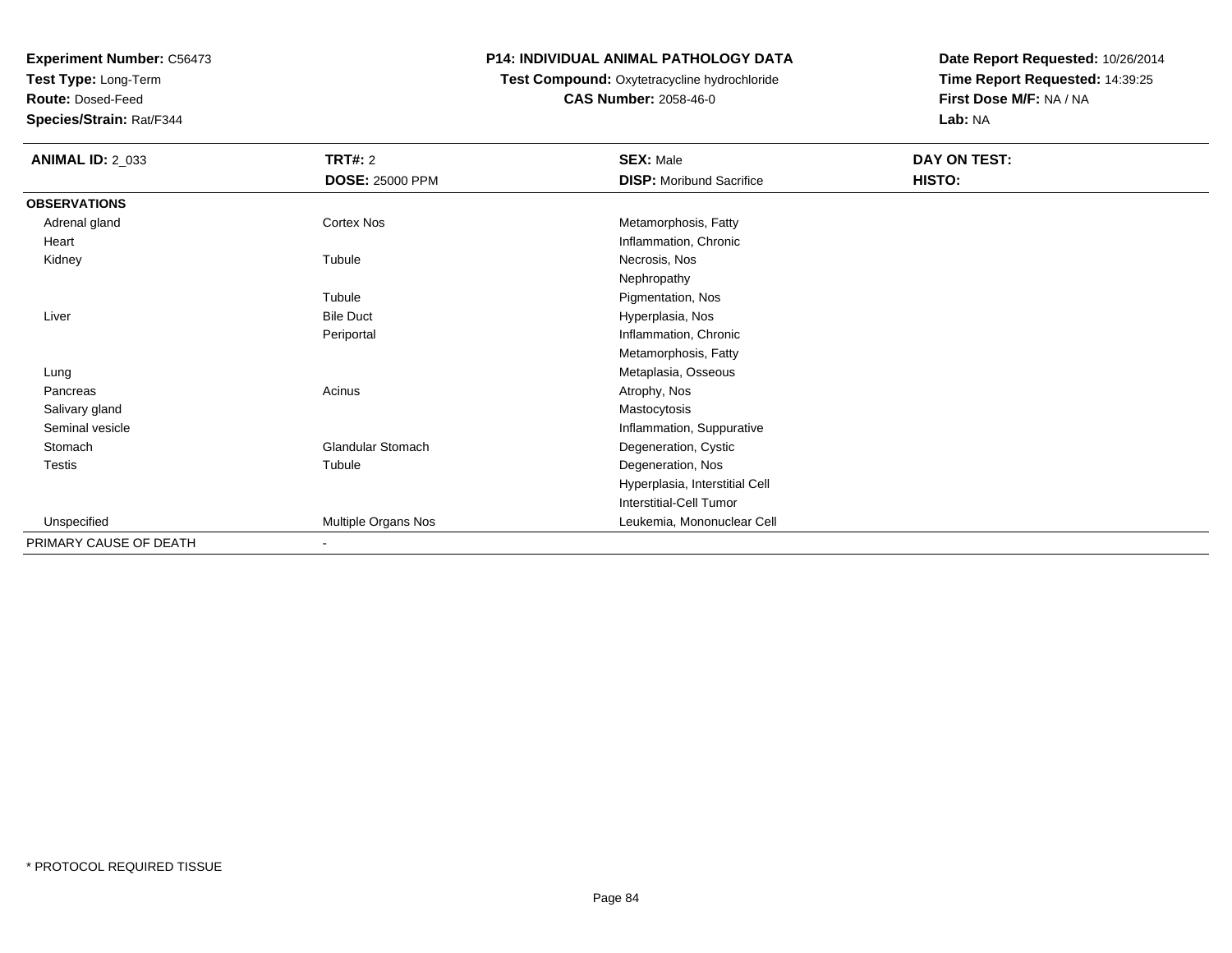**Test Type:** Long-Term

**Route:** Dosed-Feed

**Species/Strain:** Rat/F344

### **P14: INDIVIDUAL ANIMAL PATHOLOGY DATA**

# **Test Compound:** Oxytetracycline hydrochloride**CAS Number:** 2058-46-0

| <b>ANIMAL ID: 2_033</b> | <b>TRT#: 2</b>           | <b>SEX: Male</b>                | DAY ON TEST: |
|-------------------------|--------------------------|---------------------------------|--------------|
|                         | <b>DOSE: 25000 PPM</b>   | <b>DISP:</b> Moribund Sacrifice | HISTO:       |
| <b>OBSERVATIONS</b>     |                          |                                 |              |
| Adrenal gland           | Cortex Nos               | Metamorphosis, Fatty            |              |
| Heart                   |                          | Inflammation, Chronic           |              |
| Kidney                  | Tubule                   | Necrosis, Nos                   |              |
|                         |                          | Nephropathy                     |              |
|                         | Tubule                   | Pigmentation, Nos               |              |
| Liver                   | <b>Bile Duct</b>         | Hyperplasia, Nos                |              |
|                         | Periportal               | Inflammation, Chronic           |              |
|                         |                          | Metamorphosis, Fatty            |              |
| Lung                    |                          | Metaplasia, Osseous             |              |
| Pancreas                | Acinus                   | Atrophy, Nos                    |              |
| Salivary gland          |                          | Mastocytosis                    |              |
| Seminal vesicle         |                          | Inflammation, Suppurative       |              |
| Stomach                 | <b>Glandular Stomach</b> | Degeneration, Cystic            |              |
| <b>Testis</b>           | Tubule                   | Degeneration, Nos               |              |
|                         |                          | Hyperplasia, Interstitial Cell  |              |
|                         |                          | Interstitial-Cell Tumor         |              |
| Unspecified             | Multiple Organs Nos      | Leukemia, Mononuclear Cell      |              |
| PRIMARY CAUSE OF DEATH  | $\blacksquare$           |                                 |              |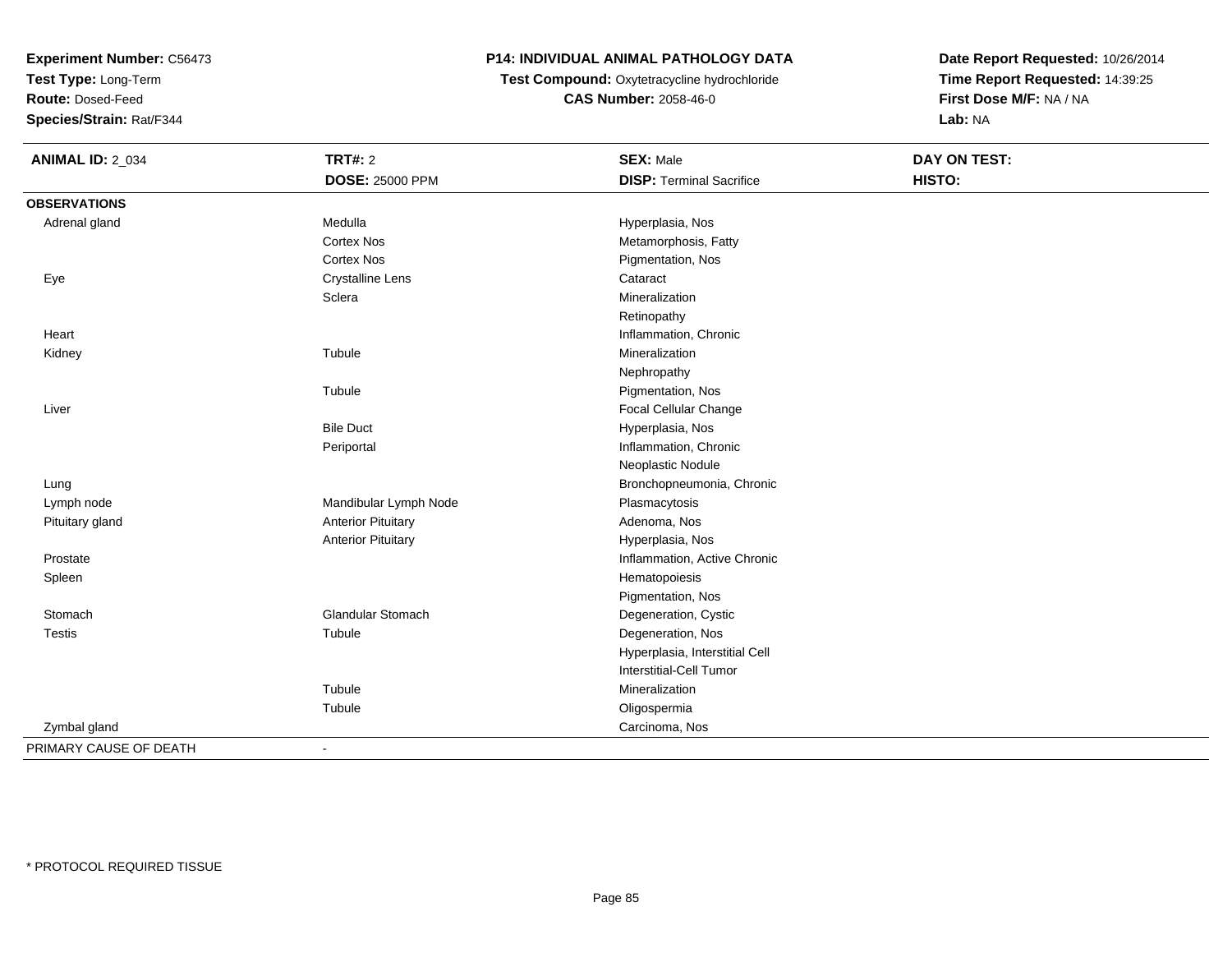**Test Type:** Long-Term

**Route:** Dosed-Feed

**Species/Strain:** Rat/F344

# **P14: INDIVIDUAL ANIMAL PATHOLOGY DATA**

**Test Compound:** Oxytetracycline hydrochloride**CAS Number:** 2058-46-0

| <b>ANIMAL ID: 2_034</b> | <b>TRT#: 2</b>            | <b>SEX: Male</b>                | <b>DAY ON TEST:</b> |  |
|-------------------------|---------------------------|---------------------------------|---------------------|--|
|                         | <b>DOSE: 25000 PPM</b>    | <b>DISP: Terminal Sacrifice</b> | HISTO:              |  |
| <b>OBSERVATIONS</b>     |                           |                                 |                     |  |
| Adrenal gland           | Medulla                   | Hyperplasia, Nos                |                     |  |
|                         | Cortex Nos                | Metamorphosis, Fatty            |                     |  |
|                         | <b>Cortex Nos</b>         | Pigmentation, Nos               |                     |  |
| Eye                     | <b>Crystalline Lens</b>   | Cataract                        |                     |  |
|                         | Sclera                    | Mineralization                  |                     |  |
|                         |                           | Retinopathy                     |                     |  |
| Heart                   |                           | Inflammation, Chronic           |                     |  |
| Kidney                  | Tubule                    | Mineralization                  |                     |  |
|                         |                           | Nephropathy                     |                     |  |
|                         | Tubule                    | Pigmentation, Nos               |                     |  |
| Liver                   |                           | Focal Cellular Change           |                     |  |
|                         | <b>Bile Duct</b>          | Hyperplasia, Nos                |                     |  |
|                         | Periportal                | Inflammation, Chronic           |                     |  |
|                         |                           | Neoplastic Nodule               |                     |  |
| Lung                    |                           | Bronchopneumonia, Chronic       |                     |  |
| Lymph node              | Mandibular Lymph Node     | Plasmacytosis                   |                     |  |
| Pituitary gland         | <b>Anterior Pituitary</b> | Adenoma, Nos                    |                     |  |
|                         | <b>Anterior Pituitary</b> | Hyperplasia, Nos                |                     |  |
| Prostate                |                           | Inflammation, Active Chronic    |                     |  |
| Spleen                  |                           | Hematopoiesis                   |                     |  |
|                         |                           | Pigmentation, Nos               |                     |  |
| Stomach                 | <b>Glandular Stomach</b>  | Degeneration, Cystic            |                     |  |
| <b>Testis</b>           | Tubule                    | Degeneration, Nos               |                     |  |
|                         |                           | Hyperplasia, Interstitial Cell  |                     |  |
|                         |                           | <b>Interstitial-Cell Tumor</b>  |                     |  |
|                         | Tubule                    | Mineralization                  |                     |  |
|                         | Tubule                    | Oligospermia                    |                     |  |
| Zymbal gland            |                           | Carcinoma, Nos                  |                     |  |
| PRIMARY CAUSE OF DEATH  | $\blacksquare$            |                                 |                     |  |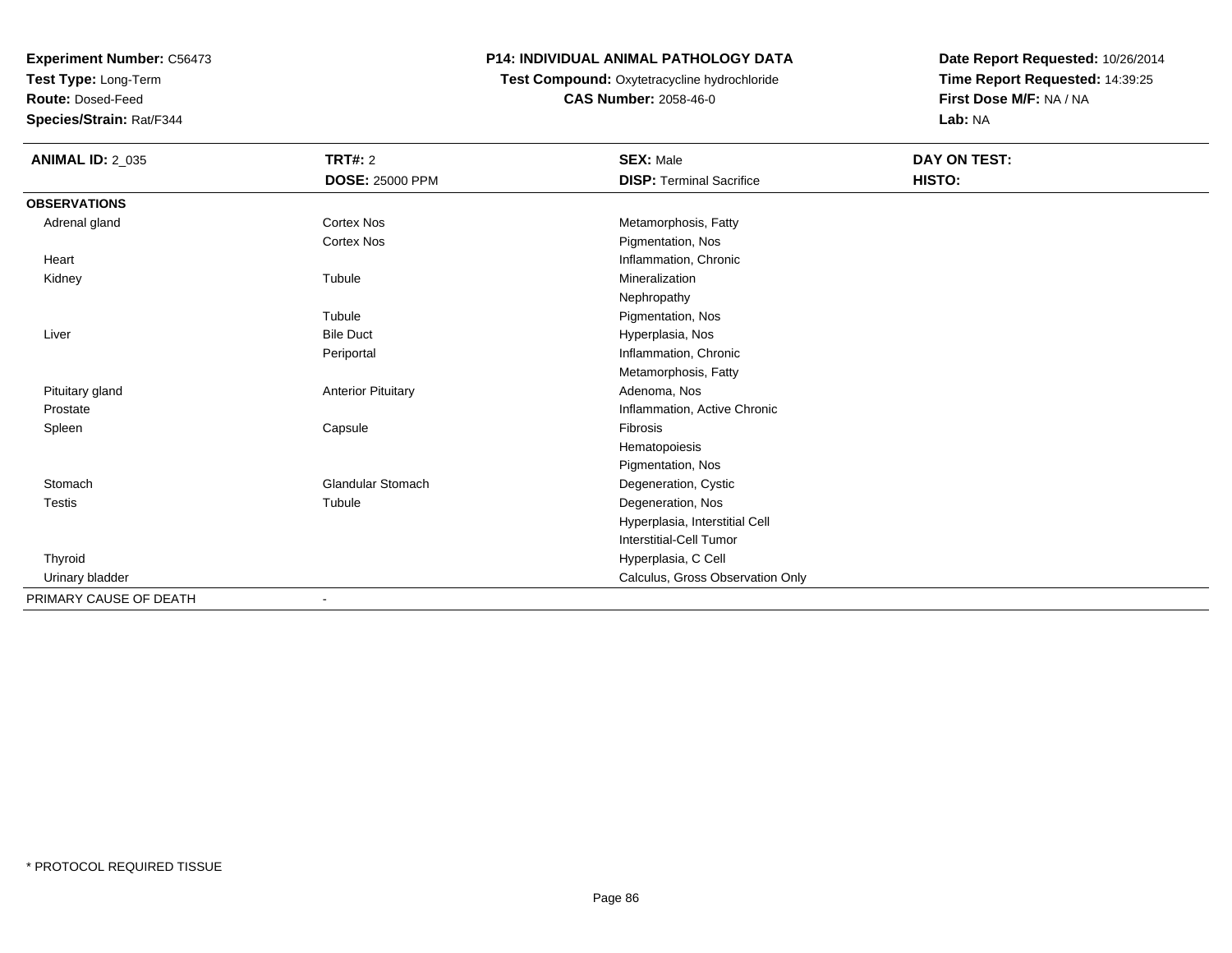**Test Type:** Long-Term

**Route:** Dosed-Feed

**Species/Strain:** Rat/F344

# **P14: INDIVIDUAL ANIMAL PATHOLOGY DATA**

 **Test Compound:** Oxytetracycline hydrochloride**CAS Number:** 2058-46-0

| <b>ANIMAL ID: 2_035</b> | <b>TRT#: 2</b>            | <b>SEX: Male</b>                 | DAY ON TEST: |
|-------------------------|---------------------------|----------------------------------|--------------|
|                         | <b>DOSE: 25000 PPM</b>    | <b>DISP: Terminal Sacrifice</b>  | HISTO:       |
| <b>OBSERVATIONS</b>     |                           |                                  |              |
| Adrenal gland           | <b>Cortex Nos</b>         | Metamorphosis, Fatty             |              |
|                         | <b>Cortex Nos</b>         | Pigmentation, Nos                |              |
| Heart                   |                           | Inflammation, Chronic            |              |
| Kidney                  | Tubule                    | Mineralization                   |              |
|                         |                           | Nephropathy                      |              |
|                         | Tubule                    | Pigmentation, Nos                |              |
| Liver                   | <b>Bile Duct</b>          | Hyperplasia, Nos                 |              |
|                         | Periportal                | Inflammation, Chronic            |              |
|                         |                           | Metamorphosis, Fatty             |              |
| Pituitary gland         | <b>Anterior Pituitary</b> | Adenoma, Nos                     |              |
| Prostate                |                           | Inflammation, Active Chronic     |              |
| Spleen                  | Capsule                   | Fibrosis                         |              |
|                         |                           | Hematopoiesis                    |              |
|                         |                           | Pigmentation, Nos                |              |
| Stomach                 | <b>Glandular Stomach</b>  | Degeneration, Cystic             |              |
| <b>Testis</b>           | Tubule                    | Degeneration, Nos                |              |
|                         |                           | Hyperplasia, Interstitial Cell   |              |
|                         |                           | Interstitial-Cell Tumor          |              |
| Thyroid                 |                           | Hyperplasia, C Cell              |              |
| Urinary bladder         |                           | Calculus, Gross Observation Only |              |
| PRIMARY CAUSE OF DEATH  | $\blacksquare$            |                                  |              |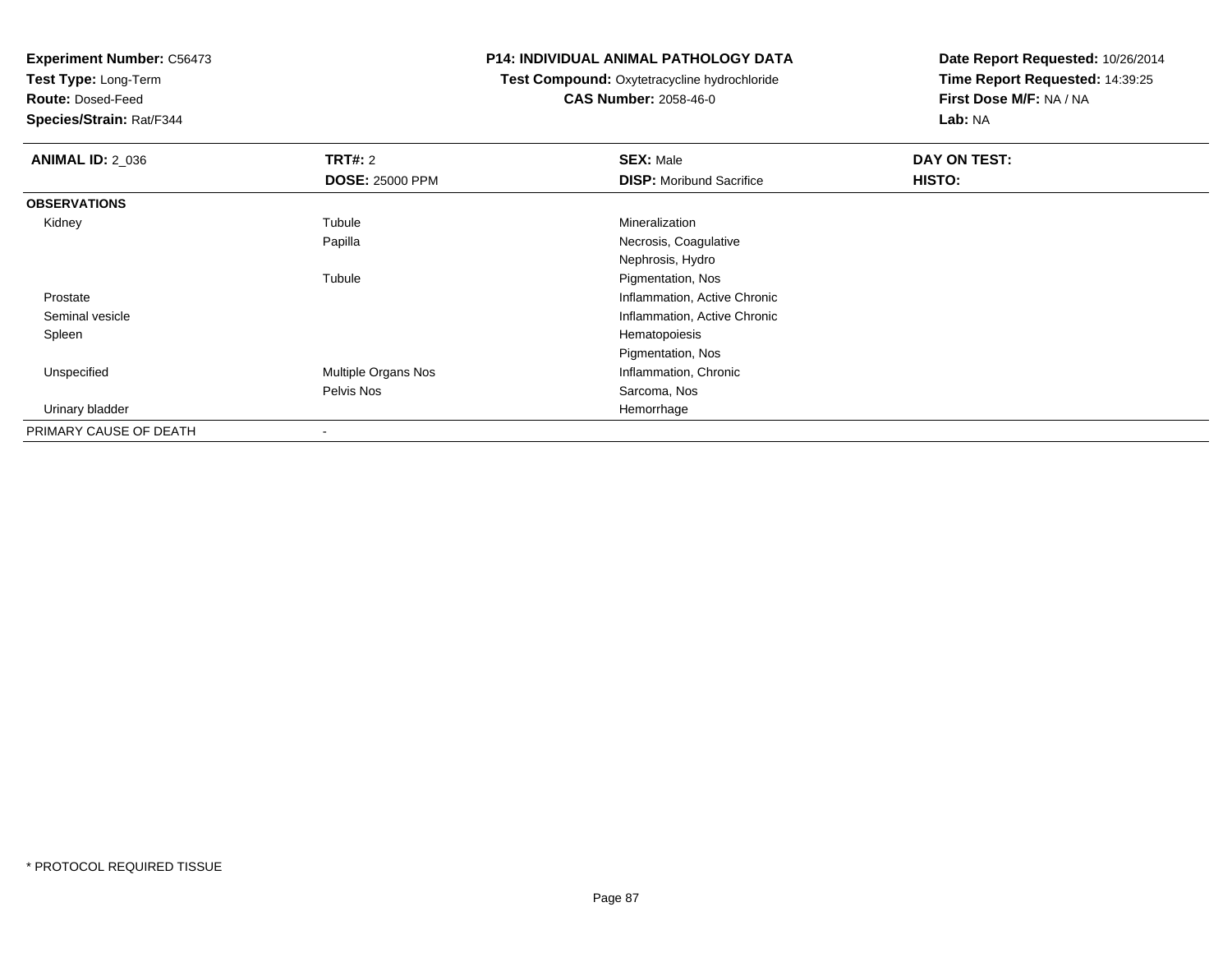**Test Type:** Long-Term

**Route:** Dosed-Feed

**Species/Strain:** Rat/F344

#### **P14: INDIVIDUAL ANIMAL PATHOLOGY DATA**

 **Test Compound:** Oxytetracycline hydrochloride**CAS Number:** 2058-46-0

| <b>ANIMAL ID: 2_036</b> | TRT#: 2                  | <b>SEX: Male</b>                | DAY ON TEST: |  |
|-------------------------|--------------------------|---------------------------------|--------------|--|
|                         | <b>DOSE: 25000 PPM</b>   | <b>DISP:</b> Moribund Sacrifice | HISTO:       |  |
| <b>OBSERVATIONS</b>     |                          |                                 |              |  |
| Kidney                  | Tubule                   | Mineralization                  |              |  |
|                         | Papilla                  | Necrosis, Coagulative           |              |  |
|                         |                          | Nephrosis, Hydro                |              |  |
|                         | Tubule                   | Pigmentation, Nos               |              |  |
| Prostate                |                          | Inflammation, Active Chronic    |              |  |
| Seminal vesicle         |                          | Inflammation, Active Chronic    |              |  |
| Spleen                  |                          | Hematopoiesis                   |              |  |
|                         |                          | Pigmentation, Nos               |              |  |
| Unspecified             | Multiple Organs Nos      | Inflammation, Chronic           |              |  |
|                         | Pelvis Nos               | Sarcoma, Nos                    |              |  |
| Urinary bladder         |                          | Hemorrhage                      |              |  |
| PRIMARY CAUSE OF DEATH  | $\overline{\phantom{a}}$ |                                 |              |  |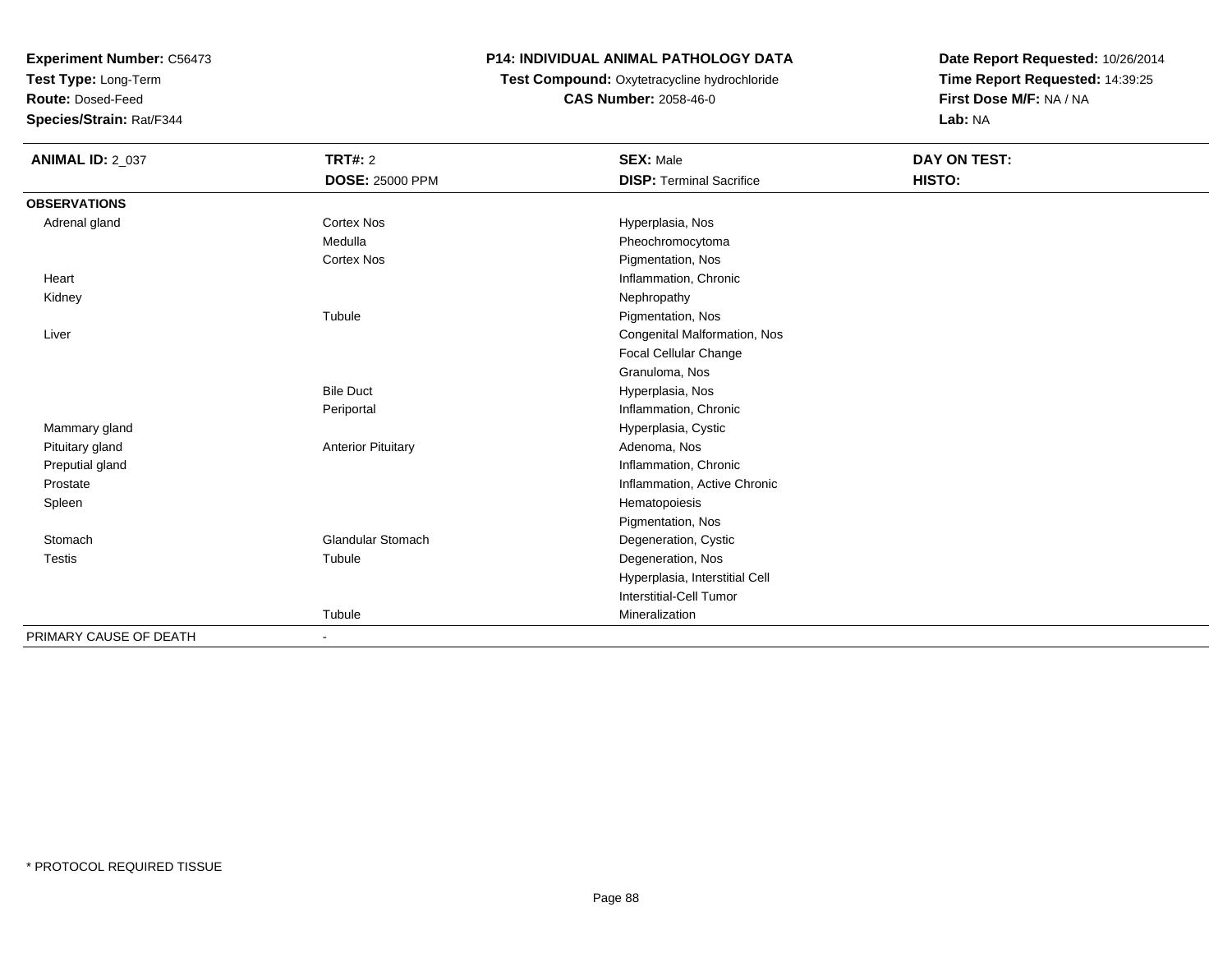**Test Type:** Long-Term

**Route:** Dosed-Feed

**Species/Strain:** Rat/F344

# **P14: INDIVIDUAL ANIMAL PATHOLOGY DATA**

# **Test Compound:** Oxytetracycline hydrochloride**CAS Number:** 2058-46-0

| <b>ANIMAL ID: 2_037</b> | TRT#: 2                   | <b>SEX: Male</b>                | DAY ON TEST: |  |
|-------------------------|---------------------------|---------------------------------|--------------|--|
|                         | <b>DOSE: 25000 PPM</b>    | <b>DISP: Terminal Sacrifice</b> | HISTO:       |  |
| <b>OBSERVATIONS</b>     |                           |                                 |              |  |
| Adrenal gland           | <b>Cortex Nos</b>         | Hyperplasia, Nos                |              |  |
|                         | Medulla                   | Pheochromocytoma                |              |  |
|                         | <b>Cortex Nos</b>         | Pigmentation, Nos               |              |  |
| Heart                   |                           | Inflammation, Chronic           |              |  |
| Kidney                  |                           | Nephropathy                     |              |  |
|                         | Tubule                    | Pigmentation, Nos               |              |  |
| Liver                   |                           | Congenital Malformation, Nos    |              |  |
|                         |                           | Focal Cellular Change           |              |  |
|                         |                           | Granuloma, Nos                  |              |  |
|                         | <b>Bile Duct</b>          | Hyperplasia, Nos                |              |  |
|                         | Periportal                | Inflammation, Chronic           |              |  |
| Mammary gland           |                           | Hyperplasia, Cystic             |              |  |
| Pituitary gland         | <b>Anterior Pituitary</b> | Adenoma, Nos                    |              |  |
| Preputial gland         |                           | Inflammation, Chronic           |              |  |
| Prostate                |                           | Inflammation, Active Chronic    |              |  |
| Spleen                  |                           | Hematopoiesis                   |              |  |
|                         |                           | Pigmentation, Nos               |              |  |
| Stomach                 | <b>Glandular Stomach</b>  | Degeneration, Cystic            |              |  |
| <b>Testis</b>           | Tubule                    | Degeneration, Nos               |              |  |
|                         |                           | Hyperplasia, Interstitial Cell  |              |  |
|                         |                           | Interstitial-Cell Tumor         |              |  |
|                         | Tubule                    | Mineralization                  |              |  |
| PRIMARY CAUSE OF DEATH  | $\blacksquare$            |                                 |              |  |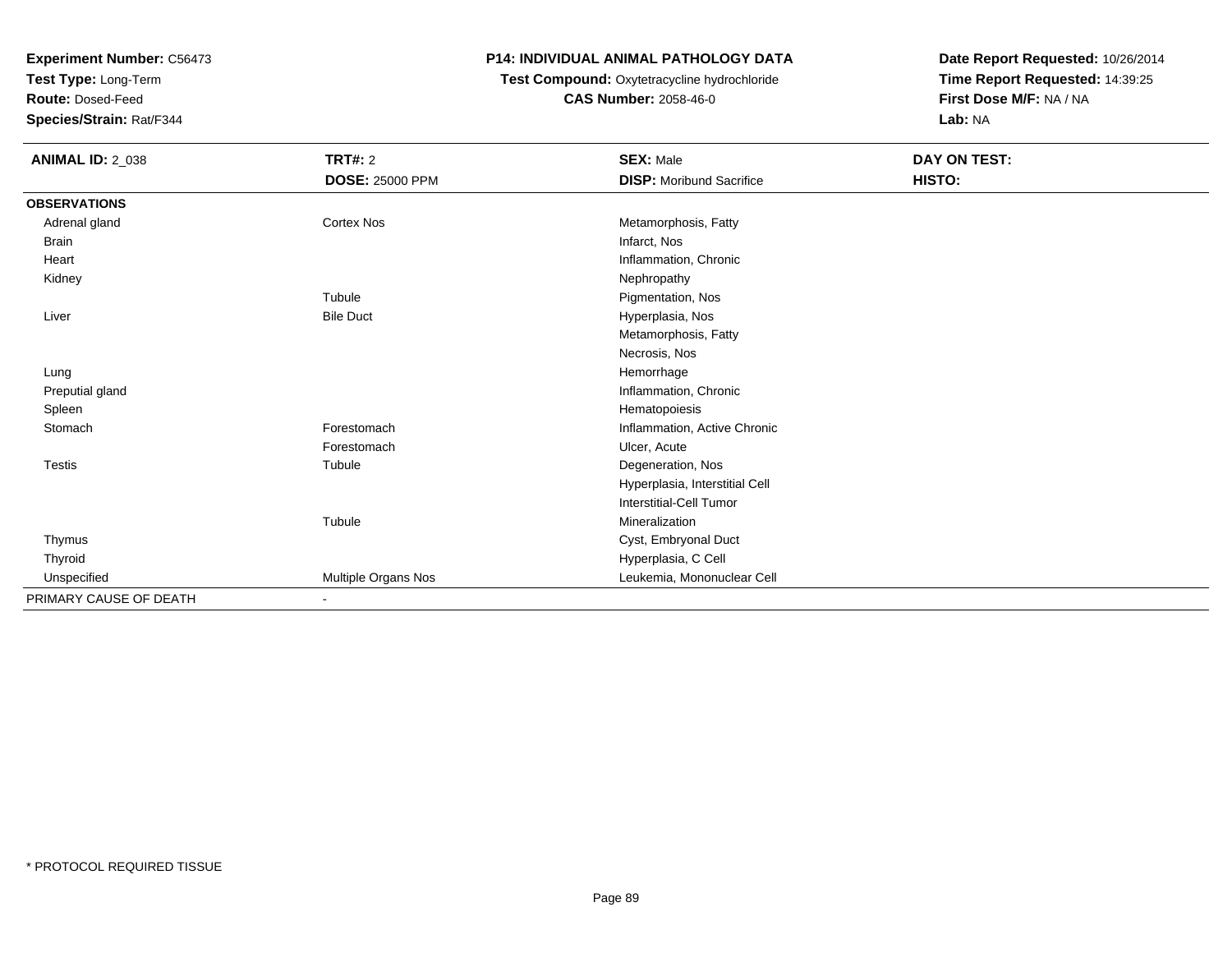**Test Type:** Long-Term

**Route:** Dosed-Feed

**Species/Strain:** Rat/F344

# **P14: INDIVIDUAL ANIMAL PATHOLOGY DATA**

# **Test Compound:** Oxytetracycline hydrochloride**CAS Number:** 2058-46-0

| <b>ANIMAL ID: 2_038</b> | TRT#: 2                | <b>SEX: Male</b>                | DAY ON TEST: |
|-------------------------|------------------------|---------------------------------|--------------|
|                         | <b>DOSE: 25000 PPM</b> | <b>DISP:</b> Moribund Sacrifice | HISTO:       |
| <b>OBSERVATIONS</b>     |                        |                                 |              |
| Adrenal gland           | <b>Cortex Nos</b>      | Metamorphosis, Fatty            |              |
| <b>Brain</b>            |                        | Infarct, Nos                    |              |
| Heart                   |                        | Inflammation, Chronic           |              |
| Kidney                  |                        | Nephropathy                     |              |
|                         | Tubule                 | Pigmentation, Nos               |              |
| Liver                   | <b>Bile Duct</b>       | Hyperplasia, Nos                |              |
|                         |                        | Metamorphosis, Fatty            |              |
|                         |                        | Necrosis, Nos                   |              |
| Lung                    |                        | Hemorrhage                      |              |
| Preputial gland         |                        | Inflammation, Chronic           |              |
| Spleen                  |                        | Hematopoiesis                   |              |
| Stomach                 | Forestomach            | Inflammation, Active Chronic    |              |
|                         | Forestomach            | Ulcer, Acute                    |              |
| <b>Testis</b>           | Tubule                 | Degeneration, Nos               |              |
|                         |                        | Hyperplasia, Interstitial Cell  |              |
|                         |                        | Interstitial-Cell Tumor         |              |
|                         | Tubule                 | Mineralization                  |              |
| Thymus                  |                        | Cyst, Embryonal Duct            |              |
| Thyroid                 |                        | Hyperplasia, C Cell             |              |
| Unspecified             | Multiple Organs Nos    | Leukemia, Mononuclear Cell      |              |
| PRIMARY CAUSE OF DEATH  |                        |                                 |              |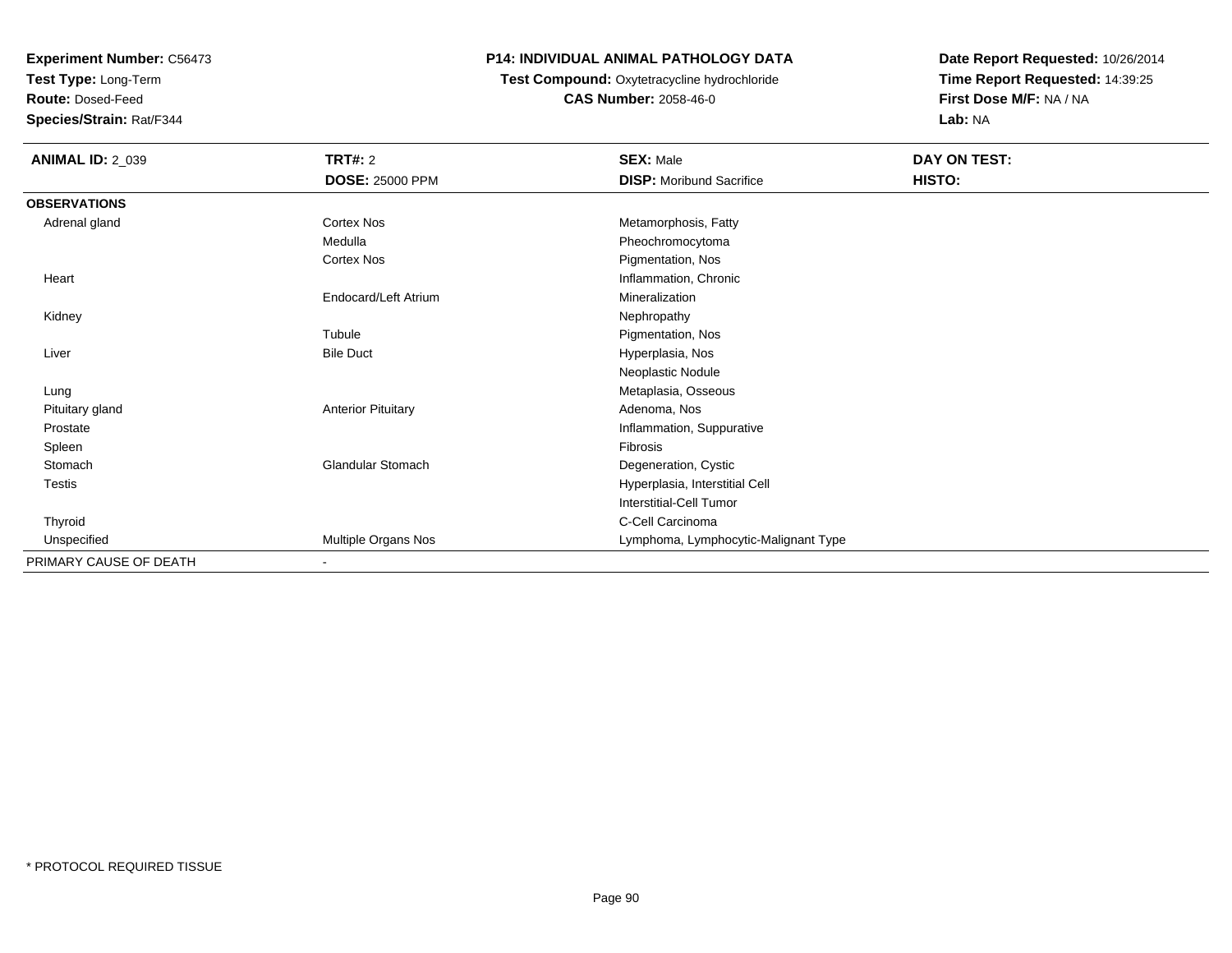**Test Type:** Long-Term

**Route:** Dosed-Feed

**Species/Strain:** Rat/F344

# **P14: INDIVIDUAL ANIMAL PATHOLOGY DATA**

### **Test Compound:** Oxytetracycline hydrochloride**CAS Number:** 2058-46-0

| <b>ANIMAL ID: 2_039</b> | <b>TRT#: 2</b>            | <b>SEX: Male</b>                     | DAY ON TEST: |  |
|-------------------------|---------------------------|--------------------------------------|--------------|--|
|                         | <b>DOSE: 25000 PPM</b>    | <b>DISP:</b> Moribund Sacrifice      | HISTO:       |  |
| <b>OBSERVATIONS</b>     |                           |                                      |              |  |
| Adrenal gland           | <b>Cortex Nos</b>         | Metamorphosis, Fatty                 |              |  |
|                         | Medulla                   | Pheochromocytoma                     |              |  |
|                         | Cortex Nos                | Pigmentation, Nos                    |              |  |
| Heart                   |                           | Inflammation, Chronic                |              |  |
|                         | Endocard/Left Atrium      | Mineralization                       |              |  |
| Kidney                  |                           | Nephropathy                          |              |  |
|                         | Tubule                    | Pigmentation, Nos                    |              |  |
| Liver                   | <b>Bile Duct</b>          | Hyperplasia, Nos                     |              |  |
|                         |                           | Neoplastic Nodule                    |              |  |
| Lung                    |                           | Metaplasia, Osseous                  |              |  |
| Pituitary gland         | <b>Anterior Pituitary</b> | Adenoma, Nos                         |              |  |
| Prostate                |                           | Inflammation, Suppurative            |              |  |
| Spleen                  |                           | Fibrosis                             |              |  |
| Stomach                 | <b>Glandular Stomach</b>  | Degeneration, Cystic                 |              |  |
| Testis                  |                           | Hyperplasia, Interstitial Cell       |              |  |
|                         |                           | <b>Interstitial-Cell Tumor</b>       |              |  |
| Thyroid                 |                           | C-Cell Carcinoma                     |              |  |
| Unspecified             | Multiple Organs Nos       | Lymphoma, Lymphocytic-Malignant Type |              |  |
| PRIMARY CAUSE OF DEATH  |                           |                                      |              |  |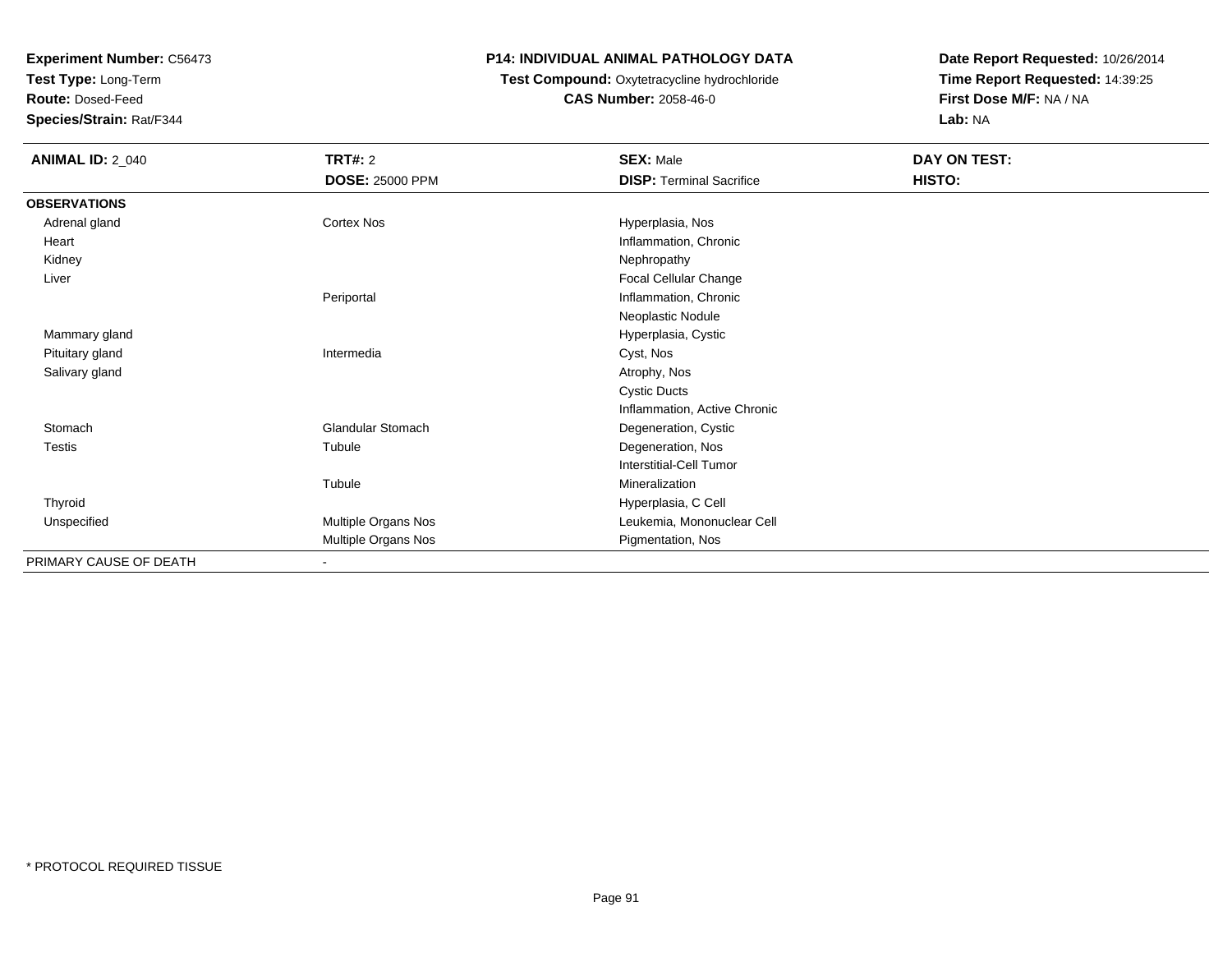**Test Type:** Long-Term

**Route:** Dosed-Feed

**Species/Strain:** Rat/F344

#### **P14: INDIVIDUAL ANIMAL PATHOLOGY DATA**

#### **Test Compound:** Oxytetracycline hydrochloride**CAS Number:** 2058-46-0

| <b>ANIMAL ID: 2_040</b> | TRT#: 2<br><b>DOSE: 25000 PPM</b> | <b>SEX: Male</b><br><b>DISP: Terminal Sacrifice</b> | <b>DAY ON TEST:</b><br>HISTO: |
|-------------------------|-----------------------------------|-----------------------------------------------------|-------------------------------|
| <b>OBSERVATIONS</b>     |                                   |                                                     |                               |
| Adrenal gland           | Cortex Nos                        | Hyperplasia, Nos                                    |                               |
| Heart                   |                                   | Inflammation, Chronic                               |                               |
| Kidney                  |                                   | Nephropathy                                         |                               |
| Liver                   |                                   | Focal Cellular Change                               |                               |
|                         | Periportal                        | Inflammation, Chronic                               |                               |
|                         |                                   | Neoplastic Nodule                                   |                               |
| Mammary gland           |                                   | Hyperplasia, Cystic                                 |                               |
| Pituitary gland         | Intermedia                        | Cyst, Nos                                           |                               |
| Salivary gland          |                                   | Atrophy, Nos                                        |                               |
|                         |                                   | <b>Cystic Ducts</b>                                 |                               |
|                         |                                   | Inflammation, Active Chronic                        |                               |
| Stomach                 | <b>Glandular Stomach</b>          | Degeneration, Cystic                                |                               |
| Testis                  | Tubule                            | Degeneration, Nos                                   |                               |
|                         |                                   | Interstitial-Cell Tumor                             |                               |
|                         | Tubule                            | Mineralization                                      |                               |
| Thyroid                 |                                   | Hyperplasia, C Cell                                 |                               |
| Unspecified             | Multiple Organs Nos               | Leukemia, Mononuclear Cell                          |                               |
|                         | Multiple Organs Nos               | Pigmentation, Nos                                   |                               |
| PRIMARY CAUSE OF DEATH  | $\overline{\phantom{a}}$          |                                                     |                               |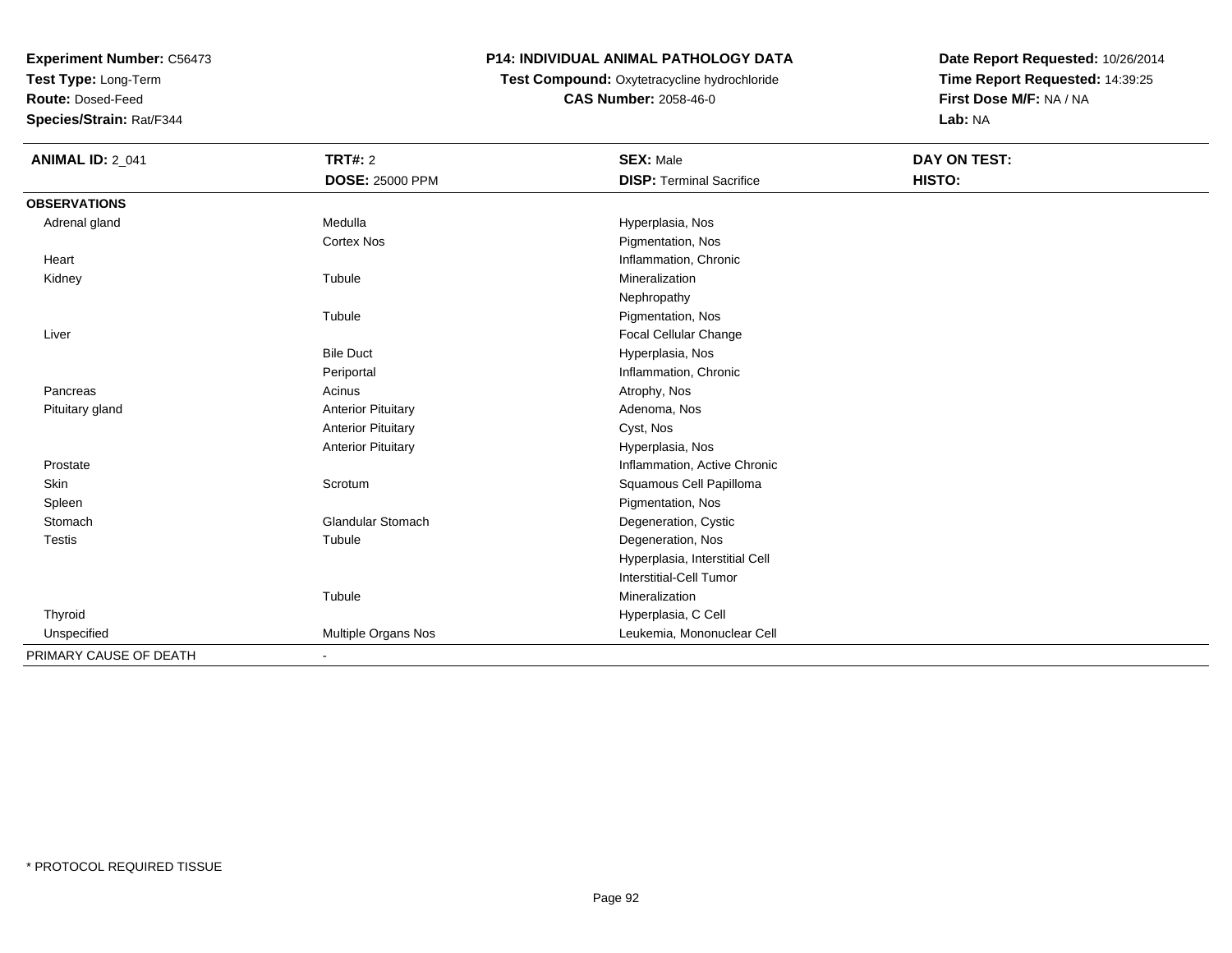**Test Type:** Long-Term

**Route:** Dosed-Feed

**Species/Strain:** Rat/F344

# **P14: INDIVIDUAL ANIMAL PATHOLOGY DATA**

**Test Compound:** Oxytetracycline hydrochloride**CAS Number:** 2058-46-0

| <b>ANIMAL ID: 2_041</b> | <b>TRT#: 2</b>            | <b>SEX: Male</b>                | <b>DAY ON TEST:</b> |  |
|-------------------------|---------------------------|---------------------------------|---------------------|--|
|                         | <b>DOSE: 25000 PPM</b>    | <b>DISP: Terminal Sacrifice</b> | HISTO:              |  |
| <b>OBSERVATIONS</b>     |                           |                                 |                     |  |
| Adrenal gland           | Medulla                   | Hyperplasia, Nos                |                     |  |
|                         | <b>Cortex Nos</b>         | Pigmentation, Nos               |                     |  |
| Heart                   |                           | Inflammation, Chronic           |                     |  |
| Kidney                  | Tubule                    | Mineralization                  |                     |  |
|                         |                           | Nephropathy                     |                     |  |
|                         | Tubule                    | Pigmentation, Nos               |                     |  |
| Liver                   |                           | Focal Cellular Change           |                     |  |
|                         | <b>Bile Duct</b>          | Hyperplasia, Nos                |                     |  |
|                         | Periportal                | Inflammation, Chronic           |                     |  |
| Pancreas                | Acinus                    | Atrophy, Nos                    |                     |  |
| Pituitary gland         | <b>Anterior Pituitary</b> | Adenoma, Nos                    |                     |  |
|                         | <b>Anterior Pituitary</b> | Cyst, Nos                       |                     |  |
|                         | <b>Anterior Pituitary</b> | Hyperplasia, Nos                |                     |  |
| Prostate                |                           | Inflammation, Active Chronic    |                     |  |
| Skin                    | Scrotum                   | Squamous Cell Papilloma         |                     |  |
| Spleen                  |                           | Pigmentation, Nos               |                     |  |
| Stomach                 | <b>Glandular Stomach</b>  | Degeneration, Cystic            |                     |  |
| Testis                  | Tubule                    | Degeneration, Nos               |                     |  |
|                         |                           | Hyperplasia, Interstitial Cell  |                     |  |
|                         |                           | <b>Interstitial-Cell Tumor</b>  |                     |  |
|                         | Tubule                    | Mineralization                  |                     |  |
| Thyroid                 |                           | Hyperplasia, C Cell             |                     |  |
| Unspecified             | Multiple Organs Nos       | Leukemia, Mononuclear Cell      |                     |  |
| PRIMARY CAUSE OF DEATH  |                           |                                 |                     |  |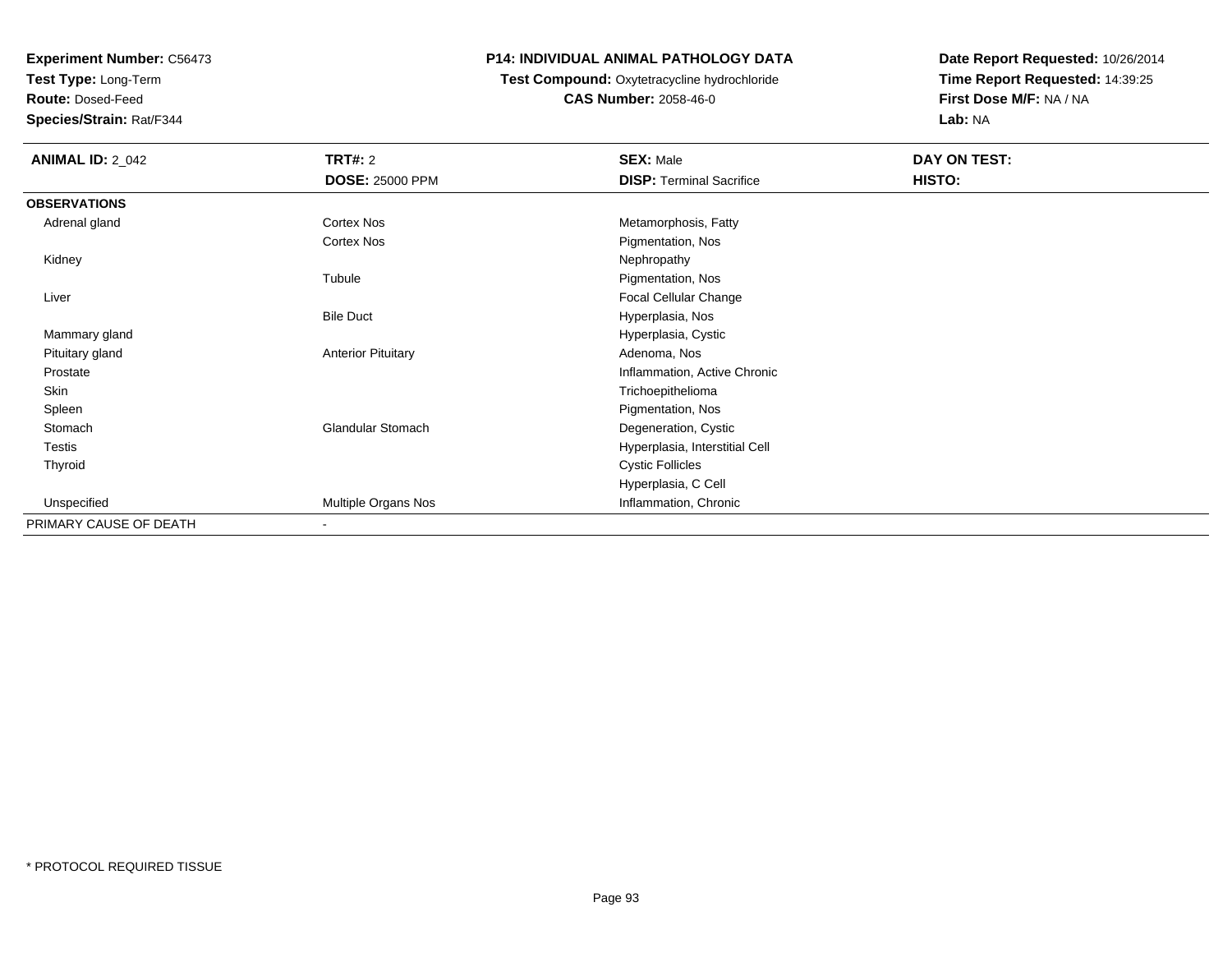**Test Type:** Long-Term

**Route:** Dosed-Feed

**Species/Strain:** Rat/F344

# **P14: INDIVIDUAL ANIMAL PATHOLOGY DATA**

 **Test Compound:** Oxytetracycline hydrochloride**CAS Number:** 2058-46-0

| <b>ANIMAL ID: 2_042</b> | <b>TRT#: 2</b>            | <b>SEX: Male</b>                | DAY ON TEST: |  |
|-------------------------|---------------------------|---------------------------------|--------------|--|
|                         | <b>DOSE: 25000 PPM</b>    | <b>DISP: Terminal Sacrifice</b> | HISTO:       |  |
| <b>OBSERVATIONS</b>     |                           |                                 |              |  |
| Adrenal gland           | Cortex Nos                | Metamorphosis, Fatty            |              |  |
|                         | Cortex Nos                | Pigmentation, Nos               |              |  |
| Kidney                  |                           | Nephropathy                     |              |  |
|                         | Tubule                    | Pigmentation, Nos               |              |  |
| Liver                   |                           | Focal Cellular Change           |              |  |
|                         | <b>Bile Duct</b>          | Hyperplasia, Nos                |              |  |
| Mammary gland           |                           | Hyperplasia, Cystic             |              |  |
| Pituitary gland         | <b>Anterior Pituitary</b> | Adenoma, Nos                    |              |  |
| Prostate                |                           | Inflammation, Active Chronic    |              |  |
| Skin                    |                           | Trichoepithelioma               |              |  |
| Spleen                  |                           | Pigmentation, Nos               |              |  |
| Stomach                 | Glandular Stomach         | Degeneration, Cystic            |              |  |
| <b>Testis</b>           |                           | Hyperplasia, Interstitial Cell  |              |  |
| Thyroid                 |                           | <b>Cystic Follicles</b>         |              |  |
|                         |                           | Hyperplasia, C Cell             |              |  |
| Unspecified             | Multiple Organs Nos       | Inflammation, Chronic           |              |  |
| PRIMARY CAUSE OF DEATH  | $\blacksquare$            |                                 |              |  |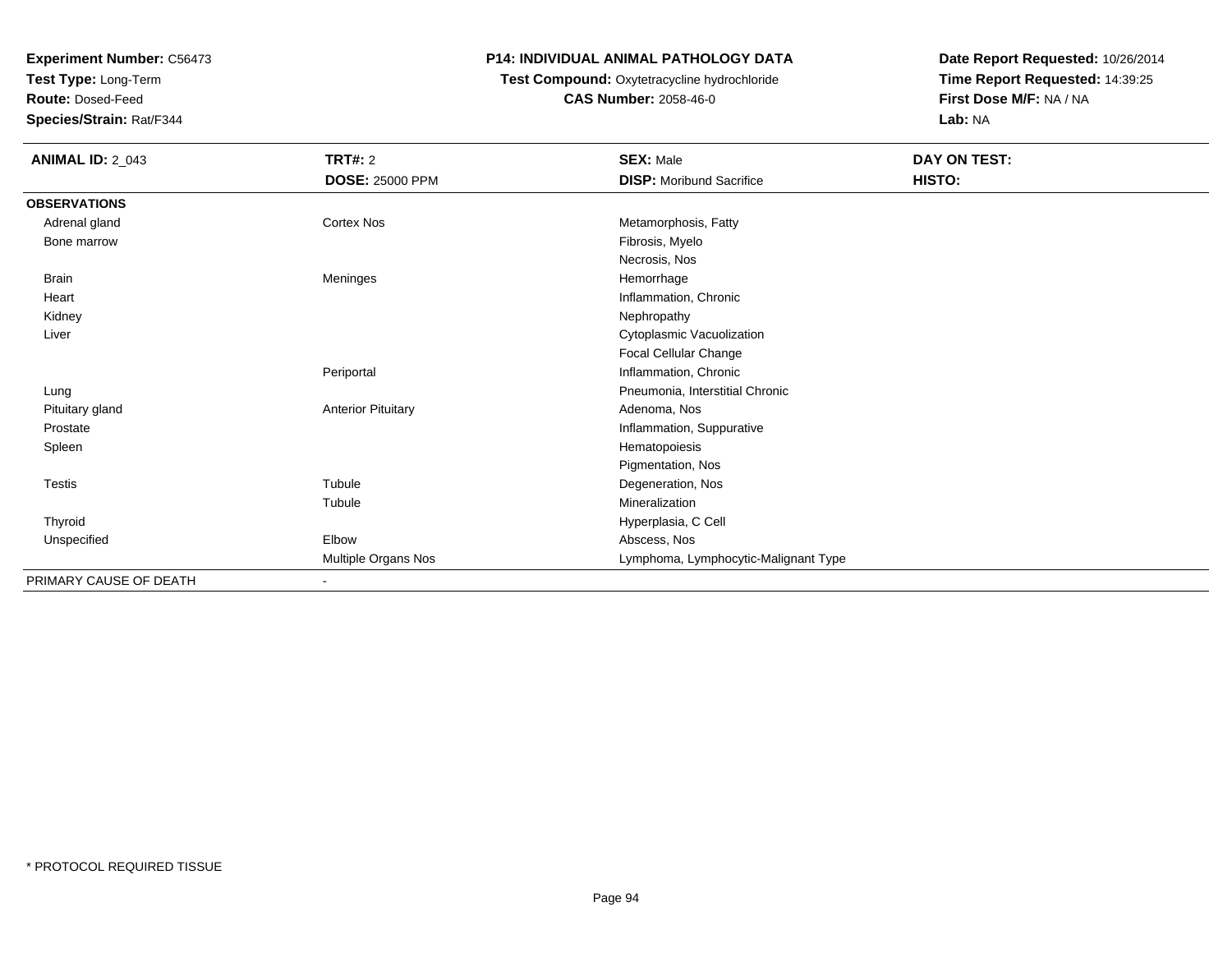**Test Type:** Long-Term

**Route:** Dosed-Feed

**Species/Strain:** Rat/F344

#### **P14: INDIVIDUAL ANIMAL PATHOLOGY DATA**

# **Test Compound:** Oxytetracycline hydrochloride**CAS Number:** 2058-46-0

| <b>ANIMAL ID: 2_043</b> | <b>TRT#: 2</b><br><b>DOSE: 25000 PPM</b> | <b>SEX: Male</b><br><b>DISP:</b> Moribund Sacrifice | DAY ON TEST:<br>HISTO: |
|-------------------------|------------------------------------------|-----------------------------------------------------|------------------------|
| <b>OBSERVATIONS</b>     |                                          |                                                     |                        |
| Adrenal gland           | Cortex Nos                               | Metamorphosis, Fatty                                |                        |
| Bone marrow             |                                          | Fibrosis, Myelo                                     |                        |
|                         |                                          | Necrosis, Nos                                       |                        |
| <b>Brain</b>            | Meninges                                 | Hemorrhage                                          |                        |
| Heart                   |                                          | Inflammation, Chronic                               |                        |
| Kidney                  |                                          | Nephropathy                                         |                        |
| Liver                   |                                          | Cytoplasmic Vacuolization                           |                        |
|                         |                                          | Focal Cellular Change                               |                        |
|                         | Periportal                               | Inflammation, Chronic                               |                        |
| Lung                    |                                          | Pneumonia, Interstitial Chronic                     |                        |
| Pituitary gland         | <b>Anterior Pituitary</b>                | Adenoma, Nos                                        |                        |
| Prostate                |                                          | Inflammation, Suppurative                           |                        |
| Spleen                  |                                          | Hematopoiesis                                       |                        |
|                         |                                          | Pigmentation, Nos                                   |                        |
| Testis                  | Tubule                                   | Degeneration, Nos                                   |                        |
|                         | Tubule                                   | Mineralization                                      |                        |
| Thyroid                 |                                          | Hyperplasia, C Cell                                 |                        |
| Unspecified             | Elbow                                    | Abscess, Nos                                        |                        |
|                         | Multiple Organs Nos                      | Lymphoma, Lymphocytic-Malignant Type                |                        |
| PRIMARY CAUSE OF DEATH  | $\sim$                                   |                                                     |                        |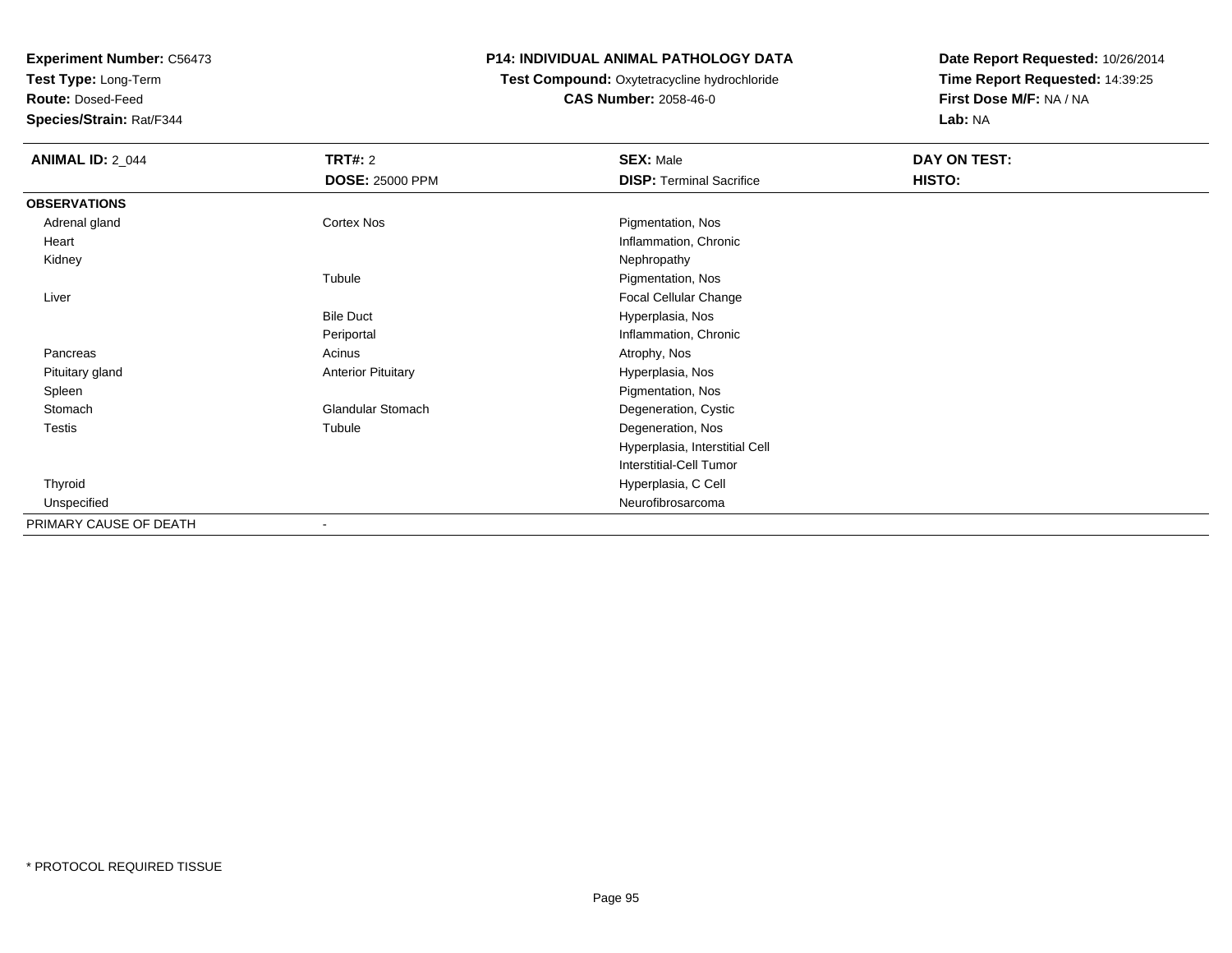**Test Type:** Long-Term

**Route:** Dosed-Feed

**Species/Strain:** Rat/F344

### **P14: INDIVIDUAL ANIMAL PATHOLOGY DATA**

#### **Test Compound:** Oxytetracycline hydrochloride**CAS Number:** 2058-46-0

| <b>ANIMAL ID: 2_044</b> | <b>TRT#: 2</b>            | <b>SEX: Male</b>                | DAY ON TEST: |  |
|-------------------------|---------------------------|---------------------------------|--------------|--|
|                         | <b>DOSE: 25000 PPM</b>    | <b>DISP: Terminal Sacrifice</b> | HISTO:       |  |
| <b>OBSERVATIONS</b>     |                           |                                 |              |  |
| Adrenal gland           | Cortex Nos                | Pigmentation, Nos               |              |  |
| Heart                   |                           | Inflammation, Chronic           |              |  |
| Kidney                  |                           | Nephropathy                     |              |  |
|                         | Tubule                    | Pigmentation, Nos               |              |  |
| Liver                   |                           | Focal Cellular Change           |              |  |
|                         | <b>Bile Duct</b>          | Hyperplasia, Nos                |              |  |
|                         | Periportal                | Inflammation, Chronic           |              |  |
| Pancreas                | Acinus                    | Atrophy, Nos                    |              |  |
| Pituitary gland         | <b>Anterior Pituitary</b> | Hyperplasia, Nos                |              |  |
| Spleen                  |                           | Pigmentation, Nos               |              |  |
| Stomach                 | <b>Glandular Stomach</b>  | Degeneration, Cystic            |              |  |
| Testis                  | Tubule                    | Degeneration, Nos               |              |  |
|                         |                           | Hyperplasia, Interstitial Cell  |              |  |
|                         |                           | <b>Interstitial-Cell Tumor</b>  |              |  |
| Thyroid                 |                           | Hyperplasia, C Cell             |              |  |
| Unspecified             |                           | Neurofibrosarcoma               |              |  |
| PRIMARY CAUSE OF DEATH  |                           |                                 |              |  |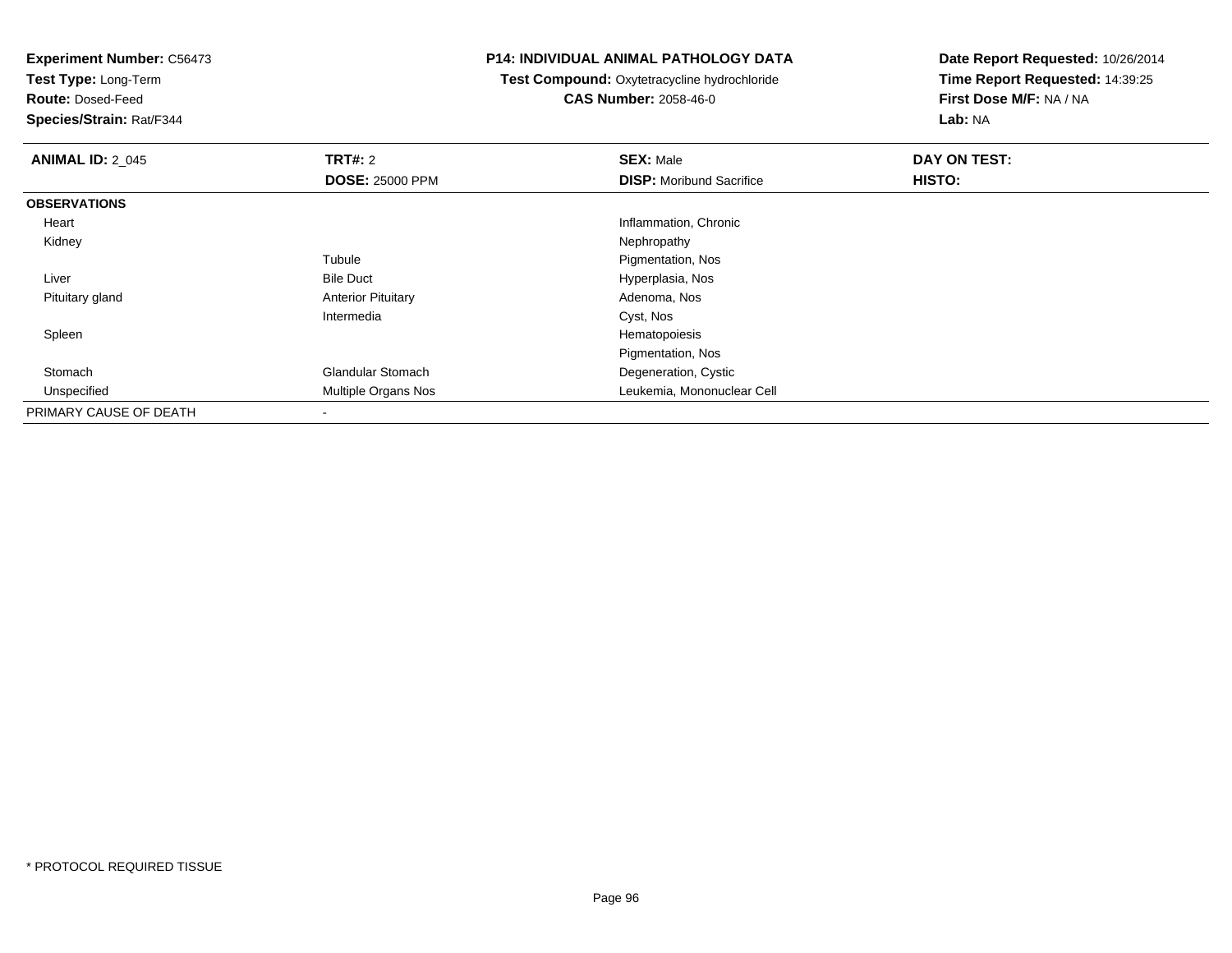**Test Type:** Long-Term

**Route:** Dosed-Feed

**Species/Strain:** Rat/F344

#### **P14: INDIVIDUAL ANIMAL PATHOLOGY DATA**

 **Test Compound:** Oxytetracycline hydrochloride**CAS Number:** 2058-46-0

| <b>ANIMAL ID: 2 045</b> | TRT#: 2                   | <b>SEX: Male</b>                | DAY ON TEST: |  |
|-------------------------|---------------------------|---------------------------------|--------------|--|
|                         | <b>DOSE: 25000 PPM</b>    | <b>DISP:</b> Moribund Sacrifice | HISTO:       |  |
| <b>OBSERVATIONS</b>     |                           |                                 |              |  |
| Heart                   |                           | Inflammation, Chronic           |              |  |
| Kidney                  |                           | Nephropathy                     |              |  |
|                         | Tubule                    | Pigmentation, Nos               |              |  |
| Liver                   | <b>Bile Duct</b>          | Hyperplasia, Nos                |              |  |
| Pituitary gland         | <b>Anterior Pituitary</b> | Adenoma, Nos                    |              |  |
|                         | Intermedia                | Cyst, Nos                       |              |  |
| Spleen                  |                           | Hematopoiesis                   |              |  |
|                         |                           | Pigmentation, Nos               |              |  |
| Stomach                 | <b>Glandular Stomach</b>  | Degeneration, Cystic            |              |  |
| Unspecified             | Multiple Organs Nos       | Leukemia, Mononuclear Cell      |              |  |
| PRIMARY CAUSE OF DEATH  | $\blacksquare$            |                                 |              |  |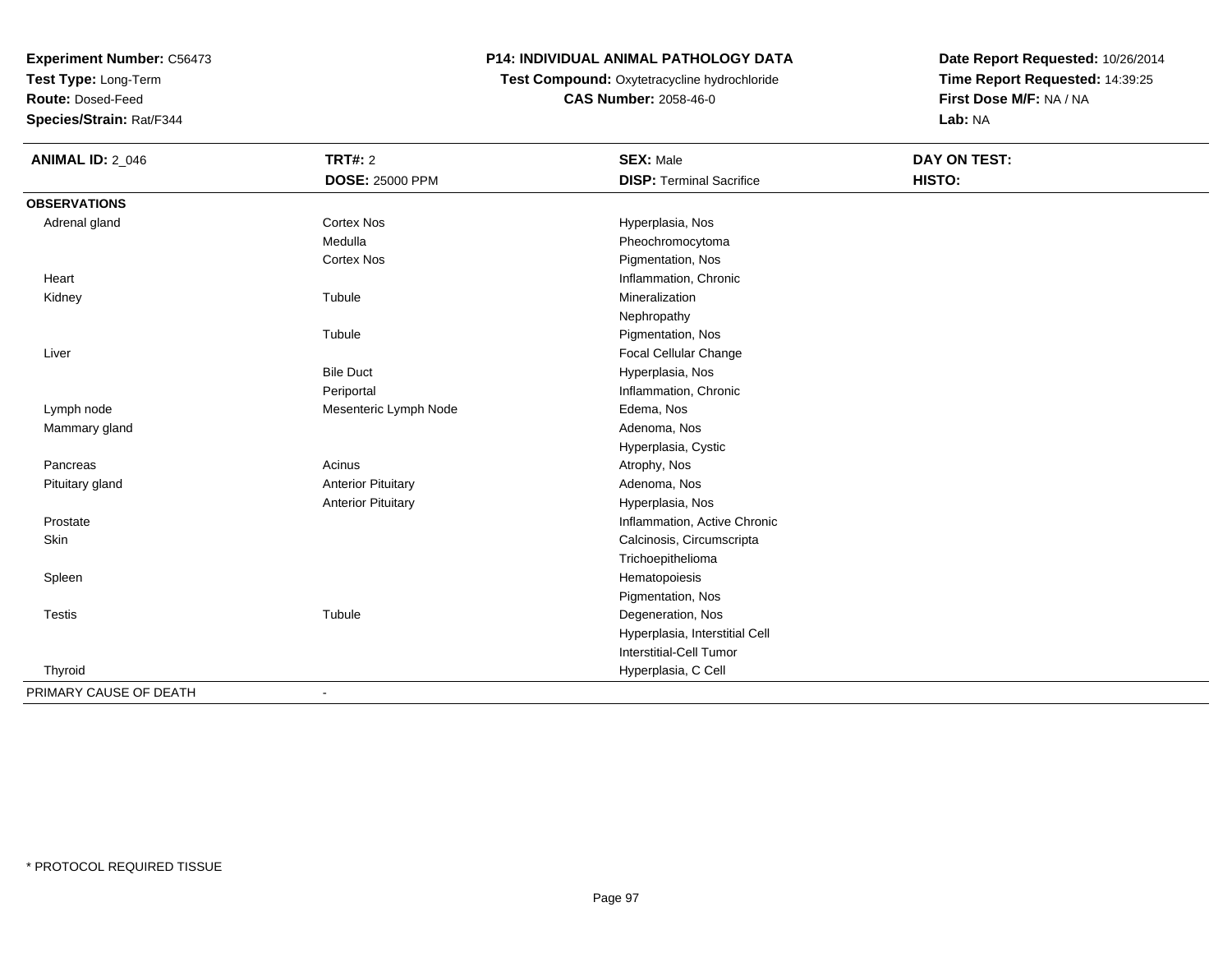**Test Type:** Long-Term

**Route:** Dosed-Feed

**Species/Strain:** Rat/F344

# **P14: INDIVIDUAL ANIMAL PATHOLOGY DATA**

 **Test Compound:** Oxytetracycline hydrochloride**CAS Number:** 2058-46-0

| <b>ANIMAL ID: 2_046</b> | <b>TRT#: 2</b>            | <b>SEX: Male</b>                | DAY ON TEST: |
|-------------------------|---------------------------|---------------------------------|--------------|
|                         | DOSE: 25000 PPM           | <b>DISP: Terminal Sacrifice</b> | HISTO:       |
| <b>OBSERVATIONS</b>     |                           |                                 |              |
| Adrenal gland           | <b>Cortex Nos</b>         | Hyperplasia, Nos                |              |
|                         | Medulla                   | Pheochromocytoma                |              |
|                         | <b>Cortex Nos</b>         | Pigmentation, Nos               |              |
| Heart                   |                           | Inflammation, Chronic           |              |
| Kidney                  | Tubule                    | Mineralization                  |              |
|                         |                           | Nephropathy                     |              |
|                         | Tubule                    | Pigmentation, Nos               |              |
| Liver                   |                           | Focal Cellular Change           |              |
|                         | <b>Bile Duct</b>          | Hyperplasia, Nos                |              |
|                         | Periportal                | Inflammation, Chronic           |              |
| Lymph node              | Mesenteric Lymph Node     | Edema, Nos                      |              |
| Mammary gland           |                           | Adenoma, Nos                    |              |
|                         |                           | Hyperplasia, Cystic             |              |
| Pancreas                | Acinus                    | Atrophy, Nos                    |              |
| Pituitary gland         | <b>Anterior Pituitary</b> | Adenoma, Nos                    |              |
|                         | <b>Anterior Pituitary</b> | Hyperplasia, Nos                |              |
| Prostate                |                           | Inflammation, Active Chronic    |              |
| Skin                    |                           | Calcinosis, Circumscripta       |              |
|                         |                           | Trichoepithelioma               |              |
| Spleen                  |                           | Hematopoiesis                   |              |
|                         |                           | Pigmentation, Nos               |              |
| <b>Testis</b>           | Tubule                    | Degeneration, Nos               |              |
|                         |                           | Hyperplasia, Interstitial Cell  |              |
|                         |                           | <b>Interstitial-Cell Tumor</b>  |              |
| Thyroid                 |                           | Hyperplasia, C Cell             |              |
| PRIMARY CAUSE OF DEATH  | $\blacksquare$            |                                 |              |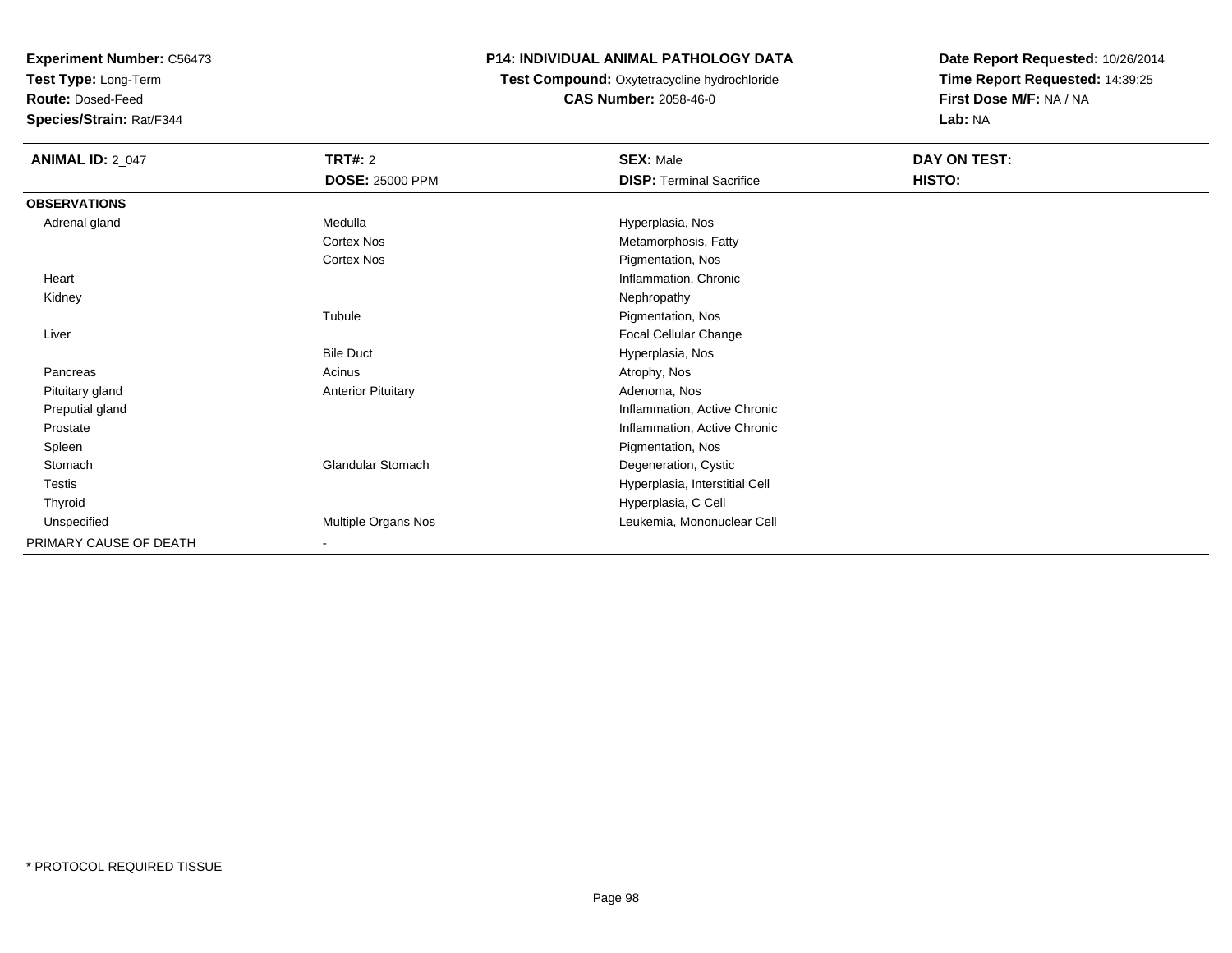**Test Type:** Long-Term

**Route:** Dosed-Feed

**Species/Strain:** Rat/F344

# **P14: INDIVIDUAL ANIMAL PATHOLOGY DATA**

**Test Compound:** Oxytetracycline hydrochloride**CAS Number:** 2058-46-0

| <b>ANIMAL ID: 2_047</b> | <b>TRT#: 2</b>            | <b>SEX: Male</b>                | DAY ON TEST: |  |
|-------------------------|---------------------------|---------------------------------|--------------|--|
|                         | <b>DOSE: 25000 PPM</b>    | <b>DISP: Terminal Sacrifice</b> | HISTO:       |  |
| <b>OBSERVATIONS</b>     |                           |                                 |              |  |
| Adrenal gland           | Medulla                   | Hyperplasia, Nos                |              |  |
|                         | <b>Cortex Nos</b>         | Metamorphosis, Fatty            |              |  |
|                         | Cortex Nos                | Pigmentation, Nos               |              |  |
| Heart                   |                           | Inflammation, Chronic           |              |  |
| Kidney                  |                           | Nephropathy                     |              |  |
|                         | Tubule                    | Pigmentation, Nos               |              |  |
| Liver                   |                           | Focal Cellular Change           |              |  |
|                         | <b>Bile Duct</b>          | Hyperplasia, Nos                |              |  |
| Pancreas                | Acinus                    | Atrophy, Nos                    |              |  |
| Pituitary gland         | <b>Anterior Pituitary</b> | Adenoma, Nos                    |              |  |
| Preputial gland         |                           | Inflammation, Active Chronic    |              |  |
| Prostate                |                           | Inflammation, Active Chronic    |              |  |
| Spleen                  |                           | Pigmentation, Nos               |              |  |
| Stomach                 | <b>Glandular Stomach</b>  | Degeneration, Cystic            |              |  |
| Testis                  |                           | Hyperplasia, Interstitial Cell  |              |  |
| Thyroid                 |                           | Hyperplasia, C Cell             |              |  |
| Unspecified             | Multiple Organs Nos       | Leukemia, Mononuclear Cell      |              |  |
| PRIMARY CAUSE OF DEATH  |                           |                                 |              |  |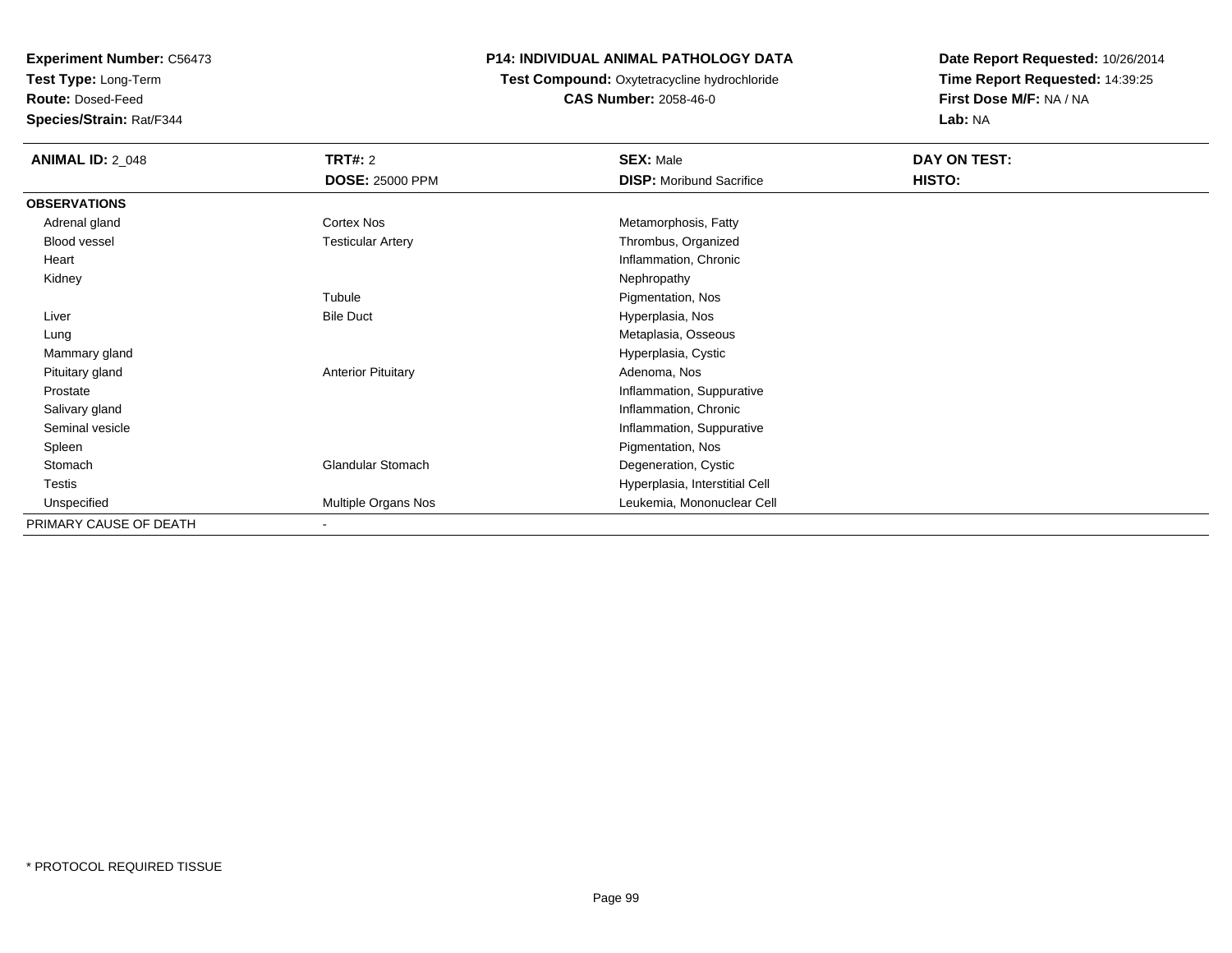**Test Type:** Long-Term

**Route:** Dosed-Feed

**Species/Strain:** Rat/F344

# **P14: INDIVIDUAL ANIMAL PATHOLOGY DATA**

#### **Test Compound:** Oxytetracycline hydrochloride**CAS Number:** 2058-46-0

| <b>ANIMAL ID: 2_048</b> | <b>TRT#: 2</b>            | <b>SEX: Male</b>                | DAY ON TEST: |  |
|-------------------------|---------------------------|---------------------------------|--------------|--|
|                         | <b>DOSE: 25000 PPM</b>    | <b>DISP:</b> Moribund Sacrifice | HISTO:       |  |
| <b>OBSERVATIONS</b>     |                           |                                 |              |  |
| Adrenal gland           | Cortex Nos                | Metamorphosis, Fatty            |              |  |
| <b>Blood vessel</b>     | <b>Testicular Artery</b>  | Thrombus, Organized             |              |  |
| Heart                   |                           | Inflammation, Chronic           |              |  |
| Kidney                  |                           | Nephropathy                     |              |  |
|                         | Tubule                    | Pigmentation, Nos               |              |  |
| Liver                   | <b>Bile Duct</b>          | Hyperplasia, Nos                |              |  |
| Lung                    |                           | Metaplasia, Osseous             |              |  |
| Mammary gland           |                           | Hyperplasia, Cystic             |              |  |
| Pituitary gland         | <b>Anterior Pituitary</b> | Adenoma, Nos                    |              |  |
| Prostate                |                           | Inflammation, Suppurative       |              |  |
| Salivary gland          |                           | Inflammation, Chronic           |              |  |
| Seminal vesicle         |                           | Inflammation, Suppurative       |              |  |
| Spleen                  |                           | Pigmentation, Nos               |              |  |
| Stomach                 | <b>Glandular Stomach</b>  | Degeneration, Cystic            |              |  |
| Testis                  |                           | Hyperplasia, Interstitial Cell  |              |  |
| Unspecified             | Multiple Organs Nos       | Leukemia, Mononuclear Cell      |              |  |
| PRIMARY CAUSE OF DEATH  | $\overline{\phantom{a}}$  |                                 |              |  |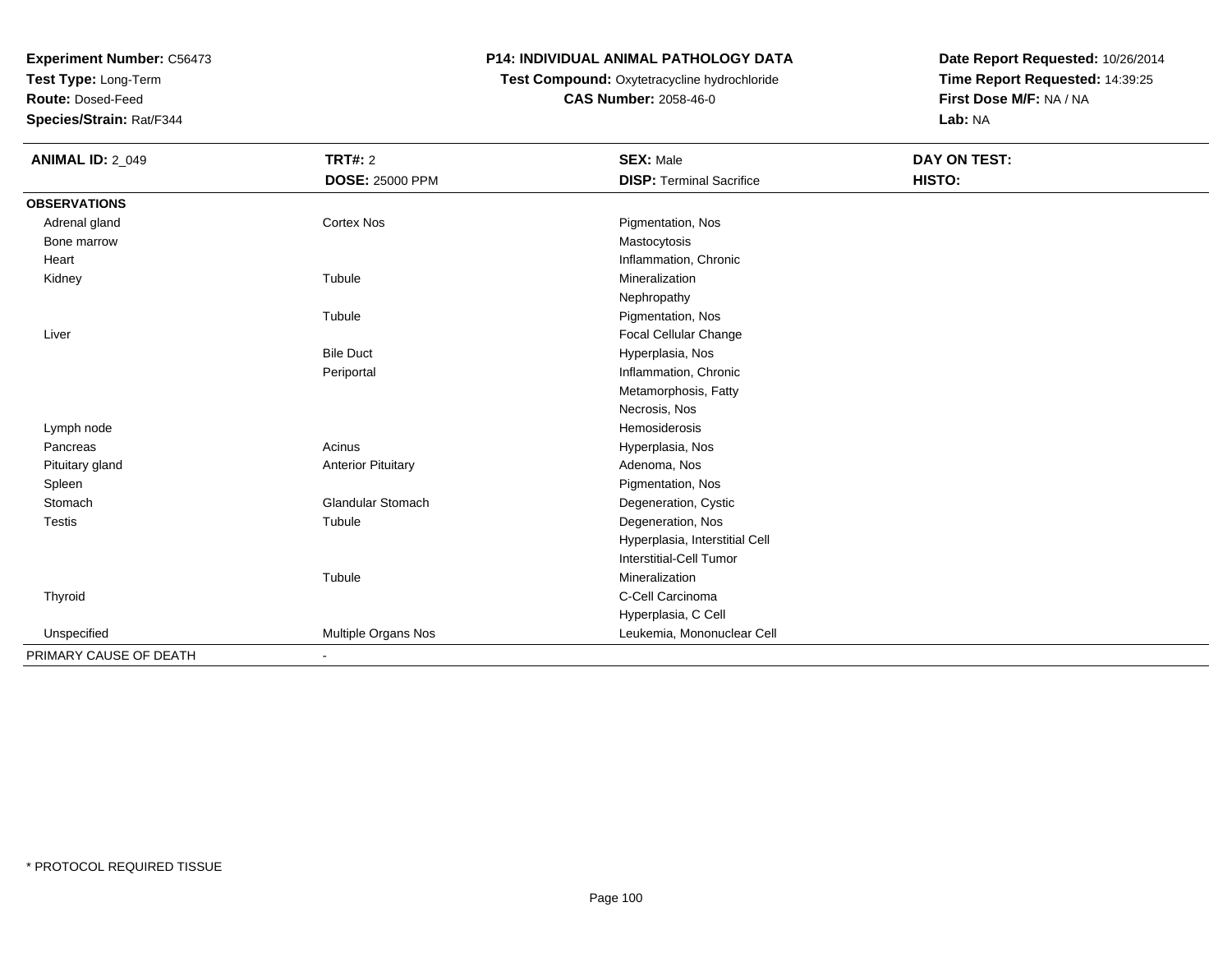**Test Type:** Long-Term

**Route:** Dosed-Feed

**Species/Strain:** Rat/F344

# **P14: INDIVIDUAL ANIMAL PATHOLOGY DATA**

# **Test Compound:** Oxytetracycline hydrochloride**CAS Number:** 2058-46-0

| <b>ANIMAL ID: 2_049</b> | <b>TRT#: 2</b>            | <b>SEX: Male</b>                | DAY ON TEST: |  |
|-------------------------|---------------------------|---------------------------------|--------------|--|
|                         | <b>DOSE: 25000 PPM</b>    | <b>DISP: Terminal Sacrifice</b> | HISTO:       |  |
| <b>OBSERVATIONS</b>     |                           |                                 |              |  |
| Adrenal gland           | Cortex Nos                | Pigmentation, Nos               |              |  |
| Bone marrow             |                           | Mastocytosis                    |              |  |
| Heart                   |                           | Inflammation, Chronic           |              |  |
| Kidney                  | Tubule                    | Mineralization                  |              |  |
|                         |                           | Nephropathy                     |              |  |
|                         | Tubule                    | Pigmentation, Nos               |              |  |
| Liver                   |                           | Focal Cellular Change           |              |  |
|                         | <b>Bile Duct</b>          | Hyperplasia, Nos                |              |  |
|                         | Periportal                | Inflammation, Chronic           |              |  |
|                         |                           | Metamorphosis, Fatty            |              |  |
|                         |                           | Necrosis, Nos                   |              |  |
| Lymph node              |                           | Hemosiderosis                   |              |  |
| Pancreas                | Acinus                    | Hyperplasia, Nos                |              |  |
| Pituitary gland         | <b>Anterior Pituitary</b> | Adenoma, Nos                    |              |  |
| Spleen                  |                           | Pigmentation, Nos               |              |  |
| Stomach                 | Glandular Stomach         | Degeneration, Cystic            |              |  |
| <b>Testis</b>           | Tubule                    | Degeneration, Nos               |              |  |
|                         |                           | Hyperplasia, Interstitial Cell  |              |  |
|                         |                           | Interstitial-Cell Tumor         |              |  |
|                         | Tubule                    | Mineralization                  |              |  |
| Thyroid                 |                           | C-Cell Carcinoma                |              |  |
|                         |                           | Hyperplasia, C Cell             |              |  |
| Unspecified             | Multiple Organs Nos       | Leukemia, Mononuclear Cell      |              |  |
| PRIMARY CAUSE OF DEATH  | ٠                         |                                 |              |  |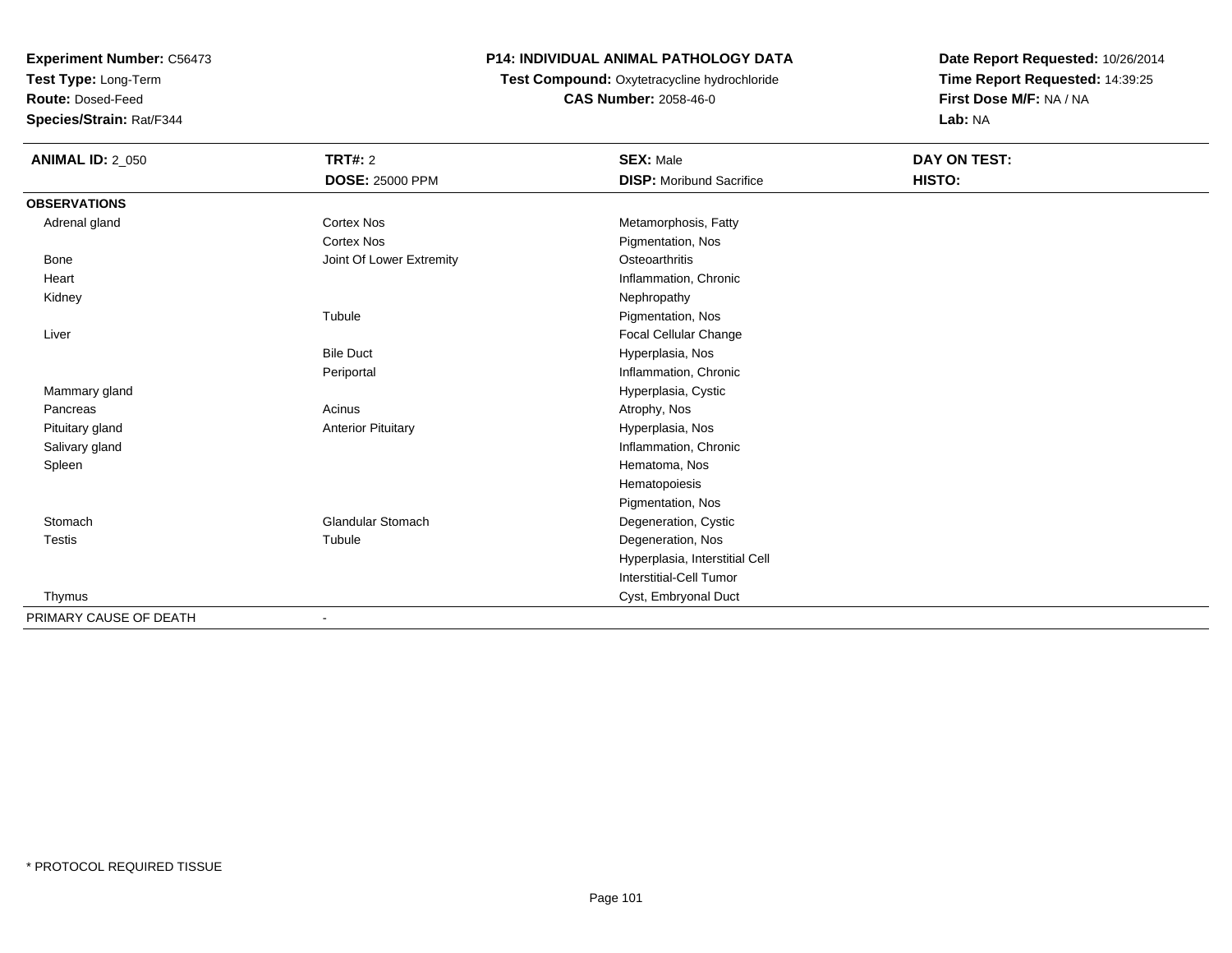**Test Type:** Long-Term

**Route:** Dosed-Feed

**Species/Strain:** Rat/F344

# **P14: INDIVIDUAL ANIMAL PATHOLOGY DATA**

 **Test Compound:** Oxytetracycline hydrochloride**CAS Number:** 2058-46-0

| <b>ANIMAL ID: 2_050</b> | <b>TRT#: 2</b><br><b>DOSE: 25000 PPM</b> | <b>SEX: Male</b><br><b>DISP:</b> Moribund Sacrifice | DAY ON TEST:<br>HISTO: |
|-------------------------|------------------------------------------|-----------------------------------------------------|------------------------|
| <b>OBSERVATIONS</b>     |                                          |                                                     |                        |
| Adrenal gland           | <b>Cortex Nos</b>                        | Metamorphosis, Fatty                                |                        |
|                         | <b>Cortex Nos</b>                        | Pigmentation, Nos                                   |                        |
| Bone                    | Joint Of Lower Extremity                 | Osteoarthritis                                      |                        |
| Heart                   |                                          | Inflammation, Chronic                               |                        |
| Kidney                  |                                          | Nephropathy                                         |                        |
|                         | Tubule                                   | Pigmentation, Nos                                   |                        |
| Liver                   |                                          | Focal Cellular Change                               |                        |
|                         | <b>Bile Duct</b>                         | Hyperplasia, Nos                                    |                        |
|                         | Periportal                               | Inflammation, Chronic                               |                        |
| Mammary gland           |                                          | Hyperplasia, Cystic                                 |                        |
| Pancreas                | Acinus                                   | Atrophy, Nos                                        |                        |
| Pituitary gland         | <b>Anterior Pituitary</b>                | Hyperplasia, Nos                                    |                        |
| Salivary gland          |                                          | Inflammation, Chronic                               |                        |
| Spleen                  |                                          | Hematoma, Nos                                       |                        |
|                         |                                          | Hematopoiesis                                       |                        |
|                         |                                          | Pigmentation, Nos                                   |                        |
| Stomach                 | <b>Glandular Stomach</b>                 | Degeneration, Cystic                                |                        |
| <b>Testis</b>           | Tubule                                   | Degeneration, Nos                                   |                        |
|                         |                                          | Hyperplasia, Interstitial Cell                      |                        |
|                         |                                          | <b>Interstitial-Cell Tumor</b>                      |                        |
| Thymus                  |                                          | Cyst, Embryonal Duct                                |                        |
| PRIMARY CAUSE OF DEATH  | $\blacksquare$                           |                                                     |                        |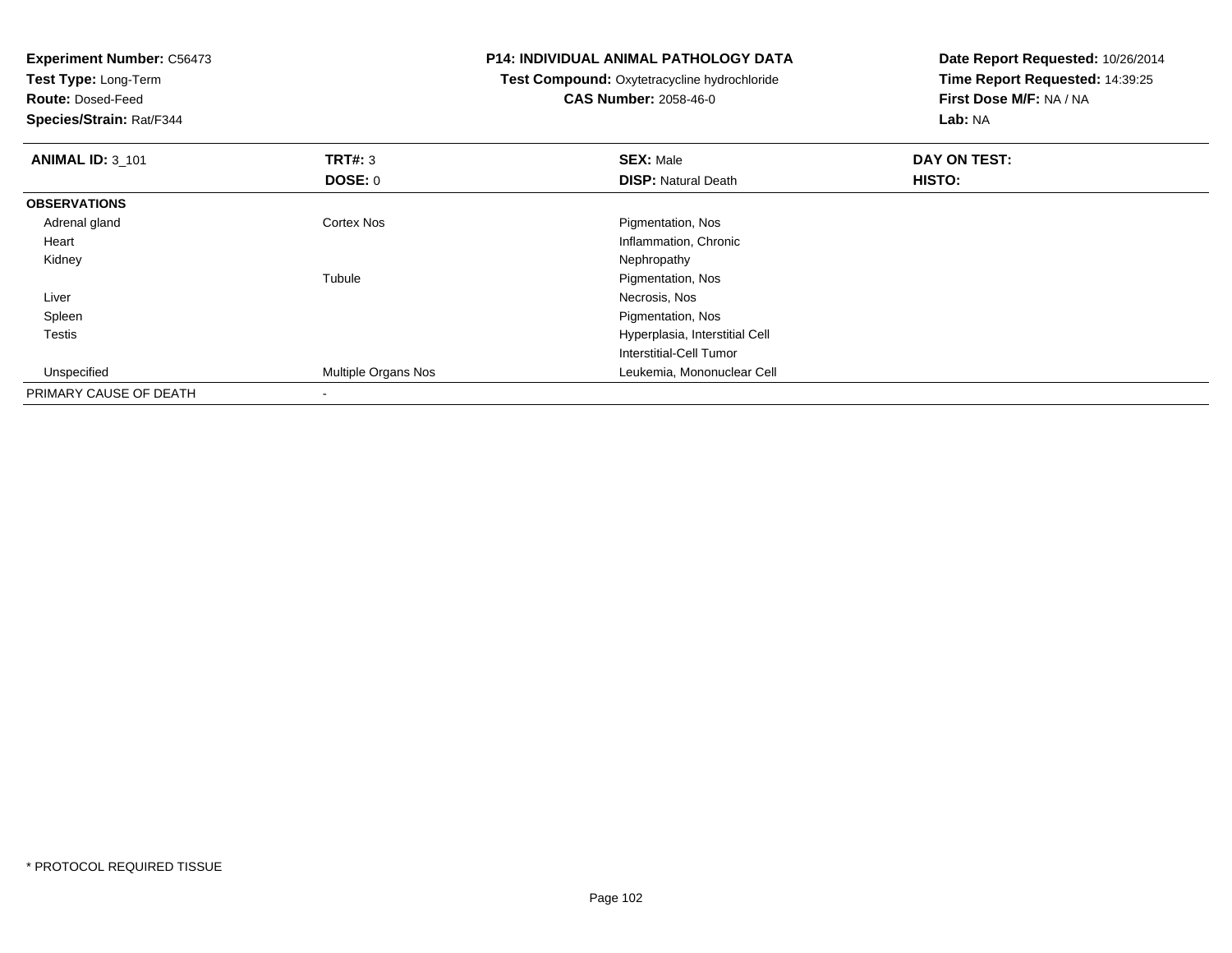| <b>Experiment Number: C56473</b><br>Test Type: Long-Term |                              | <b>P14: INDIVIDUAL ANIMAL PATHOLOGY DATA</b><br>Test Compound: Oxytetracycline hydrochloride | Date Report Requested: 10/26/2014<br>Time Report Requested: 14:39:25 |
|----------------------------------------------------------|------------------------------|----------------------------------------------------------------------------------------------|----------------------------------------------------------------------|
| <b>Route: Dosed-Feed</b><br>Species/Strain: Rat/F344     | <b>CAS Number: 2058-46-0</b> |                                                                                              | First Dose M/F: NA / NA<br>Lab: NA                                   |
| <b>ANIMAL ID: 3_101</b>                                  | TRT#: 3                      | <b>SEX: Male</b>                                                                             | DAY ON TEST:                                                         |
|                                                          | DOSE: 0                      | <b>DISP: Natural Death</b>                                                                   | HISTO:                                                               |
| <b>OBSERVATIONS</b>                                      |                              |                                                                                              |                                                                      |
| Adrenal gland                                            | Cortex Nos                   | Pigmentation, Nos                                                                            |                                                                      |
| Heart                                                    |                              | Inflammation, Chronic                                                                        |                                                                      |
| Kidney                                                   |                              | Nephropathy                                                                                  |                                                                      |
|                                                          | Tubule                       | Pigmentation, Nos                                                                            |                                                                      |
| Liver                                                    |                              | Necrosis, Nos                                                                                |                                                                      |
| Spleen                                                   |                              | Pigmentation, Nos                                                                            |                                                                      |
| Testis                                                   |                              | Hyperplasia, Interstitial Cell                                                               |                                                                      |
|                                                          |                              | Interstitial-Cell Tumor                                                                      |                                                                      |
| Unspecified                                              | Multiple Organs Nos          | Leukemia, Mononuclear Cell                                                                   |                                                                      |
| PRIMARY CAUSE OF DEATH                                   |                              |                                                                                              |                                                                      |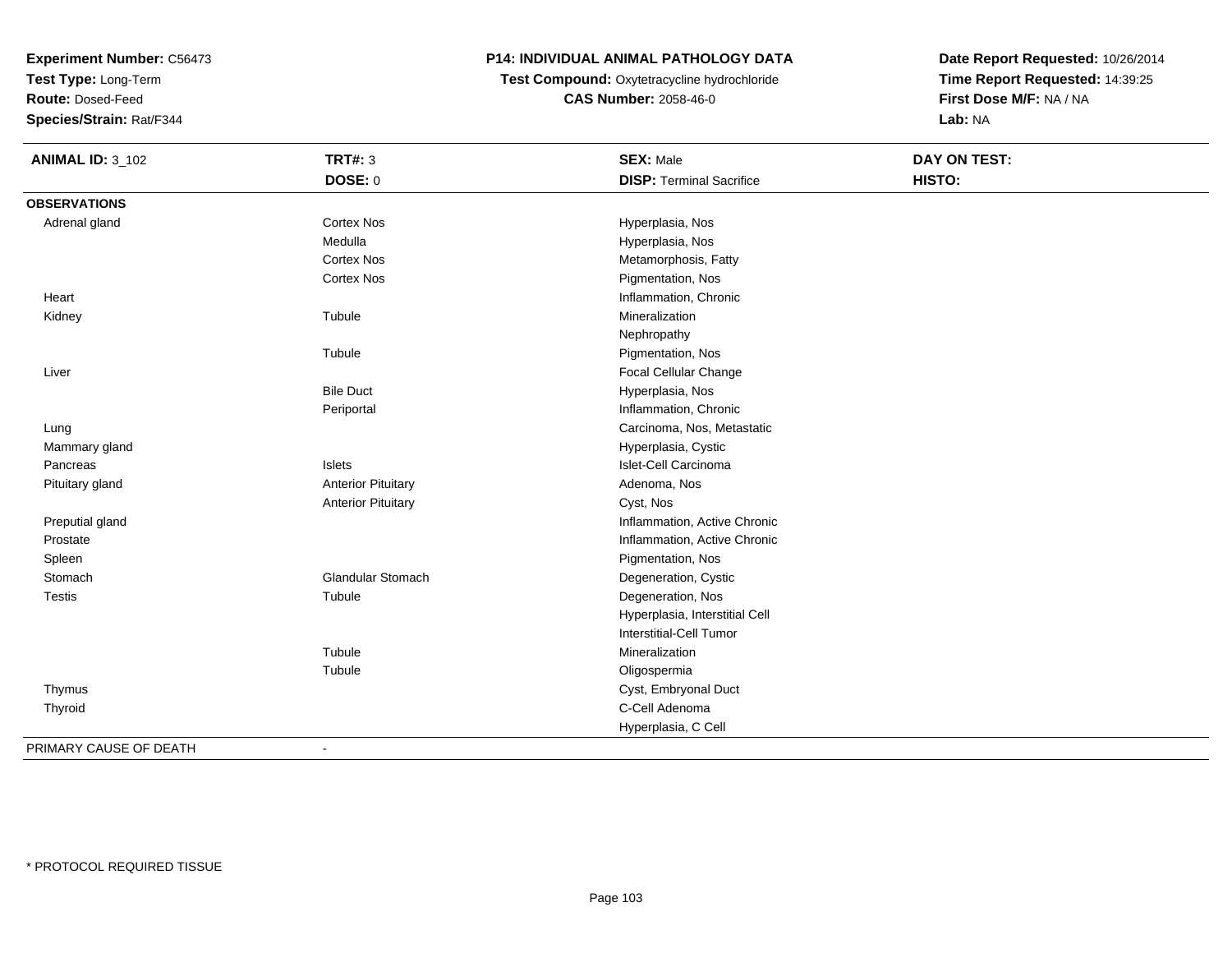**Test Type:** Long-Term

**Route:** Dosed-Feed

**Species/Strain:** Rat/F344

# **P14: INDIVIDUAL ANIMAL PATHOLOGY DATA**

**Test Compound:** Oxytetracycline hydrochloride**CAS Number:** 2058-46-0

**Date Report Requested:** 10/26/2014**Time Report Requested:** 14:39:25**First Dose M/F:** NA / NA**Lab:** NA

| <b>ANIMAL ID: 3_102</b> | <b>TRT#: 3</b>            | <b>SEX: Male</b>                | DAY ON TEST: |  |
|-------------------------|---------------------------|---------------------------------|--------------|--|
|                         | <b>DOSE: 0</b>            | <b>DISP: Terminal Sacrifice</b> | HISTO:       |  |
| <b>OBSERVATIONS</b>     |                           |                                 |              |  |
| Adrenal gland           | <b>Cortex Nos</b>         | Hyperplasia, Nos                |              |  |
|                         | Medulla                   | Hyperplasia, Nos                |              |  |
|                         | <b>Cortex Nos</b>         | Metamorphosis, Fatty            |              |  |
|                         | Cortex Nos                | Pigmentation, Nos               |              |  |
| Heart                   |                           | Inflammation, Chronic           |              |  |
| Kidney                  | Tubule                    | Mineralization                  |              |  |
|                         |                           | Nephropathy                     |              |  |
|                         | Tubule                    | Pigmentation, Nos               |              |  |
| Liver                   |                           | Focal Cellular Change           |              |  |
|                         | <b>Bile Duct</b>          | Hyperplasia, Nos                |              |  |
|                         | Periportal                | Inflammation, Chronic           |              |  |
| Lung                    |                           | Carcinoma, Nos, Metastatic      |              |  |
| Mammary gland           |                           | Hyperplasia, Cystic             |              |  |
| Pancreas                | <b>Islets</b>             | Islet-Cell Carcinoma            |              |  |
| Pituitary gland         | <b>Anterior Pituitary</b> | Adenoma, Nos                    |              |  |
|                         | <b>Anterior Pituitary</b> | Cyst, Nos                       |              |  |
| Preputial gland         |                           | Inflammation, Active Chronic    |              |  |
| Prostate                |                           | Inflammation, Active Chronic    |              |  |
| Spleen                  |                           | Pigmentation, Nos               |              |  |
| Stomach                 | <b>Glandular Stomach</b>  | Degeneration, Cystic            |              |  |
| <b>Testis</b>           | Tubule                    | Degeneration, Nos               |              |  |
|                         |                           | Hyperplasia, Interstitial Cell  |              |  |
|                         |                           | Interstitial-Cell Tumor         |              |  |
|                         | Tubule                    | Mineralization                  |              |  |
|                         | Tubule                    | Oligospermia                    |              |  |
| Thymus                  |                           | Cyst, Embryonal Duct            |              |  |
| Thyroid                 |                           | C-Cell Adenoma                  |              |  |
|                         |                           | Hyperplasia, C Cell             |              |  |
| PPIU11PVQ11QFQFPT11     |                           |                                 |              |  |

PRIMARY CAUSE OF DEATH-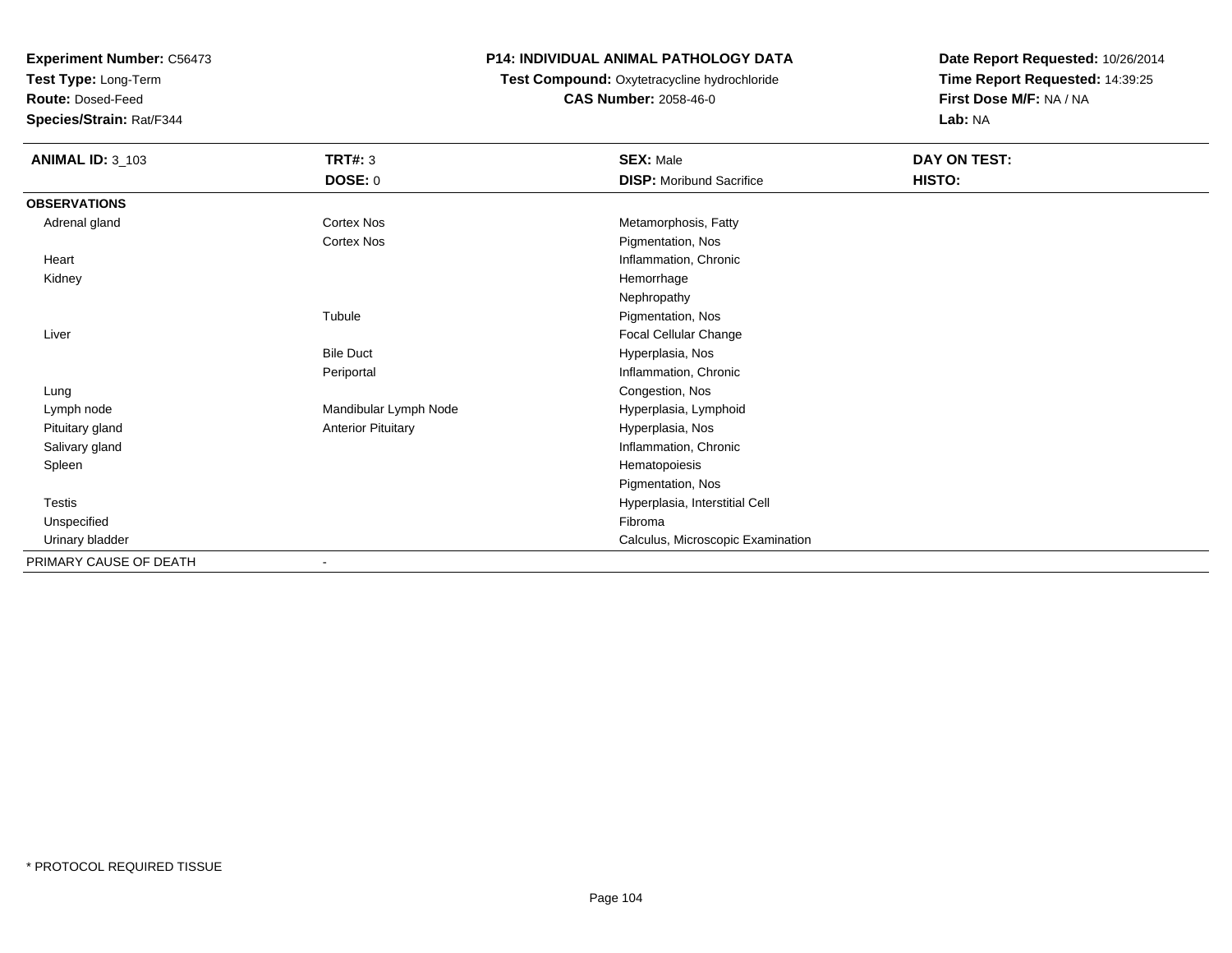**Test Type:** Long-Term

**Route:** Dosed-Feed

**Species/Strain:** Rat/F344

# **P14: INDIVIDUAL ANIMAL PATHOLOGY DATA**

**Test Compound:** Oxytetracycline hydrochloride**CAS Number:** 2058-46-0

| <b>ANIMAL ID: 3_103</b> | <b>TRT#: 3</b><br><b>DOSE: 0</b> | <b>SEX: Male</b><br><b>DISP:</b> Moribund Sacrifice | DAY ON TEST:<br>HISTO: |
|-------------------------|----------------------------------|-----------------------------------------------------|------------------------|
| <b>OBSERVATIONS</b>     |                                  |                                                     |                        |
| Adrenal gland           | Cortex Nos                       | Metamorphosis, Fatty                                |                        |
|                         | Cortex Nos                       | Pigmentation, Nos                                   |                        |
| Heart                   |                                  | Inflammation, Chronic                               |                        |
| Kidney                  |                                  | Hemorrhage                                          |                        |
|                         |                                  | Nephropathy                                         |                        |
|                         | Tubule                           | Pigmentation, Nos                                   |                        |
| Liver                   |                                  | Focal Cellular Change                               |                        |
|                         | <b>Bile Duct</b>                 | Hyperplasia, Nos                                    |                        |
|                         | Periportal                       | Inflammation, Chronic                               |                        |
| Lung                    |                                  | Congestion, Nos                                     |                        |
| Lymph node              | Mandibular Lymph Node            | Hyperplasia, Lymphoid                               |                        |
| Pituitary gland         | <b>Anterior Pituitary</b>        | Hyperplasia, Nos                                    |                        |
| Salivary gland          |                                  | Inflammation, Chronic                               |                        |
| Spleen                  |                                  | Hematopoiesis                                       |                        |
|                         |                                  | Pigmentation, Nos                                   |                        |
| <b>Testis</b>           |                                  | Hyperplasia, Interstitial Cell                      |                        |
| Unspecified             |                                  | Fibroma                                             |                        |
| Urinary bladder         |                                  | Calculus, Microscopic Examination                   |                        |
| PRIMARY CAUSE OF DEATH  |                                  |                                                     |                        |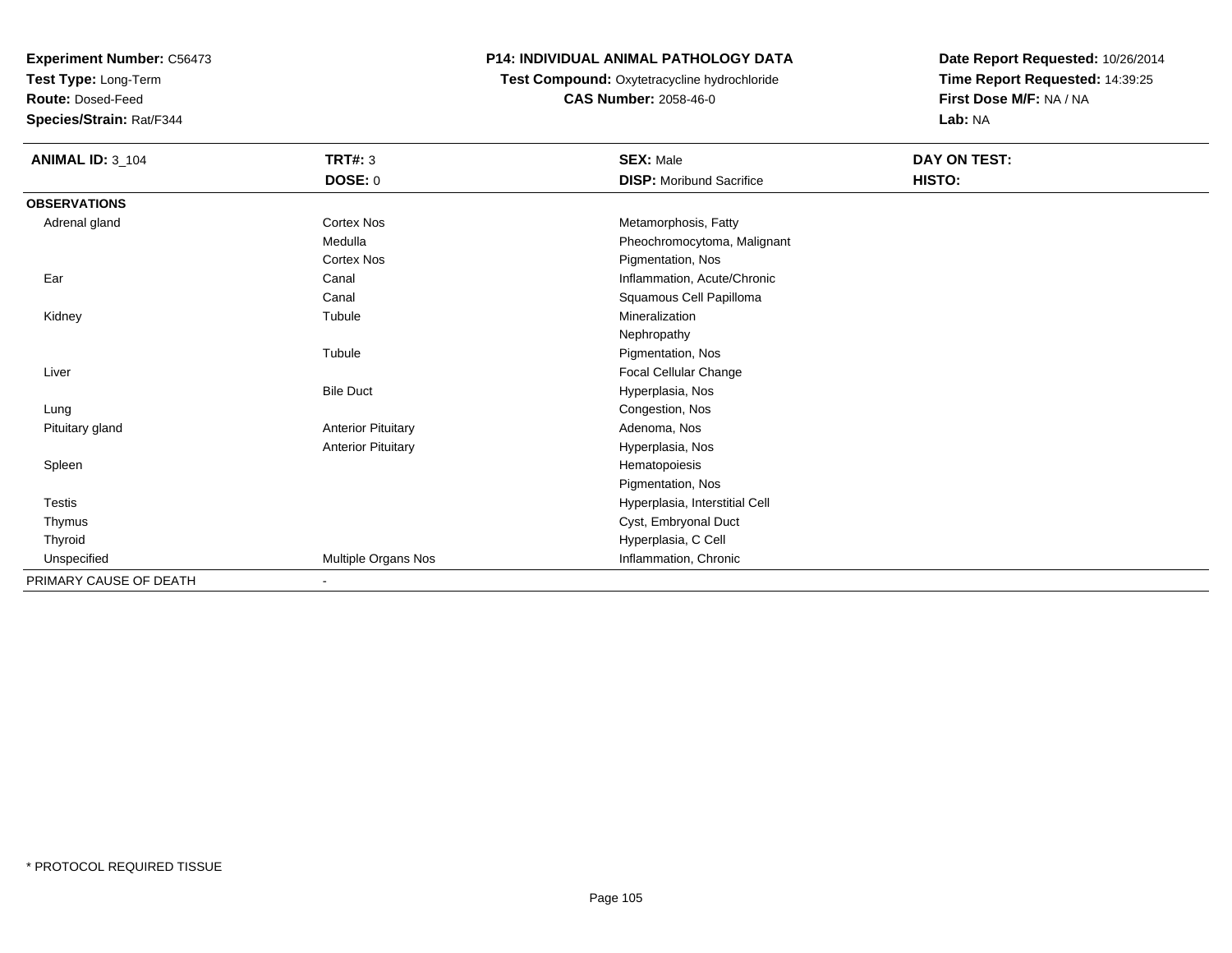**Test Type:** Long-Term

**Route:** Dosed-Feed

**Species/Strain:** Rat/F344

#### **P14: INDIVIDUAL ANIMAL PATHOLOGY DATA**

 **Test Compound:** Oxytetracycline hydrochloride**CAS Number:** 2058-46-0

| <b>ANIMAL ID: 3_104</b> | <b>TRT#: 3</b>            | <b>SEX: Male</b>                | DAY ON TEST: |  |
|-------------------------|---------------------------|---------------------------------|--------------|--|
|                         | <b>DOSE: 0</b>            | <b>DISP:</b> Moribund Sacrifice | HISTO:       |  |
| <b>OBSERVATIONS</b>     |                           |                                 |              |  |
| Adrenal gland           | Cortex Nos                | Metamorphosis, Fatty            |              |  |
|                         | Medulla                   | Pheochromocytoma, Malignant     |              |  |
|                         | Cortex Nos                | Pigmentation, Nos               |              |  |
| Ear                     | Canal                     | Inflammation, Acute/Chronic     |              |  |
|                         | Canal                     | Squamous Cell Papilloma         |              |  |
| Kidney                  | Tubule                    | Mineralization                  |              |  |
|                         |                           | Nephropathy                     |              |  |
|                         | Tubule                    | Pigmentation, Nos               |              |  |
| Liver                   |                           | Focal Cellular Change           |              |  |
|                         | <b>Bile Duct</b>          | Hyperplasia, Nos                |              |  |
| Lung                    |                           | Congestion, Nos                 |              |  |
| Pituitary gland         | <b>Anterior Pituitary</b> | Adenoma, Nos                    |              |  |
|                         | <b>Anterior Pituitary</b> | Hyperplasia, Nos                |              |  |
| Spleen                  |                           | Hematopoiesis                   |              |  |
|                         |                           | Pigmentation, Nos               |              |  |
| Testis                  |                           | Hyperplasia, Interstitial Cell  |              |  |
| Thymus                  |                           | Cyst, Embryonal Duct            |              |  |
| Thyroid                 |                           | Hyperplasia, C Cell             |              |  |
| Unspecified             | Multiple Organs Nos       | Inflammation, Chronic           |              |  |
| PRIMARY CAUSE OF DEATH  | $\blacksquare$            |                                 |              |  |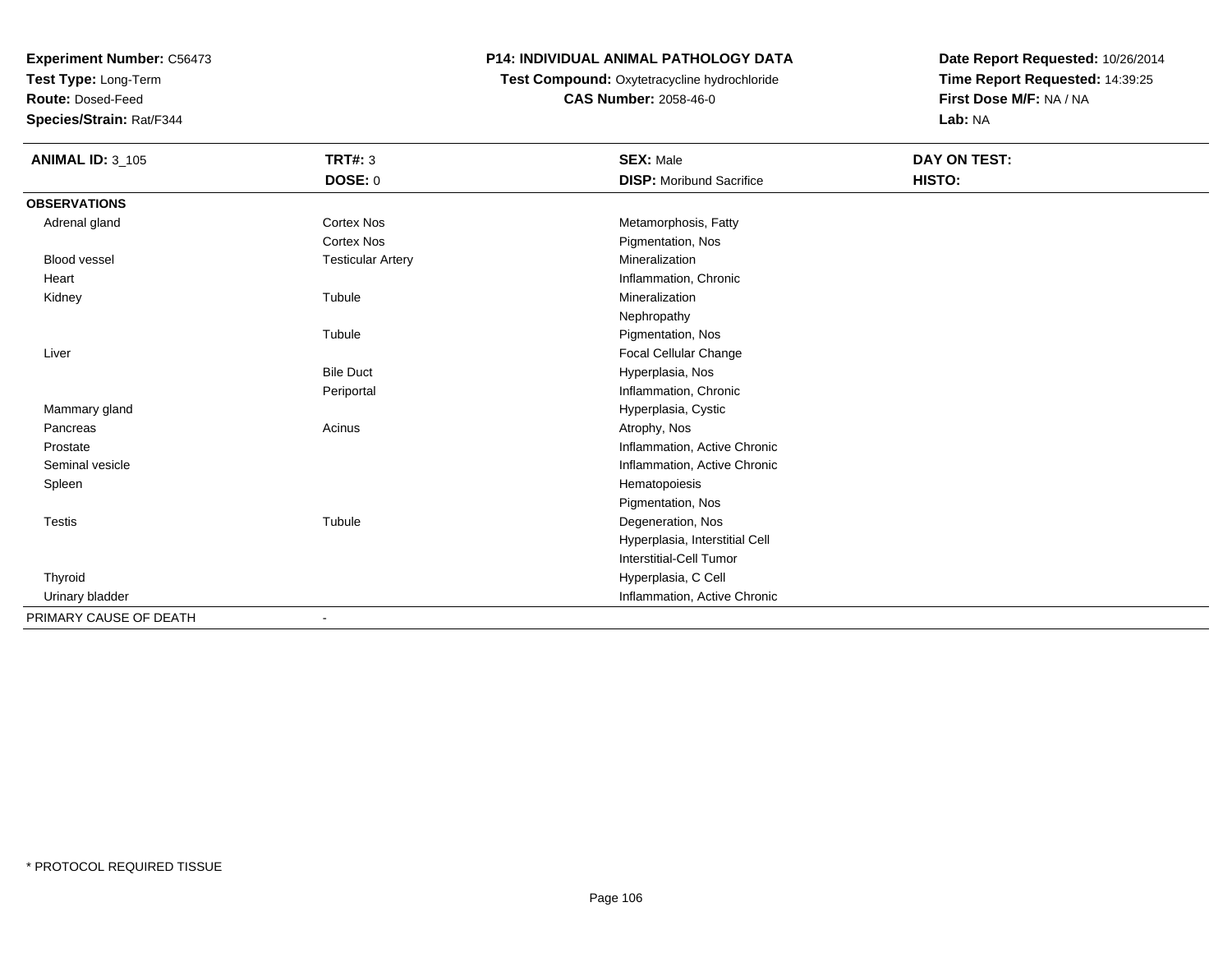**Test Type:** Long-Term

**Route:** Dosed-Feed

**Species/Strain:** Rat/F344

# **P14: INDIVIDUAL ANIMAL PATHOLOGY DATA**

 **Test Compound:** Oxytetracycline hydrochloride**CAS Number:** 2058-46-0

| <b>ANIMAL ID: 3_105</b> | <b>TRT#: 3</b>           | <b>SEX: Male</b>                | DAY ON TEST: |  |
|-------------------------|--------------------------|---------------------------------|--------------|--|
|                         | <b>DOSE: 0</b>           | <b>DISP:</b> Moribund Sacrifice | HISTO:       |  |
| <b>OBSERVATIONS</b>     |                          |                                 |              |  |
| Adrenal gland           | Cortex Nos               | Metamorphosis, Fatty            |              |  |
|                         | <b>Cortex Nos</b>        | Pigmentation, Nos               |              |  |
| <b>Blood vessel</b>     | <b>Testicular Artery</b> | Mineralization                  |              |  |
| Heart                   |                          | Inflammation, Chronic           |              |  |
| Kidney                  | Tubule                   | Mineralization                  |              |  |
|                         |                          | Nephropathy                     |              |  |
|                         | Tubule                   | Pigmentation, Nos               |              |  |
| Liver                   |                          | <b>Focal Cellular Change</b>    |              |  |
|                         | <b>Bile Duct</b>         | Hyperplasia, Nos                |              |  |
|                         | Periportal               | Inflammation, Chronic           |              |  |
| Mammary gland           |                          | Hyperplasia, Cystic             |              |  |
| Pancreas                | Acinus                   | Atrophy, Nos                    |              |  |
| Prostate                |                          | Inflammation, Active Chronic    |              |  |
| Seminal vesicle         |                          | Inflammation, Active Chronic    |              |  |
| Spleen                  |                          | Hematopoiesis                   |              |  |
|                         |                          | Pigmentation, Nos               |              |  |
| <b>Testis</b>           | Tubule                   | Degeneration, Nos               |              |  |
|                         |                          | Hyperplasia, Interstitial Cell  |              |  |
|                         |                          | <b>Interstitial-Cell Tumor</b>  |              |  |
| Thyroid                 |                          | Hyperplasia, C Cell             |              |  |
| Urinary bladder         |                          | Inflammation, Active Chronic    |              |  |
| PRIMARY CAUSE OF DEATH  |                          |                                 |              |  |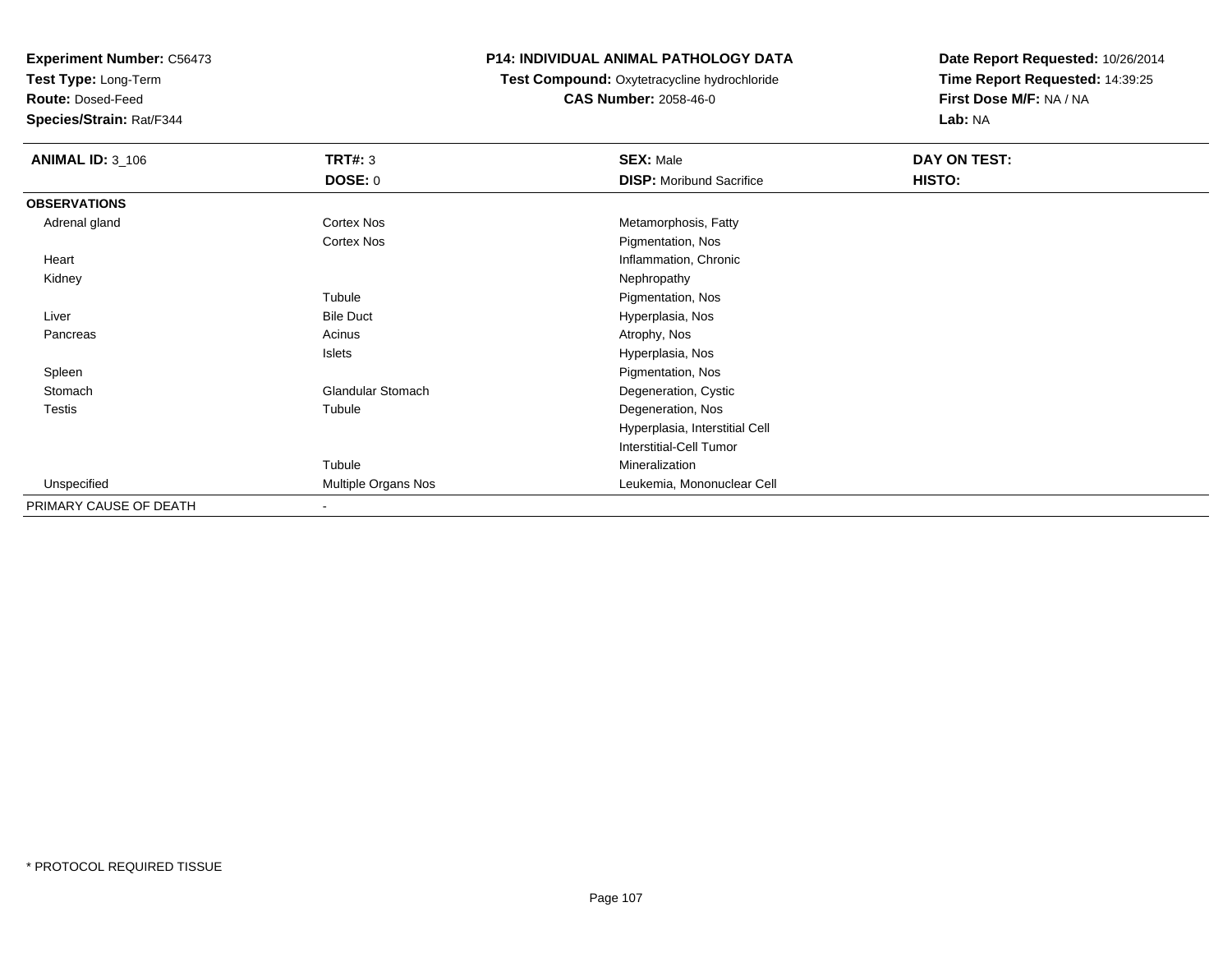**Test Type:** Long-Term

**Route:** Dosed-Feed

**Species/Strain:** Rat/F344

#### **P14: INDIVIDUAL ANIMAL PATHOLOGY DATA**

**Test Compound:** Oxytetracycline hydrochloride**CAS Number:** 2058-46-0

| <b>ANIMAL ID: 3_106</b> | <b>TRT#: 3</b>             | <b>SEX: Male</b>                | DAY ON TEST: |  |
|-------------------------|----------------------------|---------------------------------|--------------|--|
|                         | <b>DOSE: 0</b>             | <b>DISP:</b> Moribund Sacrifice | HISTO:       |  |
| <b>OBSERVATIONS</b>     |                            |                                 |              |  |
| Adrenal gland           | <b>Cortex Nos</b>          | Metamorphosis, Fatty            |              |  |
|                         | <b>Cortex Nos</b>          | Pigmentation, Nos               |              |  |
| Heart                   |                            | Inflammation, Chronic           |              |  |
| Kidney                  |                            | Nephropathy                     |              |  |
|                         | Tubule                     | Pigmentation, Nos               |              |  |
| Liver                   | <b>Bile Duct</b>           | Hyperplasia, Nos                |              |  |
| Pancreas                | Acinus                     | Atrophy, Nos                    |              |  |
|                         | Islets                     | Hyperplasia, Nos                |              |  |
| Spleen                  |                            | Pigmentation, Nos               |              |  |
| Stomach                 | <b>Glandular Stomach</b>   | Degeneration, Cystic            |              |  |
| <b>Testis</b>           | Tubule                     | Degeneration, Nos               |              |  |
|                         |                            | Hyperplasia, Interstitial Cell  |              |  |
|                         |                            | Interstitial-Cell Tumor         |              |  |
|                         | Tubule                     | Mineralization                  |              |  |
| Unspecified             | <b>Multiple Organs Nos</b> | Leukemia, Mononuclear Cell      |              |  |
| PRIMARY CAUSE OF DEATH  | $\overline{\phantom{a}}$   |                                 |              |  |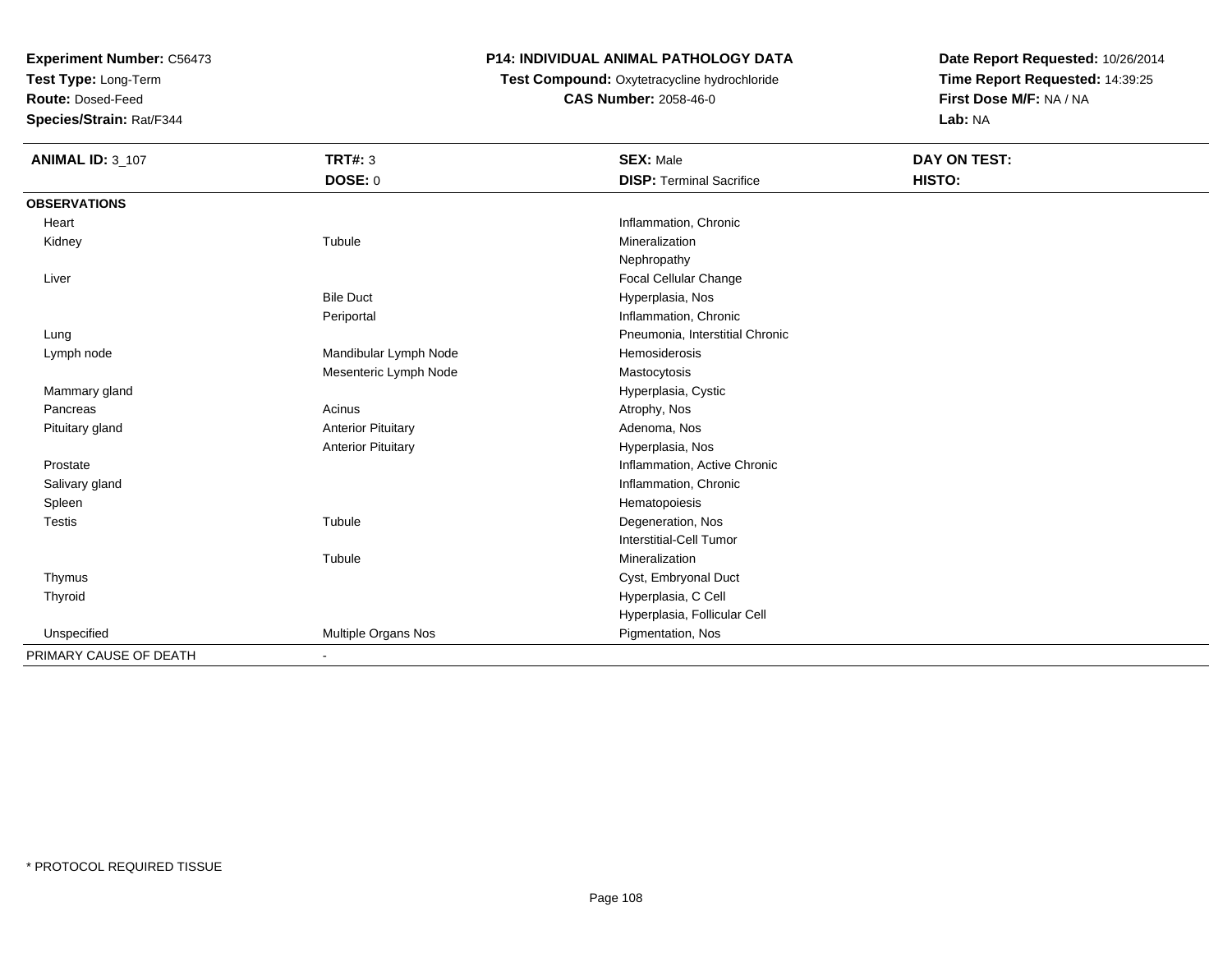**Test Type:** Long-Term

**Route:** Dosed-Feed

**Species/Strain:** Rat/F344

# **P14: INDIVIDUAL ANIMAL PATHOLOGY DATA**

**Test Compound:** Oxytetracycline hydrochloride**CAS Number:** 2058-46-0

| <b>ANIMAL ID: 3_107</b> | <b>TRT#: 3</b>            | <b>SEX: Male</b>                | DAY ON TEST: |
|-------------------------|---------------------------|---------------------------------|--------------|
|                         | DOSE: 0                   | <b>DISP: Terminal Sacrifice</b> | HISTO:       |
| <b>OBSERVATIONS</b>     |                           |                                 |              |
| Heart                   |                           | Inflammation, Chronic           |              |
| Kidney                  | Tubule                    | Mineralization                  |              |
|                         |                           | Nephropathy                     |              |
| Liver                   |                           | Focal Cellular Change           |              |
|                         | <b>Bile Duct</b>          | Hyperplasia, Nos                |              |
|                         | Periportal                | Inflammation, Chronic           |              |
| Lung                    |                           | Pneumonia, Interstitial Chronic |              |
| Lymph node              | Mandibular Lymph Node     | Hemosiderosis                   |              |
|                         | Mesenteric Lymph Node     | Mastocytosis                    |              |
| Mammary gland           |                           | Hyperplasia, Cystic             |              |
| Pancreas                | Acinus                    | Atrophy, Nos                    |              |
| Pituitary gland         | <b>Anterior Pituitary</b> | Adenoma, Nos                    |              |
|                         | <b>Anterior Pituitary</b> | Hyperplasia, Nos                |              |
| Prostate                |                           | Inflammation, Active Chronic    |              |
| Salivary gland          |                           | Inflammation, Chronic           |              |
| Spleen                  |                           | Hematopoiesis                   |              |
| <b>Testis</b>           | Tubule                    | Degeneration, Nos               |              |
|                         |                           | Interstitial-Cell Tumor         |              |
|                         | Tubule                    | Mineralization                  |              |
| Thymus                  |                           | Cyst, Embryonal Duct            |              |
| Thyroid                 |                           | Hyperplasia, C Cell             |              |
|                         |                           | Hyperplasia, Follicular Cell    |              |
| Unspecified             | Multiple Organs Nos       | Pigmentation, Nos               |              |
| PRIMARY CAUSE OF DEATH  |                           |                                 |              |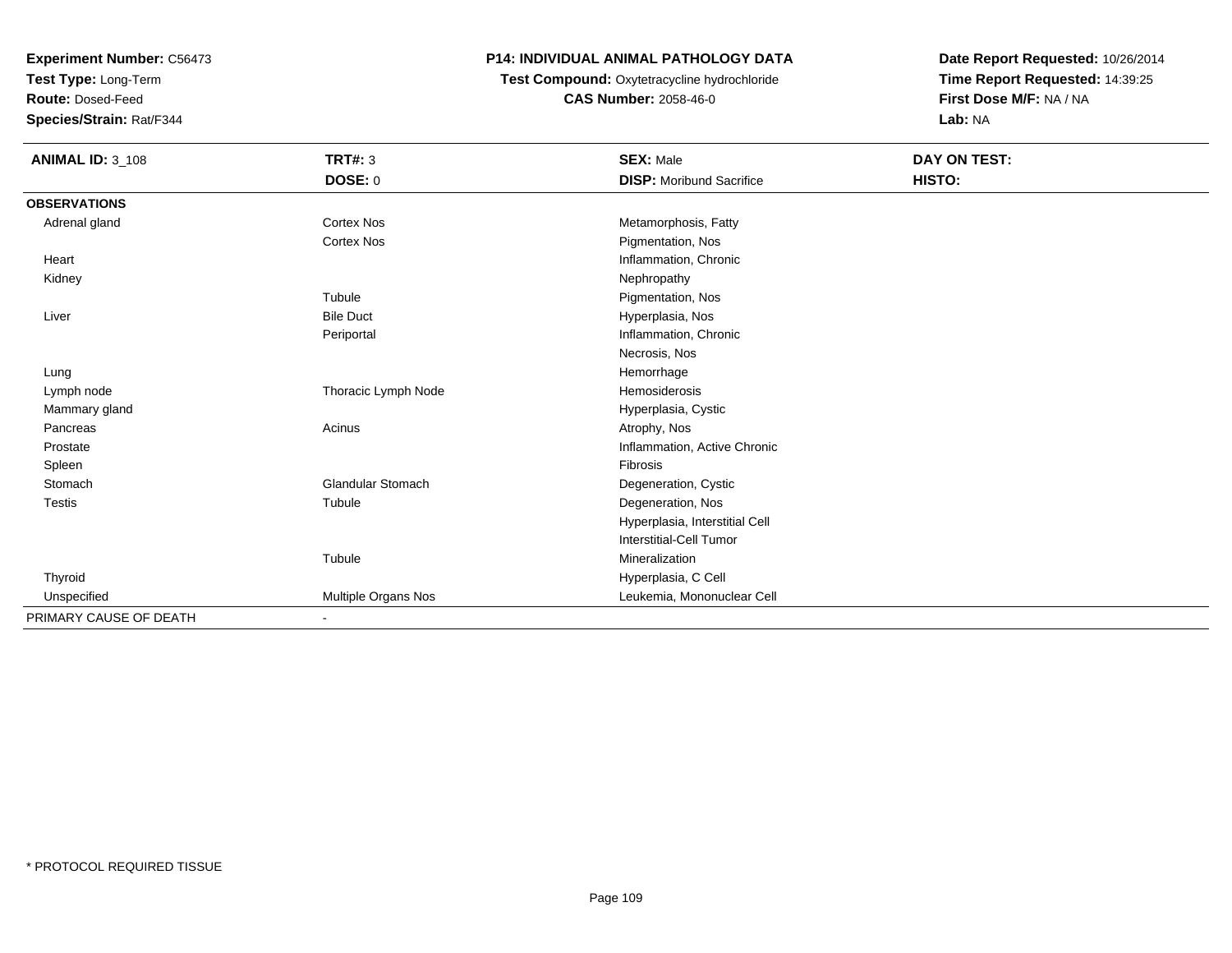**Test Type:** Long-Term

**Route:** Dosed-Feed

**Species/Strain:** Rat/F344

# **P14: INDIVIDUAL ANIMAL PATHOLOGY DATA**

 **Test Compound:** Oxytetracycline hydrochloride**CAS Number:** 2058-46-0

| <b>ANIMAL ID: 3_108</b> | <b>TRT#: 3</b>               | <b>SEX: Male</b>                | DAY ON TEST: |  |
|-------------------------|------------------------------|---------------------------------|--------------|--|
|                         | <b>DOSE: 0</b>               | <b>DISP:</b> Moribund Sacrifice | HISTO:       |  |
| <b>OBSERVATIONS</b>     |                              |                                 |              |  |
| Adrenal gland           | <b>Cortex Nos</b>            | Metamorphosis, Fatty            |              |  |
|                         | <b>Cortex Nos</b>            | Pigmentation, Nos               |              |  |
| Heart                   |                              | Inflammation, Chronic           |              |  |
| Kidney                  |                              | Nephropathy                     |              |  |
|                         | Tubule                       | Pigmentation, Nos               |              |  |
| Liver                   | <b>Bile Duct</b>             | Hyperplasia, Nos                |              |  |
|                         | Periportal                   | Inflammation, Chronic           |              |  |
|                         |                              | Necrosis, Nos                   |              |  |
| Lung                    |                              | Hemorrhage                      |              |  |
| Lymph node              | Thoracic Lymph Node          | Hemosiderosis                   |              |  |
| Mammary gland           |                              | Hyperplasia, Cystic             |              |  |
| Pancreas                | Acinus                       | Atrophy, Nos                    |              |  |
| Prostate                |                              | Inflammation, Active Chronic    |              |  |
| Spleen                  |                              | <b>Fibrosis</b>                 |              |  |
| Stomach                 | <b>Glandular Stomach</b>     | Degeneration, Cystic            |              |  |
| <b>Testis</b>           | Tubule                       | Degeneration, Nos               |              |  |
|                         |                              | Hyperplasia, Interstitial Cell  |              |  |
|                         |                              | <b>Interstitial-Cell Tumor</b>  |              |  |
|                         | Tubule                       | Mineralization                  |              |  |
| Thyroid                 |                              | Hyperplasia, C Cell             |              |  |
| Unspecified             | Multiple Organs Nos          | Leukemia, Mononuclear Cell      |              |  |
| PRIMARY CAUSE OF DEATH  | $\qquad \qquad \blacksquare$ |                                 |              |  |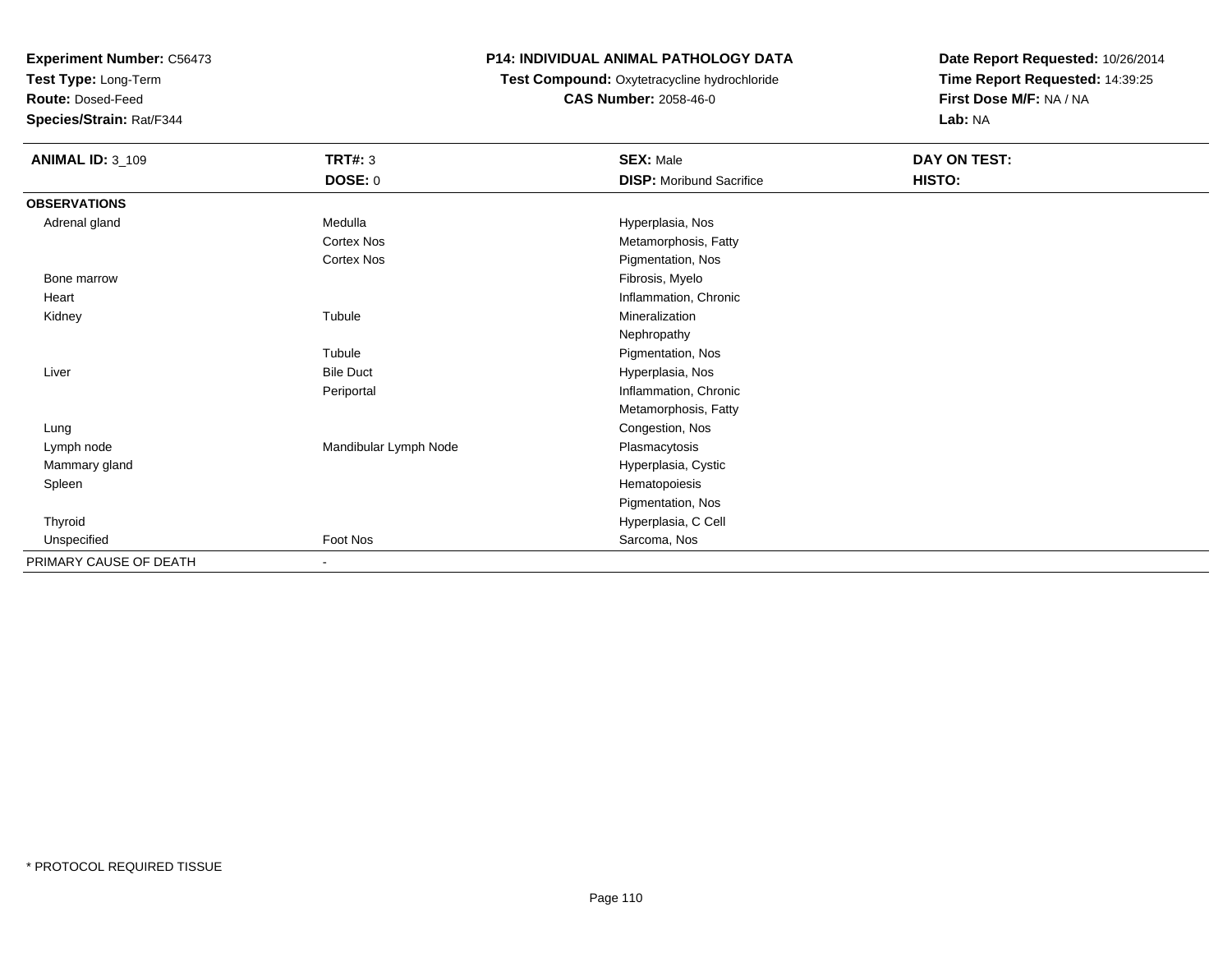**Test Type:** Long-Term

**Route:** Dosed-Feed

**Species/Strain:** Rat/F344

## **P14: INDIVIDUAL ANIMAL PATHOLOGY DATA**

 **Test Compound:** Oxytetracycline hydrochloride**CAS Number:** 2058-46-0

| <b>ANIMAL ID: 3_109</b> | <b>TRT#: 3</b>           | <b>SEX: Male</b>                | DAY ON TEST: |  |
|-------------------------|--------------------------|---------------------------------|--------------|--|
|                         | <b>DOSE: 0</b>           | <b>DISP:</b> Moribund Sacrifice | HISTO:       |  |
| <b>OBSERVATIONS</b>     |                          |                                 |              |  |
| Adrenal gland           | Medulla                  | Hyperplasia, Nos                |              |  |
|                         | Cortex Nos               | Metamorphosis, Fatty            |              |  |
|                         | Cortex Nos               | Pigmentation, Nos               |              |  |
| Bone marrow             |                          | Fibrosis, Myelo                 |              |  |
| Heart                   |                          | Inflammation, Chronic           |              |  |
| Kidney                  | Tubule                   | Mineralization                  |              |  |
|                         |                          | Nephropathy                     |              |  |
|                         | Tubule                   | Pigmentation, Nos               |              |  |
| Liver                   | <b>Bile Duct</b>         | Hyperplasia, Nos                |              |  |
|                         | Periportal               | Inflammation, Chronic           |              |  |
|                         |                          | Metamorphosis, Fatty            |              |  |
| Lung                    |                          | Congestion, Nos                 |              |  |
| Lymph node              | Mandibular Lymph Node    | Plasmacytosis                   |              |  |
| Mammary gland           |                          | Hyperplasia, Cystic             |              |  |
| Spleen                  |                          | Hematopoiesis                   |              |  |
|                         |                          | Pigmentation, Nos               |              |  |
| Thyroid                 |                          | Hyperplasia, C Cell             |              |  |
| Unspecified             | Foot Nos                 | Sarcoma, Nos                    |              |  |
| PRIMARY CAUSE OF DEATH  | $\overline{\phantom{a}}$ |                                 |              |  |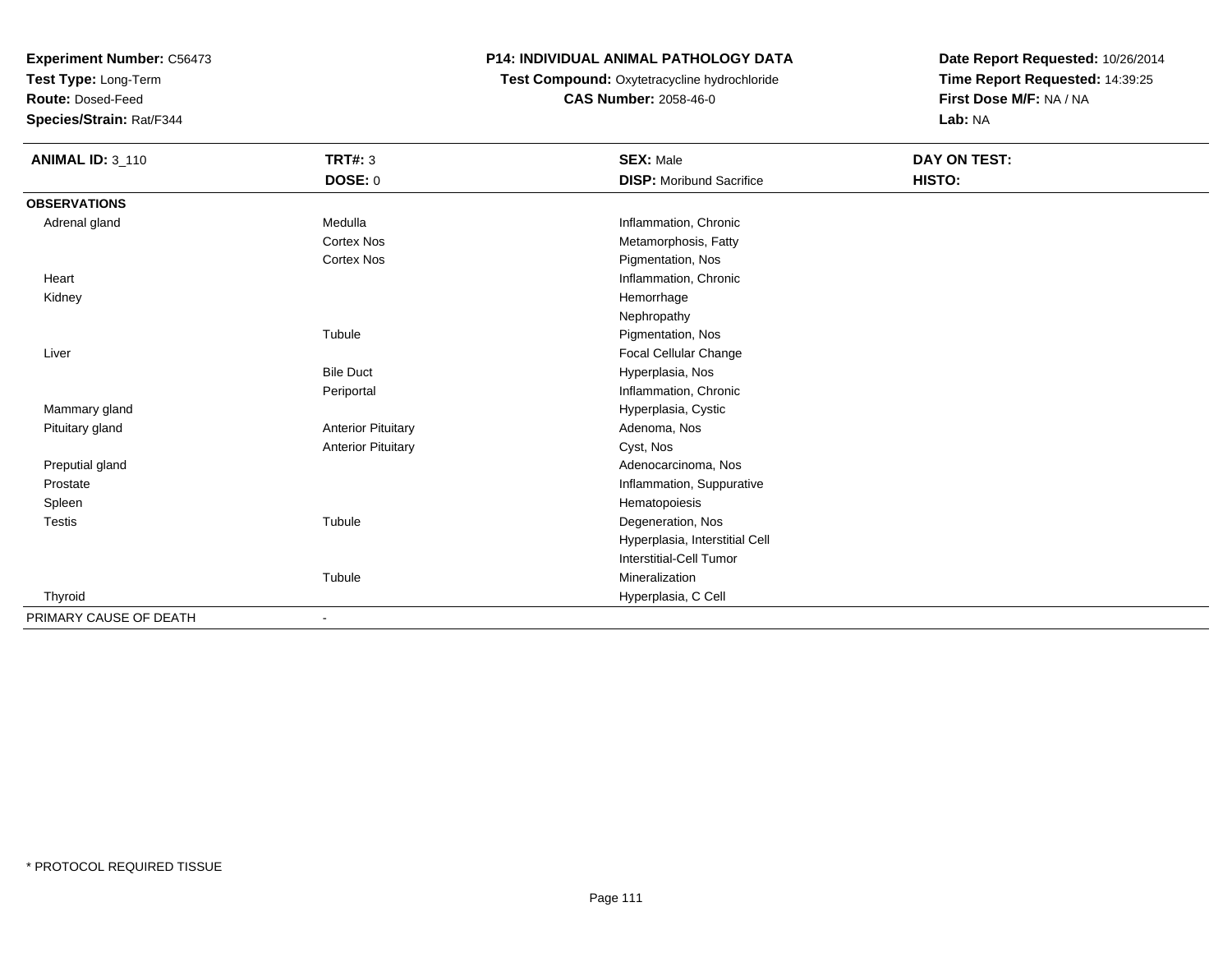**Test Type:** Long-Term

**Route:** Dosed-Feed

**Species/Strain:** Rat/F344

# **P14: INDIVIDUAL ANIMAL PATHOLOGY DATA**

 **Test Compound:** Oxytetracycline hydrochloride**CAS Number:** 2058-46-0

| <b>ANIMAL ID: 3_110</b> | <b>TRT#: 3</b>            | <b>SEX: Male</b>                | <b>DAY ON TEST:</b> |  |
|-------------------------|---------------------------|---------------------------------|---------------------|--|
|                         | <b>DOSE: 0</b>            | <b>DISP:</b> Moribund Sacrifice | HISTO:              |  |
| <b>OBSERVATIONS</b>     |                           |                                 |                     |  |
| Adrenal gland           | Medulla                   | Inflammation, Chronic           |                     |  |
|                         | <b>Cortex Nos</b>         | Metamorphosis, Fatty            |                     |  |
|                         | <b>Cortex Nos</b>         | Pigmentation, Nos               |                     |  |
| Heart                   |                           | Inflammation, Chronic           |                     |  |
| Kidney                  |                           | Hemorrhage                      |                     |  |
|                         |                           | Nephropathy                     |                     |  |
|                         | Tubule                    | Pigmentation, Nos               |                     |  |
| Liver                   |                           | Focal Cellular Change           |                     |  |
|                         | <b>Bile Duct</b>          | Hyperplasia, Nos                |                     |  |
|                         | Periportal                | Inflammation, Chronic           |                     |  |
| Mammary gland           |                           | Hyperplasia, Cystic             |                     |  |
| Pituitary gland         | <b>Anterior Pituitary</b> | Adenoma, Nos                    |                     |  |
|                         | <b>Anterior Pituitary</b> | Cyst, Nos                       |                     |  |
| Preputial gland         |                           | Adenocarcinoma, Nos             |                     |  |
| Prostate                |                           | Inflammation, Suppurative       |                     |  |
| Spleen                  |                           | Hematopoiesis                   |                     |  |
| Testis                  | Tubule                    | Degeneration, Nos               |                     |  |
|                         |                           | Hyperplasia, Interstitial Cell  |                     |  |
|                         |                           | Interstitial-Cell Tumor         |                     |  |
|                         | Tubule                    | Mineralization                  |                     |  |
| Thyroid                 |                           | Hyperplasia, C Cell             |                     |  |
| PRIMARY CAUSE OF DEATH  |                           |                                 |                     |  |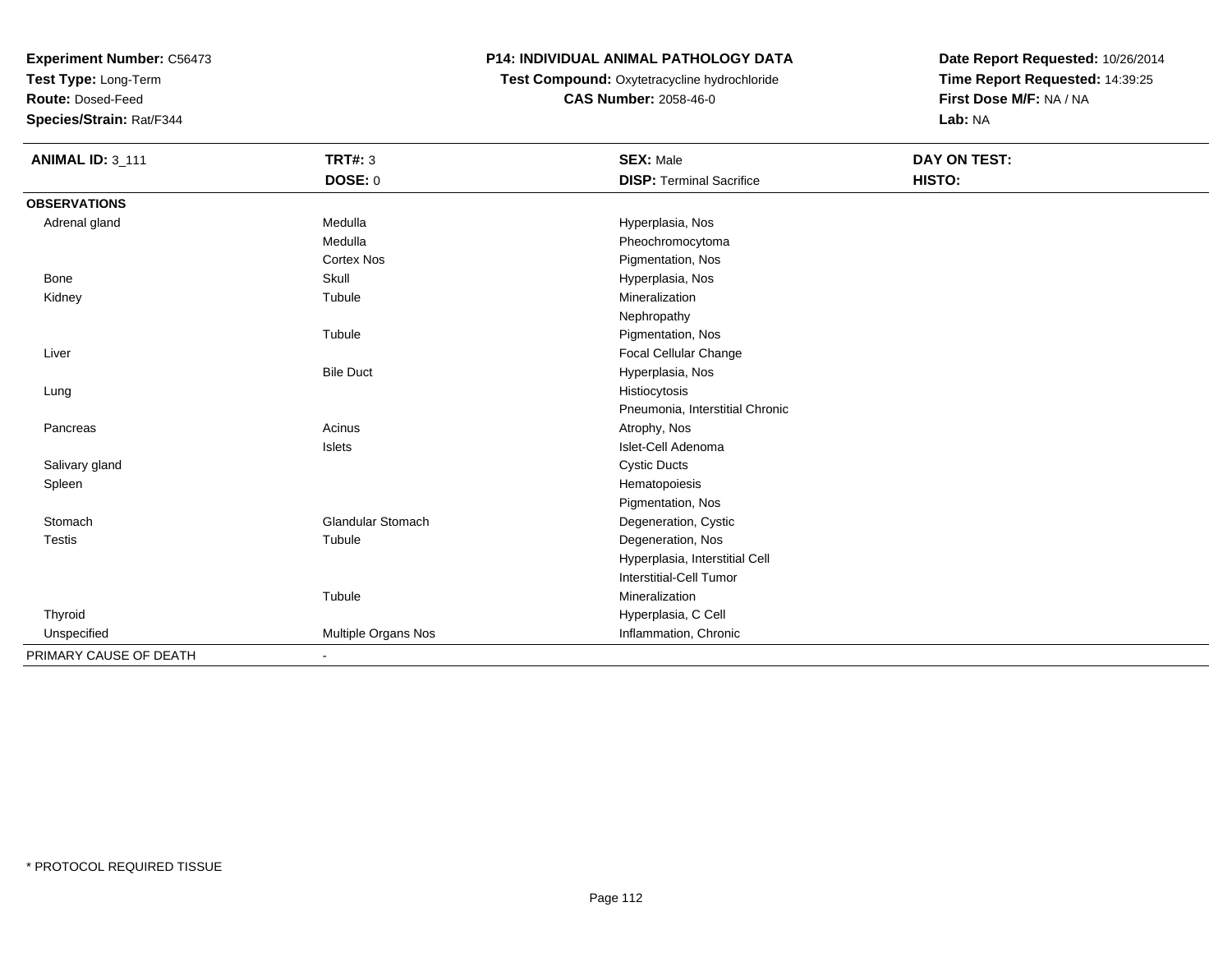**Test Type:** Long-Term

**Route:** Dosed-Feed

**Species/Strain:** Rat/F344

# **P14: INDIVIDUAL ANIMAL PATHOLOGY DATA**

 **Test Compound:** Oxytetracycline hydrochloride**CAS Number:** 2058-46-0

| <b>ANIMAL ID: 3_111</b> | <b>TRT#: 3</b>               | <b>SEX: Male</b>                | DAY ON TEST: |  |
|-------------------------|------------------------------|---------------------------------|--------------|--|
|                         | <b>DOSE: 0</b>               | <b>DISP: Terminal Sacrifice</b> | HISTO:       |  |
| <b>OBSERVATIONS</b>     |                              |                                 |              |  |
| Adrenal gland           | Medulla                      | Hyperplasia, Nos                |              |  |
|                         | Medulla                      | Pheochromocytoma                |              |  |
|                         | <b>Cortex Nos</b>            | Pigmentation, Nos               |              |  |
| <b>Bone</b>             | Skull                        | Hyperplasia, Nos                |              |  |
| Kidney                  | Tubule                       | Mineralization                  |              |  |
|                         |                              | Nephropathy                     |              |  |
|                         | Tubule                       | Pigmentation, Nos               |              |  |
| Liver                   |                              | Focal Cellular Change           |              |  |
|                         | <b>Bile Duct</b>             | Hyperplasia, Nos                |              |  |
| Lung                    |                              | Histiocytosis                   |              |  |
|                         |                              | Pneumonia, Interstitial Chronic |              |  |
| Pancreas                | Acinus                       | Atrophy, Nos                    |              |  |
|                         | Islets                       | Islet-Cell Adenoma              |              |  |
| Salivary gland          |                              | <b>Cystic Ducts</b>             |              |  |
| Spleen                  |                              | Hematopoiesis                   |              |  |
|                         |                              | Pigmentation, Nos               |              |  |
| Stomach                 | <b>Glandular Stomach</b>     | Degeneration, Cystic            |              |  |
| <b>Testis</b>           | Tubule                       | Degeneration, Nos               |              |  |
|                         |                              | Hyperplasia, Interstitial Cell  |              |  |
|                         |                              | <b>Interstitial-Cell Tumor</b>  |              |  |
|                         | Tubule                       | Mineralization                  |              |  |
| Thyroid                 |                              | Hyperplasia, C Cell             |              |  |
| Unspecified             | Multiple Organs Nos          | Inflammation, Chronic           |              |  |
| PRIMARY CAUSE OF DEATH  | $\qquad \qquad \blacksquare$ |                                 |              |  |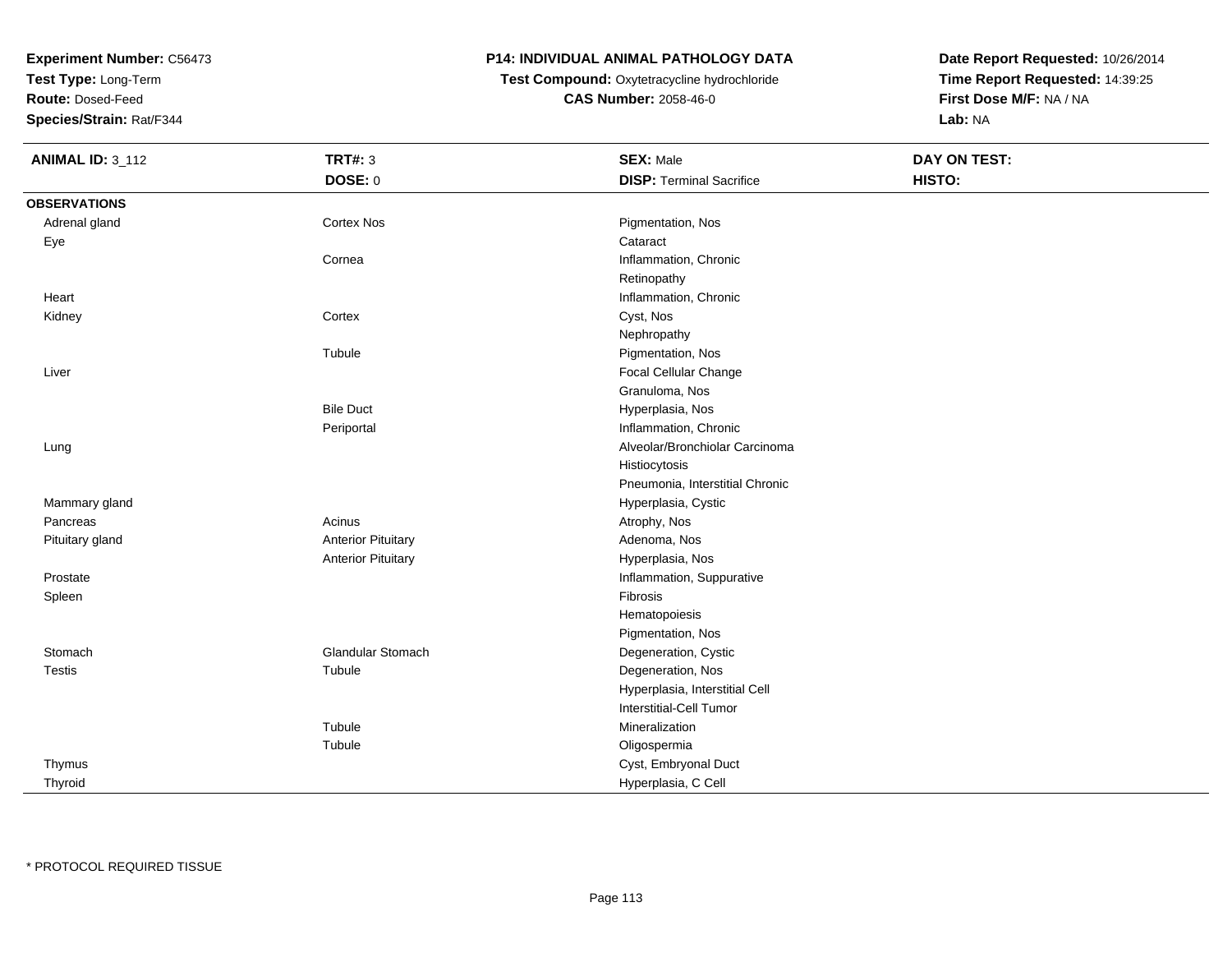**Test Type:** Long-Term

**Route:** Dosed-Feed

**Species/Strain:** Rat/F344

#### **P14: INDIVIDUAL ANIMAL PATHOLOGY DATA**

 **Test Compound:** Oxytetracycline hydrochloride**CAS Number:** 2058-46-0

| <b>ANIMAL ID: 3_112</b> | <b>TRT#: 3</b>            | <b>SEX: Male</b>                | <b>DAY ON TEST:</b> |  |
|-------------------------|---------------------------|---------------------------------|---------------------|--|
|                         | <b>DOSE: 0</b>            | <b>DISP: Terminal Sacrifice</b> | HISTO:              |  |
| <b>OBSERVATIONS</b>     |                           |                                 |                     |  |
| Adrenal gland           | <b>Cortex Nos</b>         | Pigmentation, Nos               |                     |  |
| Eye                     |                           | Cataract                        |                     |  |
|                         | Cornea                    | Inflammation, Chronic           |                     |  |
|                         |                           | Retinopathy                     |                     |  |
| Heart                   |                           | Inflammation, Chronic           |                     |  |
| Kidney                  | Cortex                    | Cyst, Nos                       |                     |  |
|                         |                           | Nephropathy                     |                     |  |
|                         | Tubule                    | Pigmentation, Nos               |                     |  |
| Liver                   |                           | Focal Cellular Change           |                     |  |
|                         |                           | Granuloma, Nos                  |                     |  |
|                         | <b>Bile Duct</b>          | Hyperplasia, Nos                |                     |  |
|                         | Periportal                | Inflammation, Chronic           |                     |  |
| Lung                    |                           | Alveolar/Bronchiolar Carcinoma  |                     |  |
|                         |                           | Histiocytosis                   |                     |  |
|                         |                           | Pneumonia, Interstitial Chronic |                     |  |
| Mammary gland           |                           | Hyperplasia, Cystic             |                     |  |
| Pancreas                | Acinus                    | Atrophy, Nos                    |                     |  |
| Pituitary gland         | <b>Anterior Pituitary</b> | Adenoma, Nos                    |                     |  |
|                         | <b>Anterior Pituitary</b> | Hyperplasia, Nos                |                     |  |
| Prostate                |                           | Inflammation, Suppurative       |                     |  |
| Spleen                  |                           | Fibrosis                        |                     |  |
|                         |                           | Hematopoiesis                   |                     |  |
|                         |                           | Pigmentation, Nos               |                     |  |
| Stomach                 | Glandular Stomach         | Degeneration, Cystic            |                     |  |
| Testis                  | Tubule                    | Degeneration, Nos               |                     |  |
|                         |                           | Hyperplasia, Interstitial Cell  |                     |  |
|                         |                           | Interstitial-Cell Tumor         |                     |  |
|                         | Tubule                    | Mineralization                  |                     |  |
|                         | Tubule                    | Oligospermia                    |                     |  |
| Thymus                  |                           | Cyst, Embryonal Duct            |                     |  |
| Thyroid                 |                           | Hyperplasia, C Cell             |                     |  |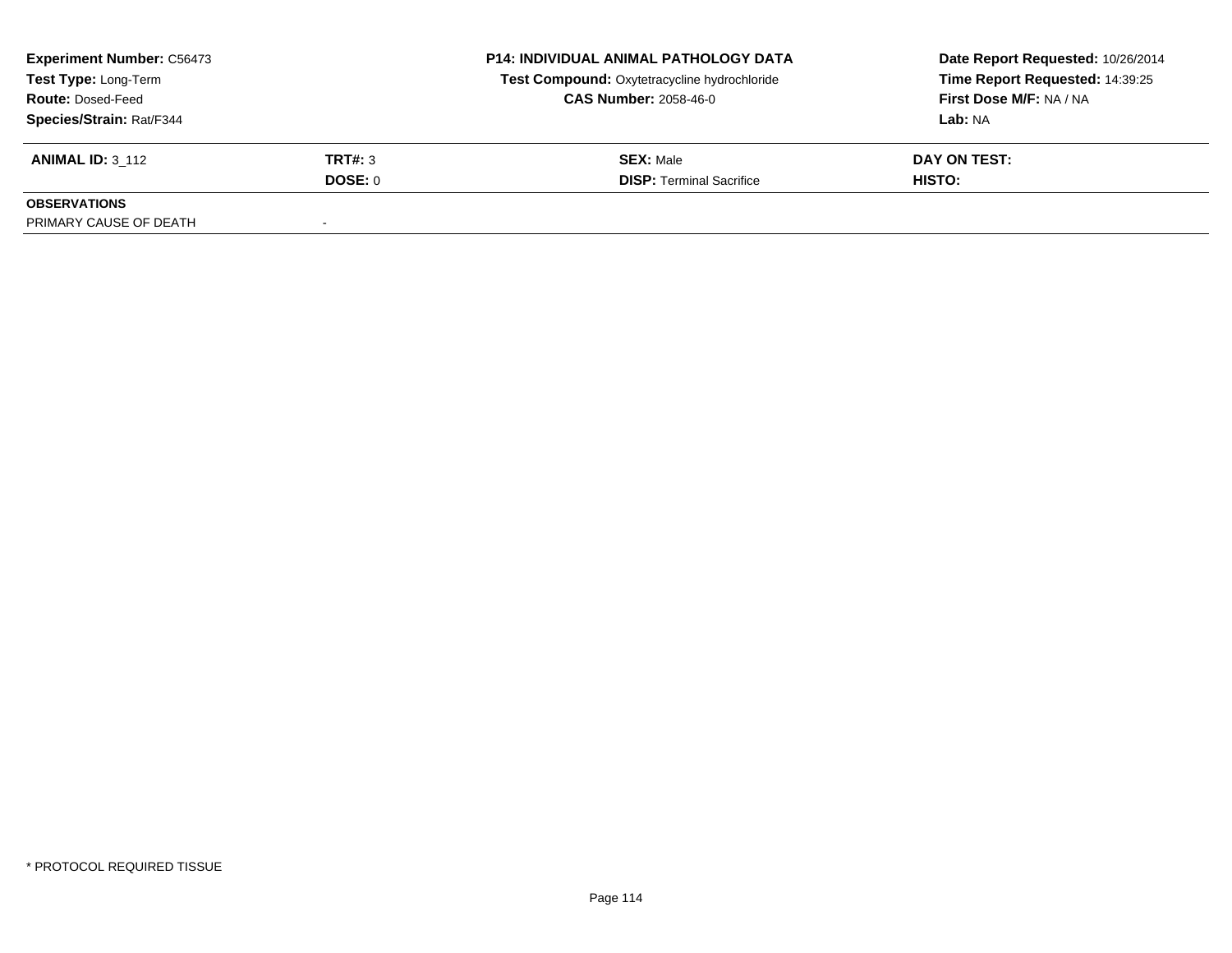| <b>Experiment Number: C56473</b> |                | <b>P14: INDIVIDUAL ANIMAL PATHOLOGY DATA</b> | Date Report Requested: 10/26/2014 |  |
|----------------------------------|----------------|----------------------------------------------|-----------------------------------|--|
| Test Type: Long-Term             |                | Test Compound: Oxytetracycline hydrochloride | Time Report Requested: 14:39:25   |  |
| <b>Route: Dosed-Feed</b>         |                | <b>CAS Number: 2058-46-0</b>                 | First Dose M/F: NA / NA           |  |
| Species/Strain: Rat/F344         |                |                                              | <b>Lab: NA</b>                    |  |
| <b>ANIMAL ID: 3 112</b>          | TRT#: 3        | <b>SEX: Male</b>                             | DAY ON TEST:                      |  |
|                                  | <b>DOSE: 0</b> | <b>DISP: Terminal Sacrifice</b>              | HISTO:                            |  |
| <b>OBSERVATIONS</b>              |                |                                              |                                   |  |
| PRIMARY CAUSE OF DEATH           |                |                                              |                                   |  |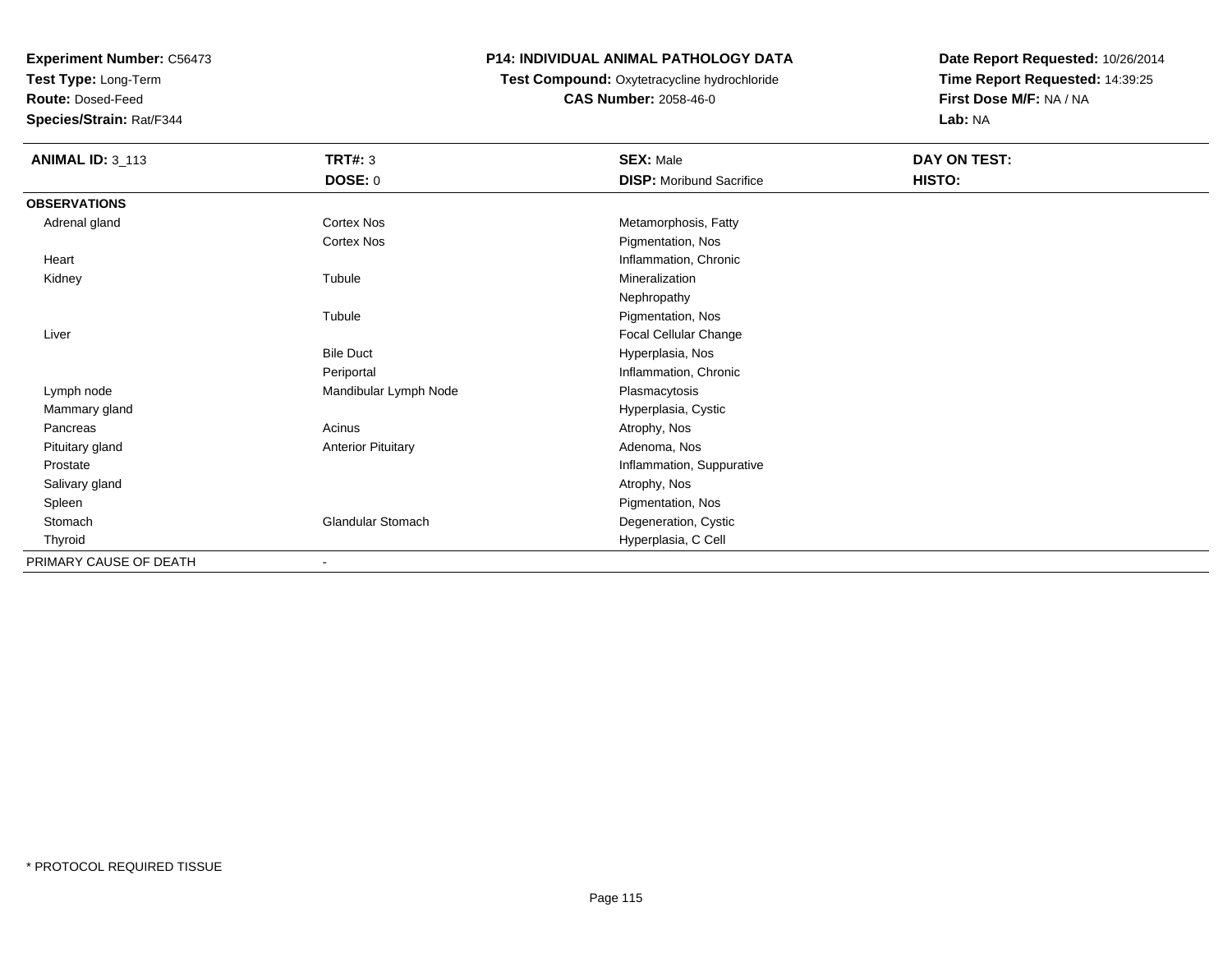**Test Type:** Long-Term

**Route:** Dosed-Feed

**Species/Strain:** Rat/F344

#### **P14: INDIVIDUAL ANIMAL PATHOLOGY DATA**

 **Test Compound:** Oxytetracycline hydrochloride**CAS Number:** 2058-46-0

| <b>ANIMAL ID: 3_113</b> | <b>TRT#: 3</b>            | <b>SEX: Male</b>                | DAY ON TEST: |  |
|-------------------------|---------------------------|---------------------------------|--------------|--|
|                         | DOSE: 0                   | <b>DISP:</b> Moribund Sacrifice | HISTO:       |  |
| <b>OBSERVATIONS</b>     |                           |                                 |              |  |
| Adrenal gland           | Cortex Nos                | Metamorphosis, Fatty            |              |  |
|                         | Cortex Nos                | Pigmentation, Nos               |              |  |
| Heart                   |                           | Inflammation, Chronic           |              |  |
| Kidney                  | Tubule                    | Mineralization                  |              |  |
|                         |                           | Nephropathy                     |              |  |
|                         | Tubule                    | Pigmentation, Nos               |              |  |
| Liver                   |                           | <b>Focal Cellular Change</b>    |              |  |
|                         | <b>Bile Duct</b>          | Hyperplasia, Nos                |              |  |
|                         | Periportal                | Inflammation, Chronic           |              |  |
| Lymph node              | Mandibular Lymph Node     | Plasmacytosis                   |              |  |
| Mammary gland           |                           | Hyperplasia, Cystic             |              |  |
| Pancreas                | Acinus                    | Atrophy, Nos                    |              |  |
| Pituitary gland         | <b>Anterior Pituitary</b> | Adenoma, Nos                    |              |  |
| Prostate                |                           | Inflammation, Suppurative       |              |  |
| Salivary gland          |                           | Atrophy, Nos                    |              |  |
| Spleen                  |                           | Pigmentation, Nos               |              |  |
| Stomach                 | <b>Glandular Stomach</b>  | Degeneration, Cystic            |              |  |
| Thyroid                 |                           | Hyperplasia, C Cell             |              |  |
| PRIMARY CAUSE OF DEATH  |                           |                                 |              |  |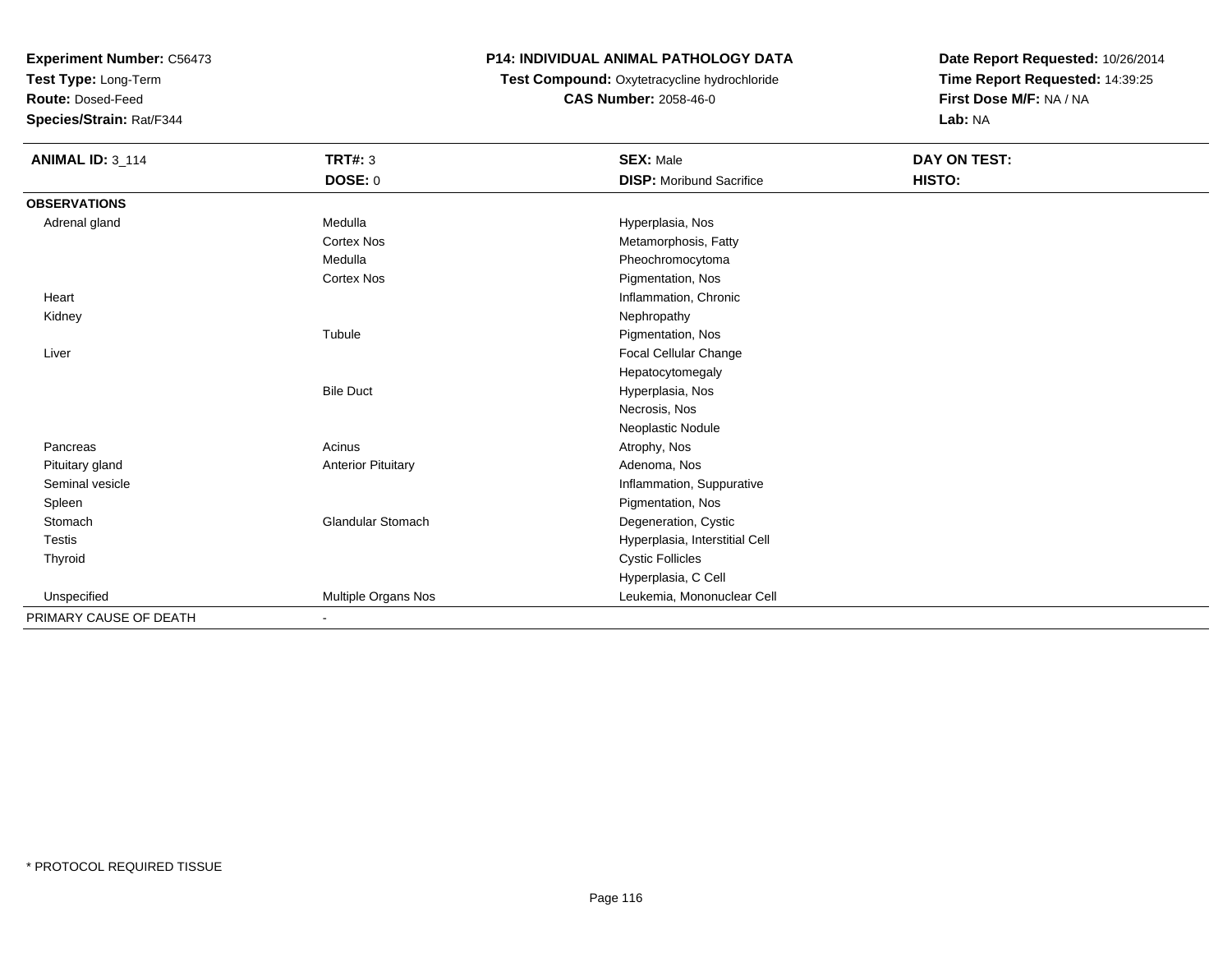**Test Type:** Long-Term

**Route:** Dosed-Feed

**Species/Strain:** Rat/F344

#### **P14: INDIVIDUAL ANIMAL PATHOLOGY DATA**

 **Test Compound:** Oxytetracycline hydrochloride**CAS Number:** 2058-46-0

| <b>ANIMAL ID: 3_114</b> | <b>TRT#: 3</b>            | <b>SEX: Male</b>                | DAY ON TEST: |  |
|-------------------------|---------------------------|---------------------------------|--------------|--|
|                         | <b>DOSE: 0</b>            | <b>DISP:</b> Moribund Sacrifice | HISTO:       |  |
| <b>OBSERVATIONS</b>     |                           |                                 |              |  |
| Adrenal gland           | Medulla                   | Hyperplasia, Nos                |              |  |
|                         | <b>Cortex Nos</b>         | Metamorphosis, Fatty            |              |  |
|                         | Medulla                   | Pheochromocytoma                |              |  |
|                         | Cortex Nos                | Pigmentation, Nos               |              |  |
| Heart                   |                           | Inflammation, Chronic           |              |  |
| Kidney                  |                           | Nephropathy                     |              |  |
|                         | Tubule                    | Pigmentation, Nos               |              |  |
| Liver                   |                           | Focal Cellular Change           |              |  |
|                         |                           | Hepatocytomegaly                |              |  |
|                         | <b>Bile Duct</b>          | Hyperplasia, Nos                |              |  |
|                         |                           | Necrosis, Nos                   |              |  |
|                         |                           | Neoplastic Nodule               |              |  |
| Pancreas                | Acinus                    | Atrophy, Nos                    |              |  |
| Pituitary gland         | <b>Anterior Pituitary</b> | Adenoma, Nos                    |              |  |
| Seminal vesicle         |                           | Inflammation, Suppurative       |              |  |
| Spleen                  |                           | Pigmentation, Nos               |              |  |
| Stomach                 | <b>Glandular Stomach</b>  | Degeneration, Cystic            |              |  |
| Testis                  |                           | Hyperplasia, Interstitial Cell  |              |  |
| Thyroid                 |                           | <b>Cystic Follicles</b>         |              |  |
|                         |                           | Hyperplasia, C Cell             |              |  |
| Unspecified             | Multiple Organs Nos       | Leukemia, Mononuclear Cell      |              |  |
| PRIMARY CAUSE OF DEATH  |                           |                                 |              |  |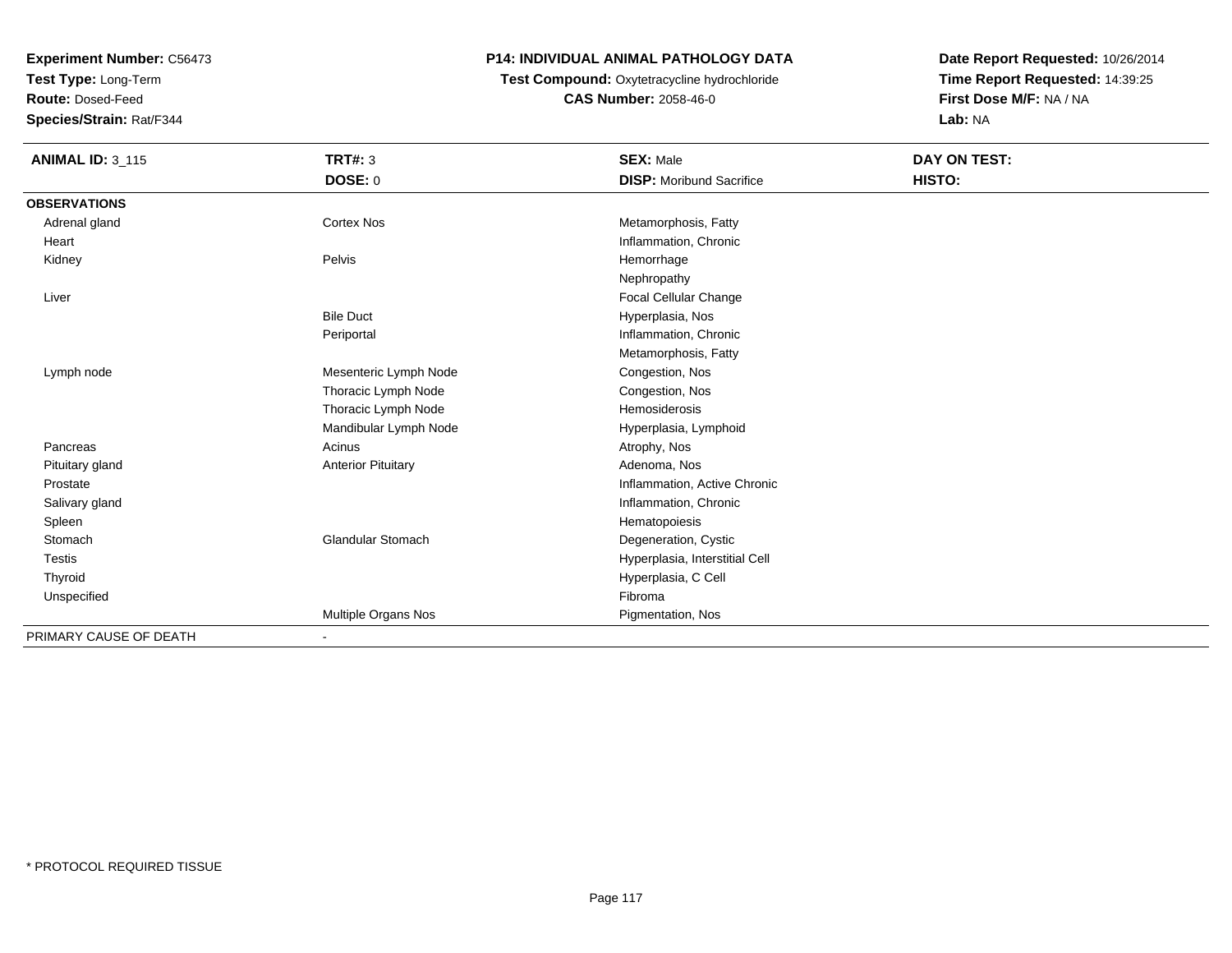**Test Type:** Long-Term

**Route:** Dosed-Feed

**Species/Strain:** Rat/F344

# **P14: INDIVIDUAL ANIMAL PATHOLOGY DATA**

 **Test Compound:** Oxytetracycline hydrochloride**CAS Number:** 2058-46-0

| <b>ANIMAL ID: 3_115</b> | TRT#: 3                   | <b>SEX: Male</b>                | DAY ON TEST: |  |
|-------------------------|---------------------------|---------------------------------|--------------|--|
|                         | <b>DOSE: 0</b>            | <b>DISP:</b> Moribund Sacrifice | HISTO:       |  |
| <b>OBSERVATIONS</b>     |                           |                                 |              |  |
| Adrenal gland           | <b>Cortex Nos</b>         | Metamorphosis, Fatty            |              |  |
| Heart                   |                           | Inflammation, Chronic           |              |  |
| Kidney                  | Pelvis                    | Hemorrhage                      |              |  |
|                         |                           | Nephropathy                     |              |  |
| Liver                   |                           | Focal Cellular Change           |              |  |
|                         | <b>Bile Duct</b>          | Hyperplasia, Nos                |              |  |
|                         | Periportal                | Inflammation, Chronic           |              |  |
|                         |                           | Metamorphosis, Fatty            |              |  |
| Lymph node              | Mesenteric Lymph Node     | Congestion, Nos                 |              |  |
|                         | Thoracic Lymph Node       | Congestion, Nos                 |              |  |
|                         | Thoracic Lymph Node       | Hemosiderosis                   |              |  |
|                         | Mandibular Lymph Node     | Hyperplasia, Lymphoid           |              |  |
| Pancreas                | Acinus                    | Atrophy, Nos                    |              |  |
| Pituitary gland         | <b>Anterior Pituitary</b> | Adenoma, Nos                    |              |  |
| Prostate                |                           | Inflammation, Active Chronic    |              |  |
| Salivary gland          |                           | Inflammation, Chronic           |              |  |
| Spleen                  |                           | Hematopoiesis                   |              |  |
| Stomach                 | <b>Glandular Stomach</b>  | Degeneration, Cystic            |              |  |
| <b>Testis</b>           |                           | Hyperplasia, Interstitial Cell  |              |  |
| Thyroid                 |                           | Hyperplasia, C Cell             |              |  |
| Unspecified             |                           | Fibroma                         |              |  |
|                         | Multiple Organs Nos       | Pigmentation, Nos               |              |  |
| PRIMARY CAUSE OF DEATH  |                           |                                 |              |  |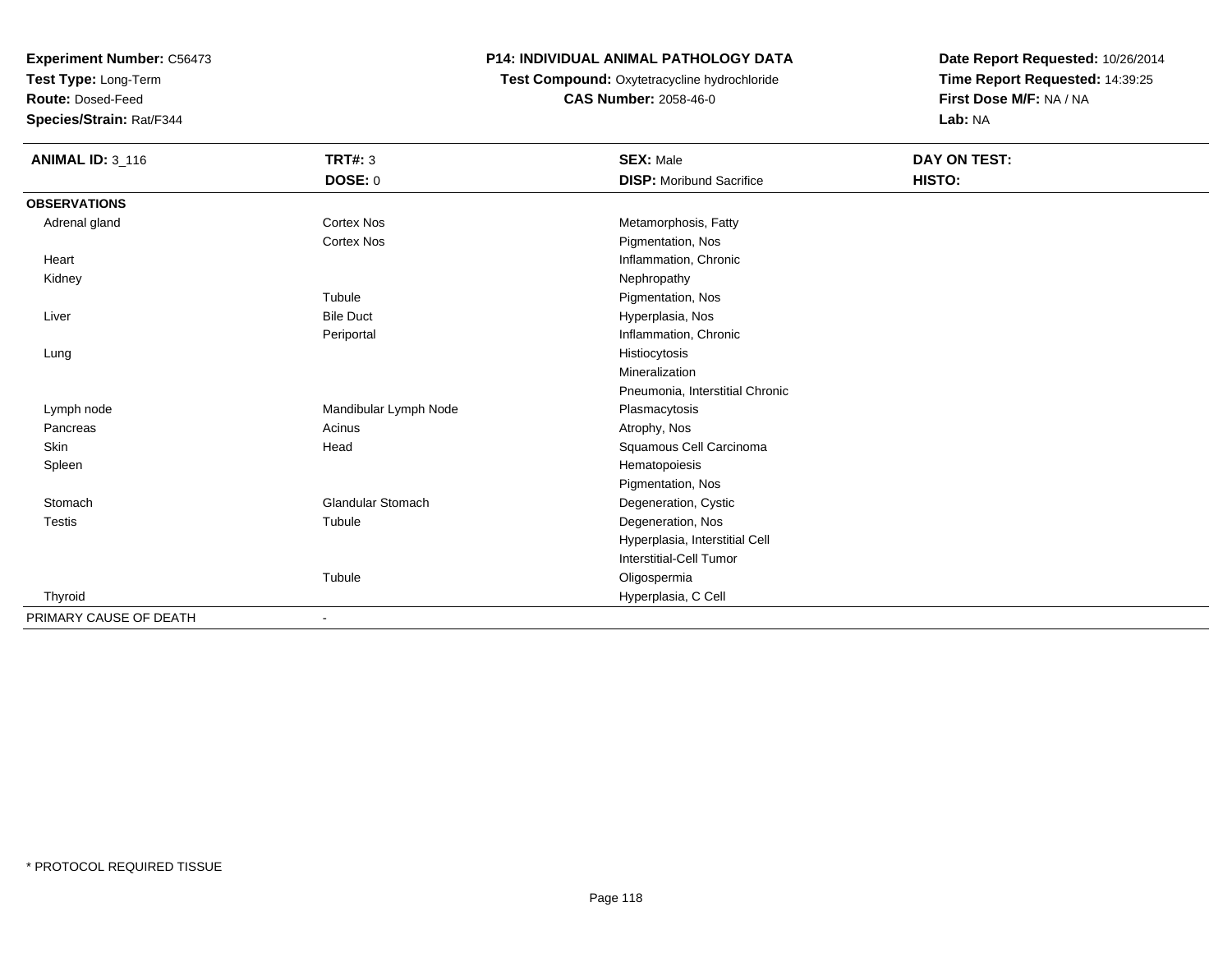**Test Type:** Long-Term

**Route:** Dosed-Feed

**Species/Strain:** Rat/F344

#### **P14: INDIVIDUAL ANIMAL PATHOLOGY DATA**

 **Test Compound:** Oxytetracycline hydrochloride**CAS Number:** 2058-46-0

| <b>ANIMAL ID: 3_116</b> | <b>TRT#: 3</b>           | <b>SEX: Male</b>                | <b>DAY ON TEST:</b> |  |
|-------------------------|--------------------------|---------------------------------|---------------------|--|
|                         | DOSE: 0                  | <b>DISP:</b> Moribund Sacrifice | HISTO:              |  |
| <b>OBSERVATIONS</b>     |                          |                                 |                     |  |
| Adrenal gland           | <b>Cortex Nos</b>        | Metamorphosis, Fatty            |                     |  |
|                         | <b>Cortex Nos</b>        | Pigmentation, Nos               |                     |  |
| Heart                   |                          | Inflammation, Chronic           |                     |  |
| Kidney                  |                          | Nephropathy                     |                     |  |
|                         | Tubule                   | Pigmentation, Nos               |                     |  |
| Liver                   | <b>Bile Duct</b>         | Hyperplasia, Nos                |                     |  |
|                         | Periportal               | Inflammation, Chronic           |                     |  |
| Lung                    |                          | Histiocytosis                   |                     |  |
|                         |                          | Mineralization                  |                     |  |
|                         |                          | Pneumonia, Interstitial Chronic |                     |  |
| Lymph node              | Mandibular Lymph Node    | Plasmacytosis                   |                     |  |
| Pancreas                | Acinus                   | Atrophy, Nos                    |                     |  |
| Skin                    | Head                     | Squamous Cell Carcinoma         |                     |  |
| Spleen                  |                          | Hematopoiesis                   |                     |  |
|                         |                          | Pigmentation, Nos               |                     |  |
| Stomach                 | <b>Glandular Stomach</b> | Degeneration, Cystic            |                     |  |
| <b>Testis</b>           | Tubule                   | Degeneration, Nos               |                     |  |
|                         |                          | Hyperplasia, Interstitial Cell  |                     |  |
|                         |                          | <b>Interstitial-Cell Tumor</b>  |                     |  |
|                         | Tubule                   | Oligospermia                    |                     |  |
| Thyroid                 |                          | Hyperplasia, C Cell             |                     |  |
| PRIMARY CAUSE OF DEATH  | $\overline{\phantom{a}}$ |                                 |                     |  |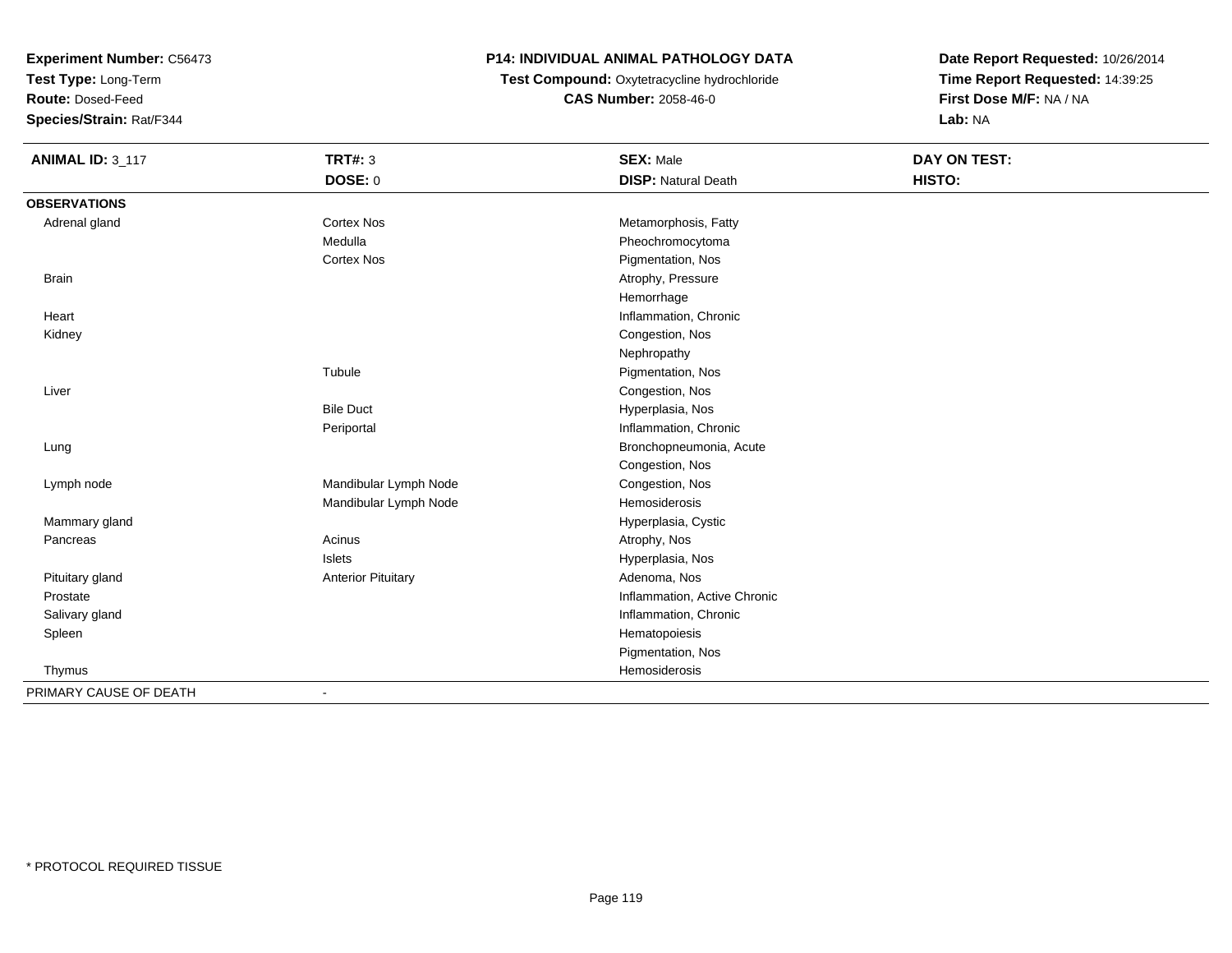**Test Type:** Long-Term

**Route:** Dosed-Feed

**Species/Strain:** Rat/F344

# **P14: INDIVIDUAL ANIMAL PATHOLOGY DATA**

 **Test Compound:** Oxytetracycline hydrochloride**CAS Number:** 2058-46-0

| <b>ANIMAL ID: 3_117</b> | <b>TRT#: 3</b>            | <b>SEX: Male</b>             | <b>DAY ON TEST:</b> |
|-------------------------|---------------------------|------------------------------|---------------------|
|                         | DOSE: 0                   | <b>DISP: Natural Death</b>   | HISTO:              |
| <b>OBSERVATIONS</b>     |                           |                              |                     |
| Adrenal gland           | Cortex Nos                | Metamorphosis, Fatty         |                     |
|                         | Medulla                   | Pheochromocytoma             |                     |
|                         | <b>Cortex Nos</b>         | Pigmentation, Nos            |                     |
| <b>Brain</b>            |                           | Atrophy, Pressure            |                     |
|                         |                           | Hemorrhage                   |                     |
| Heart                   |                           | Inflammation, Chronic        |                     |
| Kidney                  |                           | Congestion, Nos              |                     |
|                         |                           | Nephropathy                  |                     |
|                         | Tubule                    | Pigmentation, Nos            |                     |
| Liver                   |                           | Congestion, Nos              |                     |
|                         | <b>Bile Duct</b>          | Hyperplasia, Nos             |                     |
|                         | Periportal                | Inflammation, Chronic        |                     |
| Lung                    |                           | Bronchopneumonia, Acute      |                     |
|                         |                           | Congestion, Nos              |                     |
| Lymph node              | Mandibular Lymph Node     | Congestion, Nos              |                     |
|                         | Mandibular Lymph Node     | Hemosiderosis                |                     |
| Mammary gland           |                           | Hyperplasia, Cystic          |                     |
| Pancreas                | Acinus                    | Atrophy, Nos                 |                     |
|                         | <b>Islets</b>             | Hyperplasia, Nos             |                     |
| Pituitary gland         | <b>Anterior Pituitary</b> | Adenoma, Nos                 |                     |
| Prostate                |                           | Inflammation, Active Chronic |                     |
| Salivary gland          |                           | Inflammation, Chronic        |                     |
| Spleen                  |                           | Hematopoiesis                |                     |
|                         |                           | Pigmentation, Nos            |                     |
| Thymus                  |                           | Hemosiderosis                |                     |
| PRIMARY CAUSE OF DEATH  | $\overline{\phantom{a}}$  |                              |                     |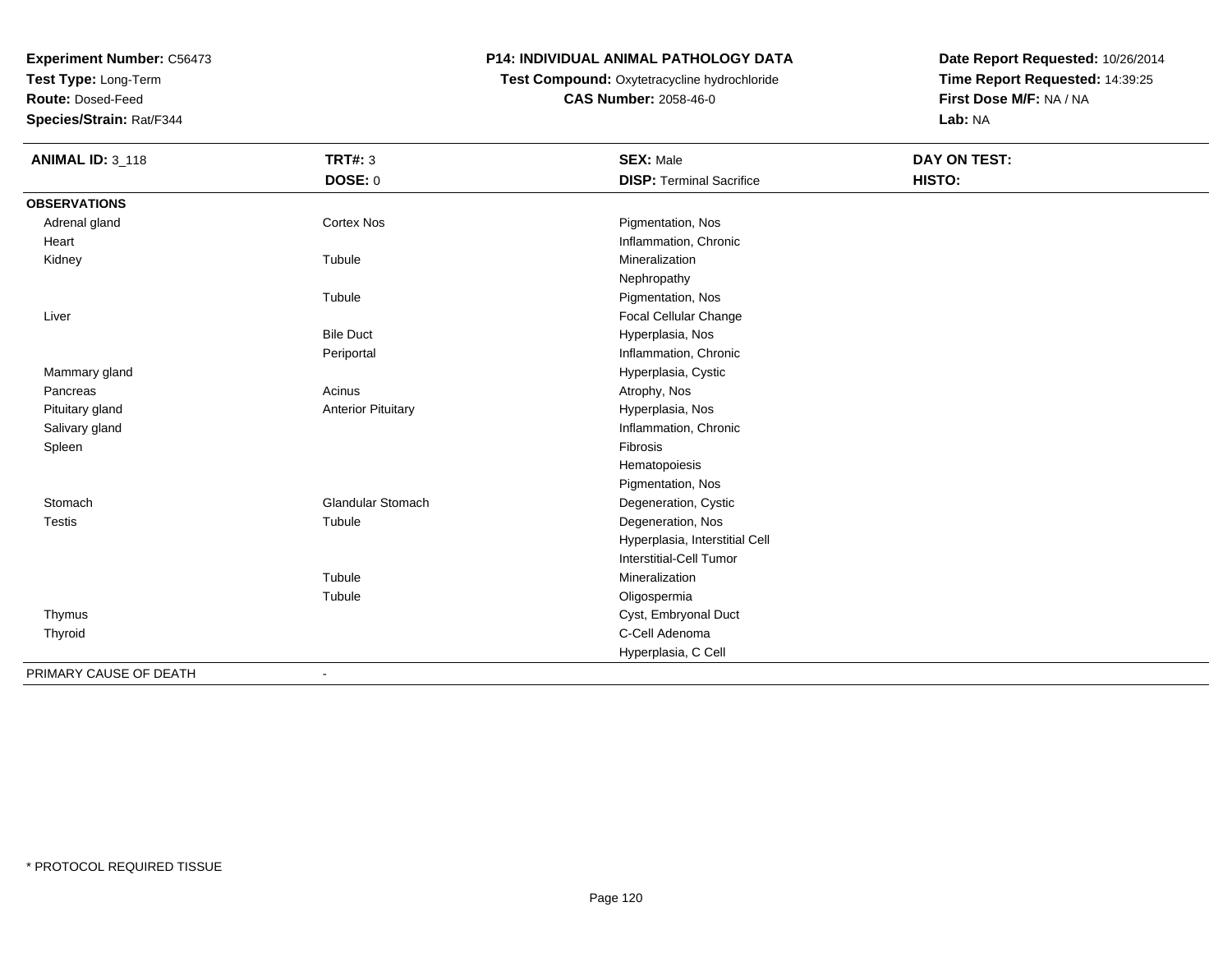**Test Type:** Long-Term

**Route:** Dosed-Feed

**Species/Strain:** Rat/F344

# **P14: INDIVIDUAL ANIMAL PATHOLOGY DATA**

# **Test Compound:** Oxytetracycline hydrochloride**CAS Number:** 2058-46-0

| <b>ANIMAL ID: 3_118</b> | <b>TRT#: 3</b>            | <b>SEX: Male</b>                | <b>DAY ON TEST:</b> |  |
|-------------------------|---------------------------|---------------------------------|---------------------|--|
|                         | DOSE: 0                   | <b>DISP: Terminal Sacrifice</b> | HISTO:              |  |
| <b>OBSERVATIONS</b>     |                           |                                 |                     |  |
| Adrenal gland           | <b>Cortex Nos</b>         | Pigmentation, Nos               |                     |  |
| Heart                   |                           | Inflammation, Chronic           |                     |  |
| Kidney                  | Tubule                    | Mineralization                  |                     |  |
|                         |                           | Nephropathy                     |                     |  |
|                         | Tubule                    | Pigmentation, Nos               |                     |  |
| Liver                   |                           | Focal Cellular Change           |                     |  |
|                         | <b>Bile Duct</b>          | Hyperplasia, Nos                |                     |  |
|                         | Periportal                | Inflammation, Chronic           |                     |  |
| Mammary gland           |                           | Hyperplasia, Cystic             |                     |  |
| Pancreas                | Acinus                    | Atrophy, Nos                    |                     |  |
| Pituitary gland         | <b>Anterior Pituitary</b> | Hyperplasia, Nos                |                     |  |
| Salivary gland          |                           | Inflammation, Chronic           |                     |  |
| Spleen                  |                           | Fibrosis                        |                     |  |
|                         |                           | Hematopoiesis                   |                     |  |
|                         |                           | Pigmentation, Nos               |                     |  |
| Stomach                 | Glandular Stomach         | Degeneration, Cystic            |                     |  |
| <b>Testis</b>           | Tubule                    | Degeneration, Nos               |                     |  |
|                         |                           | Hyperplasia, Interstitial Cell  |                     |  |
|                         |                           | Interstitial-Cell Tumor         |                     |  |
|                         | Tubule                    | Mineralization                  |                     |  |
|                         | Tubule                    | Oligospermia                    |                     |  |
| Thymus                  |                           | Cyst, Embryonal Duct            |                     |  |
| Thyroid                 |                           | C-Cell Adenoma                  |                     |  |
|                         |                           | Hyperplasia, C Cell             |                     |  |
| PRIMARY CAUSE OF DEATH  |                           |                                 |                     |  |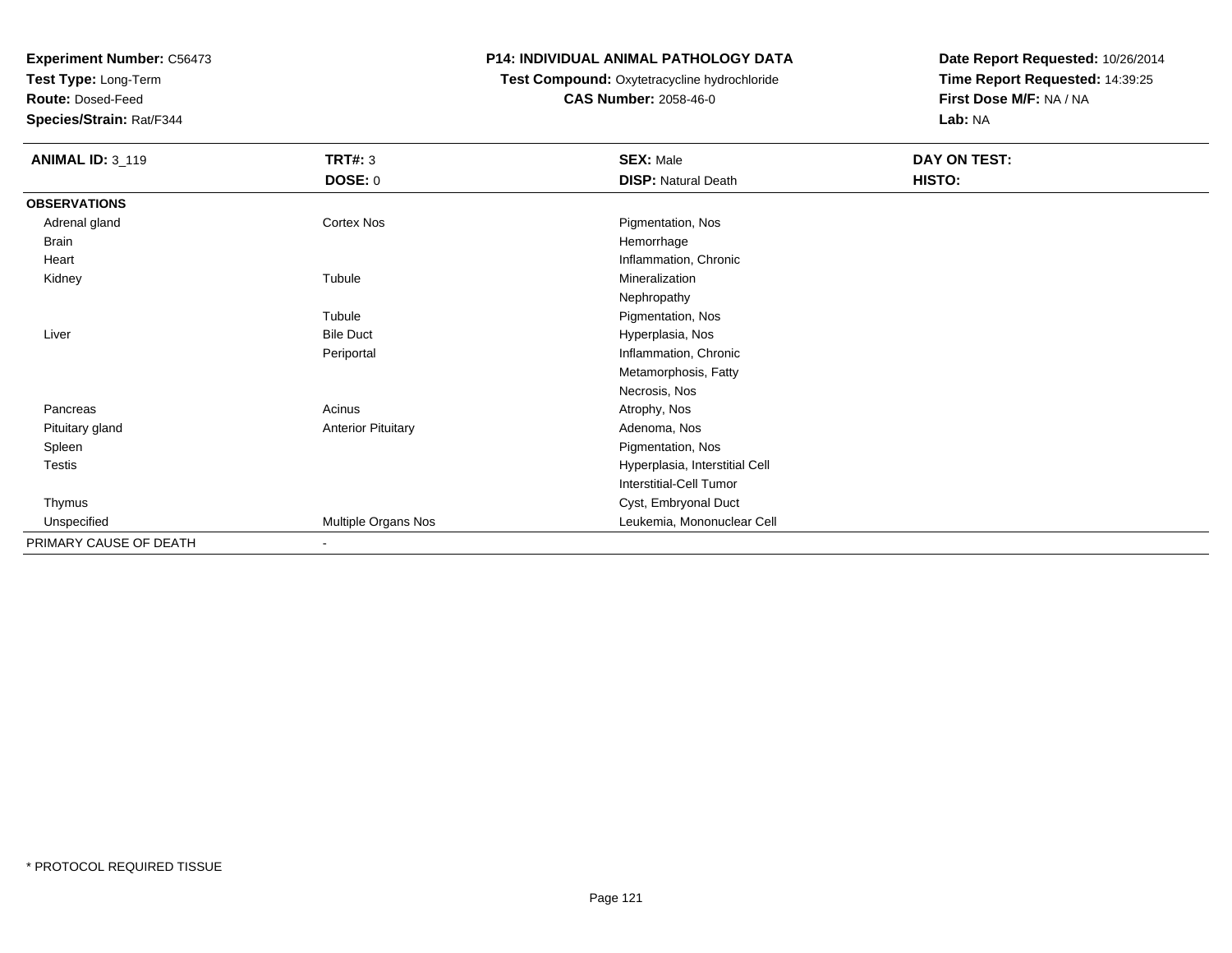**Test Type:** Long-Term

**Route:** Dosed-Feed

**Species/Strain:** Rat/F344

## **P14: INDIVIDUAL ANIMAL PATHOLOGY DATA**

# **Test Compound:** Oxytetracycline hydrochloride**CAS Number:** 2058-46-0

| <b>ANIMAL ID: 3_119</b> | <b>TRT#: 3</b>            | <b>SEX: Male</b>               | DAY ON TEST: |  |
|-------------------------|---------------------------|--------------------------------|--------------|--|
|                         | <b>DOSE: 0</b>            | <b>DISP: Natural Death</b>     | HISTO:       |  |
| <b>OBSERVATIONS</b>     |                           |                                |              |  |
| Adrenal gland           | Cortex Nos                | Pigmentation, Nos              |              |  |
| Brain                   |                           | Hemorrhage                     |              |  |
| Heart                   |                           | Inflammation, Chronic          |              |  |
| Kidney                  | Tubule                    | Mineralization                 |              |  |
|                         |                           | Nephropathy                    |              |  |
|                         | Tubule                    | Pigmentation, Nos              |              |  |
| Liver                   | <b>Bile Duct</b>          | Hyperplasia, Nos               |              |  |
|                         | Periportal                | Inflammation, Chronic          |              |  |
|                         |                           | Metamorphosis, Fatty           |              |  |
|                         |                           | Necrosis, Nos                  |              |  |
| Pancreas                | Acinus                    | Atrophy, Nos                   |              |  |
| Pituitary gland         | <b>Anterior Pituitary</b> | Adenoma, Nos                   |              |  |
| Spleen                  |                           | Pigmentation, Nos              |              |  |
| Testis                  |                           | Hyperplasia, Interstitial Cell |              |  |
|                         |                           | <b>Interstitial-Cell Tumor</b> |              |  |
| Thymus                  |                           | Cyst, Embryonal Duct           |              |  |
| Unspecified             | Multiple Organs Nos       | Leukemia, Mononuclear Cell     |              |  |
| PRIMARY CAUSE OF DEATH  | $\overline{\phantom{a}}$  |                                |              |  |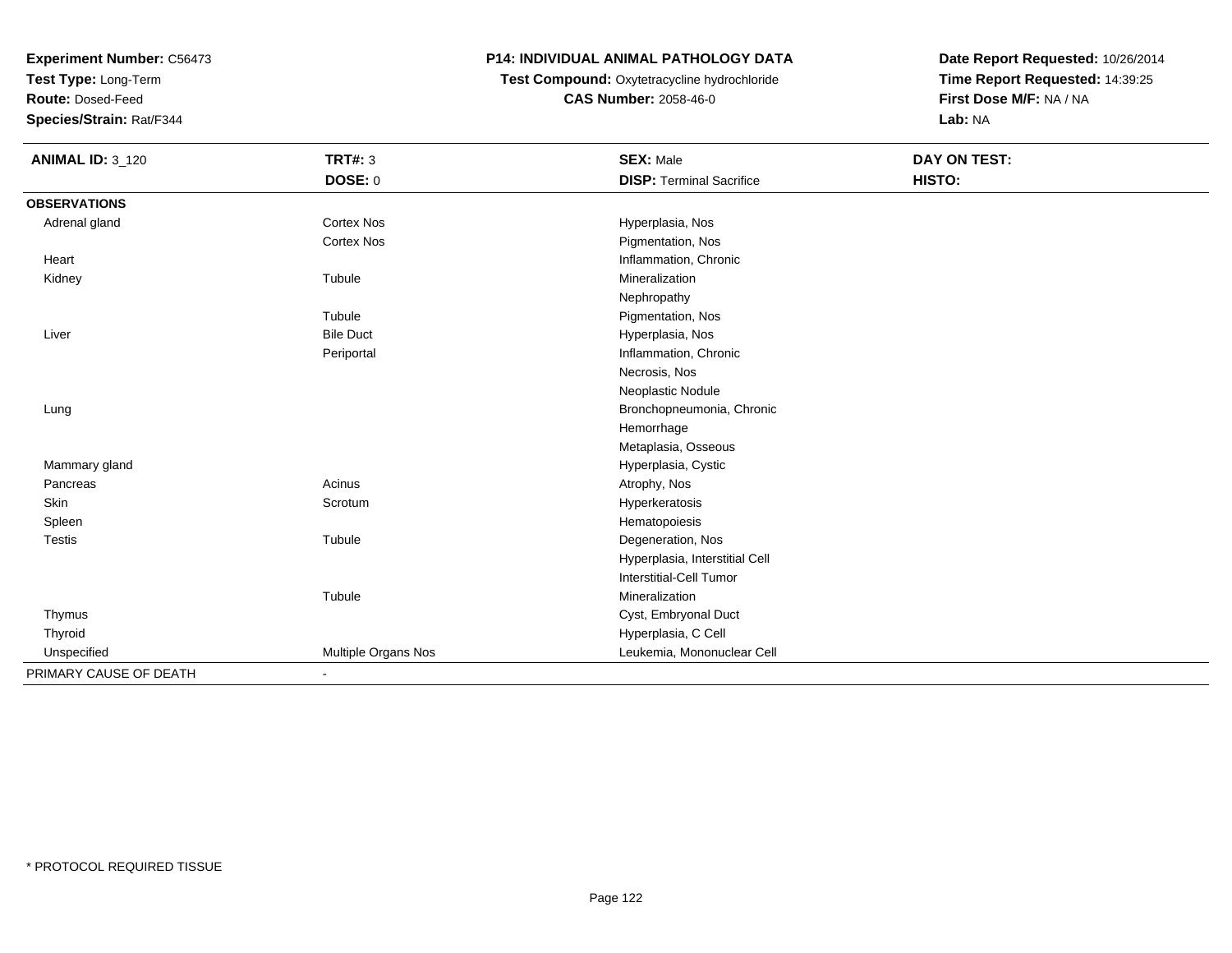**Test Type:** Long-Term

**Route:** Dosed-Feed

**Species/Strain:** Rat/F344

# **P14: INDIVIDUAL ANIMAL PATHOLOGY DATA**

 **Test Compound:** Oxytetracycline hydrochloride**CAS Number:** 2058-46-0

| <b>ANIMAL ID: 3_120</b> | <b>TRT#: 3</b>      | <b>SEX: Male</b>                | <b>DAY ON TEST:</b> |  |
|-------------------------|---------------------|---------------------------------|---------------------|--|
|                         | <b>DOSE: 0</b>      | <b>DISP: Terminal Sacrifice</b> | HISTO:              |  |
| <b>OBSERVATIONS</b>     |                     |                                 |                     |  |
| Adrenal gland           | Cortex Nos          | Hyperplasia, Nos                |                     |  |
|                         | Cortex Nos          | Pigmentation, Nos               |                     |  |
| Heart                   |                     | Inflammation, Chronic           |                     |  |
| Kidney                  | Tubule              | Mineralization                  |                     |  |
|                         |                     | Nephropathy                     |                     |  |
|                         | Tubule              | Pigmentation, Nos               |                     |  |
| Liver                   | <b>Bile Duct</b>    | Hyperplasia, Nos                |                     |  |
|                         | Periportal          | Inflammation, Chronic           |                     |  |
|                         |                     | Necrosis, Nos                   |                     |  |
|                         |                     | Neoplastic Nodule               |                     |  |
| Lung                    |                     | Bronchopneumonia, Chronic       |                     |  |
|                         |                     | Hemorrhage                      |                     |  |
|                         |                     | Metaplasia, Osseous             |                     |  |
| Mammary gland           |                     | Hyperplasia, Cystic             |                     |  |
| Pancreas                | Acinus              | Atrophy, Nos                    |                     |  |
| Skin                    | Scrotum             | Hyperkeratosis                  |                     |  |
| Spleen                  |                     | Hematopoiesis                   |                     |  |
| <b>Testis</b>           | Tubule              | Degeneration, Nos               |                     |  |
|                         |                     | Hyperplasia, Interstitial Cell  |                     |  |
|                         |                     | Interstitial-Cell Tumor         |                     |  |
|                         | Tubule              | Mineralization                  |                     |  |
| Thymus                  |                     | Cyst, Embryonal Duct            |                     |  |
| Thyroid                 |                     | Hyperplasia, C Cell             |                     |  |
| Unspecified             | Multiple Organs Nos | Leukemia, Mononuclear Cell      |                     |  |
| PRIMARY CAUSE OF DEATH  | $\blacksquare$      |                                 |                     |  |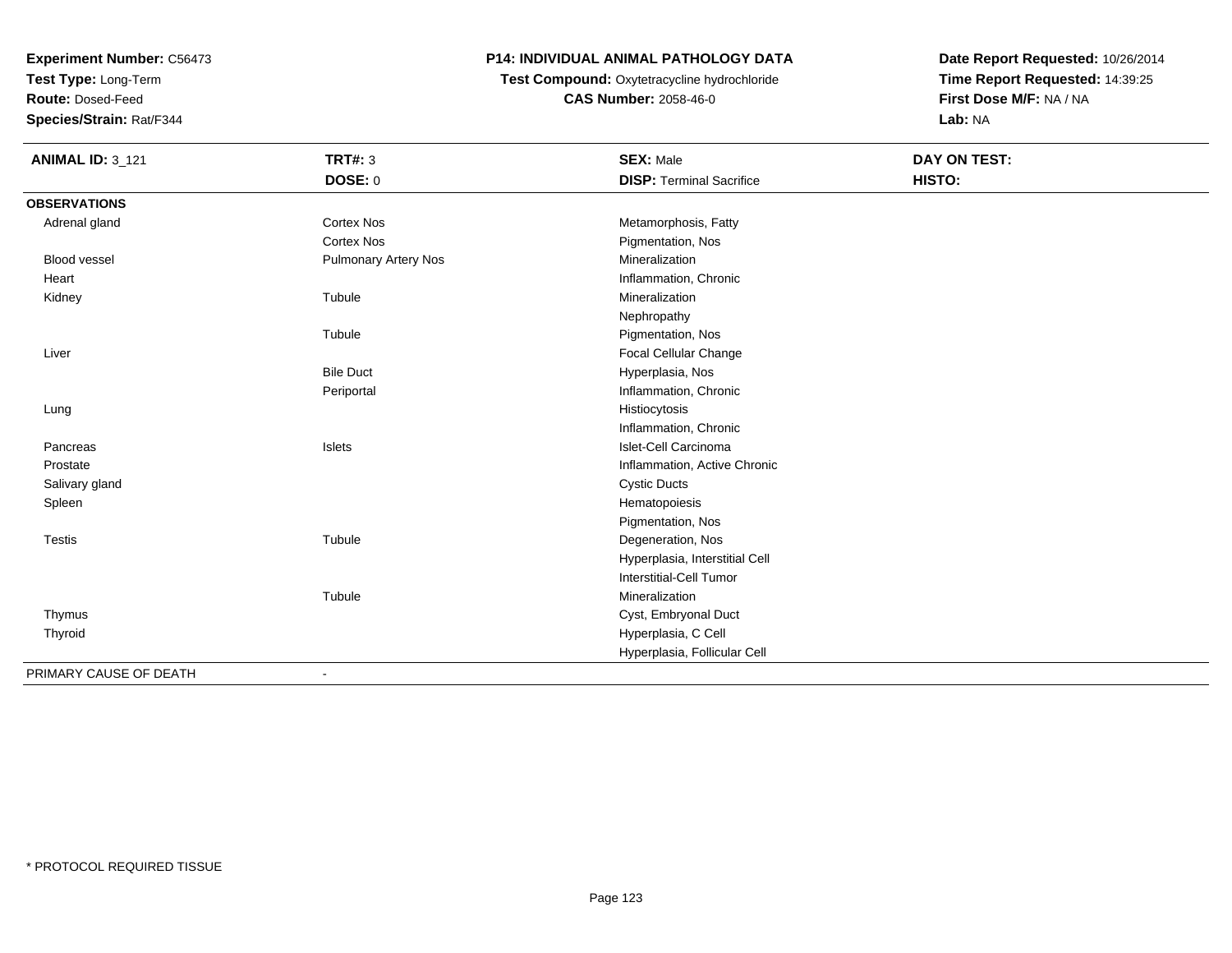**Test Type:** Long-Term

**Route:** Dosed-Feed

**Species/Strain:** Rat/F344

# **P14: INDIVIDUAL ANIMAL PATHOLOGY DATA**

 **Test Compound:** Oxytetracycline hydrochloride**CAS Number:** 2058-46-0

| <b>ANIMAL ID: 3_121</b> | <b>TRT#: 3</b>              | <b>SEX: Male</b>                | DAY ON TEST: |  |
|-------------------------|-----------------------------|---------------------------------|--------------|--|
|                         | DOSE: 0                     | <b>DISP: Terminal Sacrifice</b> | HISTO:       |  |
| <b>OBSERVATIONS</b>     |                             |                                 |              |  |
| Adrenal gland           | <b>Cortex Nos</b>           | Metamorphosis, Fatty            |              |  |
|                         | <b>Cortex Nos</b>           | Pigmentation, Nos               |              |  |
| <b>Blood vessel</b>     | <b>Pulmonary Artery Nos</b> | Mineralization                  |              |  |
| Heart                   |                             | Inflammation, Chronic           |              |  |
| Kidney                  | Tubule                      | Mineralization                  |              |  |
|                         |                             | Nephropathy                     |              |  |
|                         | Tubule                      | Pigmentation, Nos               |              |  |
| Liver                   |                             | Focal Cellular Change           |              |  |
|                         | <b>Bile Duct</b>            | Hyperplasia, Nos                |              |  |
|                         | Periportal                  | Inflammation, Chronic           |              |  |
| Lung                    |                             | Histiocytosis                   |              |  |
|                         |                             | Inflammation, Chronic           |              |  |
| Pancreas                | Islets                      | Islet-Cell Carcinoma            |              |  |
| Prostate                |                             | Inflammation, Active Chronic    |              |  |
| Salivary gland          |                             | <b>Cystic Ducts</b>             |              |  |
| Spleen                  |                             | Hematopoiesis                   |              |  |
|                         |                             | Pigmentation, Nos               |              |  |
| <b>Testis</b>           | Tubule                      | Degeneration, Nos               |              |  |
|                         |                             | Hyperplasia, Interstitial Cell  |              |  |
|                         |                             | <b>Interstitial-Cell Tumor</b>  |              |  |
|                         | Tubule                      | Mineralization                  |              |  |
| Thymus                  |                             | Cyst, Embryonal Duct            |              |  |
| Thyroid                 |                             | Hyperplasia, C Cell             |              |  |
|                         |                             | Hyperplasia, Follicular Cell    |              |  |
| PRIMARY CAUSE OF DEATH  |                             |                                 |              |  |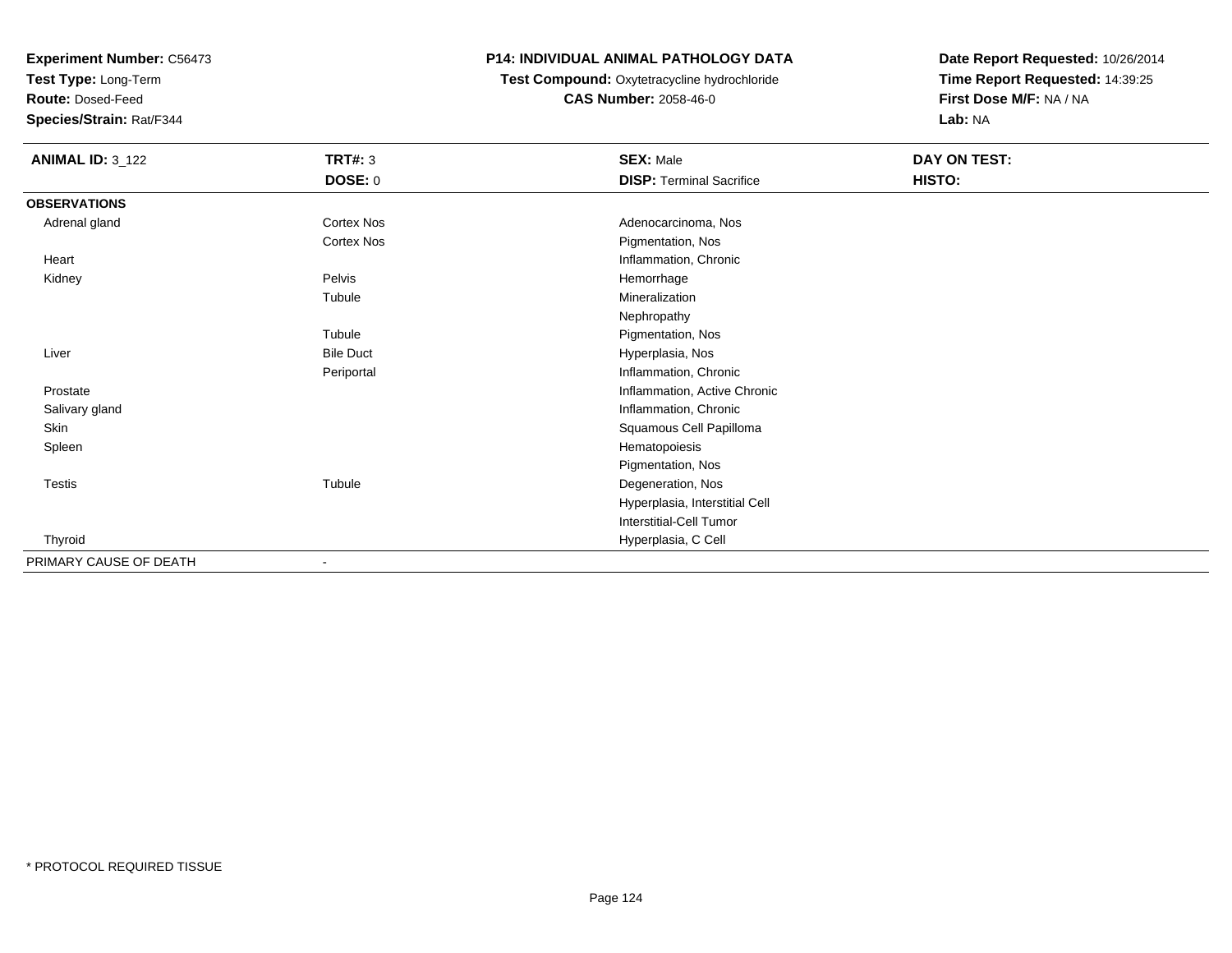**Test Type:** Long-Term

**Route:** Dosed-Feed

**Species/Strain:** Rat/F344

## **P14: INDIVIDUAL ANIMAL PATHOLOGY DATA**

 **Test Compound:** Oxytetracycline hydrochloride**CAS Number:** 2058-46-0

| <b>ANIMAL ID: 3_122</b> | <b>TRT#: 3</b>   | <b>SEX: Male</b>                | DAY ON TEST: |  |
|-------------------------|------------------|---------------------------------|--------------|--|
|                         | <b>DOSE: 0</b>   | <b>DISP: Terminal Sacrifice</b> | HISTO:       |  |
| <b>OBSERVATIONS</b>     |                  |                                 |              |  |
| Adrenal gland           | Cortex Nos       | Adenocarcinoma, Nos             |              |  |
|                         | Cortex Nos       | Pigmentation, Nos               |              |  |
| Heart                   |                  | Inflammation, Chronic           |              |  |
| Kidney                  | Pelvis           | Hemorrhage                      |              |  |
|                         | Tubule           | Mineralization                  |              |  |
|                         |                  | Nephropathy                     |              |  |
|                         | Tubule           | Pigmentation, Nos               |              |  |
| Liver                   | <b>Bile Duct</b> | Hyperplasia, Nos                |              |  |
|                         | Periportal       | Inflammation, Chronic           |              |  |
| Prostate                |                  | Inflammation, Active Chronic    |              |  |
| Salivary gland          |                  | Inflammation, Chronic           |              |  |
| Skin                    |                  | Squamous Cell Papilloma         |              |  |
| Spleen                  |                  | Hematopoiesis                   |              |  |
|                         |                  | Pigmentation, Nos               |              |  |
| Testis                  | Tubule           | Degeneration, Nos               |              |  |
|                         |                  | Hyperplasia, Interstitial Cell  |              |  |
|                         |                  | Interstitial-Cell Tumor         |              |  |
| Thyroid                 |                  | Hyperplasia, C Cell             |              |  |
| PRIMARY CAUSE OF DEATH  | $\blacksquare$   |                                 |              |  |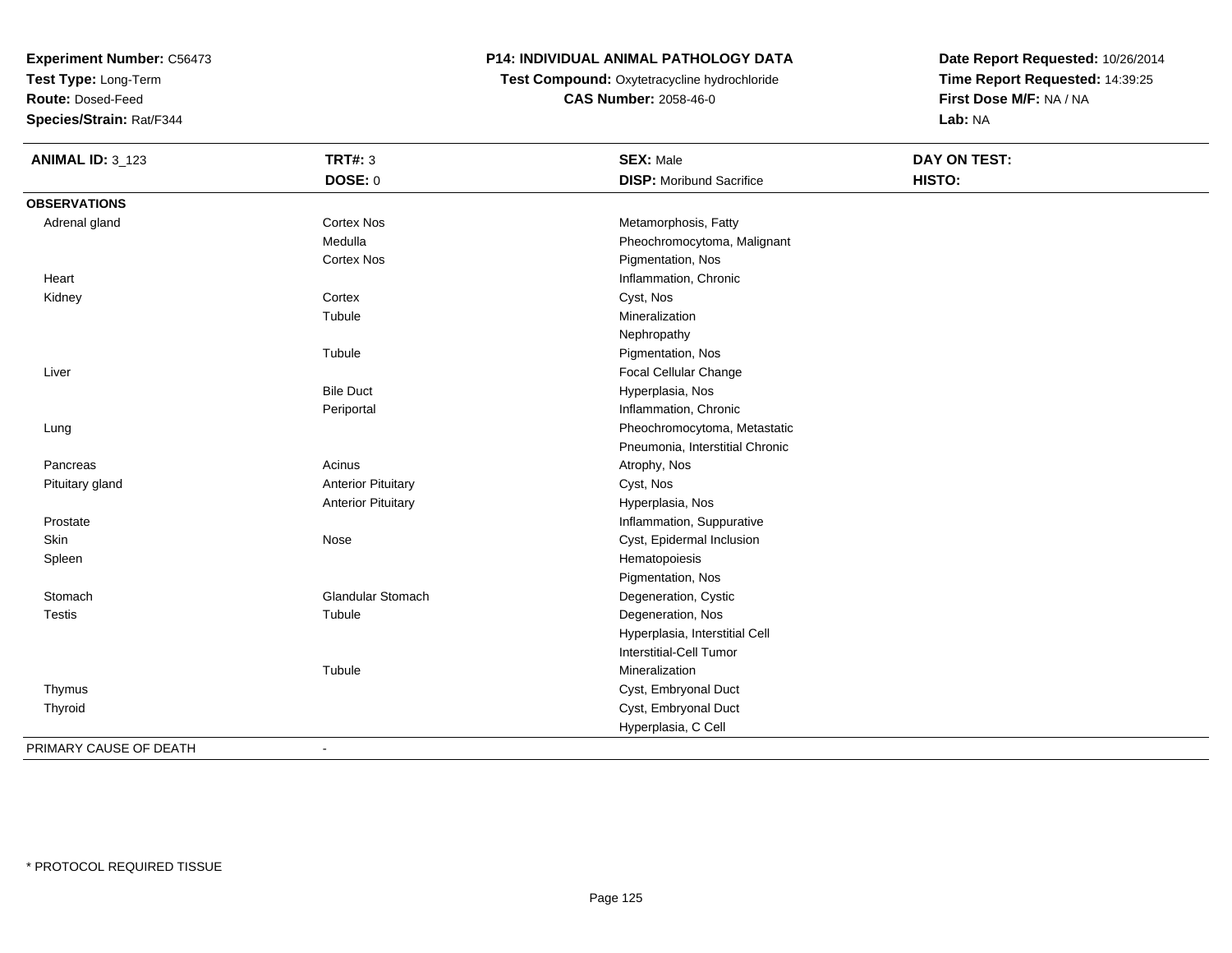**Test Type:** Long-Term

**Route:** Dosed-Feed

**Species/Strain:** Rat/F344

## **P14: INDIVIDUAL ANIMAL PATHOLOGY DATA**

**Test Compound:** Oxytetracycline hydrochloride**CAS Number:** 2058-46-0

**Date Report Requested:** 10/26/2014**Time Report Requested:** 14:39:25**First Dose M/F:** NA / NA**Lab:** NA

| <b>ANIMAL ID: 3_123</b> | <b>TRT#: 3</b>            | <b>SEX: Male</b>                | DAY ON TEST: |  |
|-------------------------|---------------------------|---------------------------------|--------------|--|
|                         | DOSE: 0                   | <b>DISP:</b> Moribund Sacrifice | HISTO:       |  |
| <b>OBSERVATIONS</b>     |                           |                                 |              |  |
| Adrenal gland           | <b>Cortex Nos</b>         | Metamorphosis, Fatty            |              |  |
|                         | Medulla                   | Pheochromocytoma, Malignant     |              |  |
|                         | Cortex Nos                | Pigmentation, Nos               |              |  |
| Heart                   |                           | Inflammation, Chronic           |              |  |
| Kidney                  | Cortex                    | Cyst, Nos                       |              |  |
|                         | Tubule                    | Mineralization                  |              |  |
|                         |                           | Nephropathy                     |              |  |
|                         | Tubule                    | Pigmentation, Nos               |              |  |
| Liver                   |                           | Focal Cellular Change           |              |  |
|                         | <b>Bile Duct</b>          | Hyperplasia, Nos                |              |  |
|                         | Periportal                | Inflammation, Chronic           |              |  |
| Lung                    |                           | Pheochromocytoma, Metastatic    |              |  |
|                         |                           | Pneumonia, Interstitial Chronic |              |  |
| Pancreas                | Acinus                    | Atrophy, Nos                    |              |  |
| Pituitary gland         | <b>Anterior Pituitary</b> | Cyst, Nos                       |              |  |
|                         | <b>Anterior Pituitary</b> | Hyperplasia, Nos                |              |  |
| Prostate                |                           | Inflammation, Suppurative       |              |  |
| Skin                    | Nose                      | Cyst, Epidermal Inclusion       |              |  |
| Spleen                  |                           | Hematopoiesis                   |              |  |
|                         |                           | Pigmentation, Nos               |              |  |
| Stomach                 | Glandular Stomach         | Degeneration, Cystic            |              |  |
| <b>Testis</b>           | Tubule                    | Degeneration, Nos               |              |  |
|                         |                           | Hyperplasia, Interstitial Cell  |              |  |
|                         |                           | Interstitial-Cell Tumor         |              |  |
|                         | Tubule                    | Mineralization                  |              |  |
| Thymus                  |                           | Cyst, Embryonal Duct            |              |  |
| Thyroid                 |                           | Cyst, Embryonal Duct            |              |  |
|                         |                           | Hyperplasia, C Cell             |              |  |
| PRIMARY CAUSE OF DEATH  |                           |                                 |              |  |

-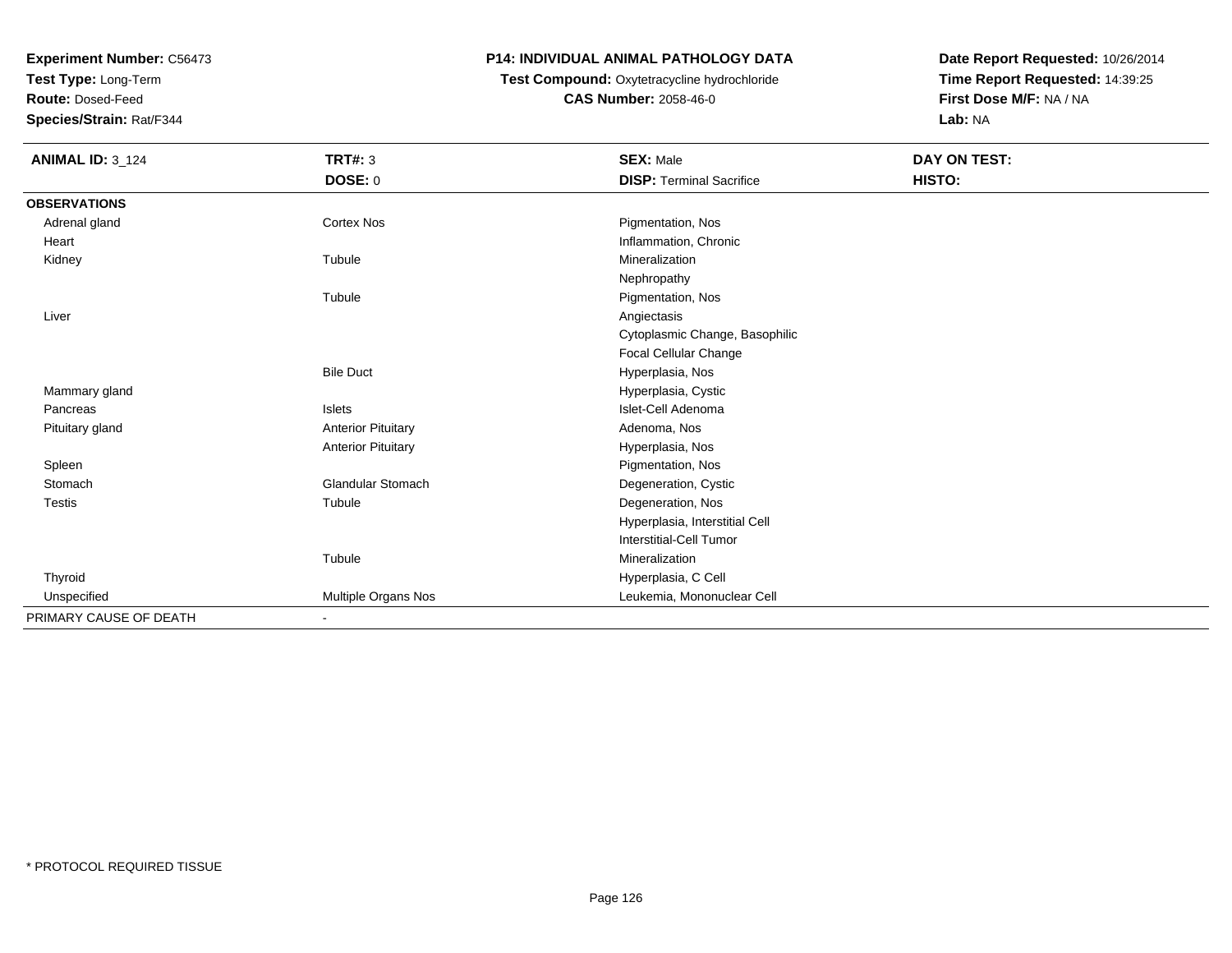**Test Type:** Long-Term

**Route:** Dosed-Feed

**Species/Strain:** Rat/F344

## **P14: INDIVIDUAL ANIMAL PATHOLOGY DATA**

 **Test Compound:** Oxytetracycline hydrochloride**CAS Number:** 2058-46-0

| <b>ANIMAL ID: 3_124</b> | <b>TRT#: 3</b>            | <b>SEX: Male</b>                | DAY ON TEST: |  |
|-------------------------|---------------------------|---------------------------------|--------------|--|
|                         | DOSE: 0                   | <b>DISP: Terminal Sacrifice</b> | HISTO:       |  |
| <b>OBSERVATIONS</b>     |                           |                                 |              |  |
| Adrenal gland           | Cortex Nos                | Pigmentation, Nos               |              |  |
| Heart                   |                           | Inflammation, Chronic           |              |  |
| Kidney                  | Tubule                    | Mineralization                  |              |  |
|                         |                           | Nephropathy                     |              |  |
|                         | Tubule                    | Pigmentation, Nos               |              |  |
| Liver                   |                           | Angiectasis                     |              |  |
|                         |                           | Cytoplasmic Change, Basophilic  |              |  |
|                         |                           | Focal Cellular Change           |              |  |
|                         | <b>Bile Duct</b>          | Hyperplasia, Nos                |              |  |
| Mammary gland           |                           | Hyperplasia, Cystic             |              |  |
| Pancreas                | Islets                    | Islet-Cell Adenoma              |              |  |
| Pituitary gland         | <b>Anterior Pituitary</b> | Adenoma, Nos                    |              |  |
|                         | <b>Anterior Pituitary</b> | Hyperplasia, Nos                |              |  |
| Spleen                  |                           | Pigmentation, Nos               |              |  |
| Stomach                 | <b>Glandular Stomach</b>  | Degeneration, Cystic            |              |  |
| <b>Testis</b>           | Tubule                    | Degeneration, Nos               |              |  |
|                         |                           | Hyperplasia, Interstitial Cell  |              |  |
|                         |                           | Interstitial-Cell Tumor         |              |  |
|                         | Tubule                    | Mineralization                  |              |  |
| Thyroid                 |                           | Hyperplasia, C Cell             |              |  |
| Unspecified             | Multiple Organs Nos       | Leukemia, Mononuclear Cell      |              |  |
| PRIMARY CAUSE OF DEATH  | ٠                         |                                 |              |  |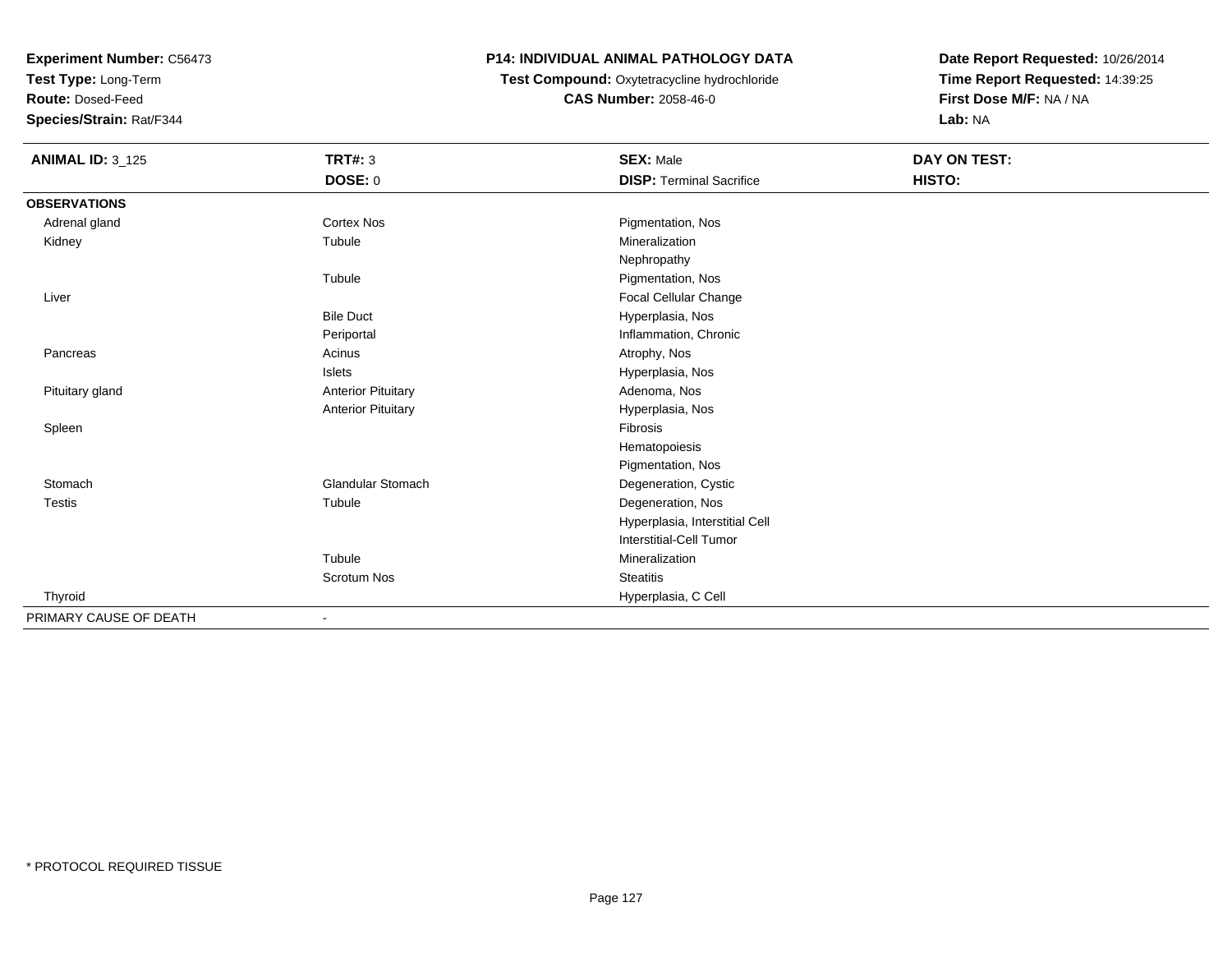**Test Type:** Long-Term

**Route:** Dosed-Feed

**Species/Strain:** Rat/F344

## **P14: INDIVIDUAL ANIMAL PATHOLOGY DATA**

 **Test Compound:** Oxytetracycline hydrochloride**CAS Number:** 2058-46-0

| <b>ANIMAL ID: 3_125</b> | <b>TRT#: 3</b>            | <b>SEX: Male</b>                | DAY ON TEST: |  |
|-------------------------|---------------------------|---------------------------------|--------------|--|
|                         | <b>DOSE: 0</b>            | <b>DISP: Terminal Sacrifice</b> | HISTO:       |  |
| <b>OBSERVATIONS</b>     |                           |                                 |              |  |
| Adrenal gland           | Cortex Nos                | Pigmentation, Nos               |              |  |
| Kidney                  | Tubule                    | Mineralization                  |              |  |
|                         |                           | Nephropathy                     |              |  |
|                         | Tubule                    | Pigmentation, Nos               |              |  |
| Liver                   |                           | Focal Cellular Change           |              |  |
|                         | <b>Bile Duct</b>          | Hyperplasia, Nos                |              |  |
|                         | Periportal                | Inflammation, Chronic           |              |  |
| Pancreas                | Acinus                    | Atrophy, Nos                    |              |  |
|                         | Islets                    | Hyperplasia, Nos                |              |  |
| Pituitary gland         | <b>Anterior Pituitary</b> | Adenoma, Nos                    |              |  |
|                         | <b>Anterior Pituitary</b> | Hyperplasia, Nos                |              |  |
| Spleen                  |                           | <b>Fibrosis</b>                 |              |  |
|                         |                           | Hematopoiesis                   |              |  |
|                         |                           | Pigmentation, Nos               |              |  |
| Stomach                 | <b>Glandular Stomach</b>  | Degeneration, Cystic            |              |  |
| <b>Testis</b>           | Tubule                    | Degeneration, Nos               |              |  |
|                         |                           | Hyperplasia, Interstitial Cell  |              |  |
|                         |                           | Interstitial-Cell Tumor         |              |  |
|                         | Tubule                    | Mineralization                  |              |  |
|                         | Scrotum Nos               | <b>Steatitis</b>                |              |  |
| Thyroid                 |                           | Hyperplasia, C Cell             |              |  |
| PRIMARY CAUSE OF DEATH  | $\overline{\phantom{a}}$  |                                 |              |  |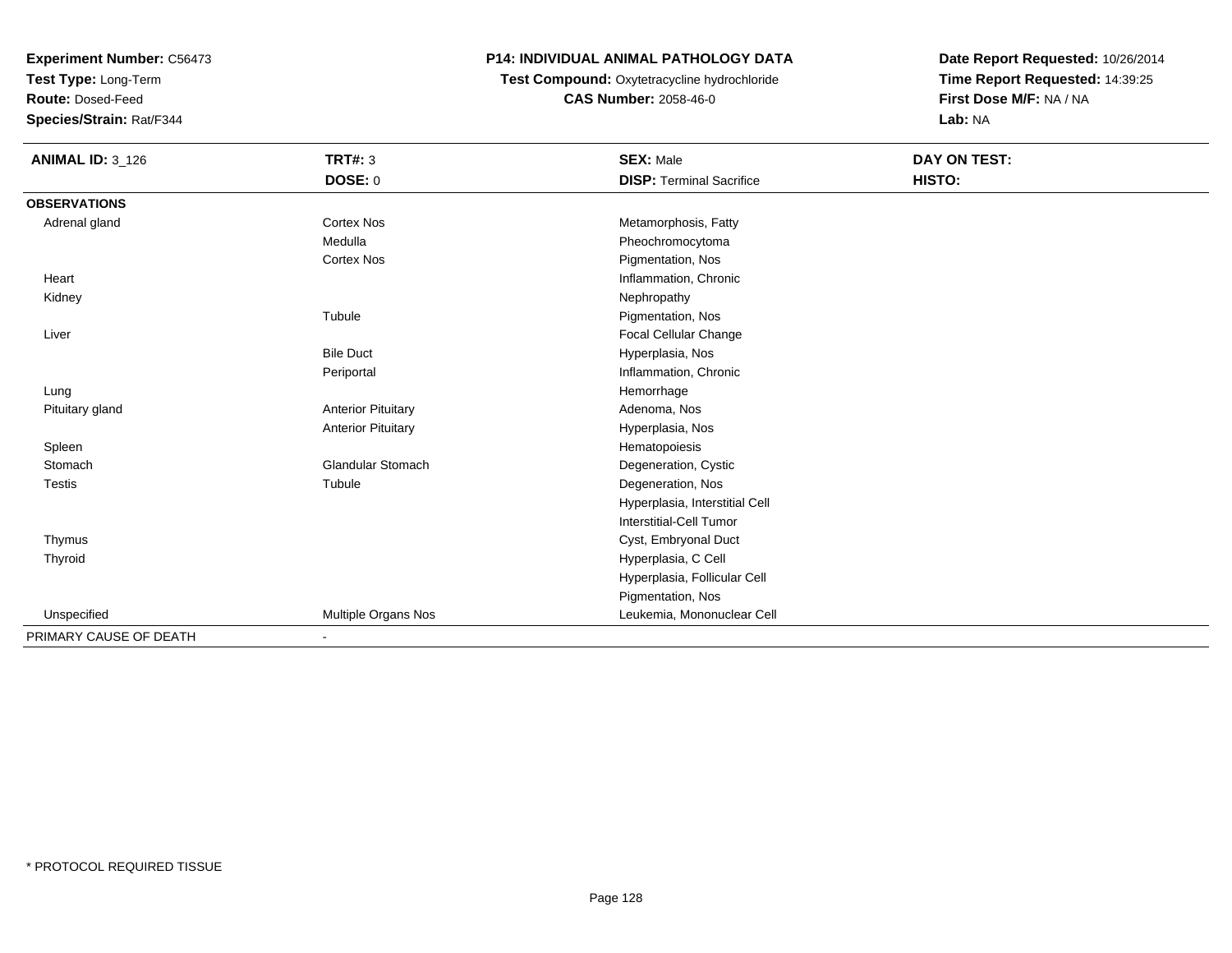**Test Type:** Long-Term

**Route:** Dosed-Feed

**Species/Strain:** Rat/F344

# **P14: INDIVIDUAL ANIMAL PATHOLOGY DATA**

**Test Compound:** Oxytetracycline hydrochloride**CAS Number:** 2058-46-0

| <b>ANIMAL ID: 3_126</b> | <b>TRT#: 3</b>            | <b>SEX: Male</b>                | <b>DAY ON TEST:</b> |  |
|-------------------------|---------------------------|---------------------------------|---------------------|--|
|                         | <b>DOSE: 0</b>            | <b>DISP: Terminal Sacrifice</b> | HISTO:              |  |
| <b>OBSERVATIONS</b>     |                           |                                 |                     |  |
| Adrenal gland           | Cortex Nos                | Metamorphosis, Fatty            |                     |  |
|                         | Medulla                   | Pheochromocytoma                |                     |  |
|                         | <b>Cortex Nos</b>         | Pigmentation, Nos               |                     |  |
| Heart                   |                           | Inflammation, Chronic           |                     |  |
| Kidney                  |                           | Nephropathy                     |                     |  |
|                         | Tubule                    | Pigmentation, Nos               |                     |  |
| Liver                   |                           | <b>Focal Cellular Change</b>    |                     |  |
|                         | <b>Bile Duct</b>          | Hyperplasia, Nos                |                     |  |
|                         | Periportal                | Inflammation, Chronic           |                     |  |
| Lung                    |                           | Hemorrhage                      |                     |  |
| Pituitary gland         | <b>Anterior Pituitary</b> | Adenoma, Nos                    |                     |  |
|                         | <b>Anterior Pituitary</b> | Hyperplasia, Nos                |                     |  |
| Spleen                  |                           | Hematopoiesis                   |                     |  |
| Stomach                 | <b>Glandular Stomach</b>  | Degeneration, Cystic            |                     |  |
| Testis                  | Tubule                    | Degeneration, Nos               |                     |  |
|                         |                           | Hyperplasia, Interstitial Cell  |                     |  |
|                         |                           | <b>Interstitial-Cell Tumor</b>  |                     |  |
| Thymus                  |                           | Cyst, Embryonal Duct            |                     |  |
| Thyroid                 |                           | Hyperplasia, C Cell             |                     |  |
|                         |                           | Hyperplasia, Follicular Cell    |                     |  |
|                         |                           | Pigmentation, Nos               |                     |  |
| Unspecified             | Multiple Organs Nos       | Leukemia, Mononuclear Cell      |                     |  |
| PRIMARY CAUSE OF DEATH  | ٠                         |                                 |                     |  |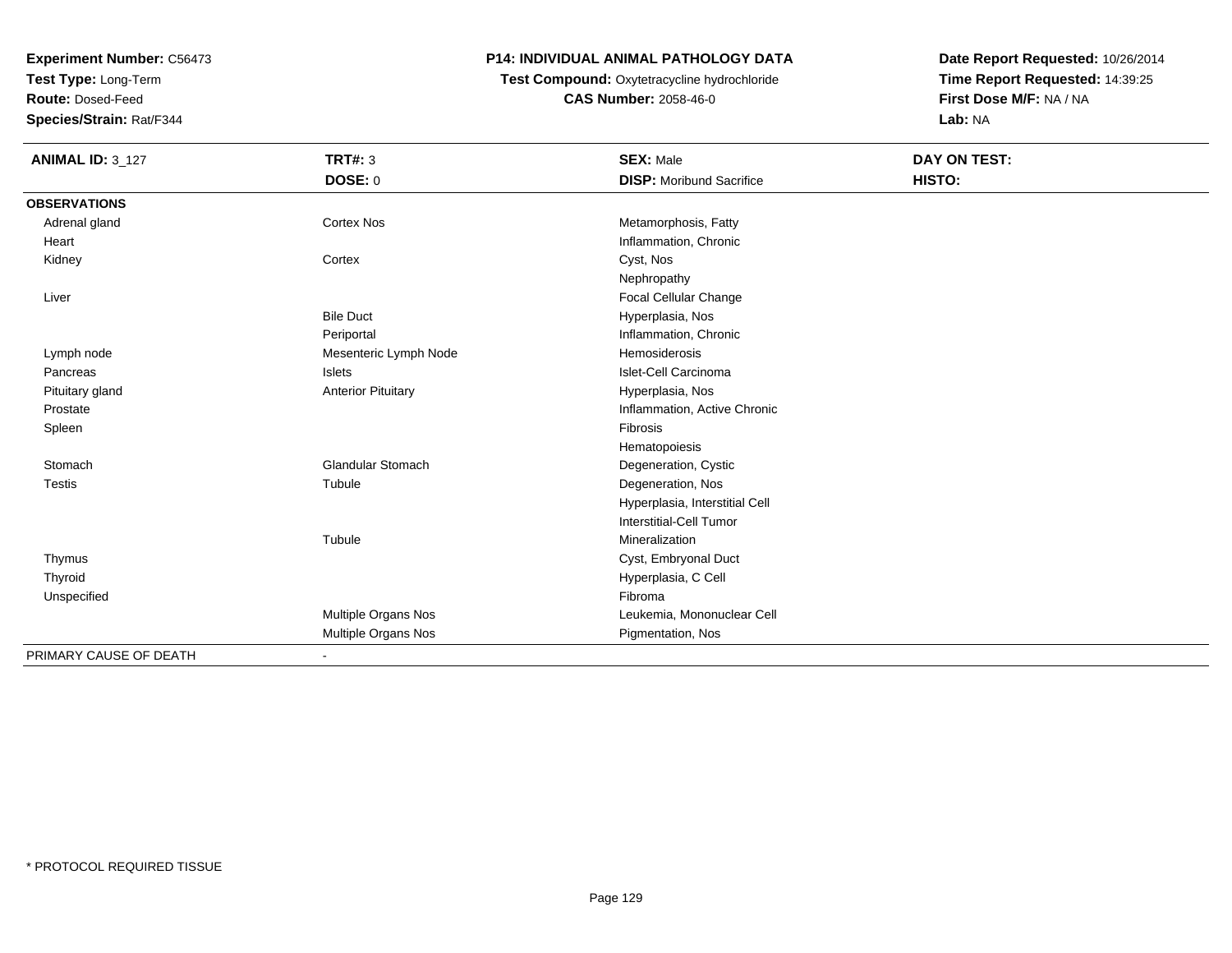**Test Type:** Long-Term

**Route:** Dosed-Feed

**Species/Strain:** Rat/F344

# **P14: INDIVIDUAL ANIMAL PATHOLOGY DATA**

**Test Compound:** Oxytetracycline hydrochloride**CAS Number:** 2058-46-0

| <b>ANIMAL ID: 3_127</b> | <b>TRT#: 3</b>            | <b>SEX: Male</b>                | DAY ON TEST:  |  |
|-------------------------|---------------------------|---------------------------------|---------------|--|
|                         | <b>DOSE: 0</b>            | <b>DISP:</b> Moribund Sacrifice | <b>HISTO:</b> |  |
| <b>OBSERVATIONS</b>     |                           |                                 |               |  |
| Adrenal gland           | <b>Cortex Nos</b>         | Metamorphosis, Fatty            |               |  |
| Heart                   |                           | Inflammation, Chronic           |               |  |
| Kidney                  | Cortex                    | Cyst, Nos                       |               |  |
|                         |                           | Nephropathy                     |               |  |
| Liver                   |                           | Focal Cellular Change           |               |  |
|                         | <b>Bile Duct</b>          | Hyperplasia, Nos                |               |  |
|                         | Periportal                | Inflammation, Chronic           |               |  |
| Lymph node              | Mesenteric Lymph Node     | Hemosiderosis                   |               |  |
| Pancreas                | Islets                    | Islet-Cell Carcinoma            |               |  |
| Pituitary gland         | <b>Anterior Pituitary</b> | Hyperplasia, Nos                |               |  |
| Prostate                |                           | Inflammation, Active Chronic    |               |  |
| Spleen                  |                           | Fibrosis                        |               |  |
|                         |                           | Hematopoiesis                   |               |  |
| Stomach                 | <b>Glandular Stomach</b>  | Degeneration, Cystic            |               |  |
| <b>Testis</b>           | Tubule                    | Degeneration, Nos               |               |  |
|                         |                           | Hyperplasia, Interstitial Cell  |               |  |
|                         |                           | Interstitial-Cell Tumor         |               |  |
|                         | Tubule                    | Mineralization                  |               |  |
| Thymus                  |                           | Cyst, Embryonal Duct            |               |  |
| Thyroid                 |                           | Hyperplasia, C Cell             |               |  |
| Unspecified             |                           | Fibroma                         |               |  |
|                         | Multiple Organs Nos       | Leukemia, Mononuclear Cell      |               |  |
|                         | Multiple Organs Nos       | Pigmentation, Nos               |               |  |
| PRIMARY CAUSE OF DEATH  | $\blacksquare$            |                                 |               |  |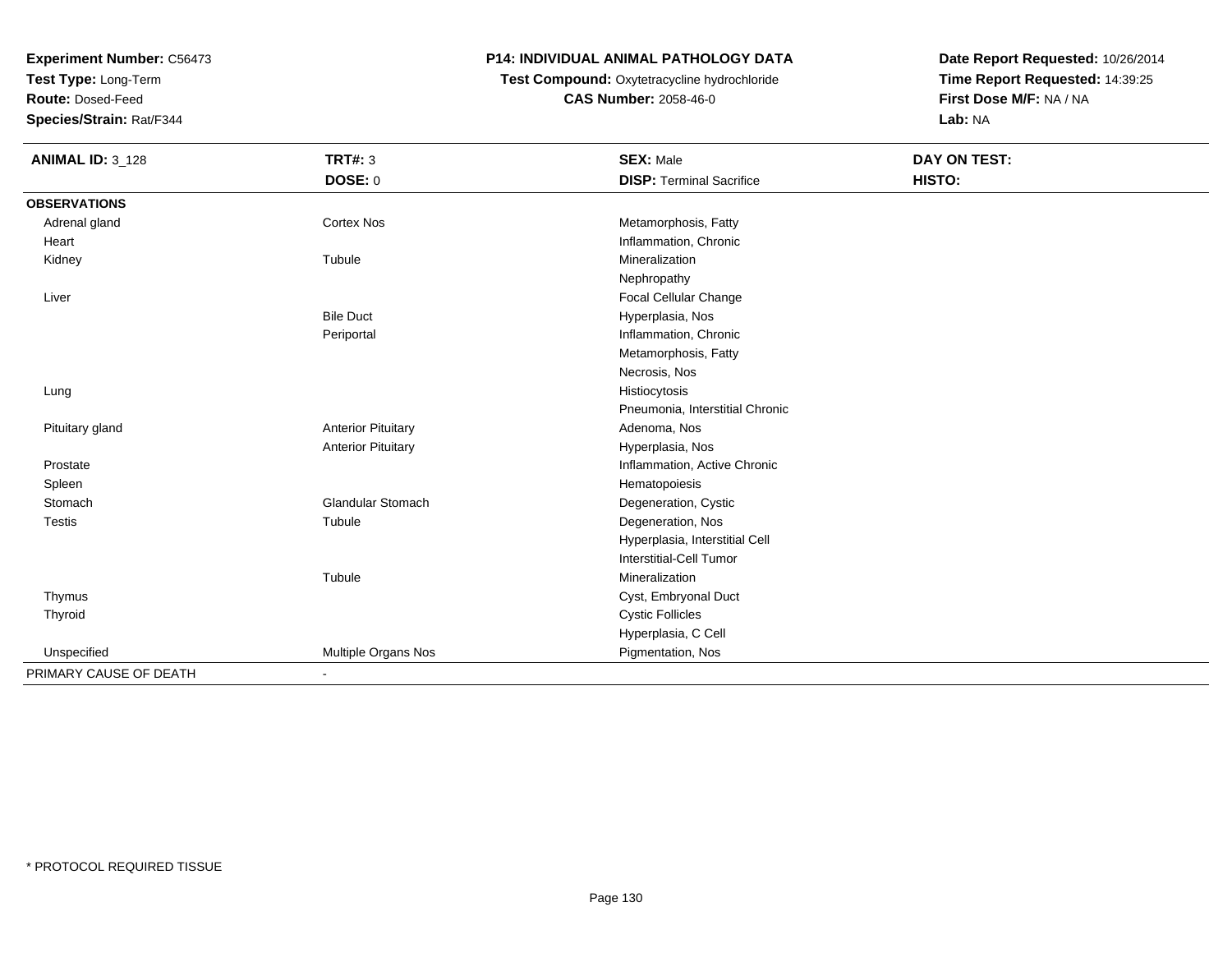**Test Type:** Long-Term

**Route:** Dosed-Feed

**Species/Strain:** Rat/F344

# **P14: INDIVIDUAL ANIMAL PATHOLOGY DATA**

 **Test Compound:** Oxytetracycline hydrochloride**CAS Number:** 2058-46-0

| <b>ANIMAL ID: 3_128</b> | <b>TRT#: 3</b>            | <b>SEX: Male</b>                | DAY ON TEST: |  |
|-------------------------|---------------------------|---------------------------------|--------------|--|
|                         | DOSE: 0                   | <b>DISP: Terminal Sacrifice</b> | HISTO:       |  |
| <b>OBSERVATIONS</b>     |                           |                                 |              |  |
| Adrenal gland           | <b>Cortex Nos</b>         | Metamorphosis, Fatty            |              |  |
| Heart                   |                           | Inflammation, Chronic           |              |  |
| Kidney                  | Tubule                    | Mineralization                  |              |  |
|                         |                           | Nephropathy                     |              |  |
| Liver                   |                           | Focal Cellular Change           |              |  |
|                         | <b>Bile Duct</b>          | Hyperplasia, Nos                |              |  |
|                         | Periportal                | Inflammation, Chronic           |              |  |
|                         |                           | Metamorphosis, Fatty            |              |  |
|                         |                           | Necrosis, Nos                   |              |  |
| Lung                    |                           | Histiocytosis                   |              |  |
|                         |                           | Pneumonia, Interstitial Chronic |              |  |
| Pituitary gland         | <b>Anterior Pituitary</b> | Adenoma, Nos                    |              |  |
|                         | <b>Anterior Pituitary</b> | Hyperplasia, Nos                |              |  |
| Prostate                |                           | Inflammation, Active Chronic    |              |  |
| Spleen                  |                           | Hematopoiesis                   |              |  |
| Stomach                 | <b>Glandular Stomach</b>  | Degeneration, Cystic            |              |  |
| <b>Testis</b>           | Tubule                    | Degeneration, Nos               |              |  |
|                         |                           | Hyperplasia, Interstitial Cell  |              |  |
|                         |                           | <b>Interstitial-Cell Tumor</b>  |              |  |
|                         | Tubule                    | Mineralization                  |              |  |
| Thymus                  |                           | Cyst, Embryonal Duct            |              |  |
| Thyroid                 |                           | <b>Cystic Follicles</b>         |              |  |
|                         |                           | Hyperplasia, C Cell             |              |  |
| Unspecified             | Multiple Organs Nos       | Pigmentation, Nos               |              |  |
| PRIMARY CAUSE OF DEATH  |                           |                                 |              |  |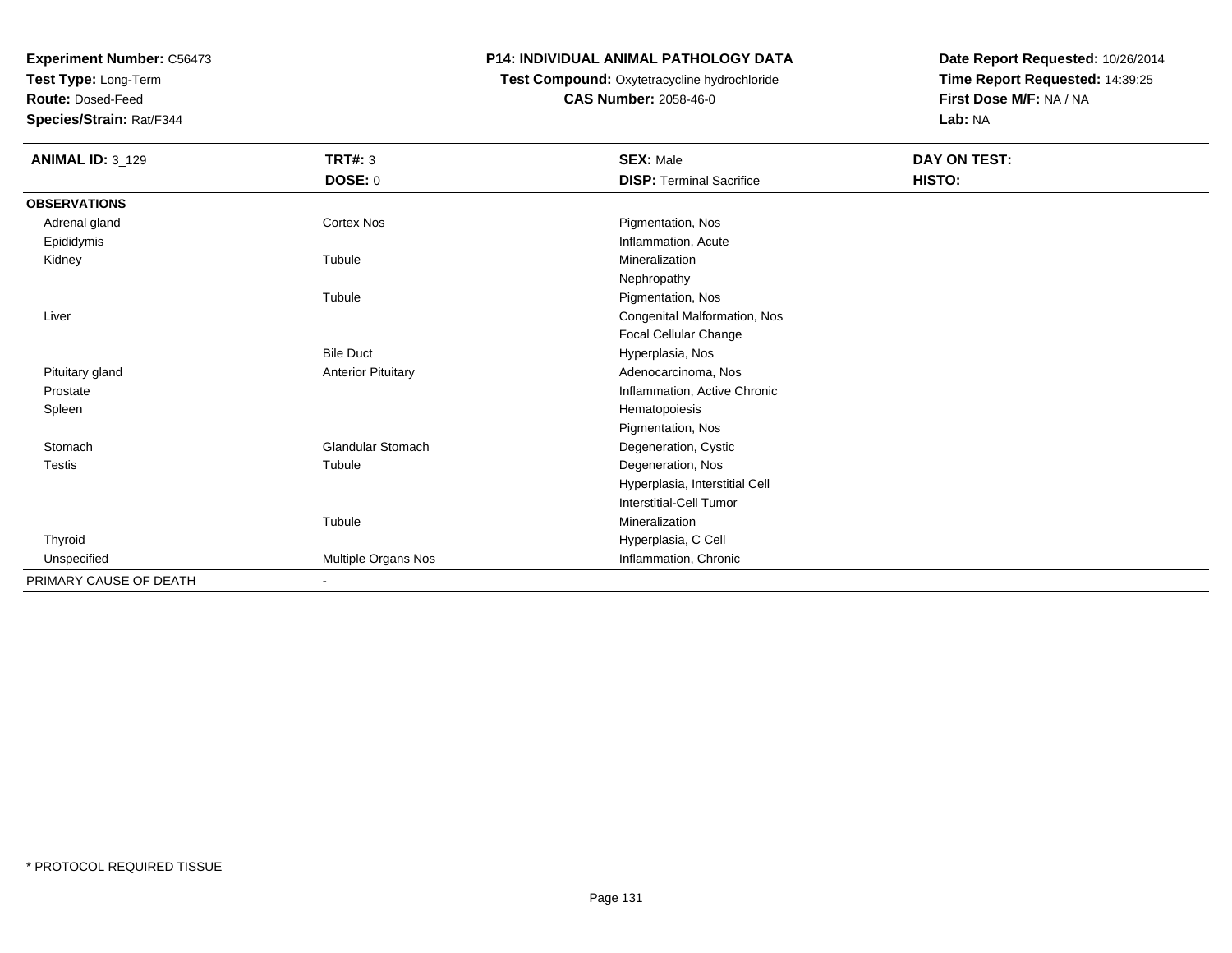**Test Type:** Long-Term

**Route:** Dosed-Feed

**Species/Strain:** Rat/F344

#### **P14: INDIVIDUAL ANIMAL PATHOLOGY DATA**

 **Test Compound:** Oxytetracycline hydrochloride**CAS Number:** 2058-46-0

| <b>ANIMAL ID: 3_129</b> | <b>TRT#: 3</b>            | <b>SEX: Male</b>                | DAY ON TEST: |  |
|-------------------------|---------------------------|---------------------------------|--------------|--|
|                         | <b>DOSE: 0</b>            | <b>DISP: Terminal Sacrifice</b> | HISTO:       |  |
| <b>OBSERVATIONS</b>     |                           |                                 |              |  |
| Adrenal gland           | Cortex Nos                | Pigmentation, Nos               |              |  |
| Epididymis              |                           | Inflammation, Acute             |              |  |
| Kidney                  | Tubule                    | Mineralization                  |              |  |
|                         |                           | Nephropathy                     |              |  |
|                         | Tubule                    | Pigmentation, Nos               |              |  |
| Liver                   |                           | Congenital Malformation, Nos    |              |  |
|                         |                           | Focal Cellular Change           |              |  |
|                         | <b>Bile Duct</b>          | Hyperplasia, Nos                |              |  |
| Pituitary gland         | <b>Anterior Pituitary</b> | Adenocarcinoma, Nos             |              |  |
| Prostate                |                           | Inflammation, Active Chronic    |              |  |
| Spleen                  |                           | Hematopoiesis                   |              |  |
|                         |                           | Pigmentation, Nos               |              |  |
| Stomach                 | <b>Glandular Stomach</b>  | Degeneration, Cystic            |              |  |
| Testis                  | Tubule                    | Degeneration, Nos               |              |  |
|                         |                           | Hyperplasia, Interstitial Cell  |              |  |
|                         |                           | Interstitial-Cell Tumor         |              |  |
|                         | Tubule                    | Mineralization                  |              |  |
| Thyroid                 |                           | Hyperplasia, C Cell             |              |  |
| Unspecified             | Multiple Organs Nos       | Inflammation, Chronic           |              |  |
| PRIMARY CAUSE OF DEATH  | ٠                         |                                 |              |  |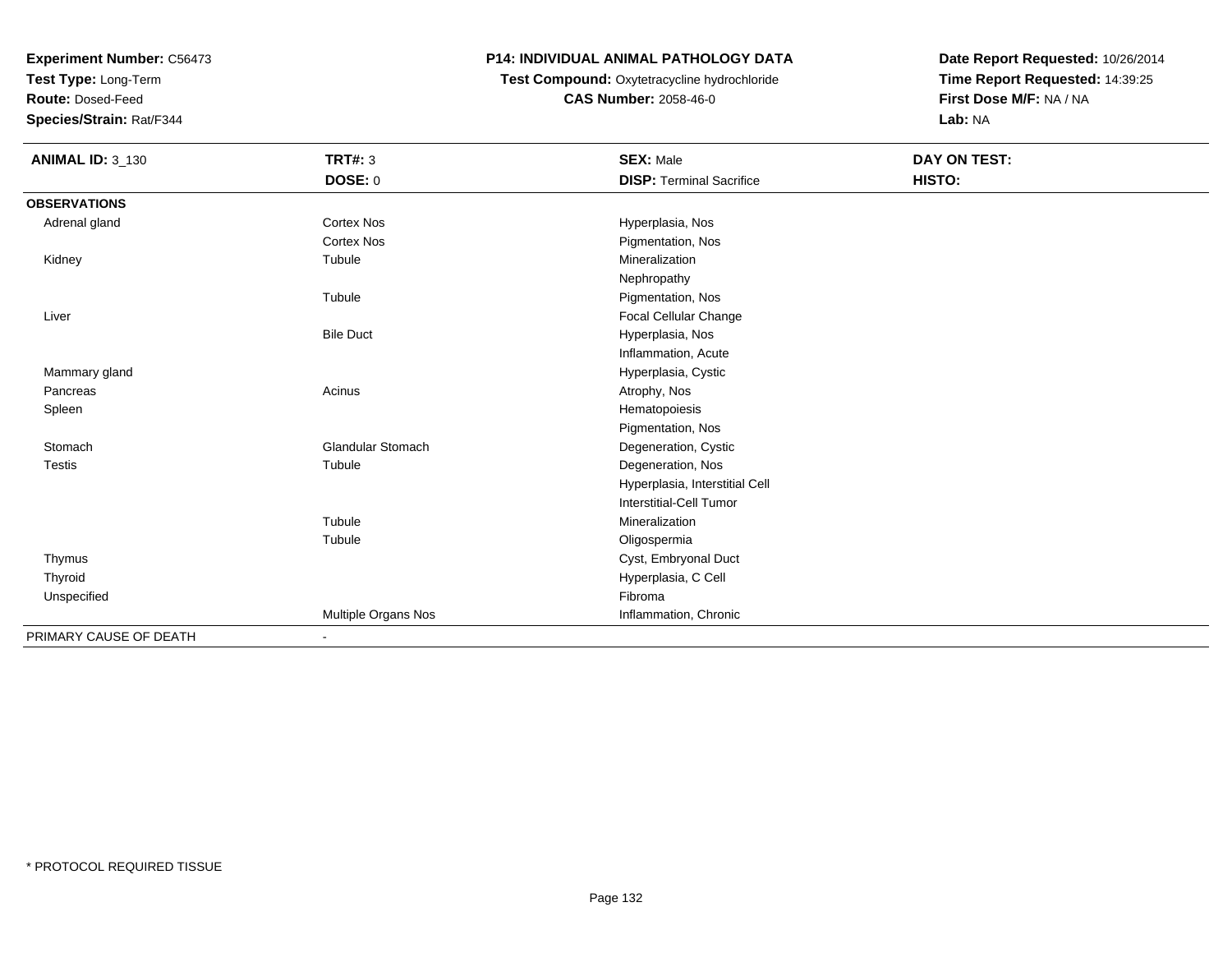**Test Type:** Long-Term

**Route:** Dosed-Feed

**Species/Strain:** Rat/F344

# **P14: INDIVIDUAL ANIMAL PATHOLOGY DATA**

 **Test Compound:** Oxytetracycline hydrochloride**CAS Number:** 2058-46-0

| <b>ANIMAL ID: 3_130</b> | <b>TRT#: 3</b>           | <b>SEX: Male</b>                | DAY ON TEST: |  |
|-------------------------|--------------------------|---------------------------------|--------------|--|
|                         | DOSE: 0                  | <b>DISP: Terminal Sacrifice</b> | HISTO:       |  |
| <b>OBSERVATIONS</b>     |                          |                                 |              |  |
| Adrenal gland           | <b>Cortex Nos</b>        | Hyperplasia, Nos                |              |  |
|                         | <b>Cortex Nos</b>        | Pigmentation, Nos               |              |  |
| Kidney                  | Tubule                   | Mineralization                  |              |  |
|                         |                          | Nephropathy                     |              |  |
|                         | Tubule                   | Pigmentation, Nos               |              |  |
| Liver                   |                          | Focal Cellular Change           |              |  |
|                         | <b>Bile Duct</b>         | Hyperplasia, Nos                |              |  |
|                         |                          | Inflammation, Acute             |              |  |
| Mammary gland           |                          | Hyperplasia, Cystic             |              |  |
| Pancreas                | Acinus                   | Atrophy, Nos                    |              |  |
| Spleen                  |                          | Hematopoiesis                   |              |  |
|                         |                          | Pigmentation, Nos               |              |  |
| Stomach                 | <b>Glandular Stomach</b> | Degeneration, Cystic            |              |  |
| <b>Testis</b>           | Tubule                   | Degeneration, Nos               |              |  |
|                         |                          | Hyperplasia, Interstitial Cell  |              |  |
|                         |                          | <b>Interstitial-Cell Tumor</b>  |              |  |
|                         | Tubule                   | Mineralization                  |              |  |
|                         | Tubule                   | Oligospermia                    |              |  |
| Thymus                  |                          | Cyst, Embryonal Duct            |              |  |
| Thyroid                 |                          | Hyperplasia, C Cell             |              |  |
| Unspecified             |                          | Fibroma                         |              |  |
|                         | Multiple Organs Nos      | Inflammation, Chronic           |              |  |
| PRIMARY CAUSE OF DEATH  | ٠                        |                                 |              |  |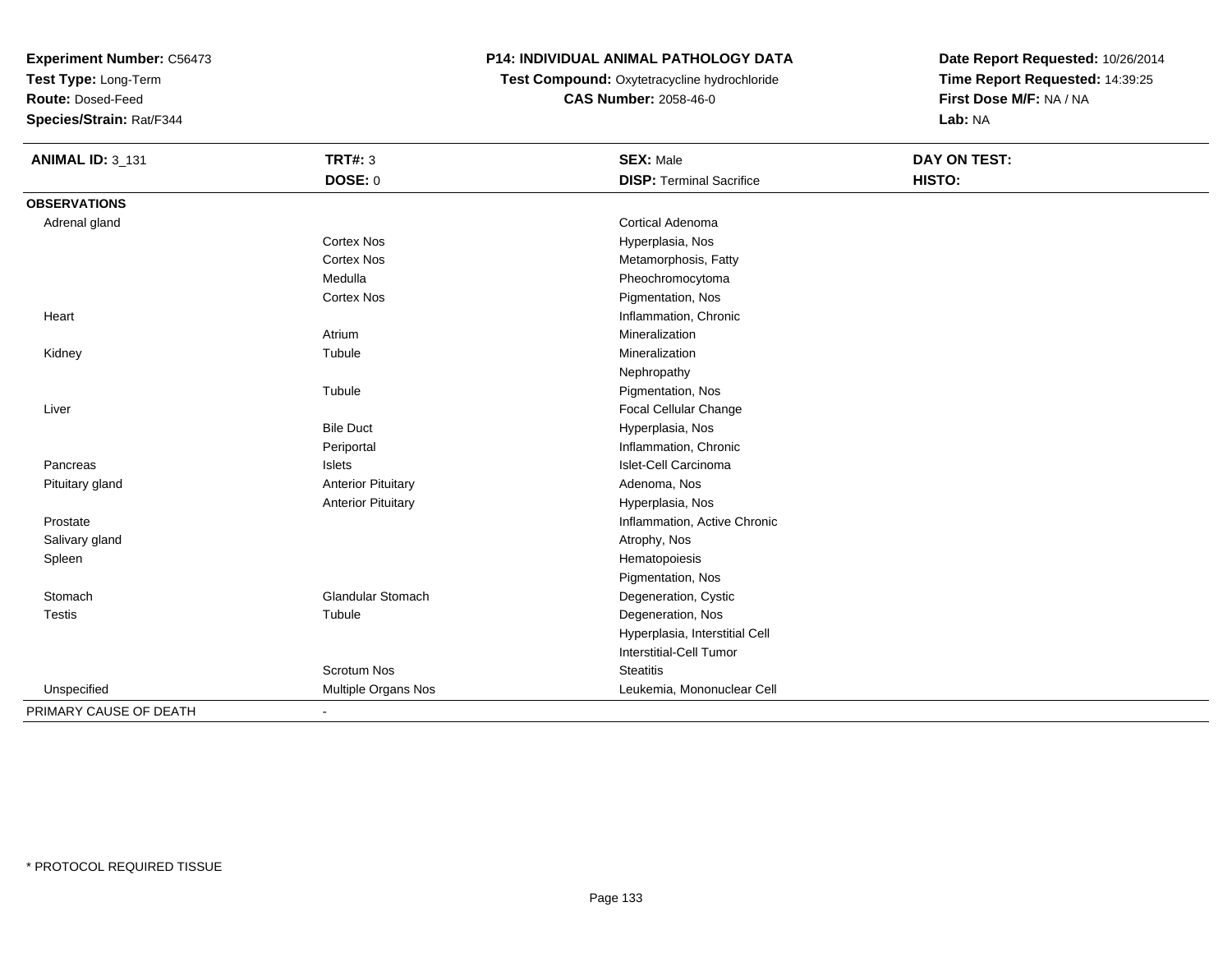**Test Type:** Long-Term

**Route:** Dosed-Feed

**Species/Strain:** Rat/F344

## **P14: INDIVIDUAL ANIMAL PATHOLOGY DATA**

**Test Compound:** Oxytetracycline hydrochloride**CAS Number:** 2058-46-0

| <b>ANIMAL ID: 3_131</b> | <b>TRT#: 3</b>            | <b>SEX: Male</b>                | <b>DAY ON TEST:</b> |
|-------------------------|---------------------------|---------------------------------|---------------------|
|                         | <b>DOSE: 0</b>            | <b>DISP: Terminal Sacrifice</b> | HISTO:              |
| <b>OBSERVATIONS</b>     |                           |                                 |                     |
| Adrenal gland           |                           | <b>Cortical Adenoma</b>         |                     |
|                         | <b>Cortex Nos</b>         | Hyperplasia, Nos                |                     |
|                         | <b>Cortex Nos</b>         | Metamorphosis, Fatty            |                     |
|                         | Medulla                   | Pheochromocytoma                |                     |
|                         | <b>Cortex Nos</b>         | Pigmentation, Nos               |                     |
| Heart                   |                           | Inflammation, Chronic           |                     |
|                         | Atrium                    | Mineralization                  |                     |
| Kidney                  | Tubule                    | Mineralization                  |                     |
|                         |                           | Nephropathy                     |                     |
|                         | Tubule                    | Pigmentation, Nos               |                     |
| Liver                   |                           | Focal Cellular Change           |                     |
|                         | <b>Bile Duct</b>          | Hyperplasia, Nos                |                     |
|                         | Periportal                | Inflammation, Chronic           |                     |
| Pancreas                | Islets                    | Islet-Cell Carcinoma            |                     |
| Pituitary gland         | <b>Anterior Pituitary</b> | Adenoma, Nos                    |                     |
|                         | <b>Anterior Pituitary</b> | Hyperplasia, Nos                |                     |
| Prostate                |                           | Inflammation, Active Chronic    |                     |
| Salivary gland          |                           | Atrophy, Nos                    |                     |
| Spleen                  |                           | Hematopoiesis                   |                     |
|                         |                           | Pigmentation, Nos               |                     |
| Stomach                 | <b>Glandular Stomach</b>  | Degeneration, Cystic            |                     |
| <b>Testis</b>           | Tubule                    | Degeneration, Nos               |                     |
|                         |                           | Hyperplasia, Interstitial Cell  |                     |
|                         |                           | <b>Interstitial-Cell Tumor</b>  |                     |
|                         | <b>Scrotum Nos</b>        | <b>Steatitis</b>                |                     |
| Unspecified             | Multiple Organs Nos       | Leukemia, Mononuclear Cell      |                     |
| PRIMARY CAUSE OF DEATH  | $\blacksquare$            |                                 |                     |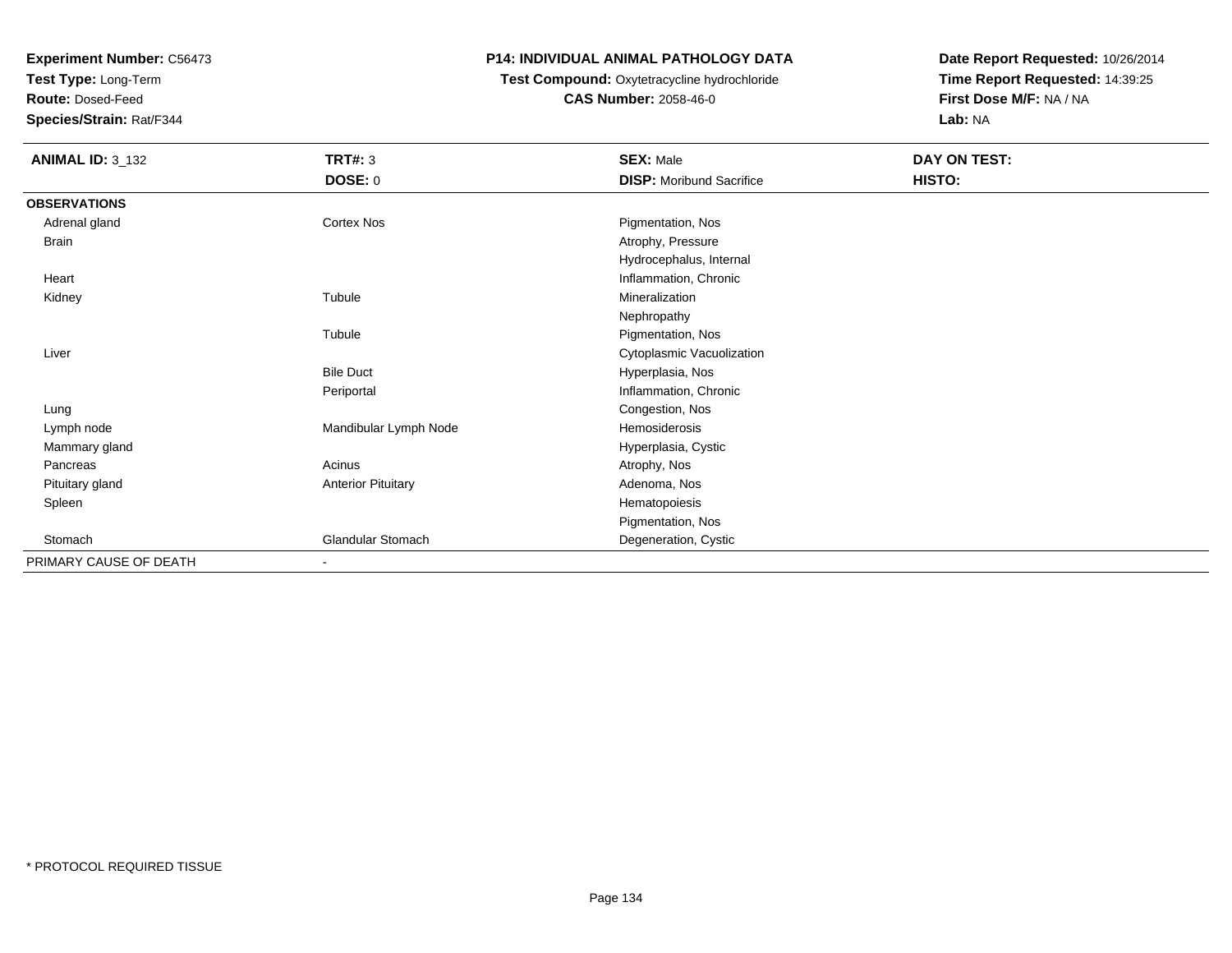**Test Type:** Long-Term

**Route:** Dosed-Feed

**Species/Strain:** Rat/F344

#### **P14: INDIVIDUAL ANIMAL PATHOLOGY DATA**

# **Test Compound:** Oxytetracycline hydrochloride**CAS Number:** 2058-46-0

| <b>ANIMAL ID: 3_132</b> | TRT#: 3<br><b>DOSE: 0</b> | <b>SEX: Male</b><br><b>DISP:</b> Moribund Sacrifice | DAY ON TEST:<br>HISTO: |
|-------------------------|---------------------------|-----------------------------------------------------|------------------------|
| <b>OBSERVATIONS</b>     |                           |                                                     |                        |
| Adrenal gland           | Cortex Nos                | Pigmentation, Nos                                   |                        |
| <b>Brain</b>            |                           | Atrophy, Pressure                                   |                        |
|                         |                           | Hydrocephalus, Internal                             |                        |
| Heart                   |                           | Inflammation, Chronic                               |                        |
| Kidney                  | Tubule                    | Mineralization                                      |                        |
|                         |                           | Nephropathy                                         |                        |
|                         | Tubule                    | Pigmentation, Nos                                   |                        |
| Liver                   |                           | Cytoplasmic Vacuolization                           |                        |
|                         | <b>Bile Duct</b>          | Hyperplasia, Nos                                    |                        |
|                         | Periportal                | Inflammation, Chronic                               |                        |
| Lung                    |                           | Congestion, Nos                                     |                        |
| Lymph node              | Mandibular Lymph Node     | Hemosiderosis                                       |                        |
| Mammary gland           |                           | Hyperplasia, Cystic                                 |                        |
| Pancreas                | Acinus                    | Atrophy, Nos                                        |                        |
| Pituitary gland         | <b>Anterior Pituitary</b> | Adenoma, Nos                                        |                        |
| Spleen                  |                           | Hematopoiesis                                       |                        |
|                         |                           | Pigmentation, Nos                                   |                        |
| Stomach                 | Glandular Stomach         | Degeneration, Cystic                                |                        |
| PRIMARY CAUSE OF DEATH  | ٠                         |                                                     |                        |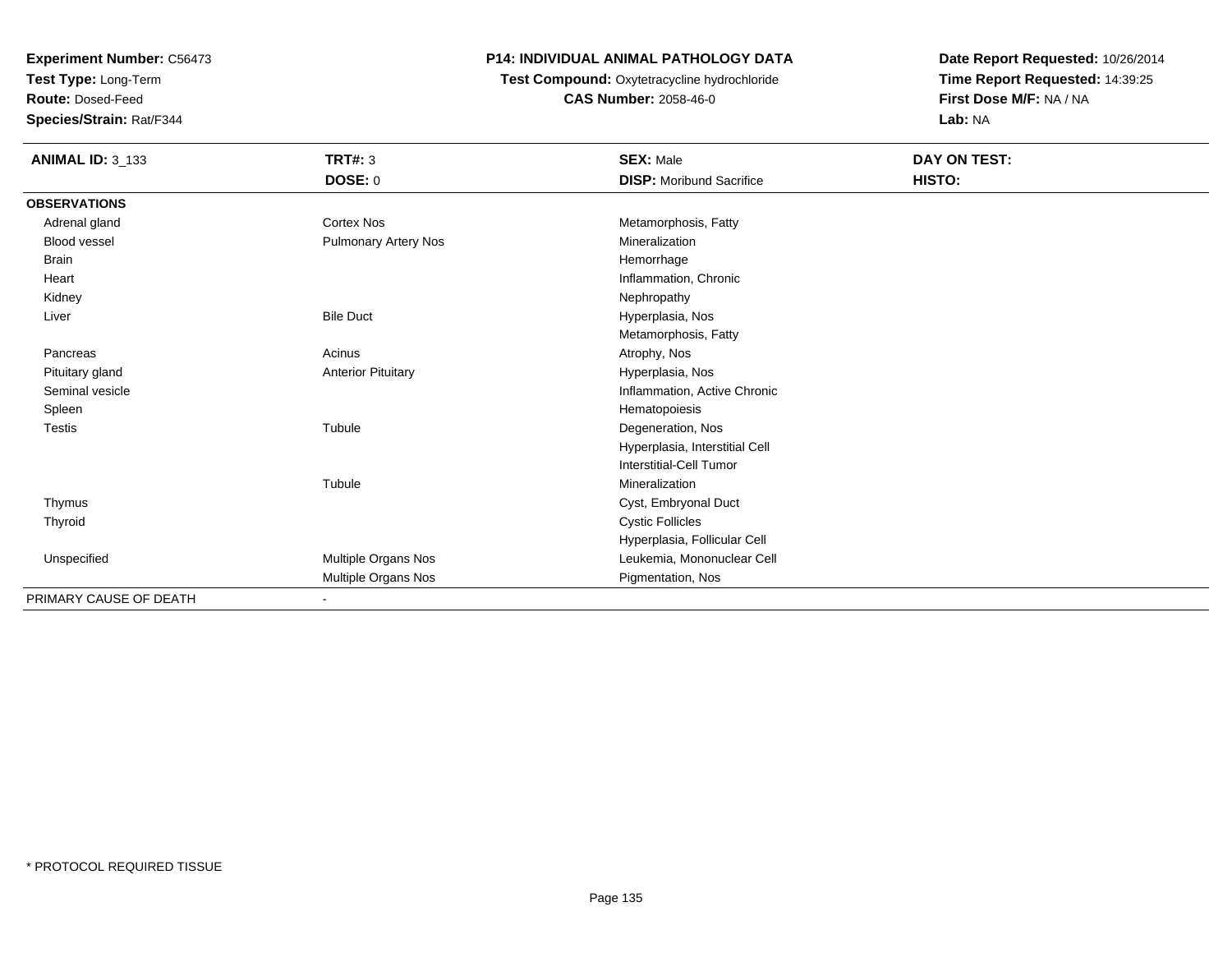**Test Type:** Long-Term

**Route:** Dosed-Feed

**Species/Strain:** Rat/F344

# **P14: INDIVIDUAL ANIMAL PATHOLOGY DATA**

 **Test Compound:** Oxytetracycline hydrochloride**CAS Number:** 2058-46-0

| <b>ANIMAL ID: 3_133</b> | <b>TRT#: 3</b>              | <b>SEX: Male</b>                | DAY ON TEST: |  |
|-------------------------|-----------------------------|---------------------------------|--------------|--|
|                         | DOSE: 0                     | <b>DISP:</b> Moribund Sacrifice | HISTO:       |  |
| <b>OBSERVATIONS</b>     |                             |                                 |              |  |
| Adrenal gland           | <b>Cortex Nos</b>           | Metamorphosis, Fatty            |              |  |
| <b>Blood vessel</b>     | <b>Pulmonary Artery Nos</b> | Mineralization                  |              |  |
| Brain                   |                             | Hemorrhage                      |              |  |
| Heart                   |                             | Inflammation, Chronic           |              |  |
| Kidney                  |                             | Nephropathy                     |              |  |
| Liver                   | <b>Bile Duct</b>            | Hyperplasia, Nos                |              |  |
|                         |                             | Metamorphosis, Fatty            |              |  |
| Pancreas                | Acinus                      | Atrophy, Nos                    |              |  |
| Pituitary gland         | <b>Anterior Pituitary</b>   | Hyperplasia, Nos                |              |  |
| Seminal vesicle         |                             | Inflammation, Active Chronic    |              |  |
| Spleen                  |                             | Hematopoiesis                   |              |  |
| <b>Testis</b>           | Tubule                      | Degeneration, Nos               |              |  |
|                         |                             | Hyperplasia, Interstitial Cell  |              |  |
|                         |                             | <b>Interstitial-Cell Tumor</b>  |              |  |
|                         | Tubule                      | Mineralization                  |              |  |
| Thymus                  |                             | Cyst, Embryonal Duct            |              |  |
| Thyroid                 |                             | <b>Cystic Follicles</b>         |              |  |
|                         |                             | Hyperplasia, Follicular Cell    |              |  |
| Unspecified             | Multiple Organs Nos         | Leukemia, Mononuclear Cell      |              |  |
|                         | Multiple Organs Nos         | Pigmentation, Nos               |              |  |
| PRIMARY CAUSE OF DEATH  |                             |                                 |              |  |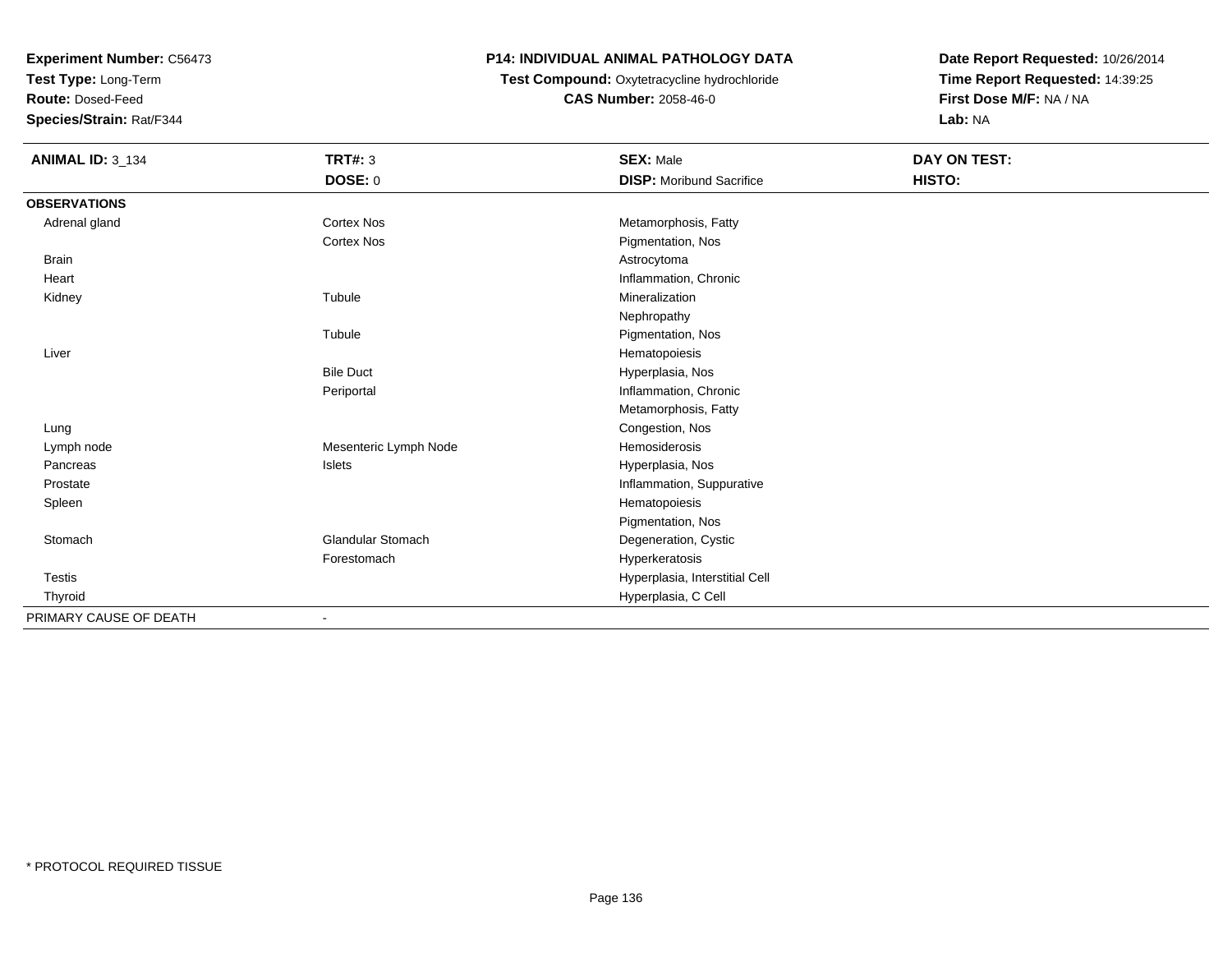**Test Type:** Long-Term

**Route:** Dosed-Feed

**Species/Strain:** Rat/F344

## **P14: INDIVIDUAL ANIMAL PATHOLOGY DATA**

 **Test Compound:** Oxytetracycline hydrochloride**CAS Number:** 2058-46-0

| <b>ANIMAL ID: 3_134</b> | <b>TRT#: 3</b>           | <b>SEX: Male</b>                | DAY ON TEST: |  |
|-------------------------|--------------------------|---------------------------------|--------------|--|
|                         | DOSE: 0                  | <b>DISP:</b> Moribund Sacrifice | HISTO:       |  |
| <b>OBSERVATIONS</b>     |                          |                                 |              |  |
| Adrenal gland           | <b>Cortex Nos</b>        | Metamorphosis, Fatty            |              |  |
|                         | <b>Cortex Nos</b>        | Pigmentation, Nos               |              |  |
| Brain                   |                          | Astrocytoma                     |              |  |
| Heart                   |                          | Inflammation, Chronic           |              |  |
| Kidney                  | Tubule                   | Mineralization                  |              |  |
|                         |                          | Nephropathy                     |              |  |
|                         | Tubule                   | Pigmentation, Nos               |              |  |
| Liver                   |                          | Hematopoiesis                   |              |  |
|                         | <b>Bile Duct</b>         | Hyperplasia, Nos                |              |  |
|                         | Periportal               | Inflammation, Chronic           |              |  |
|                         |                          | Metamorphosis, Fatty            |              |  |
| Lung                    |                          | Congestion, Nos                 |              |  |
| Lymph node              | Mesenteric Lymph Node    | Hemosiderosis                   |              |  |
| Pancreas                | Islets                   | Hyperplasia, Nos                |              |  |
| Prostate                |                          | Inflammation, Suppurative       |              |  |
| Spleen                  |                          | Hematopoiesis                   |              |  |
|                         |                          | Pigmentation, Nos               |              |  |
| Stomach                 | <b>Glandular Stomach</b> | Degeneration, Cystic            |              |  |
|                         | Forestomach              | Hyperkeratosis                  |              |  |
| <b>Testis</b>           |                          | Hyperplasia, Interstitial Cell  |              |  |
| Thyroid                 |                          | Hyperplasia, C Cell             |              |  |
| PRIMARY CAUSE OF DEATH  |                          |                                 |              |  |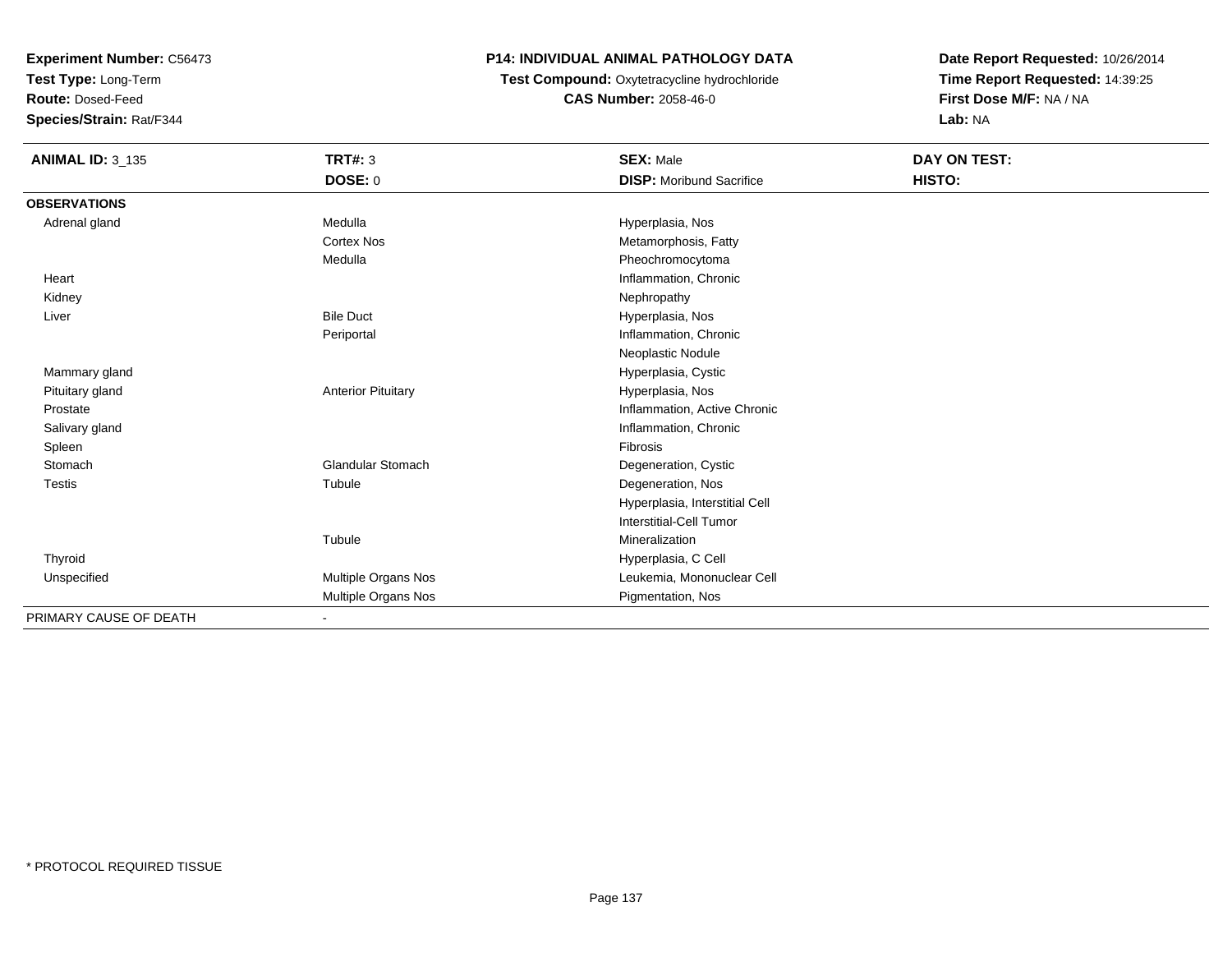**Test Type:** Long-Term

**Route:** Dosed-Feed

**Species/Strain:** Rat/F344

## **P14: INDIVIDUAL ANIMAL PATHOLOGY DATA**

 **Test Compound:** Oxytetracycline hydrochloride**CAS Number:** 2058-46-0

| <b>ANIMAL ID: 3_135</b> | <b>TRT#: 3</b>            | <b>SEX: Male</b>                | <b>DAY ON TEST:</b> |  |
|-------------------------|---------------------------|---------------------------------|---------------------|--|
|                         | <b>DOSE: 0</b>            | <b>DISP:</b> Moribund Sacrifice | HISTO:              |  |
| <b>OBSERVATIONS</b>     |                           |                                 |                     |  |
| Adrenal gland           | Medulla                   | Hyperplasia, Nos                |                     |  |
|                         | <b>Cortex Nos</b>         | Metamorphosis, Fatty            |                     |  |
|                         | Medulla                   | Pheochromocytoma                |                     |  |
| Heart                   |                           | Inflammation, Chronic           |                     |  |
| Kidney                  |                           | Nephropathy                     |                     |  |
| Liver                   | <b>Bile Duct</b>          | Hyperplasia, Nos                |                     |  |
|                         | Periportal                | Inflammation, Chronic           |                     |  |
|                         |                           | Neoplastic Nodule               |                     |  |
| Mammary gland           |                           | Hyperplasia, Cystic             |                     |  |
| Pituitary gland         | <b>Anterior Pituitary</b> | Hyperplasia, Nos                |                     |  |
| Prostate                |                           | Inflammation, Active Chronic    |                     |  |
| Salivary gland          |                           | Inflammation, Chronic           |                     |  |
| Spleen                  |                           | Fibrosis                        |                     |  |
| Stomach                 | <b>Glandular Stomach</b>  | Degeneration, Cystic            |                     |  |
| <b>Testis</b>           | Tubule                    | Degeneration, Nos               |                     |  |
|                         |                           | Hyperplasia, Interstitial Cell  |                     |  |
|                         |                           | <b>Interstitial-Cell Tumor</b>  |                     |  |
|                         | Tubule                    | Mineralization                  |                     |  |
| Thyroid                 |                           | Hyperplasia, C Cell             |                     |  |
| Unspecified             | Multiple Organs Nos       | Leukemia, Mononuclear Cell      |                     |  |
|                         | Multiple Organs Nos       | Pigmentation, Nos               |                     |  |
| PRIMARY CAUSE OF DEATH  |                           |                                 |                     |  |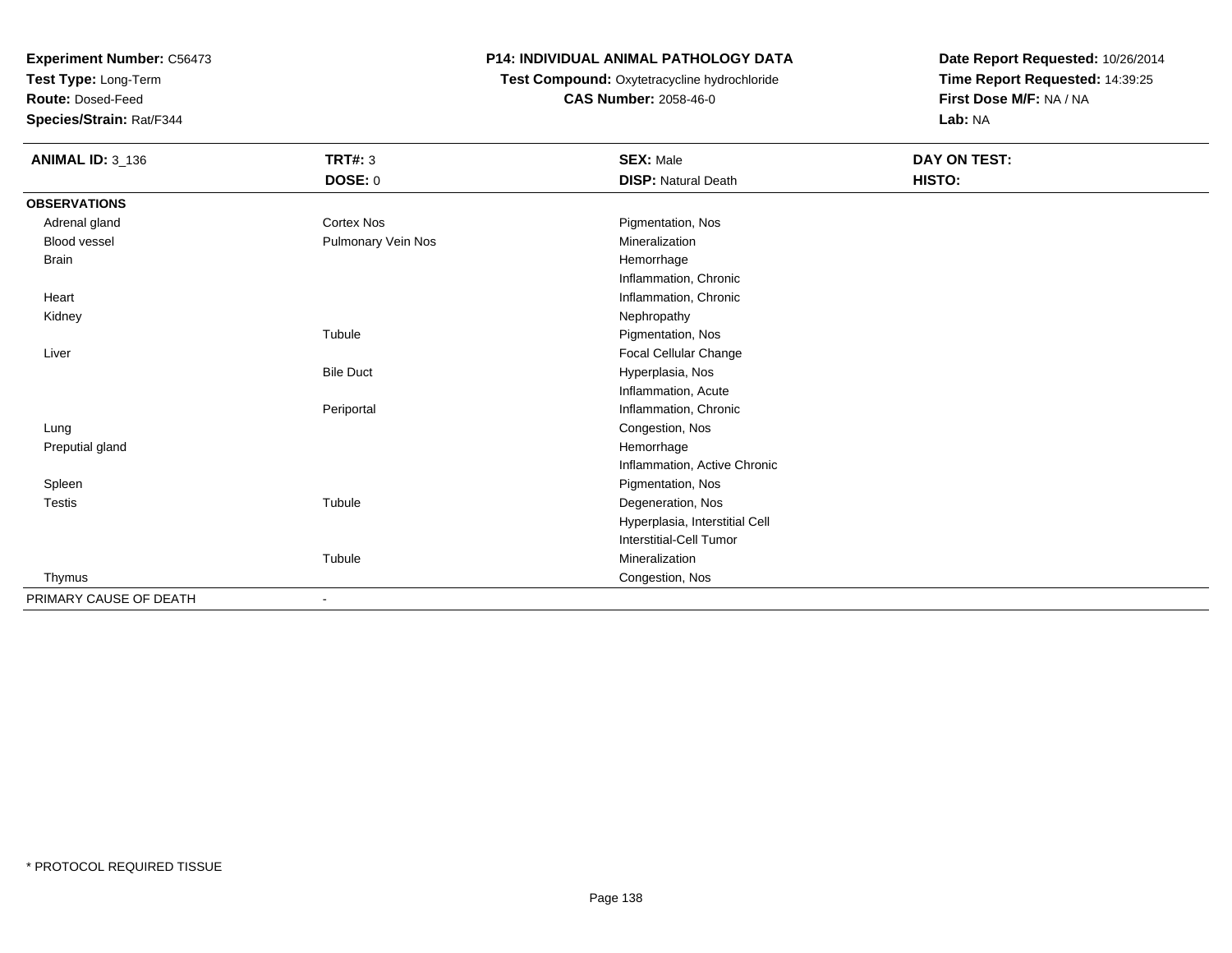**Test Type:** Long-Term

**Route:** Dosed-Feed

**Species/Strain:** Rat/F344

# **P14: INDIVIDUAL ANIMAL PATHOLOGY DATA**

# **Test Compound:** Oxytetracycline hydrochloride**CAS Number:** 2058-46-0

| <b>ANIMAL ID: 3_136</b> | <b>TRT#: 3</b><br>DOSE: 0 | <b>SEX: Male</b><br><b>DISP: Natural Death</b> | DAY ON TEST:<br>HISTO: |
|-------------------------|---------------------------|------------------------------------------------|------------------------|
| <b>OBSERVATIONS</b>     |                           |                                                |                        |
| Adrenal gland           | <b>Cortex Nos</b>         | Pigmentation, Nos                              |                        |
| Blood vessel            | Pulmonary Vein Nos        | Mineralization                                 |                        |
| <b>Brain</b>            |                           | Hemorrhage                                     |                        |
|                         |                           | Inflammation, Chronic                          |                        |
| Heart                   |                           | Inflammation, Chronic                          |                        |
| Kidney                  |                           | Nephropathy                                    |                        |
|                         | Tubule                    | Pigmentation, Nos                              |                        |
| Liver                   |                           | Focal Cellular Change                          |                        |
|                         | <b>Bile Duct</b>          | Hyperplasia, Nos                               |                        |
|                         |                           | Inflammation, Acute                            |                        |
|                         | Periportal                | Inflammation, Chronic                          |                        |
| Lung                    |                           | Congestion, Nos                                |                        |
| Preputial gland         |                           | Hemorrhage                                     |                        |
|                         |                           | Inflammation, Active Chronic                   |                        |
| Spleen                  |                           | Pigmentation, Nos                              |                        |
| Testis                  | Tubule                    | Degeneration, Nos                              |                        |
|                         |                           | Hyperplasia, Interstitial Cell                 |                        |
|                         |                           | <b>Interstitial-Cell Tumor</b>                 |                        |
|                         | Tubule                    | Mineralization                                 |                        |
| Thymus                  |                           | Congestion, Nos                                |                        |
| PRIMARY CAUSE OF DEATH  | $\blacksquare$            |                                                |                        |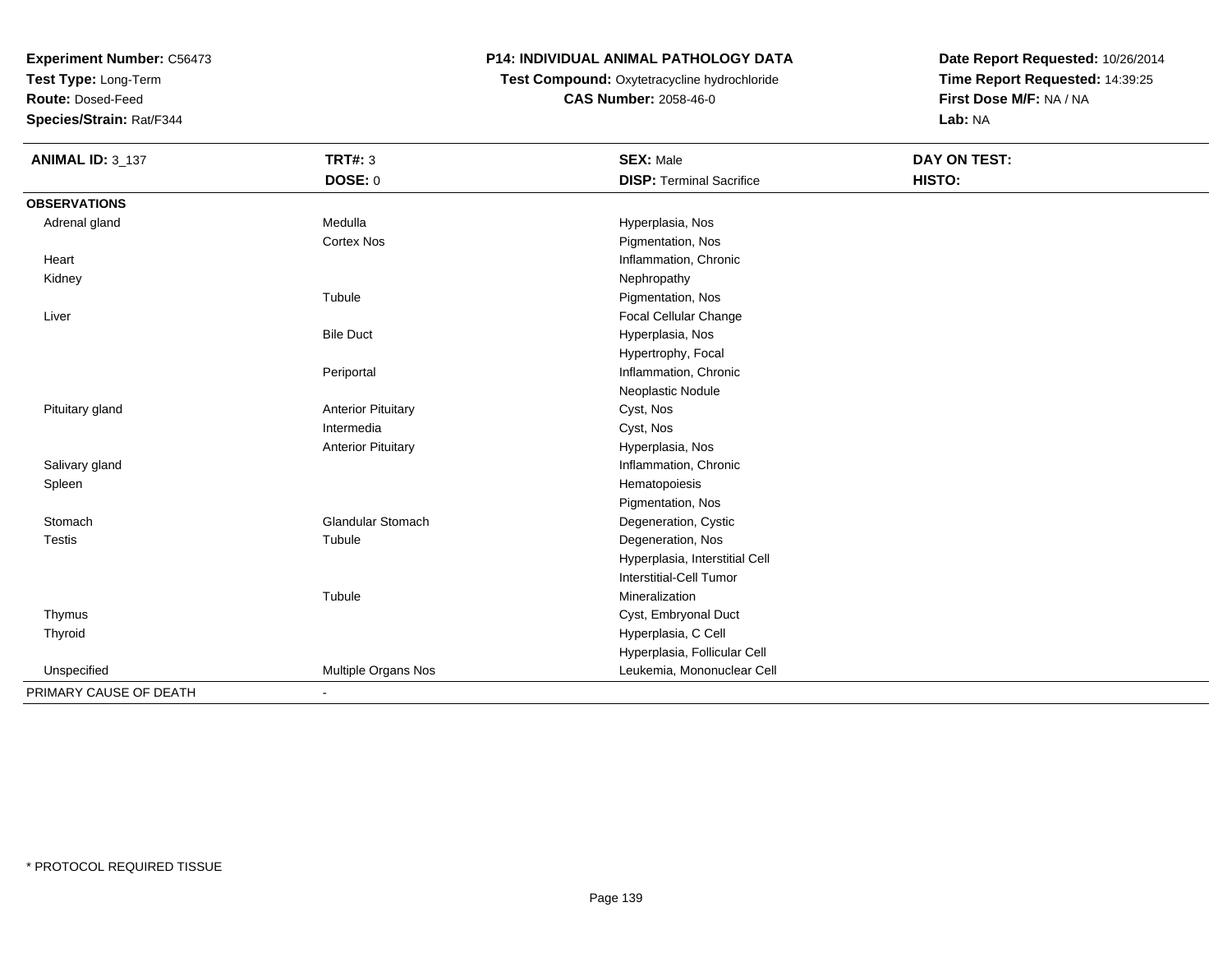**Test Type:** Long-Term

**Route:** Dosed-Feed

**Species/Strain:** Rat/F344

# **P14: INDIVIDUAL ANIMAL PATHOLOGY DATA**

 **Test Compound:** Oxytetracycline hydrochloride**CAS Number:** 2058-46-0

| <b>ANIMAL ID: 3_137</b> | <b>TRT#: 3</b>            | <b>SEX: Male</b>                | <b>DAY ON TEST:</b> |  |
|-------------------------|---------------------------|---------------------------------|---------------------|--|
|                         | DOSE: 0                   | <b>DISP: Terminal Sacrifice</b> | HISTO:              |  |
| <b>OBSERVATIONS</b>     |                           |                                 |                     |  |
| Adrenal gland           | Medulla                   | Hyperplasia, Nos                |                     |  |
|                         | <b>Cortex Nos</b>         | Pigmentation, Nos               |                     |  |
| Heart                   |                           | Inflammation, Chronic           |                     |  |
| Kidney                  |                           | Nephropathy                     |                     |  |
|                         | Tubule                    | Pigmentation, Nos               |                     |  |
| Liver                   |                           | Focal Cellular Change           |                     |  |
|                         | <b>Bile Duct</b>          | Hyperplasia, Nos                |                     |  |
|                         |                           | Hypertrophy, Focal              |                     |  |
|                         | Periportal                | Inflammation, Chronic           |                     |  |
|                         |                           | Neoplastic Nodule               |                     |  |
| Pituitary gland         | <b>Anterior Pituitary</b> | Cyst, Nos                       |                     |  |
|                         | Intermedia                | Cyst, Nos                       |                     |  |
|                         | <b>Anterior Pituitary</b> | Hyperplasia, Nos                |                     |  |
| Salivary gland          |                           | Inflammation, Chronic           |                     |  |
| Spleen                  |                           | Hematopoiesis                   |                     |  |
|                         |                           | Pigmentation, Nos               |                     |  |
| Stomach                 | <b>Glandular Stomach</b>  | Degeneration, Cystic            |                     |  |
| <b>Testis</b>           | Tubule                    | Degeneration, Nos               |                     |  |
|                         |                           | Hyperplasia, Interstitial Cell  |                     |  |
|                         |                           | <b>Interstitial-Cell Tumor</b>  |                     |  |
|                         | Tubule                    | Mineralization                  |                     |  |
| Thymus                  |                           | Cyst, Embryonal Duct            |                     |  |
| Thyroid                 |                           | Hyperplasia, C Cell             |                     |  |
|                         |                           | Hyperplasia, Follicular Cell    |                     |  |
| Unspecified             | Multiple Organs Nos       | Leukemia, Mononuclear Cell      |                     |  |
| PRIMARY CAUSE OF DEATH  | $\overline{\phantom{a}}$  |                                 |                     |  |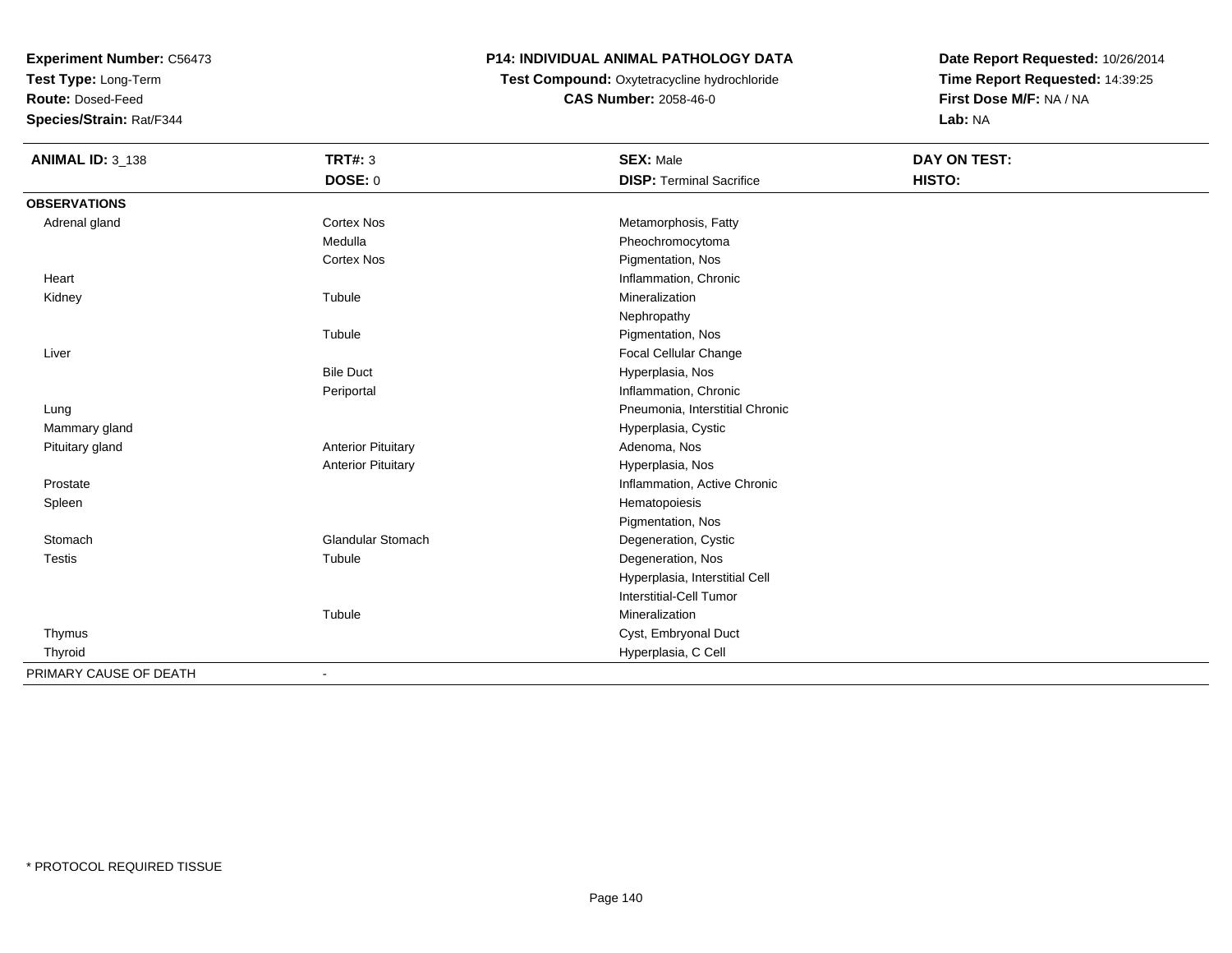**Test Type:** Long-Term

**Route:** Dosed-Feed

**Species/Strain:** Rat/F344

# **P14: INDIVIDUAL ANIMAL PATHOLOGY DATA**

 **Test Compound:** Oxytetracycline hydrochloride**CAS Number:** 2058-46-0

| <b>ANIMAL ID: 3_138</b> | <b>TRT#: 3</b>            | <b>SEX: Male</b>                | DAY ON TEST: |  |
|-------------------------|---------------------------|---------------------------------|--------------|--|
|                         | <b>DOSE: 0</b>            | <b>DISP: Terminal Sacrifice</b> | HISTO:       |  |
| <b>OBSERVATIONS</b>     |                           |                                 |              |  |
| Adrenal gland           | <b>Cortex Nos</b>         | Metamorphosis, Fatty            |              |  |
|                         | Medulla                   | Pheochromocytoma                |              |  |
|                         | <b>Cortex Nos</b>         | Pigmentation, Nos               |              |  |
| Heart                   |                           | Inflammation, Chronic           |              |  |
| Kidney                  | Tubule                    | Mineralization                  |              |  |
|                         |                           | Nephropathy                     |              |  |
|                         | Tubule                    | Pigmentation, Nos               |              |  |
| Liver                   |                           | Focal Cellular Change           |              |  |
|                         | <b>Bile Duct</b>          | Hyperplasia, Nos                |              |  |
|                         | Periportal                | Inflammation, Chronic           |              |  |
| Lung                    |                           | Pneumonia, Interstitial Chronic |              |  |
| Mammary gland           |                           | Hyperplasia, Cystic             |              |  |
| Pituitary gland         | <b>Anterior Pituitary</b> | Adenoma, Nos                    |              |  |
|                         | <b>Anterior Pituitary</b> | Hyperplasia, Nos                |              |  |
| Prostate                |                           | Inflammation, Active Chronic    |              |  |
| Spleen                  |                           | Hematopoiesis                   |              |  |
|                         |                           | Pigmentation, Nos               |              |  |
| Stomach                 | <b>Glandular Stomach</b>  | Degeneration, Cystic            |              |  |
| <b>Testis</b>           | Tubule                    | Degeneration, Nos               |              |  |
|                         |                           | Hyperplasia, Interstitial Cell  |              |  |
|                         |                           | Interstitial-Cell Tumor         |              |  |
|                         | Tubule                    | Mineralization                  |              |  |
| Thymus                  |                           | Cyst, Embryonal Duct            |              |  |
| Thyroid                 |                           | Hyperplasia, C Cell             |              |  |
| PRIMARY CAUSE OF DEATH  |                           |                                 |              |  |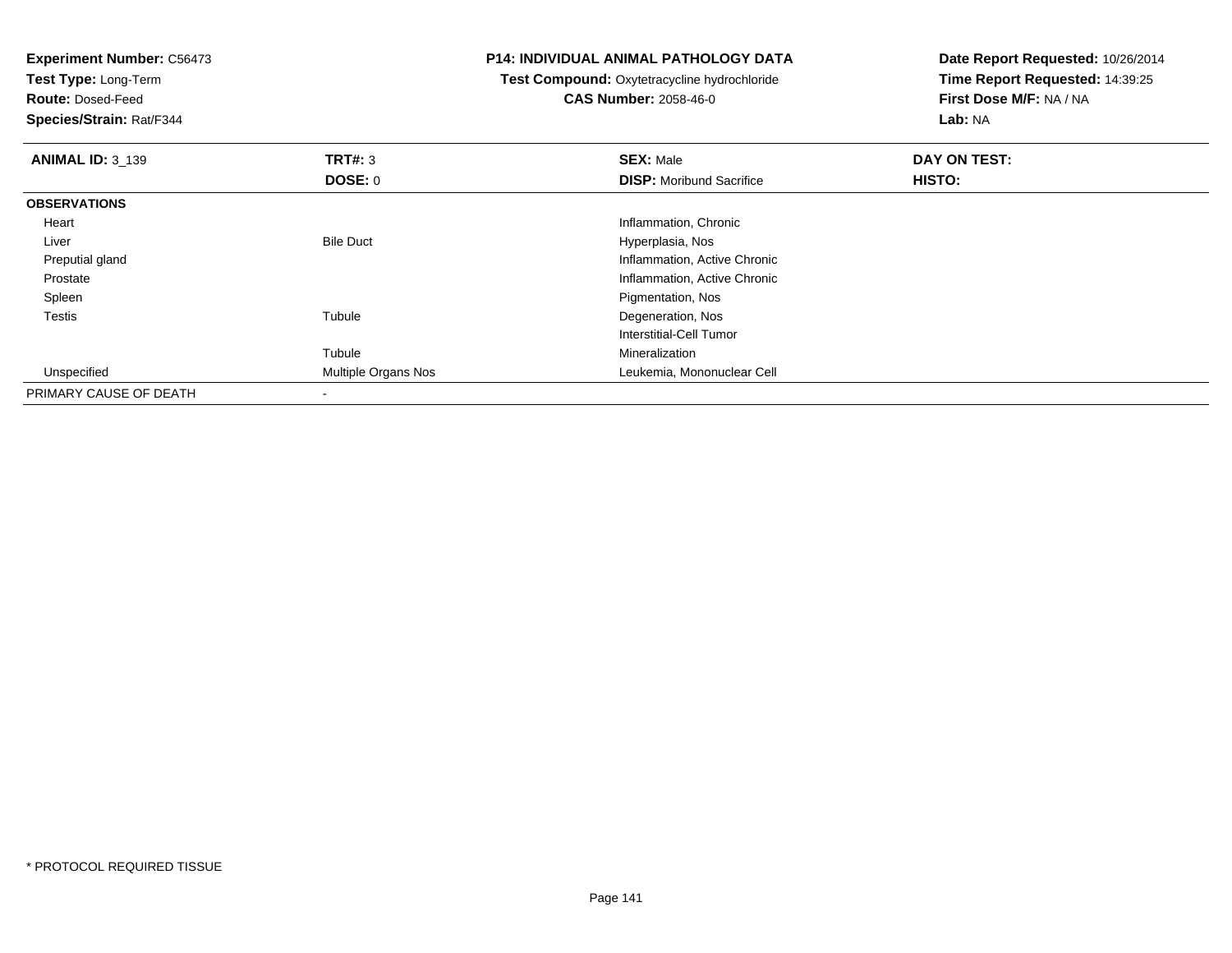**Experiment Number:** C56473**Test Type:** Long-Term**Route:** Dosed-Feed **Species/Strain:** Rat/F344**P14: INDIVIDUAL ANIMAL PATHOLOGY DATATest Compound:** Oxytetracycline hydrochloride**CAS Number:** 2058-46-0**Date Report Requested:** 10/26/2014**Time Report Requested:** 14:39:25**First Dose M/F:** NA / NA**Lab:** NA**ANIMAL ID:** 3\_139**9 SEX:** Male **DAY ON TEST: DAY ON TEST: DOSE:** 0**DISP:** Moribund Sacrifice **HISTO: OBSERVATIONS** Heart Inflammation, Chronic LiverBile Duct **Hyperplasia**, Nos d
and
the contract of the contract of the contract of the contract of the contract of the contract of the contract of the contract of the contract of the contract of the contract of the contract of the contract of the cont Preputial gland Prostate Inflammation, Active Chronic Spleen Pigmentation, Nos Testiss and the contract of the contract of the contract of the contract of the contract of the contract of the contract of the contract of the contract of the contract of the contract of the contract of the contract of the cont Degeneration, Nos Interstitial-Cell TumorTubuleTubule Mineralization<br>
Mineralization<br>
Multiple Organs Nos<br>
Channel Morton Leukemia, Mor UnspecifiedLeukemia, Mononuclear Cell PRIMARY CAUSE OF DEATH-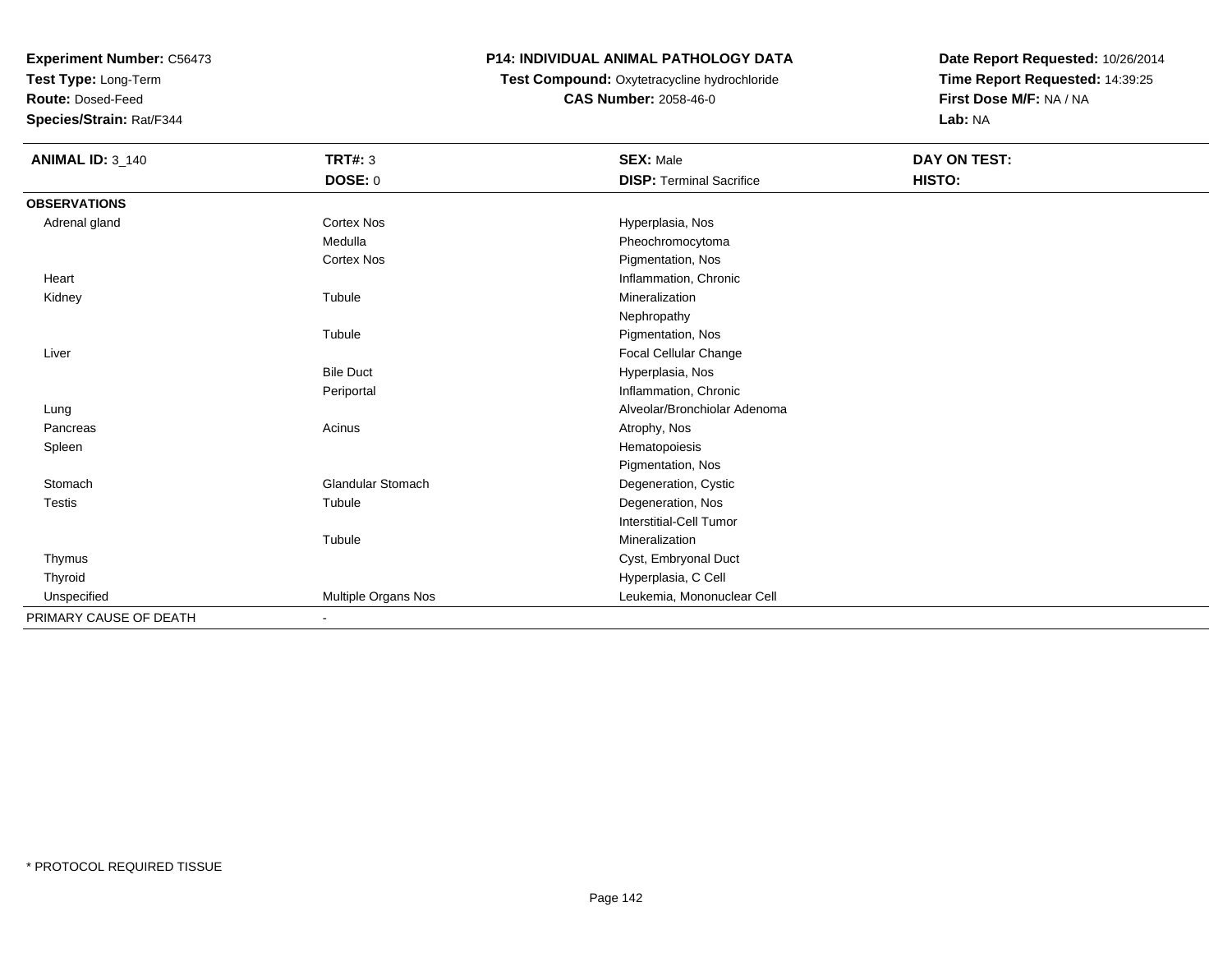**Test Type:** Long-Term

**Route:** Dosed-Feed

**Species/Strain:** Rat/F344

## **P14: INDIVIDUAL ANIMAL PATHOLOGY DATA**

# **Test Compound:** Oxytetracycline hydrochloride**CAS Number:** 2058-46-0

| <b>ANIMAL ID: 3_140</b> | <b>TRT#: 3</b>           | <b>SEX: Male</b>                | <b>DAY ON TEST:</b> |  |
|-------------------------|--------------------------|---------------------------------|---------------------|--|
|                         | DOSE: 0                  | <b>DISP: Terminal Sacrifice</b> | HISTO:              |  |
| <b>OBSERVATIONS</b>     |                          |                                 |                     |  |
| Adrenal gland           | Cortex Nos               | Hyperplasia, Nos                |                     |  |
|                         | Medulla                  | Pheochromocytoma                |                     |  |
|                         | <b>Cortex Nos</b>        | Pigmentation, Nos               |                     |  |
| Heart                   |                          | Inflammation, Chronic           |                     |  |
| Kidney                  | Tubule                   | Mineralization                  |                     |  |
|                         |                          | Nephropathy                     |                     |  |
|                         | Tubule                   | Pigmentation, Nos               |                     |  |
| Liver                   |                          | Focal Cellular Change           |                     |  |
|                         | <b>Bile Duct</b>         | Hyperplasia, Nos                |                     |  |
|                         | Periportal               | Inflammation, Chronic           |                     |  |
| Lung                    |                          | Alveolar/Bronchiolar Adenoma    |                     |  |
| Pancreas                | Acinus                   | Atrophy, Nos                    |                     |  |
| Spleen                  |                          | Hematopoiesis                   |                     |  |
|                         |                          | Pigmentation, Nos               |                     |  |
| Stomach                 | <b>Glandular Stomach</b> | Degeneration, Cystic            |                     |  |
| <b>Testis</b>           | Tubule                   | Degeneration, Nos               |                     |  |
|                         |                          | Interstitial-Cell Tumor         |                     |  |
|                         | Tubule                   | Mineralization                  |                     |  |
| Thymus                  |                          | Cyst, Embryonal Duct            |                     |  |
| Thyroid                 |                          | Hyperplasia, C Cell             |                     |  |
| Unspecified             | Multiple Organs Nos      | Leukemia, Mononuclear Cell      |                     |  |
| PRIMARY CAUSE OF DEATH  |                          |                                 |                     |  |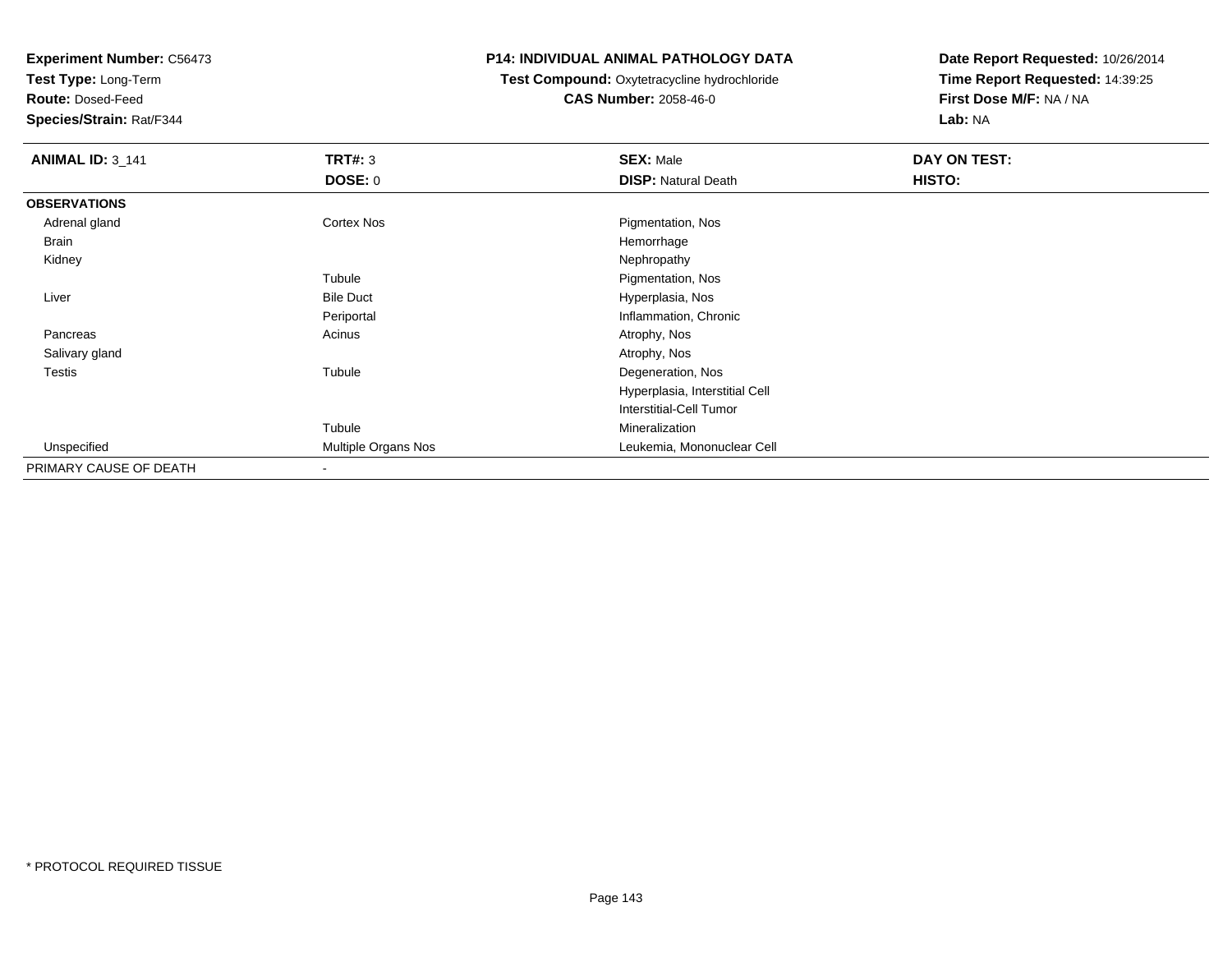**Test Type:** Long-Term

**Route:** Dosed-Feed

**Species/Strain:** Rat/F344

#### **P14: INDIVIDUAL ANIMAL PATHOLOGY DATA**

**Test Compound:** Oxytetracycline hydrochloride**CAS Number:** 2058-46-0

| <b>ANIMAL ID: 3_141</b> | <b>TRT#: 3</b>      | <b>SEX: Male</b>               | DAY ON TEST: |  |
|-------------------------|---------------------|--------------------------------|--------------|--|
|                         | <b>DOSE: 0</b>      | <b>DISP: Natural Death</b>     | HISTO:       |  |
| <b>OBSERVATIONS</b>     |                     |                                |              |  |
| Adrenal gland           | Cortex Nos          | Pigmentation, Nos              |              |  |
| Brain                   |                     | Hemorrhage                     |              |  |
| Kidney                  |                     | Nephropathy                    |              |  |
|                         | Tubule              | Pigmentation, Nos              |              |  |
| Liver                   | <b>Bile Duct</b>    | Hyperplasia, Nos               |              |  |
|                         | Periportal          | Inflammation, Chronic          |              |  |
| Pancreas                | Acinus              | Atrophy, Nos                   |              |  |
| Salivary gland          |                     | Atrophy, Nos                   |              |  |
| <b>Testis</b>           | Tubule              | Degeneration, Nos              |              |  |
|                         |                     | Hyperplasia, Interstitial Cell |              |  |
|                         |                     | Interstitial-Cell Tumor        |              |  |
|                         | Tubule              | Mineralization                 |              |  |
| Unspecified             | Multiple Organs Nos | Leukemia, Mononuclear Cell     |              |  |
| PRIMARY CAUSE OF DEATH  |                     |                                |              |  |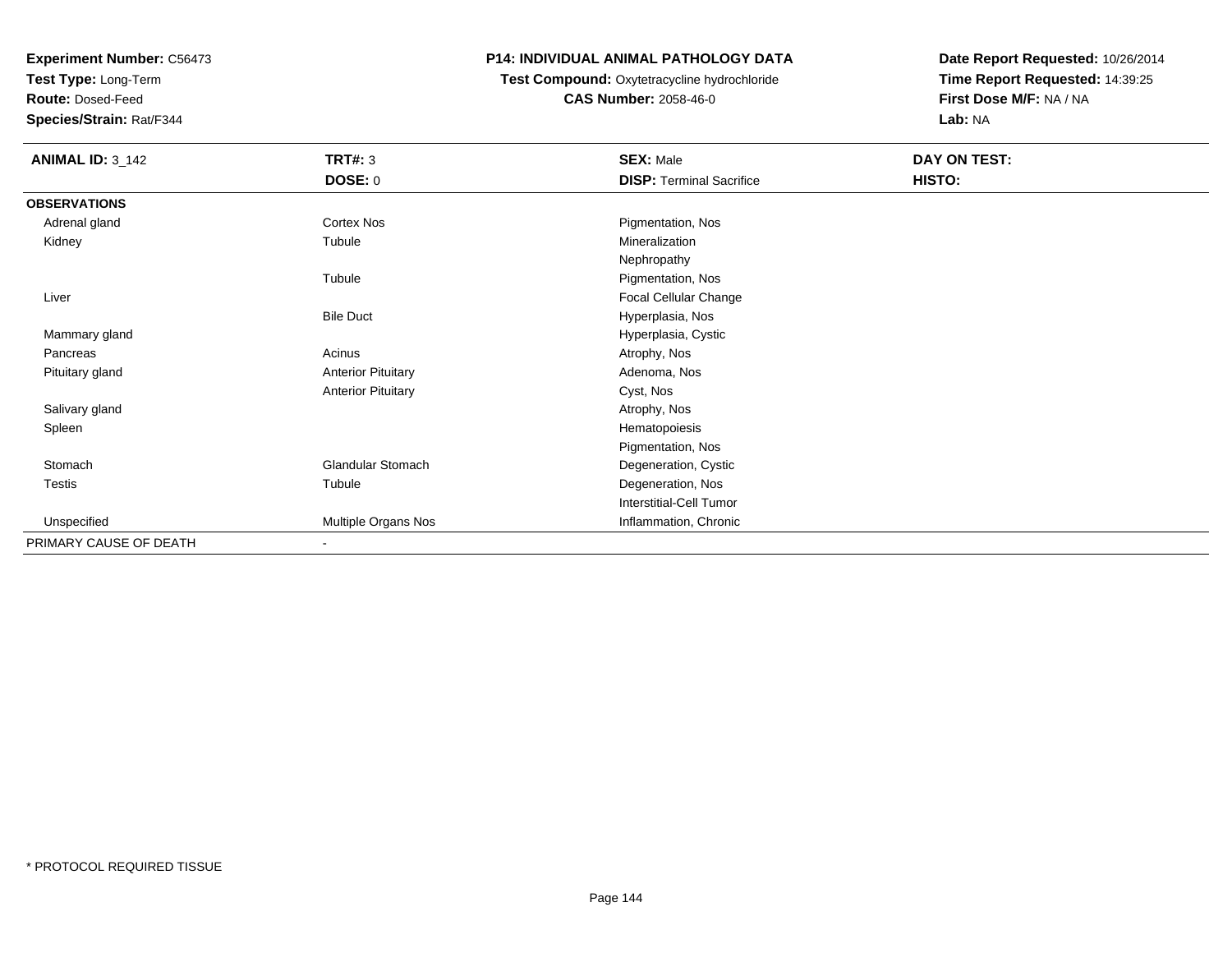**Test Type:** Long-Term

**Route:** Dosed-Feed

**Species/Strain:** Rat/F344

#### **P14: INDIVIDUAL ANIMAL PATHOLOGY DATA**

**Test Compound:** Oxytetracycline hydrochloride**CAS Number:** 2058-46-0

| <b>ANIMAL ID: 3_142</b> | <b>TRT#: 3</b>            | <b>SEX: Male</b>                | DAY ON TEST: |
|-------------------------|---------------------------|---------------------------------|--------------|
|                         | <b>DOSE: 0</b>            | <b>DISP: Terminal Sacrifice</b> | HISTO:       |
| <b>OBSERVATIONS</b>     |                           |                                 |              |
| Adrenal gland           | Cortex Nos                | Pigmentation, Nos               |              |
| Kidney                  | Tubule                    | Mineralization                  |              |
|                         |                           | Nephropathy                     |              |
|                         | Tubule                    | Pigmentation, Nos               |              |
| Liver                   |                           | Focal Cellular Change           |              |
|                         | <b>Bile Duct</b>          | Hyperplasia, Nos                |              |
| Mammary gland           |                           | Hyperplasia, Cystic             |              |
| Pancreas                | Acinus                    | Atrophy, Nos                    |              |
| Pituitary gland         | <b>Anterior Pituitary</b> | Adenoma, Nos                    |              |
|                         | <b>Anterior Pituitary</b> | Cyst, Nos                       |              |
| Salivary gland          |                           | Atrophy, Nos                    |              |
| Spleen                  |                           | Hematopoiesis                   |              |
|                         |                           | Pigmentation, Nos               |              |
| Stomach                 | <b>Glandular Stomach</b>  | Degeneration, Cystic            |              |
| Testis                  | Tubule                    | Degeneration, Nos               |              |
|                         |                           | <b>Interstitial-Cell Tumor</b>  |              |
| Unspecified             | Multiple Organs Nos       | Inflammation, Chronic           |              |
| PRIMARY CAUSE OF DEATH  | $\blacksquare$            |                                 |              |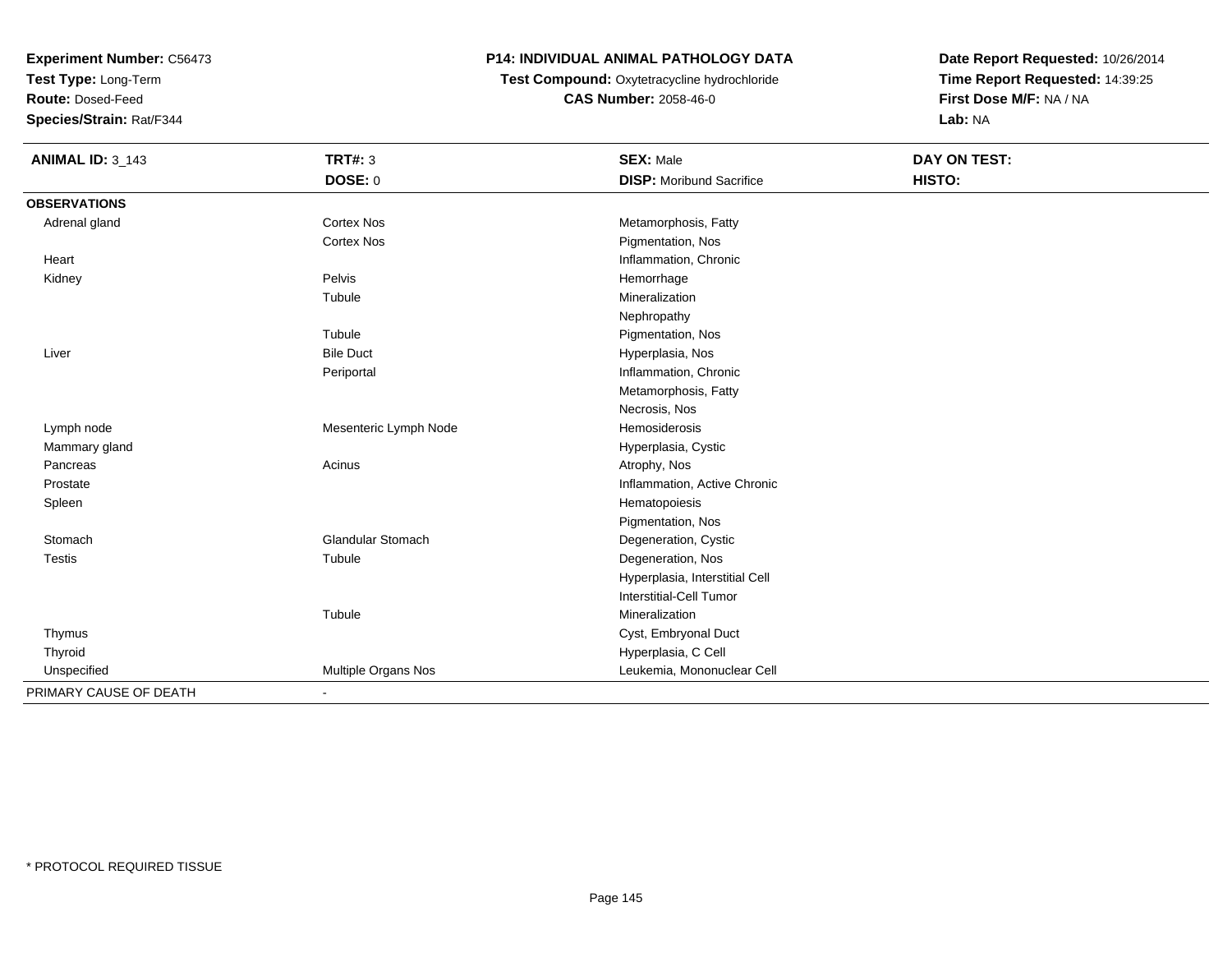**Test Type:** Long-Term

**Route:** Dosed-Feed

**Species/Strain:** Rat/F344

### **P14: INDIVIDUAL ANIMAL PATHOLOGY DATA**

 **Test Compound:** Oxytetracycline hydrochloride**CAS Number:** 2058-46-0

| <b>ANIMAL ID: 3_143</b> | <b>TRT#: 3</b>           | <b>SEX: Male</b>                | DAY ON TEST: |  |
|-------------------------|--------------------------|---------------------------------|--------------|--|
|                         | DOSE: 0                  | <b>DISP:</b> Moribund Sacrifice | HISTO:       |  |
| <b>OBSERVATIONS</b>     |                          |                                 |              |  |
| Adrenal gland           | <b>Cortex Nos</b>        | Metamorphosis, Fatty            |              |  |
|                         | <b>Cortex Nos</b>        | Pigmentation, Nos               |              |  |
| Heart                   |                          | Inflammation, Chronic           |              |  |
| Kidney                  | Pelvis                   | Hemorrhage                      |              |  |
|                         | Tubule                   | Mineralization                  |              |  |
|                         |                          | Nephropathy                     |              |  |
|                         | Tubule                   | Pigmentation, Nos               |              |  |
| Liver                   | <b>Bile Duct</b>         | Hyperplasia, Nos                |              |  |
|                         | Periportal               | Inflammation, Chronic           |              |  |
|                         |                          | Metamorphosis, Fatty            |              |  |
|                         |                          | Necrosis, Nos                   |              |  |
| Lymph node              | Mesenteric Lymph Node    | <b>Hemosiderosis</b>            |              |  |
| Mammary gland           |                          | Hyperplasia, Cystic             |              |  |
| Pancreas                | Acinus                   | Atrophy, Nos                    |              |  |
| Prostate                |                          | Inflammation, Active Chronic    |              |  |
| Spleen                  |                          | Hematopoiesis                   |              |  |
|                         |                          | Pigmentation, Nos               |              |  |
| Stomach                 | <b>Glandular Stomach</b> | Degeneration, Cystic            |              |  |
| <b>Testis</b>           | Tubule                   | Degeneration, Nos               |              |  |
|                         |                          | Hyperplasia, Interstitial Cell  |              |  |
|                         |                          | <b>Interstitial-Cell Tumor</b>  |              |  |
|                         | Tubule                   | Mineralization                  |              |  |
| Thymus                  |                          | Cyst, Embryonal Duct            |              |  |
| Thyroid                 |                          | Hyperplasia, C Cell             |              |  |
| Unspecified             | Multiple Organs Nos      | Leukemia, Mononuclear Cell      |              |  |
| PRIMARY CAUSE OF DEATH  | $\overline{\phantom{a}}$ |                                 |              |  |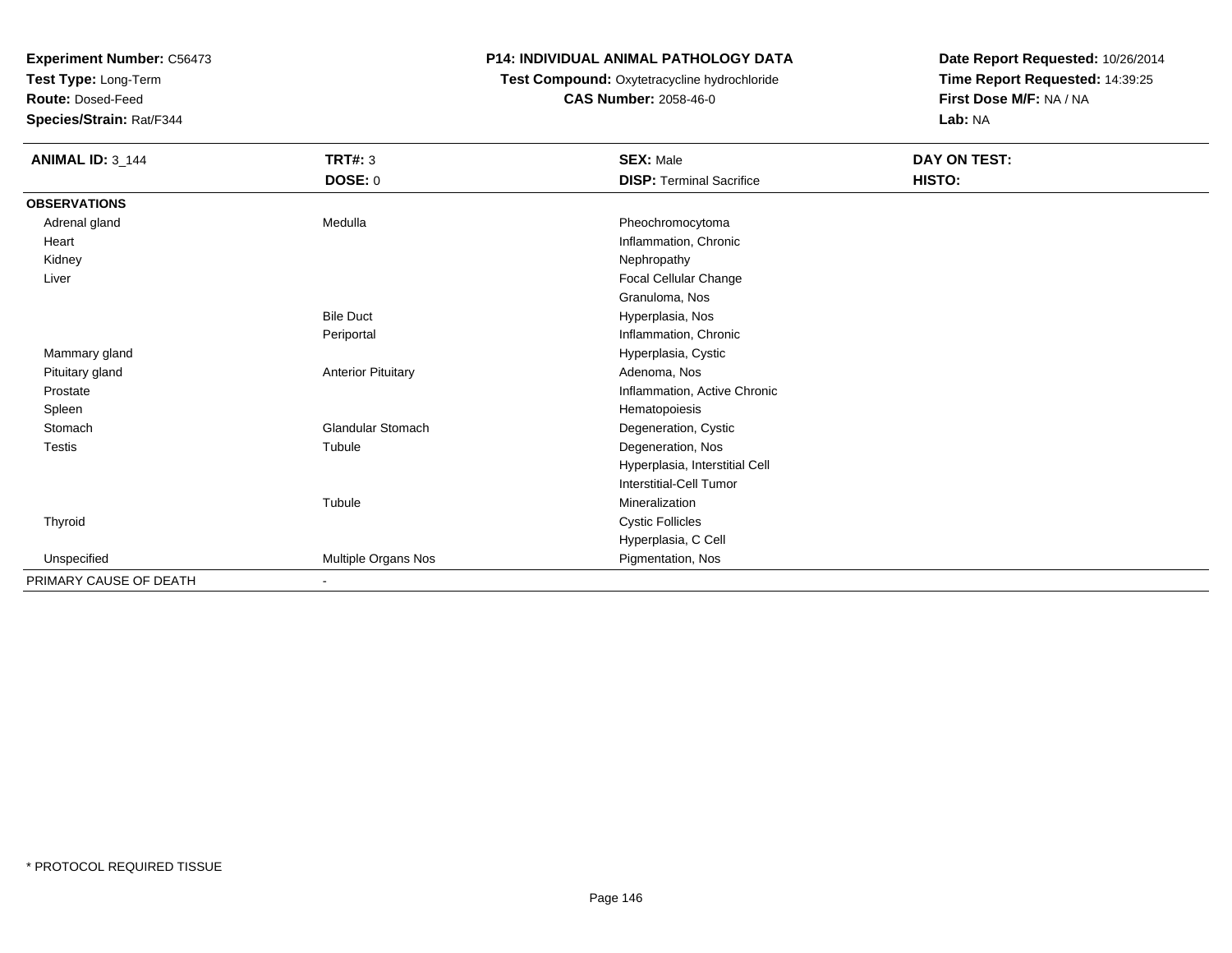**Test Type:** Long-Term

**Route:** Dosed-Feed

**Species/Strain:** Rat/F344

### **P14: INDIVIDUAL ANIMAL PATHOLOGY DATA**

 **Test Compound:** Oxytetracycline hydrochloride**CAS Number:** 2058-46-0

| <b>ANIMAL ID: 3_144</b> | <b>TRT#: 3</b>            | <b>SEX: Male</b>                | DAY ON TEST: |  |
|-------------------------|---------------------------|---------------------------------|--------------|--|
|                         | DOSE: 0                   | <b>DISP: Terminal Sacrifice</b> | HISTO:       |  |
| <b>OBSERVATIONS</b>     |                           |                                 |              |  |
| Adrenal gland           | Medulla                   | Pheochromocytoma                |              |  |
| Heart                   |                           | Inflammation, Chronic           |              |  |
| Kidney                  |                           | Nephropathy                     |              |  |
| Liver                   |                           | Focal Cellular Change           |              |  |
|                         |                           | Granuloma, Nos                  |              |  |
|                         | <b>Bile Duct</b>          | Hyperplasia, Nos                |              |  |
|                         | Periportal                | Inflammation, Chronic           |              |  |
| Mammary gland           |                           | Hyperplasia, Cystic             |              |  |
| Pituitary gland         | <b>Anterior Pituitary</b> | Adenoma, Nos                    |              |  |
| Prostate                |                           | Inflammation, Active Chronic    |              |  |
| Spleen                  |                           | Hematopoiesis                   |              |  |
| Stomach                 | <b>Glandular Stomach</b>  | Degeneration, Cystic            |              |  |
| Testis                  | Tubule                    | Degeneration, Nos               |              |  |
|                         |                           | Hyperplasia, Interstitial Cell  |              |  |
|                         |                           | <b>Interstitial-Cell Tumor</b>  |              |  |
|                         | Tubule                    | Mineralization                  |              |  |
| Thyroid                 |                           | <b>Cystic Follicles</b>         |              |  |
|                         |                           | Hyperplasia, C Cell             |              |  |
| Unspecified             | Multiple Organs Nos       | Pigmentation, Nos               |              |  |
| PRIMARY CAUSE OF DEATH  |                           |                                 |              |  |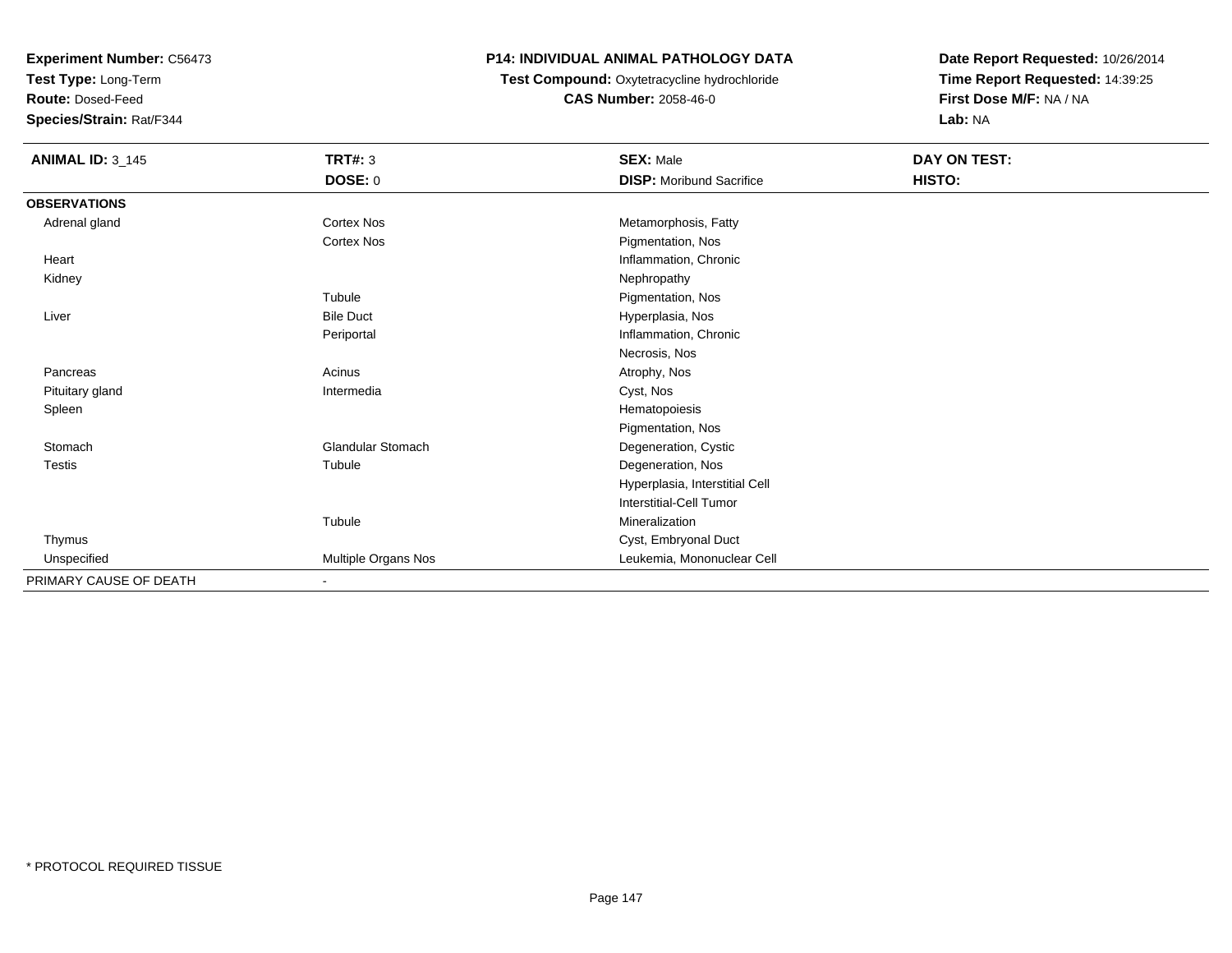**Test Type:** Long-Term

**Route:** Dosed-Feed

**Species/Strain:** Rat/F344

### **P14: INDIVIDUAL ANIMAL PATHOLOGY DATA**

**Test Compound:** Oxytetracycline hydrochloride**CAS Number:** 2058-46-0

| <b>ANIMAL ID: 3_145</b> | TRT#: 3                  | <b>SEX: Male</b>                | DAY ON TEST: |  |
|-------------------------|--------------------------|---------------------------------|--------------|--|
|                         | DOSE: 0                  | <b>DISP:</b> Moribund Sacrifice | HISTO:       |  |
| <b>OBSERVATIONS</b>     |                          |                                 |              |  |
| Adrenal gland           | Cortex Nos               | Metamorphosis, Fatty            |              |  |
|                         | <b>Cortex Nos</b>        | Pigmentation, Nos               |              |  |
| Heart                   |                          | Inflammation, Chronic           |              |  |
| Kidney                  |                          | Nephropathy                     |              |  |
|                         | Tubule                   | Pigmentation, Nos               |              |  |
| Liver                   | <b>Bile Duct</b>         | Hyperplasia, Nos                |              |  |
|                         | Periportal               | Inflammation, Chronic           |              |  |
|                         |                          | Necrosis, Nos                   |              |  |
| Pancreas                | Acinus                   | Atrophy, Nos                    |              |  |
| Pituitary gland         | Intermedia               | Cyst, Nos                       |              |  |
| Spleen                  |                          | Hematopoiesis                   |              |  |
|                         |                          | Pigmentation, Nos               |              |  |
| Stomach                 | <b>Glandular Stomach</b> | Degeneration, Cystic            |              |  |
| <b>Testis</b>           | Tubule                   | Degeneration, Nos               |              |  |
|                         |                          | Hyperplasia, Interstitial Cell  |              |  |
|                         |                          | Interstitial-Cell Tumor         |              |  |
|                         | Tubule                   | Mineralization                  |              |  |
| Thymus                  |                          | Cyst, Embryonal Duct            |              |  |
| Unspecified             | Multiple Organs Nos      | Leukemia, Mononuclear Cell      |              |  |
| PRIMARY CAUSE OF DEATH  | ٠                        |                                 |              |  |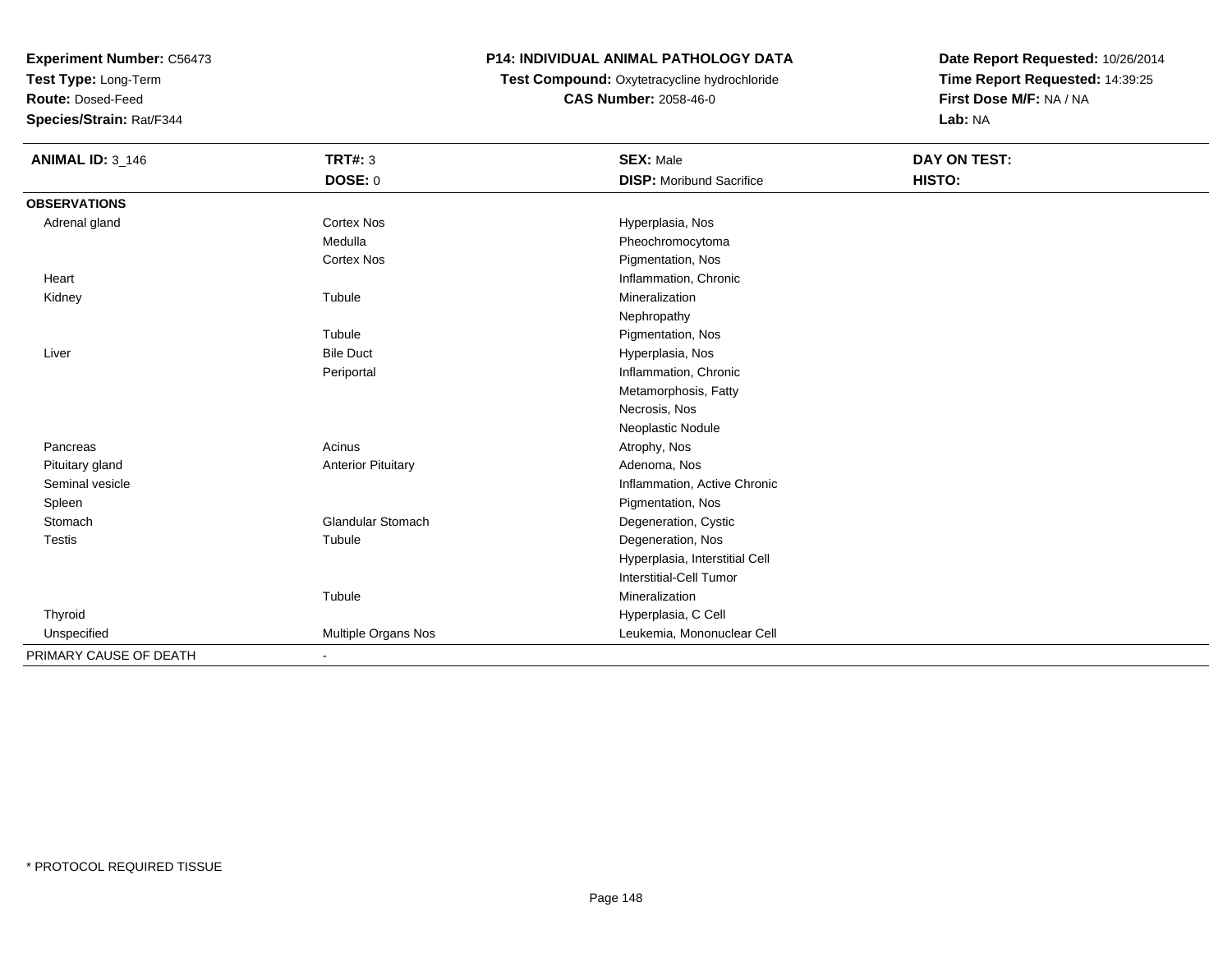**Test Type:** Long-Term

**Route:** Dosed-Feed

**Species/Strain:** Rat/F344

### **P14: INDIVIDUAL ANIMAL PATHOLOGY DATA**

## **Test Compound:** Oxytetracycline hydrochloride**CAS Number:** 2058-46-0

| <b>ANIMAL ID: 3_146</b> | <b>TRT#: 3</b>               | <b>SEX: Male</b>                | DAY ON TEST: |  |
|-------------------------|------------------------------|---------------------------------|--------------|--|
|                         | <b>DOSE: 0</b>               | <b>DISP:</b> Moribund Sacrifice | HISTO:       |  |
| <b>OBSERVATIONS</b>     |                              |                                 |              |  |
| Adrenal gland           | <b>Cortex Nos</b>            | Hyperplasia, Nos                |              |  |
|                         | Medulla                      | Pheochromocytoma                |              |  |
|                         | <b>Cortex Nos</b>            | Pigmentation, Nos               |              |  |
| Heart                   |                              | Inflammation, Chronic           |              |  |
| Kidney                  | Tubule                       | Mineralization                  |              |  |
|                         |                              | Nephropathy                     |              |  |
|                         | Tubule                       | Pigmentation, Nos               |              |  |
| Liver                   | <b>Bile Duct</b>             | Hyperplasia, Nos                |              |  |
|                         | Periportal                   | Inflammation, Chronic           |              |  |
|                         |                              | Metamorphosis, Fatty            |              |  |
|                         |                              | Necrosis, Nos                   |              |  |
|                         |                              | Neoplastic Nodule               |              |  |
| Pancreas                | Acinus                       | Atrophy, Nos                    |              |  |
| Pituitary gland         | <b>Anterior Pituitary</b>    | Adenoma, Nos                    |              |  |
| Seminal vesicle         |                              | Inflammation, Active Chronic    |              |  |
| Spleen                  |                              | Pigmentation, Nos               |              |  |
| Stomach                 | <b>Glandular Stomach</b>     | Degeneration, Cystic            |              |  |
| <b>Testis</b>           | Tubule                       | Degeneration, Nos               |              |  |
|                         |                              | Hyperplasia, Interstitial Cell  |              |  |
|                         |                              | <b>Interstitial-Cell Tumor</b>  |              |  |
|                         | Tubule                       | Mineralization                  |              |  |
| Thyroid                 |                              | Hyperplasia, C Cell             |              |  |
| Unspecified             | Multiple Organs Nos          | Leukemia, Mononuclear Cell      |              |  |
| PRIMARY CAUSE OF DEATH  | $\qquad \qquad \blacksquare$ |                                 |              |  |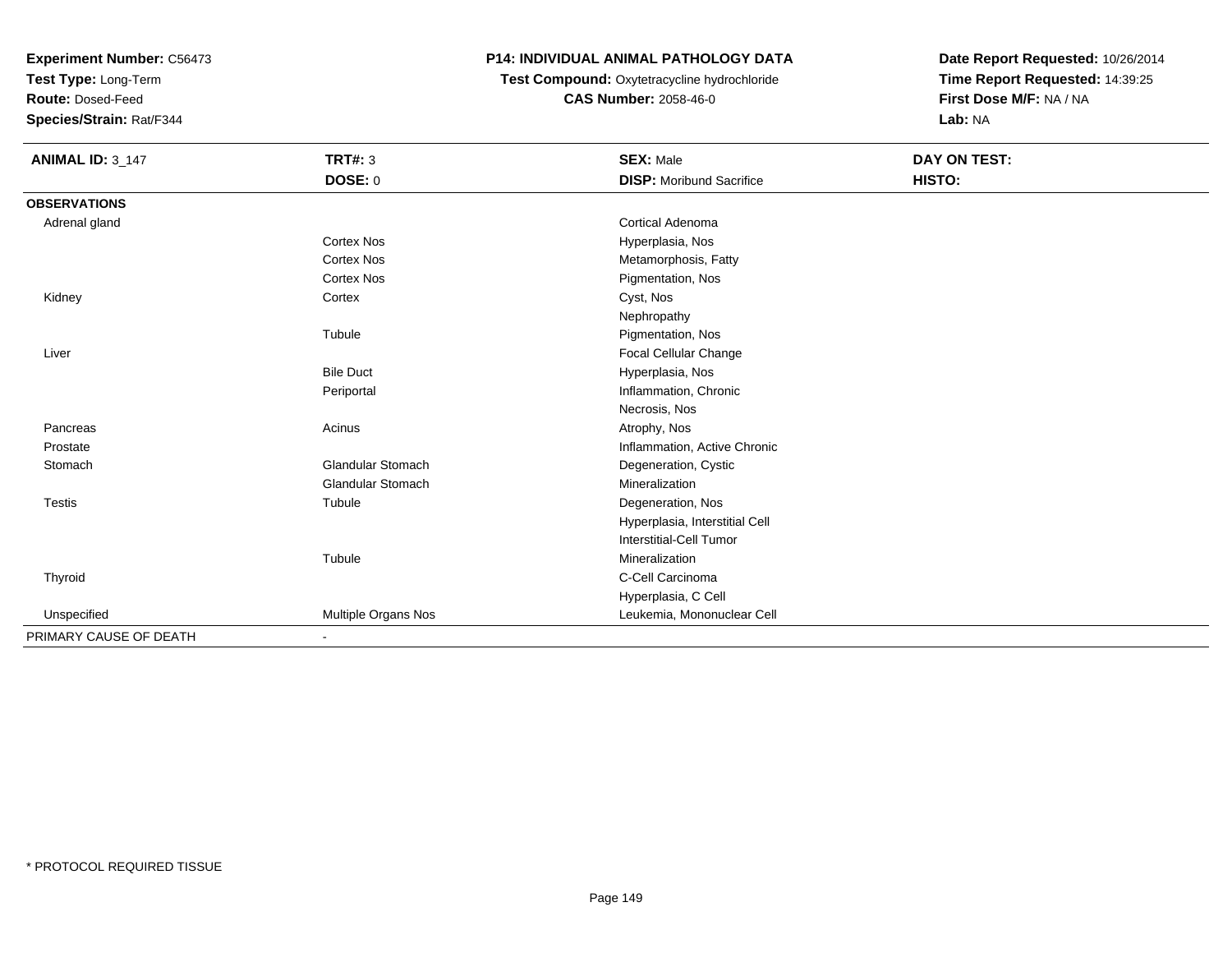**Test Type:** Long-Term

**Route:** Dosed-Feed

**Species/Strain:** Rat/F344

### **P14: INDIVIDUAL ANIMAL PATHOLOGY DATA**

**Test Compound:** Oxytetracycline hydrochloride**CAS Number:** 2058-46-0

| <b>ANIMAL ID: 3_147</b> | <b>TRT#: 3</b>               | <b>SEX: Male</b>                | <b>DAY ON TEST:</b> |  |
|-------------------------|------------------------------|---------------------------------|---------------------|--|
|                         | DOSE: 0                      | <b>DISP: Moribund Sacrifice</b> | HISTO:              |  |
| <b>OBSERVATIONS</b>     |                              |                                 |                     |  |
| Adrenal gland           |                              | Cortical Adenoma                |                     |  |
|                         | <b>Cortex Nos</b>            | Hyperplasia, Nos                |                     |  |
|                         | <b>Cortex Nos</b>            | Metamorphosis, Fatty            |                     |  |
|                         | <b>Cortex Nos</b>            | Pigmentation, Nos               |                     |  |
| Kidney                  | Cortex                       | Cyst, Nos                       |                     |  |
|                         |                              | Nephropathy                     |                     |  |
|                         | Tubule                       | Pigmentation, Nos               |                     |  |
| Liver                   |                              | <b>Focal Cellular Change</b>    |                     |  |
|                         | <b>Bile Duct</b>             | Hyperplasia, Nos                |                     |  |
|                         | Periportal                   | Inflammation, Chronic           |                     |  |
|                         |                              | Necrosis, Nos                   |                     |  |
| Pancreas                | Acinus                       | Atrophy, Nos                    |                     |  |
| Prostate                |                              | Inflammation, Active Chronic    |                     |  |
| Stomach                 | <b>Glandular Stomach</b>     | Degeneration, Cystic            |                     |  |
|                         | Glandular Stomach            | Mineralization                  |                     |  |
| <b>Testis</b>           | Tubule                       | Degeneration, Nos               |                     |  |
|                         |                              | Hyperplasia, Interstitial Cell  |                     |  |
|                         |                              | Interstitial-Cell Tumor         |                     |  |
|                         | Tubule                       | Mineralization                  |                     |  |
| Thyroid                 |                              | C-Cell Carcinoma                |                     |  |
|                         |                              | Hyperplasia, C Cell             |                     |  |
| Unspecified             | Multiple Organs Nos          | Leukemia, Mononuclear Cell      |                     |  |
| PRIMARY CAUSE OF DEATH  | $\qquad \qquad \blacksquare$ |                                 |                     |  |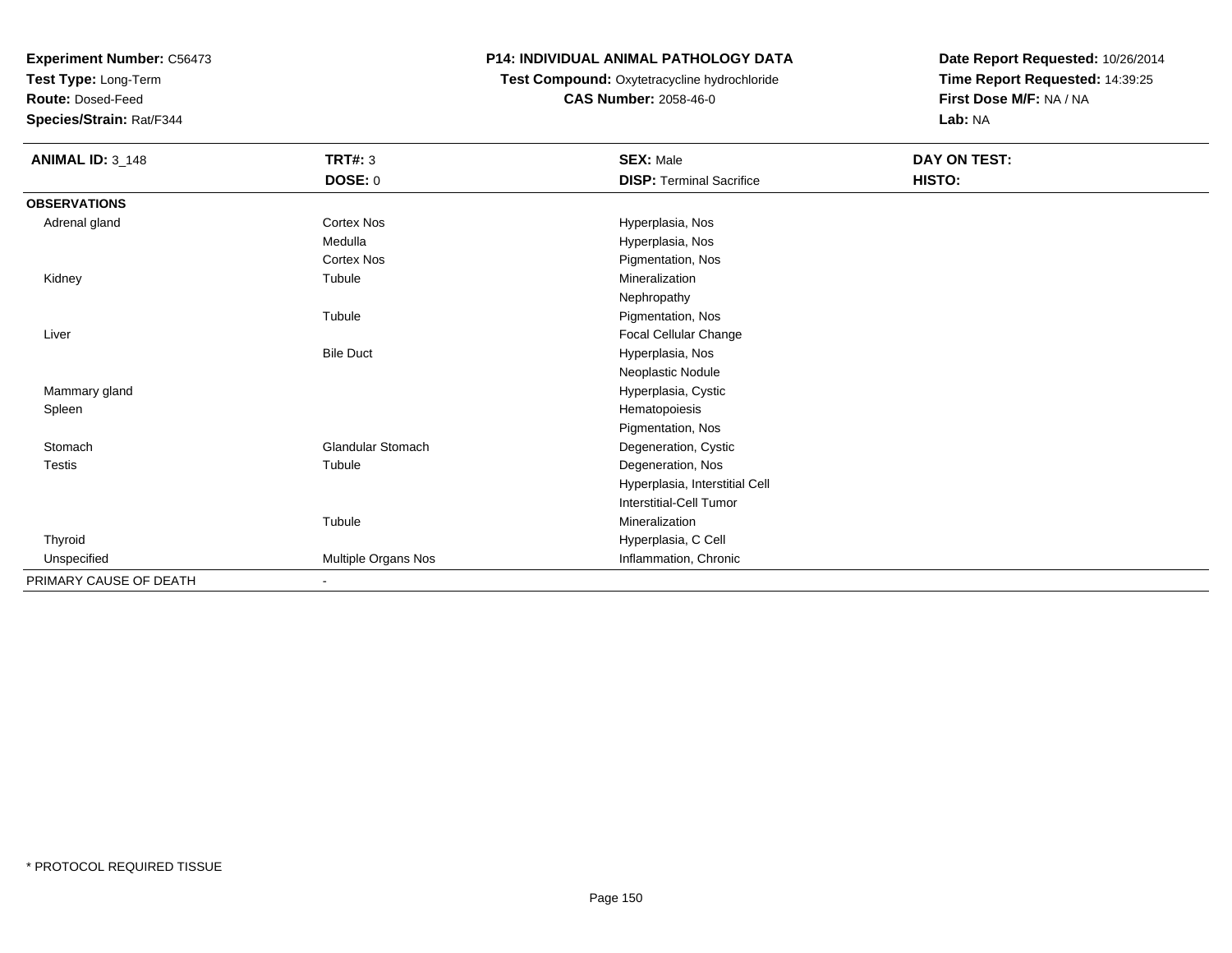**Test Type:** Long-Term

**Route:** Dosed-Feed

**Species/Strain:** Rat/F344

### **P14: INDIVIDUAL ANIMAL PATHOLOGY DATA**

 **Test Compound:** Oxytetracycline hydrochloride**CAS Number:** 2058-46-0

| <b>ANIMAL ID: 3_148</b> | <b>TRT#: 3</b>      | <b>SEX: Male</b>                | DAY ON TEST: |  |
|-------------------------|---------------------|---------------------------------|--------------|--|
|                         | <b>DOSE: 0</b>      | <b>DISP: Terminal Sacrifice</b> | HISTO:       |  |
| <b>OBSERVATIONS</b>     |                     |                                 |              |  |
| Adrenal gland           | Cortex Nos          | Hyperplasia, Nos                |              |  |
|                         | Medulla             | Hyperplasia, Nos                |              |  |
|                         | Cortex Nos          | Pigmentation, Nos               |              |  |
| Kidney                  | Tubule              | Mineralization                  |              |  |
|                         |                     | Nephropathy                     |              |  |
|                         | Tubule              | Pigmentation, Nos               |              |  |
| Liver                   |                     | Focal Cellular Change           |              |  |
|                         | <b>Bile Duct</b>    | Hyperplasia, Nos                |              |  |
|                         |                     | Neoplastic Nodule               |              |  |
| Mammary gland           |                     | Hyperplasia, Cystic             |              |  |
| Spleen                  |                     | Hematopoiesis                   |              |  |
|                         |                     | Pigmentation, Nos               |              |  |
| Stomach                 | Glandular Stomach   | Degeneration, Cystic            |              |  |
| <b>Testis</b>           | Tubule              | Degeneration, Nos               |              |  |
|                         |                     | Hyperplasia, Interstitial Cell  |              |  |
|                         |                     | Interstitial-Cell Tumor         |              |  |
|                         | Tubule              | Mineralization                  |              |  |
| Thyroid                 |                     | Hyperplasia, C Cell             |              |  |
| Unspecified             | Multiple Organs Nos | Inflammation, Chronic           |              |  |
| PRIMARY CAUSE OF DEATH  | ٠                   |                                 |              |  |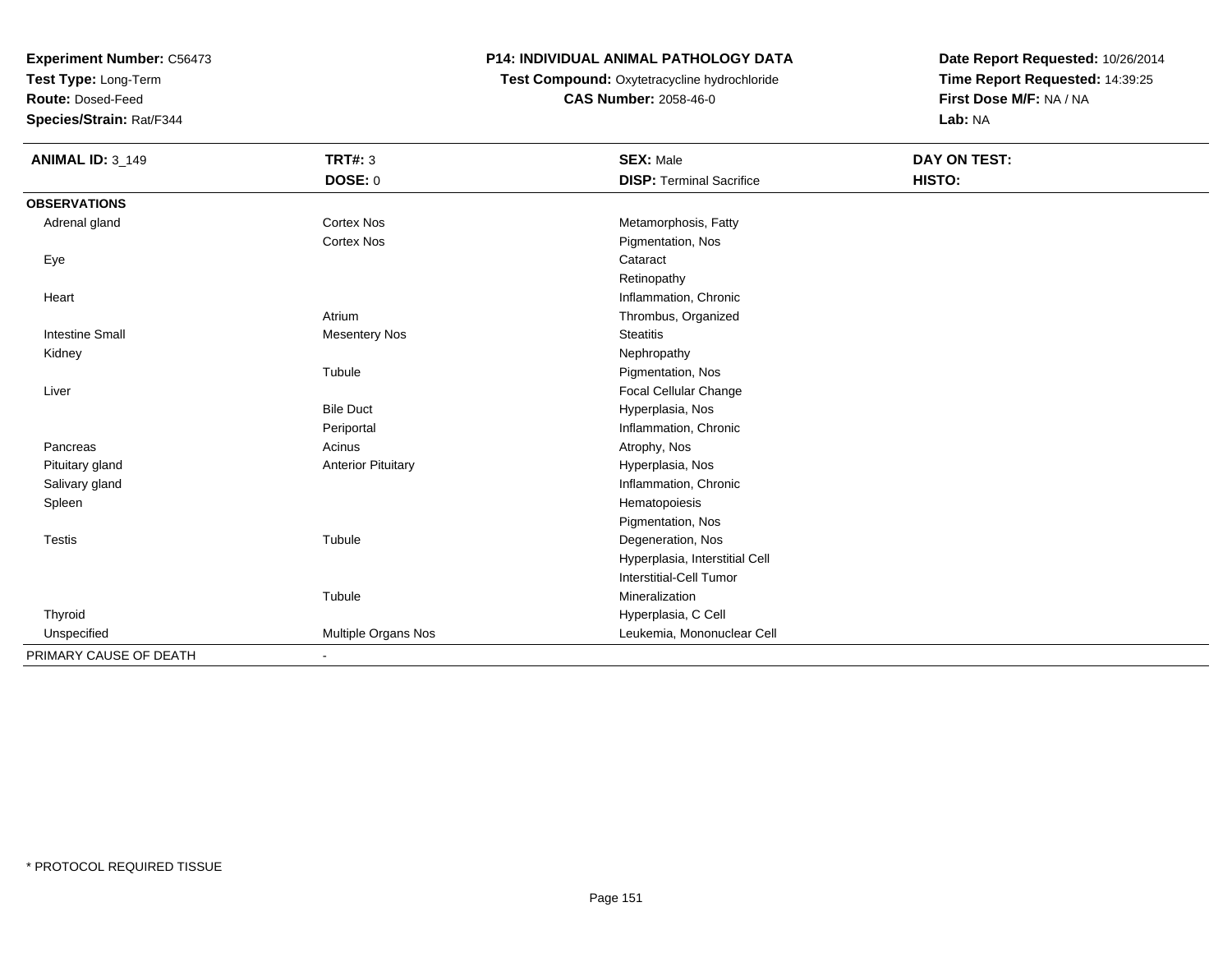**Test Type:** Long-Term

**Route:** Dosed-Feed

**Species/Strain:** Rat/F344

### **P14: INDIVIDUAL ANIMAL PATHOLOGY DATA**

 **Test Compound:** Oxytetracycline hydrochloride**CAS Number:** 2058-46-0

| <b>ANIMAL ID: 3_149</b> | <b>TRT#: 3</b>            | <b>SEX: Male</b>                | DAY ON TEST: |  |
|-------------------------|---------------------------|---------------------------------|--------------|--|
|                         | <b>DOSE: 0</b>            | <b>DISP: Terminal Sacrifice</b> | HISTO:       |  |
| <b>OBSERVATIONS</b>     |                           |                                 |              |  |
| Adrenal gland           | Cortex Nos                | Metamorphosis, Fatty            |              |  |
|                         | Cortex Nos                | Pigmentation, Nos               |              |  |
| Eye                     |                           | Cataract                        |              |  |
|                         |                           | Retinopathy                     |              |  |
| Heart                   |                           | Inflammation, Chronic           |              |  |
|                         | Atrium                    | Thrombus, Organized             |              |  |
| <b>Intestine Small</b>  | <b>Mesentery Nos</b>      | <b>Steatitis</b>                |              |  |
| Kidney                  |                           | Nephropathy                     |              |  |
|                         | Tubule                    | Pigmentation, Nos               |              |  |
| Liver                   |                           | <b>Focal Cellular Change</b>    |              |  |
|                         | <b>Bile Duct</b>          | Hyperplasia, Nos                |              |  |
|                         | Periportal                | Inflammation, Chronic           |              |  |
| Pancreas                | Acinus                    | Atrophy, Nos                    |              |  |
| Pituitary gland         | <b>Anterior Pituitary</b> | Hyperplasia, Nos                |              |  |
| Salivary gland          |                           | Inflammation, Chronic           |              |  |
| Spleen                  |                           | Hematopoiesis                   |              |  |
|                         |                           | Pigmentation, Nos               |              |  |
| <b>Testis</b>           | Tubule                    | Degeneration, Nos               |              |  |
|                         |                           | Hyperplasia, Interstitial Cell  |              |  |
|                         |                           | Interstitial-Cell Tumor         |              |  |
|                         | Tubule                    | Mineralization                  |              |  |
| Thyroid                 |                           | Hyperplasia, C Cell             |              |  |
| Unspecified             | Multiple Organs Nos       | Leukemia, Mononuclear Cell      |              |  |
| PRIMARY CAUSE OF DEATH  | ٠                         |                                 |              |  |